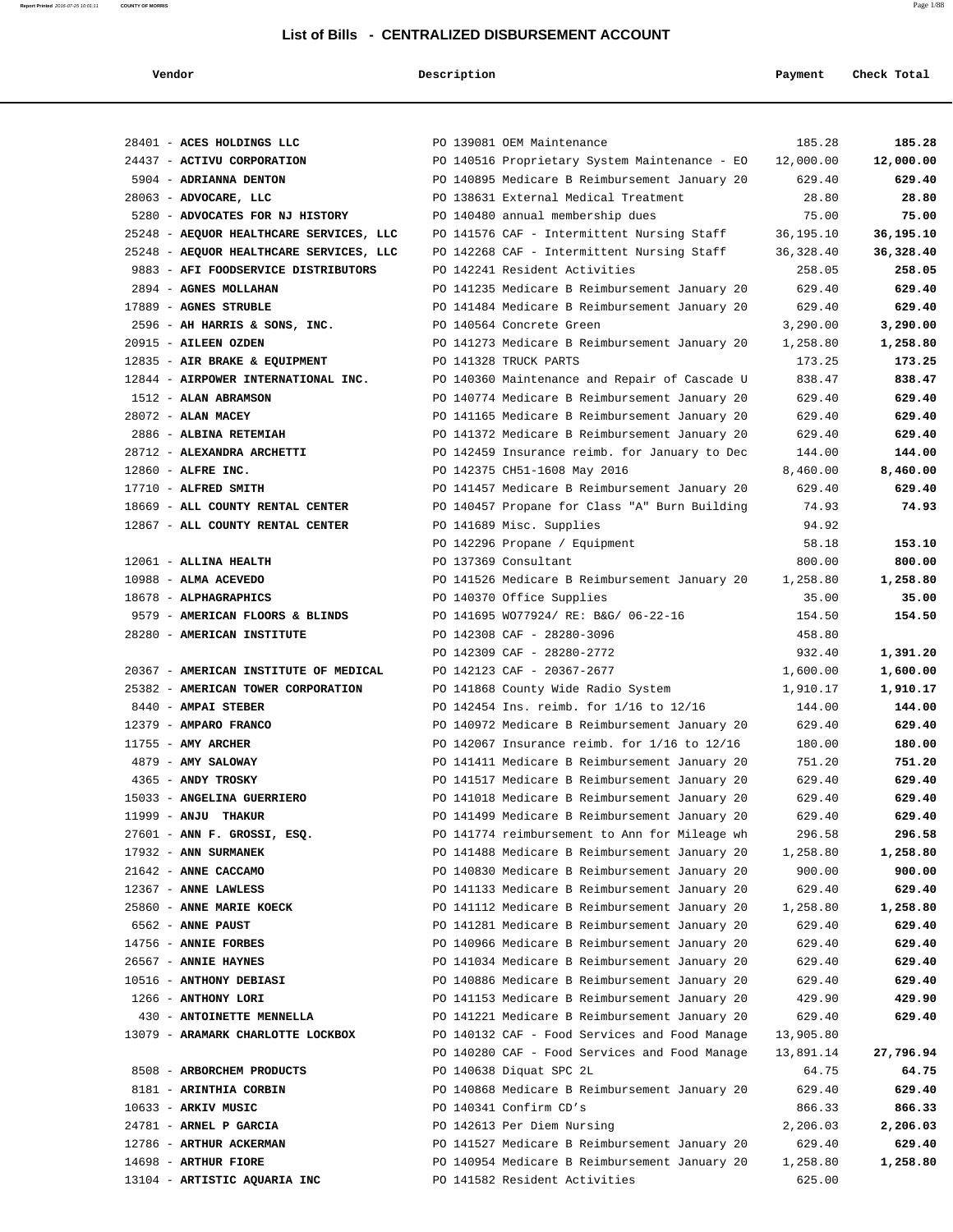|  | ١. |  |  |
|--|----|--|--|

 **Vendor** Payment Check Total

|                                                                                | PO 139081 OEM Maintenance                                                                                   | 185.28<br>185.28                     |
|--------------------------------------------------------------------------------|-------------------------------------------------------------------------------------------------------------|--------------------------------------|
| 28401 - ACES HOLDINGS LLC                                                      |                                                                                                             |                                      |
| 24437 - ACTIVU CORPORATION                                                     | PO 140516 Proprietary System Maintenance - EO<br>12,000.00<br>PO 140895 Medicare B Reimbursement January 20 | 12,000.00<br>629.40                  |
| 5904 - ADRIANNA DENTON                                                         | PO 138631 External Medical Treatment                                                                        | 629.40<br>28.80<br>28.80             |
| 28063 - ADVOCARE, LLC                                                          |                                                                                                             | 75.00                                |
| 5280 - ADVOCATES FOR NJ HISTORY                                                | PO 140480 annual membership dues                                                                            | 75.00                                |
| 25248 - AEQUOR HEALTHCARE SERVICES, LLC                                        | PO 141576 CAF - Intermittent Nursing Staff<br>36,195.10                                                     | 36,195.10                            |
| 25248 - AEQUOR HEALTHCARE SERVICES, LLC<br>9883 - AFI FOODSERVICE DISTRIBUTORS | PO 142268 CAF - Intermittent Nursing Staff<br>36, 328.40<br>PO 142241 Resident Activities                   | 36,328.40<br>258.05                  |
| 2894 - AGNES MOLLAHAN                                                          | PO 141235 Medicare B Reimbursement January 20                                                               | 258.05<br>629.40<br>629.40           |
| 17889 - AGNES STRUBLE                                                          | PO 141484 Medicare B Reimbursement January 20                                                               | 629.40<br>629.40                     |
|                                                                                |                                                                                                             |                                      |
| 2596 - AH HARRIS & SONS, INC.                                                  | PO 140564 Concrete Green<br>3,290.00                                                                        | 3,290.00<br>1,258.80                 |
| 20915 - AILEEN OZDEN                                                           | PO 141273 Medicare B Reimbursement January 20<br>1,258.80                                                   |                                      |
| 12835 - AIR BRAKE & EQUIPMENT<br>12844 - AIRPOWER INTERNATIONAL INC.           | PO 141328 TRUCK PARTS                                                                                       | 173.25<br>173.25<br>838.47<br>838.47 |
|                                                                                | PO 140360 Maintenance and Repair of Cascade U                                                               |                                      |
| 1512 - ALAN ABRAMSON                                                           | PO 140774 Medicare B Reimbursement January 20                                                               | 629.40<br>629.40                     |
| 28072 - ALAN MACEY                                                             | PO 141165 Medicare B Reimbursement January 20                                                               | 629.40<br>629.40                     |
| 2886 - ALBINA RETEMIAH                                                         | PO 141372 Medicare B Reimbursement January 20                                                               | 629.40<br>629.40                     |
| 28712 - ALEXANDRA ARCHETTI                                                     | PO 142459 Insurance reimb. for January to Dec                                                               | 144.00<br>144.00                     |
| 12860 - ALFRE INC.                                                             | PO 142375 CH51-1608 May 2016<br>8,460.00                                                                    | 8,460.00                             |
| $17710$ - ALFRED SMITH                                                         | PO 141457 Medicare B Reimbursement January 20                                                               | 629.40<br>629.40                     |
| 18669 - ALL COUNTY RENTAL CENTER                                               | PO 140457 Propane for Class "A" Burn Building                                                               | 74.93<br>74.93                       |
| 12867 - ALL COUNTY RENTAL CENTER                                               | PO 141689 Misc. Supplies                                                                                    | 94.92                                |
|                                                                                | PO 142296 Propane / Equipment                                                                               | 153.10<br>58.18                      |
| 12061 - ALLINA HEALTH                                                          | PO 137369 Consultant                                                                                        | 800.00<br>800.00                     |
| 10988 - ALMA ACEVEDO                                                           | PO 141526 Medicare B Reimbursement January 20<br>1,258.80                                                   | 1,258.80                             |
| 18678 - ALPHAGRAPHICS                                                          | PO 140370 Office Supplies                                                                                   | 35.00<br>35.00                       |
| 9579 - AMERICAN FLOORS & BLINDS                                                | PO 141695 WO77924/ RE: B&G/ 06-22-16                                                                        | 154.50<br>154.50                     |
| 28280 - AMERICAN INSTITUTE                                                     | PO 142308 CAF - 28280-3096                                                                                  | 458.80                               |
|                                                                                | PO 142309 CAF - 28280-2772                                                                                  | 932.40<br>1,391.20                   |
| 20367 - AMERICAN INSTITUTE OF MEDICAL                                          | PO 142123 CAF - 20367-2677<br>1,600.00                                                                      | 1,600.00                             |
| 25382 - AMERICAN TOWER CORPORATION                                             | PO 141868 County Wide Radio System<br>1,910.17                                                              | 1,910.17                             |
| 8440 - AMPAI STEBER                                                            | PO 142454 Ins. reimb. for 1/16 to 12/16                                                                     | 144.00<br>144.00                     |
| 12379 - AMPARO FRANCO                                                          | PO 140972 Medicare B Reimbursement January 20                                                               | 629.40<br>629.40                     |
| $11755$ - AMY ARCHER                                                           | PO 142067 Insurance reimb. for 1/16 to 12/16                                                                | 180.00<br>180.00                     |
| 4879 - AMY SALOWAY                                                             | PO 141411 Medicare B Reimbursement January 20                                                               | 751.20<br>751.20                     |
| 4365 - ANDY TROSKY                                                             | PO 141517 Medicare B Reimbursement January 20                                                               | 629.40<br>629.40                     |
| 15033 - ANGELINA GUERRIERO                                                     | PO 141018 Medicare B Reimbursement January 20                                                               | 629.40<br>629.40                     |
| 11999 - ANJU THAKUR                                                            | PO 141499 Medicare B Reimbursement January 20                                                               | 629.40<br>629.40                     |
| $27601$ - ANN F. GROSSI, ESQ.                                                  | PO 141774 reimbursement to Ann for Mileage wh                                                               | 296.58<br>296.58                     |
| 17932 - ANN SURMANEK                                                           | PO 141488 Medicare B Reimbursement January 20<br>1,258.80                                                   | 1,258.80                             |
| 21642 - ANNE CACCAMO                                                           | PO 140830 Medicare B Reimbursement January 20                                                               | 900.00<br>900.00                     |
| 12367 - ANNE LAWLESS                                                           | PO 141133 Medicare B Reimbursement January 20                                                               | 629.40<br>629.40                     |
| 25860 - ANNE MARIE KOECK                                                       | PO 141112 Medicare B Reimbursement January 20<br>1,258.80                                                   | 1,258.80                             |
| 6562 - ANNE PAUST                                                              | PO 141281 Medicare B Reimbursement January 20                                                               | 629.40<br>629.40                     |
| 14756 - ANNIE FORBES                                                           | PO 140966 Medicare B Reimbursement January 20                                                               | 629.40<br>629.40                     |
| 26567 - ANNIE HAYNES                                                           | PO 141034 Medicare B Reimbursement January 20                                                               | 629.40<br>629.40                     |
| 10516 - ANTHONY DEBIASI                                                        | PO 140886 Medicare B Reimbursement January 20                                                               | 629.40<br>629.40                     |
| 1266 - ANTHONY LORI                                                            | PO 141153 Medicare B Reimbursement January 20                                                               | 429.90<br>429.90                     |
| 430 - ANTOINETTE MENNELLA                                                      | PO 141221 Medicare B Reimbursement January 20                                                               | 629.40<br>629.40                     |
| 13079 - ARAMARK CHARLOTTE LOCKBOX                                              | PO 140132 CAF - Food Services and Food Manage<br>13,905.80                                                  |                                      |
|                                                                                | PO 140280 CAF - Food Services and Food Manage<br>13,891.14                                                  | 27,796.94                            |
| 8508 - ARBORCHEM PRODUCTS                                                      | PO 140638 Diquat SPC 2L                                                                                     | 64.75<br>64.75                       |
| 8181 - ARINTHIA CORBIN                                                         | PO 140868 Medicare B Reimbursement January 20                                                               | 629.40<br>629.40                     |
| 10633 - ARKIV MUSIC                                                            | PO 140341 Confirm CD's                                                                                      | 866.33<br>866.33                     |
| 24781 - ARNEL P GARCIA                                                         | PO 142613 Per Diem Nursing<br>2,206.03                                                                      | 2,206.03                             |
| 12786 - ARTHUR ACKERMAN                                                        | PO 141527 Medicare B Reimbursement January 20                                                               | 629.40<br>629.40                     |
| 14698 - ARTHUR FIORE                                                           | PO 140954 Medicare B Reimbursement January 20<br>1,258.80                                                   | 1,258.80                             |
| 13104 - ARTISTIC AQUARIA INC                                                   | PO 141582 Resident Activities                                                                               | 625.00                               |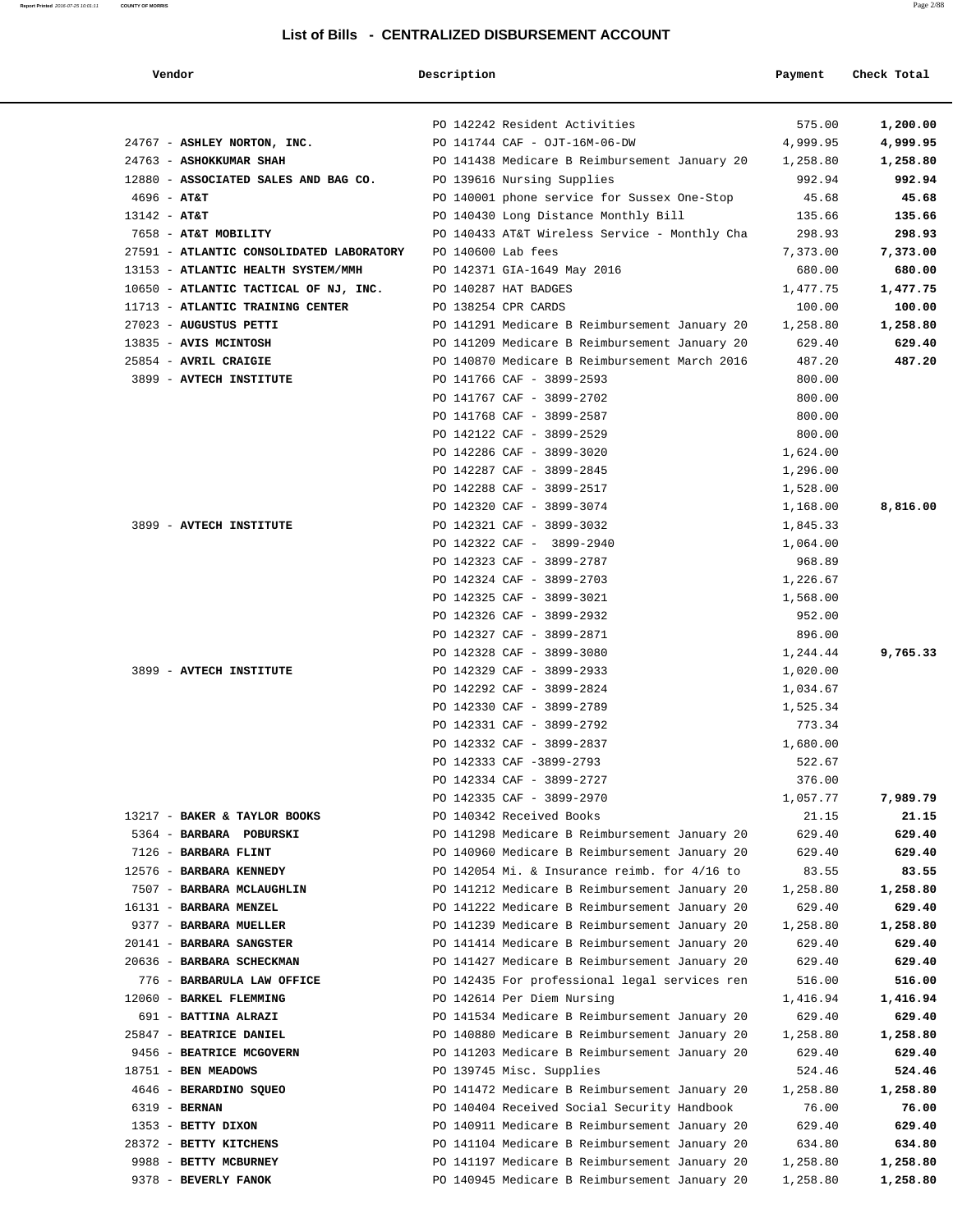#### **Report Printed** 2016-07-25 10:01:11 **COUNTY OF MORRIS** Page 2/88

### **List of Bills - CENTRALIZED DISBURSEMENT ACCOUNT**

| Vendor                                   | Description         |                                               | Payment  | Check Total |
|------------------------------------------|---------------------|-----------------------------------------------|----------|-------------|
|                                          |                     |                                               |          |             |
|                                          |                     | PO 142242 Resident Activities                 | 575.00   | 1,200.00    |
| 24767 - ASHLEY NORTON, INC.              |                     | PO 141744 CAF - OJT-16M-06-DW                 | 4,999.95 | 4,999.95    |
| 24763 - ASHOKKUMAR SHAH                  |                     | PO 141438 Medicare B Reimbursement January 20 | 1,258.80 | 1,258.80    |
| 12880 - ASSOCIATED SALES AND BAG CO.     |                     | PO 139616 Nursing Supplies                    | 992.94   | 992.94      |
| $4696 - AT&T$                            |                     | PO 140001 phone service for Sussex One-Stop   | 45.68    | 45.68       |
| $13142 - AT&T$                           |                     | PO 140430 Long Distance Monthly Bill          | 135.66   | 135.66      |
| 7658 - AT&T MOBILITY                     |                     | PO 140433 AT&T Wireless Service - Monthly Cha | 298.93   | 298.93      |
| 27591 - ATLANTIC CONSOLIDATED LABORATORY | PO 140600 Lab fees  |                                               | 7,373.00 | 7,373.00    |
| 13153 - ATLANTIC HEALTH SYSTEM/MMH       |                     | PO 142371 GIA-1649 May 2016                   | 680.00   | 680.00      |
| 10650 - ATLANTIC TACTICAL OF NJ, INC.    |                     | PO 140287 HAT BADGES                          | 1,477.75 | 1,477.75    |
| 11713 - ATLANTIC TRAINING CENTER         | PO 138254 CPR CARDS |                                               | 100.00   | 100.00      |
| 27023 - AUGUSTUS PETTI                   |                     | PO 141291 Medicare B Reimbursement January 20 | 1,258.80 | 1,258.80    |
| 13835 - AVIS MCINTOSH                    |                     | PO 141209 Medicare B Reimbursement January 20 | 629.40   | 629.40      |
| 25854 - AVRIL CRAIGIE                    |                     | PO 140870 Medicare B Reimbursement March 2016 | 487.20   | 487.20      |
| 3899 - AVTECH INSTITUTE                  |                     | PO 141766 CAF - 3899-2593                     | 800.00   |             |
|                                          |                     | PO 141767 CAF - 3899-2702                     | 800.00   |             |
|                                          |                     | PO 141768 CAF - 3899-2587                     | 800.00   |             |
|                                          |                     | PO 142122 CAF - 3899-2529                     | 800.00   |             |
|                                          |                     | PO 142286 CAF - 3899-3020                     | 1,624.00 |             |
|                                          |                     | PO 142287 CAF - 3899-2845                     | 1,296.00 |             |
|                                          |                     | PO 142288 CAF - 3899-2517                     | 1,528.00 |             |
|                                          |                     | PO 142320 CAF - 3899-3074                     | 1,168.00 | 8,816.00    |
| 3899 - AVTECH INSTITUTE                  |                     | PO 142321 CAF - 3899-3032                     | 1,845.33 |             |
|                                          |                     | PO 142322 CAF - 3899-2940                     | 1,064.00 |             |
|                                          |                     | PO 142323 CAF - 3899-2787                     | 968.89   |             |
|                                          |                     | PO 142324 CAF - 3899-2703                     | 1,226.67 |             |
|                                          |                     | PO 142325 CAF - 3899-3021                     | 1,568.00 |             |
|                                          |                     | PO 142326 CAF - 3899-2932                     | 952.00   |             |
|                                          |                     | PO 142327 CAF - 3899-2871                     | 896.00   |             |
|                                          |                     | PO 142328 CAF - 3899-3080                     | 1,244.44 | 9,765.33    |
| 3899 - AVTECH INSTITUTE                  |                     | PO 142329 CAF - 3899-2933                     | 1,020.00 |             |
|                                          |                     | PO 142292 CAF - 3899-2824                     | 1,034.67 |             |
|                                          |                     | PO 142330 CAF - 3899-2789                     | 1,525.34 |             |
|                                          |                     | PO 142331 CAF - 3899-2792                     | 773.34   |             |
|                                          |                     | PO 142332 CAF - 3899-2837                     | 1,680.00 |             |
|                                          |                     | PO 142333 CAF -3899-2793                      | 522.67   |             |
|                                          |                     | PO 142334 CAF - 3899-2727                     | 376.00   |             |
|                                          |                     | PO 142335 CAF - 3899-2970                     | 1,057.77 | 7,989.79    |
| 13217 - BAKER & TAYLOR BOOKS             |                     | PO 140342 Received Books                      | 21.15    | 21.15       |
| 5364 - BARBARA POBURSKI                  |                     | PO 141298 Medicare B Reimbursement January 20 | 629.40   | 629.40      |
| 7126 - BARBARA FLINT                     |                     | PO 140960 Medicare B Reimbursement January 20 | 629.40   | 629.40      |
| 12576 - BARBARA KENNEDY                  |                     | PO 142054 Mi. & Insurance reimb. for 4/16 to  | 83.55    | 83.55       |
| 7507 - BARBARA MCLAUGHLIN                |                     | PO 141212 Medicare B Reimbursement January 20 | 1,258.80 | 1,258.80    |
| 16131 - BARBARA MENZEL                   |                     | PO 141222 Medicare B Reimbursement January 20 | 629.40   | 629.40      |
| 9377 - BARBARA MUELLER                   |                     | PO 141239 Medicare B Reimbursement January 20 | 1,258.80 | 1,258.80    |
| 20141 - BARBARA SANGSTER                 |                     | PO 141414 Medicare B Reimbursement January 20 | 629.40   | 629.40      |
| 20636 - BARBARA SCHECKMAN                |                     | PO 141427 Medicare B Reimbursement January 20 | 629.40   | 629.40      |
| 776 - BARBARULA LAW OFFICE               |                     | PO 142435 For professional legal services ren | 516.00   | 516.00      |
| 12060 - BARKEL FLEMMING                  |                     | PO 142614 Per Diem Nursing                    | 1,416.94 | 1,416.94    |
| 691 - BATTINA ALRAZI                     |                     | PO 141534 Medicare B Reimbursement January 20 | 629.40   | 629.40      |
| 25847 - BEATRICE DANIEL                  |                     | PO 140880 Medicare B Reimbursement January 20 | 1,258.80 | 1,258.80    |
| 9456 - BEATRICE MCGOVERN                 |                     | PO 141203 Medicare B Reimbursement January 20 | 629.40   | 629.40      |
| 18751 - BEN MEADOWS                      |                     | PO 139745 Misc. Supplies                      | 524.46   | 524.46      |
| 4646 - BERARDINO SQUEO                   |                     | PO 141472 Medicare B Reimbursement January 20 | 1,258.80 | 1,258.80    |
| 6319 - BERNAN                            |                     | PO 140404 Received Social Security Handbook   | 76.00    | 76.00       |
| 1353 - BETTY DIXON                       |                     | PO 140911 Medicare B Reimbursement January 20 | 629.40   | 629.40      |
| 28372 - BETTY KITCHENS                   |                     | PO 141104 Medicare B Reimbursement January 20 | 634.80   | 634.80      |
| 9988 - BETTY MCBURNEY                    |                     | PO 141197 Medicare B Reimbursement January 20 | 1,258.80 | 1,258.80    |
| 9378 - BEVERLY FANOK                     |                     | PO 140945 Medicare B Reimbursement January 20 | 1,258.80 | 1,258.80    |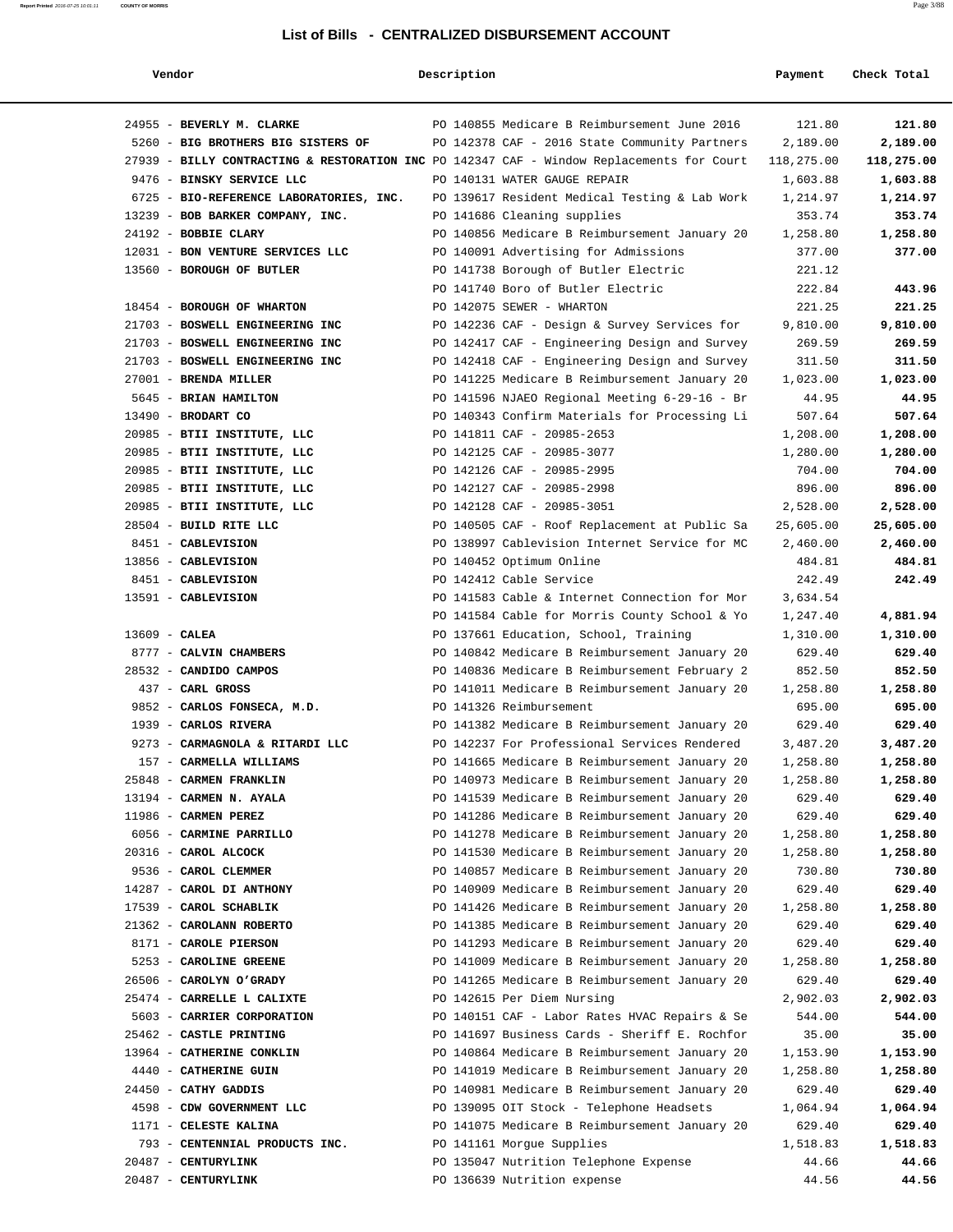#### **Report Printed** 2016-07-25 10:01:11 **COUNTY OF MORRIS** Page 3/88

### **List of Bills - CENTRALIZED DISBURSEMENT ACCOUNT**

| Vendor                                                                                    | Description |                                               | Payment    | Check Total |
|-------------------------------------------------------------------------------------------|-------------|-----------------------------------------------|------------|-------------|
| 24955 - BEVERLY M. CLARKE                                                                 |             | PO 140855 Medicare B Reimbursement June 2016  | 121.80     | 121.80      |
| 5260 - BIG BROTHERS BIG SISTERS OF                                                        |             | PO 142378 CAF - 2016 State Community Partners | 2,189.00   | 2,189.00    |
| 27939 - BILLY CONTRACTING & RESTORATION INC PO 142347 CAF - Window Replacements for Court |             |                                               | 118,275.00 | 118,275.00  |
| 9476 - BINSKY SERVICE LLC                                                                 |             | PO 140131 WATER GAUGE REPAIR                  | 1,603.88   | 1,603.88    |
| 6725 - BIO-REFERENCE LABORATORIES, INC.                                                   |             | PO 139617 Resident Medical Testing & Lab Work | 1,214.97   | 1,214.97    |
| 13239 - BOB BARKER COMPANY, INC.                                                          |             | PO 141686 Cleaning supplies                   | 353.74     | 353.74      |
| 24192 - BOBBIE CLARY                                                                      |             | PO 140856 Medicare B Reimbursement January 20 | 1,258.80   | 1,258.80    |
| 12031 - BON VENTURE SERVICES LLC                                                          |             | PO 140091 Advertising for Admissions          | 377.00     | 377.00      |
| 13560 - BOROUGH OF BUTLER                                                                 |             | PO 141738 Borough of Butler Electric          | 221.12     |             |
|                                                                                           |             | PO 141740 Boro of Butler Electric             | 222.84     | 443.96      |
|                                                                                           |             |                                               |            |             |
| 18454 - BOROUGH OF WHARTON                                                                |             | PO 142075 SEWER - WHARTON                     | 221.25     | 221.25      |
| 21703 - BOSWELL ENGINEERING INC                                                           |             | PO 142236 CAF - Design & Survey Services for  | 9,810.00   | 9,810.00    |
| 21703 - BOSWELL ENGINEERING INC                                                           |             | PO 142417 CAF - Engineering Design and Survey | 269.59     | 269.59      |
| 21703 - BOSWELL ENGINEERING INC                                                           |             | PO 142418 CAF - Engineering Design and Survey | 311.50     | 311.50      |
| 27001 - BRENDA MILLER                                                                     |             | PO 141225 Medicare B Reimbursement January 20 | 1,023.00   | 1,023.00    |
| 5645 - BRIAN HAMILTON                                                                     |             | PO 141596 NJAEO Regional Meeting 6-29-16 - Br | 44.95      | 44.95       |
| $13490$ - BRODART CO                                                                      |             | PO 140343 Confirm Materials for Processing Li | 507.64     | 507.64      |
| 20985 - BTII INSTITUTE, LLC                                                               |             | PO 141811 CAF - 20985-2653                    | 1,208.00   | 1,208.00    |
| 20985 - BTII INSTITUTE, LLC                                                               |             | PO 142125 CAF - 20985-3077                    | 1,280.00   | 1,280.00    |
| 20985 - BTII INSTITUTE, LLC                                                               |             | PO 142126 CAF - 20985-2995                    | 704.00     | 704.00      |
| 20985 - BTII INSTITUTE, LLC                                                               |             | PO 142127 CAF - 20985-2998                    | 896.00     | 896.00      |
| 20985 - BTII INSTITUTE, LLC                                                               |             | PO 142128 CAF - 20985-3051                    | 2,528.00   | 2,528.00    |
| 28504 - BUILD RITE LLC                                                                    |             | PO 140505 CAF - Roof Replacement at Public Sa | 25,605.00  | 25,605.00   |
| 8451 - CABLEVISION                                                                        |             | PO 138997 Cablevision Internet Service for MC | 2,460.00   | 2,460.00    |
| 13856 - CABLEVISION                                                                       |             | PO 140452 Optimum Online                      | 484.81     | 484.81      |
| 8451 - CABLEVISION                                                                        |             | PO 142412 Cable Service                       | 242.49     | 242.49      |
| 13591 - CABLEVISION                                                                       |             | PO 141583 Cable & Internet Connection for Mor | 3,634.54   |             |
|                                                                                           |             | PO 141584 Cable for Morris County School & Yo | 1,247.40   | 4,881.94    |
| $13609$ - CALEA                                                                           |             | PO 137661 Education, School, Training         | 1,310.00   | 1,310.00    |
| 8777 - CALVIN CHAMBERS                                                                    |             | PO 140842 Medicare B Reimbursement January 20 | 629.40     | 629.40      |
| 28532 - CANDIDO CAMPOS                                                                    |             | PO 140836 Medicare B Reimbursement February 2 | 852.50     | 852.50      |
| 437 - CARL GROSS                                                                          |             | PO 141011 Medicare B Reimbursement January 20 | 1,258.80   | 1,258.80    |
| 9852 - CARLOS FONSECA, M.D.                                                               |             | PO 141326 Reimbursement                       | 695.00     | 695.00      |
| 1939 - CARLOS RIVERA                                                                      |             | PO 141382 Medicare B Reimbursement January 20 | 629.40     | 629.40      |
| 9273 - CARMAGNOLA & RITARDI LLC                                                           |             | PO 142237 For Professional Services Rendered  | 3,487.20   | 3,487.20    |
| 157 - CARMELLA WILLIAMS                                                                   |             | PO 141665 Medicare B Reimbursement January 20 | 1,258.80   | 1,258.80    |
| 25848 - CARMEN FRANKLIN                                                                   |             | PO 140973 Medicare B Reimbursement January 20 | 1,258.80   | 1,258.80    |
| 13194 - CARMEN N. AYALA                                                                   |             | PO 141539 Medicare B Reimbursement January 20 | 629.40     | 629.40      |
| 11986 - CARMEN PEREZ                                                                      |             | PO 141286 Medicare B Reimbursement January 20 | 629.40     | 629.40      |
| 6056 - CARMINE PARRILLO                                                                   |             | PO 141278 Medicare B Reimbursement January 20 | 1,258.80   | 1,258.80    |
| 20316 - CAROL ALCOCK                                                                      |             | PO 141530 Medicare B Reimbursement January 20 | 1,258.80   | 1,258.80    |
| 9536 - CAROL CLEMMER                                                                      |             | PO 140857 Medicare B Reimbursement January 20 | 730.80     | 730.80      |
| 14287 - CAROL DI ANTHONY                                                                  |             | PO 140909 Medicare B Reimbursement January 20 | 629.40     | 629.40      |
| 17539 - CAROL SCHABLIK                                                                    |             | PO 141426 Medicare B Reimbursement January 20 | 1,258.80   | 1,258.80    |
| 21362 - CAROLANN ROBERTO                                                                  |             | PO 141385 Medicare B Reimbursement January 20 | 629.40     | 629.40      |
| 8171 - CAROLE PIERSON                                                                     |             | PO 141293 Medicare B Reimbursement January 20 | 629.40     | 629.40      |
| 5253 - CAROLINE GREENE                                                                    |             | PO 141009 Medicare B Reimbursement January 20 | 1,258.80   | 1,258.80    |
| 26506 - CAROLYN O'GRADY                                                                   |             | PO 141265 Medicare B Reimbursement January 20 | 629.40     | 629.40      |
| 25474 - CARRELLE L CALIXTE                                                                |             | PO 142615 Per Diem Nursing                    | 2,902.03   | 2,902.03    |
| 5603 - CARRIER CORPORATION                                                                |             | PO 140151 CAF - Labor Rates HVAC Repairs & Se | 544.00     | 544.00      |
| 25462 - CASTLE PRINTING                                                                   |             | PO 141697 Business Cards - Sheriff E. Rochfor | 35.00      | 35.00       |
| 13964 - CATHERINE CONKLIN                                                                 |             | PO 140864 Medicare B Reimbursement January 20 | 1,153.90   | 1,153.90    |
| 4440 - CATHERINE GUIN                                                                     |             | PO 141019 Medicare B Reimbursement January 20 | 1,258.80   | 1,258.80    |
| 24450 - CATHY GADDIS                                                                      |             | PO 140981 Medicare B Reimbursement January 20 | 629.40     | 629.40      |
| 4598 - CDW GOVERNMENT LLC                                                                 |             | PO 139095 OIT Stock - Telephone Headsets      | 1,064.94   | 1,064.94    |
| 1171 - CELESTE KALINA                                                                     |             | PO 141075 Medicare B Reimbursement January 20 | 629.40     | 629.40      |
| 793 - CENTENNIAL PRODUCTS INC.                                                            |             | PO 141161 Morgue Supplies                     | 1,518.83   | 1,518.83    |
| 20487 - CENTURYLINK                                                                       |             | PO 135047 Nutrition Telephone Expense         | 44.66      | 44.66       |
| 20487 - CENTURYLINK                                                                       |             | PO 136639 Nutrition expense                   | 44.56      | 44.56       |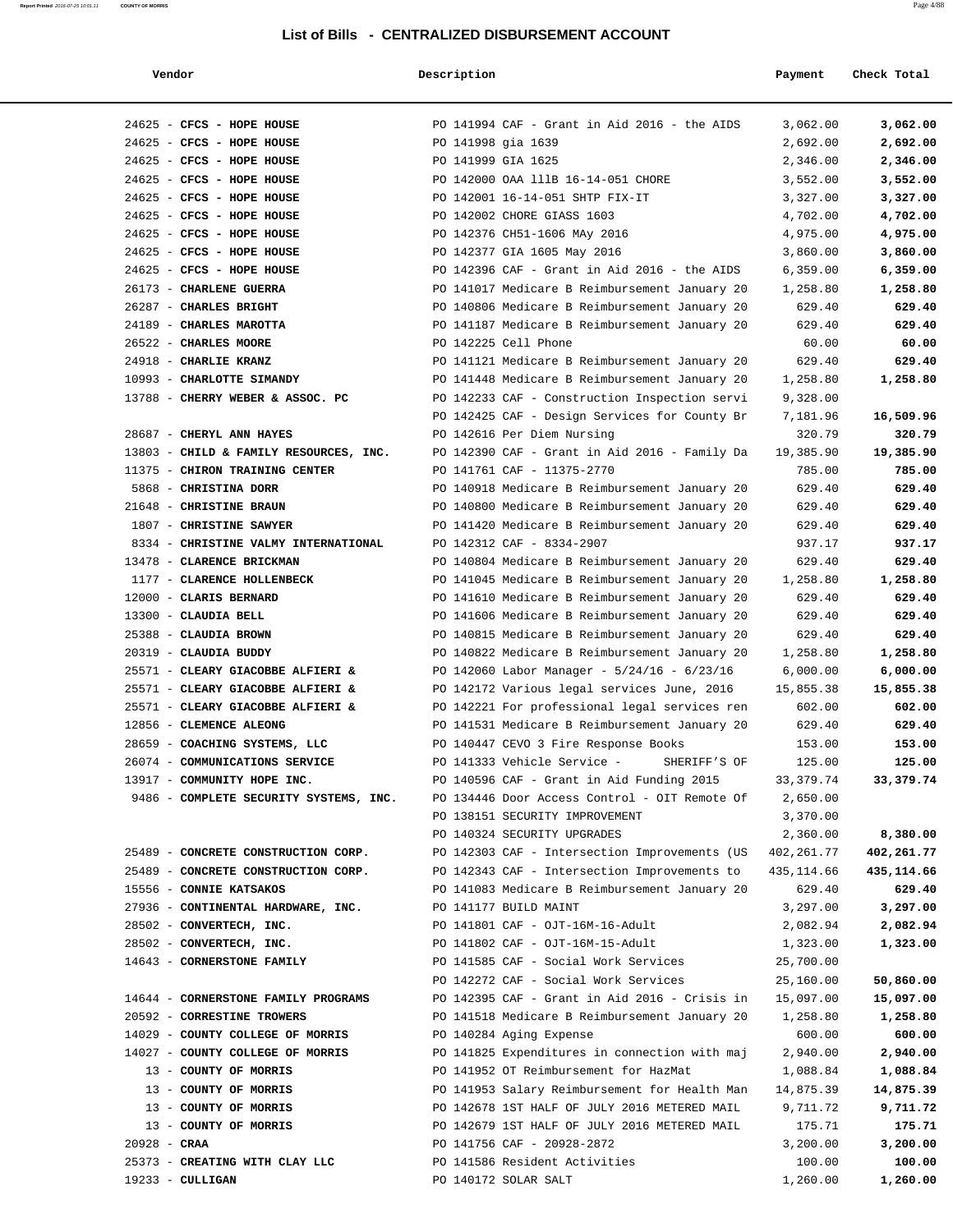| Vendor                                 | Description        |                                                 | Payment     | Check Total |
|----------------------------------------|--------------------|-------------------------------------------------|-------------|-------------|
| 24625 - CFCS - HOPE HOUSE              |                    | PO 141994 CAF - Grant in Aid 2016 - the AIDS    | 3,062.00    | 3,062.00    |
| 24625 - CFCS - HOPE HOUSE              | PO 141998 gia 1639 |                                                 | 2,692.00    | 2,692.00    |
| 24625 - CFCS - HOPE HOUSE              | PO 141999 GIA 1625 |                                                 | 2,346.00    | 2,346.00    |
| 24625 - CFCS - HOPE HOUSE              |                    | PO 142000 OAA 111B 16-14-051 CHORE              | 3,552.00    | 3,552.00    |
| 24625 - CFCS - HOPE HOUSE              |                    | PO 142001 16-14-051 SHTP FIX-IT                 | 3,327.00    | 3,327.00    |
| 24625 - CFCS - HOPE HOUSE              |                    | PO 142002 CHORE GIASS 1603                      | 4,702.00    | 4,702.00    |
| 24625 - CFCS - HOPE HOUSE              |                    | PO 142376 CH51-1606 MAy 2016                    | 4,975.00    | 4,975.00    |
| 24625 - CFCS - HOPE HOUSE              |                    | PO 142377 GIA 1605 May 2016                     | 3,860.00    | 3,860.00    |
| 24625 - CFCS - HOPE HOUSE              |                    | PO 142396 CAF - Grant in Aid 2016 - the AIDS    | 6,359.00    | 6,359.00    |
| 26173 - CHARLENE GUERRA                |                    | PO 141017 Medicare B Reimbursement January 20   | 1,258.80    | 1,258.80    |
| 26287 - CHARLES BRIGHT                 |                    | PO 140806 Medicare B Reimbursement January 20   | 629.40      | 629.40      |
| 24189 - CHARLES MAROTTA                |                    | PO 141187 Medicare B Reimbursement January 20   | 629.40      | 629.40      |
| 26522 - CHARLES MOORE                  |                    | PO 142225 Cell Phone                            | 60.00       | 60.00       |
| 24918 - CHARLIE KRANZ                  |                    | PO 141121 Medicare B Reimbursement January 20   | 629.40      | 629.40      |
| 10993 - CHARLOTTE SIMANDY              |                    | PO 141448 Medicare B Reimbursement January 20   | 1,258.80    | 1,258.80    |
| 13788 - CHERRY WEBER & ASSOC. PC       |                    | PO 142233 CAF - Construction Inspection servi   | 9,328.00    |             |
|                                        |                    | PO 142425 CAF - Design Services for County Br   | 7,181.96    | 16,509.96   |
| 28687 - CHERYL ANN HAYES               |                    | PO 142616 Per Diem Nursing                      | 320.79      | 320.79      |
| 13803 - CHILD & FAMILY RESOURCES, INC. |                    | PO 142390 CAF - Grant in Aid 2016 - Family Da   | 19,385.90   | 19,385.90   |
| 11375 - CHIRON TRAINING CENTER         |                    | PO 141761 CAF - 11375-2770                      | 785.00      | 785.00      |
| 5868 - CHRISTINA DORR                  |                    | PO 140918 Medicare B Reimbursement January 20   | 629.40      | 629.40      |
| 21648 - CHRISTINE BRAUN                |                    | PO 140800 Medicare B Reimbursement January 20   | 629.40      | 629.40      |
| 1807 - CHRISTINE SAWYER                |                    | PO 141420 Medicare B Reimbursement January 20   | 629.40      | 629.40      |
| 8334 - CHRISTINE VALMY INTERNATIONAL   |                    | PO 142312 CAF - 8334-2907                       | 937.17      | 937.17      |
| 13478 - CLARENCE BRICKMAN              |                    | PO 140804 Medicare B Reimbursement January 20   | 629.40      | 629.40      |
| 1177 - CLARENCE HOLLENBECK             |                    | PO 141045 Medicare B Reimbursement January 20   | 1,258.80    | 1,258.80    |
| 12000 - CLARIS BERNARD                 |                    | PO 141610 Medicare B Reimbursement January 20   | 629.40      | 629.40      |
| 13300 - CLAUDIA BELL                   |                    | PO 141606 Medicare B Reimbursement January 20   | 629.40      | 629.40      |
| 25388 - CLAUDIA BROWN                  |                    | PO 140815 Medicare B Reimbursement January 20   | 629.40      | 629.40      |
| 20319 - CLAUDIA BUDDY                  |                    | PO 140822 Medicare B Reimbursement January 20   | 1,258.80    | 1,258.80    |
| 25571 - CLEARY GIACOBBE ALFIERI &      |                    | PO 142060 Labor Manager - $5/24/16$ - $6/23/16$ | 6,000.00    | 6,000.00    |
| 25571 - CLEARY GIACOBBE ALFIERI &      |                    | PO 142172 Various legal services June, 2016     | 15,855.38   | 15,855.38   |
| 25571 - CLEARY GIACOBBE ALFIERI &      |                    | PO 142221 For professional legal services ren   | 602.00      | 602.00      |
| 12856 - CLEMENCE ALEONG                |                    | PO 141531 Medicare B Reimbursement January 20   | 629.40      | 629.40      |
| 28659 - COACHING SYSTEMS, LLC          |                    | PO 140447 CEVO 3 Fire Response Books            | 153.00      | 153.00      |
| 26074 - COMMUNICATIONS SERVICE         |                    | SHERIFF'S OF<br>PO 141333 Vehicle Service -     | 125.00      | 125.00      |
| 13917 - COMMUNITY HOPE INC.            |                    | PO 140596 CAF - Grant in Aid Funding 2015       | 33, 379. 74 | 33,379.74   |
| 9486 - COMPLETE SECURITY SYSTEMS, INC. |                    | PO 134446 Door Access Control - OIT Remote Of   | 2,650.00    |             |
|                                        |                    | PO 138151 SECURITY IMPROVEMENT                  | 3,370.00    |             |
|                                        |                    | PO 140324 SECURITY UPGRADES                     | 2,360.00    | 8,380.00    |
| 25489 - CONCRETE CONSTRUCTION CORP.    |                    | PO 142303 CAF - Intersection Improvements (US   | 402,261.77  | 402,261.77  |
| 25489 - CONCRETE CONSTRUCTION CORP.    |                    | PO 142343 CAF - Intersection Improvements to    | 435,114.66  | 435,114.66  |
| 15556 - CONNIE KATSAKOS                |                    | PO 141083 Medicare B Reimbursement January 20   | 629.40      | 629.40      |
| 27936 - CONTINENTAL HARDWARE, INC.     |                    | PO 141177 BUILD MAINT                           | 3,297.00    | 3,297.00    |
| 28502 - CONVERTECH, INC.               |                    | PO 141801 CAF - OJT-16M-16-Adult                | 2,082.94    | 2,082.94    |
| 28502 - CONVERTECH, INC.               |                    | PO 141802 CAF - OJT-16M-15-Adult                | 1,323.00    | 1,323.00    |
| 14643 - CORNERSTONE FAMILY             |                    | PO 141585 CAF - Social Work Services            | 25,700.00   |             |
|                                        |                    | PO 142272 CAF - Social Work Services            | 25,160.00   | 50,860.00   |
| 14644 - CORNERSTONE FAMILY PROGRAMS    |                    | PO 142395 CAF - Grant in Aid 2016 - Crisis in   | 15,097.00   | 15,097.00   |
| 20592 - CORRESTINE TROWERS             |                    | PO 141518 Medicare B Reimbursement January 20   | 1,258.80    | 1,258.80    |
| 14029 - COUNTY COLLEGE OF MORRIS       |                    | PO 140284 Aging Expense                         | 600.00      | 600.00      |
| 14027 - COUNTY COLLEGE OF MORRIS       |                    | PO 141825 Expenditures in connection with maj   | 2,940.00    | 2,940.00    |
| 13 - COUNTY OF MORRIS                  |                    | PO 141952 OT Reimbursement for HazMat           | 1,088.84    | 1,088.84    |
| 13 - COUNTY OF MORRIS                  |                    | PO 141953 Salary Reimbursement for Health Man   | 14,875.39   | 14,875.39   |
| 13 - COUNTY OF MORRIS                  |                    | PO 142678 1ST HALF OF JULY 2016 METERED MAIL    | 9,711.72    | 9,711.72    |
| 13 - COUNTY OF MORRIS                  |                    | PO 142679 1ST HALF OF JULY 2016 METERED MAIL    | 175.71      | 175.71      |
| $20928 - CRAA$                         |                    | PO 141756 CAF - 20928-2872                      | 3,200.00    | 3,200.00    |
| 25373 - CREATING WITH CLAY LLC         |                    | PO 141586 Resident Activities                   | 100.00      | 100.00      |
| $19233 - \text{CULLIGAN}$              |                    | PO 140172 SOLAR SALT                            | 1,260.00    | 1,260.00    |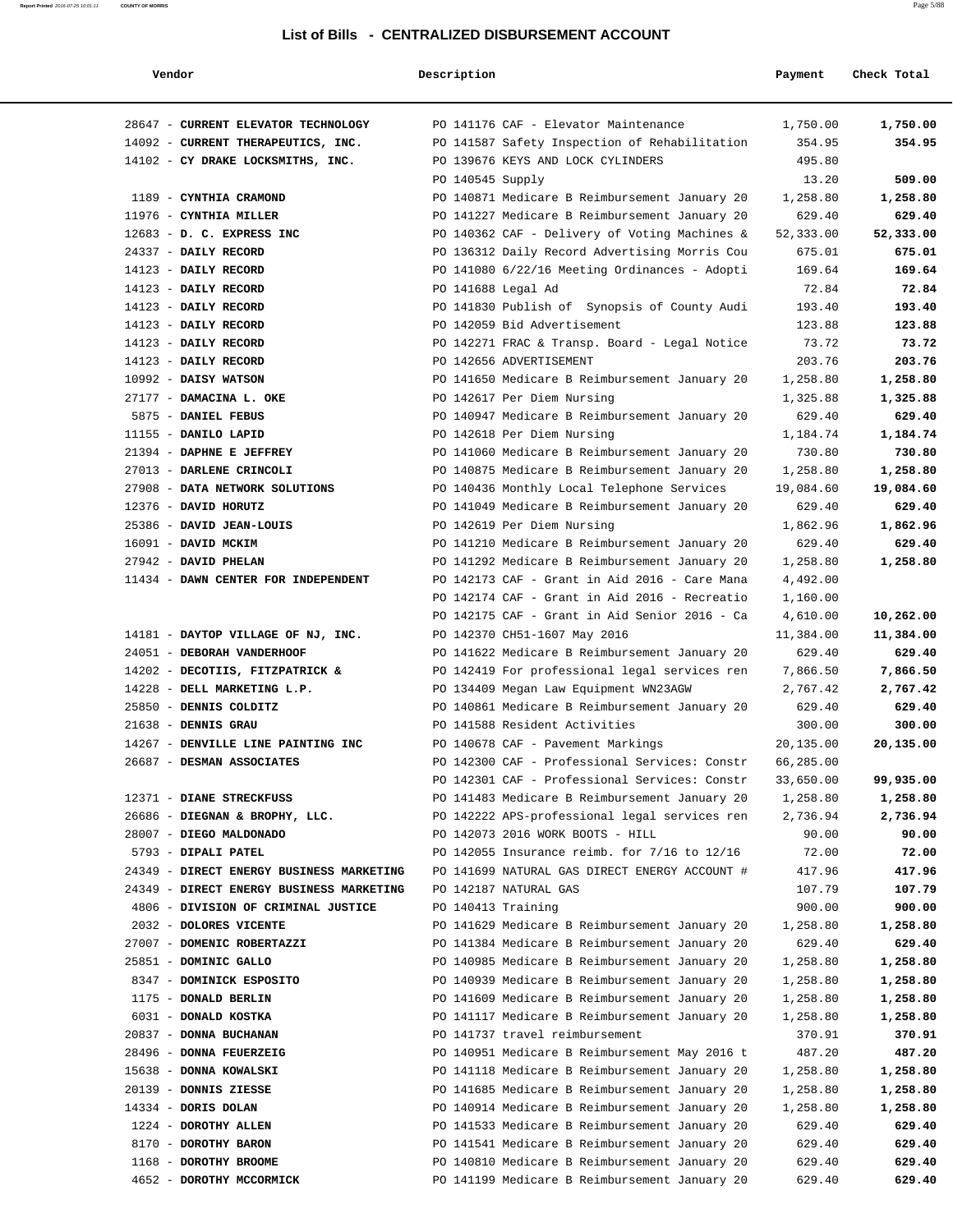| Vendor                                   | Description        |                                               | Payment   | Check Total |
|------------------------------------------|--------------------|-----------------------------------------------|-----------|-------------|
| 28647 - CURRENT ELEVATOR TECHNOLOGY      |                    | PO 141176 CAF - Elevator Maintenance          | 1,750.00  | 1,750.00    |
| 14092 - CURRENT THERAPEUTICS, INC.       |                    | PO 141587 Safety Inspection of Rehabilitation | 354.95    | 354.95      |
| 14102 - CY DRAKE LOCKSMITHS, INC.        |                    | PO 139676 KEYS AND LOCK CYLINDERS             | 495.80    |             |
|                                          | PO 140545 Supply   |                                               | 13.20     | 509.00      |
| 1189 - CYNTHIA CRAMOND                   |                    | PO 140871 Medicare B Reimbursement January 20 | 1,258.80  | 1,258.80    |
| 11976 - CYNTHIA MILLER                   |                    | PO 141227 Medicare B Reimbursement January 20 | 629.40    | 629.40      |
| 12683 - D. C. EXPRESS INC                |                    | PO 140362 CAF - Delivery of Voting Machines & | 52,333.00 | 52,333.00   |
| 24337 - DAILY RECORD                     |                    | PO 136312 Daily Record Advertising Morris Cou | 675.01    | 675.01      |
| 14123 - DAILY RECORD                     |                    | PO 141080 6/22/16 Meeting Ordinances - Adopti | 169.64    | 169.64      |
| 14123 - DAILY RECORD                     | PO 141688 Legal Ad |                                               | 72.84     | 72.84       |
| 14123 - DAILY RECORD                     |                    | PO 141830 Publish of Synopsis of County Audi  | 193.40    | 193.40      |
| 14123 - DAILY RECORD                     |                    | PO 142059 Bid Advertisement                   | 123.88    | 123.88      |
| 14123 - DAILY RECORD                     |                    | PO 142271 FRAC & Transp. Board - Legal Notice | 73.72     | 73.72       |
| 14123 - DAILY RECORD                     |                    | PO 142656 ADVERTISEMENT                       | 203.76    | 203.76      |
| 10992 - DAISY WATSON                     |                    | PO 141650 Medicare B Reimbursement January 20 | 1,258.80  | 1,258.80    |
| 27177 - DAMACINA L. OKE                  |                    | PO 142617 Per Diem Nursing                    | 1,325.88  | 1,325.88    |
| 5875 - DANIEL FEBUS                      |                    | PO 140947 Medicare B Reimbursement January 20 | 629.40    | 629.40      |
| 11155 - DANILO LAPID                     |                    | PO 142618 Per Diem Nursing                    | 1,184.74  | 1,184.74    |
| 21394 - DAPHNE E JEFFREY                 |                    | PO 141060 Medicare B Reimbursement January 20 | 730.80    | 730.80      |
| 27013 - DARLENE CRINCOLI                 |                    | PO 140875 Medicare B Reimbursement January 20 | 1,258.80  | 1,258.80    |
| 27908 - DATA NETWORK SOLUTIONS           |                    | PO 140436 Monthly Local Telephone Services    | 19,084.60 | 19,084.60   |
| 12376 - DAVID HORUTZ                     |                    | PO 141049 Medicare B Reimbursement January 20 | 629.40    | 629.40      |
| 25386 - DAVID JEAN-LOUIS                 |                    | PO 142619 Per Diem Nursing                    | 1,862.96  | 1,862.96    |
| 16091 - DAVID MCKIM                      |                    | PO 141210 Medicare B Reimbursement January 20 | 629.40    | 629.40      |
| 27942 - DAVID PHELAN                     |                    | PO 141292 Medicare B Reimbursement January 20 | 1,258.80  | 1,258.80    |
| 11434 - DAWN CENTER FOR INDEPENDENT      |                    | PO 142173 CAF - Grant in Aid 2016 - Care Mana | 4,492.00  |             |
|                                          |                    | PO 142174 CAF - Grant in Aid 2016 - Recreatio | 1,160.00  |             |
|                                          |                    | PO 142175 CAF - Grant in Aid Senior 2016 - Ca | 4,610.00  | 10,262.00   |
| 14181 - DAYTOP VILLAGE OF NJ, INC.       |                    | PO 142370 CH51-1607 May 2016                  | 11,384.00 | 11,384.00   |
| 24051 - DEBORAH VANDERHOOF               |                    | PO 141622 Medicare B Reimbursement January 20 | 629.40    | 629.40      |
| 14202 - DECOTIIS, FITZPATRICK &          |                    | PO 142419 For professional legal services ren | 7,866.50  | 7,866.50    |
| 14228 - DELL MARKETING L.P.              |                    | PO 134409 Megan Law Equipment WN23AGW         | 2,767.42  | 2,767.42    |
| 25850 - DENNIS COLDITZ                   |                    | PO 140861 Medicare B Reimbursement January 20 | 629.40    | 629.40      |
| 21638 - DENNIS GRAU                      |                    | PO 141588 Resident Activities                 | 300.00    | 300.00      |
| 14267 - DENVILLE LINE PAINTING INC       |                    | PO 140678 CAF - Pavement Markings             | 20,135.00 | 20,135.00   |
| 26687 - DESMAN ASSOCIATES                |                    | PO 142300 CAF - Professional Services: Constr | 66,285.00 |             |
|                                          |                    | PO 142301 CAF - Professional Services: Constr | 33,650.00 | 99,935.00   |
| 12371 - DIANE STRECKFUSS                 |                    | PO 141483 Medicare B Reimbursement January 20 | 1,258.80  | 1,258.80    |
| 26686 - DIEGNAN & BROPHY, LLC.           |                    | PO 142222 APS-professional legal services ren | 2,736.94  | 2,736.94    |
| 28007 - DIEGO MALDONADO                  |                    | PO 142073 2016 WORK BOOTS - HILL              | 90.00     | 90.00       |
| 5793 - DIPALI PATEL                      |                    | PO 142055 Insurance reimb. for 7/16 to 12/16  | 72.00     | 72.00       |
| 24349 - DIRECT ENERGY BUSINESS MARKETING |                    | PO 141699 NATURAL GAS DIRECT ENERGY ACCOUNT # | 417.96    | 417.96      |
| 24349 - DIRECT ENERGY BUSINESS MARKETING |                    | PO 142187 NATURAL GAS                         | 107.79    | 107.79      |
| 4806 - DIVISION OF CRIMINAL JUSTICE      | PO 140413 Training |                                               | 900.00    | 900.00      |
| 2032 - DOLORES VICENTE                   |                    | PO 141629 Medicare B Reimbursement January 20 | 1,258.80  | 1,258.80    |
| 27007 - DOMENIC ROBERTAZZI               |                    | PO 141384 Medicare B Reimbursement January 20 | 629.40    | 629.40      |
| 25851 - DOMINIC GALLO                    |                    | PO 140985 Medicare B Reimbursement January 20 | 1,258.80  | 1,258.80    |
| 8347 - DOMINICK ESPOSITO                 |                    | PO 140939 Medicare B Reimbursement January 20 | 1,258.80  | 1,258.80    |
| 1175 - DONALD BERLIN                     |                    | PO 141609 Medicare B Reimbursement January 20 | 1,258.80  | 1,258.80    |
| 6031 - DONALD KOSTKA                     |                    | PO 141117 Medicare B Reimbursement January 20 | 1,258.80  | 1,258.80    |
| 20837 - DONNA BUCHANAN                   |                    | PO 141737 travel reimbursement                | 370.91    | 370.91      |
| 28496 - DONNA FEUERZEIG                  |                    | PO 140951 Medicare B Reimbursement May 2016 t | 487.20    | 487.20      |
| 15638 - DONNA KOWALSKI                   |                    | PO 141118 Medicare B Reimbursement January 20 | 1,258.80  | 1,258.80    |
| 20139 - DONNIS ZIESSE                    |                    | PO 141685 Medicare B Reimbursement January 20 | 1,258.80  | 1,258.80    |
| $14334$ - DORIS DOLAN                    |                    | PO 140914 Medicare B Reimbursement January 20 | 1,258.80  | 1,258.80    |
| 1224 - DOROTHY ALLEN                     |                    | PO 141533 Medicare B Reimbursement January 20 | 629.40    | 629.40      |
| 8170 - DOROTHY BARON                     |                    | PO 141541 Medicare B Reimbursement January 20 | 629.40    | 629.40      |
| 1168 - DOROTHY BROOME                    |                    | PO 140810 Medicare B Reimbursement January 20 | 629.40    | 629.40      |
| 4652 - DOROTHY MCCORMICK                 |                    | PO 141199 Medicare B Reimbursement January 20 | 629.40    | 629.40      |
|                                          |                    |                                               |           |             |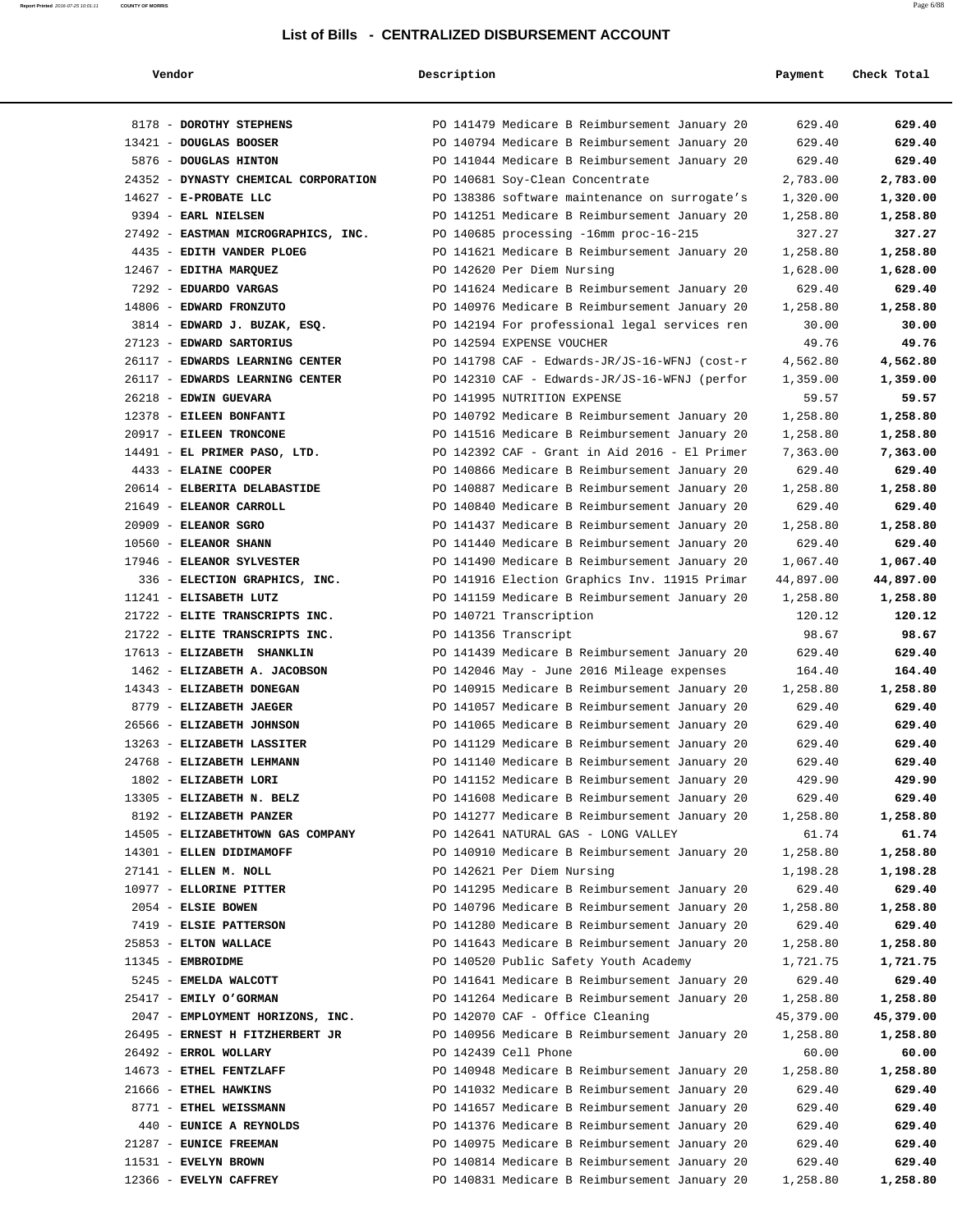| Vendor                                             | Description |                                                                                                | Payment              | Check Total          |
|----------------------------------------------------|-------------|------------------------------------------------------------------------------------------------|----------------------|----------------------|
| 8178 - DOROTHY STEPHENS                            |             | PO 141479 Medicare B Reimbursement January 20                                                  | 629.40               | 629.40               |
| 13421 - DOUGLAS BOOSER                             |             | PO 140794 Medicare B Reimbursement January 20                                                  | 629.40               | 629.40               |
| 5876 - DOUGLAS HINTON                              |             | PO 141044 Medicare B Reimbursement January 20                                                  | 629.40               | 629.40               |
| 24352 - DYNASTY CHEMICAL CORPORATION               |             | PO 140681 Soy-Clean Concentrate                                                                | 2,783.00             | 2,783.00             |
| 14627 - E-PROBATE LLC                              |             | PO 138386 software maintenance on surrogate's                                                  | 1,320.00             | 1,320.00             |
| 9394 - EARL NIELSEN                                |             | PO 141251 Medicare B Reimbursement January 20                                                  | 1,258.80             | 1,258.80             |
| 27492 - EASTMAN MICROGRAPHICS, INC.                |             | PO 140685 processing -16mm proc-16-215                                                         | 327.27               | 327.27               |
| 4435 - EDITH VANDER PLOEG                          |             | PO 141621 Medicare B Reimbursement January 20                                                  | 1,258.80             | 1,258.80             |
| 12467 - EDITHA MARQUEZ                             |             | PO 142620 Per Diem Nursing                                                                     | 1,628.00             | 1,628.00             |
| 7292 - EDUARDO VARGAS                              |             | PO 141624 Medicare B Reimbursement January 20                                                  | 629.40               | 629.40               |
| 14806 - EDWARD FRONZUTO                            |             | PO 140976 Medicare B Reimbursement January 20                                                  | 1,258.80             | 1,258.80             |
| 3814 - EDWARD J. BUZAK, ESQ.                       |             | PO 142194 For professional legal services ren                                                  | 30.00                | 30.00                |
| 27123 - EDWARD SARTORIUS                           |             | PO 142594 EXPENSE VOUCHER                                                                      | 49.76                | 49.76                |
| 26117 - EDWARDS LEARNING CENTER                    |             | PO 141798 CAF - Edwards-JR/JS-16-WFNJ (cost-r                                                  | 4,562.80             | 4,562.80             |
| 26117 - EDWARDS LEARNING CENTER                    |             | PO 142310 CAF - Edwards-JR/JS-16-WFNJ (perfor                                                  | 1,359.00             | 1,359.00             |
| 26218 - EDWIN GUEVARA                              |             | PO 141995 NUTRITION EXPENSE                                                                    | 59.57                | 59.57                |
| 12378 - EILEEN BONFANTI<br>20917 - EILEEN TRONCONE |             | PO 140792 Medicare B Reimbursement January 20<br>PO 141516 Medicare B Reimbursement January 20 | 1,258.80<br>1,258.80 | 1,258.80<br>1,258.80 |
| 14491 - EL PRIMER PASO, LTD.                       |             | PO 142392 CAF - Grant in Aid 2016 - El Primer                                                  | 7,363.00             | 7,363.00             |
| 4433 - ELAINE COOPER                               |             | PO 140866 Medicare B Reimbursement January 20                                                  | 629.40               | 629.40               |
| 20614 - ELBERITA DELABASTIDE                       |             | PO 140887 Medicare B Reimbursement January 20                                                  | 1,258.80             | 1,258.80             |
| 21649 - ELEANOR CARROLL                            |             | PO 140840 Medicare B Reimbursement January 20                                                  | 629.40               | 629.40               |
| $20909$ - ELEANOR SGRO                             |             | PO 141437 Medicare B Reimbursement January 20                                                  | 1,258.80             | 1,258.80             |
| 10560 - ELEANOR SHANN                              |             | PO 141440 Medicare B Reimbursement January 20                                                  | 629.40               | 629.40               |
| 17946 - ELEANOR SYLVESTER                          |             | PO 141490 Medicare B Reimbursement January 20                                                  | 1,067.40             | 1,067.40             |
| 336 - ELECTION GRAPHICS, INC.                      |             | PO 141916 Election Graphics Inv. 11915 Primar                                                  | 44,897.00            | 44,897.00            |
| 11241 - ELISABETH LUTZ                             |             | PO 141159 Medicare B Reimbursement January 20                                                  | 1,258.80             | 1,258.80             |
| 21722 - ELITE TRANSCRIPTS INC.                     |             | PO 140721 Transcription                                                                        | 120.12               | 120.12               |
| 21722 - ELITE TRANSCRIPTS INC.                     |             | PO 141356 Transcript                                                                           | 98.67                | 98.67                |
| 17613 - ELIZABETH SHANKLIN                         |             | PO 141439 Medicare B Reimbursement January 20                                                  | 629.40               | 629.40               |
| 1462 - ELIZABETH A. JACOBSON                       |             | PO 142046 May - June 2016 Mileage expenses                                                     | 164.40               | 164.40               |
| 14343 - ELIZABETH DONEGAN                          |             | PO 140915 Medicare B Reimbursement January 20                                                  | 1,258.80             | 1,258.80             |
| 8779 - ELIZABETH JAEGER                            |             | PO 141057 Medicare B Reimbursement January 20                                                  | 629.40               | 629.40               |
| 26566 - ELIZABETH JOHNSON                          |             | PO 141065 Medicare B Reimbursement January 20                                                  | 629.40               | 629.40               |
| 13263 - ELIZABETH LASSITER                         |             | PO 141129 Medicare B Reimbursement January 20                                                  | 629.40               | 629.40               |
| 24768 - ELIZABETH LEHMANN                          |             | PO 141140 Medicare B Reimbursement January 20                                                  | 629.40               | 629.40               |
| 1802 - ELIZABETH LORI                              |             | PO 141152 Medicare B Reimbursement January 20                                                  | 429.90               | 429.90               |
| 13305 - ELIZABETH N. BELZ                          |             | PO 141608 Medicare B Reimbursement January 20                                                  | 629.40               | 629.40               |
| 8192 - ELIZABETH PANZER                            |             | PO 141277 Medicare B Reimbursement January 20                                                  | 1,258.80             | 1,258.80             |
| 14505 - ELIZABETHTOWN GAS COMPANY                  |             | PO 142641 NATURAL GAS - LONG VALLEY                                                            | 61.74                | 61.74                |
| 14301 - ELLEN DIDIMAMOFF                           |             | PO 140910 Medicare B Reimbursement January 20                                                  | 1,258.80             | 1,258.80             |
| 27141 - ELLEN M. NOLL<br>10977 - ELLORINE PITTER   |             | PO 142621 Per Diem Nursing<br>PO 141295 Medicare B Reimbursement January 20                    | 1,198.28<br>629.40   | 1,198.28<br>629.40   |
| 2054 - ELSIE BOWEN                                 |             | PO 140796 Medicare B Reimbursement January 20                                                  | 1,258.80             | 1,258.80             |
| 7419 - ELSIE PATTERSON                             |             | PO 141280 Medicare B Reimbursement January 20                                                  | 629.40               | 629.40               |
| 25853 - ELTON WALLACE                              |             | PO 141643 Medicare B Reimbursement January 20                                                  | 1,258.80             | 1,258.80             |
| 11345 - EMBROIDME                                  |             | PO 140520 Public Safety Youth Academy                                                          | 1,721.75             | 1,721.75             |
| 5245 - EMELDA WALCOTT                              |             | PO 141641 Medicare B Reimbursement January 20                                                  | 629.40               | 629.40               |
| 25417 - EMILY O'GORMAN                             |             | PO 141264 Medicare B Reimbursement January 20                                                  | 1,258.80             | 1,258.80             |
| 2047 - EMPLOYMENT HORIZONS, INC.                   |             | PO 142070 CAF - Office Cleaning                                                                | 45,379.00            | 45,379.00            |
| 26495 - ERNEST H FITZHERBERT JR                    |             | PO 140956 Medicare B Reimbursement January 20                                                  | 1,258.80             | 1,258.80             |
| 26492 - ERROL WOLLARY                              |             | PO 142439 Cell Phone                                                                           | 60.00                | 60.00                |
| 14673 - ETHEL FENTZLAFF                            |             | PO 140948 Medicare B Reimbursement January 20                                                  | 1,258.80             | 1,258.80             |
| 21666 - ETHEL HAWKINS                              |             | PO 141032 Medicare B Reimbursement January 20                                                  | 629.40               | 629.40               |
| 8771 - ETHEL WEISSMANN                             |             | PO 141657 Medicare B Reimbursement January 20                                                  | 629.40               | 629.40               |
| 440 - EUNICE A REYNOLDS                            |             | PO 141376 Medicare B Reimbursement January 20                                                  | 629.40               | 629.40               |
| 21287 - EUNICE FREEMAN                             |             | PO 140975 Medicare B Reimbursement January 20                                                  | 629.40               | 629.40               |
| 11531 - EVELYN BROWN                               |             | PO 140814 Medicare B Reimbursement January 20                                                  | 629.40               | 629.40               |
| 12366 - EVELYN CAFFREY                             |             | PO 140831 Medicare B Reimbursement January 20                                                  | 1,258.80             | 1,258.80             |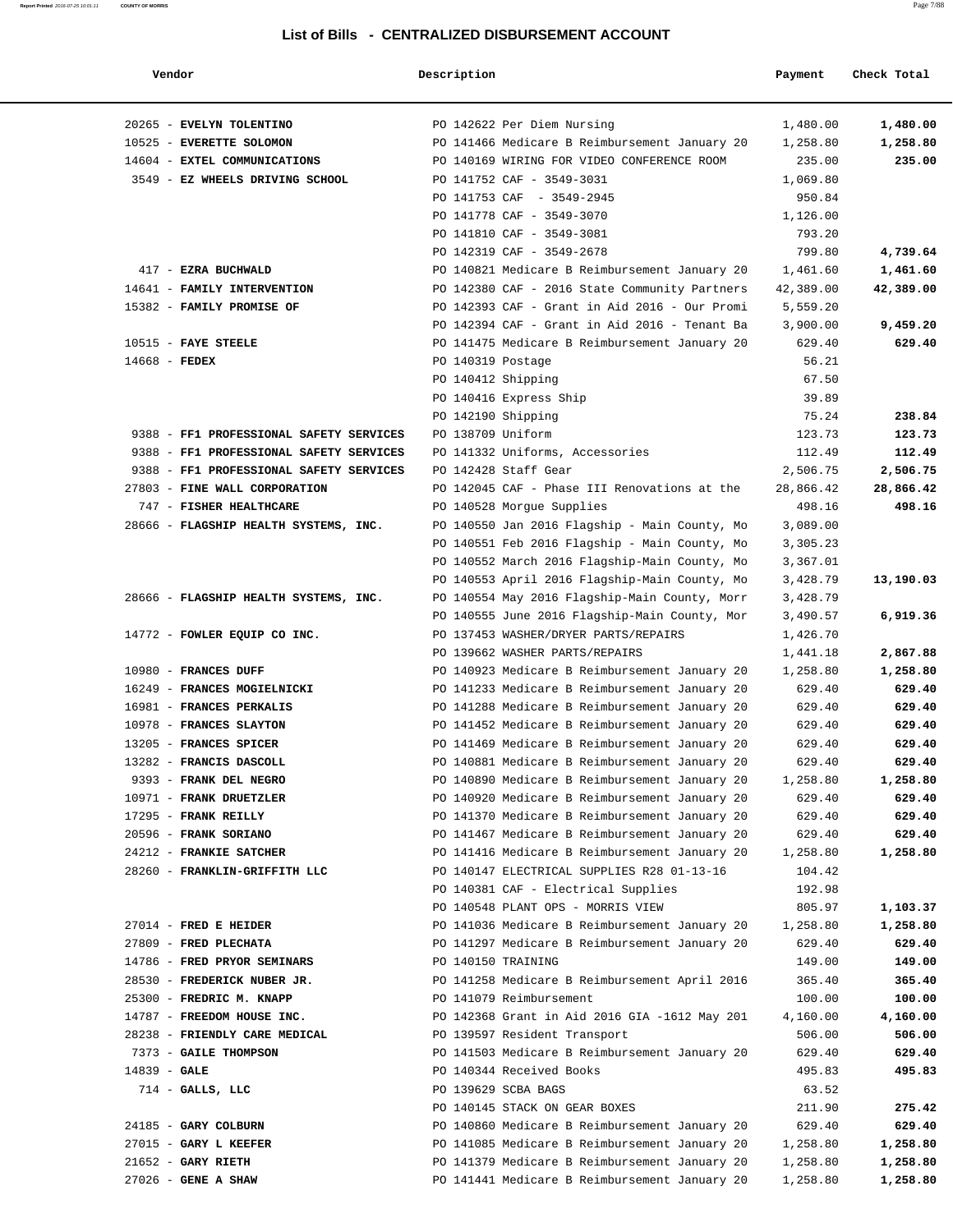#### **Report Printed** 2016-07-25 10:01:11 **COUNTY OF MORRIS** Page 7/88

### **List of Bills - CENTRALIZED DISBURSEMENT ACCOUNT**

| Vendor                                                 | Description        |                                                                                    | Payment            | Check Total          |
|--------------------------------------------------------|--------------------|------------------------------------------------------------------------------------|--------------------|----------------------|
|                                                        |                    |                                                                                    |                    |                      |
| 20265 - EVELYN TOLENTINO                               |                    | PO 142622 Per Diem Nursing                                                         | 1,480.00           | 1,480.00             |
| 10525 - EVERETTE SOLOMON                               |                    | PO 141466 Medicare B Reimbursement January 20                                      | 1,258.80           | 1,258.80             |
| 14604 - EXTEL COMMUNICATIONS                           |                    | PO 140169 WIRING FOR VIDEO CONFERENCE ROOM                                         | 235.00             | 235.00               |
| 3549 - EZ WHEELS DRIVING SCHOOL                        |                    | PO 141752 CAF - 3549-3031                                                          | 1,069.80           |                      |
|                                                        |                    | PO 141753 CAF - 3549-2945                                                          | 950.84             |                      |
|                                                        |                    | PO 141778 CAF - 3549-3070                                                          | 1,126.00           |                      |
|                                                        |                    | PO 141810 CAF - 3549-3081                                                          | 793.20             |                      |
|                                                        |                    | PO 142319 CAF - 3549-2678                                                          | 799.80             | 4,739.64             |
| 417 - EZRA BUCHWALD                                    |                    | PO 140821 Medicare B Reimbursement January 20                                      | 1,461.60           | 1,461.60             |
| 14641 - FAMILY INTERVENTION                            |                    | PO 142380 CAF - 2016 State Community Partners                                      | 42,389.00          | 42,389.00            |
| 15382 - FAMILY PROMISE OF                              |                    | PO 142393 CAF - Grant in Aid 2016 - Our Promi                                      | 5,559.20           |                      |
|                                                        |                    | PO 142394 CAF - Grant in Aid 2016 - Tenant Ba                                      | 3,900.00           | 9,459.20             |
| $10515$ - FAYE STEELE                                  |                    | PO 141475 Medicare B Reimbursement January 20                                      | 629.40             | 629.40               |
| $14668$ - FEDEX                                        | PO 140319 Postage  |                                                                                    | 56.21              |                      |
|                                                        | PO 140412 Shipping |                                                                                    | 67.50              |                      |
|                                                        |                    | PO 140416 Express Ship                                                             | 39.89              |                      |
|                                                        | PO 142190 Shipping |                                                                                    | 75.24              | 238.84               |
| 9388 - FF1 PROFESSIONAL SAFETY SERVICES                | PO 138709 Uniform  |                                                                                    | 123.73             | 123.73               |
| 9388 - FF1 PROFESSIONAL SAFETY SERVICES                |                    | PO 141332 Uniforms, Accessories                                                    | 112.49             | 112.49               |
| 9388 - FF1 PROFESSIONAL SAFETY SERVICES                |                    | PO 142428 Staff Gear                                                               | 2,506.75           | 2,506.75             |
| 27803 - FINE WALL CORPORATION                          |                    | PO 142045 CAF - Phase III Renovations at the                                       | 28,866.42          | 28,866.42            |
| 747 - FISHER HEALTHCARE                                |                    | PO 140528 Morgue Supplies                                                          | 498.16             | 498.16               |
| 28666 - FLAGSHIP HEALTH SYSTEMS, INC.                  |                    | PO 140550 Jan 2016 Flagship - Main County, Mo                                      | 3,089.00           |                      |
|                                                        |                    | PO 140551 Feb 2016 Flagship - Main County, Mo                                      | 3,305.23           |                      |
|                                                        |                    | PO 140552 March 2016 Flagship-Main County, Mo                                      | 3,367.01           |                      |
|                                                        |                    | PO 140553 April 2016 Flagship-Main County, Mo                                      | 3,428.79           | 13,190.03            |
| 28666 - FLAGSHIP HEALTH SYSTEMS, INC.                  |                    | PO 140554 May 2016 Flagship-Main County, Morr                                      | 3,428.79           |                      |
|                                                        |                    | PO 140555 June 2016 Flagship-Main County, Mor                                      | 3,490.57           | 6,919.36             |
| 14772 - FOWLER EQUIP CO INC.                           |                    | PO 137453 WASHER/DRYER PARTS/REPAIRS                                               | 1,426.70           |                      |
|                                                        |                    | PO 139662 WASHER PARTS/REPAIRS                                                     | 1,441.18           | 2,867.88             |
| 10980 - FRANCES DUFF                                   |                    | PO 140923 Medicare B Reimbursement January 20                                      | 1,258.80           | 1,258.80             |
| 16249 - FRANCES MOGIELNICKI                            |                    | PO 141233 Medicare B Reimbursement January 20                                      | 629.40             | 629.40               |
| 16981 - FRANCES PERKALIS                               |                    | PO 141288 Medicare B Reimbursement January 20                                      | 629.40             | 629.40               |
| 10978 - FRANCES SLAYTON                                |                    | PO 141452 Medicare B Reimbursement January 20                                      | 629.40             | 629.40               |
| 13205 - FRANCES SPICER                                 |                    | PO 141469 Medicare B Reimbursement January 20                                      | 629.40             | 629.40               |
| 13282 - FRANCIS DASCOLL                                |                    | PO 140881 Medicare B Reimbursement January 20                                      | 629.40             | 629.40               |
| 9393 - FRANK DEL NEGRO                                 |                    | PO 140890 Medicare B Reimbursement January 20                                      | 1,258.80           | 1,258.80             |
| 10971 - FRANK DRUETZLER                                |                    | PO 140920 Medicare B Reimbursement January 20                                      | 629.40             | 629.40               |
| 17295 - FRANK REILLY                                   |                    | PO 141370 Medicare B Reimbursement January 20                                      | 629.40             | 629.40               |
| 20596 - FRANK SORIANO                                  |                    | PO 141467 Medicare B Reimbursement January 20                                      | 629.40             | 629.40               |
| 24212 - FRANKIE SATCHER                                |                    | PO 141416 Medicare B Reimbursement January 20                                      | 1,258.80           | 1,258.80             |
| 28260 - FRANKLIN-GRIFFITH LLC                          |                    | PO 140147 ELECTRICAL SUPPLIES R28 01-13-16<br>PO 140381 CAF - Electrical Supplies  | 104.42             |                      |
|                                                        |                    |                                                                                    | 192.98             |                      |
| $27014$ - FRED E HEIDER                                |                    | PO 140548 PLANT OPS - MORRIS VIEW<br>PO 141036 Medicare B Reimbursement January 20 | 805.97<br>1,258.80 | 1,103.37<br>1,258.80 |
|                                                        |                    | PO 141297 Medicare B Reimbursement January 20                                      |                    |                      |
| 27809 - FRED PLECHATA                                  |                    |                                                                                    | 629.40             | 629.40               |
| 14786 - FRED PRYOR SEMINARS                            | PO 140150 TRAINING |                                                                                    | 149.00             | 149.00               |
| 28530 - FREDERICK NUBER JR.                            |                    | PO 141258 Medicare B Reimbursement April 2016                                      | 365.40             | 365.40               |
| 25300 - FREDRIC M. KNAPP<br>14787 - FREEDOM HOUSE INC. |                    | PO 141079 Reimbursement<br>PO 142368 Grant in Aid 2016 GIA -1612 May 201           | 100.00<br>4,160.00 | 100.00<br>4,160.00   |
| 28238 - FRIENDLY CARE MEDICAL                          |                    | PO 139597 Resident Transport                                                       | 506.00             | 506.00               |
| 7373 - GAILE THOMPSON                                  |                    | PO 141503 Medicare B Reimbursement January 20                                      | 629.40             | 629.40               |
|                                                        |                    |                                                                                    |                    |                      |
| $14839 - GALE$                                         |                    | PO 140344 Received Books                                                           | 495.83             | 495.83               |
| $714$ - GALLS, LLC                                     |                    | PO 139629 SCBA BAGS                                                                | 63.52              |                      |
|                                                        |                    | PO 140145 STACK ON GEAR BOXES                                                      | 211.90             | 275.42               |
| 24185 - GARY COLBURN                                   |                    | PO 140860 Medicare B Reimbursement January 20                                      | 629.40             | 629.40               |
| 27015 - GARY L KEEFER                                  |                    | PO 141085 Medicare B Reimbursement January 20                                      | 1,258.80           | 1,258.80             |
| $21652$ - GARY RIETH<br>$27026$ - GENE A SHAW          |                    | PO 141379 Medicare B Reimbursement January 20                                      | 1,258.80           | 1,258.80             |
|                                                        |                    | PO 141441 Medicare B Reimbursement January 20                                      | 1,258.80           | 1,258.80             |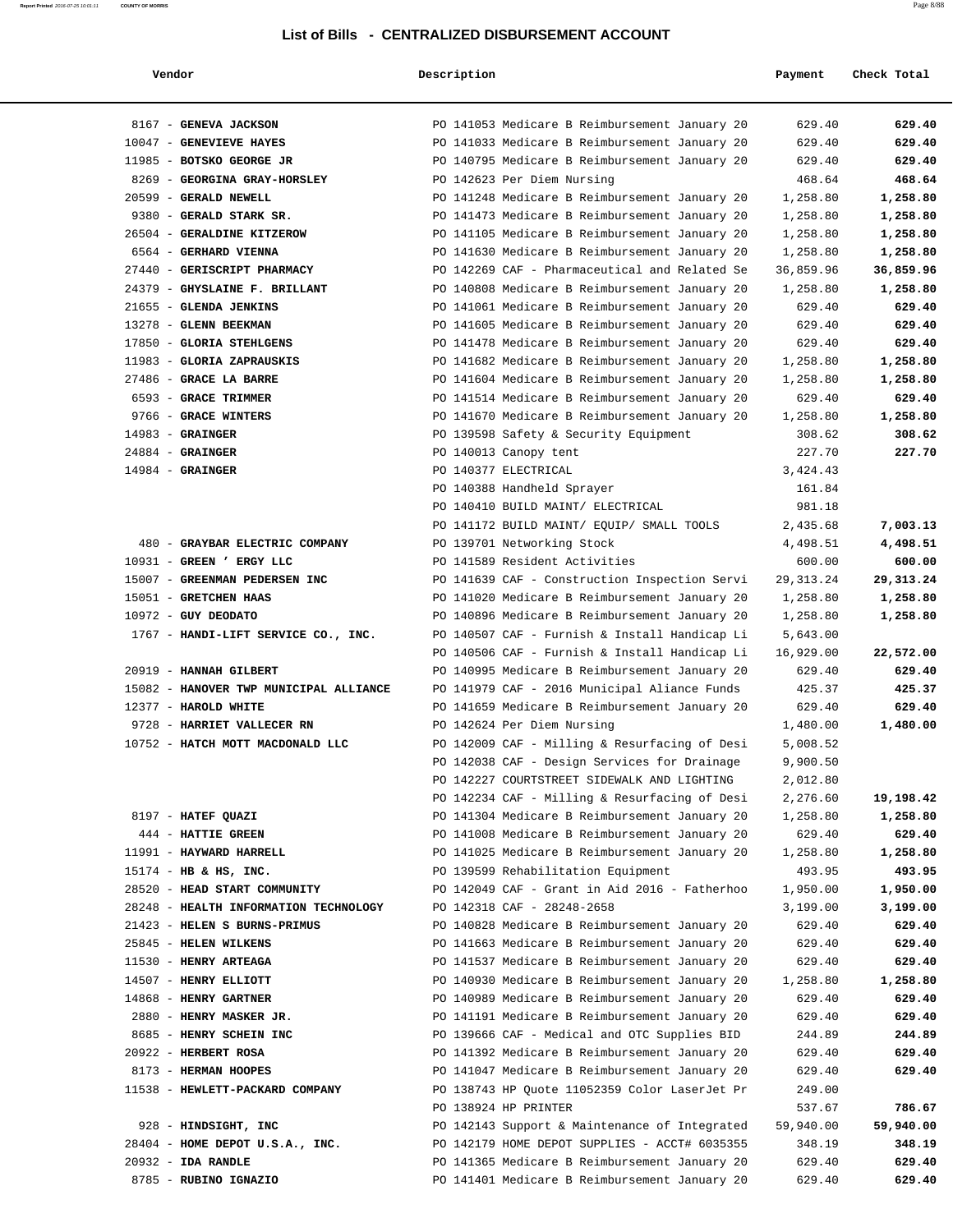| Vendor                                                         | Description |                                                                             | Payment            | Check Total        |
|----------------------------------------------------------------|-------------|-----------------------------------------------------------------------------|--------------------|--------------------|
| 8167 - GENEVA JACKSON                                          |             | PO 141053 Medicare B Reimbursement January 20                               | 629.40             | 629.40             |
| 10047 - GENEVIEVE HAYES                                        |             | PO 141033 Medicare B Reimbursement January 20                               | 629.40             | 629.40             |
| 11985 - BOTSKO GEORGE JR                                       |             | PO 140795 Medicare B Reimbursement January 20                               | 629.40             | 629.40             |
| 8269 - GEORGINA GRAY-HORSLEY                                   |             | PO 142623 Per Diem Nursing                                                  | 468.64             | 468.64             |
| 20599 - GERALD NEWELL                                          |             | PO 141248 Medicare B Reimbursement January 20                               | 1,258.80           | 1,258.80           |
| 9380 - GERALD STARK SR.                                        |             | PO 141473 Medicare B Reimbursement January 20                               | 1,258.80           | 1,258.80           |
| 26504 - GERALDINE KITZEROW                                     |             | PO 141105 Medicare B Reimbursement January 20                               | 1,258.80           | 1,258.80           |
| 6564 - GERHARD VIENNA                                          |             | PO 141630 Medicare B Reimbursement January 20                               | 1,258.80           | 1,258.80           |
| 27440 - GERISCRIPT PHARMACY                                    |             | PO 142269 CAF - Pharmaceutical and Related Se                               | 36,859.96          | 36,859.96          |
| 24379 - GHYSLAINE F. BRILLANT                                  |             | PO 140808 Medicare B Reimbursement January 20                               | 1,258.80           | 1,258.80           |
| 21655 - GLENDA JENKINS                                         |             | PO 141061 Medicare B Reimbursement January 20                               | 629.40             | 629.40             |
| 13278 - GLENN BEEKMAN                                          |             | PO 141605 Medicare B Reimbursement January 20                               | 629.40             | 629.40             |
| 17850 - GLORIA STEHLGENS                                       |             | PO 141478 Medicare B Reimbursement January 20                               | 629.40             | 629.40             |
| 11983 - GLORIA ZAPRAUSKIS                                      |             | PO 141682 Medicare B Reimbursement January 20                               | 1,258.80           | 1,258.80           |
| 27486 - GRACE LA BARRE                                         |             | PO 141604 Medicare B Reimbursement January 20                               | 1,258.80           | 1,258.80           |
| 6593 - GRACE TRIMMER                                           |             | PO 141514 Medicare B Reimbursement January 20                               | 629.40             | 629.40             |
| 9766 - GRACE WINTERS                                           |             | PO 141670 Medicare B Reimbursement January 20                               | 1,258.80           | 1,258.80           |
| $14983$ - GRAINGER                                             |             | PO 139598 Safety & Security Equipment                                       | 308.62             | 308.62             |
| $24884$ - GRAINGER                                             |             | PO 140013 Canopy tent                                                       | 227.70             | 227.70             |
| $14984$ - GRAINGER                                             |             | PO 140377 ELECTRICAL                                                        | 3,424.43           |                    |
|                                                                |             | PO 140388 Handheld Sprayer                                                  | 161.84             |                    |
|                                                                |             | PO 140410 BUILD MAINT/ ELECTRICAL                                           | 981.18             |                    |
|                                                                |             | PO 141172 BUILD MAINT/ EQUIP/ SMALL TOOLS                                   | 2,435.68           | 7,003.13           |
| 480 - GRAYBAR ELECTRIC COMPANY                                 |             | PO 139701 Networking Stock                                                  | 4,498.51           | 4,498.51           |
| 10931 - GREEN ' ERGY LLC                                       |             | PO 141589 Resident Activities                                               | 600.00             | 600.00             |
| 15007 - GREENMAN PEDERSEN INC                                  |             | PO 141639 CAF - Construction Inspection Servi                               | 29, 313. 24        | 29,313.24          |
| 15051 - GRETCHEN HAAS                                          |             | PO 141020 Medicare B Reimbursement January 20                               | 1,258.80           | 1,258.80           |
| $10972$ - GUY DEODATO                                          |             | PO 140896 Medicare B Reimbursement January 20                               | 1,258.80           | 1,258.80           |
| 1767 - HANDI-LIFT SERVICE CO., INC.                            |             | PO 140507 CAF - Furnish & Install Handicap Li                               | 5,643.00           |                    |
|                                                                |             | PO 140506 CAF - Furnish & Install Handicap Li                               | 16,929.00          | 22,572.00          |
| 20919 - HANNAH GILBERT                                         |             | PO 140995 Medicare B Reimbursement January 20                               | 629.40             | 629.40             |
| 15082 - HANOVER TWP MUNICIPAL ALLIANCE<br>12377 - HAROLD WHITE |             | PO 141979 CAF - 2016 Municipal Aliance Funds                                | 425.37             | 425.37             |
| 9728 - HARRIET VALLECER RN                                     |             | PO 141659 Medicare B Reimbursement January 20<br>PO 142624 Per Diem Nursing | 629.40<br>1,480.00 | 629.40<br>1,480.00 |
| 10752 - HATCH MOTT MACDONALD LLC                               |             | PO 142009 CAF - Milling & Resurfacing of Desi                               | 5,008.52           |                    |
|                                                                |             | PO 142038 CAF - Design Services for Drainage                                | 9,900.50           |                    |
|                                                                |             | PO 142227 COURTSTREET SIDEWALK AND LIGHTING                                 | 2,012.80           |                    |
|                                                                |             | PO 142234 CAF - Milling & Resurfacing of Desi                               | 2,276.60           | 19,198.42          |
| 8197 - HATEF QUAZI                                             |             | PO 141304 Medicare B Reimbursement January 20                               | 1,258.80           | 1,258.80           |
| 444 - HATTIE GREEN                                             |             | PO 141008 Medicare B Reimbursement January 20                               | 629.40             | 629.40             |
| 11991 - HAYWARD HARRELL                                        |             | PO 141025 Medicare B Reimbursement January 20                               | 1,258.80           | 1,258.80           |
| 15174 - HB & HS, INC.                                          |             | PO 139599 Rehabilitation Equipment                                          | 493.95             | 493.95             |
| 28520 - HEAD START COMMUNITY                                   |             | PO 142049 CAF - Grant in Aid 2016 - Fatherhoo                               | 1,950.00           | 1,950.00           |
| 28248 - HEALTH INFORMATION TECHNOLOGY                          |             | PO 142318 CAF - 28248-2658                                                  | 3,199.00           | 3,199.00           |
| 21423 - HELEN S BURNS-PRIMUS                                   |             | PO 140828 Medicare B Reimbursement January 20                               | 629.40             | 629.40             |
| 25845 - HELEN WILKENS                                          |             | PO 141663 Medicare B Reimbursement January 20                               | 629.40             | 629.40             |
| 11530 - HENRY ARTEAGA                                          |             | PO 141537 Medicare B Reimbursement January 20                               | 629.40             | 629.40             |
| 14507 - HENRY ELLIOTT                                          |             | PO 140930 Medicare B Reimbursement January 20                               | 1,258.80           | 1,258.80           |
| 14868 - HENRY GARTNER                                          |             | PO 140989 Medicare B Reimbursement January 20                               | 629.40             | 629.40             |
| 2880 - HENRY MASKER JR.                                        |             | PO 141191 Medicare B Reimbursement January 20                               | 629.40             | 629.40             |
| 8685 - HENRY SCHEIN INC                                        |             | PO 139666 CAF - Medical and OTC Supplies BID                                | 244.89             | 244.89             |
| 20922 - HERBERT ROSA                                           |             | PO 141392 Medicare B Reimbursement January 20                               | 629.40             | 629.40             |
| 8173 - HERMAN HOOPES                                           |             | PO 141047 Medicare B Reimbursement January 20                               | 629.40             | 629.40             |
| 11538 - HEWLETT-PACKARD COMPANY                                |             | PO 138743 HP Quote 11052359 Color LaserJet Pr                               | 249.00             |                    |
|                                                                |             | PO 138924 HP PRINTER                                                        | 537.67             | 786.67             |
| 928 - HINDSIGHT, INC                                           |             | PO 142143 Support & Maintenance of Integrated                               | 59,940.00          | 59,940.00          |
| 28404 - HOME DEPOT U.S.A., INC.                                |             | PO 142179 HOME DEPOT SUPPLIES - ACCT# 6035355                               | 348.19             | 348.19             |
| 20932 - IDA RANDLE                                             |             | PO 141365 Medicare B Reimbursement January 20                               | 629.40             | 629.40             |
| 8785 - RUBINO IGNAZIO                                          |             | PO 141401 Medicare B Reimbursement January 20                               | 629.40             | 629.40             |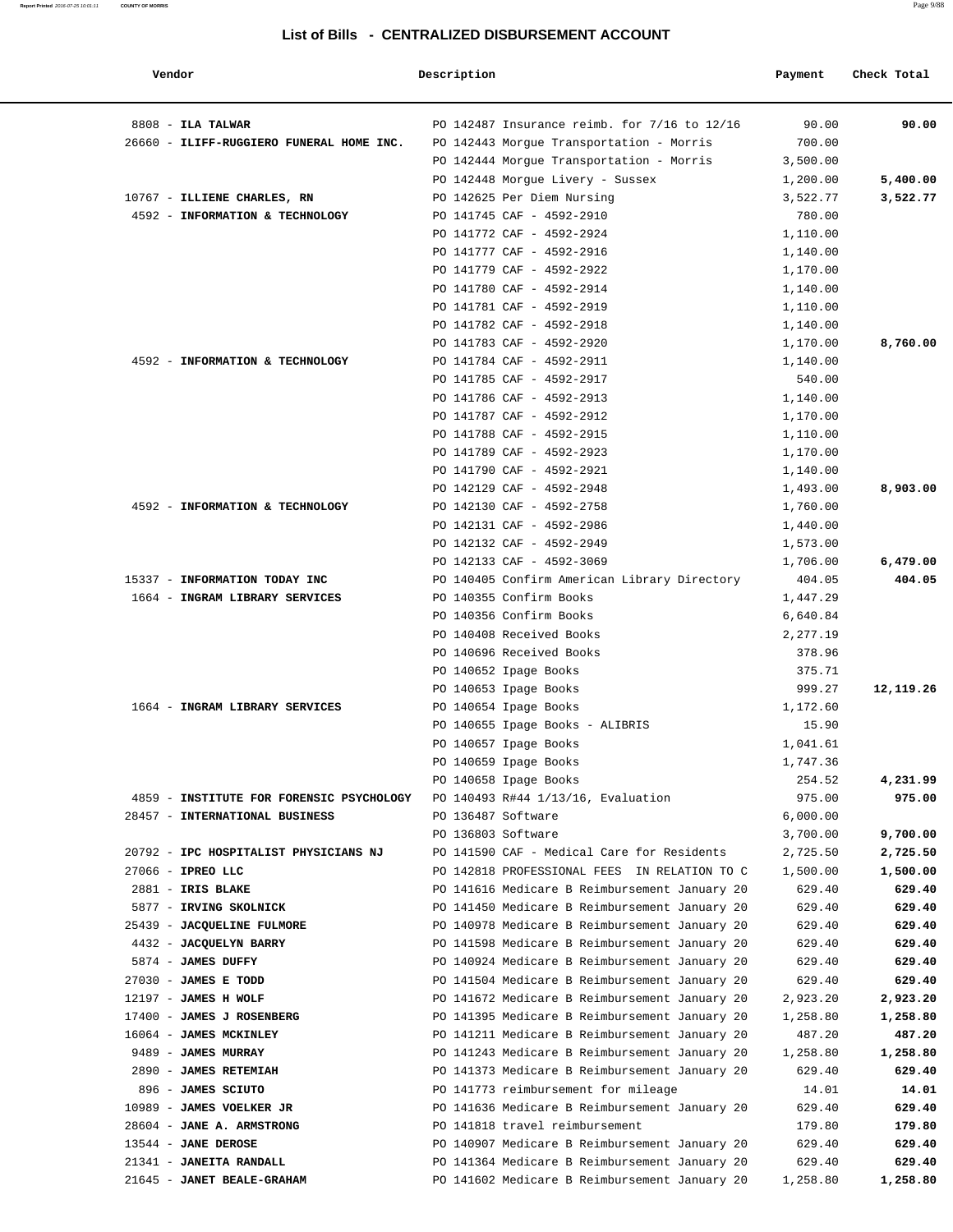| Vendor                                   | Description        |                                               | Payment  | Check Total |
|------------------------------------------|--------------------|-----------------------------------------------|----------|-------------|
| $8808$ - ILA TALWAR                      |                    | PO 142487 Insurance reimb. for 7/16 to 12/16  | 90.00    | 90.00       |
| 26660 - ILIFF-RUGGIERO FUNERAL HOME INC. |                    | PO 142443 Morgue Transportation - Morris      | 700.00   |             |
|                                          |                    | PO 142444 Morgue Transportation - Morris      | 3,500.00 |             |
|                                          |                    | PO 142448 Morgue Livery - Sussex              | 1,200.00 | 5,400.00    |
| 10767 - ILLIENE CHARLES, RN              |                    | PO 142625 Per Diem Nursing                    | 3,522.77 | 3,522.77    |
| 4592 - INFORMATION & TECHNOLOGY          |                    | PO 141745 CAF - 4592-2910                     | 780.00   |             |
|                                          |                    | PO 141772 CAF - 4592-2924                     | 1,110.00 |             |
|                                          |                    | PO 141777 CAF - 4592-2916                     | 1,140.00 |             |
|                                          |                    | PO 141779 CAF - 4592-2922                     | 1,170.00 |             |
|                                          |                    | PO 141780 CAF - 4592-2914                     | 1,140.00 |             |
|                                          |                    | PO 141781 CAF - 4592-2919                     | 1,110.00 |             |
|                                          |                    | PO 141782 CAF - 4592-2918                     | 1,140.00 |             |
|                                          |                    | PO 141783 CAF - 4592-2920                     | 1,170.00 | 8,760.00    |
| 4592 - INFORMATION & TECHNOLOGY          |                    | PO 141784 CAF - 4592-2911                     | 1,140.00 |             |
|                                          |                    | PO 141785 CAF - 4592-2917                     | 540.00   |             |
|                                          |                    | PO 141786 CAF - 4592-2913                     | 1,140.00 |             |
|                                          |                    | PO 141787 CAF - 4592-2912                     | 1,170.00 |             |
|                                          |                    | PO 141788 CAF - 4592-2915                     | 1,110.00 |             |
|                                          |                    | PO 141789 CAF - 4592-2923                     | 1,170.00 |             |
|                                          |                    | PO 141790 CAF - 4592-2921                     | 1,140.00 |             |
|                                          |                    | PO 142129 CAF - 4592-2948                     | 1,493.00 | 8,903.00    |
| 4592 - INFORMATION & TECHNOLOGY          |                    | PO 142130 CAF - 4592-2758                     | 1,760.00 |             |
|                                          |                    | PO 142131 CAF - 4592-2986                     | 1,440.00 |             |
|                                          |                    | PO 142132 CAF - 4592-2949                     | 1,573.00 |             |
|                                          |                    | PO 142133 CAF - 4592-3069                     | 1,706.00 | 6,479.00    |
| 15337 - INFORMATION TODAY INC            |                    | PO 140405 Confirm American Library Directory  | 404.05   | 404.05      |
| 1664 - INGRAM LIBRARY SERVICES           |                    | PO 140355 Confirm Books                       | 1,447.29 |             |
|                                          |                    | PO 140356 Confirm Books                       | 6,640.84 |             |
|                                          |                    | PO 140408 Received Books                      | 2,277.19 |             |
|                                          |                    | PO 140696 Received Books                      | 378.96   |             |
|                                          |                    | PO 140652 Ipage Books                         | 375.71   |             |
|                                          |                    | PO 140653 Ipage Books                         | 999.27   | 12,119.26   |
| 1664 - INGRAM LIBRARY SERVICES           |                    | PO 140654 Ipage Books                         | 1,172.60 |             |
|                                          |                    | PO 140655 Ipage Books - ALIBRIS               | 15.90    |             |
|                                          |                    | PO 140657 Ipage Books                         | 1,041.61 |             |
|                                          |                    | PO 140659 Ipage Books                         | 1,747.36 |             |
|                                          |                    | PO 140658 Ipage Books                         | 254.52   | 4,231.99    |
| 4859 - INSTITUTE FOR FORENSIC PSYCHOLOGY |                    | PO 140493 R#44 1/13/16, Evaluation            | 975.00   | 975.00      |
| 28457 - INTERNATIONAL BUSINESS           | PO 136487 Software |                                               | 6,000.00 |             |
|                                          | PO 136803 Software |                                               | 3,700.00 | 9,700.00    |
| 20792 - IPC HOSPITALIST PHYSICIANS NJ    |                    | PO 141590 CAF - Medical Care for Residents    | 2,725.50 | 2,725.50    |
| 27066 - IPREO LLC                        |                    | PO 142818 PROFESSIONAL FEES IN RELATION TO C  | 1,500.00 | 1,500.00    |
| 2881 - IRIS BLAKE                        |                    | PO 141616 Medicare B Reimbursement January 20 | 629.40   | 629.40      |
| 5877 - IRVING SKOLNICK                   |                    | PO 141450 Medicare B Reimbursement January 20 | 629.40   | 629.40      |
| 25439 - JACQUELINE FULMORE               |                    | PO 140978 Medicare B Reimbursement January 20 | 629.40   | 629.40      |
| 4432 - JACQUELYN BARRY                   |                    | PO 141598 Medicare B Reimbursement January 20 | 629.40   | 629.40      |
| 5874 - JAMES DUFFY                       |                    | PO 140924 Medicare B Reimbursement January 20 | 629.40   | 629.40      |
| $27030$ - JAMES E TODD                   |                    | PO 141504 Medicare B Reimbursement January 20 | 629.40   | 629.40      |
| $12197$ - JAMES H WOLF                   |                    | PO 141672 Medicare B Reimbursement January 20 | 2,923.20 | 2,923.20    |
| 17400 - JAMES J ROSENBERG                |                    | PO 141395 Medicare B Reimbursement January 20 | 1,258.80 | 1,258.80    |
| 16064 - JAMES MCKINLEY                   |                    | PO 141211 Medicare B Reimbursement January 20 | 487.20   | 487.20      |
| 9489 - JAMES MURRAY                      |                    | PO 141243 Medicare B Reimbursement January 20 | 1,258.80 | 1,258.80    |
| 2890 - JAMES RETEMIAH                    |                    | PO 141373 Medicare B Reimbursement January 20 | 629.40   | 629.40      |
| 896 - JAMES SCIUTO                       |                    | PO 141773 reimbursement for mileage           | 14.01    | 14.01       |
| 10989 - JAMES VOELKER JR                 |                    | PO 141636 Medicare B Reimbursement January 20 | 629.40   | 629.40      |
| 28604 - JANE A. ARMSTRONG                |                    | PO 141818 travel reimbursement                | 179.80   | 179.80      |
| $13544$ - JANE DEROSE                    |                    | PO 140907 Medicare B Reimbursement January 20 | 629.40   | 629.40      |
| 21341 - JANEITA RANDALL                  |                    | PO 141364 Medicare B Reimbursement January 20 | 629.40   | 629.40      |
| 21645 - JANET BEALE-GRAHAM               |                    | PO 141602 Medicare B Reimbursement January 20 | 1,258.80 | 1,258.80    |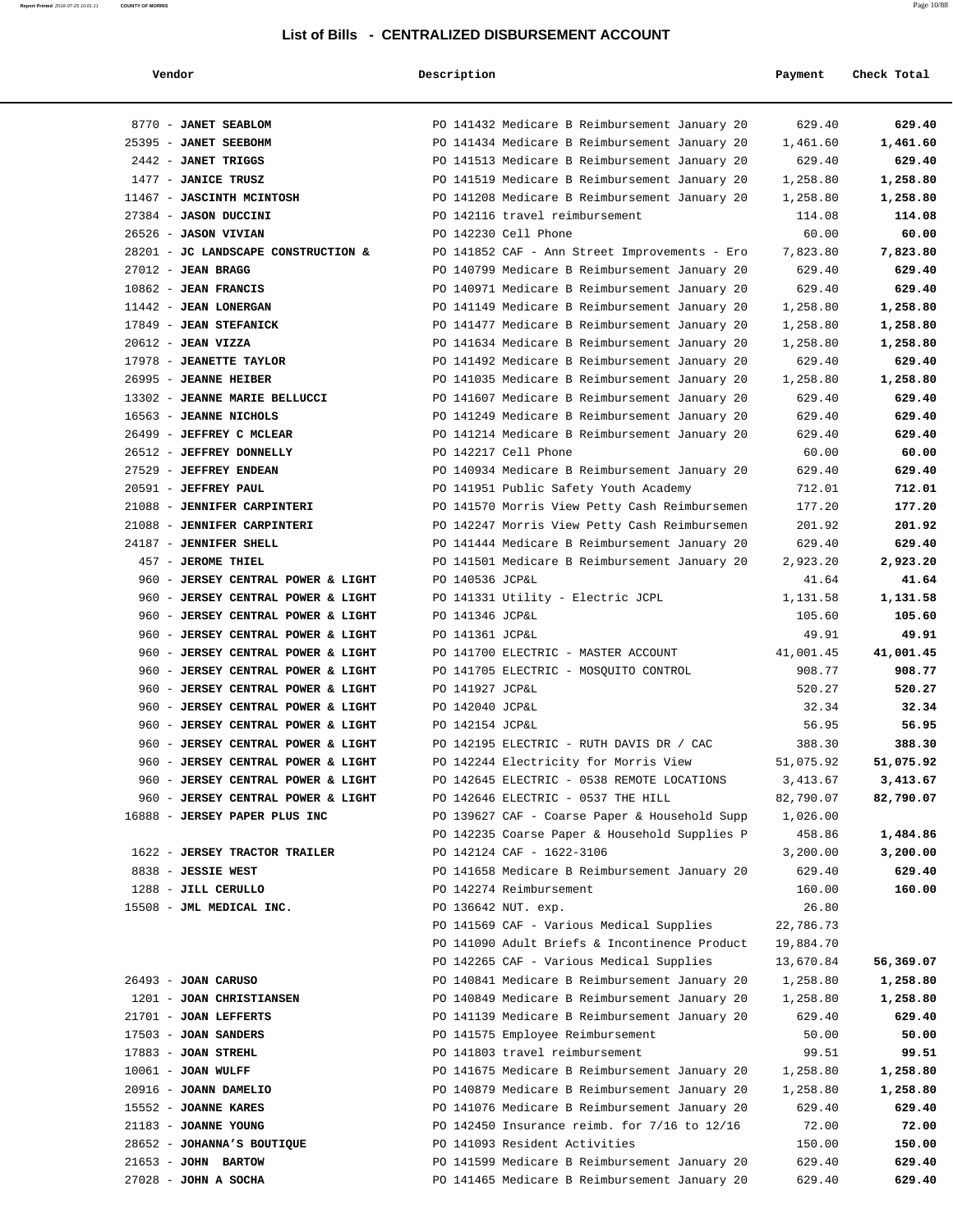| Vendor                                       | Description                                                      | Payment            | Check Total        |
|----------------------------------------------|------------------------------------------------------------------|--------------------|--------------------|
| 8770 - JANET SEABLOM                         | PO 141432 Medicare B Reimbursement January 20                    | 629.40             | 629.40             |
| 25395 - JANET SEEBOHM                        | PO 141434 Medicare B Reimbursement January 20                    | 1,461.60           | 1,461.60           |
| 2442 - JANET TRIGGS                          | PO 141513 Medicare B Reimbursement January 20                    | 629.40             | 629.40             |
| 1477 - JANICE TRUSZ                          | PO 141519 Medicare B Reimbursement January 20                    | 1,258.80           | 1,258.80           |
| 11467 - JASCINTH MCINTOSH                    | PO 141208 Medicare B Reimbursement January 20                    | 1,258.80           | 1,258.80           |
| 27384 - JASON DUCCINI                        | PO 142116 travel reimbursement                                   | 114.08             | 114.08             |
| 26526 - JASON VIVIAN                         | PO 142230 Cell Phone                                             | 60.00              | 60.00              |
| 28201 - JC LANDSCAPE CONSTRUCTION &          | PO 141852 CAF - Ann Street Improvements - Ero                    | 7,823.80           | 7,823.80           |
| $27012$ - JEAN BRAGG                         | PO 140799 Medicare B Reimbursement January 20                    | 629.40             | 629.40             |
| $10862$ - JEAN FRANCIS                       | PO 140971 Medicare B Reimbursement January 20                    | 629.40             | 629.40             |
| 11442 - JEAN LONERGAN                        | PO 141149 Medicare B Reimbursement January 20                    | 1,258.80           | 1,258.80           |
| 17849 - JEAN STEFANICK                       | PO 141477 Medicare B Reimbursement January 20                    | 1,258.80           | 1,258.80           |
| $20612$ - JEAN VIZZA                         | PO 141634 Medicare B Reimbursement January 20                    | 1,258.80           | 1,258.80           |
| 17978 - JEANETTE TAYLOR                      | PO 141492 Medicare B Reimbursement January 20                    | 629.40             | 629.40             |
| 26995 - JEANNE HEIBER                        | PO 141035 Medicare B Reimbursement January 20                    | 1,258.80           | 1,258.80           |
| 13302 - JEANNE MARIE BELLUCCI                | PO 141607 Medicare B Reimbursement January 20                    | 629.40             | 629.40             |
| 16563 - JEANNE NICHOLS                       | PO 141249 Medicare B Reimbursement January 20                    | 629.40             | 629.40             |
| 26499 - JEFFREY C MCLEAR                     | PO 141214 Medicare B Reimbursement January 20                    | 629.40             | 629.40             |
| 26512 - JEFFREY DONNELLY                     | PO 142217 Cell Phone                                             | 60.00              | 60.00              |
| 27529 - JEFFREY ENDEAN                       | PO 140934 Medicare B Reimbursement January 20                    | 629.40             | 629.40             |
| 20591 - JEFFREY PAUL                         | PO 141951 Public Safety Youth Academy                            | 712.01             | 712.01             |
| 21088 - JENNIFER CARPINTERI                  | PO 141570 Morris View Petty Cash Reimbursemen                    | 177.20             | 177.20             |
| 21088 - JENNIFER CARPINTERI                  | PO 142247 Morris View Petty Cash Reimbursemen                    | 201.92             | 201.92             |
| 24187 - JENNIFER SHELL<br>457 - JEROME THIEL | PO 141444 Medicare B Reimbursement January 20                    | 629.40<br>2,923.20 | 629.40<br>2,923.20 |
| 960 - JERSEY CENTRAL POWER & LIGHT           | PO 141501 Medicare B Reimbursement January 20<br>PO 140536 JCP&L | 41.64              | 41.64              |
| 960 - JERSEY CENTRAL POWER & LIGHT           | PO 141331 Utility - Electric JCPL                                | 1,131.58           | 1,131.58           |
| 960 - JERSEY CENTRAL POWER & LIGHT           | PO 141346 JCP&L                                                  | 105.60             | 105.60             |
| 960 - JERSEY CENTRAL POWER & LIGHT           | PO 141361 JCP&L                                                  | 49.91              | 49.91              |
| 960 - JERSEY CENTRAL POWER & LIGHT           | PO 141700 ELECTRIC - MASTER ACCOUNT                              | 41,001.45          | 41,001.45          |
| 960 - JERSEY CENTRAL POWER & LIGHT           | PO 141705 ELECTRIC - MOSQUITO CONTROL                            | 908.77             | 908.77             |
| 960 - JERSEY CENTRAL POWER & LIGHT           | PO 141927 JCP&L                                                  | 520.27             | 520.27             |
| 960 - JERSEY CENTRAL POWER & LIGHT           | PO 142040 JCP&L                                                  | 32.34              | 32.34              |
| 960 - JERSEY CENTRAL POWER & LIGHT           | PO 142154 JCP&L                                                  | 56.95              | 56.95              |
| 960 - JERSEY CENTRAL POWER & LIGHT           | PO 142195 ELECTRIC - RUTH DAVIS DR / CAC                         | 388.30             | 388.30             |
| 960 - JERSEY CENTRAL POWER & LIGHT           | PO 142244 Electricity for Morris View                            | 51,075.92          | 51,075.92          |
| 960 - JERSEY CENTRAL POWER & LIGHT           | PO 142645 ELECTRIC - 0538 REMOTE LOCATIONS                       | 3,413.67           | 3,413.67           |
| 960 - JERSEY CENTRAL POWER & LIGHT           | PO 142646 ELECTRIC - 0537 THE HILL                               | 82,790.07          | 82,790.07          |
| 16888 - JERSEY PAPER PLUS INC                | PO 139627 CAF - Coarse Paper & Household Supp                    | 1,026.00           |                    |
|                                              | PO 142235 Coarse Paper & Household Supplies P                    | 458.86             | 1,484.86           |
| 1622 - JERSEY TRACTOR TRAILER                | PO 142124 CAF - 1622-3106                                        | 3,200.00           | 3,200.00           |
| 8838 - JESSIE WEST                           | PO 141658 Medicare B Reimbursement January 20                    | 629.40             | 629.40             |
| 1288 - JILL CERULLO                          | PO 142274 Reimbursement                                          | 160.00             | 160.00             |
| 15508 - JML MEDICAL INC.                     | PO 136642 NUT. exp.                                              | 26.80              |                    |
|                                              | PO 141569 CAF - Various Medical Supplies                         | 22,786.73          |                    |
|                                              | PO 141090 Adult Briefs & Incontinence Product                    | 19,884.70          |                    |
|                                              | PO 142265 CAF - Various Medical Supplies                         | 13,670.84          | 56,369.07          |
| $26493 - JOAN$ CARUSO                        | PO 140841 Medicare B Reimbursement January 20                    | 1,258.80           | 1,258.80           |
| 1201 - JOAN CHRISTIANSEN                     | PO 140849 Medicare B Reimbursement January 20                    | 1,258.80           | 1,258.80           |
| 21701 - JOAN LEFFERTS                        | PO 141139 Medicare B Reimbursement January 20                    | 629.40             | 629.40             |
| 17503 - JOAN SANDERS                         | PO 141575 Employee Reimbursement                                 | 50.00              | 50.00              |
| $17883$ - JOAN STREHL                        | PO 141803 travel reimbursement                                   | 99.51              | 99.51              |
| $10061$ - JOAN WULFF                         | PO 141675 Medicare B Reimbursement January 20                    | 1,258.80           | 1,258.80           |
| 20916 - JOANN DAMELIO                        | PO 140879 Medicare B Reimbursement January 20                    | 1,258.80           | 1,258.80           |
| 15552 - JOANNE KARES                         | PO 141076 Medicare B Reimbursement January 20                    | 629.40             | 629.40             |
| 21183 - JOANNE YOUNG                         | PO 142450 Insurance reimb. for 7/16 to 12/16                     | 72.00              | 72.00              |
| 28652 - JOHANNA'S BOUTIQUE                   | PO 141093 Resident Activities                                    | 150.00             | 150.00             |
| $21653$ - JOHN BARTOW                        | PO 141599 Medicare B Reimbursement January 20                    | 629.40             | 629.40             |
| $27028$ - JOHN A SOCHA                       | PO 141465 Medicare B Reimbursement January 20                    | 629.40             | 629.40             |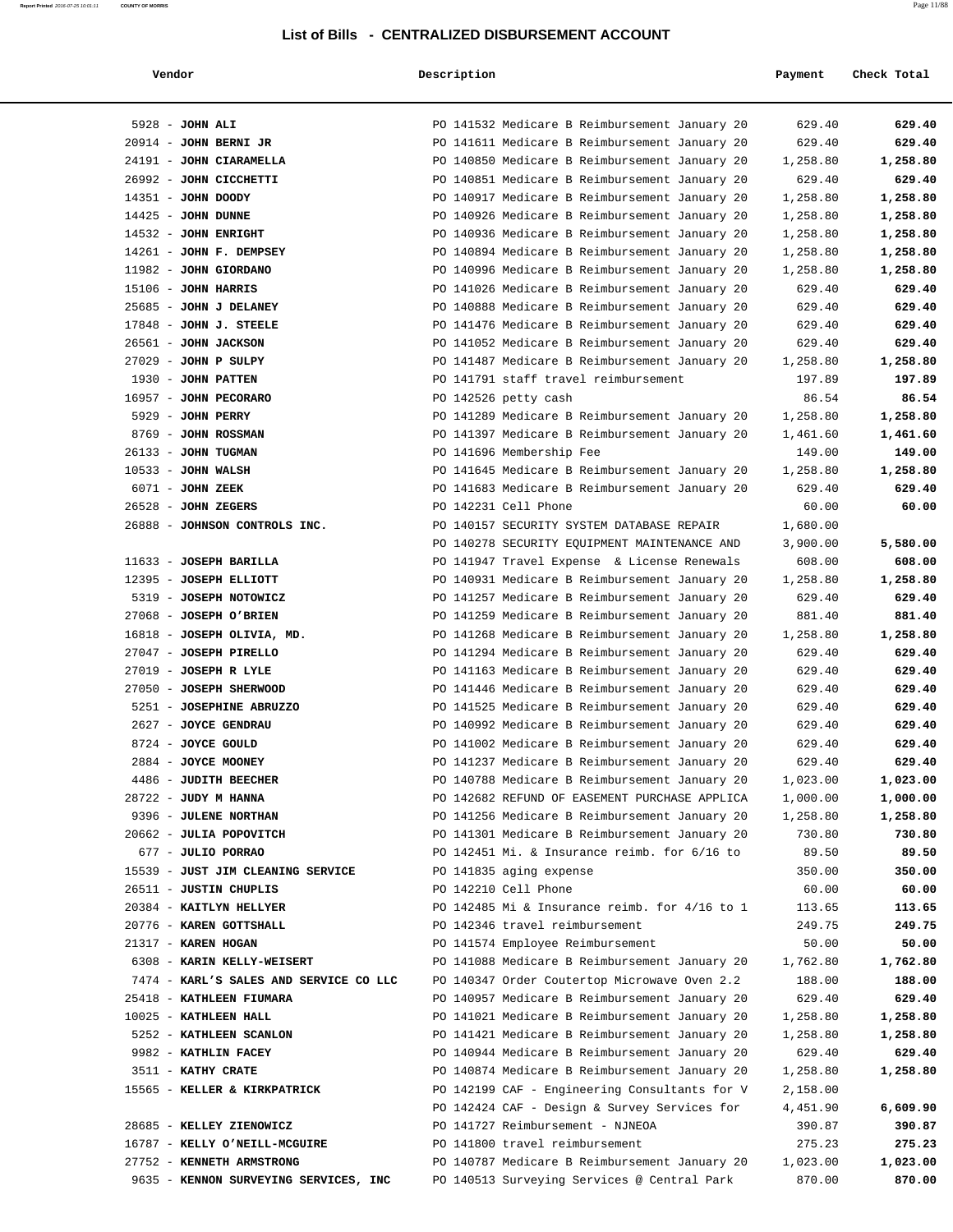#### **Report Printed** 2016-07-25 10:01:11 **COUNTY OF MORRIS** Page 11/88

#### **List of Bills - CENTRALIZED DISBURSEMENT ACCOUNT**

| haak Tatal |
|------------|

| Vendor                                 | Description                                   | Payment  | Check Total |
|----------------------------------------|-----------------------------------------------|----------|-------------|
| $5928 - JOHN ALI$                      | PO 141532 Medicare B Reimbursement January 20 | 629.40   | 629.40      |
| $20914$ - JOHN BERNI JR                | PO 141611 Medicare B Reimbursement January 20 | 629.40   | 629.40      |
| 24191 - JOHN CIARAMELLA                | PO 140850 Medicare B Reimbursement January 20 | 1,258.80 | 1,258.80    |
| 26992 - JOHN CICCHETTI                 | PO 140851 Medicare B Reimbursement January 20 | 629.40   | 629.40      |
| 14351 - JOHN DOODY                     | PO 140917 Medicare B Reimbursement January 20 | 1,258.80 | 1,258.80    |
| $14425$ - JOHN DUNNE                   | PO 140926 Medicare B Reimbursement January 20 | 1,258.80 | 1,258.80    |
| 14532 - JOHN ENRIGHT                   | PO 140936 Medicare B Reimbursement January 20 | 1,258.80 | 1,258.80    |
| 14261 - JOHN F. DEMPSEY                | PO 140894 Medicare B Reimbursement January 20 | 1,258.80 | 1,258.80    |
| 11982 - JOHN GIORDANO                  | PO 140996 Medicare B Reimbursement January 20 | 1,258.80 | 1,258.80    |
| $15106$ - JOHN HARRIS                  | PO 141026 Medicare B Reimbursement January 20 | 629.40   | 629.40      |
| 25685 - JOHN J DELANEY                 | PO 140888 Medicare B Reimbursement January 20 | 629.40   | 629.40      |
| $17848$ - JOHN J. STEELE               | PO 141476 Medicare B Reimbursement January 20 | 629.40   | 629.40      |
| 26561 - JOHN JACKSON                   | PO 141052 Medicare B Reimbursement January 20 | 629.40   | 629.40      |
| $27029$ - JOHN P SULPY                 | PO 141487 Medicare B Reimbursement January 20 | 1,258.80 | 1,258.80    |
| 1930 - JOHN PATTEN                     | PO 141791 staff travel reimbursement          | 197.89   | 197.89      |
| 16957 - JOHN PECORARO                  | PO 142526 petty cash                          | 86.54    | 86.54       |
| 5929 - JOHN PERRY                      | PO 141289 Medicare B Reimbursement January 20 | 1,258.80 | 1,258.80    |
| 8769 - JOHN ROSSMAN                    | PO 141397 Medicare B Reimbursement January 20 | 1,461.60 | 1,461.60    |
| 26133 - JOHN TUGMAN                    | PO 141696 Membership Fee                      | 149.00   | 149.00      |
| $10533 - JOHN WALSH$                   | PO 141645 Medicare B Reimbursement January 20 | 1,258.80 | 1,258.80    |
| 6071 - JOHN ZEEK                       | PO 141683 Medicare B Reimbursement January 20 | 629.40   | 629.40      |
| $26528$ - JOHN ZEGERS                  | PO 142231 Cell Phone                          | 60.00    | 60.00       |
| 26888 - JOHNSON CONTROLS INC.          | PO 140157 SECURITY SYSTEM DATABASE REPAIR     | 1,680.00 |             |
|                                        | PO 140278 SECURITY EQUIPMENT MAINTENANCE AND  | 3,900.00 | 5,580.00    |
| 11633 - JOSEPH BARILLA                 | PO 141947 Travel Expense & License Renewals   | 608.00   | 608.00      |
| 12395 - JOSEPH ELLIOTT                 | PO 140931 Medicare B Reimbursement January 20 | 1,258.80 | 1,258.80    |
| 5319 - JOSEPH NOTOWICZ                 | PO 141257 Medicare B Reimbursement January 20 | 629.40   | 629.40      |
| 27068 - JOSEPH O'BRIEN                 | PO 141259 Medicare B Reimbursement January 20 | 881.40   | 881.40      |
| 16818 - JOSEPH OLIVIA, MD.             | PO 141268 Medicare B Reimbursement January 20 | 1,258.80 | 1,258.80    |
| 27047 - JOSEPH PIRELLO                 | PO 141294 Medicare B Reimbursement January 20 | 629.40   | 629.40      |
| 27019 - JOSEPH R LYLE                  | PO 141163 Medicare B Reimbursement January 20 | 629.40   | 629.40      |
| 27050 - JOSEPH SHERWOOD                | PO 141446 Medicare B Reimbursement January 20 | 629.40   | 629.40      |
| 5251 - JOSEPHINE ABRUZZO               | PO 141525 Medicare B Reimbursement January 20 | 629.40   | 629.40      |
| 2627 - JOYCE GENDRAU                   | PO 140992 Medicare B Reimbursement January 20 | 629.40   | 629.40      |
| 8724 - JOYCE GOULD                     | PO 141002 Medicare B Reimbursement January 20 | 629.40   | 629.40      |
| 2884 - JOYCE MOONEY                    | PO 141237 Medicare B Reimbursement January 20 | 629.40   | 629.40      |
| 4486 - JUDITH BEECHER                  | PO 140788 Medicare B Reimbursement January 20 | 1,023.00 | 1,023.00    |
| 28722 - JUDY M HANNA                   | PO 142682 REFUND OF EASEMENT PURCHASE APPLICA | 1,000.00 | 1,000.00    |
| 9396 - JULENE NORTHAN                  | PO 141256 Medicare B Reimbursement January 20 | 1,258.80 | 1,258.80    |
| 20662 - JULIA POPOVITCH                | PO 141301 Medicare B Reimbursement January 20 | 730.80   | 730.80      |
| 677 - JULIO PORRAO                     | PO 142451 Mi. & Insurance reimb. for 6/16 to  | 89.50    | 89.50       |
| 15539 - JUST JIM CLEANING SERVICE      | PO 141835 aging expense                       | 350.00   | 350.00      |
| 26511 - JUSTIN CHUPLIS                 | PO 142210 Cell Phone                          | 60.00    | 60.00       |
| 20384 - KAITLYN HELLYER                | PO 142485 Mi & Insurance reimb. for 4/16 to 1 | 113.65   | 113.65      |
| 20776 - KAREN GOTTSHALL                | PO 142346 travel reimbursement                | 249.75   | 249.75      |
| 21317 - KAREN HOGAN                    | PO 141574 Employee Reimbursement              | 50.00    | 50.00       |
| 6308 - KARIN KELLY-WEISERT             | PO 141088 Medicare B Reimbursement January 20 | 1,762.80 | 1,762.80    |
| 7474 - KARL'S SALES AND SERVICE CO LLC | PO 140347 Order Coutertop Microwave Oven 2.2  | 188.00   | 188.00      |
| 25418 - KATHLEEN FIUMARA               | PO 140957 Medicare B Reimbursement January 20 | 629.40   | 629.40      |
| 10025 - KATHLEEN HALL                  | PO 141021 Medicare B Reimbursement January 20 | 1,258.80 | 1,258.80    |
| 5252 - KATHLEEN SCANLON                | PO 141421 Medicare B Reimbursement January 20 | 1,258.80 | 1,258.80    |
| 9982 - KATHLIN FACEY                   | PO 140944 Medicare B Reimbursement January 20 | 629.40   | 629.40      |
| 3511 - KATHY CRATE                     | PO 140874 Medicare B Reimbursement January 20 | 1,258.80 | 1,258.80    |
| 15565 - KELLER & KIRKPATRICK           | PO 142199 CAF - Engineering Consultants for V | 2,158.00 |             |
|                                        | PO 142424 CAF - Design & Survey Services for  | 4,451.90 | 6,609.90    |
| 28685 - KELLEY ZIENOWICZ               | PO 141727 Reimbursement - NJNEOA              | 390.87   | 390.87      |
| 16787 - KELLY O'NEILL-MCGUIRE          | PO 141800 travel reimbursement                | 275.23   | 275.23      |
| 27752 - KENNETH ARMSTRONG              | PO 140787 Medicare B Reimbursement January 20 | 1,023.00 | 1,023.00    |
|                                        |                                               |          |             |

9635 - **KENNON SURVEYING SERVICES, INC** PO 140513 Surveying Services @ Central Park 870.00 870.00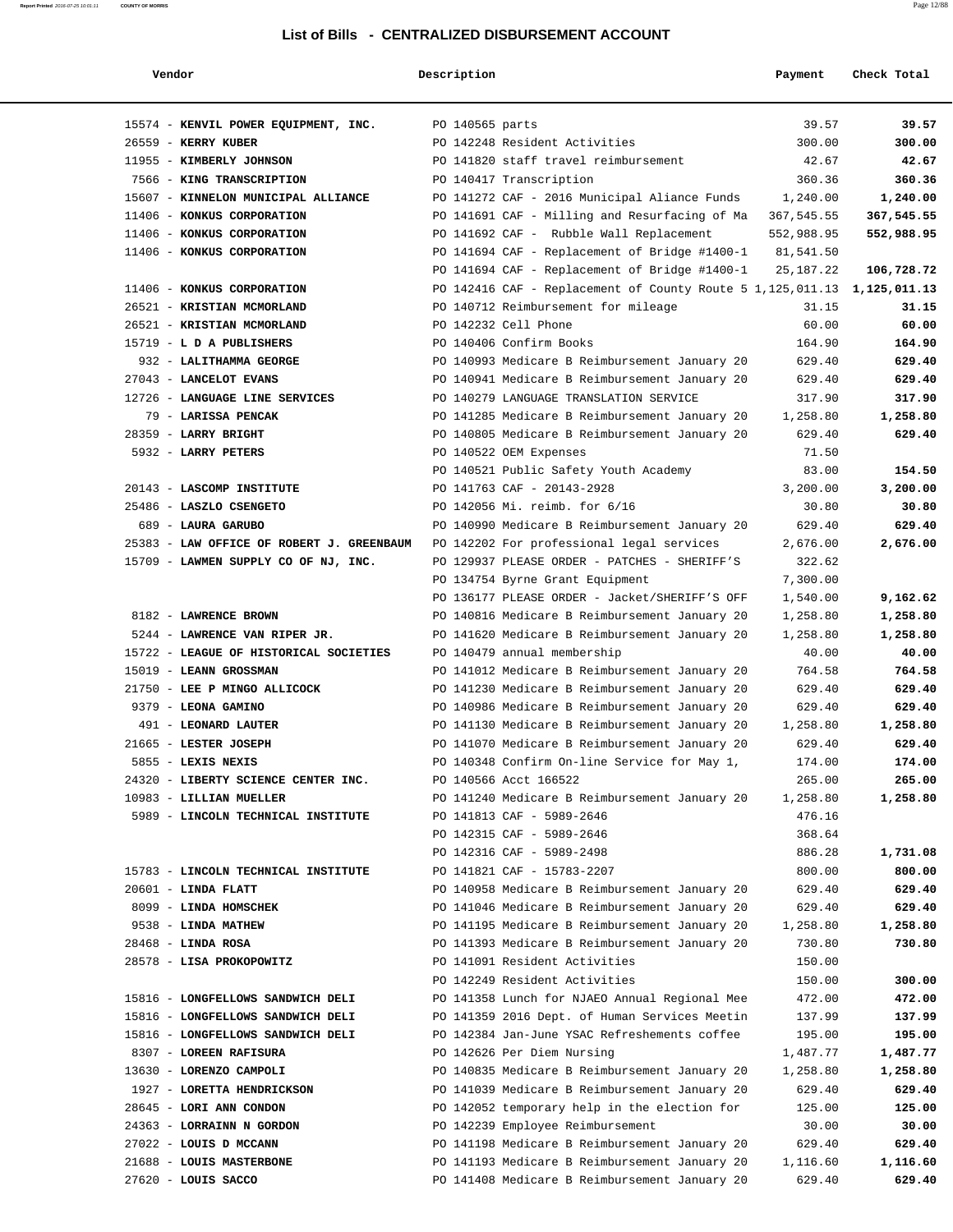| Vendor                                       | Description     |                                                                                                | Payment            | Check Total        |
|----------------------------------------------|-----------------|------------------------------------------------------------------------------------------------|--------------------|--------------------|
| 15574 - KENVIL POWER EQUIPMENT, INC.         | PO 140565 parts |                                                                                                | 39.57              | 39.57              |
| 26559 - KERRY KUBER                          |                 | PO 142248 Resident Activities                                                                  | 300.00             | 300.00             |
| 11955 - KIMBERLY JOHNSON                     |                 | PO 141820 staff travel reimbursement                                                           | 42.67              | 42.67              |
| 7566 - KING TRANSCRIPTION                    |                 | PO 140417 Transcription                                                                        | 360.36             | 360.36             |
| 15607 - KINNELON MUNICIPAL ALLIANCE          |                 | PO 141272 CAF - 2016 Municipal Aliance Funds                                                   | 1,240.00           | 1,240.00           |
| 11406 - KONKUS CORPORATION                   |                 | PO 141691 CAF - Milling and Resurfacing of Ma                                                  | 367,545.55         | 367,545.55         |
| 11406 - KONKUS CORPORATION                   |                 | PO 141692 CAF - Rubble Wall Replacement                                                        | 552,988.95         | 552,988.95         |
| 11406 - KONKUS CORPORATION                   |                 | PO 141694 CAF - Replacement of Bridge #1400-1                                                  | 81,541.50          |                    |
|                                              |                 | PO 141694 CAF - Replacement of Bridge #1400-1                                                  | 25, 187. 22        | 106,728.72         |
| 11406 - KONKUS CORPORATION                   |                 | PO 142416 CAF - Replacement of County Route 5 1, 125, 011.13                                   |                    | 1,125,011.13       |
| 26521 - KRISTIAN MCMORLAND                   |                 | PO 140712 Reimbursement for mileage                                                            | 31.15              | 31.15              |
| 26521 - KRISTIAN MCMORLAND                   |                 | PO 142232 Cell Phone                                                                           | 60.00              | 60.00              |
| 15719 - L D A PUBLISHERS                     |                 | PO 140406 Confirm Books                                                                        | 164.90             | 164.90             |
| 932 - LALITHAMMA GEORGE                      |                 | PO 140993 Medicare B Reimbursement January 20                                                  | 629.40             | 629.40             |
| 27043 - LANCELOT EVANS                       |                 | PO 140941 Medicare B Reimbursement January 20                                                  | 629.40             | 629.40             |
| 12726 - LANGUAGE LINE SERVICES               |                 | PO 140279 LANGUAGE TRANSLATION SERVICE                                                         | 317.90             | 317.90             |
| 79 - LARISSA PENCAK                          |                 | PO 141285 Medicare B Reimbursement January 20                                                  | 1,258.80           | 1,258.80           |
| 28359 - LARRY BRIGHT                         |                 | PO 140805 Medicare B Reimbursement January 20                                                  | 629.40             | 629.40             |
| 5932 - LARRY PETERS                          |                 | PO 140522 OEM Expenses                                                                         | 71.50              |                    |
|                                              |                 | PO 140521 Public Safety Youth Academy                                                          | 83.00              | 154.50             |
| 20143 - LASCOMP INSTITUTE                    |                 | PO 141763 CAF - 20143-2928                                                                     | 3,200.00           | 3,200.00           |
| 25486 - LASZLO CSENGETO                      |                 | PO 142056 Mi. reimb. for 6/16                                                                  | 30.80              | 30.80              |
| 689 - LAURA GARUBO                           |                 | PO 140990 Medicare B Reimbursement January 20                                                  | 629.40             | 629.40             |
| 25383 - LAW OFFICE OF ROBERT J. GREENBAUM    |                 | PO 142202 For professional legal services                                                      | 2,676.00           | 2,676.00           |
| 15709 - LAWMEN SUPPLY CO OF NJ, INC.         |                 | PO 129937 PLEASE ORDER - PATCHES - SHERIFF'S                                                   | 322.62             |                    |
|                                              |                 | PO 134754 Byrne Grant Equipment                                                                | 7,300.00           |                    |
|                                              |                 | PO 136177 PLEASE ORDER - Jacket/SHERIFF'S OFF                                                  | 1,540.00           | 9,162.62           |
| 8182 - LAWRENCE BROWN                        |                 | PO 140816 Medicare B Reimbursement January 20                                                  | 1,258.80           | 1,258.80           |
| 5244 - LAWRENCE VAN RIPER JR.                |                 | PO 141620 Medicare B Reimbursement January 20                                                  | 1,258.80           | 1,258.80           |
| 15722 - LEAGUE OF HISTORICAL SOCIETIES       |                 | PO 140479 annual membership                                                                    | 40.00              | 40.00              |
| 15019 - LEANN GROSSMAN                       |                 | PO 141012 Medicare B Reimbursement January 20                                                  | 764.58             | 764.58             |
| 21750 - LEE P MINGO ALLICOCK                 |                 | PO 141230 Medicare B Reimbursement January 20                                                  | 629.40             | 629.40             |
| 9379 - LEONA GAMINO                          |                 | PO 140986 Medicare B Reimbursement January 20                                                  | 629.40             | 629.40             |
| 491 - LEONARD LAUTER                         |                 | PO 141130 Medicare B Reimbursement January 20                                                  | 1,258.80           | 1,258.80           |
| 21665 - LESTER JOSEPH                        |                 | PO 141070 Medicare B Reimbursement January 20                                                  | 629.40             | 629.40             |
| 5855 - LEXIS NEXIS                           |                 | PO 140348 Confirm On-line Service for May 1,                                                   | 174.00             | 174.00             |
| 24320 - LIBERTY SCIENCE CENTER INC.          |                 | PO 140566 Acct 166522                                                                          | 265.00             | 265.00             |
| 10983 - LILLIAN MUELLER                      |                 | PO 141240 Medicare B Reimbursement January 20                                                  | 1,258.80           | 1,258.80           |
| 5989 - LINCOLN TECHNICAL INSTITUTE           |                 | PO 141813 CAF - 5989-2646                                                                      | 476.16             |                    |
|                                              |                 | PO 142315 CAF - 5989-2646                                                                      | 368.64             |                    |
|                                              |                 | PO 142316 CAF - 5989-2498                                                                      | 886.28             | 1,731.08           |
| 15783 - LINCOLN TECHNICAL INSTITUTE          |                 | PO 141821 CAF - 15783-2207                                                                     | 800.00             | 800.00             |
| $20601$ - LINDA FLATT                        |                 | PO 140958 Medicare B Reimbursement January 20                                                  | 629.40             | 629.40             |
| 8099 - LINDA HOMSCHEK<br>9538 - LINDA MATHEW |                 | PO 141046 Medicare B Reimbursement January 20<br>PO 141195 Medicare B Reimbursement January 20 | 629.40             | 629.40<br>1,258.80 |
| $28468$ - LINDA ROSA                         |                 | PO 141393 Medicare B Reimbursement January 20                                                  | 1,258.80<br>730.80 | 730.80             |
| 28578 - LISA PROKOPOWITZ                     |                 | PO 141091 Resident Activities                                                                  | 150.00             |                    |
|                                              |                 | PO 142249 Resident Activities                                                                  | 150.00             | 300.00             |
| 15816 - LONGFELLOWS SANDWICH DELI            |                 | PO 141358 Lunch for NJAEO Annual Regional Mee                                                  | 472.00             | 472.00             |
| 15816 - LONGFELLOWS SANDWICH DELI            |                 | PO 141359 2016 Dept. of Human Services Meetin                                                  | 137.99             | 137.99             |
| 15816 - LONGFELLOWS SANDWICH DELI            |                 | PO 142384 Jan-June YSAC Refreshements coffee                                                   | 195.00             | 195.00             |
| 8307 - LOREEN RAFISURA                       |                 | PO 142626 Per Diem Nursing                                                                     | 1,487.77           | 1,487.77           |
| 13630 - LORENZO CAMPOLI                      |                 | PO 140835 Medicare B Reimbursement January 20                                                  | 1,258.80           | 1,258.80           |
| 1927 - LORETTA HENDRICKSON                   |                 | PO 141039 Medicare B Reimbursement January 20                                                  | 629.40             | 629.40             |
| 28645 - LORI ANN CONDON                      |                 | PO 142052 temporary help in the election for                                                   | 125.00             | 125.00             |
| 24363 - LORRAINN N GORDON                    |                 | PO 142239 Employee Reimbursement                                                               | 30.00              | 30.00              |
| 27022 - LOUIS D MCCANN                       |                 | PO 141198 Medicare B Reimbursement January 20                                                  | 629.40             | 629.40             |
| 21688 - LOUIS MASTERBONE                     |                 | PO 141193 Medicare B Reimbursement January 20                                                  | 1,116.60           | 1,116.60           |
| 27620 - LOUIS SACCO                          |                 | PO 141408 Medicare B Reimbursement January 20                                                  | 629.40             | 629.40             |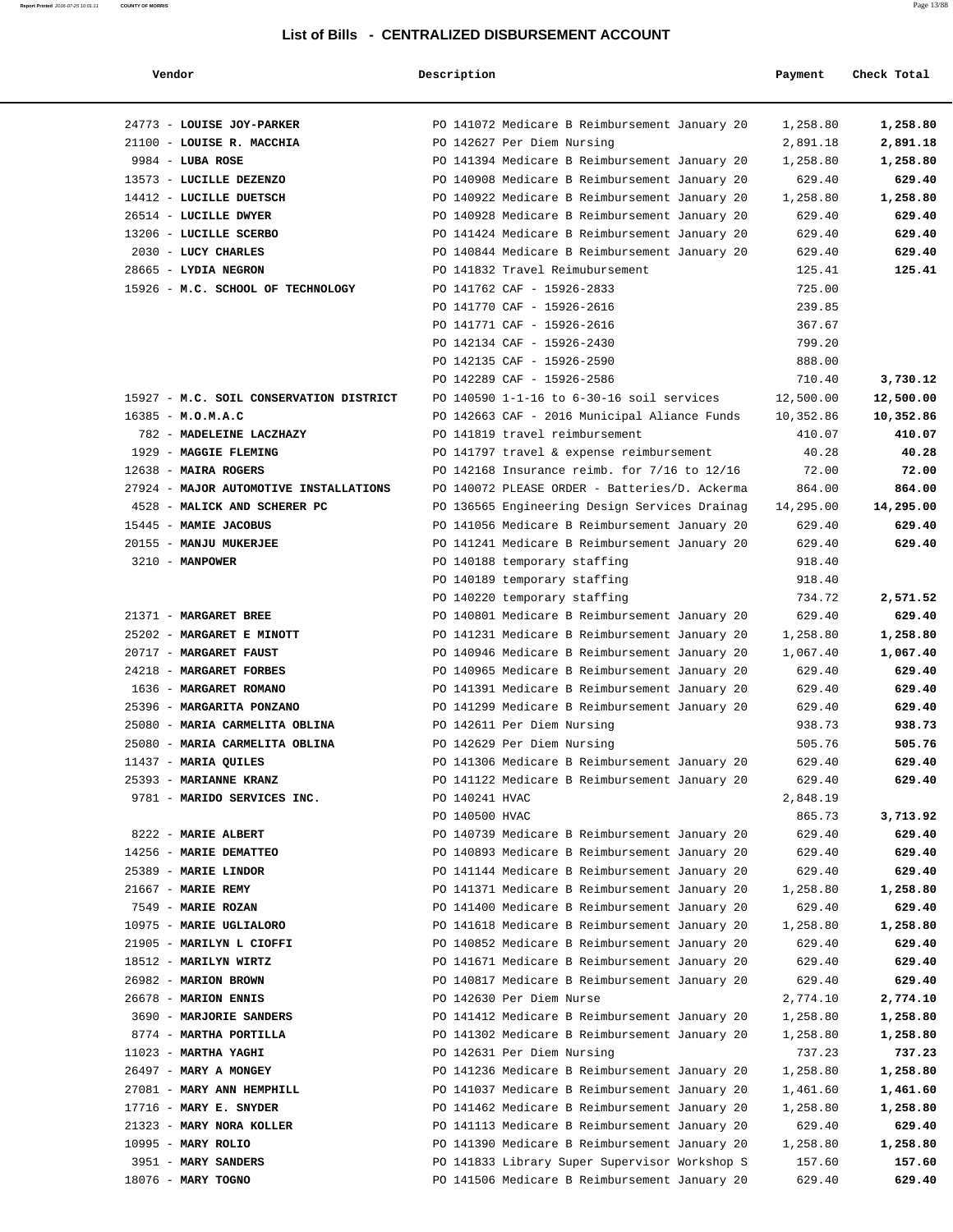| Vendor                                  | Description    |                                                                                                | Payment   | Check Total |
|-----------------------------------------|----------------|------------------------------------------------------------------------------------------------|-----------|-------------|
|                                         |                |                                                                                                |           |             |
| 24773 - LOUISE JOY-PARKER               |                | PO 141072 Medicare B Reimbursement January 20                                                  | 1,258.80  | 1,258.80    |
| 21100 - LOUISE R. MACCHIA               |                | PO 142627 Per Diem Nursing                                                                     | 2,891.18  | 2,891.18    |
| $9984$ - LUBA ROSE                      |                | PO 141394 Medicare B Reimbursement January 20                                                  | 1,258.80  | 1,258.80    |
| 13573 - LUCILLE DEZENZO                 |                | PO 140908 Medicare B Reimbursement January 20                                                  | 629.40    | 629.40      |
| 14412 - LUCILLE DUETSCH                 |                | PO 140922 Medicare B Reimbursement January 20                                                  | 1,258.80  | 1,258.80    |
| 26514 - LUCILLE DWYER                   |                | PO 140928 Medicare B Reimbursement January 20                                                  | 629.40    | 629.40      |
| 13206 - LUCILLE SCERBO                  |                | PO 141424 Medicare B Reimbursement January 20                                                  | 629.40    | 629.40      |
| 2030 - LUCY CHARLES                     |                | PO 140844 Medicare B Reimbursement January 20                                                  | 629.40    | 629.40      |
| 28665 - LYDIA NEGRON                    |                | PO 141832 Travel Reimubursement                                                                | 125.41    | 125.41      |
| 15926 - M.C. SCHOOL OF TECHNOLOGY       |                | PO 141762 CAF - 15926-2833                                                                     | 725.00    |             |
|                                         |                | PO 141770 CAF - 15926-2616                                                                     | 239.85    |             |
|                                         |                | PO 141771 CAF - 15926-2616                                                                     | 367.67    |             |
|                                         |                | PO 142134 CAF - 15926-2430                                                                     | 799.20    |             |
|                                         |                | PO 142135 CAF - 15926-2590                                                                     | 888.00    |             |
|                                         |                | PO 142289 CAF - 15926-2586                                                                     | 710.40    | 3,730.12    |
| 15927 - M.C. SOIL CONSERVATION DISTRICT |                | PO 140590 1-1-16 to 6-30-16 soil services                                                      | 12,500.00 | 12,500.00   |
| $16385 - M. O.M.A.C$                    |                | PO 142663 CAF - 2016 Municipal Aliance Funds                                                   | 10,352.86 | 10,352.86   |
| 782 - MADELEINE LACZHAZY                |                | PO 141819 travel reimbursement                                                                 | 410.07    | 410.07      |
| 1929 - MAGGIE FLEMING                   |                | PO 141797 travel & expense reimbursement                                                       | 40.28     | 40.28       |
| 12638 - MAIRA ROGERS                    |                | PO 142168 Insurance reimb. for 7/16 to 12/16                                                   | 72.00     | 72.00       |
| 27924 - MAJOR AUTOMOTIVE INSTALLATIONS  |                | PO 140072 PLEASE ORDER - Batteries/D. Ackerma                                                  | 864.00    | 864.00      |
| 4528 - MALICK AND SCHERER PC            |                |                                                                                                | 14,295.00 | 14,295.00   |
| 15445 - MAMIE JACOBUS                   |                | PO 136565 Engineering Design Services Drainag<br>PO 141056 Medicare B Reimbursement January 20 | 629.40    | 629.40      |
| 20155 - MANJU MUKERJEE                  |                | PO 141241 Medicare B Reimbursement January 20                                                  | 629.40    | 629.40      |
| 3210 - MANPOWER                         |                |                                                                                                | 918.40    |             |
|                                         |                | PO 140188 temporary staffing                                                                   |           |             |
|                                         |                | PO 140189 temporary staffing                                                                   | 918.40    |             |
|                                         |                | PO 140220 temporary staffing                                                                   | 734.72    | 2,571.52    |
| 21371 - MARGARET BREE                   |                | PO 140801 Medicare B Reimbursement January 20                                                  | 629.40    | 629.40      |
| 25202 - MARGARET E MINOTT               |                | PO 141231 Medicare B Reimbursement January 20                                                  | 1,258.80  | 1,258.80    |
| 20717 - MARGARET FAUST                  |                | PO 140946 Medicare B Reimbursement January 20                                                  | 1,067.40  | 1,067.40    |
| 24218 - MARGARET FORBES                 |                | PO 140965 Medicare B Reimbursement January 20                                                  | 629.40    | 629.40      |
| 1636 - MARGARET ROMANO                  |                | PO 141391 Medicare B Reimbursement January 20                                                  | 629.40    | 629.40      |
| 25396 - MARGARITA PONZANO               |                | PO 141299 Medicare B Reimbursement January 20                                                  | 629.40    | 629.40      |
| 25080 - MARIA CARMELITA OBLINA          |                | PO 142611 Per Diem Nursing                                                                     | 938.73    | 938.73      |
| 25080 - MARIA CARMELITA OBLINA          |                | PO 142629 Per Diem Nursing                                                                     | 505.76    | 505.76      |
| 11437 - MARIA QUILES                    |                | PO 141306 Medicare B Reimbursement January 20                                                  | 629.40    | 629.40      |
| 25393 - MARIANNE KRANZ                  |                | PO 141122 Medicare B Reimbursement January 20                                                  | 629.40    | 629.40      |
| 9781 - MARIDO SERVICES INC.             | PO 140241 HVAC |                                                                                                | 2,848.19  |             |
|                                         | PO 140500 HVAC |                                                                                                | 865.73    | 3,713.92    |
| 8222 - MARIE ALBERT                     |                | PO 140739 Medicare B Reimbursement January 20                                                  | 629.40    | 629.40      |
| 14256 - MARIE DEMATTEO                  |                | PO 140893 Medicare B Reimbursement January 20                                                  | 629.40    | 629.40      |
| 25389 - MARIE LINDOR                    |                | PO 141144 Medicare B Reimbursement January 20                                                  | 629.40    | 629.40      |
| $21667$ - MARIE REMY                    |                | PO 141371 Medicare B Reimbursement January 20                                                  | 1,258.80  | 1,258.80    |
| 7549 - MARIE ROZAN                      |                | PO 141400 Medicare B Reimbursement January 20                                                  | 629.40    | 629.40      |
| 10975 - MARIE UGLIALORO                 |                | PO 141618 Medicare B Reimbursement January 20                                                  | 1,258.80  | 1,258.80    |
| 21905 - MARILYN L CIOFFI                |                | PO 140852 Medicare B Reimbursement January 20                                                  | 629.40    | 629.40      |
| 18512 - MARILYN WIRTZ                   |                | PO 141671 Medicare B Reimbursement January 20                                                  | 629.40    | 629.40      |
| 26982 - MARION BROWN                    |                | PO 140817 Medicare B Reimbursement January 20                                                  | 629.40    | 629.40      |
| 26678 - MARION ENNIS                    |                | PO 142630 Per Diem Nurse                                                                       | 2,774.10  | 2,774.10    |
| 3690 - MARJORIE SANDERS                 |                | PO 141412 Medicare B Reimbursement January 20                                                  | 1,258.80  | 1,258.80    |
| 8774 - MARTHA PORTILLA                  |                | PO 141302 Medicare B Reimbursement January 20                                                  | 1,258.80  | 1,258.80    |
| $11023$ - MARTHA YAGHI                  |                | PO 142631 Per Diem Nursing                                                                     | 737.23    | 737.23      |
| 26497 - MARY A MONGEY                   |                | PO 141236 Medicare B Reimbursement January 20                                                  | 1,258.80  | 1,258.80    |
| 27081 - MARY ANN HEMPHILL               |                | PO 141037 Medicare B Reimbursement January 20                                                  | 1,461.60  | 1,461.60    |
| $17716$ - MARY E. SNYDER                |                | PO 141462 Medicare B Reimbursement January 20                                                  | 1,258.80  | 1,258.80    |
| 21323 - MARY NORA KOLLER                |                | PO 141113 Medicare B Reimbursement January 20                                                  | 629.40    | 629.40      |
| 10995 - MARY ROLIO                      |                | PO 141390 Medicare B Reimbursement January 20                                                  | 1,258.80  | 1,258.80    |
| 3951 - MARY SANDERS                     |                | PO 141833 Library Super Supervisor Workshop S                                                  | 157.60    | 157.60      |
| 18076 - MARY TOGNO                      |                | PO 141506 Medicare B Reimbursement January 20                                                  | 629.40    | 629.40      |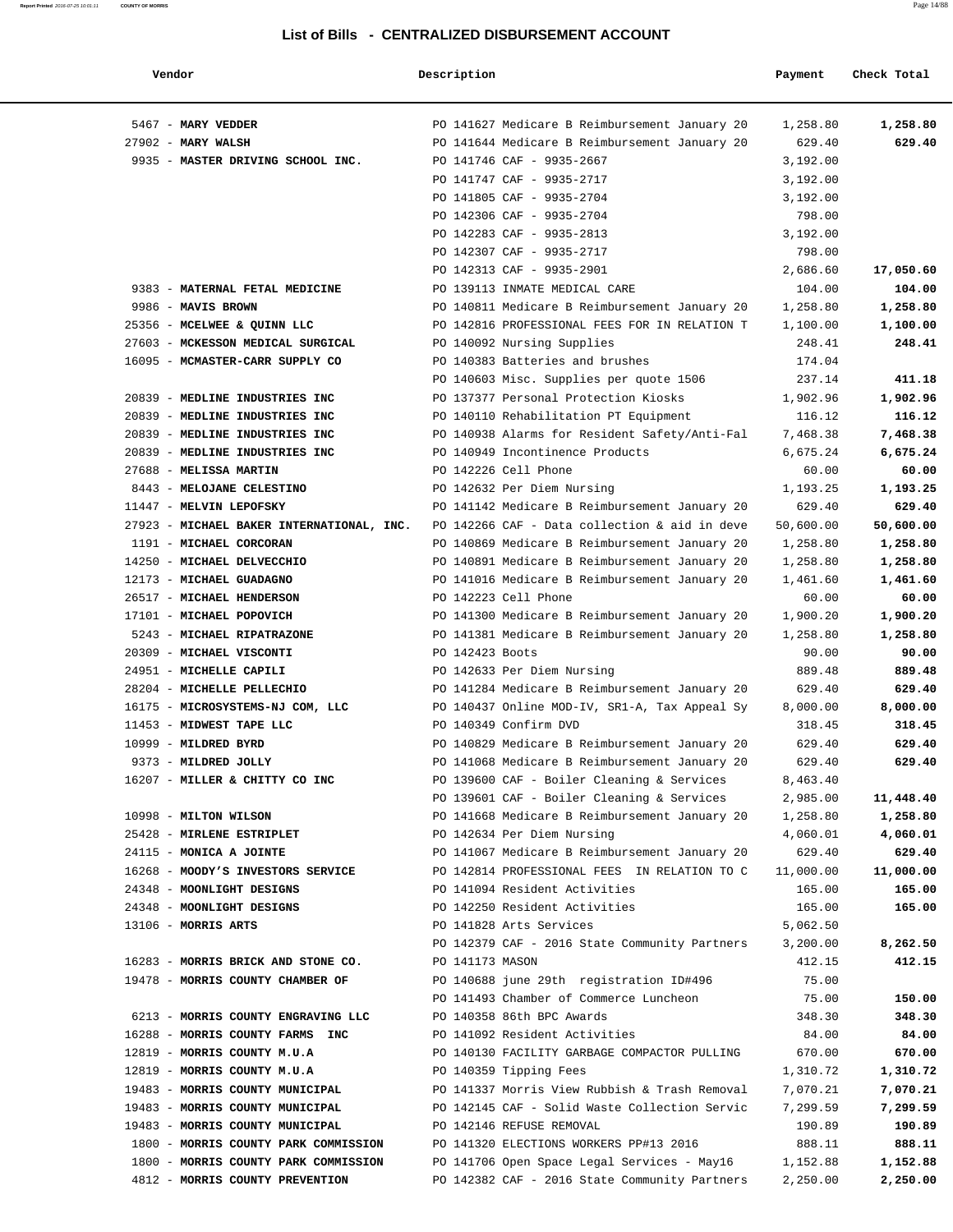| Vendor                                                         | Description                                                                   | Payment         | Check Total     |
|----------------------------------------------------------------|-------------------------------------------------------------------------------|-----------------|-----------------|
| 5467 - MARY VEDDER                                             | PO 141627 Medicare B Reimbursement January 20                                 | 1,258.80        | 1,258.80        |
| $27902$ - MARY WALSH                                           | PO 141644 Medicare B Reimbursement January 20                                 | 629.40          | 629.40          |
| 9935 - MASTER DRIVING SCHOOL INC.                              | PO 141746 CAF - 9935-2667                                                     | 3,192.00        |                 |
|                                                                | PO 141747 CAF - 9935-2717                                                     | 3,192.00        |                 |
|                                                                | PO 141805 CAF - 9935-2704                                                     | 3,192.00        |                 |
|                                                                | PO 142306 CAF - 9935-2704                                                     | 798.00          |                 |
|                                                                | PO 142283 CAF - 9935-2813                                                     | 3,192.00        |                 |
|                                                                | PO 142307 CAF - 9935-2717                                                     | 798.00          |                 |
|                                                                | PO 142313 CAF - 9935-2901                                                     | 2,686.60        | 17,050.60       |
| 9383 - MATERNAL FETAL MEDICINE                                 | PO 139113 INMATE MEDICAL CARE                                                 | 104.00          | 104.00          |
| 9986 - MAVIS BROWN                                             | PO 140811 Medicare B Reimbursement January 20                                 | 1,258.80        | 1,258.80        |
| 25356 - MCELWEE & QUINN LLC                                    | PO 142816 PROFESSIONAL FEES FOR IN RELATION T                                 | 1,100.00        | 1,100.00        |
| 27603 - MCKESSON MEDICAL SURGICAL                              | PO 140092 Nursing Supplies                                                    | 248.41          | 248.41          |
| 16095 - MCMASTER-CARR SUPPLY CO                                | PO 140383 Batteries and brushes                                               | 174.04          |                 |
|                                                                | PO 140603 Misc. Supplies per quote 1506                                       | 237.14          | 411.18          |
| 20839 - MEDLINE INDUSTRIES INC                                 | PO 137377 Personal Protection Kiosks                                          | 1,902.96        | 1,902.96        |
| 20839 - MEDLINE INDUSTRIES INC                                 | PO 140110 Rehabilitation PT Equipment                                         | 116.12          | 116.12          |
| 20839 - MEDLINE INDUSTRIES INC                                 | PO 140938 Alarms for Resident Safety/Anti-Fal                                 | 7,468.38        | 7,468.38        |
| 20839 - MEDLINE INDUSTRIES INC                                 | PO 140949 Incontinence Products                                               | 6,675.24        | 6,675.24        |
| 27688 - MELISSA MARTIN                                         | PO 142226 Cell Phone                                                          | 60.00           | 60.00           |
| 8443 - MELOJANE CELESTINO                                      | PO 142632 Per Diem Nursing                                                    | 1,193.25        | 1,193.25        |
| 11447 - MELVIN LEPOFSKY                                        | PO 141142 Medicare B Reimbursement January 20                                 | 629.40          | 629.40          |
| 27923 - MICHAEL BAKER INTERNATIONAL, INC.                      | PO 142266 CAF - Data collection & aid in deve                                 | 50,600.00       | 50,600.00       |
| 1191 - MICHAEL CORCORAN                                        | PO 140869 Medicare B Reimbursement January 20                                 | 1,258.80        | 1,258.80        |
| 14250 - MICHAEL DELVECCHIO                                     | PO 140891 Medicare B Reimbursement January 20                                 | 1,258.80        | 1,258.80        |
| 12173 - MICHAEL GUADAGNO                                       | PO 141016 Medicare B Reimbursement January 20                                 | 1,461.60        | 1,461.60        |
| 26517 - MICHAEL HENDERSON                                      | PO 142223 Cell Phone                                                          | 60.00           | 60.00           |
| 17101 - MICHAEL POPOVICH                                       | PO 141300 Medicare B Reimbursement January 20                                 | 1,900.20        | 1,900.20        |
| 5243 - MICHAEL RIPATRAZONE                                     | PO 141381 Medicare B Reimbursement January 20                                 | 1,258.80        | 1,258.80        |
| 20309 - MICHAEL VISCONTI                                       | PO 142423 Boots                                                               | 90.00           | 90.00           |
| 24951 - MICHELLE CAPILI                                        | PO 142633 Per Diem Nursing                                                    | 889.48          | 889.48          |
| 28204 - MICHELLE PELLECHIO                                     | PO 141284 Medicare B Reimbursement January 20                                 | 629.40          | 629.40          |
| 16175 - MICROSYSTEMS-NJ COM, LLC                               | PO 140437 Online MOD-IV, SR1-A, Tax Appeal Sy                                 | 8,000.00        | 8,000.00        |
| 11453 - MIDWEST TAPE LLC                                       | PO 140349 Confirm DVD                                                         | 318.45          | 318.45          |
| 10999 - MILDRED BYRD                                           | PO 140829 Medicare B Reimbursement January 20                                 | 629.40          | 629.40          |
| 9373 - MILDRED JOLLY                                           | PO 141068 Medicare B Reimbursement January 20                                 | 629.40          | 629.40          |
| 16207 - MILLER & CHITTY CO INC                                 | PO 139600 CAF - Boiler Cleaning & Services                                    | 8,463.40        |                 |
|                                                                | PO 139601 CAF - Boiler Cleaning & Services                                    | 2,985.00        | 11,448.40       |
| 10998 - MILTON WILSON                                          | PO 141668 Medicare B Reimbursement January 20                                 | 1,258.80        | 1,258.80        |
| 25428 - MIRLENE ESTRIPLET                                      | PO 142634 Per Diem Nursing                                                    | 4,060.01        | 4,060.01        |
| 24115 - MONICA A JOINTE                                        | PO 141067 Medicare B Reimbursement January 20                                 | 629.40          | 629.40          |
| 16268 - MOODY'S INVESTORS SERVICE                              | PO 142814 PROFESSIONAL FEES IN RELATION TO C                                  | 11,000.00       | 11,000.00       |
| 24348 - MOONLIGHT DESIGNS                                      | PO 141094 Resident Activities                                                 | 165.00          | 165.00          |
| 24348 - MOONLIGHT DESIGNS                                      | PO 142250 Resident Activities                                                 | 165.00          | 165.00          |
| 13106 - MORRIS ARTS                                            | PO 141828 Arts Services                                                       | 5,062.50        |                 |
|                                                                | PO 142379 CAF - 2016 State Community Partners                                 | 3,200.00        | 8,262.50        |
| 16283 - MORRIS BRICK AND STONE CO.                             | PO 141173 MASON                                                               | 412.15          | 412.15          |
| 19478 - MORRIS COUNTY CHAMBER OF                               | PO 140688 june 29th registration ID#496                                       | 75.00           |                 |
|                                                                | PO 141493 Chamber of Commerce Luncheon                                        | 75.00           | 150.00          |
| 6213 - MORRIS COUNTY ENGRAVING LLC                             | PO 140358 86th BPC Awards                                                     | 348.30          | 348.30          |
| 16288 - MORRIS COUNTY FARMS INC<br>12819 - MORRIS COUNTY M.U.A | PO 141092 Resident Activities<br>PO 140130 FACILITY GARBAGE COMPACTOR PULLING | 84.00<br>670.00 | 84.00<br>670.00 |
| 12819 - MORRIS COUNTY M.U.A                                    | PO 140359 Tipping Fees                                                        | 1,310.72        | 1,310.72        |
| 19483 - MORRIS COUNTY MUNICIPAL                                | PO 141337 Morris View Rubbish & Trash Removal                                 | 7,070.21        | 7,070.21        |
| 19483 - MORRIS COUNTY MUNICIPAL                                | PO 142145 CAF - Solid Waste Collection Servic                                 | 7,299.59        | 7,299.59        |
| 19483 - MORRIS COUNTY MUNICIPAL                                | PO 142146 REFUSE REMOVAL                                                      | 190.89          | 190.89          |
| 1800 - MORRIS COUNTY PARK COMMISSION                           | PO 141320 ELECTIONS WORKERS PP#13 2016                                        | 888.11          | 888.11          |
| 1800 - MORRIS COUNTY PARK COMMISSION                           | PO 141706 Open Space Legal Services - May16                                   | 1,152.88        | 1,152.88        |
| 4812 - MORRIS COUNTY PREVENTION                                | PO 142382 CAF - 2016 State Community Partners                                 | 2,250.00        | 2,250.00        |
|                                                                |                                                                               |                 |                 |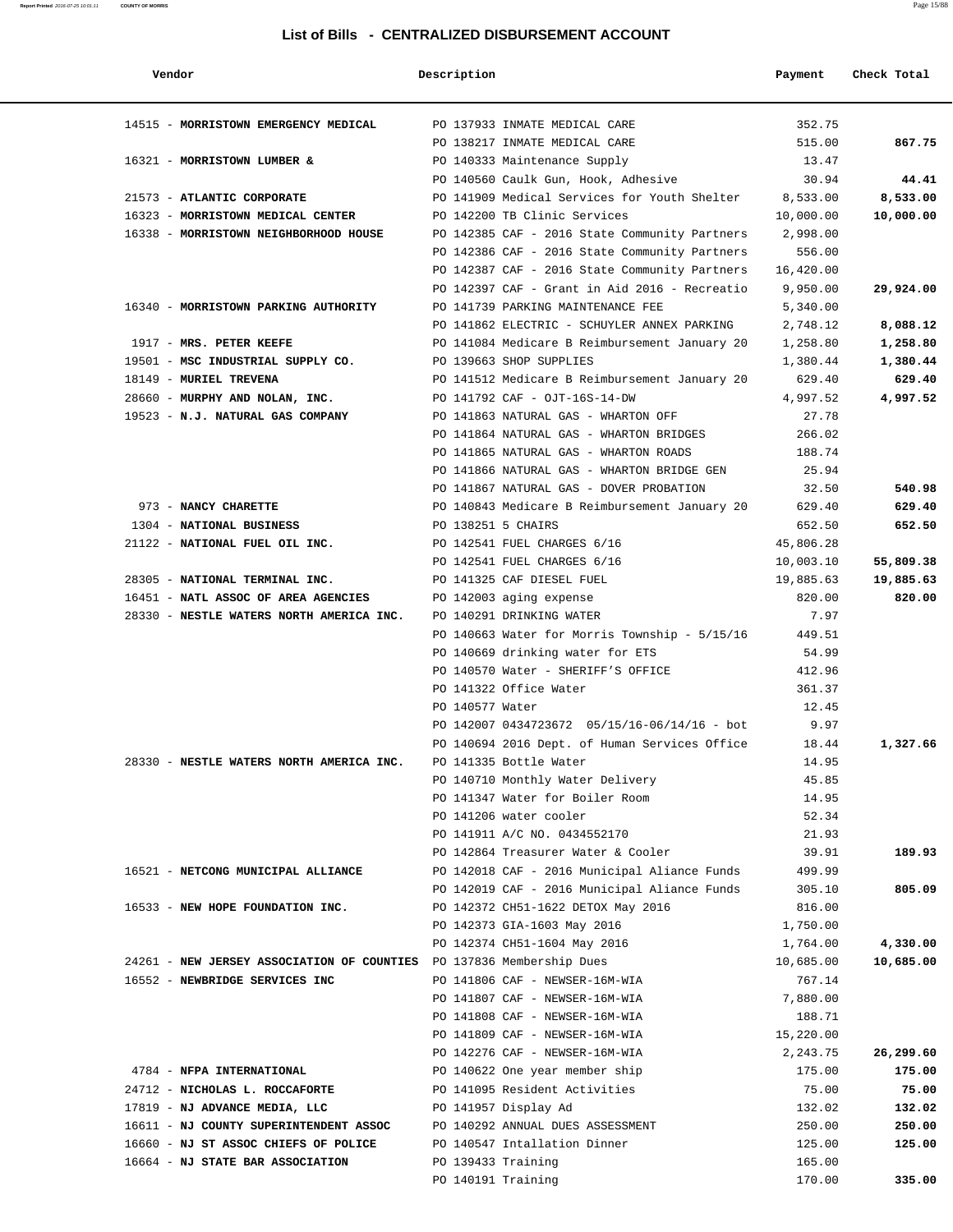#### **Report Printed** 2016-07-25 10:01:11 **COUNTY OF MORRIS** Page 15/88

### **List of Bills - CENTRALIZED DISBURSEMENT ACCOUNT**

| Vendor                                                               | Description        |                                                                      | Payment              | Check Total           |
|----------------------------------------------------------------------|--------------------|----------------------------------------------------------------------|----------------------|-----------------------|
| 14515 - MORRISTOWN EMERGENCY MEDICAL                                 |                    | PO 137933 INMATE MEDICAL CARE                                        | 352.75               |                       |
|                                                                      |                    | PO 138217 INMATE MEDICAL CARE                                        | 515.00               | 867.75                |
| 16321 - MORRISTOWN LUMBER &                                          |                    | PO 140333 Maintenance Supply                                         | 13.47                |                       |
|                                                                      |                    | PO 140560 Caulk Gun, Hook, Adhesive                                  | 30.94                | 44.41                 |
| 21573 - ATLANTIC CORPORATE                                           |                    | PO 141909 Medical Services for Youth Shelter 8,533.00                |                      | 8,533.00              |
| 16323 - MORRISTOWN MEDICAL CENTER                                    |                    | PO 142200 TB Clinic Services                                         | 10,000.00            | 10,000.00             |
| 16338 - MORRISTOWN NEIGHBORHOOD HOUSE                                |                    | PO 142385 CAF - 2016 State Community Partners                        | 2,998.00             |                       |
|                                                                      |                    | PO 142386 CAF - 2016 State Community Partners                        | 556.00               |                       |
|                                                                      |                    | PO 142387 CAF - 2016 State Community Partners                        | 16,420.00            |                       |
|                                                                      |                    | PO 142397 CAF - Grant in Aid 2016 - Recreatio                        | 9,950.00             | 29,924.00             |
| 16340 - MORRISTOWN PARKING AUTHORITY                                 |                    | PO 141739 PARKING MAINTENANCE FEE                                    | 5,340.00             |                       |
|                                                                      |                    | PO 141862 ELECTRIC - SCHUYLER ANNEX PARKING                          | 2,748.12             | 8,088.12              |
| 1917 - MRS. PETER KEEFE                                              |                    | PO 141084 Medicare B Reimbursement January 20                        | 1,258.80             | 1,258.80              |
| 19501 - MSC INDUSTRIAL SUPPLY CO.                                    |                    | PO 139663 SHOP SUPPLIES                                              | 1,380.44             | 1,380.44              |
| 18149 - MURIEL TREVENA                                               |                    | PO 141512 Medicare B Reimbursement January 20                        | 629.40               | 629.40                |
| 28660 - MURPHY AND NOLAN, INC.                                       |                    | PO 141792 CAF - OJT-16S-14-DW<br>PO 141863 NATURAL GAS - WHARTON OFF | 4,997.52             | 4,997.52              |
| 19523 - N.J. NATURAL GAS COMPANY                                     |                    | PO 141864 NATURAL GAS - WHARTON BRIDGES                              | 27.78<br>266.02      |                       |
|                                                                      |                    | PO 141865 NATURAL GAS - WHARTON ROADS                                | 188.74               |                       |
|                                                                      |                    | PO 141866 NATURAL GAS - WHARTON BRIDGE GEN                           | 25.94                |                       |
|                                                                      |                    | PO 141867 NATURAL GAS - DOVER PROBATION                              | 32.50                | 540.98                |
| 973 - NANCY CHARETTE                                                 |                    | PO 140843 Medicare B Reimbursement January 20                        | 629.40               | 629.40                |
| 1304 - NATIONAL BUSINESS                                             | PO 138251 5 CHAIRS |                                                                      | 652.50               | 652.50                |
| 21122 - NATIONAL FUEL OIL INC.                                       |                    | PO 142541 FUEL CHARGES 6/16                                          | 45,806.28            |                       |
|                                                                      |                    | PO 142541 FUEL CHARGES 6/16                                          | 10,003.10            | 55,809.38             |
| 28305 - NATIONAL TERMINAL INC.                                       |                    | PO 141325 CAF DIESEL FUEL                                            | 19,885.63            | 19,885.63             |
| 16451 - NATL ASSOC OF AREA AGENCIES                                  |                    | PO 142003 aging expense                                              | 820.00               | 820.00                |
| 28330 - NESTLE WATERS NORTH AMERICA INC.                             |                    | PO 140291 DRINKING WATER                                             | 7.97                 |                       |
|                                                                      |                    | PO $140663$ Water for Morris Township - $5/15/16$                    | 449.51               |                       |
|                                                                      |                    | PO 140669 drinking water for ETS                                     | 54.99                |                       |
|                                                                      |                    | PO 140570 Water - SHERIFF'S OFFICE                                   | 412.96               |                       |
|                                                                      |                    | PO 141322 Office Water                                               | 361.37               |                       |
|                                                                      | PO 140577 Water    |                                                                      | 12.45                |                       |
|                                                                      |                    | PO 142007 0434723672 05/15/16-06/14/16 - bot                         | 9.97                 |                       |
|                                                                      |                    | PO 140694 2016 Dept. of Human Services Office                        | 18.44                | 1,327.66              |
| 28330 - NESTLE WATERS NORTH AMERICA INC.                             |                    | PO 141335 Bottle Water                                               | 14.95                |                       |
|                                                                      |                    | PO 140710 Monthly Water Delivery                                     | 45.85                |                       |
|                                                                      |                    | PO 141347 Water for Boiler Room                                      | 14.95                |                       |
|                                                                      |                    | PO 141206 water cooler                                               | 52.34                |                       |
|                                                                      |                    | PO 141911 A/C NO. 0434552170                                         | 21.93                |                       |
|                                                                      |                    | PO 142864 Treasurer Water & Cooler                                   | 39.91                | 189.93                |
| 16521 - NETCONG MUNICIPAL ALLIANCE                                   |                    | PO 142018 CAF - 2016 Municipal Aliance Funds                         | 499.99               |                       |
|                                                                      |                    | PO 142019 CAF - 2016 Municipal Aliance Funds                         | 305.10               | 805.09                |
| 16533 - NEW HOPE FOUNDATION INC.                                     |                    | PO 142372 CH51-1622 DETOX May 2016                                   | 816.00               |                       |
|                                                                      |                    | PO 142373 GIA-1603 May 2016<br>PO 142374 CH51-1604 May 2016          | 1,750.00<br>1,764.00 |                       |
| 24261 - NEW JERSEY ASSOCIATION OF COUNTIES PO 137836 Membership Dues |                    |                                                                      | 10,685.00            | 4,330.00<br>10,685.00 |
| 16552 - NEWBRIDGE SERVICES INC                                       |                    | PO 141806 CAF - NEWSER-16M-WIA                                       | 767.14               |                       |
|                                                                      |                    | PO 141807 CAF - NEWSER-16M-WIA                                       | 7,880.00             |                       |
|                                                                      |                    | PO 141808 CAF - NEWSER-16M-WIA                                       | 188.71               |                       |
|                                                                      |                    | PO 141809 CAF - NEWSER-16M-WIA                                       | 15,220.00            |                       |
|                                                                      |                    | PO 142276 CAF - NEWSER-16M-WIA                                       | 2,243.75             | 26,299.60             |
| 4784 - NFPA INTERNATIONAL                                            |                    | PO 140622 One year member ship                                       | 175.00               | 175.00                |
| 24712 - NICHOLAS L. ROCCAFORTE                                       |                    | PO 141095 Resident Activities                                        | 75.00                | 75.00                 |
| 17819 - NJ ADVANCE MEDIA, LLC                                        |                    | PO 141957 Display Ad                                                 | 132.02               | 132.02                |
| 16611 - NJ COUNTY SUPERINTENDENT ASSOC                               |                    | PO 140292 ANNUAL DUES ASSESSMENT                                     | 250.00               | 250.00                |
| 16660 - NJ ST ASSOC CHIEFS OF POLICE                                 |                    | PO 140547 Intallation Dinner                                         | 125.00               | 125.00                |
| 16664 - NJ STATE BAR ASSOCIATION                                     | PO 139433 Training |                                                                      | 165.00               |                       |
|                                                                      | PO 140191 Training |                                                                      | 170.00               | 335.00                |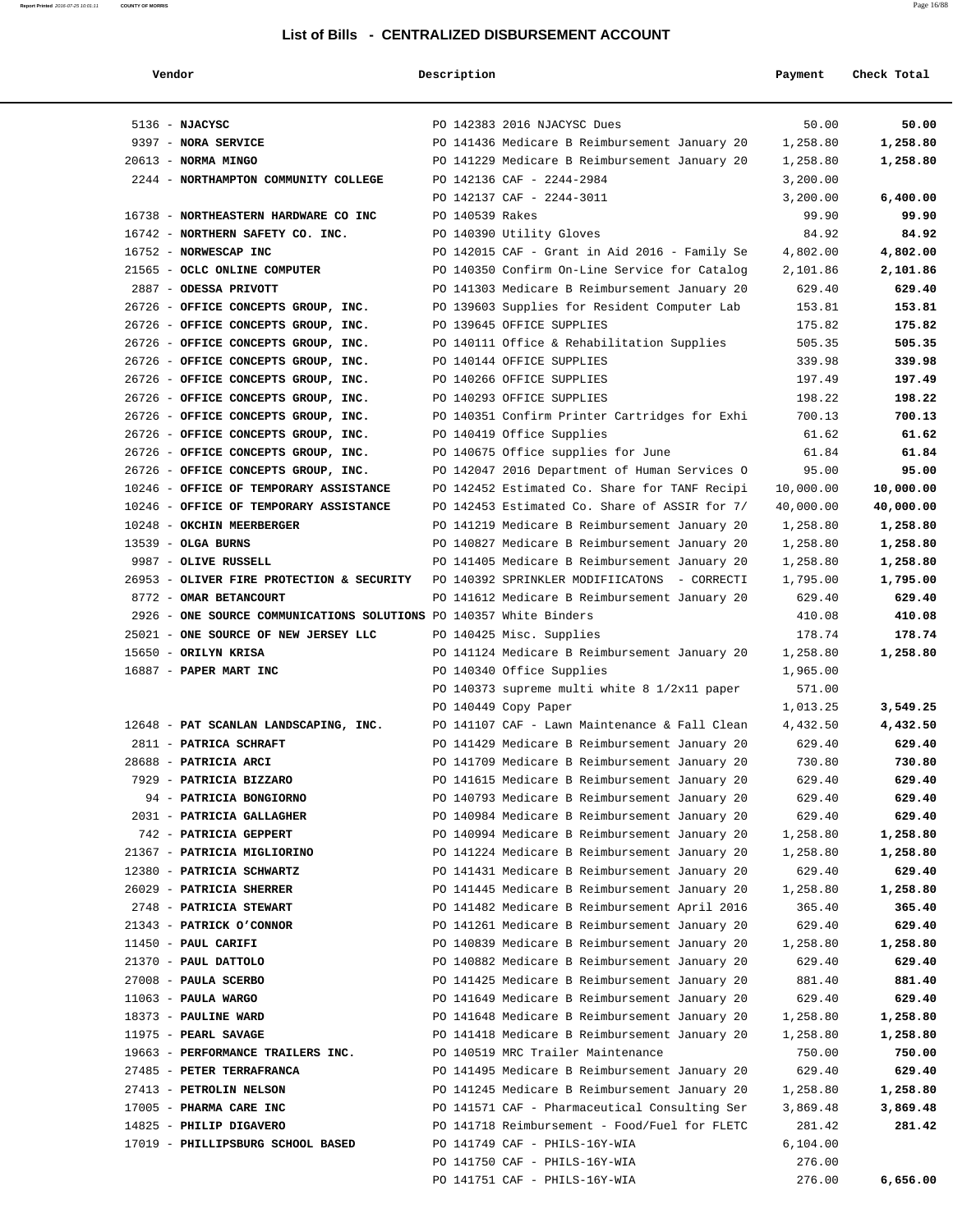#### **Report Printed** 2016-07-25 10:01:11 **COUNTY OF MORRIS** Page 16/88

| Vendor                                                             | Description     |                                                                                                | Payment            | Check Total        |
|--------------------------------------------------------------------|-----------------|------------------------------------------------------------------------------------------------|--------------------|--------------------|
| $5136 - MJACYSC$                                                   |                 | PO 142383 2016 NJACYSC Dues                                                                    | 50.00              | 50.00              |
| 9397 - NORA SERVICE                                                |                 | PO 141436 Medicare B Reimbursement January 20                                                  | 1,258.80           | 1,258.80           |
| $20613$ - NORMA MINGO                                              |                 | PO 141229 Medicare B Reimbursement January 20                                                  | 1,258.80           | 1,258.80           |
| 2244 - NORTHAMPTON COMMUNITY COLLEGE                               |                 | PO 142136 CAF - 2244-2984                                                                      | 3,200.00           |                    |
|                                                                    |                 | PO 142137 CAF - 2244-3011                                                                      | 3,200.00           | 6,400.00           |
| 16738 - NORTHEASTERN HARDWARE CO INC                               | PO 140539 Rakes |                                                                                                | 99.90              | 99.90              |
| 16742 - NORTHERN SAFETY CO. INC.                                   |                 | PO 140390 Utility Gloves                                                                       | 84.92              | 84.92              |
| 16752 - NORWESCAP INC                                              |                 | PO 142015 CAF - Grant in Aid 2016 - Family Se                                                  | 4,802.00           | 4,802.00           |
| 21565 - OCLC ONLINE COMPUTER                                       |                 | PO 140350 Confirm On-Line Service for Catalog                                                  | 2,101.86           | 2,101.86           |
| 2887 - ODESSA PRIVOTT                                              |                 | PO 141303 Medicare B Reimbursement January 20                                                  | 629.40             | 629.40             |
| 26726 - OFFICE CONCEPTS GROUP, INC.                                |                 | PO 139603 Supplies for Resident Computer Lab                                                   | 153.81             | 153.81             |
| 26726 - OFFICE CONCEPTS GROUP, INC.                                |                 | PO 139645 OFFICE SUPPLIES                                                                      | 175.82             | 175.82             |
| 26726 - OFFICE CONCEPTS GROUP, INC.                                |                 | PO 140111 Office & Rehabilitation Supplies                                                     | 505.35             | 505.35             |
| 26726 - OFFICE CONCEPTS GROUP, INC.                                |                 | PO 140144 OFFICE SUPPLIES                                                                      | 339.98             | 339.98             |
| 26726 - OFFICE CONCEPTS GROUP, INC.                                |                 | PO 140266 OFFICE SUPPLIES                                                                      | 197.49             | 197.49             |
| 26726 - OFFICE CONCEPTS GROUP, INC.                                |                 | PO 140293 OFFICE SUPPLIES                                                                      | 198.22             | 198.22             |
| 26726 - OFFICE CONCEPTS GROUP, INC.                                |                 | PO 140351 Confirm Printer Cartridges for Exhi                                                  | 700.13             | 700.13             |
| 26726 - OFFICE CONCEPTS GROUP, INC.                                |                 | PO 140419 Office Supplies                                                                      | 61.62              | 61.62              |
| 26726 - OFFICE CONCEPTS GROUP, INC.                                |                 | PO 140675 Office supplies for June                                                             | 61.84              | 61.84              |
| 26726 - OFFICE CONCEPTS GROUP, INC.                                |                 | PO 142047 2016 Department of Human Services O                                                  | 95.00              | 95.00              |
| 10246 - OFFICE OF TEMPORARY ASSISTANCE                             |                 | PO 142452 Estimated Co. Share for TANF Recipi                                                  | 10,000.00          | 10,000.00          |
| 10246 - OFFICE OF TEMPORARY ASSISTANCE                             |                 | PO 142453 Estimated Co. Share of ASSIR for 7/                                                  | 40,000.00          | 40,000.00          |
| 10248 - OKCHIN MEERBERGER                                          |                 | PO 141219 Medicare B Reimbursement January 20                                                  | 1,258.80           | 1,258.80           |
| $13539$ - OLGA BURNS                                               |                 | PO 140827 Medicare B Reimbursement January 20                                                  | 1,258.80           | 1,258.80           |
| 9987 - OLIVE RUSSELL                                               |                 | PO 141405 Medicare B Reimbursement January 20                                                  | 1,258.80           | 1,258.80           |
| 26953 - OLIVER FIRE PROTECTION & SECURITY                          |                 | PO 140392 SPRINKLER MODIFIICATONS - CORRECTI                                                   | 1,795.00           | 1,795.00           |
| 8772 - OMAR BETANCOURT                                             |                 | PO 141612 Medicare B Reimbursement January 20                                                  | 629.40             | 629.40             |
| 2926 - ONE SOURCE COMMUNICATIONS SOLUTIONS PO 140357 White Binders |                 |                                                                                                | 410.08             | 410.08             |
| 25021 - ONE SOURCE OF NEW JERSEY LLC                               |                 | PO 140425 Misc. Supplies                                                                       | 178.74             | 178.74             |
| 15650 - ORILYN KRISA                                               |                 | PO 141124 Medicare B Reimbursement January 20                                                  | 1,258.80           | 1,258.80           |
| 16887 - PAPER MART INC                                             |                 | PO 140340 Office Supplies                                                                      | 1,965.00           |                    |
|                                                                    |                 | PO 140373 supreme multi white 8 1/2x11 paper                                                   | 571.00             |                    |
|                                                                    |                 | PO 140449 Copy Paper                                                                           | 1,013.25           | 3,549.25           |
| 12648 - PAT SCANLAN LANDSCAPING, INC.                              |                 | PO 141107 CAF - Lawn Maintenance & Fall Clean                                                  | 4,432.50           | 4,432.50           |
| 2811 - PATRICA SCHRAFT                                             |                 | PO 141429 Medicare B Reimbursement January 20                                                  | 629.40             | 629.40             |
| 28688 - PATRICIA ARCI                                              |                 | PO 141709 Medicare B Reimbursement January 20                                                  | 730.80             | 730.80             |
| 7929 - PATRICIA BIZZARO                                            |                 | PO 141615 Medicare B Reimbursement January 20                                                  | 629.40             | 629.40             |
| 94 - PATRICIA BONGIORNO                                            |                 | PO 140793 Medicare B Reimbursement January 20                                                  | 629.40             | 629.40             |
| 2031 - PATRICIA GALLAGHER                                          |                 | PO 140984 Medicare B Reimbursement January 20                                                  | 629.40             | 629.40             |
| 742 - PATRICIA GEPPERT                                             |                 | PO 140994 Medicare B Reimbursement January 20                                                  | 1,258.80           | 1,258.80           |
| 21367 - PATRICIA MIGLIORINO<br>12380 - PATRICIA SCHWARTZ           |                 | PO 141224 Medicare B Reimbursement January 20                                                  | 1,258.80           | 1,258.80           |
|                                                                    |                 | PO 141431 Medicare B Reimbursement January 20                                                  | 629.40             | 629.40             |
| 26029 - PATRICIA SHERRER<br>2748 - PATRICIA STEWART                |                 | PO 141445 Medicare B Reimbursement January 20<br>PO 141482 Medicare B Reimbursement April 2016 | 1,258.80<br>365.40 | 1,258.80<br>365.40 |
| 21343 - PATRICK O'CONNOR                                           |                 | PO 141261 Medicare B Reimbursement January 20                                                  | 629.40             | 629.40             |
| 11450 - PAUL CARIFI                                                |                 | PO 140839 Medicare B Reimbursement January 20                                                  | 1,258.80           | 1,258.80           |
| 21370 - PAUL DATTOLO                                               |                 | PO 140882 Medicare B Reimbursement January 20                                                  | 629.40             | 629.40             |
| 27008 - PAULA SCERBO                                               |                 | PO 141425 Medicare B Reimbursement January 20                                                  | 881.40             | 881.40             |
| $11063$ - PAULA WARGO                                              |                 | PO 141649 Medicare B Reimbursement January 20                                                  | 629.40             | 629.40             |
| 18373 - PAULINE WARD                                               |                 | PO 141648 Medicare B Reimbursement January 20                                                  | 1,258.80           | 1,258.80           |
| $11975$ - PEARL SAVAGE                                             |                 | PO 141418 Medicare B Reimbursement January 20                                                  | 1,258.80           | 1,258.80           |
| 19663 - PERFORMANCE TRAILERS INC.                                  |                 | PO 140519 MRC Trailer Maintenance                                                              | 750.00             | 750.00             |
| 27485 - PETER TERRAFRANCA                                          |                 | PO 141495 Medicare B Reimbursement January 20                                                  | 629.40             | 629.40             |
| 27413 - PETROLIN NELSON                                            |                 | PO 141245 Medicare B Reimbursement January 20                                                  | 1,258.80           | 1,258.80           |
| 17005 - PHARMA CARE INC                                            |                 | PO 141571 CAF - Pharmaceutical Consulting Ser                                                  | 3,869.48           | 3,869.48           |
| 14825 - PHILIP DIGAVERO                                            |                 | PO 141718 Reimbursement - Food/Fuel for FLETC                                                  | 281.42             | 281.42             |
| 17019 - PHILLIPSBURG SCHOOL BASED                                  |                 | PO 141749 CAF - PHILS-16Y-WIA                                                                  | 6, 104.00          |                    |
|                                                                    |                 | PO 141750 CAF - PHILS-16Y-WIA                                                                  | 276.00             |                    |
|                                                                    |                 | PO 141751 CAF - PHILS-16Y-WIA                                                                  | 276.00             | 6,656.00           |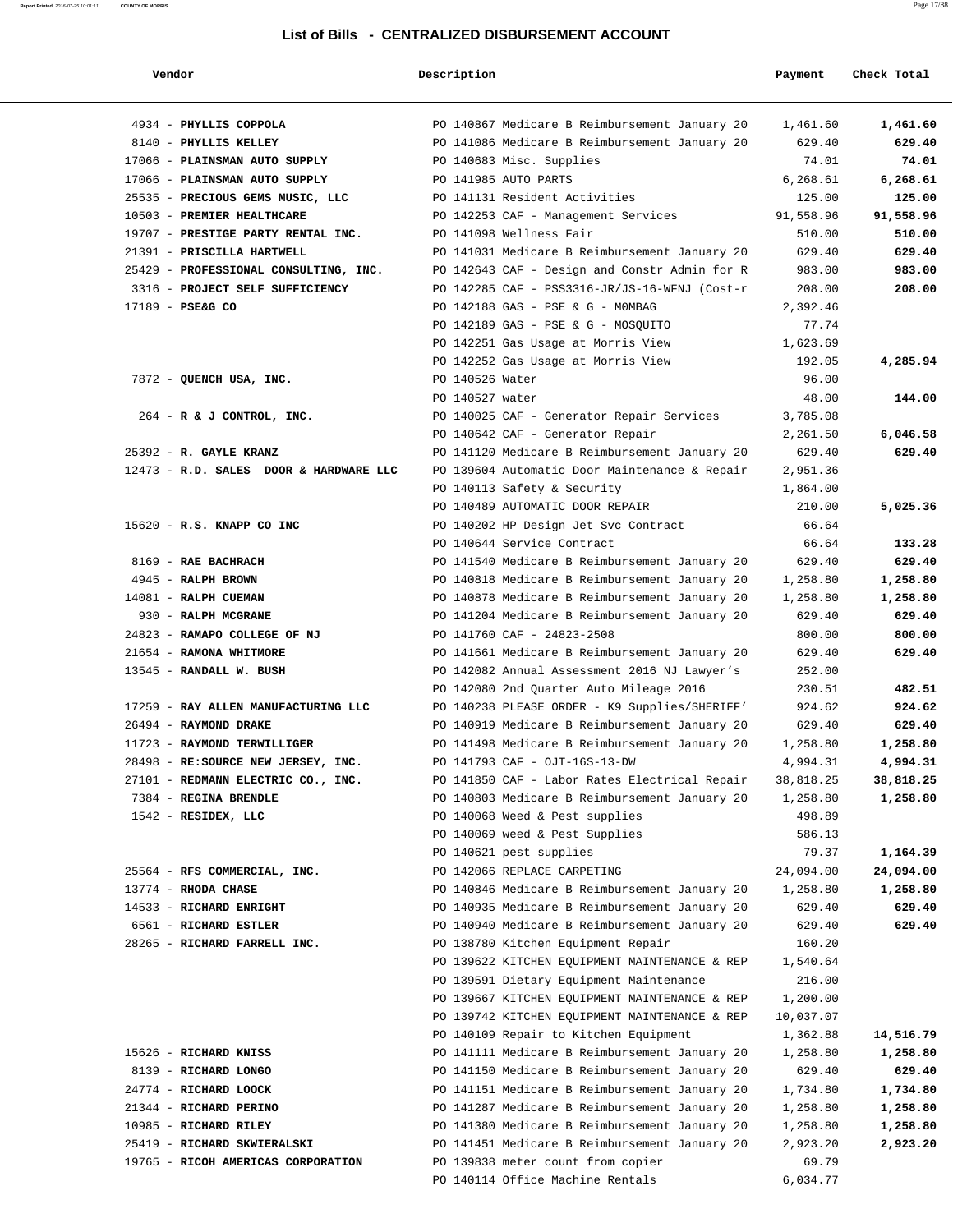#### **Report Printed** 2016-07-25 10:01:11 **COUNTY OF MORRIS** Page 17/88

### **List of Bills - CENTRALIZED DISBURSEMENT ACCOUNT**

| Vendor                                 | Description     |                                               | Payment   | Check Total |
|----------------------------------------|-----------------|-----------------------------------------------|-----------|-------------|
|                                        |                 |                                               |           |             |
| 4934 - PHYLLIS COPPOLA                 |                 | PO 140867 Medicare B Reimbursement January 20 | 1,461.60  | 1,461.60    |
| 8140 - PHYLLIS KELLEY                  |                 | PO 141086 Medicare B Reimbursement January 20 | 629.40    | 629.40      |
| 17066 - PLAINSMAN AUTO SUPPLY          |                 | PO 140683 Misc. Supplies                      | 74.01     | 74.01       |
| 17066 - PLAINSMAN AUTO SUPPLY          |                 | PO 141985 AUTO PARTS                          | 6,268.61  | 6,268.61    |
| 25535 - PRECIOUS GEMS MUSIC, LLC       |                 | PO 141131 Resident Activities                 | 125.00    | 125.00      |
| 10503 - PREMIER HEALTHCARE             |                 | PO 142253 CAF - Management Services           | 91,558.96 | 91,558.96   |
| 19707 - PRESTIGE PARTY RENTAL INC.     |                 | PO 141098 Wellness Fair                       | 510.00    | 510.00      |
| 21391 - PRISCILLA HARTWELL             |                 | PO 141031 Medicare B Reimbursement January 20 | 629.40    | 629.40      |
| 25429 - PROFESSIONAL CONSULTING, INC.  |                 | PO 142643 CAF - Design and Constr Admin for R | 983.00    | 983.00      |
| 3316 - PROJECT SELF SUFFICIENCY        |                 | PO 142285 CAF - PSS3316-JR/JS-16-WFNJ (Cost-r | 208.00    | 208.00      |
| 17189 - PSE&G CO                       |                 | PO 142188 GAS - PSE & G - MOMBAG              | 2,392.46  |             |
|                                        |                 | PO 142189 GAS - PSE & G - MOSQUITO            | 77.74     |             |
|                                        |                 | PO 142251 Gas Usage at Morris View            | 1,623.69  |             |
|                                        |                 | PO 142252 Gas Usage at Morris View            | 192.05    | 4,285.94    |
| 7872 - QUENCH USA, INC.                | PO 140526 Water |                                               | 96.00     |             |
|                                        | PO 140527 water |                                               | 48.00     | 144.00      |
| $264$ - R & J CONTROL, INC.            |                 | PO 140025 CAF - Generator Repair Services     | 3,785.08  |             |
|                                        |                 | PO 140642 CAF - Generator Repair              | 2,261.50  | 6,046.58    |
| 25392 - R. GAYLE KRANZ                 |                 | PO 141120 Medicare B Reimbursement January 20 | 629.40    | 629.40      |
| 12473 - R.D. SALES DOOR & HARDWARE LLC |                 | PO 139604 Automatic Door Maintenance & Repair | 2,951.36  |             |
|                                        |                 | PO 140113 Safety & Security                   | 1,864.00  |             |
|                                        |                 | PO 140489 AUTOMATIC DOOR REPAIR               | 210.00    | 5,025.36    |
| 15620 - R.S. KNAPP CO INC              |                 | PO 140202 HP Design Jet Svc Contract          | 66.64     |             |
|                                        |                 | PO 140644 Service Contract                    | 66.64     | 133.28      |
| 8169 - RAE BACHRACH                    |                 | PO 141540 Medicare B Reimbursement January 20 | 629.40    | 629.40      |
| 4945 - RALPH BROWN                     |                 | PO 140818 Medicare B Reimbursement January 20 | 1,258.80  | 1,258.80    |
| 14081 - RALPH CUEMAN                   |                 | PO 140878 Medicare B Reimbursement January 20 | 1,258.80  | 1,258.80    |
| 930 - RALPH MCGRANE                    |                 | PO 141204 Medicare B Reimbursement January 20 | 629.40    | 629.40      |
| 24823 - RAMAPO COLLEGE OF NJ           |                 | PO 141760 CAF - 24823-2508                    | 800.00    | 800.00      |
| 21654 - RAMONA WHITMORE                |                 | PO 141661 Medicare B Reimbursement January 20 | 629.40    | 629.40      |
| 13545 - RANDALL W. BUSH                |                 | PO 142082 Annual Assessment 2016 NJ Lawyer's  | 252.00    |             |
|                                        |                 | PO 142080 2nd Quarter Auto Mileage 2016       | 230.51    | 482.51      |
| 17259 - RAY ALLEN MANUFACTURING LLC    |                 | PO 140238 PLEASE ORDER - K9 Supplies/SHERIFF' | 924.62    | 924.62      |
| 26494 - RAYMOND DRAKE                  |                 | PO 140919 Medicare B Reimbursement January 20 | 629.40    | 629.40      |
| 11723 - RAYMOND TERWILLIGER            |                 | PO 141498 Medicare B Reimbursement January 20 | 1,258.80  | 1,258.80    |
| 28498 - RE: SOURCE NEW JERSEY, INC.    |                 | PO 141793 CAF - OJT-16S-13-DW                 | 4,994.31  | 4,994.31    |
| 27101 - REDMANN ELECTRIC CO., INC.     |                 | PO 141850 CAF - Labor Rates Electrical Repair | 38,818.25 | 38,818.25   |
| 7384 - REGINA BRENDLE                  |                 | PO 140803 Medicare B Reimbursement January 20 | 1,258.80  | 1,258.80    |
| 1542 - RESIDEX, LLC                    |                 | PO 140068 Weed & Pest supplies                | 498.89    |             |
|                                        |                 | PO 140069 weed & Pest Supplies                | 586.13    |             |
|                                        |                 | PO 140621 pest supplies                       | 79.37     | 1,164.39    |
| 25564 - RFS COMMERCIAL, INC.           |                 | PO 142066 REPLACE CARPETING                   | 24,094.00 | 24,094.00   |
| 13774 - RHODA CHASE                    |                 | PO 140846 Medicare B Reimbursement January 20 | 1,258.80  | 1,258.80    |
| 14533 - RICHARD ENRIGHT                |                 | PO 140935 Medicare B Reimbursement January 20 | 629.40    | 629.40      |
| 6561 - RICHARD ESTLER                  |                 | PO 140940 Medicare B Reimbursement January 20 | 629.40    | 629.40      |
| 28265 - RICHARD FARRELL INC.           |                 | PO 138780 Kitchen Equipment Repair            | 160.20    |             |
|                                        |                 | PO 139622 KITCHEN EQUIPMENT MAINTENANCE & REP | 1,540.64  |             |
|                                        |                 | PO 139591 Dietary Equipment Maintenance       | 216.00    |             |
|                                        |                 | PO 139667 KITCHEN EQUIPMENT MAINTENANCE & REP | 1,200.00  |             |
|                                        |                 | PO 139742 KITCHEN EQUIPMENT MAINTENANCE & REP | 10,037.07 |             |
|                                        |                 | PO 140109 Repair to Kitchen Equipment         | 1,362.88  | 14,516.79   |
| 15626 - RICHARD KNISS                  |                 | PO 141111 Medicare B Reimbursement January 20 | 1,258.80  | 1,258.80    |
| 8139 - RICHARD LONGO                   |                 | PO 141150 Medicare B Reimbursement January 20 | 629.40    | 629.40      |
| 24774 - RICHARD LOOCK                  |                 | PO 141151 Medicare B Reimbursement January 20 | 1,734.80  | 1,734.80    |
| 21344 - RICHARD PERINO                 |                 | PO 141287 Medicare B Reimbursement January 20 | 1,258.80  | 1,258.80    |
| 10985 - RICHARD RILEY                  |                 | PO 141380 Medicare B Reimbursement January 20 | 1,258.80  | 1,258.80    |
| 25419 - RICHARD SKWIERALSKI            |                 | PO 141451 Medicare B Reimbursement January 20 | 2,923.20  | 2,923.20    |
| 19765 - RICOH AMERICAS CORPORATION     |                 | PO 139838 meter count from copier             | 69.79     |             |
|                                        |                 | PO 140114 Office Machine Rentals              | 6,034.77  |             |
|                                        |                 |                                               |           |             |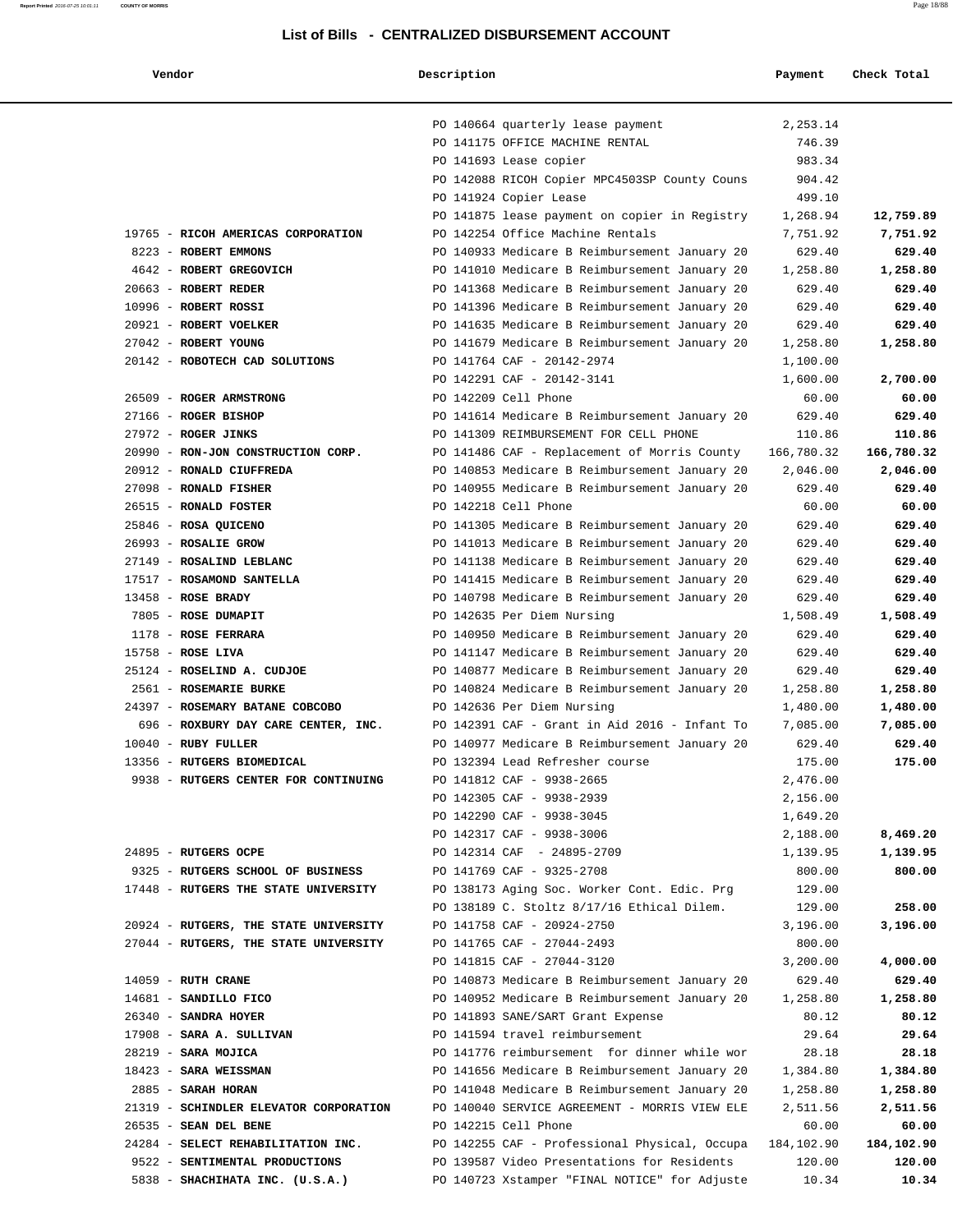**Vendor Description Payment Check Total**

|                                        | PO 140664 quarterly lease payment             | 2,253.14   |            |
|----------------------------------------|-----------------------------------------------|------------|------------|
|                                        | PO 141175 OFFICE MACHINE RENTAL               | 746.39     |            |
|                                        | PO 141693 Lease copier                        | 983.34     |            |
|                                        | PO 142088 RICOH Copier MPC4503SP County Couns | 904.42     |            |
|                                        | PO 141924 Copier Lease                        | 499.10     |            |
|                                        | PO 141875 lease payment on copier in Registry | 1,268.94   | 12,759.89  |
| 19765 - RICOH AMERICAS CORPORATION     | PO 142254 Office Machine Rentals              | 7,751.92   | 7,751.92   |
| 8223 - ROBERT EMMONS                   | PO 140933 Medicare B Reimbursement January 20 | 629.40     | 629.40     |
| 4642 - ROBERT GREGOVICH                | PO 141010 Medicare B Reimbursement January 20 | 1,258.80   | 1,258.80   |
| 20663 - ROBERT REDER                   | PO 141368 Medicare B Reimbursement January 20 | 629.40     | 629.40     |
| 10996 - ROBERT ROSSI                   | PO 141396 Medicare B Reimbursement January 20 | 629.40     | 629.40     |
| 20921 - ROBERT VOELKER                 | PO 141635 Medicare B Reimbursement January 20 | 629.40     | 629.40     |
| 27042 - ROBERT YOUNG                   | PO 141679 Medicare B Reimbursement January 20 | 1,258.80   | 1,258.80   |
| 20142 - ROBOTECH CAD SOLUTIONS         | PO 141764 CAF - 20142-2974                    | 1,100.00   |            |
|                                        | PO 142291 CAF - 20142-3141                    | 1,600.00   | 2,700.00   |
| 26509 - ROGER ARMSTRONG                | PO 142209 Cell Phone                          | 60.00      | 60.00      |
| 27166 - ROGER BISHOP                   | PO 141614 Medicare B Reimbursement January 20 | 629.40     | 629.40     |
| 27972 - ROGER JINKS                    | PO 141309 REIMBURSEMENT FOR CELL PHONE        | 110.86     | 110.86     |
| 20990 - RON-JON CONSTRUCTION CORP.     | PO 141486 CAF - Replacement of Morris County  | 166,780.32 | 166,780.32 |
| 20912 - RONALD CIUFFREDA               | PO 140853 Medicare B Reimbursement January 20 | 2,046.00   | 2,046.00   |
| 27098 - RONALD FISHER                  | PO 140955 Medicare B Reimbursement January 20 | 629.40     | 629.40     |
| 26515 - RONALD FOSTER                  | PO 142218 Cell Phone                          | 60.00      | 60.00      |
| 25846 - ROSA QUICENO                   | PO 141305 Medicare B Reimbursement January 20 | 629.40     | 629.40     |
| 26993 - ROSALIE GROW                   | PO 141013 Medicare B Reimbursement January 20 | 629.40     | 629.40     |
| 27149 - ROSALIND LEBLANC               | PO 141138 Medicare B Reimbursement January 20 |            | 629.40     |
|                                        |                                               | 629.40     |            |
| 17517 - ROSAMOND SANTELLA              | PO 141415 Medicare B Reimbursement January 20 | 629.40     | 629.40     |
| $13458$ - ROSE BRADY                   | PO 140798 Medicare B Reimbursement January 20 | 629.40     | 629.40     |
| 7805 - ROSE DUMAPIT                    | PO 142635 Per Diem Nursing                    | 1,508.49   | 1,508.49   |
| 1178 - ROSE FERRARA                    | PO 140950 Medicare B Reimbursement January 20 | 629.40     | 629.40     |
| $15758$ - ROSE LIVA                    | PO 141147 Medicare B Reimbursement January 20 | 629.40     | 629.40     |
| 25124 - ROSELIND A. CUDJOE             | PO 140877 Medicare B Reimbursement January 20 | 629.40     | 629.40     |
| 2561 - ROSEMARIE BURKE                 | PO 140824 Medicare B Reimbursement January 20 | 1,258.80   | 1,258.80   |
| 24397 - ROSEMARY BATANE COBCOBO        | PO 142636 Per Diem Nursing                    | 1,480.00   | 1,480.00   |
| 696 - ROXBURY DAY CARE CENTER, INC.    | PO 142391 CAF - Grant in Aid 2016 - Infant To | 7,085.00   | 7,085.00   |
| $10040$ - RUBY FULLER                  | PO 140977 Medicare B Reimbursement January 20 | 629.40     | 629.40     |
| 13356 - RUTGERS BIOMEDICAL             | PO 132394 Lead Refresher course               | 175.00     | 175.00     |
| 9938 - RUTGERS CENTER FOR CONTINUING   | PO 141812 CAF - 9938-2665                     | 2,476.00   |            |
|                                        | PO 142305 CAF - 9938-2939                     | 2,156.00   |            |
|                                        | PO 142290 CAF - 9938-3045                     | 1,649.20   |            |
|                                        | PO 142317 CAF - 9938-3006                     | 2,188.00   | 8,469.20   |
| 24895 - RUTGERS OCPE                   | PO 142314 CAF - 24895-2709                    | 1,139.95   | 1,139.95   |
| 9325 - RUTGERS SCHOOL OF BUSINESS      | PO 141769 CAF - 9325-2708                     | 800.00     | 800.00     |
| 17448 - RUTGERS THE STATE UNIVERSITY   | PO 138173 Aging Soc. Worker Cont. Edic. Prg   | 129.00     |            |
|                                        | PO 138189 C. Stoltz 8/17/16 Ethical Dilem.    | 129.00     | 258.00     |
| 20924 - RUTGERS, THE STATE UNIVERSITY  | PO 141758 CAF - 20924-2750                    | 3,196.00   | 3,196.00   |
| 27044 - RUTGERS, THE STATE UNIVERSITY  | PO 141765 CAF - 27044-2493                    | 800.00     |            |
|                                        | PO 141815 CAF - 27044-3120                    | 3,200.00   | 4,000.00   |
| $14059$ - RUTH CRANE                   | PO 140873 Medicare B Reimbursement January 20 | 629.40     | 629.40     |
| 14681 - SANDILLO FICO                  | PO 140952 Medicare B Reimbursement January 20 | 1,258.80   | 1,258.80   |
| 26340 - SANDRA HOYER                   | PO 141893 SANE/SART Grant Expense             | 80.12      | 80.12      |
| 17908 - SARA A. SULLIVAN               | PO 141594 travel reimbursement                | 29.64      | 29.64      |
| 28219 - SARA MOJICA                    | PO 141776 reimbursement for dinner while wor  | 28.18      | 28.18      |
| 18423 - SARA WEISSMAN                  | PO 141656 Medicare B Reimbursement January 20 | 1,384.80   | 1,384.80   |
| 2885 - SARAH HORAN                     | PO 141048 Medicare B Reimbursement January 20 | 1,258.80   | 1,258.80   |
| 21319 - SCHINDLER ELEVATOR CORPORATION | PO 140040 SERVICE AGREEMENT - MORRIS VIEW ELE | 2,511.56   | 2,511.56   |
| 26535 - SEAN DEL BENE                  | PO 142215 Cell Phone                          | 60.00      | 60.00      |
| 24284 - SELECT REHABILITATION INC.     | PO 142255 CAF - Professional Physical, Occupa | 184,102.90 | 184,102.90 |
| 9522 - SENTIMENTAL PRODUCTIONS         | PO 139587 Video Presentations for Residents   | 120.00     | 120.00     |
|                                        |                                               |            |            |

5838 - **SHACHIHATA INC. (U.S.A.)** PO 140723 Xstamper "FINAL NOTICE" for Adjuste 10.34 **10.34**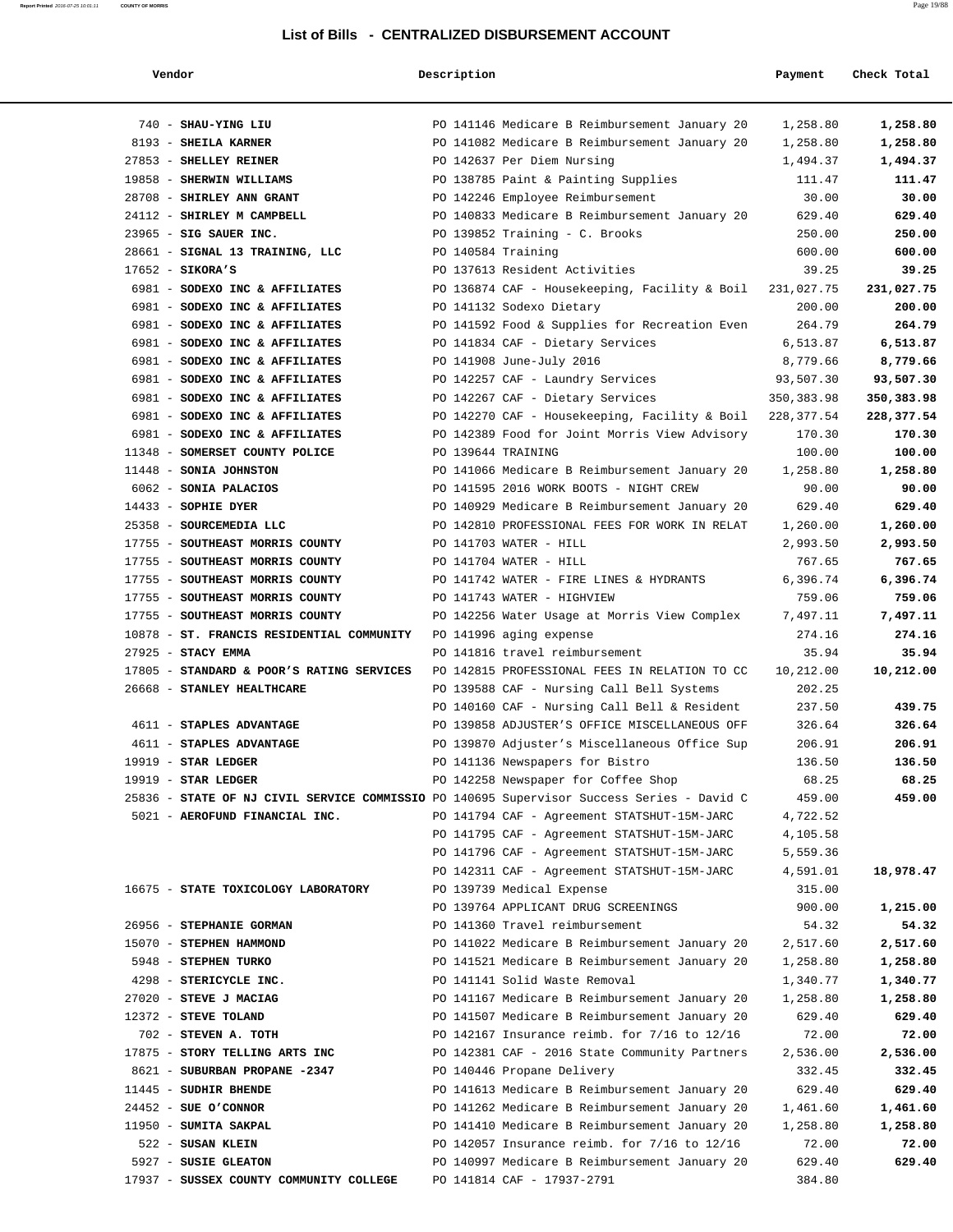#### **Report Printed** 2016-07-25 10:01:11 **COUNTY OF MORRIS** Page 19/88

### **List of Bills - CENTRALIZED DISBURSEMENT ACCOUNT**

| Thagh Tatal |  |
|-------------|--|

| Vendor                                                                                    | Description        |                                               | Payment    | Check Total |
|-------------------------------------------------------------------------------------------|--------------------|-----------------------------------------------|------------|-------------|
|                                                                                           |                    |                                               |            |             |
| 740 - SHAU-YING LIU<br>8193 - SHEILA KARNER                                               |                    | PO 141146 Medicare B Reimbursement January 20 | 1,258.80   | 1,258.80    |
|                                                                                           |                    | PO 141082 Medicare B Reimbursement January 20 | 1,258.80   | 1,258.80    |
| 27853 - SHELLEY REINER                                                                    |                    | PO 142637 Per Diem Nursing                    | 1,494.37   | 1,494.37    |
| 19858 - SHERWIN WILLIAMS                                                                  |                    | PO 138785 Paint & Painting Supplies           | 111.47     | 111.47      |
| 28708 - SHIRLEY ANN GRANT                                                                 |                    | PO 142246 Employee Reimbursement              | 30.00      | 30.00       |
| 24112 - SHIRLEY M CAMPBELL                                                                |                    | PO 140833 Medicare B Reimbursement January 20 | 629.40     | 629.40      |
| 23965 - SIG SAUER INC.                                                                    |                    | PO 139852 Training - C. Brooks                | 250.00     | 250.00      |
| 28661 - SIGNAL 13 TRAINING, LLC                                                           | PO 140584 Training |                                               | 600.00     | 600.00      |
| $17652 -$ SIKORA'S                                                                        |                    | PO 137613 Resident Activities                 | 39.25      | 39.25       |
| 6981 - SODEXO INC & AFFILIATES                                                            |                    | PO 136874 CAF - Housekeeping, Facility & Boil | 231,027.75 | 231,027.75  |
| 6981 - SODEXO INC & AFFILIATES                                                            |                    | PO 141132 Sodexo Dietary                      | 200.00     | 200.00      |
| 6981 - SODEXO INC & AFFILIATES                                                            |                    | PO 141592 Food & Supplies for Recreation Even | 264.79     | 264.79      |
| 6981 - SODEXO INC & AFFILIATES                                                            |                    | PO 141834 CAF - Dietary Services              | 6,513.87   | 6,513.87    |
| 6981 - SODEXO INC & AFFILIATES                                                            |                    | PO 141908 June-July 2016                      | 8,779.66   | 8,779.66    |
| 6981 - SODEXO INC & AFFILIATES                                                            |                    | PO 142257 CAF - Laundry Services              | 93,507.30  | 93,507.30   |
| 6981 - SODEXO INC & AFFILIATES                                                            |                    | PO 142267 CAF - Dietary Services              | 350,383.98 | 350,383.98  |
| 6981 - SODEXO INC & AFFILIATES                                                            |                    | PO 142270 CAF - Housekeeping, Facility & Boil | 228,377.54 | 228,377.54  |
| 6981 - SODEXO INC & AFFILIATES                                                            |                    | PO 142389 Food for Joint Morris View Advisory | 170.30     | 170.30      |
| 11348 - SOMERSET COUNTY POLICE                                                            | PO 139644 TRAINING |                                               | 100.00     | 100.00      |
| 11448 - SONIA JOHNSTON                                                                    |                    | PO 141066 Medicare B Reimbursement January 20 | 1,258.80   | 1,258.80    |
| 6062 - SONIA PALACIOS                                                                     |                    | PO 141595 2016 WORK BOOTS - NIGHT CREW        | 90.00      | 90.00       |
| 14433 - SOPHIE DYER                                                                       |                    | PO 140929 Medicare B Reimbursement January 20 | 629.40     | 629.40      |
| 25358 - SOURCEMEDIA LLC                                                                   |                    | PO 142810 PROFESSIONAL FEES FOR WORK IN RELAT | 1,260.00   | 1,260.00    |
| 17755 - SOUTHEAST MORRIS COUNTY                                                           |                    | PO 141703 WATER - HILL                        | 2,993.50   | 2,993.50    |
| 17755 - SOUTHEAST MORRIS COUNTY                                                           |                    | PO 141704 WATER - HILL                        | 767.65     | 767.65      |
| 17755 - SOUTHEAST MORRIS COUNTY                                                           |                    | PO 141742 WATER - FIRE LINES & HYDRANTS       | 6,396.74   | 6,396.74    |
| 17755 - SOUTHEAST MORRIS COUNTY                                                           |                    | PO 141743 WATER - HIGHVIEW                    | 759.06     | 759.06      |
| 17755 - SOUTHEAST MORRIS COUNTY                                                           |                    | PO 142256 Water Usage at Morris View Complex  | 7,497.11   | 7,497.11    |
| 10878 - ST. FRANCIS RESIDENTIAL COMMUNITY                                                 |                    | PO 141996 aging expense                       | 274.16     | 274.16      |
| 27925 - STACY EMMA                                                                        |                    | PO 141816 travel reimbursement                | 35.94      | 35.94       |
| 17805 - STANDARD & POOR'S RATING SERVICES                                                 |                    | PO 142815 PROFESSIONAL FEES IN RELATION TO CC | 10,212.00  | 10,212.00   |
| 26668 - STANLEY HEALTHCARE                                                                |                    | PO 139588 CAF - Nursing Call Bell Systems     | 202.25     |             |
|                                                                                           |                    | PO 140160 CAF - Nursing Call Bell & Resident  | 237.50     | 439.75      |
| 4611 - STAPLES ADVANTAGE                                                                  |                    | PO 139858 ADJUSTER'S OFFICE MISCELLANEOUS OFF | 326.64     | 326.64      |
| 4611 - STAPLES ADVANTAGE                                                                  |                    | PO 139870 Adjuster's Miscellaneous Office Sup | 206.91     | 206.91      |
| $19919$ - STAR LEDGER                                                                     |                    | PO 141136 Newspapers for Bistro               | 136.50     | 136.50      |
| $19919$ - STAR LEDGER                                                                     |                    | PO 142258 Newspaper for Coffee Shop           | 68.25      | 68.25       |
| 25836 - STATE OF NJ CIVIL SERVICE COMMISSIO PO 140695 Supervisor Success Series - David C |                    |                                               | 459.00     | 459.00      |
| 5021 - AEROFUND FINANCIAL INC.                                                            |                    | PO 141794 CAF - Agreement STATSHUT-15M-JARC   | 4,722.52   |             |
|                                                                                           |                    | PO 141795 CAF - Agreement STATSHUT-15M-JARC   | 4,105.58   |             |
|                                                                                           |                    | PO 141796 CAF - Agreement STATSHUT-15M-JARC   | 5,559.36   |             |
|                                                                                           |                    | PO 142311 CAF - Agreement STATSHUT-15M-JARC   | 4,591.01   | 18,978.47   |
| 16675 - STATE TOXICOLOGY LABORATORY                                                       |                    | PO 139739 Medical Expense                     | 315.00     |             |
|                                                                                           |                    | PO 139764 APPLICANT DRUG SCREENINGS           | 900.00     | 1,215.00    |
| 26956 - STEPHANIE GORMAN                                                                  |                    | PO 141360 Travel reimbursement                | 54.32      | 54.32       |
| 15070 - STEPHEN HAMMOND                                                                   |                    | PO 141022 Medicare B Reimbursement January 20 | 2,517.60   | 2,517.60    |
| 5948 - STEPHEN TURKO                                                                      |                    | PO 141521 Medicare B Reimbursement January 20 | 1,258.80   | 1,258.80    |
| 4298 - STERICYCLE INC.                                                                    |                    | PO 141141 Solid Waste Removal                 | 1,340.77   | 1,340.77    |
| 27020 - STEVE J MACIAG                                                                    |                    | PO 141167 Medicare B Reimbursement January 20 | 1,258.80   | 1,258.80    |
| 12372 - STEVE TOLAND                                                                      |                    | PO 141507 Medicare B Reimbursement January 20 | 629.40     | 629.40      |
| 702 - STEVEN A. TOTH                                                                      |                    | PO 142167 Insurance reimb. for 7/16 to 12/16  | 72.00      | 72.00       |
| 17875 - STORY TELLING ARTS INC                                                            |                    | PO 142381 CAF - 2016 State Community Partners | 2,536.00   | 2,536.00    |
| 8621 - SUBURBAN PROPANE -2347                                                             |                    | PO 140446 Propane Delivery                    | 332.45     | 332.45      |
| 11445 - SUDHIR BHENDE                                                                     |                    | PO 141613 Medicare B Reimbursement January 20 | 629.40     | 629.40      |
| $24452$ - SUE O'CONNOR                                                                    |                    | PO 141262 Medicare B Reimbursement January 20 | 1,461.60   | 1,461.60    |
| 11950 - SUMITA SAKPAL                                                                     |                    | PO 141410 Medicare B Reimbursement January 20 | 1,258.80   | 1,258.80    |
| 522 - SUSAN KLEIN                                                                         |                    | PO 142057 Insurance reimb. for 7/16 to 12/16  | 72.00      | 72.00       |
| 5927 - SUSIE GLEATON                                                                      |                    | PO 140997 Medicare B Reimbursement January 20 | 629.40     | 629.40      |

17937 - **SUSSEX COUNTY COMMUNITY COLLEGE** PO 141814 CAF - 17937-2791 384.80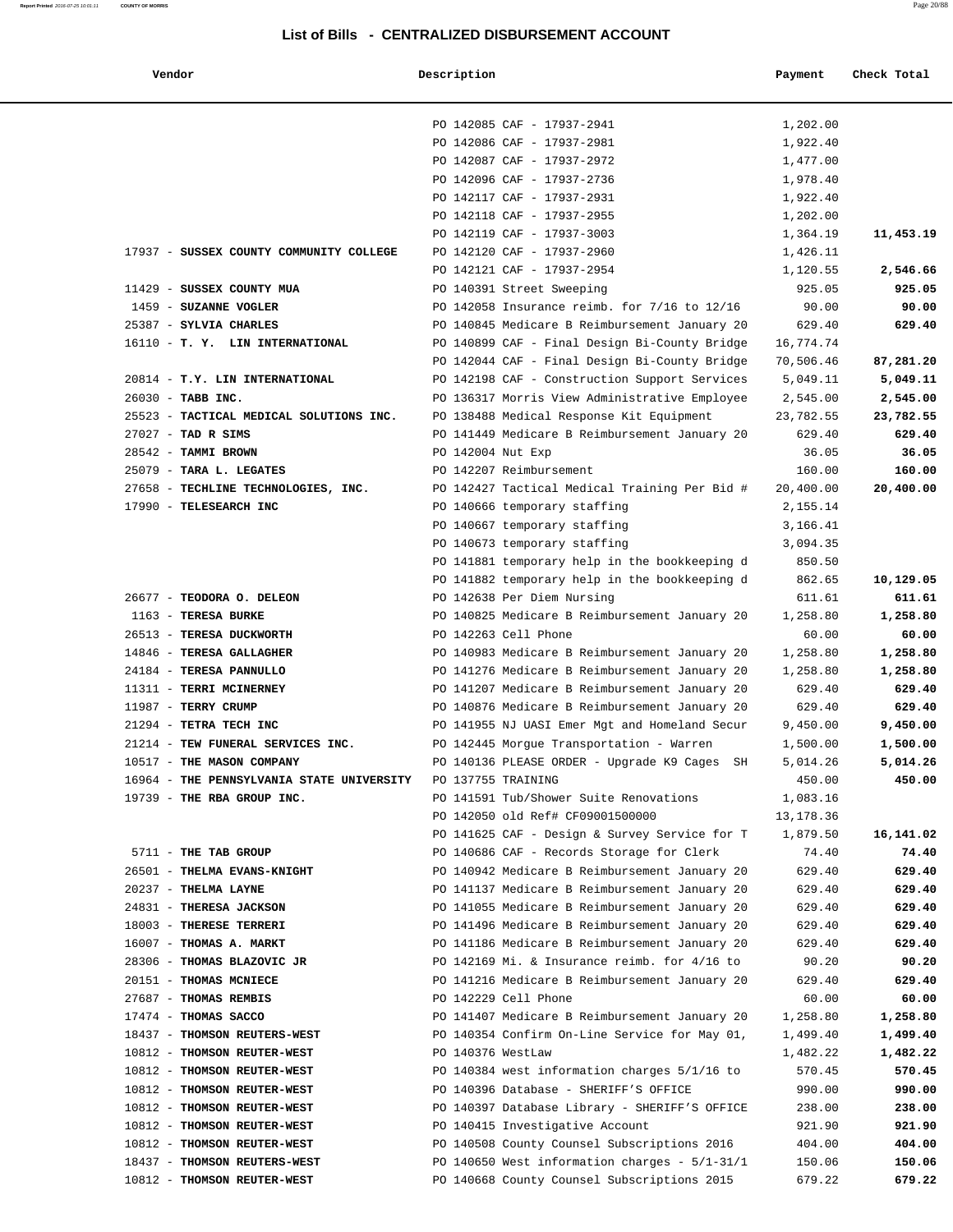| Vendor                                    | Description        |                                                 | Payment   | Check Total |
|-------------------------------------------|--------------------|-------------------------------------------------|-----------|-------------|
|                                           |                    | PO 142085 CAF - 17937-2941                      | 1,202.00  |             |
|                                           |                    | PO 142086 CAF - 17937-2981                      | 1,922.40  |             |
|                                           |                    | PO 142087 CAF - 17937-2972                      | 1,477.00  |             |
|                                           |                    | PO 142096 CAF - 17937-2736                      | 1,978.40  |             |
|                                           |                    | PO 142117 CAF - 17937-2931                      | 1,922.40  |             |
|                                           |                    | PO 142118 CAF - 17937-2955                      | 1,202.00  |             |
|                                           |                    | PO 142119 CAF - 17937-3003                      | 1,364.19  | 11,453.19   |
| 17937 - SUSSEX COUNTY COMMUNITY COLLEGE   |                    | PO 142120 CAF - 17937-2960                      | 1,426.11  |             |
|                                           |                    | PO 142121 CAF - 17937-2954                      | 1,120.55  | 2,546.66    |
| 11429 - SUSSEX COUNTY MUA                 |                    | PO 140391 Street Sweeping                       | 925.05    | 925.05      |
| 1459 - SUZANNE VOGLER                     |                    | PO 142058 Insurance reimb. for 7/16 to 12/16    | 90.00     | 90.00       |
| 25387 - SYLVIA CHARLES                    |                    | PO 140845 Medicare B Reimbursement January 20   | 629.40    | 629.40      |
| 16110 - T. Y. LIN INTERNATIONAL           |                    | PO 140899 CAF - Final Design Bi-County Bridge   | 16,774.74 |             |
|                                           |                    | PO 142044 CAF - Final Design Bi-County Bridge   | 70,506.46 | 87,281.20   |
| 20814 - T.Y. LIN INTERNATIONAL            |                    | PO 142198 CAF - Construction Support Services   | 5,049.11  | 5,049.11    |
| 26030 - TABB INC.                         |                    | PO 136317 Morris View Administrative Employee   | 2,545.00  | 2,545.00    |
| 25523 - TACTICAL MEDICAL SOLUTIONS INC.   |                    | PO 138488 Medical Response Kit Equipment        | 23,782.55 | 23,782.55   |
| 27027 - TAD R SIMS                        |                    | PO 141449 Medicare B Reimbursement January 20   | 629.40    | 629.40      |
| 28542 - TAMMI BROWN                       | PO 142004 Nut Exp  |                                                 | 36.05     | 36.05       |
| 25079 - TARA L. LEGATES                   |                    | PO 142207 Reimbursement                         | 160.00    | 160.00      |
| 27658 - TECHLINE TECHNOLOGIES, INC.       |                    | PO 142427 Tactical Medical Training Per Bid #   | 20,400.00 | 20,400.00   |
| 17990 - TELESEARCH INC                    |                    | PO 140666 temporary staffing                    | 2,155.14  |             |
|                                           |                    | PO 140667 temporary staffing                    | 3,166.41  |             |
|                                           |                    | PO 140673 temporary staffing                    | 3,094.35  |             |
|                                           |                    | PO 141881 temporary help in the bookkeeping d   | 850.50    |             |
|                                           |                    | PO 141882 temporary help in the bookkeeping d   | 862.65    | 10,129.05   |
| 26677 - TEODORA O. DELEON                 |                    | PO 142638 Per Diem Nursing                      | 611.61    | 611.61      |
| 1163 - TERESA BURKE                       |                    | PO 140825 Medicare B Reimbursement January 20   | 1,258.80  | 1,258.80    |
| 26513 - TERESA DUCKWORTH                  |                    | PO 142263 Cell Phone                            | 60.00     | 60.00       |
| 14846 - TERESA GALLAGHER                  |                    | PO 140983 Medicare B Reimbursement January 20   | 1,258.80  | 1,258.80    |
| 24184 - TERESA PANNULLO                   |                    | PO 141276 Medicare B Reimbursement January 20   | 1,258.80  | 1,258.80    |
| 11311 - TERRI MCINERNEY                   |                    | PO 141207 Medicare B Reimbursement January 20   | 629.40    | 629.40      |
| 11987 - TERRY CRUMP                       |                    | PO 140876 Medicare B Reimbursement January 20   | 629.40    | 629.40      |
| 21294 - TETRA TECH INC                    |                    | PO 141955 NJ UASI Emer Mgt and Homeland Secur   | 9,450.00  | 9,450.00    |
| 21214 - TEW FUNERAL SERVICES INC.         |                    | PO 142445 Morgue Transportation - Warren        | 1,500.00  | 1,500.00    |
| 10517 - THE MASON COMPANY                 |                    | PO 140136 PLEASE ORDER - Upgrade K9 Cages<br>SH | 5,014.26  | 5,014.26    |
| 16964 - THE PENNSYLVANIA STATE UNIVERSITY | PO 137755 TRAINING |                                                 | 450.00    | 450.00      |
| 19739 - THE RBA GROUP INC.                |                    | PO 141591 Tub/Shower Suite Renovations          | 1,083.16  |             |
|                                           |                    | PO 142050 old Ref# CF09001500000                | 13,178.36 |             |
|                                           |                    | PO 141625 CAF - Design & Survey Service for T   | 1,879.50  | 16,141.02   |
| 5711 - THE TAB GROUP                      |                    | PO 140686 CAF - Records Storage for Clerk       | 74.40     | 74.40       |
| 26501 - THELMA EVANS-KNIGHT               |                    | PO 140942 Medicare B Reimbursement January 20   | 629.40    | 629.40      |
| 20237 - THELMA LAYNE                      |                    | PO 141137 Medicare B Reimbursement January 20   | 629.40    | 629.40      |
| 24831 - THERESA JACKSON                   |                    | PO 141055 Medicare B Reimbursement January 20   | 629.40    | 629.40      |
| 18003 - THERESE TERRERI                   |                    | PO 141496 Medicare B Reimbursement January 20   | 629.40    | 629.40      |
| 16007 - THOMAS A. MARKT                   |                    | PO 141186 Medicare B Reimbursement January 20   | 629.40    | 629.40      |
| 28306 - THOMAS BLAZOVIC JR                |                    | PO 142169 Mi. & Insurance reimb. for 4/16 to    | 90.20     | 90.20       |
| 20151 - THOMAS MCNIECE                    |                    | PO 141216 Medicare B Reimbursement January 20   | 629.40    | 629.40      |
| 27687 - THOMAS REMBIS                     |                    | PO 142229 Cell Phone                            | 60.00     | 60.00       |
| 17474 - THOMAS SACCO                      |                    | PO 141407 Medicare B Reimbursement January 20   | 1,258.80  | 1,258.80    |
| 18437 - THOMSON REUTERS-WEST              |                    | PO 140354 Confirm On-Line Service for May 01,   | 1,499.40  | 1,499.40    |
| 10812 - THOMSON REUTER-WEST               | PO 140376 WestLaw  |                                                 | 1,482.22  | 1,482.22    |
| 10812 - THOMSON REUTER-WEST               |                    | PO 140384 west information charges 5/1/16 to    | 570.45    | 570.45      |
| 10812 - THOMSON REUTER-WEST               |                    | PO 140396 Database - SHERIFF'S OFFICE           | 990.00    | 990.00      |
| 10812 - THOMSON REUTER-WEST               |                    | PO 140397 Database Library - SHERIFF'S OFFICE   | 238.00    | 238.00      |
| 10812 - THOMSON REUTER-WEST               |                    | PO 140415 Investigative Account                 | 921.90    | 921.90      |
| 10812 - THOMSON REUTER-WEST               |                    | PO 140508 County Counsel Subscriptions 2016     | 404.00    | 404.00      |
| 18437 - THOMSON REUTERS-WEST              |                    | PO 140650 West information charges - $5/1-31/1$ | 150.06    | 150.06      |

10812 - **THOMSON REUTER-WEST** PO 140668 County Counsel Subscriptions 2015 679.22 **679.22**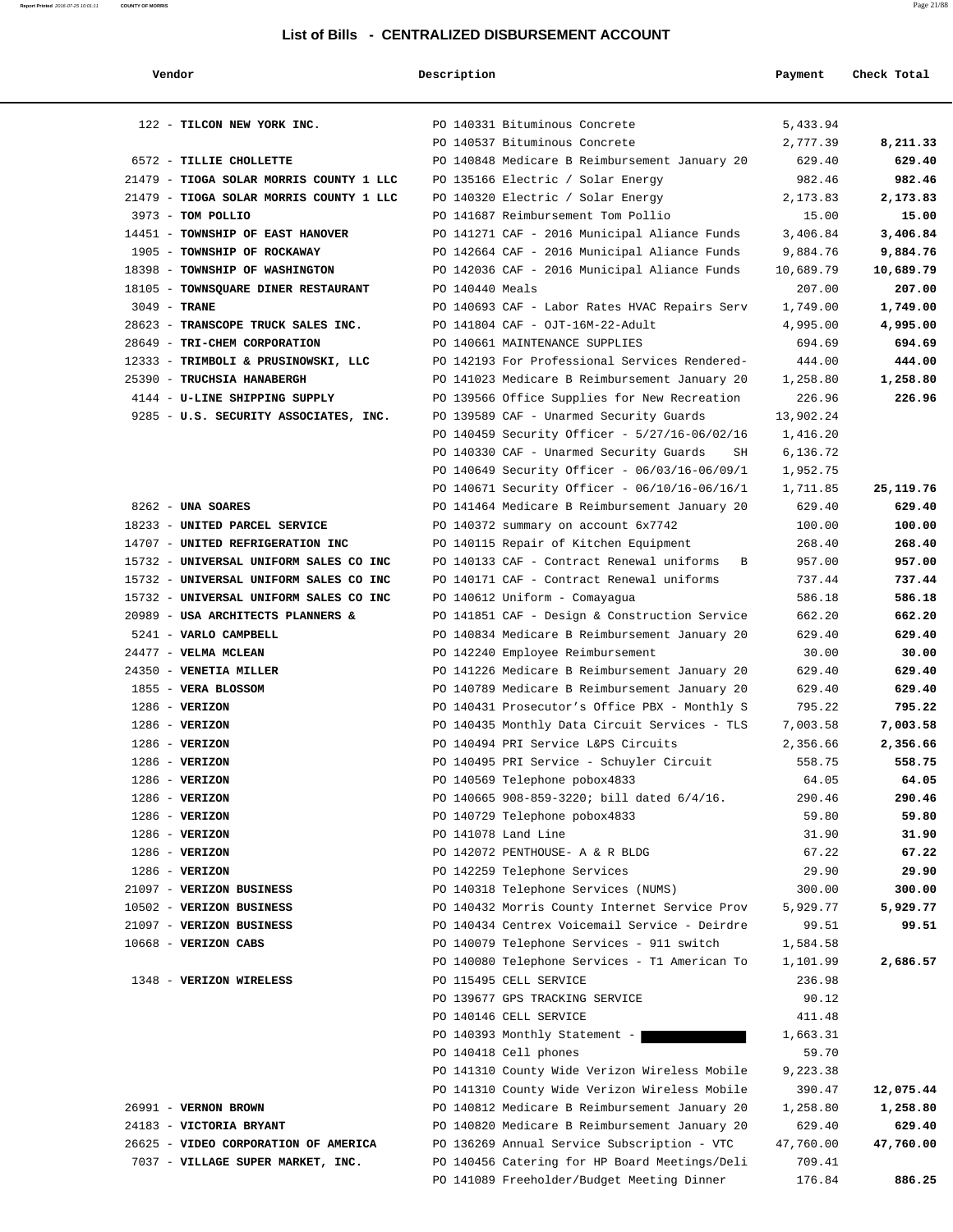| Vendor                                  | Description     |                                                                                   | Payment              | Check Total        |
|-----------------------------------------|-----------------|-----------------------------------------------------------------------------------|----------------------|--------------------|
| 122 - TILCON NEW YORK INC.              |                 | PO 140331 Bituminous Concrete                                                     | 5,433.94             |                    |
|                                         |                 | PO 140537 Bituminous Concrete                                                     | 2,777.39             | 8,211.33           |
| 6572 - TILLIE CHOLLETTE                 |                 | PO 140848 Medicare B Reimbursement January 20                                     | 629.40               | 629.40             |
| 21479 - TIOGA SOLAR MORRIS COUNTY 1 LLC |                 | PO 135166 Electric / Solar Energy                                                 | 982.46               | 982.46             |
| 21479 - TIOGA SOLAR MORRIS COUNTY 1 LLC |                 | PO 140320 Electric / Solar Energy                                                 | 2,173.83             | 2,173.83           |
| 3973 - TOM POLLIO                       |                 | PO 141687 Reimbursement Tom Pollio                                                | 15.00                | 15.00              |
| 14451 - TOWNSHIP OF EAST HANOVER        |                 | PO 141271 CAF - 2016 Municipal Aliance Funds                                      | 3,406.84             | 3,406.84           |
| 1905 - TOWNSHIP OF ROCKAWAY             |                 | PO 142664 CAF - 2016 Municipal Aliance Funds                                      | 9,884.76             | 9,884.76           |
| 18398 - TOWNSHIP OF WASHINGTON          |                 | PO 142036 CAF - 2016 Municipal Aliance Funds                                      | 10,689.79            | 10,689.79          |
| 18105 - TOWNSQUARE DINER RESTAURANT     | PO 140440 Meals |                                                                                   | 207.00               | 207.00             |
| $3049$ - TRANE                          |                 | PO 140693 CAF - Labor Rates HVAC Repairs Serv                                     | 1,749.00             | 1,749.00           |
| 28623 - TRANSCOPE TRUCK SALES INC.      |                 | PO 141804 CAF - OJT-16M-22-Adult                                                  | 4,995.00             | 4,995.00           |
| 28649 - TRI-CHEM CORPORATION            |                 | PO 140661 MAINTENANCE SUPPLIES                                                    | 694.69               | 694.69             |
| 12333 - TRIMBOLI & PRUSINOWSKI, LLC     |                 | PO 142193 For Professional Services Rendered-                                     | 444.00               | 444.00             |
| 25390 - TRUCHSIA HANABERGH              |                 | PO 141023 Medicare B Reimbursement January 20                                     | 1,258.80             | 1,258.80           |
| 4144 - U-LINE SHIPPING SUPPLY           |                 | PO 139566 Office Supplies for New Recreation                                      | 226.96               | 226.96             |
| 9285 - U.S. SECURITY ASSOCIATES, INC.   |                 | PO 139589 CAF - Unarmed Security Guards                                           | 13,902.24            |                    |
|                                         |                 | PO 140459 Security Officer - 5/27/16-06/02/16                                     | 1,416.20             |                    |
|                                         |                 | PO 140330 CAF - Unarmed Security Guards<br>SH                                     | 6,136.72             |                    |
|                                         |                 | PO 140649 Security Officer - 06/03/16-06/09/1                                     | 1,952.75             |                    |
|                                         |                 | PO 140671 Security Officer - 06/10/16-06/16/1                                     | 1,711.85             | 25, 119. 76        |
| $8262$ - UNA SOARES                     |                 | PO 141464 Medicare B Reimbursement January 20                                     | 629.40               | 629.40             |
| 18233 - UNITED PARCEL SERVICE           |                 | PO 140372 summary on account 6x7742                                               | 100.00               | 100.00             |
| 14707 - UNITED REFRIGERATION INC        |                 | PO 140115 Repair of Kitchen Equipment                                             | 268.40               | 268.40             |
| 15732 - UNIVERSAL UNIFORM SALES CO INC  |                 | PO 140133 CAF - Contract Renewal uniforms<br>B                                    | 957.00               | 957.00             |
| 15732 - UNIVERSAL UNIFORM SALES CO INC  |                 | PO 140171 CAF - Contract Renewal uniforms                                         | 737.44               | 737.44             |
| 15732 - UNIVERSAL UNIFORM SALES CO INC  |                 |                                                                                   | 586.18               | 586.18             |
| 20989 - USA ARCHITECTS PLANNERS &       |                 | PO 140612 Uniform - Comayagua                                                     |                      | 662.20             |
| 5241 - VARLO CAMPBELL                   |                 | PO 141851 CAF - Design & Construction Service                                     | 662.20<br>629.40     | 629.40             |
| 24477 - VELMA MCLEAN                    |                 | PO 140834 Medicare B Reimbursement January 20                                     |                      | 30.00              |
|                                         |                 | PO 142240 Employee Reimbursement<br>PO 141226 Medicare B Reimbursement January 20 | 30.00                | 629.40             |
| 24350 - VENETIA MILLER                  |                 |                                                                                   | 629.40               |                    |
| 1855 - VERA BLOSSOM                     |                 | PO 140789 Medicare B Reimbursement January 20                                     | 629.40               | 629.40             |
| $1286$ - VERIZON                        |                 | PO 140431 Prosecutor's Office PBX - Monthly S                                     | 795.22               | 795.22<br>7,003.58 |
| $1286 - VERIZON$<br>$1286$ - VERIZON    |                 | PO 140435 Monthly Data Circuit Services - TLS                                     | 7,003.58<br>2,356.66 |                    |
|                                         |                 | PO 140494 PRI Service L&PS Circuits                                               |                      | 2,356.66           |
| $1286$ - VERIZON                        |                 | PO 140495 PRI Service - Schuyler Circuit                                          | 558.75               | 558.75             |
| $1286$ - VERIZON                        |                 | PO 140569 Telephone pobox4833                                                     | 64.05                | 64.05              |
| $1286$ - VERIZON                        |                 | PO 140665 908-859-3220; bill dated 6/4/16.                                        | 290.46               | 290.46             |
| $1286$ - VERIZON<br>$1286$ - VERIZON    |                 | PO 140729 Telephone pobox4833                                                     | 59.80                | 59.80              |
|                                         |                 | PO 141078 Land Line                                                               | 31.90                | 31.90              |
| $1286$ - VERIZON                        |                 | PO 142072 PENTHOUSE- A & R BLDG                                                   | 67.22                | 67.22              |
| $1286 - VERIZON$                        |                 | PO 142259 Telephone Services                                                      | 29.90                | 29.90              |
| 21097 - VERIZON BUSINESS                |                 | PO 140318 Telephone Services (NUMS)                                               | 300.00               | 300.00             |
| 10502 - VERIZON BUSINESS                |                 | PO 140432 Morris County Internet Service Prov                                     | 5,929.77             | 5,929.77           |
| 21097 - VERIZON BUSINESS                |                 | PO 140434 Centrex Voicemail Service - Deirdre                                     | 99.51                | 99.51              |
| $10668$ - VERIZON CABS                  |                 | PO 140079 Telephone Services - 911 switch                                         | 1,584.58             |                    |
|                                         |                 | PO 140080 Telephone Services - T1 American To                                     | 1,101.99             | 2,686.57           |
| 1348 - VERIZON WIRELESS                 |                 | PO 115495 CELL SERVICE                                                            | 236.98               |                    |
|                                         |                 | PO 139677 GPS TRACKING SERVICE                                                    | 90.12                |                    |
|                                         |                 | PO 140146 CELL SERVICE                                                            | 411.48               |                    |
|                                         |                 | PO 140393 Monthly Statement -                                                     | 1,663.31             |                    |
|                                         |                 | PO 140418 Cell phones                                                             | 59.70                |                    |
|                                         |                 | PO 141310 County Wide Verizon Wireless Mobile                                     | 9,223.38             |                    |
|                                         |                 | PO 141310 County Wide Verizon Wireless Mobile                                     | 390.47               | 12,075.44          |
| 26991 - VERNON BROWN                    |                 | PO 140812 Medicare B Reimbursement January 20                                     | 1,258.80             | 1,258.80           |
| 24183 - VICTORIA BRYANT                 |                 | PO 140820 Medicare B Reimbursement January 20                                     | 629.40               | 629.40             |
| 26625 - VIDEO CORPORATION OF AMERICA    |                 | PO 136269 Annual Service Subscription - VTC                                       | 47,760.00            | 47,760.00          |
| 7037 - VILLAGE SUPER MARKET, INC.       |                 | PO 140456 Catering for HP Board Meetings/Deli                                     | 709.41               |                    |
|                                         |                 | PO 141089 Freeholder/Budget Meeting Dinner                                        | 176.84               | 886.25             |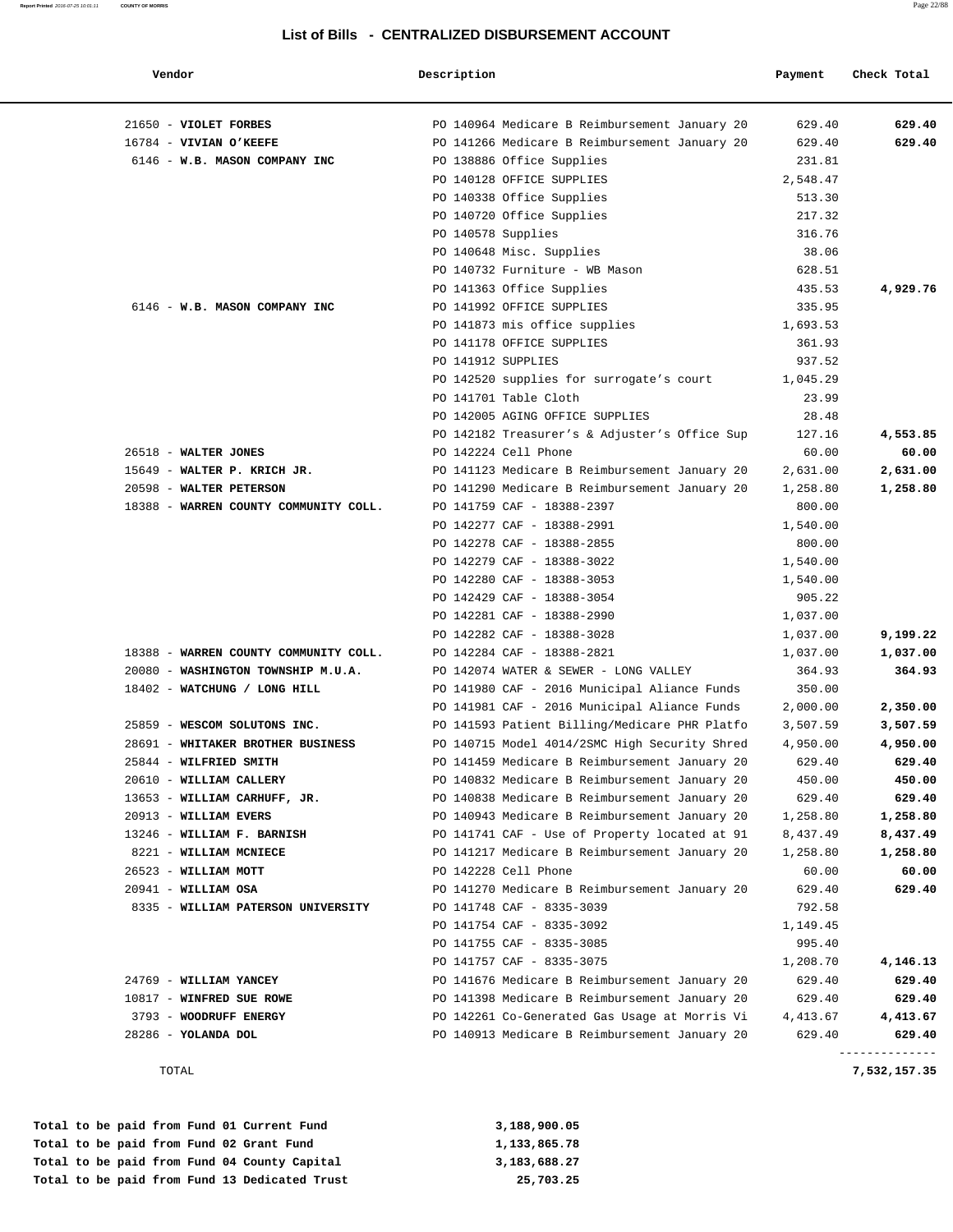#### **Report Printed** 2016-07-25 10:01:11 **COUNTY OF MORRIS** Page 22/88

### **List of Bills - CENTRALIZED DISBURSEMENT ACCOUNT**

| Vendor                                | Description                                   | Payment  | Check Total              |
|---------------------------------------|-----------------------------------------------|----------|--------------------------|
| 21650 - VIOLET FORBES                 | PO 140964 Medicare B Reimbursement January 20 | 629.40   | 629.40                   |
| 16784 - VIVIAN O'KEEFE                | PO 141266 Medicare B Reimbursement January 20 | 629.40   | 629.40                   |
| 6146 - W.B. MASON COMPANY INC         | PO 138886 Office Supplies                     | 231.81   |                          |
|                                       | PO 140128 OFFICE SUPPLIES                     | 2,548.47 |                          |
|                                       | PO 140338 Office Supplies                     | 513.30   |                          |
|                                       | PO 140720 Office Supplies                     | 217.32   |                          |
|                                       | PO 140578 Supplies                            | 316.76   |                          |
|                                       | PO 140648 Misc. Supplies                      | 38.06    |                          |
|                                       | PO 140732 Furniture - WB Mason                | 628.51   |                          |
|                                       | PO 141363 Office Supplies                     | 435.53   | 4,929.76                 |
| 6146 - W.B. MASON COMPANY INC         | PO 141992 OFFICE SUPPLIES                     | 335.95   |                          |
|                                       | PO 141873 mis office supplies                 | 1,693.53 |                          |
|                                       | PO 141178 OFFICE SUPPLIES                     | 361.93   |                          |
|                                       | PO 141912 SUPPLIES                            | 937.52   |                          |
|                                       | PO 142520 supplies for surrogate's court      | 1,045.29 |                          |
|                                       | PO 141701 Table Cloth                         | 23.99    |                          |
|                                       | PO 142005 AGING OFFICE SUPPLIES               | 28.48    |                          |
|                                       | PO 142182 Treasurer's & Adjuster's Office Sup | 127.16   | 4,553.85                 |
| 26518 - WALTER JONES                  | PO 142224 Cell Phone                          | 60.00    | 60.00                    |
| 15649 - WALTER P. KRICH JR.           | PO 141123 Medicare B Reimbursement January 20 | 2,631.00 | 2,631.00                 |
| 20598 - WALTER PETERSON               | PO 141290 Medicare B Reimbursement January 20 | 1,258.80 | 1,258.80                 |
| 18388 - WARREN COUNTY COMMUNITY COLL. | PO 141759 CAF - 18388-2397                    | 800.00   |                          |
|                                       | PO 142277 CAF - 18388-2991                    | 1,540.00 |                          |
|                                       | PO 142278 CAF - 18388-2855                    | 800.00   |                          |
|                                       | PO 142279 CAF - 18388-3022                    | 1,540.00 |                          |
|                                       | PO 142280 CAF - 18388-3053                    | 1,540.00 |                          |
|                                       | PO 142429 CAF - 18388-3054                    | 905.22   |                          |
|                                       | PO 142281 CAF - 18388-2990                    | 1,037.00 |                          |
|                                       | PO 142282 CAF - 18388-3028                    | 1,037.00 | 9,199.22                 |
| 18388 - WARREN COUNTY COMMUNITY COLL. | PO 142284 CAF - 18388-2821                    | 1,037.00 | 1,037.00                 |
| 20080 - WASHINGTON TOWNSHIP M.U.A.    | PO 142074 WATER & SEWER - LONG VALLEY         | 364.93   | 364.93                   |
| 18402 - WATCHUNG / LONG HILL          | PO 141980 CAF - 2016 Municipal Aliance Funds  | 350.00   |                          |
|                                       | PO 141981 CAF - 2016 Municipal Aliance Funds  | 2,000.00 | 2,350.00                 |
| 25859 - WESCOM SOLUTONS INC.          | PO 141593 Patient Billing/Medicare PHR Platfo | 3,507.59 | 3,507.59                 |
| 28691 - WHITAKER BROTHER BUSINESS     | PO 140715 Model 4014/2SMC High Security Shred | 4,950.00 | 4,950.00                 |
| 25844 - WILFRIED SMITH                | PO 141459 Medicare B Reimbursement January 20 | 629.40   | 629.40                   |
| 20610 - WILLIAM CALLERY               | PO 140832 Medicare B Reimbursement January 20 | 450.00   | 450.00                   |
| 13653 - WILLIAM CARHUFF, JR.          | PO 140838 Medicare B Reimbursement January 20 | 629.40   | 629.40                   |
| 20913 - WILLIAM EVERS                 | PO 140943 Medicare B Reimbursement January 20 | 1,258.80 | 1,258.80                 |
| 13246 - WILLIAM F. BARNISH            | PO 141741 CAF - Use of Property located at 91 | 8,437.49 | 8,437.49                 |
| 8221 - WILLIAM MCNIECE                | PO 141217 Medicare B Reimbursement January 20 | 1,258.80 | 1,258.80                 |
| 26523 - WILLIAM MOTT                  | PO 142228 Cell Phone                          | 60.00    | 60.00                    |
| $20941 - WILLIAM OSA$                 | PO 141270 Medicare B Reimbursement January 20 | 629.40   | 629.40                   |
| 8335 - WILLIAM PATERSON UNIVERSITY    | PO 141748 CAF - 8335-3039                     | 792.58   |                          |
|                                       | PO 141754 CAF - 8335-3092                     | 1,149.45 |                          |
|                                       | PO 141755 CAF - 8335-3085                     | 995.40   |                          |
|                                       | PO 141757 CAF - 8335-3075                     | 1,208.70 | 4,146.13                 |
| 24769 - WILLIAM YANCEY                | PO 141676 Medicare B Reimbursement January 20 | 629.40   | 629.40                   |
| 10817 - WINFRED SUE ROWE              | PO 141398 Medicare B Reimbursement January 20 | 629.40   | 629.40                   |
| 3793 - WOODRUFF ENERGY                | PO 142261 Co-Generated Gas Usage at Morris Vi | 4,413.67 | 4,413.67                 |
| $28286$ - YOLANDA DOL                 | PO 140913 Medicare B Reimbursement January 20 | 629.40   | 629.40<br>-------------- |

TOTAL **7,532,157.35**

|  |  |  |  | Total to be paid from Fund 01 Current Fund    | 3,188,900.05 |
|--|--|--|--|-----------------------------------------------|--------------|
|  |  |  |  | Total to be paid from Fund 02 Grant Fund      | 1,133,865.78 |
|  |  |  |  | Total to be paid from Fund 04 County Capital  | 3,183,688.27 |
|  |  |  |  | Total to be paid from Fund 13 Dedicated Trust | 25,703.25    |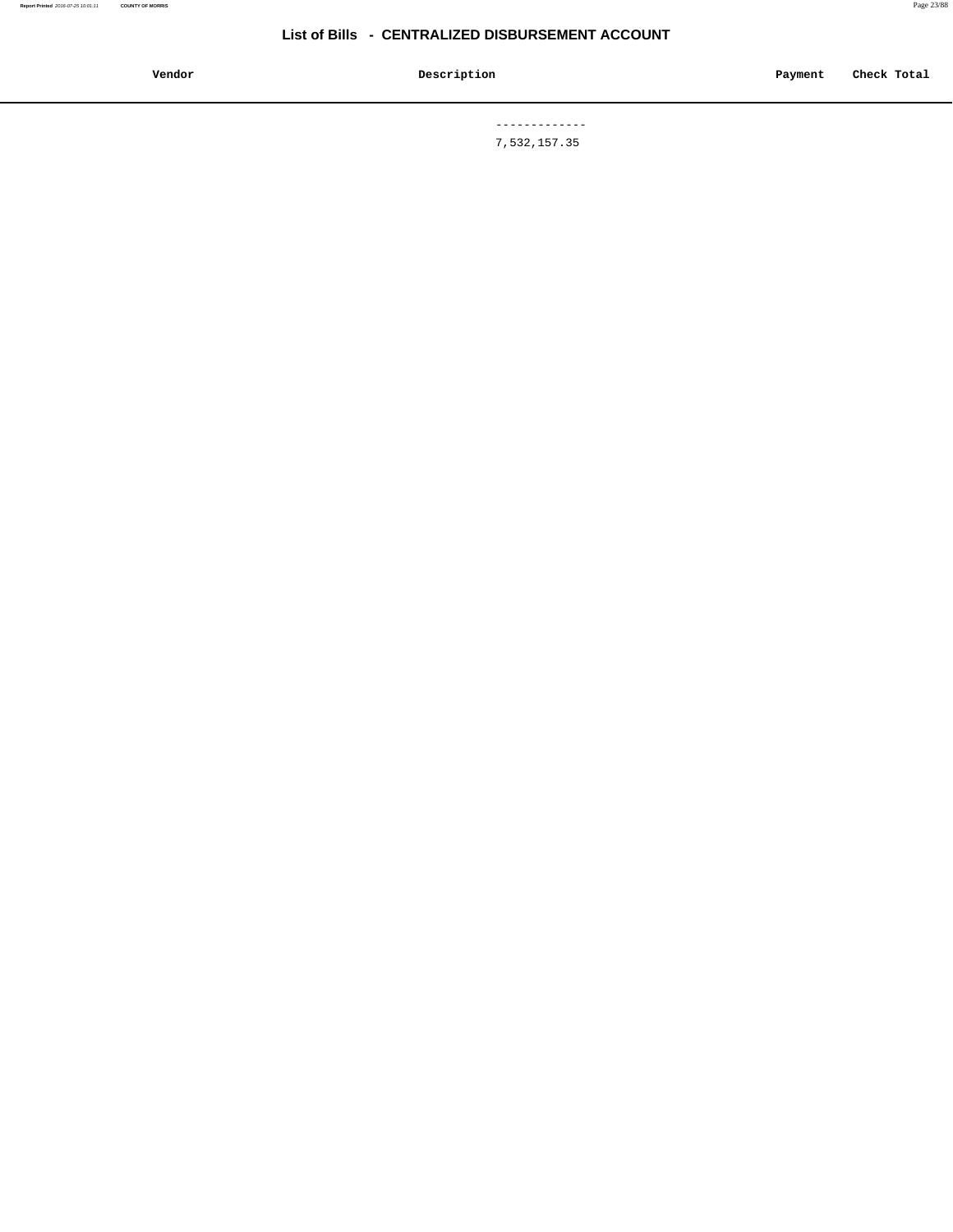**Vendor Description Payment Check Total**

 ------------- 7,532,157.35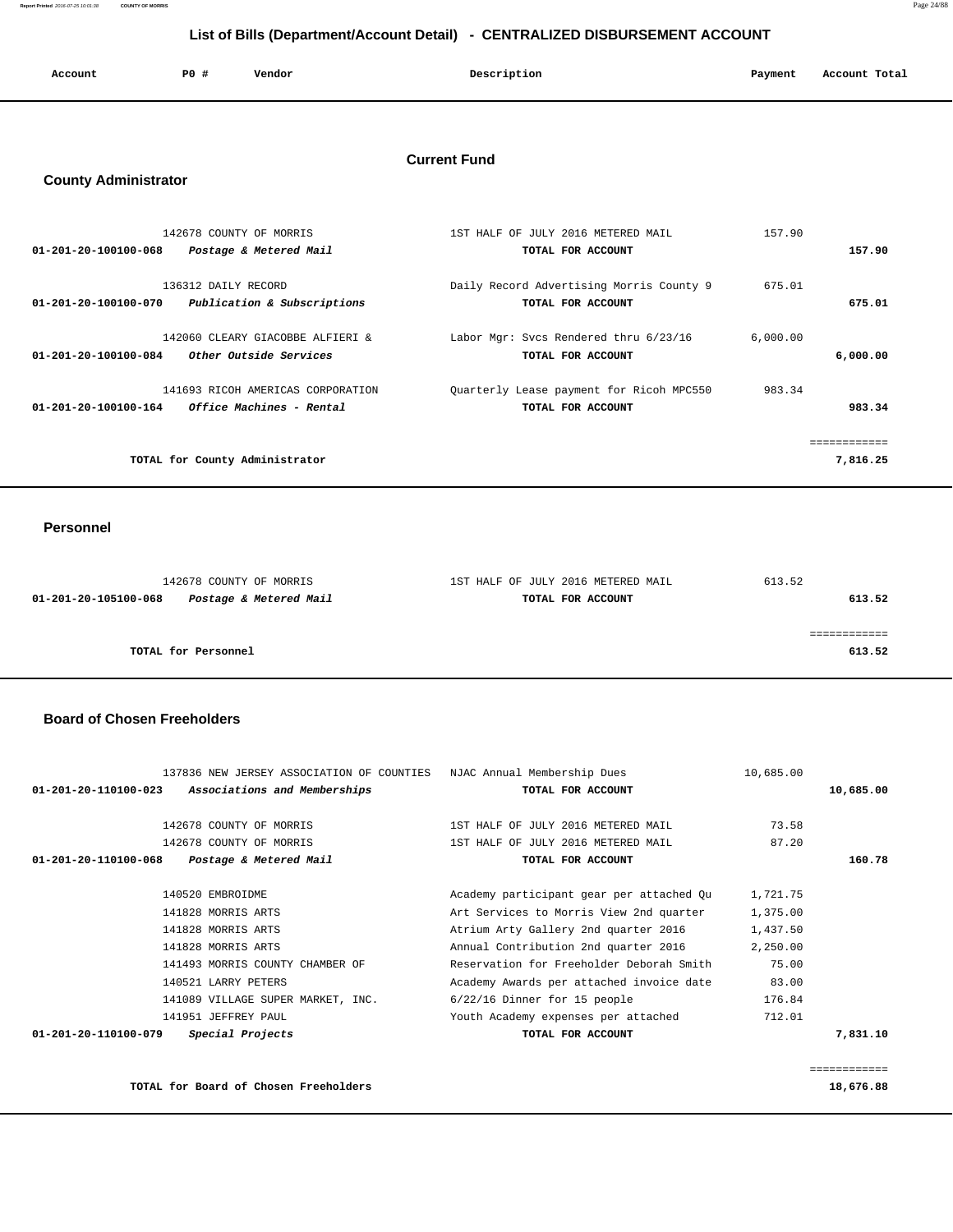**Report Printed** 2016-07-25 10:01:38 **COUNTY OF MORRIS** Page 24/88

# **List of Bills (Department/Account Detail) - CENTRALIZED DISBURSEMENT ACCOUNT**

| Account | P0 # | Vendor | Description | Payment | Account Total |
|---------|------|--------|-------------|---------|---------------|
|         |      |        |             |         |               |

# **Current Fund**

## **County Administrator**

|                      | 142678 COUNTY OF MORRIS           | 1ST HALF OF JULY 2016 METERED MAIL       | 157.90   |          |
|----------------------|-----------------------------------|------------------------------------------|----------|----------|
| 01-201-20-100100-068 | Postage & Metered Mail            | TOTAL FOR ACCOUNT                        |          | 157.90   |
|                      |                                   |                                          |          |          |
|                      | 136312 DAILY RECORD               | Daily Record Advertising Morris County 9 | 675.01   |          |
| 01-201-20-100100-070 | Publication & Subscriptions       | TOTAL FOR ACCOUNT                        |          | 675.01   |
|                      |                                   |                                          |          |          |
|                      | 142060 CLEARY GIACOBBE ALFIERI &  | Labor Mgr: Svcs Rendered thru 6/23/16    | 6.000.00 |          |
| 01-201-20-100100-084 | Other Outside Services            | TOTAL FOR ACCOUNT                        |          | 6,000.00 |
|                      | 141693 RICOH AMERICAS CORPORATION | Quarterly Lease payment for Ricoh MPC550 | 983.34   |          |
| 01-201-20-100100-164 | Office Machines - Rental          | TOTAL FOR ACCOUNT                        |          | 983.34   |
|                      |                                   |                                          |          |          |
|                      |                                   |                                          |          |          |
|                      | TOTAL for County Administrator    |                                          |          | 7,816.25 |
|                      |                                   |                                          |          |          |

#### **Personnel**

| 142678 COUNTY OF MORRIS                        | 1ST HALF OF JULY 2016 METERED MAIL | 613.52 |
|------------------------------------------------|------------------------------------|--------|
| Postage & Metered Mail<br>01-201-20-105100-068 | TOTAL FOR ACCOUNT                  | 613.52 |
|                                                |                                    |        |
|                                                |                                    |        |
| TOTAL for Personnel                            |                                    | 613.52 |
|                                                |                                    |        |

### **Board of Chosen Freeholders**

|                                   |                                                                                | 10,685.00                                                             |           |
|-----------------------------------|--------------------------------------------------------------------------------|-----------------------------------------------------------------------|-----------|
| Associations and Memberships      | TOTAL FOR ACCOUNT                                                              |                                                                       | 10,685.00 |
| 142678 COUNTY OF MORRIS           | 1ST HALF OF JULY 2016 METERED MAIL                                             | 73.58                                                                 |           |
| 142678 COUNTY OF MORRIS           | 1ST HALF OF JULY 2016 METERED MAIL                                             | 87.20                                                                 |           |
| Postage & Metered Mail            | TOTAL FOR ACCOUNT                                                              |                                                                       | 160.78    |
| 140520 EMBROIDME                  | Academy participant gear per attached Qu                                       | 1,721.75                                                              |           |
| 141828 MORRIS ARTS                | Art Services to Morris View 2nd quarter                                        | 1,375.00                                                              |           |
| 141828 MORRIS ARTS                | Atrium Arty Gallery 2nd quarter 2016                                           | 1,437.50                                                              |           |
| 141828 MORRIS ARTS                | Annual Contribution 2nd quarter 2016                                           | 2,250.00                                                              |           |
| 141493 MORRIS COUNTY CHAMBER OF   | Reservation for Freeholder Deborah Smith                                       | 75.00                                                                 |           |
| 140521 LARRY PETERS               | Academy Awards per attached invoice date                                       | 83.00                                                                 |           |
| 141089 VILLAGE SUPER MARKET, INC. | $6/22/16$ Dinner for 15 people                                                 | 176.84                                                                |           |
| 141951 JEFFREY PAUL               | Youth Academy expenses per attached                                            | 712.01                                                                |           |
| Special Projects                  | TOTAL FOR ACCOUNT                                                              |                                                                       | 7,831.10  |
|                                   |                                                                                |                                                                       |           |
|                                   | $01 - 201 - 20 - 110100 - 023$<br>01-201-20-110100-068<br>01-201-20-110100-079 | 137836 NEW JERSEY ASSOCIATION OF COUNTIES NJAC Annual Membership Dues |           |

**TOTAL for Board of Chosen Freeholders 18,676.88**

============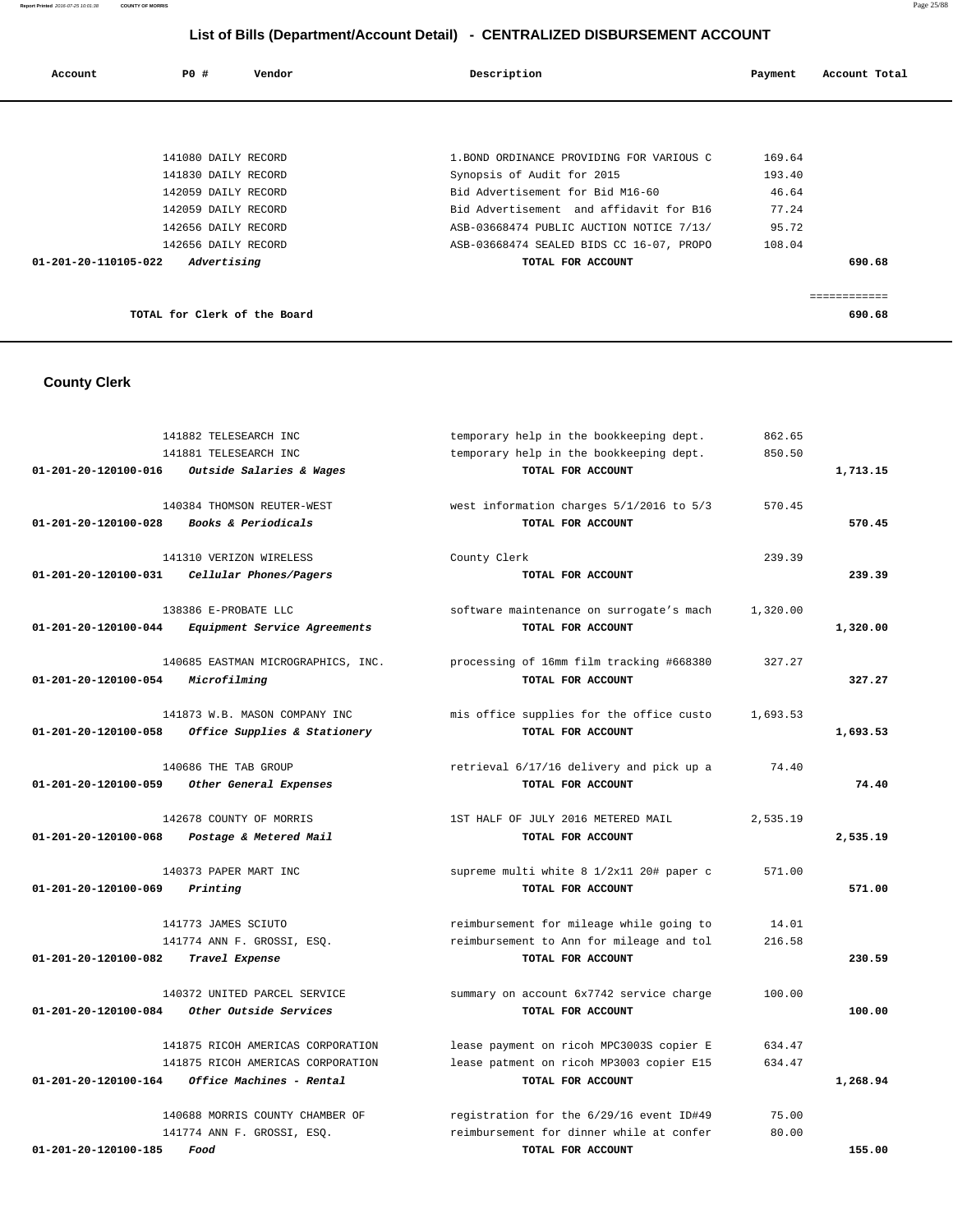# **List of Bills (Department/Account Detail) - CENTRALIZED DISBURSEMENT ACCOUNT**

| Account              | PO#                          | Vendor | Description                               | Payment | Account Total |
|----------------------|------------------------------|--------|-------------------------------------------|---------|---------------|
|                      |                              |        |                                           |         |               |
|                      | 141080 DAILY RECORD          |        | 1. BOND ORDINANCE PROVIDING FOR VARIOUS C | 169.64  |               |
|                      | 141830 DAILY RECORD          |        | Synopsis of Audit for 2015                | 193.40  |               |
|                      | 142059 DAILY RECORD          |        | Bid Advertisement for Bid M16-60          | 46.64   |               |
|                      | 142059 DAILY RECORD          |        | Bid Advertisement and affidavit for B16   | 77.24   |               |
|                      | 142656 DAILY RECORD          |        | ASB-03668474 PUBLIC AUCTION NOTICE 7/13/  | 95.72   |               |
|                      | 142656 DAILY RECORD          |        | ASB-03668474 SEALED BIDS CC 16-07, PROPO  | 108.04  |               |
| 01-201-20-110105-022 | Advertising                  |        | TOTAL FOR ACCOUNT                         |         | 690.68        |
|                      |                              |        |                                           |         |               |
|                      |                              |        |                                           |         | ============  |
|                      | TOTAL for Clerk of the Board |        |                                           |         | 690.68        |

# **County Clerk**

|                                | 141882 TELESEARCH INC              | temporary help in the bookkeeping dept.  | 862.65   |          |
|--------------------------------|------------------------------------|------------------------------------------|----------|----------|
|                                | 141881 TELESEARCH INC              | temporary help in the bookkeeping dept.  | 850.50   |          |
| 01-201-20-120100-016           | Outside Salaries & Wages           | TOTAL FOR ACCOUNT                        |          | 1,713.15 |
|                                | 140384 THOMSON REUTER-WEST         | west information charges 5/1/2016 to 5/3 | 570.45   |          |
| $01 - 201 - 20 - 120100 - 028$ | Books & Periodicals                | TOTAL FOR ACCOUNT                        |          | 570.45   |
|                                | 141310 VERIZON WIRELESS            | County Clerk                             | 239.39   |          |
| 01-201-20-120100-031           | Cellular Phones/Pagers             | TOTAL FOR ACCOUNT                        |          | 239.39   |
|                                | 138386 E-PROBATE LLC               | software maintenance on surrogate's mach | 1,320.00 |          |
| $01 - 201 - 20 - 120100 - 044$ | Equipment Service Agreements       | TOTAL FOR ACCOUNT                        |          | 1,320.00 |
|                                | 140685 EASTMAN MICROGRAPHICS, INC. | processing of 16mm film tracking #668380 | 327.27   |          |
| 01-201-20-120100-054           | Microfilming                       | TOTAL FOR ACCOUNT                        |          | 327.27   |
|                                | 141873 W.B. MASON COMPANY INC      | mis office supplies for the office custo | 1,693.53 |          |
| 01-201-20-120100-058           | Office Supplies & Stationery       | TOTAL FOR ACCOUNT                        |          | 1,693.53 |
|                                | 140686 THE TAB GROUP               | retrieval 6/17/16 delivery and pick up a | 74.40    |          |
| 01-201-20-120100-059           | Other General Expenses             | TOTAL FOR ACCOUNT                        |          | 74.40    |
|                                | 142678 COUNTY OF MORRIS            | 1ST HALF OF JULY 2016 METERED MAIL       | 2,535.19 |          |
| 01-201-20-120100-068           | Postage & Metered Mail             | TOTAL FOR ACCOUNT                        |          | 2,535.19 |
|                                | 140373 PAPER MART INC              | supreme multi white 8 1/2x11 20# paper c | 571.00   |          |
| 01-201-20-120100-069           | Printing                           | TOTAL FOR ACCOUNT                        |          | 571.00   |
|                                | 141773 JAMES SCIUTO                | reimbursement for mileage while going to | 14.01    |          |
|                                | 141774 ANN F. GROSSI, ESQ.         | reimbursement to Ann for mileage and tol | 216.58   |          |
| 01-201-20-120100-082           | Travel Expense                     | TOTAL FOR ACCOUNT                        |          | 230.59   |
|                                | 140372 UNITED PARCEL SERVICE       | summary on account 6x7742 service charge | 100.00   |          |
| 01-201-20-120100-084           | Other Outside Services             | TOTAL FOR ACCOUNT                        |          | 100.00   |
|                                | 141875 RICOH AMERICAS CORPORATION  | lease payment on ricoh MPC3003S copier E | 634.47   |          |
|                                | 141875 RICOH AMERICAS CORPORATION  | lease patment on ricoh MP3003 copier E15 | 634.47   |          |
| 01-201-20-120100-164           | Office Machines - Rental           | TOTAL FOR ACCOUNT                        |          | 1,268.94 |
|                                | 140688 MORRIS COUNTY CHAMBER OF    | registration for the 6/29/16 event ID#49 | 75.00    |          |
|                                | 141774 ANN F. GROSSI, ESO.         | reimbursement for dinner while at confer | 80.00    |          |
| 01-201-20-120100-185           | Food                               | TOTAL FOR ACCOUNT                        |          | 155.00   |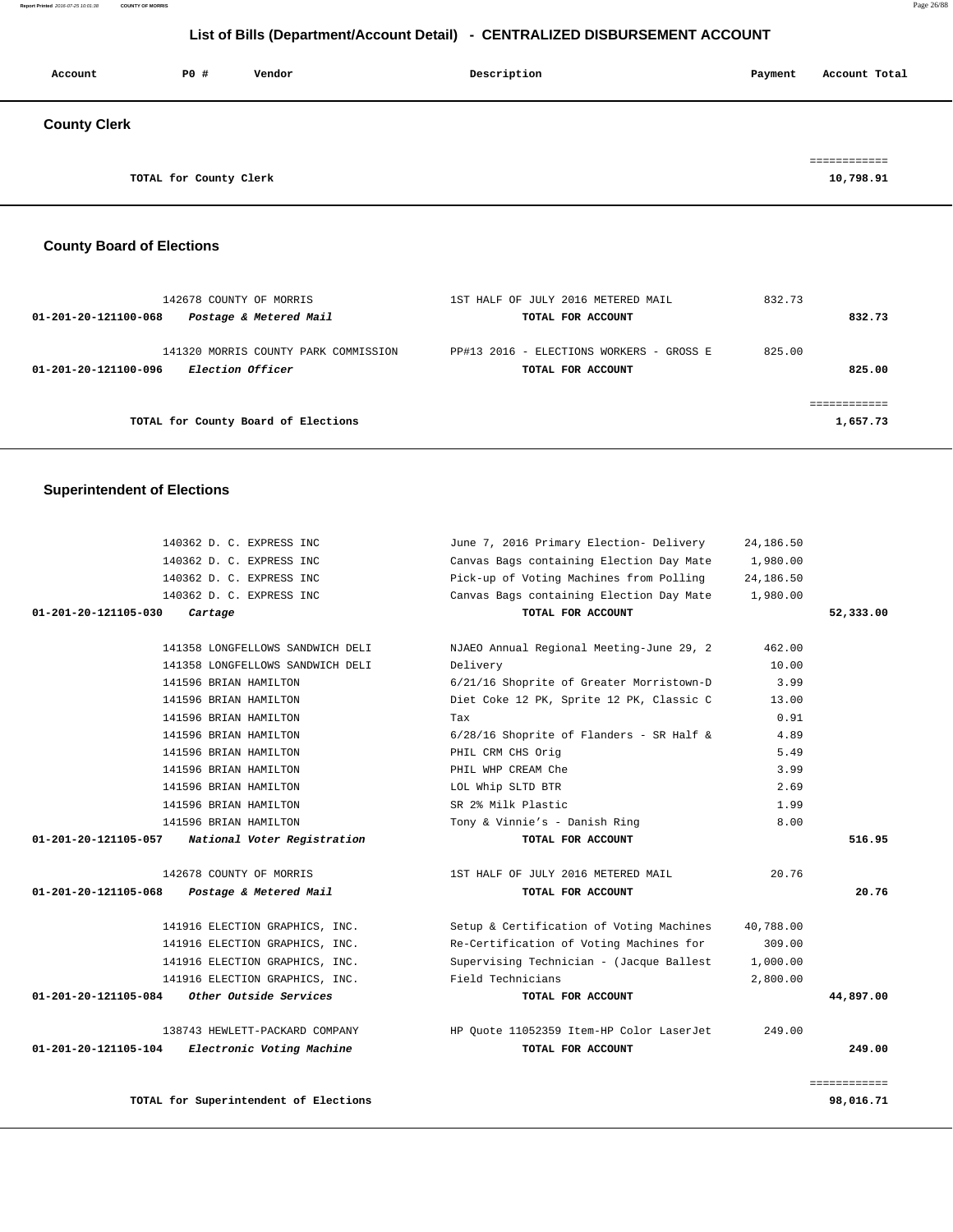# **List of Bills (Department/Account Detail) - CENTRALIZED DISBURSEMENT ACCOUNT**

| Account             | P0 #                   | Vendor | Description | Payment | Account Total |
|---------------------|------------------------|--------|-------------|---------|---------------|
| <b>County Clerk</b> |                        |        |             |         |               |
|                     |                        |        |             |         | ============  |
|                     | TOTAL for County Clerk |        |             |         | 10,798.91     |

# **County Board of Elections**

| 142678 COUNTY OF MORRIS<br>Postage & Metered Mail<br>01-201-20-121100-068        | 1ST HALF OF JULY 2016 METERED MAIL<br>TOTAL FOR ACCOUNT       | 832.73<br>832.73 |
|----------------------------------------------------------------------------------|---------------------------------------------------------------|------------------|
| 141320 MORRIS COUNTY PARK COMMISSION<br>Election Officer<br>01-201-20-121100-096 | PP#13 2016 - ELECTIONS WORKERS - GROSS E<br>TOTAL FOR ACCOUNT | 825.00<br>825.00 |
| TOTAL for County Board of Elections                                              |                                                               | 1,657.73         |

## **Superintendent of Elections**

|              | 24,186.50 | June 7, 2016 Primary Election- Delivery  | 140362 D. C. EXPRESS INC              |                      |
|--------------|-----------|------------------------------------------|---------------------------------------|----------------------|
|              | 1,980.00  | Canvas Bags containing Election Day Mate | 140362 D. C. EXPRESS INC              |                      |
|              | 24,186.50 | Pick-up of Voting Machines from Polling  | 140362 D. C. EXPRESS INC              |                      |
|              | 1,980.00  | Canvas Bags containing Election Day Mate | 140362 D. C. EXPRESS INC              |                      |
| 52,333.00    |           | TOTAL FOR ACCOUNT                        | Cartage                               | 01-201-20-121105-030 |
|              | 462.00    | NJAEO Annual Regional Meeting-June 29, 2 | 141358 LONGFELLOWS SANDWICH DELI      |                      |
|              | 10.00     | Delivery                                 | 141358 LONGFELLOWS SANDWICH DELI      |                      |
|              | 3.99      | 6/21/16 Shoprite of Greater Morristown-D | 141596 BRIAN HAMILTON                 |                      |
|              | 13.00     | Diet Coke 12 PK, Sprite 12 PK, Classic C | 141596 BRIAN HAMILTON                 |                      |
|              | 0.91      | Tax                                      | 141596 BRIAN HAMILTON                 |                      |
|              | 4.89      | 6/28/16 Shoprite of Flanders - SR Half & | 141596 BRIAN HAMILTON                 |                      |
|              | 5.49      | PHIL CRM CHS Orig                        | 141596 BRIAN HAMILTON                 |                      |
|              | 3.99      | PHIL WHP CREAM Che                       | 141596 BRIAN HAMILTON                 |                      |
|              | 2.69      | LOL Whip SLTD BTR                        | 141596 BRIAN HAMILTON                 |                      |
|              | 1.99      | SR 2% Milk Plastic                       | 141596 BRIAN HAMILTON                 |                      |
|              | 8.00      | Tony & Vinnie's - Danish Ring            | 141596 BRIAN HAMILTON                 |                      |
| 516.95       |           | TOTAL FOR ACCOUNT                        | National Voter Registration           | 01-201-20-121105-057 |
|              | 20.76     | 1ST HALF OF JULY 2016 METERED MAIL       | 142678 COUNTY OF MORRIS               |                      |
| 20.76        |           | TOTAL FOR ACCOUNT                        | Postage & Metered Mail                | 01-201-20-121105-068 |
|              | 40,788.00 | Setup & Certification of Voting Machines | 141916 ELECTION GRAPHICS, INC.        |                      |
|              | 309.00    | Re-Certification of Voting Machines for  | 141916 ELECTION GRAPHICS, INC.        |                      |
|              | 1,000.00  | Supervising Technician - (Jacque Ballest | 141916 ELECTION GRAPHICS, INC.        |                      |
|              | 2,800.00  | Field Technicians                        | 141916 ELECTION GRAPHICS, INC.        |                      |
| 44,897.00    |           | TOTAL FOR ACCOUNT                        | Other Outside Services                | 01-201-20-121105-084 |
|              | 249.00    | HP Quote 11052359 Item-HP Color LaserJet | 138743 HEWLETT-PACKARD COMPANY        |                      |
| 249.00       |           | TOTAL FOR ACCOUNT                        | Electronic Voting Machine             | 01-201-20-121105-104 |
| ============ |           |                                          |                                       |                      |
| 98,016.71    |           |                                          | TOTAL for Superintendent of Elections |                      |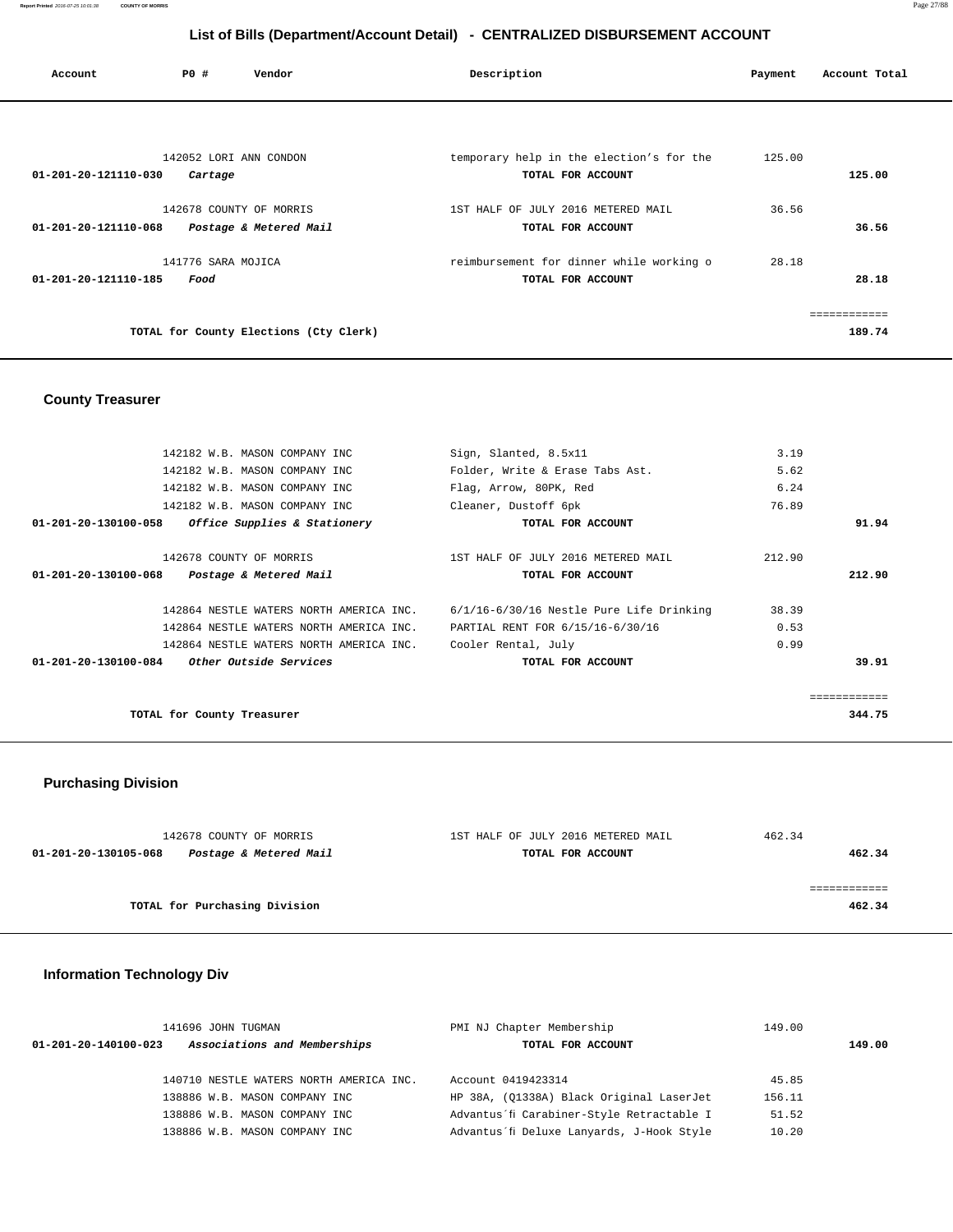**Report Printed** 2016-07-25 10:01:38 **COUNTY OF MORRIS** Page 27/88

# **List of Bills (Department/Account Detail) - CENTRALIZED DISBURSEMENT ACCOUNT**

| Account                        | P0 #                              | Vendor                                 | Description                                                   | Payment | Account Total                 |
|--------------------------------|-----------------------------------|----------------------------------------|---------------------------------------------------------------|---------|-------------------------------|
|                                |                                   |                                        |                                                               |         |                               |
| 01-201-20-121110-030           | 142052 LORI ANN CONDON<br>Cartage |                                        | temporary help in the election's for the<br>TOTAL FOR ACCOUNT | 125.00  | 125.00                        |
| $01 - 201 - 20 - 121110 - 068$ | 142678 COUNTY OF MORRIS           | Postage & Metered Mail                 | 1ST HALF OF JULY 2016 METERED MAIL<br>TOTAL FOR ACCOUNT       | 36.56   | 36.56                         |
| 01-201-20-121110-185           | 141776 SARA MOJICA<br>Food        |                                        | reimbursement for dinner while working o<br>TOTAL FOR ACCOUNT | 28.18   | 28.18                         |
|                                |                                   | TOTAL for County Elections (Cty Clerk) |                                                               |         | . = = = = = = = = =<br>189.74 |

## **County Treasurer**

| 142182 W.B. MASON COMPANY INC                         | Sign, Slanted, 8.5x11                        | 3.19   |              |
|-------------------------------------------------------|----------------------------------------------|--------|--------------|
| 142182 W.B. MASON COMPANY INC                         | Folder, Write & Erase Tabs Ast.              | 5.62   |              |
| 142182 W.B. MASON COMPANY INC                         | Flag, Arrow, 80PK, Red                       | 6.24   |              |
| 142182 W.B. MASON COMPANY INC                         | Cleaner, Dustoff 6pk                         | 76.89  |              |
| Office Supplies & Stationery<br>01-201-20-130100-058  | TOTAL FOR ACCOUNT                            |        | 91.94        |
| 142678 COUNTY OF MORRIS                               | 1ST HALF OF JULY 2016 METERED MAIL           | 212.90 |              |
| 01-201-20-130100-068<br>Postage & Metered Mail        | TOTAL FOR ACCOUNT                            |        | 212.90       |
| 142864 NESTLE WATERS NORTH AMERICA INC.               | $6/1/16 - 6/30/16$ Nestle Pure Life Drinking | 38.39  |              |
| 142864 NESTLE WATERS NORTH AMERICA INC.               | PARTIAL RENT FOR 6/15/16-6/30/16             | 0.53   |              |
| 142864 NESTLE WATERS NORTH AMERICA INC.               | Cooler Rental, July                          | 0.99   |              |
| <i>Other Outside Services</i><br>01-201-20-130100-084 | TOTAL FOR ACCOUNT                            |        | 39.91        |
|                                                       |                                              |        | ============ |
| TOTAL for County Treasurer                            |                                              |        | 344.75       |

## **Purchasing Division**

| 142678 COUNTY OF MORRIS                        | 1ST HALF OF JULY 2016 METERED MAIL | 462.34 |
|------------------------------------------------|------------------------------------|--------|
| 01-201-20-130105-068<br>Postage & Metered Mail | TOTAL FOR ACCOUNT                  | 462.34 |
|                                                |                                    |        |
|                                                |                                    |        |
| TOTAL for Purchasing Division                  |                                    | 462.34 |

## **Information Technology Div**

|                                | 141696 JOHN TUGMAN                      | PMI NJ Chapter Membership                 | 149.00 |        |
|--------------------------------|-----------------------------------------|-------------------------------------------|--------|--------|
| $01 - 201 - 20 - 140100 - 023$ | Associations and Memberships            | TOTAL FOR ACCOUNT                         |        | 149.00 |
|                                |                                         |                                           |        |        |
|                                | 140710 NESTLE WATERS NORTH AMERICA INC. | Account 0419423314                        | 45.85  |        |
|                                | 138886 W.B. MASON COMPANY INC           | HP 38A, (01338A) Black Original LaserJet  | 156.11 |        |
|                                | 138886 W.B. MASON COMPANY INC           | Advantus'fi Carabiner-Style Retractable I | 51.52  |        |
|                                | 138886 W.B. MASON COMPANY INC           | Advantus'fi Deluxe Lanyards, J-Hook Style | 10.20  |        |
|                                |                                         |                                           |        |        |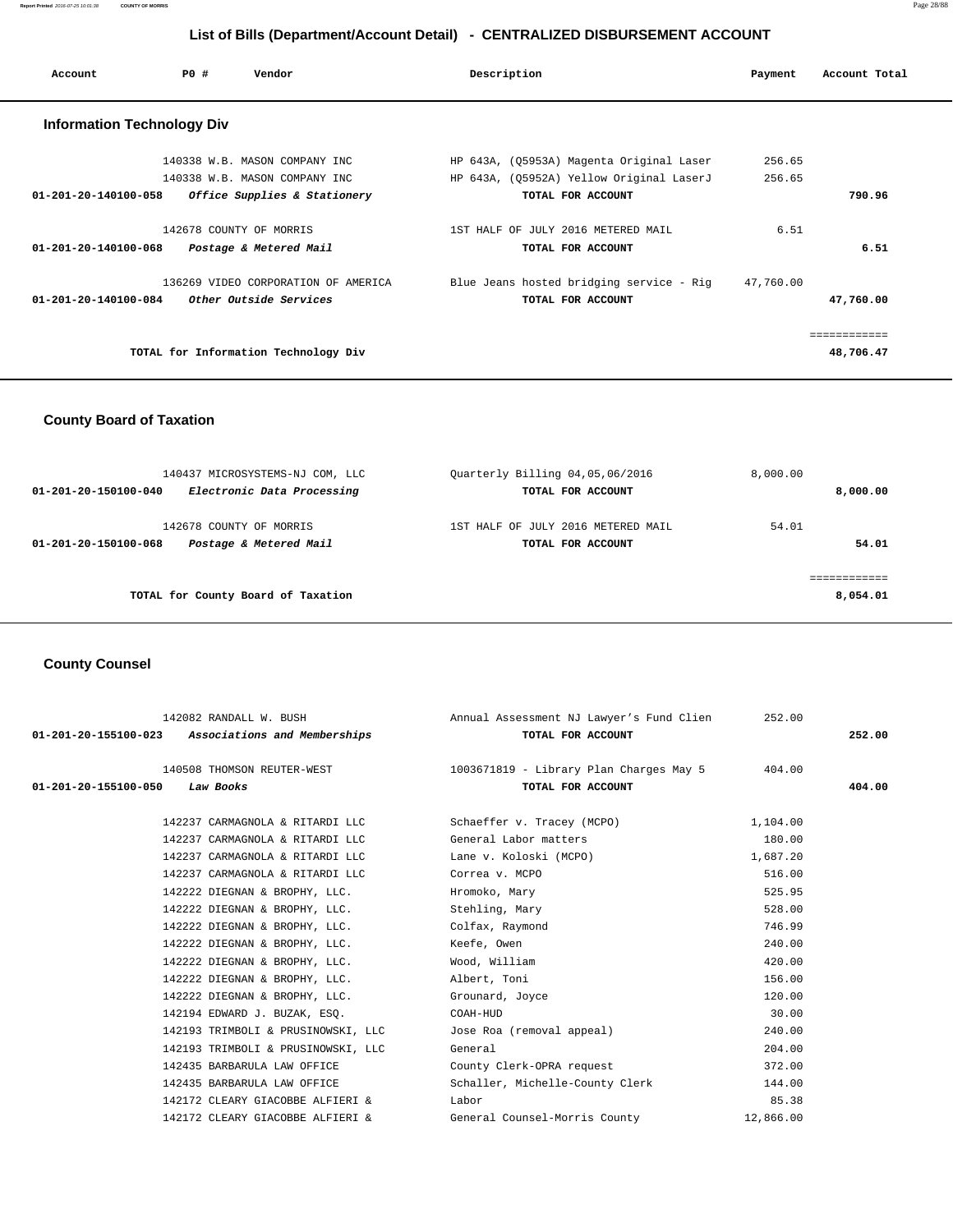# **List of Bills (Department/Account Detail) - CENTRALIZED DISBURSEMENT ACCOUNT**

| Account                           | PO#                     | Vendor                                                         | Description                                                                          | Payment          | Account Total |
|-----------------------------------|-------------------------|----------------------------------------------------------------|--------------------------------------------------------------------------------------|------------------|---------------|
| <b>Information Technology Div</b> |                         |                                                                |                                                                                      |                  |               |
|                                   |                         | 140338 W.B. MASON COMPANY INC<br>140338 W.B. MASON COMPANY INC | HP 643A, (Q5953A) Magenta Original Laser<br>HP 643A, (Q5952A) Yellow Original LaserJ | 256.65<br>256.65 |               |
| $01 - 201 - 20 - 140100 - 058$    |                         | Office Supplies & Stationery                                   | TOTAL FOR ACCOUNT                                                                    |                  | 790.96        |
|                                   | 142678 COUNTY OF MORRIS |                                                                | 1ST HALF OF JULY 2016 METERED MAIL                                                   | 6.51             |               |
| $01 - 201 - 20 - 140100 - 068$    |                         | Postage & Metered Mail                                         | TOTAL FOR ACCOUNT                                                                    |                  | 6.51          |
|                                   |                         | 136269 VIDEO CORPORATION OF AMERICA                            | Blue Jeans hosted bridging service - Rig                                             | 47,760.00        |               |
| 01-201-20-140100-084              |                         | Other Outside Services                                         | TOTAL FOR ACCOUNT                                                                    |                  | 47,760.00     |
|                                   |                         |                                                                |                                                                                      |                  | ============  |
|                                   |                         | TOTAL for Information Technology Div                           |                                                                                      |                  | 48,706.47     |

## **County Board of Taxation**

| 140437 MICROSYSTEMS-NJ COM, LLC                    | Ouarterly Billing 04,05,06/2016    | 8,000.00 |
|----------------------------------------------------|------------------------------------|----------|
| Electronic Data Processing<br>01-201-20-150100-040 | TOTAL FOR ACCOUNT                  | 8,000.00 |
| 142678 COUNTY OF MORRIS                            | 1ST HALF OF JULY 2016 METERED MAIL | 54.01    |
| Postage & Metered Mail<br>01-201-20-150100-068     | TOTAL FOR ACCOUNT                  | 54.01    |
|                                                    |                                    |          |
| TOTAL for County Board of Taxation                 |                                    | 8,054.01 |

## **County Counsel**

| 142082 RANDALL W. BUSH                            | Annual Assessment NJ Lawyer's Fund Clien                                  | 252.00    |        |
|---------------------------------------------------|---------------------------------------------------------------------------|-----------|--------|
| 01-201-20-155100-023 Associations and Memberships | TOTAL FOR ACCOUNT                                                         |           | 252.00 |
|                                                   | 140508 THOMSON REUTER-WEST 1003671819 - Library Plan Charges May 5 404.00 |           |        |
| 01-201-20-155100-050<br>Law Books                 | TOTAL FOR ACCOUNT                                                         |           | 404.00 |
| 142237 CARMAGNOLA & RITARDI LLC                   | Schaeffer v. Tracey (MCPO)                                                | 1,104.00  |        |
| 142237 CARMAGNOLA & RITARDI LLC                   | General Labor matters                                                     | 180.00    |        |
| 142237 CARMAGNOLA & RITARDI LLC                   | Lane v. Koloski (MCPO)                                                    | 1,687.20  |        |
| 142237 CARMAGNOLA & RITARDI LLC                   | Correa v. MCPO                                                            | 516.00    |        |
| 142222 DIEGNAN & BROPHY, LLC.                     | Hromoko, Mary                                                             | 525.95    |        |
| 142222 DIEGNAN & BROPHY, LLC.                     | Stehling, Mary                                                            | 528.00    |        |
| 142222 DIEGNAN & BROPHY, LLC.                     | Colfax, Raymond                                                           | 746.99    |        |
| 142222 DIEGNAN & BROPHY, LLC.                     | Keefe, Owen                                                               | 240.00    |        |
| 142222 DIEGNAN & BROPHY, LLC.                     | Wood, William                                                             | 420.00    |        |
| 142222 DIEGNAN & BROPHY, LLC.                     | Albert, Toni                                                              | 156.00    |        |
| 142222 DIEGNAN & BROPHY, LLC.                     | Grounard, Joyce                                                           | 120.00    |        |
| 142194 EDWARD J. BUZAK, ESQ.                      | COAH-HUD                                                                  | 30.00     |        |
| 142193 TRIMBOLI & PRUSINOWSKI, LLC                | Jose Roa (removal appeal)                                                 | 240.00    |        |
| 142193 TRIMBOLI & PRUSINOWSKI, LLC                | General                                                                   | 204.00    |        |
| 142435 BARBARULA LAW OFFICE                       | County Clerk-OPRA request                                                 | 372.00    |        |
| 142435 BARBARULA LAW OFFICE                       | Schaller, Michelle-County Clerk                                           | 144.00    |        |
| 142172 CLEARY GIACOBBE ALFIERI &                  | Labor                                                                     | 85.38     |        |
| 142172 CLEARY GIACOBBE ALFIERI &                  | General Counsel-Morris County                                             | 12,866.00 |        |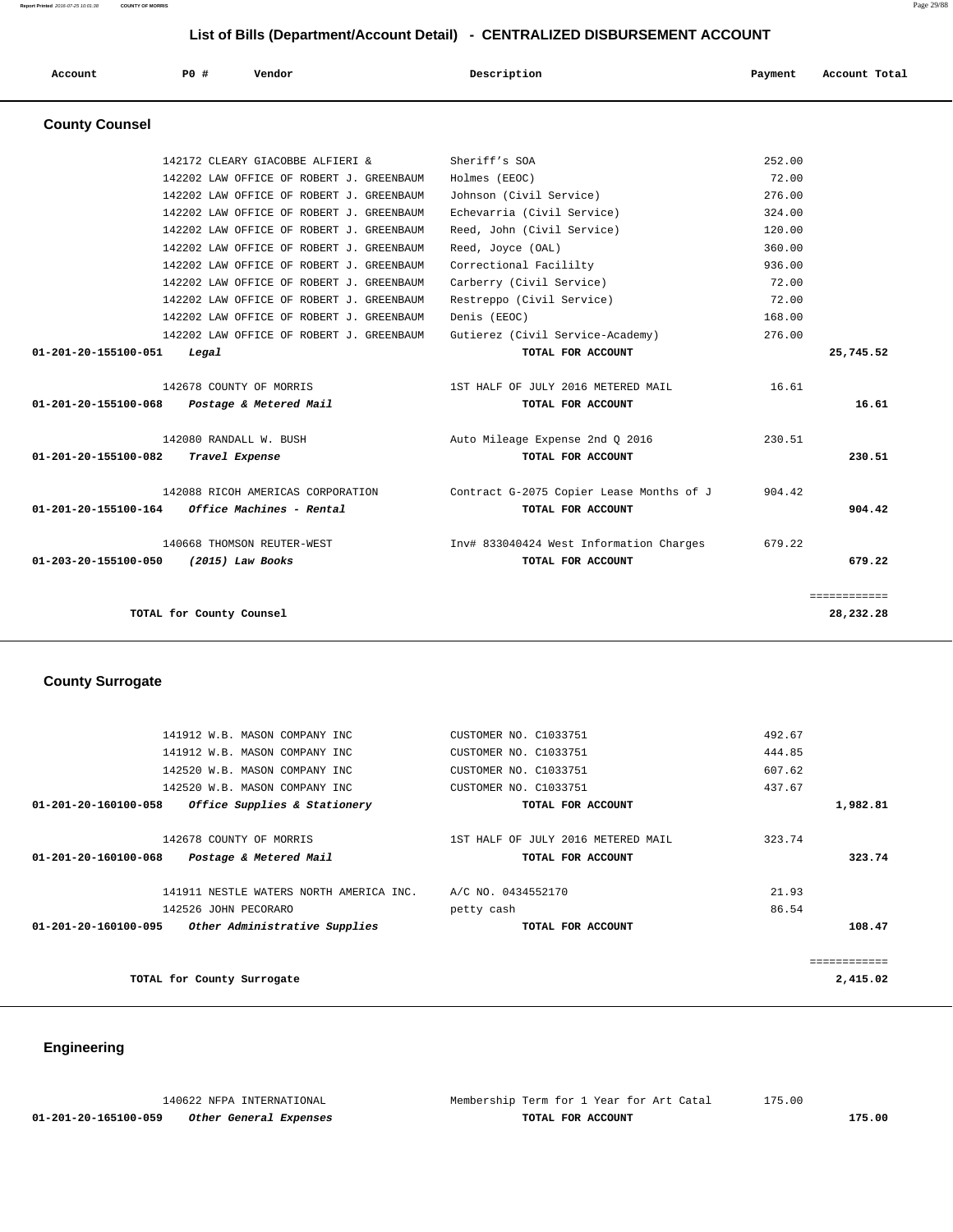| List of Bills (Department/Account Detail) - CENTRALIZED DISBURSEMENT ACCOUNT |                          |                                          |  |                                          |         |               |
|------------------------------------------------------------------------------|--------------------------|------------------------------------------|--|------------------------------------------|---------|---------------|
| Account                                                                      | PO#                      | Vendor                                   |  | Description                              | Payment | Account Total |
| <b>County Counsel</b>                                                        |                          |                                          |  |                                          |         |               |
|                                                                              |                          | 142172 CLEARY GIACOBBE ALFIERI &         |  | Sheriff's SOA                            | 252.00  |               |
|                                                                              |                          | 142202 LAW OFFICE OF ROBERT J. GREENBAUM |  | Holmes (EEOC)                            | 72.00   |               |
|                                                                              |                          | 142202 LAW OFFICE OF ROBERT J. GREENBAUM |  | Johnson (Civil Service)                  | 276.00  |               |
|                                                                              |                          | 142202 LAW OFFICE OF ROBERT J. GREENBAUM |  | Echevarria (Civil Service)               | 324.00  |               |
|                                                                              |                          | 142202 LAW OFFICE OF ROBERT J. GREENBAUM |  | Reed, John (Civil Service)               | 120.00  |               |
|                                                                              |                          | 142202 LAW OFFICE OF ROBERT J. GREENBAUM |  | Reed, Joyce (OAL)                        | 360.00  |               |
|                                                                              |                          | 142202 LAW OFFICE OF ROBERT J. GREENBAUM |  | Correctional Facililty                   | 936.00  |               |
|                                                                              |                          | 142202 LAW OFFICE OF ROBERT J. GREENBAUM |  | Carberry (Civil Service)                 | 72.00   |               |
|                                                                              |                          | 142202 LAW OFFICE OF ROBERT J. GREENBAUM |  | Restreppo (Civil Service)                | 72.00   |               |
|                                                                              |                          | 142202 LAW OFFICE OF ROBERT J. GREENBAUM |  | Denis (EEOC)                             | 168.00  |               |
|                                                                              |                          | 142202 LAW OFFICE OF ROBERT J. GREENBAUM |  | Gutierez (Civil Service-Academy)         | 276.00  |               |
| 01-201-20-155100-051                                                         | Legal                    |                                          |  | TOTAL FOR ACCOUNT                        |         | 25,745.52     |
|                                                                              |                          | 142678 COUNTY OF MORRIS                  |  | 1ST HALF OF JULY 2016 METERED MAIL       | 16.61   |               |
| $01 - 201 - 20 - 155100 - 068$                                               |                          | Postage & Metered Mail                   |  | TOTAL FOR ACCOUNT                        |         | 16.61         |
|                                                                              |                          | 142080 RANDALL W. BUSH                   |  | Auto Mileage Expense 2nd Q 2016          | 230.51  |               |
| 01-201-20-155100-082                                                         | Travel Expense           |                                          |  | TOTAL FOR ACCOUNT                        |         | 230.51        |
|                                                                              |                          | 142088 RICOH AMERICAS CORPORATION        |  | Contract G-2075 Copier Lease Months of J | 904.42  |               |
| 01-201-20-155100-164                                                         |                          | Office Machines - Rental                 |  | TOTAL FOR ACCOUNT                        |         | 904.42        |
|                                                                              |                          | 140668 THOMSON REUTER-WEST               |  | Inv# 833040424 West Information Charges  | 679.22  |               |
| 01-203-20-155100-050                                                         |                          | $(2015)$ Law Books                       |  | TOTAL FOR ACCOUNT                        |         | 679.22        |
|                                                                              |                          |                                          |  |                                          |         | ============  |
|                                                                              | TOTAL for County Counsel |                                          |  |                                          |         | 28,232.28     |

# **County Surrogate**

|                                | 141912 W.B. MASON COMPANY INC           | CUSTOMER NO. C1033751              | 492.67       |
|--------------------------------|-----------------------------------------|------------------------------------|--------------|
|                                | 141912 W.B. MASON COMPANY INC           | CUSTOMER NO. C1033751              | 444.85       |
|                                | 142520 W.B. MASON COMPANY INC           | CUSTOMER NO. C1033751              | 607.62       |
|                                | 142520 W.B. MASON COMPANY INC           | CUSTOMER NO. C1033751              | 437.67       |
| 01-201-20-160100-058           | Office Supplies & Stationery            | TOTAL FOR ACCOUNT                  | 1,982.81     |
|                                | 142678 COUNTY OF MORRIS                 | 1ST HALF OF JULY 2016 METERED MAIL | 323.74       |
| $01 - 201 - 20 - 160100 - 068$ | Postage & Metered Mail                  | TOTAL FOR ACCOUNT                  | 323.74       |
|                                | 141911 NESTLE WATERS NORTH AMERICA INC. | A/C NO. 0434552170                 | 21.93        |
|                                | 142526 JOHN PECORARO                    | petty cash                         | 86.54        |
| $01 - 201 - 20 - 160100 - 095$ | Other Administrative Supplies           | TOTAL FOR ACCOUNT                  | 108.47       |
|                                |                                         |                                    | ============ |
|                                | TOTAL for County Surrogate              |                                    | 2,415.02     |
|                                |                                         |                                    |              |

# **Engineering**

|                      | 140622 NFPA INTERNATIONAL | Membership Term for 1 Year for Art Catal | 175.00 |
|----------------------|---------------------------|------------------------------------------|--------|
| 01-201-20-165100-059 | Other General Expenses    | TOTAL FOR ACCOUNT                        | 175.00 |

**Report Printed** 2016-07-25 10:01:38 **COUNTY OF MORRIS** Page 29/88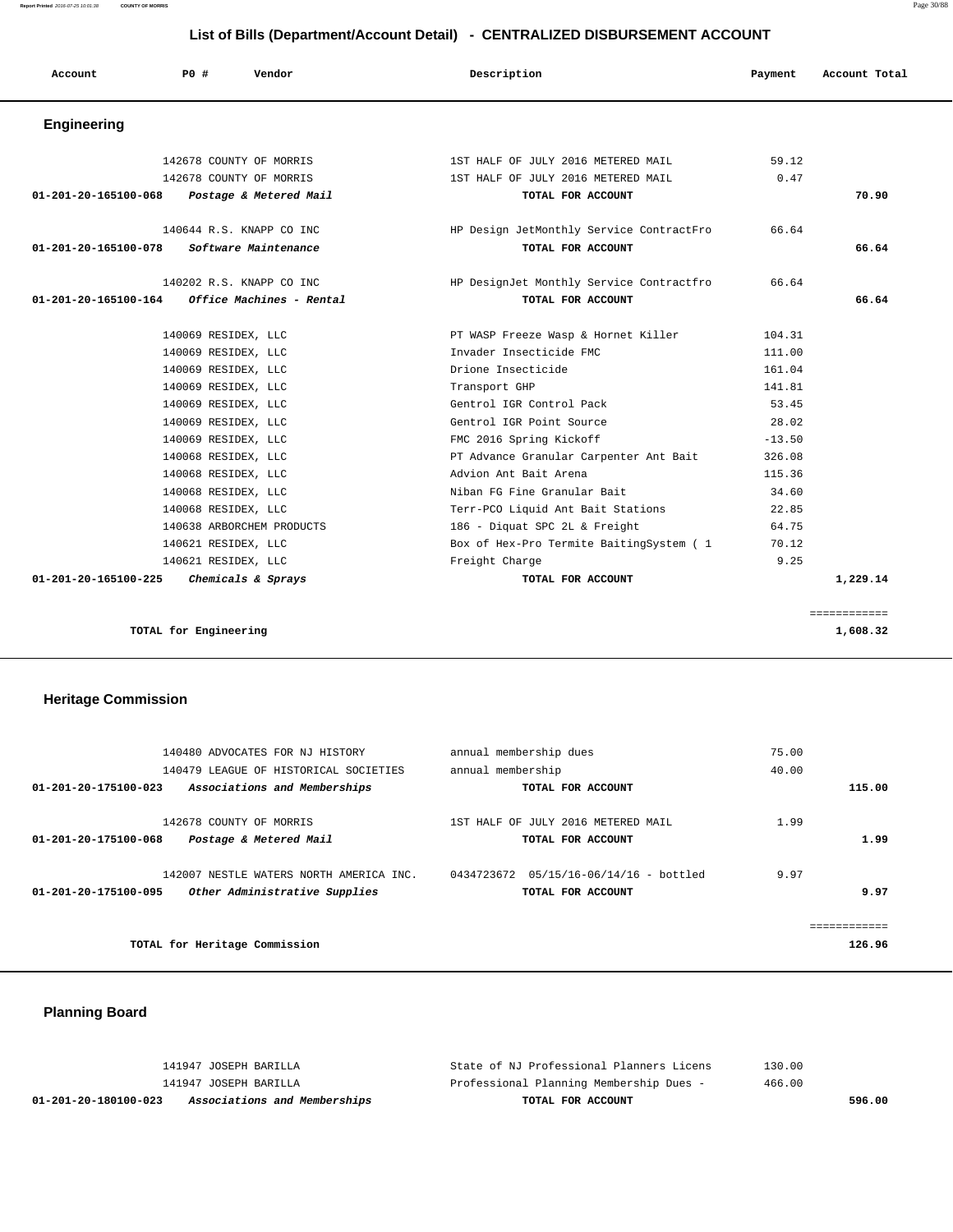# **List of Bills (Department/Account Detail) - CENTRALIZED DISBURSEMENT ACCOUNT**

| Account              | PO#<br>Vendor                               | Description                              | Payment  | Account Total |
|----------------------|---------------------------------------------|------------------------------------------|----------|---------------|
| Engineering          |                                             |                                          |          |               |
|                      | 142678 COUNTY OF MORRIS                     | 1ST HALF OF JULY 2016 METERED MAIL       | 59.12    |               |
|                      | 142678 COUNTY OF MORRIS                     | 1ST HALF OF JULY 2016 METERED MAIL       | 0.47     |               |
|                      | 01-201-20-165100-068 Postage & Metered Mail | TOTAL FOR ACCOUNT                        |          | 70.90         |
|                      | 140644 R.S. KNAPP CO INC.                   | HP Design JetMonthly Service ContractFro | 66.64    |               |
| 01-201-20-165100-078 | Software Maintenance                        | TOTAL FOR ACCOUNT                        |          | 66.64         |
|                      | 140202 R.S. KNAPP CO INC                    | HP DesignJet Monthly Service Contractfro | 66.64    |               |
| 01-201-20-165100-164 | Office Machines - Rental                    | TOTAL FOR ACCOUNT                        |          | 66.64         |
|                      | 140069 RESIDEX, LLC                         | PT WASP Freeze Wasp & Hornet Killer      | 104.31   |               |
|                      | 140069 RESIDEX, LLC                         | Invader Insecticide FMC                  | 111.00   |               |
|                      | 140069 RESIDEX, LLC                         | Drione Insecticide                       | 161.04   |               |
|                      | 140069 RESIDEX, LLC                         | Transport GHP                            | 141.81   |               |
|                      | 140069 RESIDEX, LLC                         | Gentrol IGR Control Pack                 | 53.45    |               |
|                      | 140069 RESIDEX, LLC                         | Gentrol IGR Point Source                 | 28.02    |               |
|                      | 140069 RESIDEX, LLC                         | FMC 2016 Spring Kickoff                  | $-13.50$ |               |
|                      | 140068 RESIDEX, LLC                         | PT Advance Granular Carpenter Ant Bait   | 326.08   |               |
|                      | 140068 RESIDEX, LLC                         | Advion Ant Bait Arena                    | 115.36   |               |
|                      | 140068 RESIDEX, LLC                         | Niban FG Fine Granular Bait              | 34.60    |               |
|                      | 140068 RESIDEX, LLC                         | Terr-PCO Liquid Ant Bait Stations        | 22.85    |               |
|                      | 140638 ARBORCHEM PRODUCTS                   | 186 - Diquat SPC 2L & Freight            | 64.75    |               |
|                      | 140621 RESIDEX, LLC                         | Box of Hex-Pro Termite BaitingSystem ( 1 | 70.12    |               |
|                      | 140621 RESIDEX, LLC                         | Freight Charge                           | 9.25     |               |
| 01-201-20-165100-225 | Chemicals & Sprays                          | TOTAL FOR ACCOUNT                        |          | 1,229.14      |

**TOTAL for Engineering 1,608.32**

| 140480 ADVOCATES FOR NJ HISTORY                       | annual membership dues                  | 75.00        |
|-------------------------------------------------------|-----------------------------------------|--------------|
| 140479 LEAGUE OF HISTORICAL SOCIETIES                 | annual membership                       | 40.00        |
| 01-201-20-175100-023<br>Associations and Memberships  | TOTAL FOR ACCOUNT                       | 115.00       |
|                                                       |                                         |              |
| 142678 COUNTY OF MORRIS                               | 1ST HALF OF JULY 2016 METERED MAIL      | 1.99         |
| 01-201-20-175100-068<br>Postage & Metered Mail        | TOTAL FOR ACCOUNT                       | 1.99         |
|                                                       |                                         |              |
| 142007 NESTLE WATERS NORTH AMERICA INC.               | 0434723672  05/15/16-06/14/16 - bottled | 9.97         |
| Other Administrative Supplies<br>01-201-20-175100-095 | TOTAL FOR ACCOUNT                       | 9.97         |
|                                                       |                                         |              |
|                                                       |                                         | ============ |
| TOTAL for Heritage Commission                         |                                         | 126.96       |

============

## **Planning Board**

| Associations and Memberships<br>01-201-20-180100-023 | TOTAL FOR ACCOUNT                        | 596.00 |
|------------------------------------------------------|------------------------------------------|--------|
| 141947 JOSEPH BARILLA                                | Professional Planning Membership Dues -  | 466.00 |
| 141947 JOSEPH BARILLA                                | State of NJ Professional Planners Licens | 130.00 |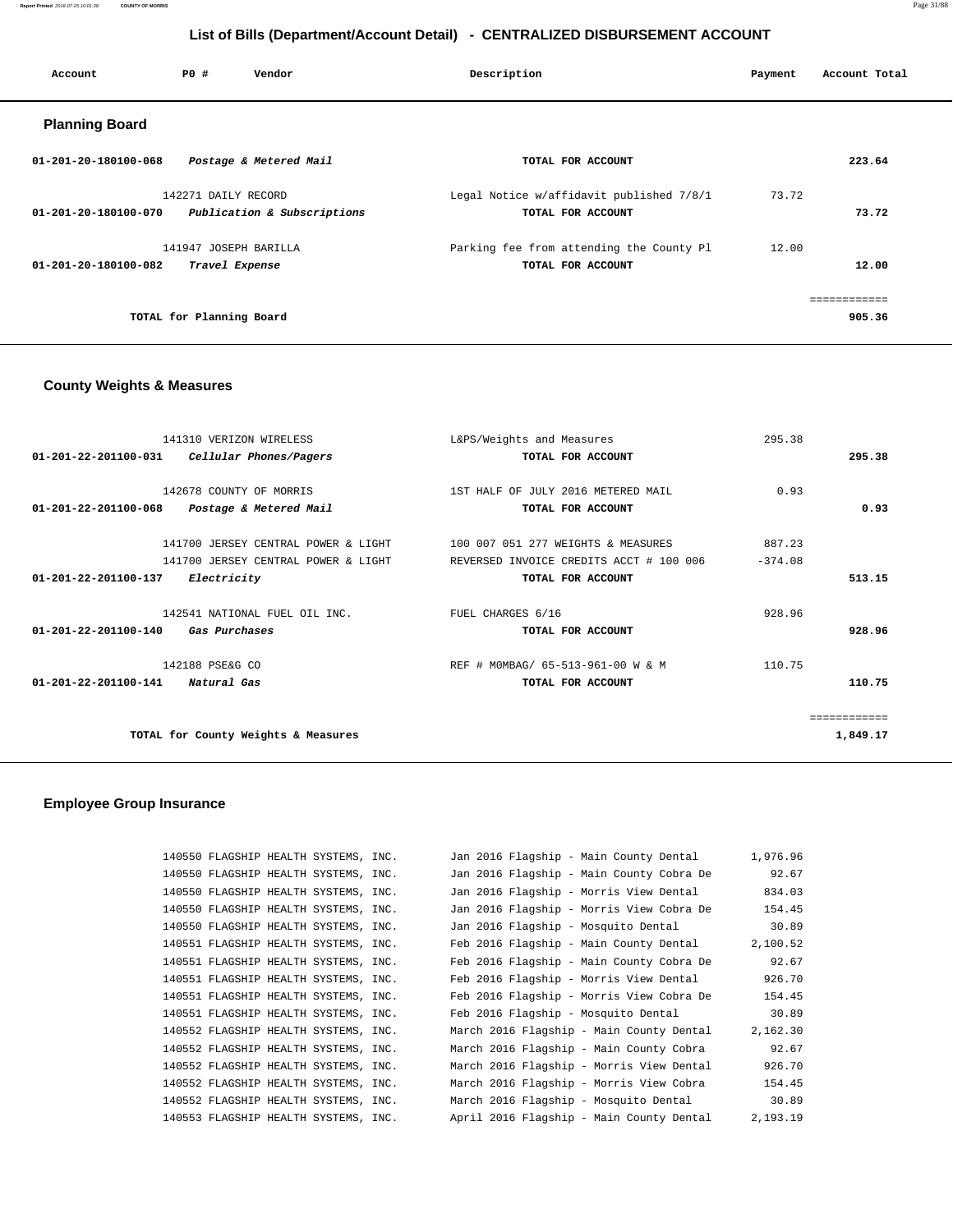**Report Printed** 2016-07-25 10:01:38 **COUNTY OF MORRIS** Page 31/88

# **List of Bills (Department/Account Detail) - CENTRALIZED DISBURSEMENT ACCOUNT**

| Account                        | PO#                      | Vendor                      | Description                              | Payment | Account Total |
|--------------------------------|--------------------------|-----------------------------|------------------------------------------|---------|---------------|
| <b>Planning Board</b>          |                          |                             |                                          |         |               |
| $01 - 201 - 20 - 180100 - 068$ |                          | Postage & Metered Mail      | TOTAL FOR ACCOUNT                        |         | 223.64        |
|                                | 142271 DAILY RECORD      |                             | Legal Notice w/affidavit published 7/8/1 | 73.72   |               |
| 01-201-20-180100-070           |                          | Publication & Subscriptions | TOTAL FOR ACCOUNT                        |         | 73.72         |
|                                | 141947 JOSEPH BARILLA    |                             | Parking fee from attending the County Pl | 12.00   |               |
| 01-201-20-180100-082           | Travel Expense           |                             | TOTAL FOR ACCOUNT                        |         | 12.00         |
|                                |                          |                             |                                          |         | ------------  |
|                                | TOTAL for Planning Board |                             |                                          |         | 905.36        |
|                                |                          |                             |                                          |         |               |

# **County Weights & Measures**

| 141310 VERIZON WIRELESS                                       | L&PS/Weights and Measures               | 295.38    |              |
|---------------------------------------------------------------|-----------------------------------------|-----------|--------------|
| $01 - 201 - 22 - 201100 - 031$<br>Cellular Phones/Pagers      | TOTAL FOR ACCOUNT                       |           | 295.38       |
|                                                               |                                         |           |              |
| 142678 COUNTY OF MORRIS                                       | 1ST HALF OF JULY 2016 METERED MAIL      | 0.93      |              |
| $01 - 201 - 22 - 201100 - 068$<br>Postage & Metered Mail      | TOTAL FOR ACCOUNT                       |           | 0.93         |
| 141700 JERSEY CENTRAL POWER & LIGHT                           | 100 007 051 277 WEIGHTS & MEASURES      | 887.23    |              |
|                                                               |                                         |           |              |
| 141700 JERSEY CENTRAL POWER & LIGHT                           | REVERSED INVOICE CREDITS ACCT # 100 006 | $-374.08$ |              |
| $01 - 201 - 22 - 201100 - 137$<br><i>Electricity</i>          | TOTAL FOR ACCOUNT                       |           | 513.15       |
| 142541 NATIONAL FUEL OIL INC.                                 | FUEL CHARGES 6/16                       | 928.96    |              |
| $01 - 201 - 22 - 201100 - 140$<br><i><b>Gas Purchases</b></i> | TOTAL FOR ACCOUNT                       |           | 928.96       |
|                                                               |                                         |           |              |
| 142188 PSE&G CO                                               | REF # MOMBAG/ 65-513-961-00 W & M       | 110.75    |              |
| $01 - 201 - 22 - 201100 - 141$<br>Natural Gas                 | TOTAL FOR ACCOUNT                       |           | 110.75       |
|                                                               |                                         |           |              |
|                                                               |                                         |           | ============ |
| TOTAL for County Weights & Measures                           |                                         |           | 1,849.17     |
|                                                               |                                         |           |              |

| 140550 FLAGSHIP HEALTH SYSTEMS, INC. |  | Jan 2016 Flagship - Main County Dental   | 1,976.96 |
|--------------------------------------|--|------------------------------------------|----------|
| 140550 FLAGSHIP HEALTH SYSTEMS, INC. |  | Jan 2016 Flagship - Main County Cobra De | 92.67    |
| 140550 FLAGSHIP HEALTH SYSTEMS, INC. |  | Jan 2016 Flagship - Morris View Dental   | 834.03   |
| 140550 FLAGSHIP HEALTH SYSTEMS, INC. |  | Jan 2016 Flagship - Morris View Cobra De | 154.45   |
| 140550 FLAGSHIP HEALTH SYSTEMS, INC. |  | Jan 2016 Flagship - Mosquito Dental      | 30.89    |
| 140551 FLAGSHIP HEALTH SYSTEMS, INC. |  | Feb 2016 Flagship - Main County Dental   | 2,100.52 |
| 140551 FLAGSHIP HEALTH SYSTEMS, INC. |  | Feb 2016 Flagship - Main County Cobra De | 92.67    |
| 140551 FLAGSHIP HEALTH SYSTEMS, INC. |  | Feb 2016 Flagship - Morris View Dental   | 926.70   |
| 140551 FLAGSHIP HEALTH SYSTEMS, INC. |  | Feb 2016 Flagship - Morris View Cobra De | 154.45   |
| 140551 FLAGSHIP HEALTH SYSTEMS, INC. |  | Feb 2016 Flagship - Mosquito Dental      | 30.89    |
| 140552 FLAGSHIP HEALTH SYSTEMS, INC. |  | March 2016 Flagship - Main County Dental | 2,162.30 |
| 140552 FLAGSHIP HEALTH SYSTEMS, INC. |  | March 2016 Flagship - Main County Cobra  | 92.67    |
| 140552 FLAGSHIP HEALTH SYSTEMS, INC. |  | March 2016 Flagship - Morris View Dental | 926.70   |
| 140552 FLAGSHIP HEALTH SYSTEMS, INC. |  | March 2016 Flagship - Morris View Cobra  | 154.45   |
| 140552 FLAGSHIP HEALTH SYSTEMS, INC. |  | March 2016 Flagship - Mosquito Dental    | 30.89    |
| 140553 FLAGSHIP HEALTH SYSTEMS, INC. |  | April 2016 Flagship - Main County Dental | 2,193.19 |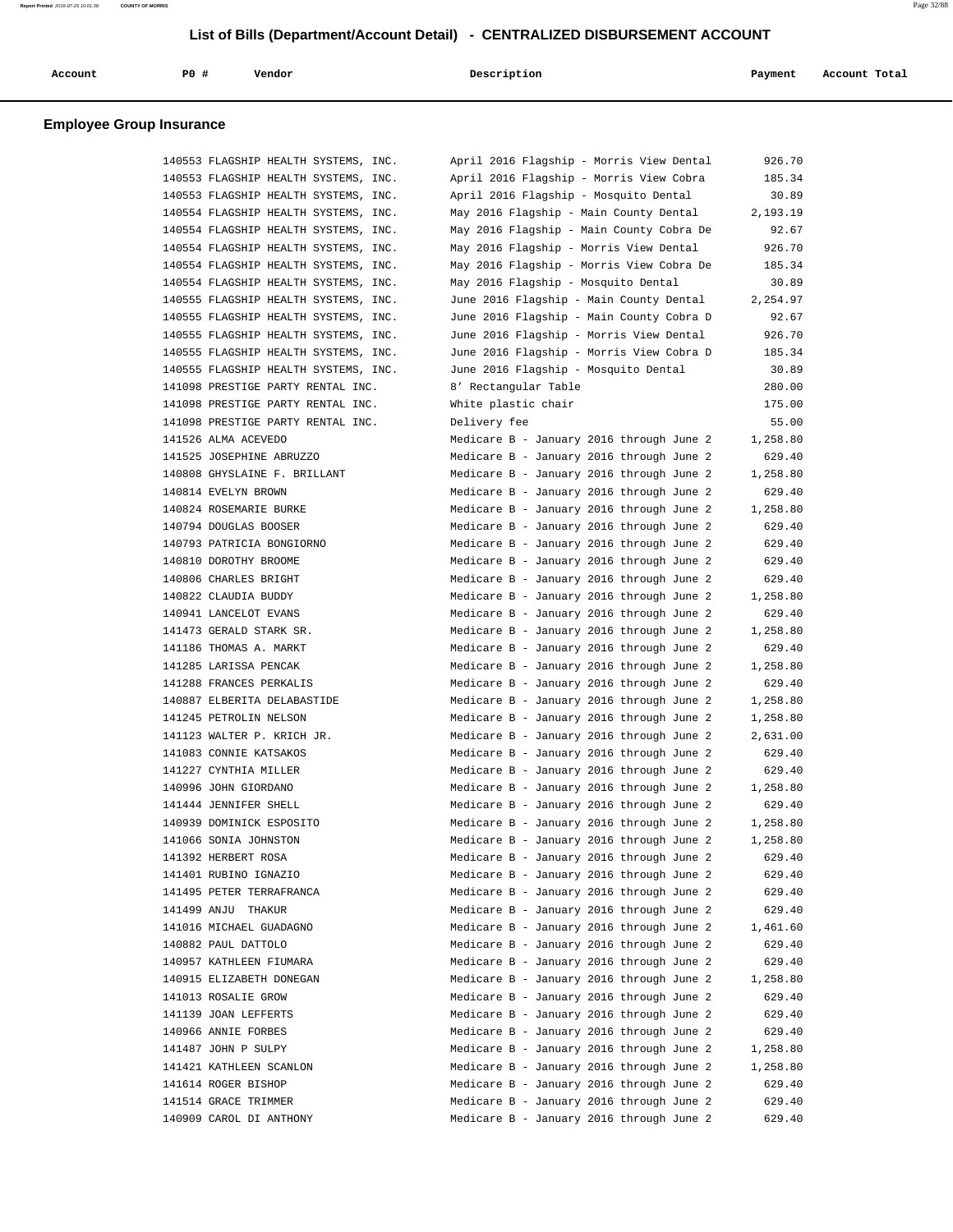|  | Account | <b>PO #</b> | Vendor | Description | Payment | Account Total |
|--|---------|-------------|--------|-------------|---------|---------------|
|--|---------|-------------|--------|-------------|---------|---------------|

| 140553 FLAGSHIP HEALTH SYSTEMS, INC. | April 2016 Flagship - Morris View Dental | 926.70   |
|--------------------------------------|------------------------------------------|----------|
| 140553 FLAGSHIP HEALTH SYSTEMS, INC. | April 2016 Flagship - Morris View Cobra  | 185.34   |
| 140553 FLAGSHIP HEALTH SYSTEMS, INC. | April 2016 Flagship - Mosquito Dental    | 30.89    |
| 140554 FLAGSHIP HEALTH SYSTEMS, INC. | May 2016 Flagship - Main County Dental   | 2,193.19 |
| 140554 FLAGSHIP HEALTH SYSTEMS, INC. | May 2016 Flagship - Main County Cobra De | 92.67    |
| 140554 FLAGSHIP HEALTH SYSTEMS, INC. | May 2016 Flagship - Morris View Dental   | 926.70   |
| 140554 FLAGSHIP HEALTH SYSTEMS, INC. | May 2016 Flagship - Morris View Cobra De | 185.34   |
| 140554 FLAGSHIP HEALTH SYSTEMS, INC. | May 2016 Flagship - Mosquito Dental      | 30.89    |
| 140555 FLAGSHIP HEALTH SYSTEMS, INC. | June 2016 Flagship - Main County Dental  | 2,254.97 |
| 140555 FLAGSHIP HEALTH SYSTEMS, INC. | June 2016 Flagship - Main County Cobra D | 92.67    |
| 140555 FLAGSHIP HEALTH SYSTEMS, INC. | June 2016 Flagship - Morris View Dental  | 926.70   |
| 140555 FLAGSHIP HEALTH SYSTEMS, INC. | June 2016 Flagship - Morris View Cobra D | 185.34   |
| 140555 FLAGSHIP HEALTH SYSTEMS, INC. | June 2016 Flagship - Mosquito Dental     | 30.89    |
| 141098 PRESTIGE PARTY RENTAL INC.    | 8' Rectangular Table                     | 280.00   |
| 141098 PRESTIGE PARTY RENTAL INC.    | White plastic chair                      | 175.00   |
| 141098 PRESTIGE PARTY RENTAL INC.    | Delivery fee                             | 55.00    |
| 141526 ALMA ACEVEDO                  | Medicare B - January 2016 through June 2 | 1,258.80 |
| 141525 JOSEPHINE ABRUZZO             | Medicare B - January 2016 through June 2 | 629.40   |
| 140808 GHYSLAINE F. BRILLANT         | Medicare B - January 2016 through June 2 | 1,258.80 |
| 140814 EVELYN BROWN                  | Medicare B - January 2016 through June 2 | 629.40   |
| 140824 ROSEMARIE BURKE               | Medicare B - January 2016 through June 2 | 1,258.80 |
| 140794 DOUGLAS BOOSER                | Medicare B - January 2016 through June 2 | 629.40   |
| 140793 PATRICIA BONGIORNO            | Medicare B - January 2016 through June 2 | 629.40   |
| 140810 DOROTHY BROOME                | Medicare B - January 2016 through June 2 | 629.40   |
| 140806 CHARLES BRIGHT                | Medicare B - January 2016 through June 2 | 629.40   |
| 140822 CLAUDIA BUDDY                 | Medicare B - January 2016 through June 2 | 1,258.80 |
| 140941 LANCELOT EVANS                | Medicare B - January 2016 through June 2 | 629.40   |
| 141473 GERALD STARK SR.              | Medicare B - January 2016 through June 2 | 1,258.80 |
| 141186 THOMAS A. MARKT               | Medicare B - January 2016 through June 2 | 629.40   |
| 141285 LARISSA PENCAK                | Medicare B - January 2016 through June 2 | 1,258.80 |
| 141288 FRANCES PERKALIS              | Medicare B - January 2016 through June 2 | 629.40   |
| 140887 ELBERITA DELABASTIDE          | Medicare B - January 2016 through June 2 | 1,258.80 |
| 141245 PETROLIN NELSON               | Medicare B - January 2016 through June 2 | 1,258.80 |
| 141123 WALTER P. KRICH JR.           | Medicare B - January 2016 through June 2 | 2,631.00 |
| 141083 CONNIE KATSAKOS               | Medicare B - January 2016 through June 2 | 629.40   |
| 141227 CYNTHIA MILLER                | Medicare B - January 2016 through June 2 | 629.40   |
| 140996 JOHN GIORDANO                 | Medicare B - January 2016 through June 2 | 1,258.80 |
| 141444 JENNIFER SHELL                | Medicare B - January 2016 through June 2 | 629.40   |
| 140939 DOMINICK ESPOSITO             | Medicare B - January 2016 through June 2 | 1,258.80 |
| 141066 SONIA JOHNSTON                | Medicare B - January 2016 through June 2 | 1,258.80 |
| 141392 HERBERT ROSA                  | Medicare B - January 2016 through June 2 | 629.40   |
| 141401 RUBINO IGNAZIO                | Medicare B - January 2016 through June 2 | 629.40   |
| 141495 PETER TERRAFRANCA             | Medicare B - January 2016 through June 2 | 629.40   |
| 141499 ANJU THAKUR                   | Medicare B - January 2016 through June 2 | 629.40   |
| 141016 MICHAEL GUADAGNO              | Medicare B - January 2016 through June 2 | 1,461.60 |
| 140882 PAUL DATTOLO                  | Medicare B - January 2016 through June 2 | 629.40   |
| 140957 KATHLEEN FIUMARA              | Medicare B - January 2016 through June 2 | 629.40   |
| 140915 ELIZABETH DONEGAN             | Medicare B - January 2016 through June 2 | 1,258.80 |
| 141013 ROSALIE GROW                  | Medicare B - January 2016 through June 2 | 629.40   |
| 141139 JOAN LEFFERTS                 | Medicare B - January 2016 through June 2 | 629.40   |
| 140966 ANNIE FORBES                  | Medicare B - January 2016 through June 2 | 629.40   |
| 141487 JOHN P SULPY                  | Medicare B - January 2016 through June 2 | 1,258.80 |
| 141421 KATHLEEN SCANLON              | Medicare B - January 2016 through June 2 | 1,258.80 |
| 141614 ROGER BISHOP                  | Medicare B - January 2016 through June 2 | 629.40   |
| 141514 GRACE TRIMMER                 | Medicare B - January 2016 through June 2 | 629.40   |
| 140909 CAROL DI ANTHONY              | Medicare B - January 2016 through June 2 | 629.40   |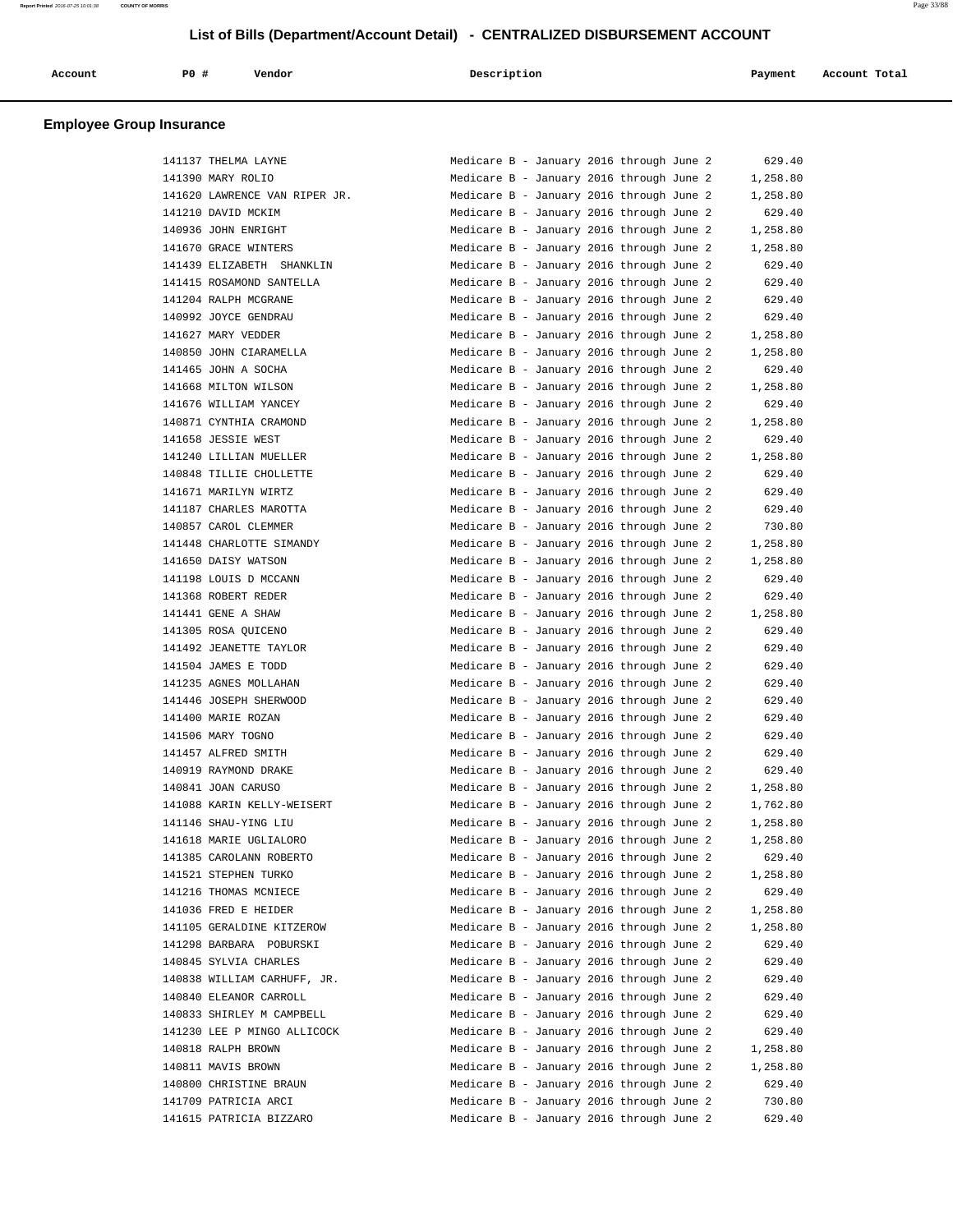| Account | P0 | Vendor | Description | Payment | Account Total<br>. |
|---------|----|--------|-------------|---------|--------------------|
|         |    |        |             |         |                    |

| 141137 THELMA LAYNE           | Medicare B - January 2016 through June 2 |  | 629.40   |
|-------------------------------|------------------------------------------|--|----------|
| 141390 MARY ROLIO             | Medicare B - January 2016 through June 2 |  | 1,258.80 |
| 141620 LAWRENCE VAN RIPER JR. | Medicare B - January 2016 through June 2 |  | 1,258.80 |
| 141210 DAVID MCKIM            | Medicare B - January 2016 through June 2 |  | 629.40   |
| 140936 JOHN ENRIGHT           | Medicare B - January 2016 through June 2 |  | 1,258.80 |
| 141670 GRACE WINTERS          | Medicare B - January 2016 through June 2 |  | 1,258.80 |
| 141439 ELIZABETH SHANKLIN     | Medicare B - January 2016 through June 2 |  | 629.40   |
| 141415 ROSAMOND SANTELLA      | Medicare B - January 2016 through June 2 |  | 629.40   |
| 141204 RALPH MCGRANE          | Medicare B - January 2016 through June 2 |  | 629.40   |
| 140992 JOYCE GENDRAU          | Medicare B - January 2016 through June 2 |  | 629.40   |
| 141627 MARY VEDDER            | Medicare B - January 2016 through June 2 |  | 1,258.80 |
| 140850 JOHN CIARAMELLA        | Medicare B - January 2016 through June 2 |  | 1,258.80 |
| 141465 JOHN A SOCHA           | Medicare B - January 2016 through June 2 |  | 629.40   |
| 141668 MILTON WILSON          | Medicare B - January 2016 through June 2 |  | 1,258.80 |
| 141676 WILLIAM YANCEY         | Medicare B - January 2016 through June 2 |  | 629.40   |
| 140871 CYNTHIA CRAMOND        | Medicare B - January 2016 through June 2 |  | 1,258.80 |
| 141658 JESSIE WEST            | Medicare B - January 2016 through June 2 |  | 629.40   |
| 141240 LILLIAN MUELLER        | Medicare B - January 2016 through June 2 |  | 1,258.80 |
| 140848 TILLIE CHOLLETTE       | Medicare B - January 2016 through June 2 |  | 629.40   |
| 141671 MARILYN WIRTZ          | Medicare B - January 2016 through June 2 |  | 629.40   |
| 141187 CHARLES MAROTTA        | Medicare B - January 2016 through June 2 |  | 629.40   |
| 140857 CAROL CLEMMER          | Medicare B - January 2016 through June 2 |  | 730.80   |
| 141448 CHARLOTTE SIMANDY      | Medicare B - January 2016 through June 2 |  | 1,258.80 |
| 141650 DAISY WATSON           | Medicare B - January 2016 through June 2 |  | 1,258.80 |
| 141198 LOUIS D MCCANN         | Medicare B - January 2016 through June 2 |  | 629.40   |
| 141368 ROBERT REDER           | Medicare B - January 2016 through June 2 |  | 629.40   |
| 141441 GENE A SHAW            | Medicare B - January 2016 through June 2 |  | 1,258.80 |
| 141305 ROSA QUICENO           | Medicare B - January 2016 through June 2 |  | 629.40   |
| 141492 JEANETTE TAYLOR        | Medicare B - January 2016 through June 2 |  | 629.40   |
| 141504 JAMES E TODD           | Medicare B - January 2016 through June 2 |  | 629.40   |
| 141235 AGNES MOLLAHAN         | Medicare B - January 2016 through June 2 |  | 629.40   |
| 141446 JOSEPH SHERWOOD        | Medicare B - January 2016 through June 2 |  | 629.40   |
| 141400 MARIE ROZAN            | Medicare B - January 2016 through June 2 |  | 629.40   |
| 141506 MARY TOGNO             | Medicare B - January 2016 through June 2 |  | 629.40   |
| 141457 ALFRED SMITH           | Medicare B - January 2016 through June 2 |  | 629.40   |
| 140919 RAYMOND DRAKE          | Medicare B - January 2016 through June 2 |  | 629.40   |
| 140841 JOAN CARUSO            | Medicare B - January 2016 through June 2 |  | 1,258.80 |
| 141088 KARIN KELLY-WEISERT    | Medicare B - January 2016 through June 2 |  | 1,762.80 |
| 141146 SHAU-YING LIU          | Medicare B - January 2016 through June 2 |  | 1,258.80 |
| 141618 MARIE UGLIALORO        | Medicare B - January 2016 through June 2 |  | 1,258.80 |
| 141385 CAROLANN ROBERTO       | Medicare B - January 2016 through June 2 |  | 629.40   |
| 141521 STEPHEN TURKO          | Medicare B - January 2016 through June 2 |  | 1,258.80 |
| 141216 THOMAS MCNIECE         | Medicare B - January 2016 through June 2 |  | 629.40   |
| 141036 FRED E HEIDER          | Medicare B - January 2016 through June 2 |  | 1,258.80 |
| 141105 GERALDINE KITZEROW     | Medicare B - January 2016 through June 2 |  | 1,258.80 |
| 141298 BARBARA POBURSKI       | Medicare B - January 2016 through June 2 |  | 629.40   |
| 140845 SYLVIA CHARLES         | Medicare B - January 2016 through June 2 |  | 629.40   |
| 140838 WILLIAM CARHUFF, JR.   | Medicare B - January 2016 through June 2 |  | 629.40   |
| 140840 ELEANOR CARROLL        | Medicare B - January 2016 through June 2 |  | 629.40   |
| 140833 SHIRLEY M CAMPBELL     | Medicare B - January 2016 through June 2 |  | 629.40   |
| 141230 LEE P MINGO ALLICOCK   | Medicare B - January 2016 through June 2 |  | 629.40   |
| 140818 RALPH BROWN            | Medicare B - January 2016 through June 2 |  | 1,258.80 |
| 140811 MAVIS BROWN            | Medicare B - January 2016 through June 2 |  | 1,258.80 |
| 140800 CHRISTINE BRAUN        | Medicare B - January 2016 through June 2 |  | 629.40   |
| 141709 PATRICIA ARCI          | Medicare B - January 2016 through June 2 |  | 730.80   |
| 141615 PATRICIA BIZZARO       | Medicare B - January 2016 through June 2 |  | 629.40   |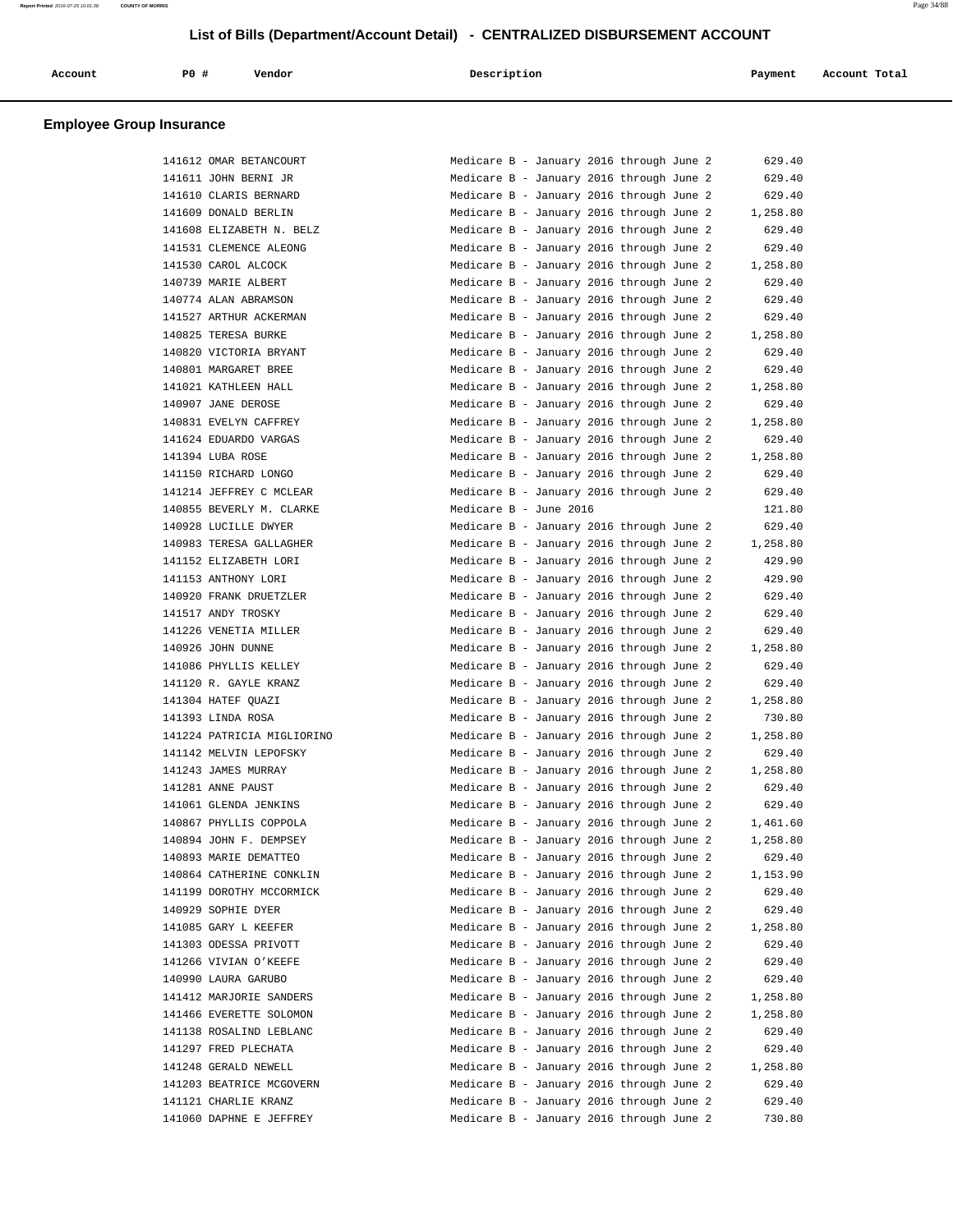| Account | PO# | Vendor | Description | Payment | Account Total |  |
|---------|-----|--------|-------------|---------|---------------|--|
|         |     |        |             |         |               |  |

|        | 141612 OMAR BETANCOURT      |
|--------|-----------------------------|
|        | 141611 JOHN BERNI JR        |
|        | 141610 CLARIS BERNARD       |
| 141609 | DONALD BERLIN               |
| 141608 | ELIZABETH N. BELZ           |
| 141531 | CLEMENCE ALEONG             |
|        | 141530 CAROL ALCOCK         |
|        | 140739 MARIE ALBERT         |
|        | 140774 ALAN ABRAMSON        |
|        | 141527 ARTHUR ACKERMAN      |
| 140825 | TERESA BURKE                |
| 140820 | VICTORIA BRYANT             |
| 140801 | MARGARET<br><b>BREE</b>     |
| 141021 | KATHLEEN HALL               |
|        | 140907 JANE DEROSE          |
|        | 140831 EVELYN CAFFREY       |
|        | 141624 EDUARDO VARGAS       |
|        | 141394 LUBA ROSE            |
| 141150 | RICHARD LONGO               |
| 141214 | <b>JEFFREY</b><br>C MCLEAR  |
| 140855 | <b>BEVERLY</b><br>M. CLARKE |
|        | 140928 LUCILLE DWYER        |
|        | 140983 TERESA GALLAGHER     |
|        | 141152 ELIZABETH LORI       |
|        | 141153 ANTHONY LORI         |
| 140920 | FRANK DRUETZLER             |
| 141517 | ANDY TROSKY                 |
| 141226 | VENETIA MILLER              |
| 140926 | JOHN DUNNE                  |
|        | 141086 PHYLLIS KELLEY       |
|        | 141120 R. GAYLE KRANZ       |
|        | 141304 HATEF QUAZI          |
|        | 141393 LINDA ROSA           |
| 141224 | PATRICIA MIGLIORIN          |
| 141142 | MELVIN LEPOFSKY             |
| 141243 | JAMES MURRAY                |
|        | 141281 ANNE PAUST           |
|        | 141061 GLENDA JENKINS       |
|        | 140867 PHYLLIS COPPOLA      |
| 140894 | JOHN F. DEMPSEY             |
|        | 140893 MARIE DEMATTEO       |
|        | 140864 CATHERINE CONKLIN    |
|        | 141199 DOROTHY MCCORMICK    |
|        | 140929 SOPHIE DYER          |
|        | 141085 GARY L KEEFER        |
|        | 141303 ODESSA PRIVOTT       |
|        | 141266 VIVIAN O'KEEFE       |
|        | 140990 LAURA GARUBO         |
|        | 141412 MARJORIE SANDERS     |
| 141466 | EVERETTE SOLOMON            |
| 141138 | ROSALIND LEBLANC            |
|        | 141297 FRED PLECHATA        |
|        | 141248 GERALD NEWELL        |
|        | 141203 BEATRICE MCGOVERN    |
|        | 141121 CHARLIE KRANZ        |
|        | 141060 DAPHNE E JEFFREY     |

| 141612 OMAR BETANCOURT     | Medicare B - January 2016 through June 2 |  |  | 629.40   |
|----------------------------|------------------------------------------|--|--|----------|
|                            | Medicare B - January 2016 through June 2 |  |  |          |
| 141611 JOHN BERNI JR       |                                          |  |  | 629.40   |
| 141610 CLARIS BERNARD      | Medicare B - January 2016 through June 2 |  |  | 629.40   |
| 141609 DONALD BERLIN       | Medicare B - January 2016 through June 2 |  |  | 1,258.80 |
| 141608 ELIZABETH N. BELZ   | Medicare B - January 2016 through June 2 |  |  | 629.40   |
| 141531 CLEMENCE ALEONG     | Medicare B - January 2016 through June 2 |  |  | 629.40   |
| 141530 CAROL ALCOCK        | Medicare B - January 2016 through June 2 |  |  | 1,258.80 |
| 140739 MARIE ALBERT        | Medicare B - January 2016 through June 2 |  |  | 629.40   |
| 140774 ALAN ABRAMSON       | Medicare B - January 2016 through June 2 |  |  | 629.40   |
| 141527 ARTHUR ACKERMAN     | Medicare B - January 2016 through June 2 |  |  | 629.40   |
| 140825 TERESA BURKE        | Medicare B - January 2016 through June 2 |  |  | 1,258.80 |
| 140820 VICTORIA BRYANT     | Medicare B - January 2016 through June 2 |  |  | 629.40   |
| 140801 MARGARET BREE       | Medicare B - January 2016 through June 2 |  |  | 629.40   |
| 141021 KATHLEEN HALL       | Medicare B - January 2016 through June 2 |  |  | 1,258.80 |
| 140907 JANE DEROSE         | Medicare B - January 2016 through June 2 |  |  | 629.40   |
|                            |                                          |  |  |          |
| 140831 EVELYN CAFFREY      | Medicare B - January 2016 through June 2 |  |  | 1,258.80 |
| 141624 EDUARDO VARGAS      | Medicare B - January 2016 through June 2 |  |  | 629.40   |
| 141394 LUBA ROSE           | Medicare B - January 2016 through June 2 |  |  | 1,258.80 |
| 141150 RICHARD LONGO       | Medicare B - January 2016 through June 2 |  |  | 629.40   |
| 141214 JEFFREY C MCLEAR    | Medicare B - January 2016 through June 2 |  |  | 629.40   |
| 140855 BEVERLY M. CLARKE   | Medicare B - June 2016                   |  |  | 121.80   |
| 140928 LUCILLE DWYER       | Medicare B - January 2016 through June 2 |  |  | 629.40   |
| 140983 TERESA GALLAGHER    | Medicare B - January 2016 through June 2 |  |  | 1,258.80 |
| 141152 ELIZABETH LORI      | Medicare B - January 2016 through June 2 |  |  | 429.90   |
| 141153 ANTHONY LORI        | Medicare B - January 2016 through June 2 |  |  | 429.90   |
| 140920 FRANK DRUETZLER     | Medicare B - January 2016 through June 2 |  |  | 629.40   |
| 141517 ANDY TROSKY         | Medicare B - January 2016 through June 2 |  |  | 629.40   |
| 141226 VENETIA MILLER      | Medicare B - January 2016 through June 2 |  |  | 629.40   |
| 140926 JOHN DUNNE          | Medicare B - January 2016 through June 2 |  |  | 1,258.80 |
| 141086 PHYLLIS KELLEY      | Medicare B - January 2016 through June 2 |  |  | 629.40   |
| 141120 R. GAYLE KRANZ      | Medicare B - January 2016 through June 2 |  |  | 629.40   |
| 141304 HATEF QUAZI         | Medicare B - January 2016 through June 2 |  |  | 1,258.80 |
| 141393 LINDA ROSA          | Medicare B - January 2016 through June 2 |  |  | 730.80   |
|                            |                                          |  |  |          |
| 141224 PATRICIA MIGLIORINO | Medicare B - January 2016 through June 2 |  |  | 1,258.80 |
| 141142 MELVIN LEPOFSKY     | Medicare B - January 2016 through June 2 |  |  | 629.40   |
| 141243 JAMES MURRAY        | Medicare B - January 2016 through June 2 |  |  | 1,258.80 |
| 141281 ANNE PAUST          | Medicare B - January 2016 through June 2 |  |  | 629.40   |
| 141061 GLENDA JENKINS      | Medicare B - January 2016 through June 2 |  |  | 629.40   |
| 140867 PHYLLIS COPPOLA     | Medicare B - January 2016 through June 2 |  |  | 1,461.60 |
| 140894 JOHN F. DEMPSEY     | Medicare B - January 2016 through June 2 |  |  | 1,258.80 |
| 140893 MARIE DEMATTEO      | Medicare B - January 2016 through June 2 |  |  | 629.40   |
| 140864 CATHERINE CONKLIN   | Medicare B - January 2016 through June 2 |  |  | 1,153.90 |
| 141199 DOROTHY MCCORMICK   | Medicare B - January 2016 through June 2 |  |  | 629.40   |
| 140929 SOPHIE DYER         | Medicare B - January 2016 through June 2 |  |  | 629.40   |
| 141085 GARY L KEEFER       | Medicare B - January 2016 through June 2 |  |  | 1,258.80 |
| 141303 ODESSA PRIVOTT      | Medicare B - January 2016 through June 2 |  |  | 629.40   |
| 141266 VIVIAN O'KEEFE      | Medicare B - January 2016 through June 2 |  |  | 629.40   |
| 140990 LAURA GARUBO        | Medicare B - January 2016 through June 2 |  |  | 629.40   |
| 141412 MARJORIE SANDERS    | Medicare B - January 2016 through June 2 |  |  | 1,258.80 |
| 141466 EVERETTE SOLOMON    | Medicare B - January 2016 through June 2 |  |  |          |
|                            |                                          |  |  | 1,258.80 |
| 141138 ROSALIND LEBLANC    | Medicare B - January 2016 through June 2 |  |  | 629.40   |
| 141297 FRED PLECHATA       | Medicare B - January 2016 through June 2 |  |  | 629.40   |
| 141248 GERALD NEWELL       | Medicare B - January 2016 through June 2 |  |  | 1,258.80 |
| 141203 BEATRICE MCGOVERN   | Medicare B - January 2016 through June 2 |  |  | 629.40   |
| 141121 CHARLIE KRANZ       | Medicare B - January 2016 through June 2 |  |  | 629.40   |
| 141060 DAPHNE E JEFFREY    | Medicare B - January 2016 through June 2 |  |  | 730.80   |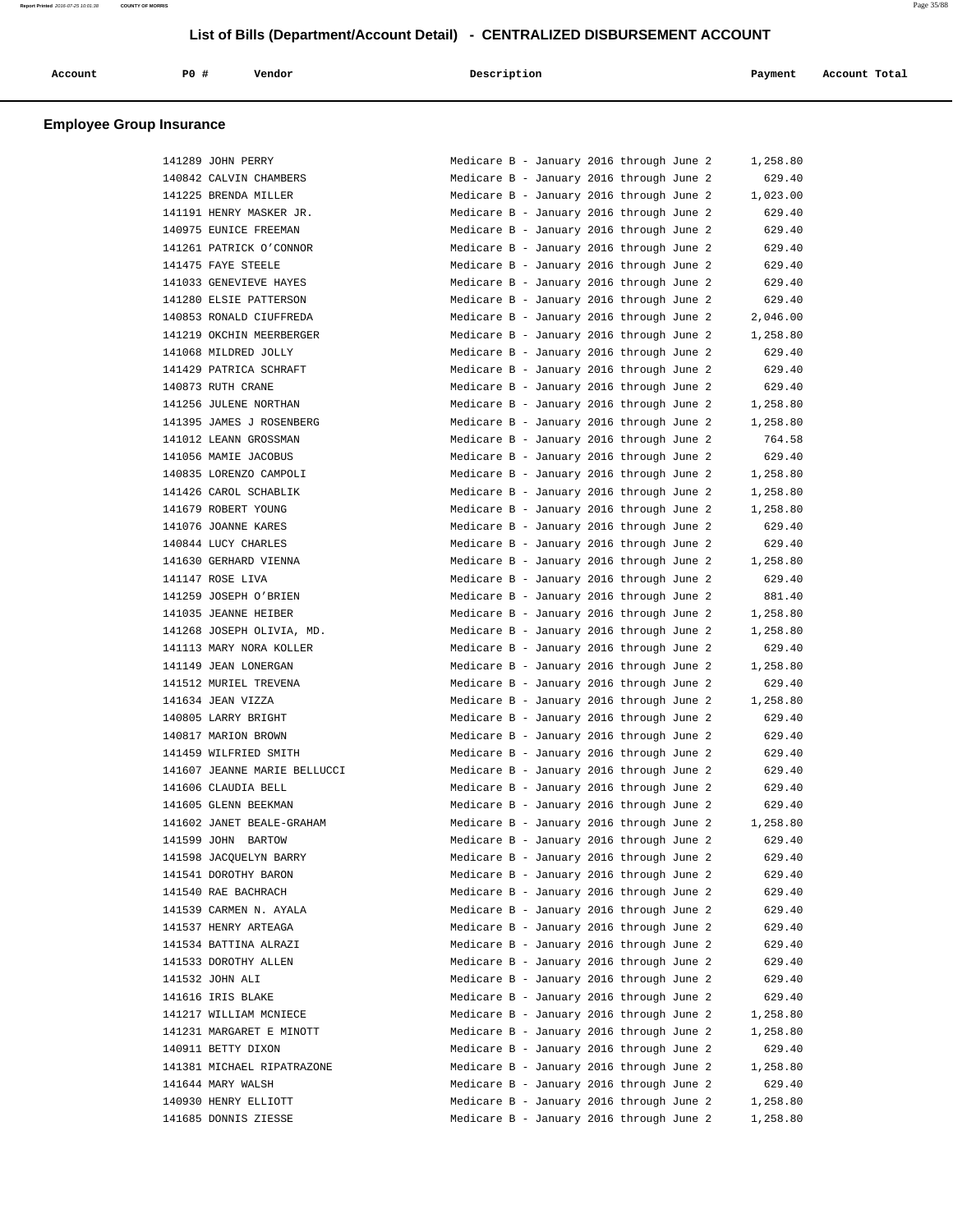| <b>PO#</b><br>Description<br>Vendor<br>Account Total<br>Account<br>Payment |  |
|----------------------------------------------------------------------------|--|
|----------------------------------------------------------------------------|--|

| 141289 JOHN PERRY            | Medicare B - January 2016 through June 2                                             |  | 1,258.80 |
|------------------------------|--------------------------------------------------------------------------------------|--|----------|
| 140842 CALVIN CHAMBERS       | Medicare B - January 2016 through June 2                                             |  | 629.40   |
| 141225 BRENDA MILLER         |                                                                                      |  | 1,023.00 |
| 141191 HENRY MASKER JR.      | Medicare B - January 2016 through June 2<br>Medicare B - January 2016 through June 2 |  | 629.40   |
| 140975 EUNICE FREEMAN        | Medicare B - January 2016 through June 2                                             |  | 629.40   |
|                              |                                                                                      |  |          |
| 141261 PATRICK O'CONNOR      | Medicare B - January 2016 through June 2                                             |  | 629.40   |
| 141475 FAYE STEELE           | Medicare B - January 2016 through June 2                                             |  | 629.40   |
| 141033 GENEVIEVE HAYES       | Medicare B - January 2016 through June 2                                             |  | 629.40   |
| 141280 ELSIE PATTERSON       | Medicare B - January 2016 through June 2                                             |  | 629.40   |
| 140853 RONALD CIUFFREDA      | Medicare B - January 2016 through June 2                                             |  | 2,046.00 |
| 141219 OKCHIN MEERBERGER     | Medicare B - January 2016 through June 2                                             |  | 1,258.80 |
| 141068 MILDRED JOLLY         | Medicare B - January 2016 through June 2                                             |  | 629.40   |
| 141429 PATRICA SCHRAFT       | Medicare B - January 2016 through June 2                                             |  | 629.40   |
| 140873 RUTH CRANE            | Medicare B - January 2016 through June 2                                             |  | 629.40   |
| 141256 JULENE NORTHAN        | Medicare B - January 2016 through June 2                                             |  | 1,258.80 |
| 141395 JAMES J ROSENBERG     | Medicare B - January 2016 through June 2                                             |  | 1,258.80 |
| 141012 LEANN GROSSMAN        | Medicare B - January 2016 through June 2                                             |  | 764.58   |
| 141056 MAMIE JACOBUS         | Medicare B - January 2016 through June 2                                             |  | 629.40   |
| 140835 LORENZO CAMPOLI       | Medicare B - January 2016 through June 2                                             |  | 1,258.80 |
| 141426 CAROL SCHABLIK        | Medicare B - January 2016 through June 2                                             |  | 1,258.80 |
| 141679 ROBERT YOUNG          | Medicare B - January 2016 through June 2                                             |  | 1,258.80 |
| 141076 JOANNE KARES          | Medicare B - January 2016 through June 2                                             |  | 629.40   |
| 140844 LUCY CHARLES          | Medicare B - January 2016 through June 2                                             |  | 629.40   |
| 141630 GERHARD VIENNA        | Medicare B - January 2016 through June 2                                             |  | 1,258.80 |
| 141147 ROSE LIVA             | Medicare B - January 2016 through June 2                                             |  | 629.40   |
| 141259 JOSEPH O'BRIEN        | Medicare B - January 2016 through June 2                                             |  | 881.40   |
| 141035 JEANNE HEIBER         | Medicare B - January 2016 through June 2                                             |  | 1,258.80 |
| 141268 JOSEPH OLIVIA, MD.    | Medicare B - January 2016 through June 2                                             |  | 1,258.80 |
| 141113 MARY NORA KOLLER      | Medicare B - January 2016 through June 2                                             |  | 629.40   |
| 141149 JEAN LONERGAN         | Medicare B - January 2016 through June 2                                             |  | 1,258.80 |
| 141512 MURIEL TREVENA        | Medicare B - January 2016 through June 2                                             |  | 629.40   |
| 141634 JEAN VIZZA            | Medicare B - January 2016 through June 2                                             |  | 1,258.80 |
| 140805 LARRY BRIGHT          | Medicare B - January 2016 through June 2                                             |  | 629.40   |
| 140817 MARION BROWN          | Medicare B - January 2016 through June 2                                             |  | 629.40   |
| 141459 WILFRIED SMITH        | Medicare B - January 2016 through June 2                                             |  | 629.40   |
| 141607 JEANNE MARIE BELLUCCI | Medicare B - January 2016 through June 2                                             |  | 629.40   |
| 141606 CLAUDIA BELL          | Medicare B - January 2016 through June 2                                             |  | 629.40   |
| 141605 GLENN BEEKMAN         | Medicare B - January 2016 through June 2                                             |  | 629.40   |
| 141602 JANET BEALE-GRAHAM    | Medicare B - January 2016 through June 2                                             |  | 1,258.80 |
| 141599 JOHN BARTOW           | Medicare B - January 2016 through June 2                                             |  | 629.40   |
| 141598 JACQUELYN BARRY       |                                                                                      |  |          |
|                              | Medicare B - January 2016 through June 2                                             |  | 629.40   |
| 141541 DOROTHY BARON         | Medicare B - January 2016 through June 2                                             |  | 629.40   |
| 141540 RAE BACHRACH          | Medicare B - January 2016 through June 2                                             |  | 629.40   |
| 141539 CARMEN N. AYALA       | Medicare B - January 2016 through June 2                                             |  | 629.40   |
| 141537 HENRY ARTEAGA         | Medicare B - January 2016 through June 2                                             |  | 629.40   |
| 141534 BATTINA ALRAZI        | Medicare B - January 2016 through June 2                                             |  | 629.40   |
| 141533 DOROTHY ALLEN         | Medicare B - January 2016 through June 2                                             |  | 629.40   |
| 141532 JOHN ALI              | Medicare B - January 2016 through June 2                                             |  | 629.40   |
| 141616 IRIS BLAKE            | Medicare B - January 2016 through June 2                                             |  | 629.40   |
| 141217 WILLIAM MCNIECE       | Medicare B - January 2016 through June 2                                             |  | 1,258.80 |
| 141231 MARGARET E MINOTT     | Medicare B - January 2016 through June 2                                             |  | 1,258.80 |
| 140911 BETTY DIXON           | Medicare B - January 2016 through June 2                                             |  | 629.40   |
| 141381 MICHAEL RIPATRAZONE   | Medicare B - January 2016 through June 2                                             |  | 1,258.80 |
| 141644 MARY WALSH            | Medicare B - January 2016 through June 2                                             |  | 629.40   |
| 140930 HENRY ELLIOTT         | Medicare B - January 2016 through June 2                                             |  | 1,258.80 |
| 141685 DONNIS ZIESSE         | Medicare B - January 2016 through June 2                                             |  | 1,258.80 |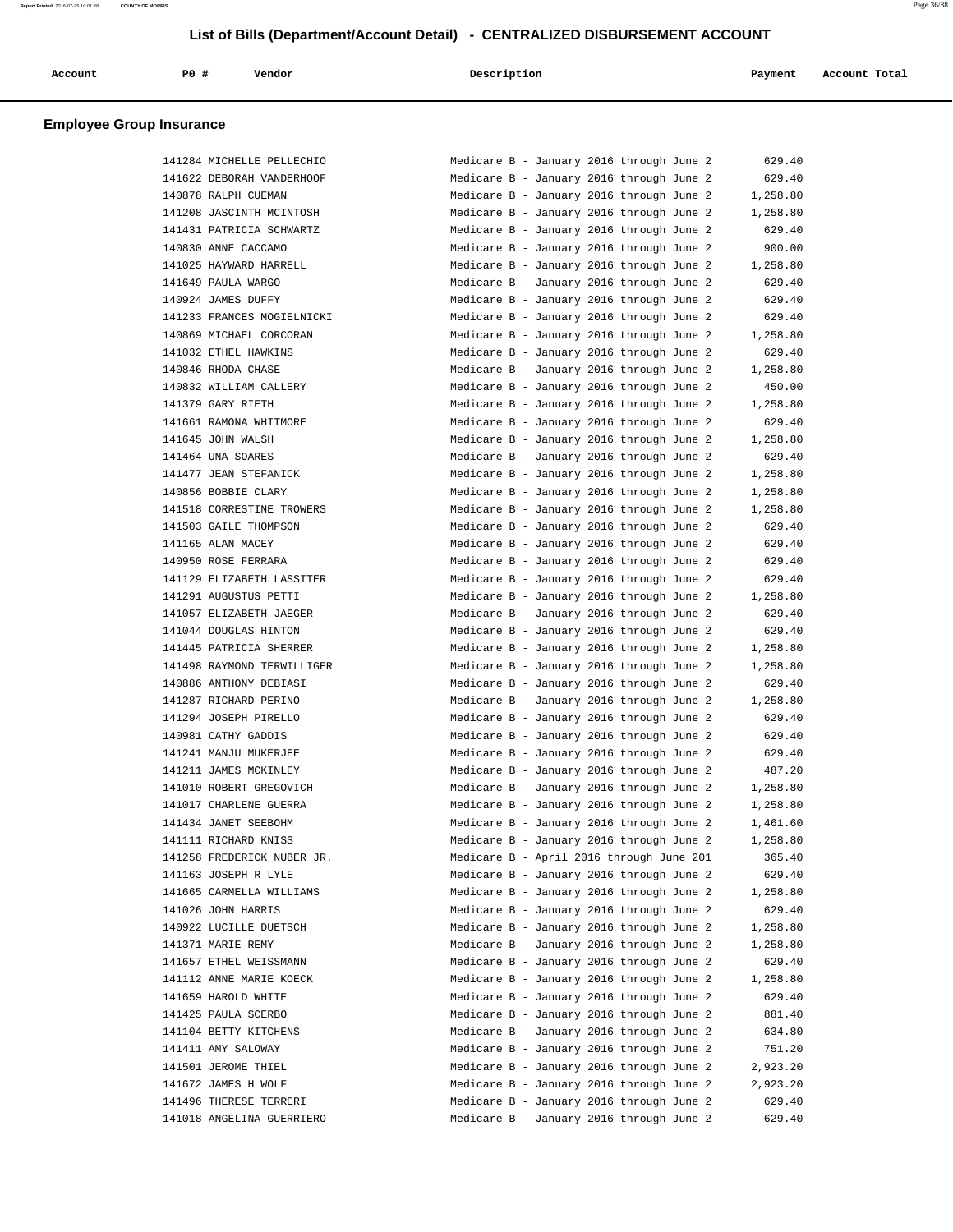| Account    | PO# | Vendor | Description | Payment | Account Total |
|------------|-----|--------|-------------|---------|---------------|
| ___<br>___ |     |        |             |         |               |

|        | 141284 MICHELLE PELLECHIO                             |
|--------|-------------------------------------------------------|
|        | 141622 DEBORAH VANDERHOOF                             |
|        | 140878 RALPH CUEMAN                                   |
| 141208 | JASCINTH MCINTOSH                                     |
| 141431 | PATRICIA SCHWARTZ                                     |
|        | 140830 ANNE CACCAMO                                   |
|        | 141025 HAYWARD HARRELL                                |
|        | 141649 PAULA WARGO                                    |
|        | 140924 JAMES DUFFY                                    |
|        |                                                       |
|        | 141233 FRANCES MOGIELNICKI<br>140869 MICHAEL CORCORAN |
| 141032 | ETHEL HAWKINS                                         |
|        |                                                       |
|        | 140846 RHODA CHASE                                    |
|        | 140832 WILLIAM CALLERY                                |
|        | 141379 GARY RIETH                                     |
|        | 141661 RAMONA WHITMORE                                |
|        | 141645 JOHN WALSH                                     |
|        | 141464 UNA SOARES                                     |
| 141477 | <b>JEAN STEFANICK</b>                                 |
| 140856 | <b>BOBBIE CLARY</b>                                   |
|        | 141518 CORRESTINE TROWERS                             |
|        | 141503 GAILE THOMPSON                                 |
|        | 141165 ALAN MACEY                                     |
|        | 140950 ROSE FERRARA                                   |
|        | 141129 ELIZABETH LASSITER                             |
|        | 141291 AUGUSTUS PETTI                                 |
| 141057 | ELIZABETH JAEGER                                      |
| 141044 | DOUGLAS HINTON                                        |
|        | 141445 PATRICIA SHERRER                               |
|        | 141498 RAYMOND TERWILLIGER                            |
|        | 140886 ANTHONY DEBIASI                                |
|        | 141287 RICHARD PERINO                                 |
|        | 141294 JOSEPH PIRELLO                                 |
| 140981 | CATHY GADDIS                                          |
| 141241 | MANJU MUKERJEE                                        |
|        | 141211 JAMES MCKINLEY                                 |
|        | 141010 ROBERT GREGOVICH                               |
|        |                                                       |
|        | 141017 CHARLENE GUERRA                                |
|        | 141434 JANET SEEBOHM                                  |
|        | 141111 RICHARD KNISS                                  |
| 141258 | FREDERICK NUBER JR.                                   |
|        | 141163 JOSEPH R LYLE                                  |
|        | 141665 CARMELLA WILLIAMS                              |
|        | 141026 JOHN HARRIS                                    |
|        | 140922 LUCILLE DUETSCH                                |
|        | 141371 MARIE REMY                                     |
|        | 141657 ETHEL WEISSMANN                                |
|        | 141112 ANNE MARIE KOECK                               |
|        | 141659 HAROLD WHITE                                   |
|        |                                                       |
|        | 141425 PAULA SCERBO                                   |
|        | 141104 BETTY KITCHENS                                 |
|        | 141411 AMY SALOWAY                                    |
|        | 141501 JEROME THIEL                                   |
|        | 141672 JAMES H WOLF                                   |
|        | 141496 THERESE TERRERI                                |

| 141284 MICHELLE PELLECHIO  | Medicare B - January 2016 through June 2<br>629.40   |
|----------------------------|------------------------------------------------------|
| 141622 DEBORAH VANDERHOOF  | 629.40<br>Medicare B - January 2016 through June 2   |
| 140878 RALPH CUEMAN        | Medicare B - January 2016 through June 2<br>1,258.80 |
| 141208 JASCINTH MCINTOSH   | Medicare B - January 2016 through June 2<br>1,258.80 |
| 141431 PATRICIA SCHWARTZ   | Medicare B - January 2016 through June 2<br>629.40   |
| 140830 ANNE CACCAMO        | Medicare B - January 2016 through June 2<br>900.00   |
| 141025 HAYWARD HARRELL     | Medicare B - January 2016 through June 2<br>1,258.80 |
| 141649 PAULA WARGO         | Medicare B - January 2016 through June 2<br>629.40   |
| 140924 JAMES DUFFY         | Medicare B - January 2016 through June 2<br>629.40   |
| 141233 FRANCES MOGIELNICKI | Medicare B - January 2016 through June 2<br>629.40   |
| 140869 MICHAEL CORCORAN    | Medicare B - January 2016 through June 2<br>1,258.80 |
| 141032 ETHEL HAWKINS       | Medicare B - January 2016 through June 2<br>629.40   |
| 140846 RHODA CHASE         | Medicare B - January 2016 through June 2<br>1,258.80 |
| 140832 WILLIAM CALLERY     | Medicare B - January 2016 through June 2<br>450.00   |
|                            |                                                      |
| 141379 GARY RIETH          | Medicare B - January 2016 through June 2<br>1,258.80 |
| 141661 RAMONA WHITMORE     | 629.40<br>Medicare B - January 2016 through June 2   |
| 141645 JOHN WALSH          | 1,258.80<br>Medicare B - January 2016 through June 2 |
| 141464 UNA SOARES          | Medicare B - January 2016 through June 2<br>629.40   |
| 141477 JEAN STEFANICK      | Medicare B - January 2016 through June 2<br>1,258.80 |
| 140856 BOBBIE CLARY        | Medicare B - January 2016 through June 2<br>1,258.80 |
| 141518 CORRESTINE TROWERS  | Medicare B - January 2016 through June 2<br>1,258.80 |
| 141503 GAILE THOMPSON      | Medicare B - January 2016 through June 2<br>629.40   |
| 141165 ALAN MACEY          | Medicare B - January 2016 through June 2<br>629.40   |
| 140950 ROSE FERRARA        | Medicare B - January 2016 through June 2<br>629.40   |
| 141129 ELIZABETH LASSITER  | Medicare B - January 2016 through June 2<br>629.40   |
| 141291 AUGUSTUS PETTI      | Medicare B - January 2016 through June 2<br>1,258.80 |
| 141057 ELIZABETH JAEGER    | Medicare B - January 2016 through June 2<br>629.40   |
| 141044 DOUGLAS HINTON      | Medicare B - January 2016 through June 2<br>629.40   |
| 141445 PATRICIA SHERRER    | Medicare B - January 2016 through June 2<br>1,258.80 |
| 141498 RAYMOND TERWILLIGER | Medicare B - January 2016 through June 2<br>1,258.80 |
| 140886 ANTHONY DEBIASI     | Medicare B - January 2016 through June 2<br>629.40   |
| 141287 RICHARD PERINO      | 1,258.80<br>Medicare B - January 2016 through June 2 |
| 141294 JOSEPH PIRELLO      | Medicare B - January 2016 through June 2<br>629.40   |
| 140981 CATHY GADDIS        | Medicare B - January 2016 through June 2<br>629.40   |
| 141241 MANJU MUKERJEE      | Medicare B - January 2016 through June 2<br>629.40   |
| 141211 JAMES MCKINLEY      | Medicare B - January 2016 through June 2<br>487.20   |
|                            |                                                      |
| 141010 ROBERT GREGOVICH    | Medicare B - January 2016 through June 2<br>1,258.80 |
| 141017 CHARLENE GUERRA     | Medicare B - January 2016 through June 2<br>1,258.80 |
| 141434 JANET SEEBOHM       | Medicare B - January 2016 through June 2<br>1,461.60 |
| 141111 RICHARD KNISS       | 1,258.80<br>Medicare B - January 2016 through June 2 |
| 141258 FREDERICK NUBER JR. | Medicare B - April 2016 through June 201<br>365.40   |
| 141163 JOSEPH R LYLE       | Medicare B - January 2016 through June 2<br>629.40   |
| 141665 CARMELLA WILLIAMS   | Medicare B - January 2016 through June 2<br>1,258.80 |
| 141026 JOHN HARRIS         | Medicare B - January 2016 through June 2<br>629.40   |
| 140922 LUCILLE DUETSCH     | Medicare B - January 2016 through June 2<br>1,258.80 |
| 141371 MARIE REMY          | Medicare B - January 2016 through June 2<br>1,258.80 |
| 141657 ETHEL WEISSMANN     | Medicare B - January 2016 through June 2<br>629.40   |
| 141112 ANNE MARIE KOECK    | Medicare B - January 2016 through June 2<br>1,258.80 |
| 141659 HAROLD WHITE        | Medicare B - January 2016 through June 2<br>629.40   |
| 141425 PAULA SCERBO        | Medicare B - January 2016 through June 2<br>881.40   |
| 141104 BETTY KITCHENS      | Medicare B - January 2016 through June 2<br>634.80   |
| 141411 AMY SALOWAY         | Medicare B - January 2016 through June 2<br>751.20   |
| 141501 JEROME THIEL        | Medicare B - January 2016 through June 2<br>2,923.20 |
| 141672 JAMES H WOLF        | Medicare B - January 2016 through June 2<br>2,923.20 |
| 141496 THERESE TERRERI     | Medicare B - January 2016 through June 2<br>629.40   |
| 141018 ANGELINA GUERRIERO  | Medicare B - January 2016 through June 2<br>629.40   |
|                            |                                                      |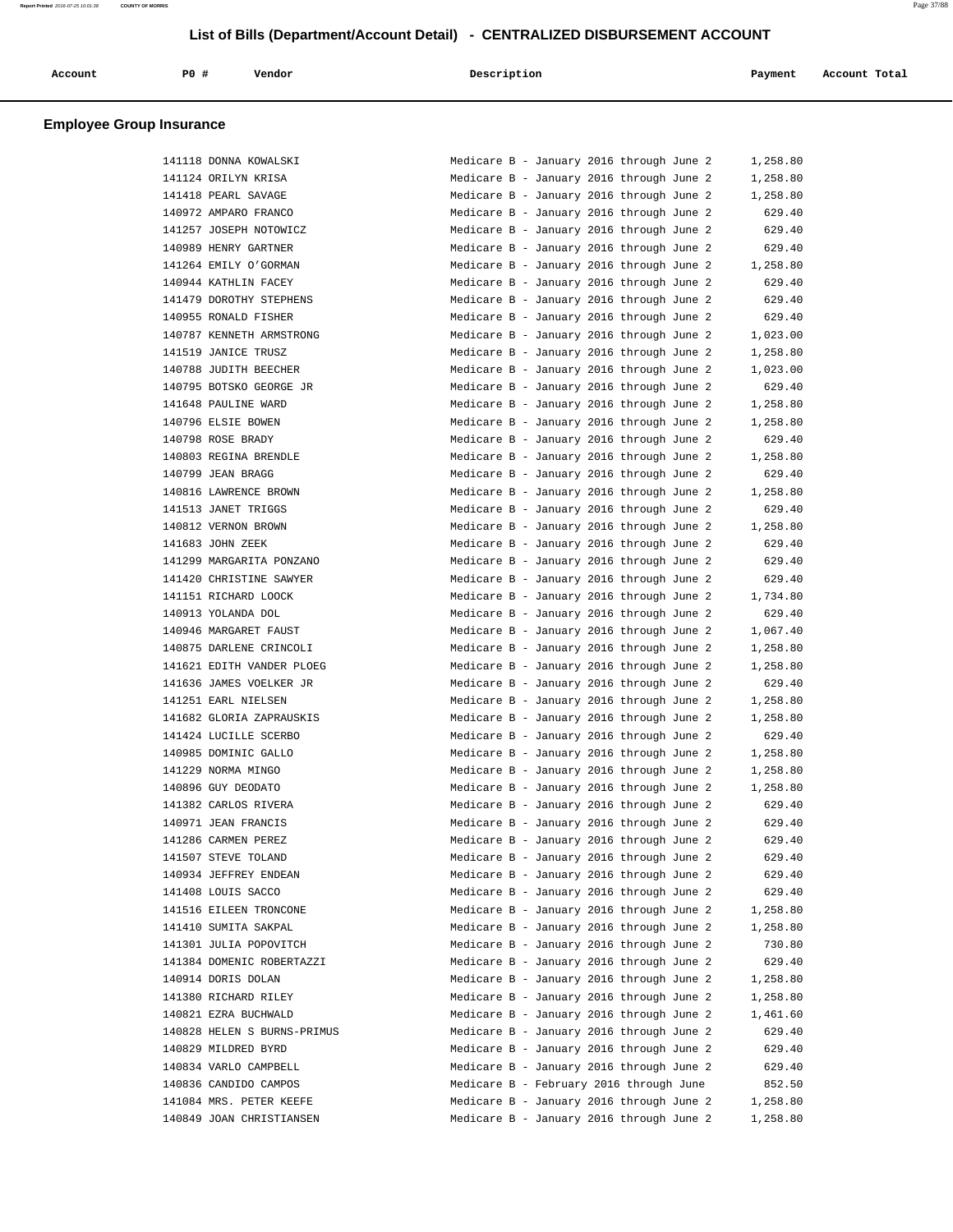| Account | PO# | Vendor | Description | Payment | Account Total |
|---------|-----|--------|-------------|---------|---------------|
|         |     |        |             |         |               |

## **Employee Group Insurance**

|        | 141118 DONNA KOWALSKI                             |
|--------|---------------------------------------------------|
|        | 141124 ORILYN KRISA                               |
| 141418 | PEARL SAVAGE                                      |
| 140972 | AMPARO FRANCO                                     |
|        | 141257 JOSEPH NOTOWICZ                            |
|        | 140989 HENRY GARTNER                              |
|        | 141264 EMILY O'GORMAN                             |
|        | 140944 KATHLIN FACEY                              |
|        | 141479 DOROTHY STEPHENS                           |
| 140955 | RONALD FISHER                                     |
| 140787 | KENNETH ARMSTRONG                                 |
| 141519 | <b>JANICE TRUSZ</b>                               |
|        | 140788 JUDITH BEECHER                             |
|        | 140795 BOTSKO GEORGE JR                           |
|        | 141648 PAULINE WARD                               |
|        | 140796 ELSIE BOWEN                                |
| 140798 | ROSE BRADY                                        |
| 140803 | REGINA BRENDLE                                    |
| 140799 | <b>JEAN BRAGG</b>                                 |
|        | 140816 LAWRENCE BROWN                             |
|        | 141513 JANET TRIGGS                               |
|        | 140812 VERNON BROWN                               |
|        | 141683 JOHN ZEEK                                  |
|        | 141299 MARGARITA PONZANO                          |
| 141420 | CHRISTINE SAWYER                                  |
| 141151 | RICHARD LOOCK                                     |
| 140913 | YOLANDA DOL                                       |
|        | 140946 MARGARET FAUST                             |
|        | 140875 DARLENE CRINCOLI                           |
|        | 141621 EDITH VANDER PLOEG                         |
|        | 141636 JAMES VOELKER JR                           |
|        |                                                   |
| 141251 | EARL NIELSEN                                      |
| 141682 | GLORIA ZAPRAUSKIS                                 |
| 141424 | LUCILLE SCERBO                                    |
|        | 140985 DOMINIC GALLO                              |
|        | 141229 NORMA MINGO                                |
|        | 140896 GUY DEODATO                                |
|        | 141382 CARLOS RIVERA                              |
|        |                                                   |
| 141286 | 140971 JEAN FRANCIS<br>CARMEN PEREZ               |
| 141507 | STEVE TOLAND                                      |
|        | 140934 JEFFREY ENDEAN                             |
|        | 141408 LOUIS SACCO                                |
|        | 141516 EILEEN TRONCONE                            |
|        |                                                   |
|        | 141410 SUMITA SAKPAL                              |
|        | 141301 JULIA POPOVITCH                            |
|        | 141384 DOMENIC ROBERTAZZI<br>140914 DORIS DOLAN   |
|        |                                                   |
|        | 141380 RICHARD RILEY                              |
|        | 140821 EZRA BUCHWALD<br>140828 HELEN S BURNS-PRIM |
|        | 140829 MILDRED BYRD                               |
|        | 140834 VARLO CAMPBELL                             |
|        |                                                   |
|        | 140836 CANDIDO CAMPOS<br>141084 MRS. PETER KEEFE  |

| 141118 DONNA KOWALSKI       | Medicare B - January 2016 through June 2 |  |  | 1,258.80 |
|-----------------------------|------------------------------------------|--|--|----------|
| 141124 ORILYN KRISA         | Medicare B - January 2016 through June 2 |  |  | 1,258.80 |
| 141418 PEARL SAVAGE         | Medicare B - January 2016 through June 2 |  |  | 1,258.80 |
| 140972 AMPARO FRANCO        | Medicare B - January 2016 through June 2 |  |  | 629.40   |
| 141257 JOSEPH NOTOWICZ      | Medicare B - January 2016 through June 2 |  |  | 629.40   |
| 140989 HENRY GARTNER        | Medicare B - January 2016 through June 2 |  |  | 629.40   |
| 141264 EMILY O'GORMAN       | Medicare B - January 2016 through June 2 |  |  | 1,258.80 |
| 140944 KATHLIN FACEY        | Medicare B - January 2016 through June 2 |  |  | 629.40   |
| 141479 DOROTHY STEPHENS     | Medicare B - January 2016 through June 2 |  |  | 629.40   |
| 140955 RONALD FISHER        | Medicare B - January 2016 through June 2 |  |  | 629.40   |
| 140787 KENNETH ARMSTRONG    | Medicare B - January 2016 through June 2 |  |  | 1,023.00 |
| 141519 JANICE TRUSZ         | Medicare B - January 2016 through June 2 |  |  | 1,258.80 |
| 140788 JUDITH BEECHER       | Medicare B - January 2016 through June 2 |  |  | 1,023.00 |
| 140795 BOTSKO GEORGE JR     | Medicare B - January 2016 through June 2 |  |  | 629.40   |
| 141648 PAULINE WARD         | Medicare B - January 2016 through June 2 |  |  | 1,258.80 |
| 140796 ELSIE BOWEN          | Medicare B - January 2016 through June 2 |  |  | 1,258.80 |
| 140798 ROSE BRADY           | Medicare B - January 2016 through June 2 |  |  | 629.40   |
| 140803 REGINA BRENDLE       | Medicare B - January 2016 through June 2 |  |  | 1,258.80 |
| 140799 JEAN BRAGG           | Medicare B - January 2016 through June 2 |  |  |          |
|                             |                                          |  |  | 629.40   |
| 140816 LAWRENCE BROWN       | Medicare B - January 2016 through June 2 |  |  | 1,258.80 |
| 141513 JANET TRIGGS         | Medicare B - January 2016 through June 2 |  |  | 629.40   |
| 140812 VERNON BROWN         | Medicare B - January 2016 through June 2 |  |  | 1,258.80 |
| 141683 JOHN ZEEK            | Medicare B - January 2016 through June 2 |  |  | 629.40   |
| 141299 MARGARITA PONZANO    | Medicare B - January 2016 through June 2 |  |  | 629.40   |
| 141420 CHRISTINE SAWYER     | Medicare B - January 2016 through June 2 |  |  | 629.40   |
| 141151 RICHARD LOOCK        | Medicare B - January 2016 through June 2 |  |  | 1,734.80 |
| 140913 YOLANDA DOL          | Medicare B - January 2016 through June 2 |  |  | 629.40   |
| 140946 MARGARET FAUST       | Medicare B - January 2016 through June 2 |  |  | 1,067.40 |
| 140875 DARLENE CRINCOLI     | Medicare B - January 2016 through June 2 |  |  | 1,258.80 |
| 141621 EDITH VANDER PLOEG   | Medicare B - January 2016 through June 2 |  |  | 1,258.80 |
| 141636 JAMES VOELKER JR     | Medicare B - January 2016 through June 2 |  |  | 629.40   |
| 141251 EARL NIELSEN         | Medicare B - January 2016 through June 2 |  |  | 1,258.80 |
| 141682 GLORIA ZAPRAUSKIS    | Medicare B - January 2016 through June 2 |  |  | 1,258.80 |
| 141424 LUCILLE SCERBO       | Medicare B - January 2016 through June 2 |  |  | 629.40   |
| 140985 DOMINIC GALLO        | Medicare B - January 2016 through June 2 |  |  | 1,258.80 |
| 141229 NORMA MINGO          | Medicare B - January 2016 through June 2 |  |  | 1,258.80 |
| 140896 GUY DEODATO          | Medicare B - January 2016 through June 2 |  |  | 1,258.80 |
| 141382 CARLOS RIVERA        | Medicare B - January 2016 through June 2 |  |  | 629.40   |
| 140971 JEAN FRANCIS         | Medicare B - January 2016 through June 2 |  |  | 629.40   |
| 141286 CARMEN PEREZ         | Medicare B - January 2016 through June 2 |  |  | 629.40   |
| 141507 STEVE TOLAND         | Medicare B - January 2016 through June 2 |  |  | 629.40   |
| 140934 JEFFREY ENDEAN       | Medicare B - January 2016 through June 2 |  |  | 629.40   |
| 141408 LOUIS SACCO          | Medicare B - January 2016 through June 2 |  |  | 629.40   |
| 141516 EILEEN TRONCONE      | Medicare B - January 2016 through June 2 |  |  | 1,258.80 |
| 141410 SUMITA SAKPAL        | Medicare B - January 2016 through June 2 |  |  | 1,258.80 |
| 141301 JULIA POPOVITCH      | Medicare B - January 2016 through June 2 |  |  | 730.80   |
| 141384 DOMENIC ROBERTAZZI   |                                          |  |  | 629.40   |
|                             | Medicare B - January 2016 through June 2 |  |  |          |
| 140914 DORIS DOLAN          | Medicare B - January 2016 through June 2 |  |  | 1,258.80 |
| 141380 RICHARD RILEY        | Medicare B - January 2016 through June 2 |  |  | 1,258.80 |
| 140821 EZRA BUCHWALD        | Medicare B - January 2016 through June 2 |  |  | 1,461.60 |
| 140828 HELEN S BURNS-PRIMUS | Medicare B - January 2016 through June 2 |  |  | 629.40   |
| 140829 MILDRED BYRD         | Medicare B - January 2016 through June 2 |  |  | 629.40   |
| 140834 VARLO CAMPBELL       | Medicare B - January 2016 through June 2 |  |  | 629.40   |
| 140836 CANDIDO CAMPOS       | Medicare B - February 2016 through June  |  |  | 852.50   |
| 141084 MRS. PETER KEEFE     | Medicare B - January 2016 through June 2 |  |  | 1,258.80 |
| 140849 JOAN CHRISTIANSEN    | Medicare B - January 2016 through June 2 |  |  | 1,258.80 |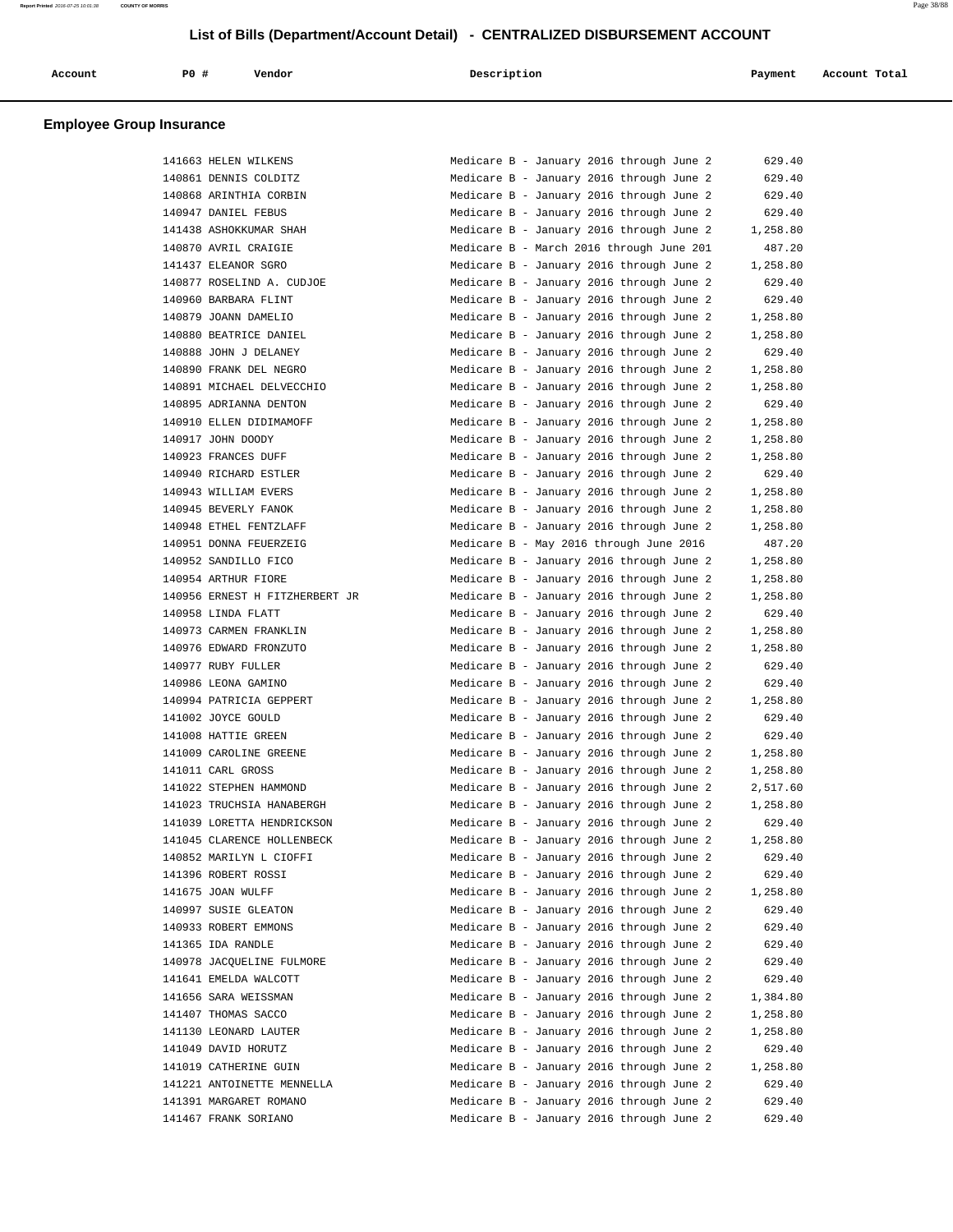| Account | PO# | Vendor | Description | Payment | Account Total |
|---------|-----|--------|-------------|---------|---------------|
|         |     |        |             |         |               |

# **Employee Group Insurance**

| 141663 HELEN WILKENS                               | Medicare B - January 2016 through June 2                                             | 629.40           |
|----------------------------------------------------|--------------------------------------------------------------------------------------|------------------|
| 140861 DENNIS COLDITZ                              | Medicare B - January 2016 through June 2                                             | 629.40           |
| 140868 ARINTHIA CORBIN                             | Medicare B - January 2016 through June 2                                             | 629.40           |
| 140947 DANIEL FEBUS                                | Medicare B - January 2016 through June 2                                             | 629.40           |
| 141438 ASHOKKUMAR SHAH                             | Medicare B - January 2016 through June 2                                             | 1,258.80         |
| 140870 AVRIL CRAIGIE                               | Medicare B - March 2016 through June 201                                             | 487.20           |
| 141437 ELEANOR SGRO                                | Medicare B - January 2016 through June 2                                             | 1,258.80         |
| 140877 ROSELIND A. CUDJOE                          | Medicare B - January 2016 through June 2                                             | 629.40           |
| 140960 BARBARA FLINT                               | Medicare B - January 2016 through June 2                                             | 629.40           |
| 140879 JOANN DAMELIO                               | Medicare B - January 2016 through June 2                                             | 1,258.80         |
| 140880 BEATRICE DANIEL                             | Medicare B - January 2016 through June 2                                             | 1,258.80         |
| 140888 JOHN J DELANEY                              | Medicare B - January 2016 through June 2                                             | 629.40           |
| 140890 FRANK DEL NEGRO                             | Medicare B - January 2016 through June 2                                             | 1,258.80         |
| 140891 MICHAEL DELVECCHIO                          | Medicare B - January 2016 through June 2                                             | 1,258.80         |
| 140895 ADRIANNA DENTON                             | Medicare B - January 2016 through June 2                                             | 629.40           |
| 140910 ELLEN DIDIMAMOFF                            | Medicare B - January 2016 through June 2                                             | 1,258.80         |
| 140917 JOHN DOODY                                  | Medicare B - January 2016 through June 2                                             | 1,258.80         |
| 140923 FRANCES DUFF                                | Medicare B - January 2016 through June 2                                             | 1,258.80         |
| 140940 RICHARD ESTLER                              | Medicare B - January 2016 through June 2                                             | 629.40           |
| 140943 WILLIAM EVERS                               | Medicare B - January 2016 through June 2                                             | 1,258.80         |
| 140945 BEVERLY FANOK                               | Medicare B - January 2016 through June 2                                             | 1,258.80         |
| 140948 ETHEL FENTZLAFF                             | Medicare B - January 2016 through June 2                                             | 1,258.80         |
| 140951 DONNA FEUERZEIG                             | Medicare B - May 2016 through June 2016                                              | 487.20           |
| 140952 SANDILLO FICO                               | Medicare B - January 2016 through June 2                                             | 1,258.80         |
| 140954 ARTHUR FIORE                                | Medicare B - January 2016 through June 2                                             | 1,258.80         |
| 140956 ERNEST H FITZHERBERT JR                     | Medicare B - January 2016 through June 2                                             | 1,258.80         |
| 140958 LINDA FLATT                                 | Medicare B - January 2016 through June 2                                             | 629.40           |
| 140973 CARMEN FRANKLIN                             | Medicare B - January 2016 through June 2                                             | 1,258.80         |
| 140976 EDWARD FRONZUTO                             | Medicare B - January 2016 through June 2                                             | 1,258.80         |
| 140977 RUBY FULLER                                 | Medicare B - January 2016 through June 2                                             | 629.40           |
| 140986 LEONA GAMINO                                | Medicare B - January 2016 through June 2                                             | 629.40           |
| 140994 PATRICIA GEPPERT                            | Medicare B - January 2016 through June 2                                             | 1,258.80         |
| 141002 JOYCE GOULD                                 | Medicare B - January 2016 through June 2                                             | 629.40           |
| 141008 HATTIE GREEN                                | Medicare B - January 2016 through June 2                                             | 629.40           |
| 141009 CAROLINE GREENE                             | Medicare B - January 2016 through June 2                                             | 1,258.80         |
| 141011 CARL GROSS                                  | Medicare B - January 2016 through June 2                                             | 1,258.80         |
| 141022 STEPHEN HAMMOND                             | Medicare B - January 2016 through June 2                                             | 2,517.60         |
| 141023 TRUCHSIA HANABERGH                          | Medicare B - January 2016 through June 2                                             | 1,258.80         |
| 141039 LORETTA HENDRICKSON                         | Medicare B - January 2016 through June 2                                             | 629.40           |
| 141045 CLARENCE HOLLENBECK                         | Medicare B - January 2016 through June 2                                             | 1,258.80         |
| 140852 MARILYN L CIOFFI                            | Medicare B - January 2016 through June 2                                             | 629.40           |
| 141396 ROBERT ROSSI                                | Medicare B - January 2016 through June 2                                             | 629.40           |
| 141675 JOAN WULFF                                  | Medicare B - January 2016 through June 2                                             | 1,258.80         |
| 140997 SUSIE GLEATON                               | Medicare B - January 2016 through June 2                                             | 629.40           |
| 140933 ROBERT EMMONS                               | Medicare B - January 2016 through June 2                                             | 629.40           |
| 141365 IDA RANDLE                                  | Medicare B - January 2016 through June 2                                             | 629.40           |
|                                                    |                                                                                      |                  |
| 140978 JACQUELINE FULMORE<br>141641 EMELDA WALCOTT | Medicare B - January 2016 through June 2<br>Medicare B - January 2016 through June 2 | 629.40<br>629.40 |
|                                                    |                                                                                      |                  |
| 141656 SARA WEISSMAN                               | Medicare B - January 2016 through June 2<br>Medicare B - January 2016 through June 2 | 1,384.80         |
| 141407 THOMAS SACCO                                |                                                                                      | 1,258.80         |
| 141130 LEONARD LAUTER                              | Medicare B - January 2016 through June 2                                             | 1,258.80         |
| 141049 DAVID HORUTZ                                | Medicare B - January 2016 through June 2                                             | 629.40           |
| 141019 CATHERINE GUIN                              | Medicare B - January 2016 through June 2                                             | 1,258.80         |
| 141221 ANTOINETTE MENNELLA                         | Medicare B - January 2016 through June 2                                             | 629.40           |
| 141391 MARGARET ROMANO                             | Medicare B - January 2016 through June 2                                             | 629.40           |
| 141467 FRANK SORIANO                               | Medicare B - January 2016 through June 2                                             | 629.40           |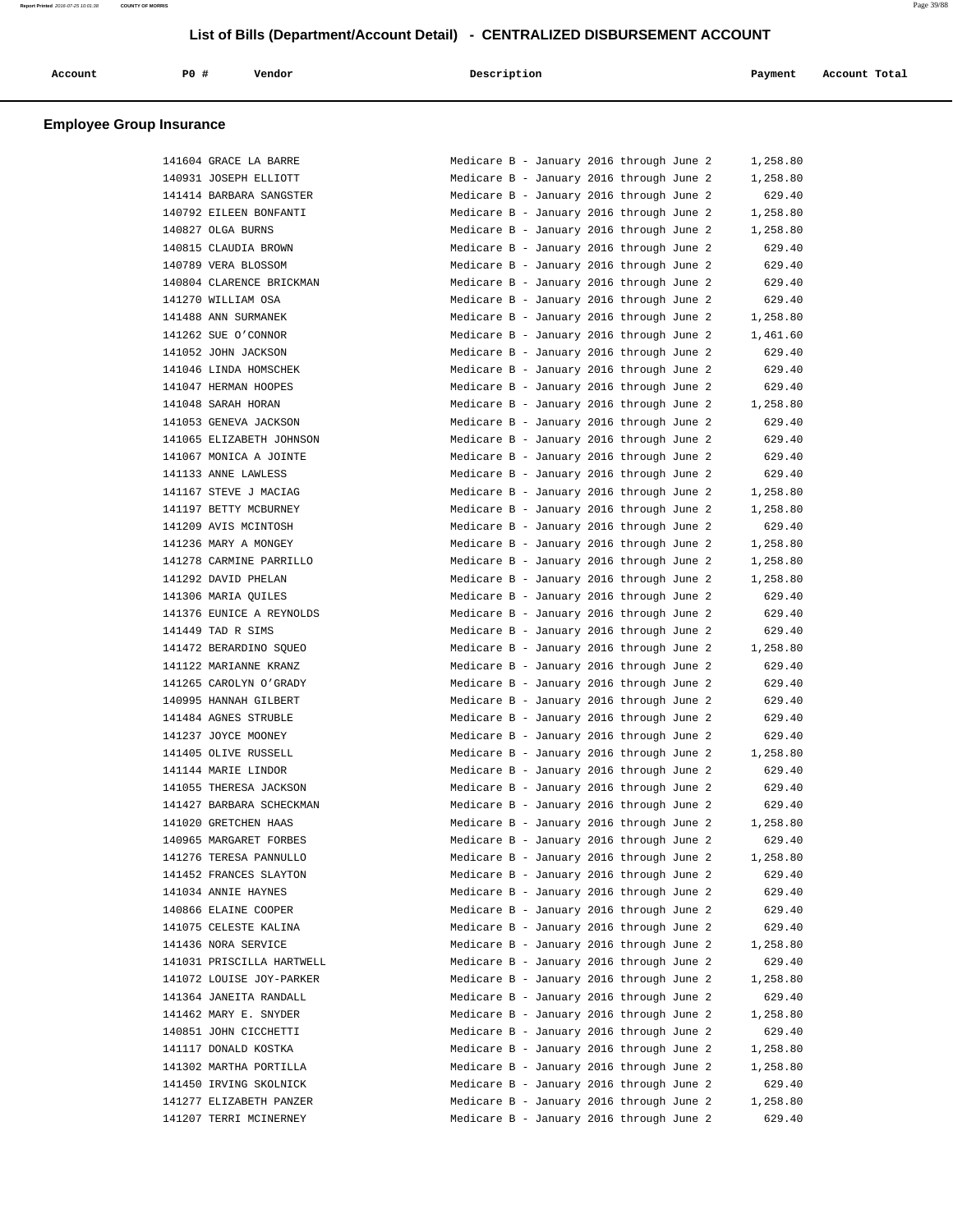| P0<br>Description<br>Vendor<br>Account<br>Account Total<br>Payment |  |
|--------------------------------------------------------------------|--|
|--------------------------------------------------------------------|--|

### **Employee Group Insurance**

| 141604 GRACE LA BARRE     | Medicare B - January 2016 through June 2<br>1,258.80 |
|---------------------------|------------------------------------------------------|
| 140931 JOSEPH ELLIOTT     | Medicare B - January 2016 through June 2<br>1,258.80 |
| 141414 BARBARA SANGSTER   | 629.40<br>Medicare B - January 2016 through June 2   |
| 140792 EILEEN BONFANTI    | Medicare B - January 2016 through June 2<br>1,258.80 |
| 140827 OLGA BURNS         | Medicare B - January 2016 through June 2<br>1,258.80 |
| 140815 CLAUDIA BROWN      | Medicare B - January 2016 through June 2<br>629.40   |
| 140789 VERA BLOSSOM       | Medicare B - January 2016 through June 2<br>629.40   |
| 140804 CLARENCE BRICKMAN  | Medicare B - January 2016 through June 2<br>629.40   |
| 141270 WILLIAM OSA        | Medicare B - January 2016 through June 2<br>629.40   |
| 141488 ANN SURMANEK       | Medicare B - January 2016 through June 2<br>1,258.80 |
| 141262 SUE O'CONNOR       | Medicare B - January 2016 through June 2<br>1,461.60 |
| 141052 JOHN JACKSON       | Medicare B - January 2016 through June 2<br>629.40   |
| 141046 LINDA HOMSCHEK     | Medicare B - January 2016 through June 2<br>629.40   |
| 141047 HERMAN HOOPES      | Medicare B - January 2016 through June 2<br>629.40   |
| 141048 SARAH HORAN        | Medicare B - January 2016 through June 2<br>1,258.80 |
| 141053 GENEVA JACKSON     | Medicare B - January 2016 through June 2<br>629.40   |
| 141065 ELIZABETH JOHNSON  | Medicare B - January 2016 through June 2<br>629.40   |
| 141067 MONICA A JOINTE    | 629.40<br>Medicare B - January 2016 through June 2   |
| 141133 ANNE LAWLESS       | 629.40<br>Medicare B - January 2016 through June 2   |
| 141167 STEVE J MACIAG     | Medicare B - January 2016 through June 2<br>1,258.80 |
| 141197 BETTY MCBURNEY     | Medicare B - January 2016 through June 2<br>1,258.80 |
| 141209 AVIS MCINTOSH      | Medicare B - January 2016 through June 2<br>629.40   |
| 141236 MARY A MONGEY      | Medicare B - January 2016 through June 2<br>1,258.80 |
| 141278 CARMINE PARRILLO   | Medicare B - January 2016 through June 2<br>1,258.80 |
| 141292 DAVID PHELAN       | Medicare B - January 2016 through June 2<br>1,258.80 |
| 141306 MARIA OUILES       | Medicare B - January 2016 through June 2<br>629.40   |
| 141376 EUNICE A REYNOLDS  | Medicare B - January 2016 through June 2<br>629.40   |
| 141449 TAD R SIMS         | Medicare B - January 2016 through June 2<br>629.40   |
| 141472 BERARDINO SQUEO    | Medicare B - January 2016 through June 2<br>1,258.80 |
| 141122 MARIANNE KRANZ     | Medicare B - January 2016 through June 2<br>629.40   |
| 141265 CAROLYN O'GRADY    | Medicare B - January 2016 through June 2<br>629.40   |
| 140995 HANNAH GILBERT     | Medicare B - January 2016 through June 2<br>629.40   |
| 141484 AGNES STRUBLE      | 629.40<br>Medicare B - January 2016 through June 2   |
| 141237 JOYCE MOONEY       | Medicare B - January 2016 through June 2<br>629.40   |
| 141405 OLIVE RUSSELL      | Medicare B - January 2016 through June 2<br>1,258.80 |
| 141144 MARIE LINDOR       | Medicare B - January 2016 through June 2<br>629.40   |
| 141055 THERESA JACKSON    | Medicare B - January 2016 through June 2<br>629.40   |
| 141427 BARBARA SCHECKMAN  | Medicare B - January 2016 through June 2<br>629.40   |
| 141020 GRETCHEN HAAS      | Medicare B - January 2016 through June 2<br>1,258.80 |
| 140965 MARGARET FORBES    | Medicare B - January 2016 through June 2<br>629.40   |
| 141276 TERESA PANNULLO    | Medicare B - January 2016 through June 2<br>1,258.80 |
| 141452 FRANCES SLAYTON    | Medicare B - January 2016 through June 2<br>629.40   |
| 141034 ANNIE HAYNES       | Medicare B - January 2016 through June 2<br>629.40   |
| 140866 ELAINE COOPER      | Medicare B - January 2016 through June 2<br>629.40   |
| 141075 CELESTE KALINA     | Medicare B - January 2016 through June 2<br>629.40   |
| 141436 NORA SERVICE       | Medicare B - January 2016 through June 2<br>1,258.80 |
| 141031 PRISCILLA HARTWELL | 629.40<br>Medicare B - January 2016 through June 2   |
| 141072 LOUISE JOY-PARKER  | 1,258.80<br>Medicare B - January 2016 through June 2 |
| 141364 JANEITA RANDALL    | 629.40<br>Medicare B - January 2016 through June 2   |
| 141462 MARY E. SNYDER     | Medicare B - January 2016 through June 2<br>1,258.80 |
| 140851 JOHN CICCHETTI     | Medicare B - January 2016 through June 2<br>629.40   |
| 141117 DONALD KOSTKA      | Medicare B - January 2016 through June 2<br>1,258.80 |
| 141302 MARTHA PORTILLA    | Medicare B - January 2016 through June 2<br>1,258.80 |
| 141450 IRVING SKOLNICK    | Medicare B - January 2016 through June 2<br>629.40   |
| 141277 ELIZABETH PANZER   | Medicare B - January 2016 through June 2<br>1,258.80 |
| 141207 TERRI MCINERNEY    | 629.40<br>Medicare B - January 2016 through June 2   |
|                           |                                                      |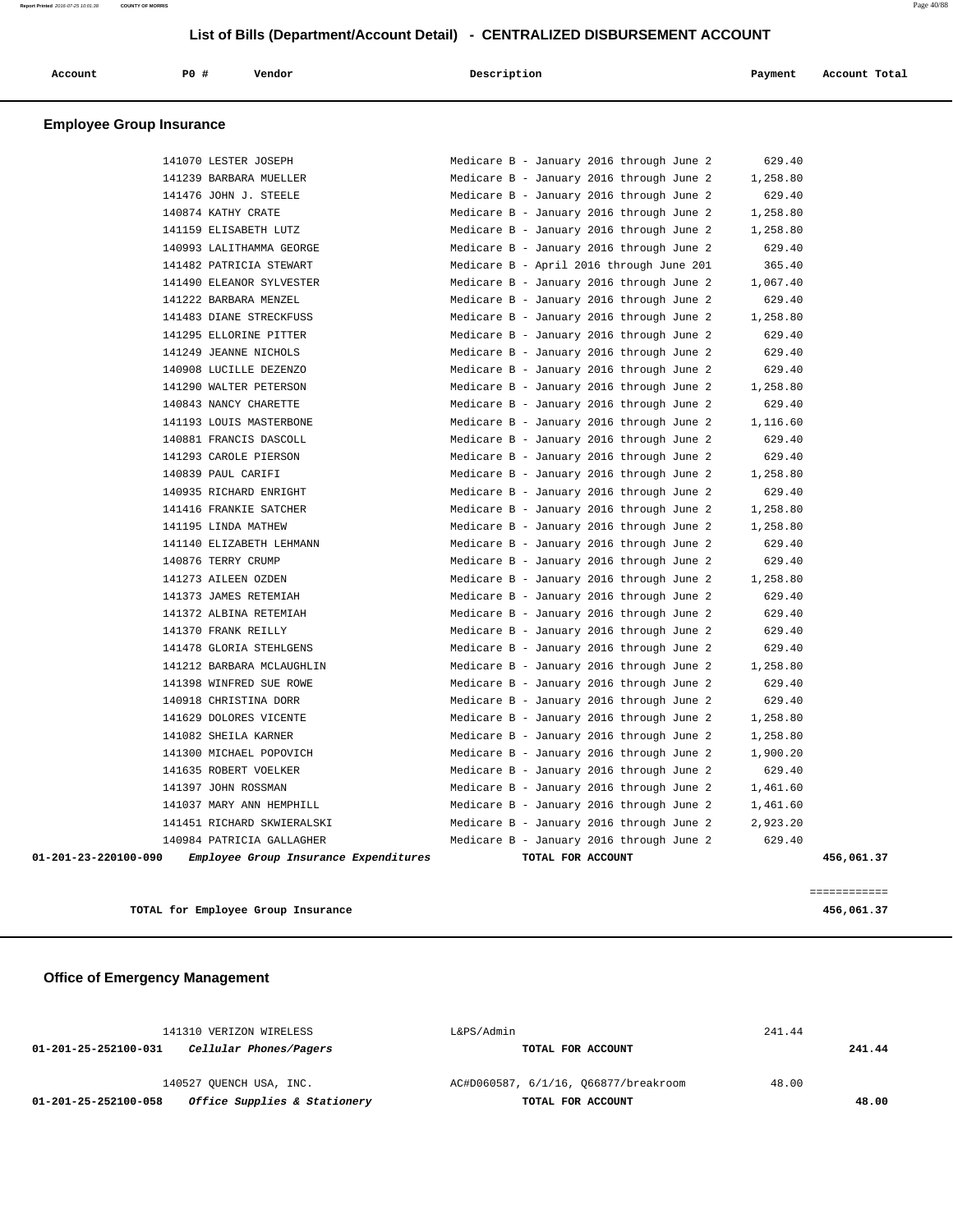| Account                         | PO# | Vendor | Description | Payment | Account Total |
|---------------------------------|-----|--------|-------------|---------|---------------|
| <b>Employee Group Insurance</b> |     |        |             |         |               |

| 141037 MARY ANN HEMPHILL  | Medicare B - January 2016 through June 2<br>1,461.60 |  |
|---------------------------|------------------------------------------------------|--|
| 141397 JOHN ROSSMAN       | Medicare B - January 2016 through June 2<br>1,461.60 |  |
| 141635 ROBERT VOELKER     | Medicare B - January 2016 through June 2<br>629.40   |  |
| 141300 MICHAEL POPOVICH   | Medicare B - January 2016 through June 2<br>1,900.20 |  |
| 141082 SHEILA KARNER      | Medicare B - January 2016 through June 2<br>1,258.80 |  |
| 141629 DOLORES VICENTE    | Medicare B - January 2016 through June 2<br>1,258.80 |  |
| 140918 CHRISTINA DORR     | Medicare B - January 2016 through June 2<br>629.40   |  |
| 141398 WINFRED SUE ROWE   | Medicare B - January 2016 through June 2<br>629.40   |  |
| 141212 BARBARA MCLAUGHLIN | Medicare B - January 2016 through June 2<br>1,258.80 |  |
| 141478 GLORIA STEHLGENS   | Medicare B - January 2016 through June 2<br>629.40   |  |
| 141370 FRANK REILLY       | Medicare B - January 2016 through June 2<br>629.40   |  |
| 141372 ALBINA RETEMIAH    | Medicare B - January 2016 through June 2<br>629.40   |  |
| 141373 JAMES RETEMIAH     | Medicare B - January 2016 through June 2<br>629.40   |  |
| 141273 AILEEN OZDEN       | 1,258.80<br>Medicare B - January 2016 through June 2 |  |
| 140876 TERRY CRUMP        | Medicare B - January 2016 through June 2<br>629.40   |  |
| 141140 ELIZABETH LEHMANN  | Medicare B - January 2016 through June 2<br>629.40   |  |
| 141195 LINDA MATHEW       | Medicare B - January 2016 through June 2<br>1,258.80 |  |
| 141416 FRANKIE SATCHER    | Medicare B - January 2016 through June 2<br>1,258.80 |  |
| 140935 RICHARD ENRIGHT    | Medicare B - January 2016 through June 2<br>629.40   |  |
| 140839 PAUL CARIFI        | Medicare B - January 2016 through June 2<br>1,258.80 |  |
| 141293 CAROLE PIERSON     | Medicare B - January 2016 through June 2<br>629.40   |  |
| 140881 FRANCIS DASCOLL    | 629.40<br>Medicare B - January 2016 through June 2   |  |
| 141193 LOUIS MASTERBONE   | Medicare B - January 2016 through June 2<br>1,116.60 |  |
| 140843 NANCY CHARETTE     | 629.40<br>Medicare B - January 2016 through June 2   |  |
| 141290 WALTER PETERSON    | Medicare B - January 2016 through June 2<br>1,258.80 |  |
| 140908 LUCILLE DEZENZO    | 629.40<br>Medicare B - January 2016 through June 2   |  |
| 141249 JEANNE NICHOLS     | Medicare B - January 2016 through June 2<br>629.40   |  |
| 141295 ELLORINE PITTER    | Medicare B - January 2016 through June 2<br>629.40   |  |
| 141483 DIANE STRECKFUSS   | 1,258.80<br>Medicare B - January 2016 through June 2 |  |
| 141222 BARBARA MENZEL     | Medicare B - January 2016 through June 2<br>629.40   |  |
| 141490 ELEANOR SYLVESTER  | Medicare B - January 2016 through June 2<br>1,067.40 |  |
| 141482 PATRICIA STEWART   | Medicare B - April 2016 through June 201<br>365.40   |  |
| 140993 LALITHAMMA GEORGE  | Medicare B - January 2016 through June 2<br>629.40   |  |
| 141159 ELISABETH LUTZ     | Medicare B - January 2016 through June 2<br>1,258.80 |  |
| 140874 KATHY CRATE        | Medicare B - January 2016 through June 2<br>1,258.80 |  |
| 141476 JOHN J. STEELE     | Medicare B - January 2016 through June 2<br>629.40   |  |
| 141239 BARBARA MUELLER    | Medicare B - January 2016 through June 2<br>1,258.80 |  |
| 141070 LESTER JOSEPH      | 629.40<br>Medicare B - January 2016 through June 2   |  |
|                           |                                                      |  |

**TOTAL for Employee Group Insurance 456,061.37**

============

 **Office of Emergency Management**

| 141310 VERIZON WIRELESS                              | L&PS/Admin                           | 241.44 |        |  |
|------------------------------------------------------|--------------------------------------|--------|--------|--|
| Cellular Phones/Pagers<br>01-201-25-252100-031       | TOTAL FOR ACCOUNT                    |        | 241.44 |  |
| 140527 OUENCH USA, INC.                              | AC#D060587, 6/1/16, 066877/breakroom | 48.00  |        |  |
| Office Supplies & Stationery<br>01-201-25-252100-058 | TOTAL FOR ACCOUNT                    |        | 48.00  |  |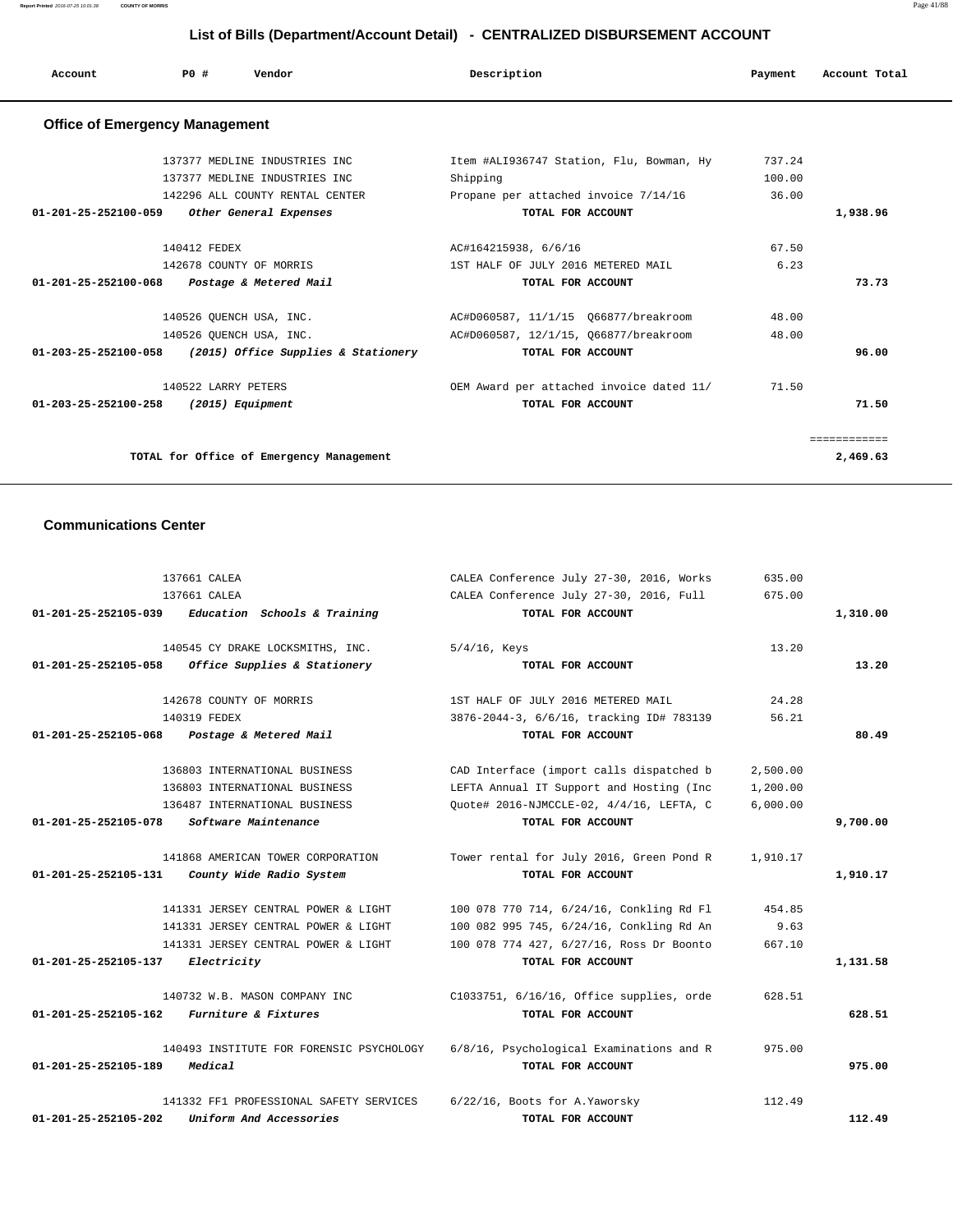**Report Printed** 2016-07-25 10:01:38 **COUNTY OF MORRIS** Page 41/88

# **List of Bills (Department/Account Detail) - CENTRALIZED DISBURSEMENT ACCOUNT**

|                                       | List of Bills (Department/Account Detail) - CENTRALIZED DISBURSEMENT ACCOUNT |                                     |                                          |         |               |  |
|---------------------------------------|------------------------------------------------------------------------------|-------------------------------------|------------------------------------------|---------|---------------|--|
| Account                               | PO#                                                                          | Vendor                              | Description                              | Payment | Account Total |  |
| <b>Office of Emergency Management</b> |                                                                              |                                     |                                          |         |               |  |
|                                       |                                                                              | 137377 MEDLINE INDUSTRIES INC       | Item #ALI936747 Station, Flu, Bowman, Hy | 737.24  |               |  |
|                                       |                                                                              | 137377 MEDLINE INDUSTRIES INC       | Shipping                                 | 100.00  |               |  |
|                                       |                                                                              | 142296 ALL COUNTY RENTAL CENTER     | Propane per attached invoice 7/14/16     | 36.00   |               |  |
| 01-201-25-252100-059                  |                                                                              | Other General Expenses              | TOTAL FOR ACCOUNT                        |         | 1,938.96      |  |
|                                       | 140412 FEDEX                                                                 |                                     | AC#164215938, 6/6/16                     | 67.50   |               |  |
|                                       |                                                                              | 142678 COUNTY OF MORRIS             | 1ST HALF OF JULY 2016 METERED MAIL       | 6.23    |               |  |
| 01-201-25-252100-068                  |                                                                              | Postage & Metered Mail              | TOTAL FOR ACCOUNT                        |         | 73.73         |  |
|                                       |                                                                              | 140526 OUENCH USA, INC.             | AC#D060587, 11/1/15 066877/breakroom     | 48.00   |               |  |
|                                       |                                                                              | 140526 QUENCH USA, INC.             | AC#D060587, 12/1/15, Q66877/breakroom    | 48.00   |               |  |
| 01-203-25-252100-058                  |                                                                              | (2015) Office Supplies & Stationery | TOTAL FOR ACCOUNT                        |         | 96.00         |  |
|                                       | 140522 LARRY PETERS                                                          |                                     | OEM Award per attached invoice dated 11/ | 71.50   |               |  |
| 01-203-25-252100-258                  |                                                                              | (2015) Equipment                    | TOTAL FOR ACCOUNT                        |         | 71.50         |  |

============

TOTAL for Office of Emergency Management 2,469.63

## **Communications Center**

|                                | 137661 CALEA                             | CALEA Conference July 27-30, 2016, Works | 635.00   |          |
|--------------------------------|------------------------------------------|------------------------------------------|----------|----------|
|                                | 137661 CALEA                             | CALEA Conference July 27-30, 2016, Full  | 675.00   |          |
| 01-201-25-252105-039           | Education Schools & Training             | TOTAL FOR ACCOUNT                        |          | 1,310.00 |
|                                |                                          |                                          |          |          |
|                                | 140545 CY DRAKE LOCKSMITHS, INC.         | $5/4/16$ , Keys                          | 13.20    |          |
| 01-201-25-252105-058           | Office Supplies & Stationery             | TOTAL FOR ACCOUNT                        |          | 13.20    |
|                                | 142678 COUNTY OF MORRIS                  | 1ST HALF OF JULY 2016 METERED MAIL       | 24.28    |          |
|                                | 140319 FEDEX                             | 3876-2044-3, 6/6/16, tracking ID# 783139 | 56.21    |          |
| 01-201-25-252105-068           | Postage & Metered Mail                   | TOTAL FOR ACCOUNT                        |          | 80.49    |
|                                | 136803 INTERNATIONAL BUSINESS            | CAD Interface (import calls dispatched b | 2,500.00 |          |
|                                | 136803 INTERNATIONAL BUSINESS            | LEFTA Annual IT Support and Hosting (Inc | 1,200.00 |          |
|                                | 136487 INTERNATIONAL BUSINESS            | Ouote# 2016-NJMCCLE-02, 4/4/16, LEFTA, C | 6,000.00 |          |
| $01 - 201 - 25 - 252105 - 078$ | Software Maintenance                     | TOTAL FOR ACCOUNT                        |          | 9,700.00 |
|                                |                                          |                                          |          |          |
|                                | 141868 AMERICAN TOWER CORPORATION        | Tower rental for July 2016, Green Pond R | 1,910.17 |          |
| 01-201-25-252105-131           | County Wide Radio System                 | TOTAL FOR ACCOUNT                        |          | 1,910.17 |
|                                | 141331 JERSEY CENTRAL POWER & LIGHT      | 100 078 770 714, 6/24/16, Conkling Rd Fl | 454.85   |          |
|                                | 141331 JERSEY CENTRAL POWER & LIGHT      | 100 082 995 745, 6/24/16, Conkling Rd An | 9.63     |          |
|                                | 141331 JERSEY CENTRAL POWER & LIGHT      | 100 078 774 427, 6/27/16, Ross Dr Boonto | 667.10   |          |
| 01-201-25-252105-137           | Electricity                              | TOTAL FOR ACCOUNT                        |          | 1,131.58 |
|                                | 140732 W.B. MASON COMPANY INC            | C1033751, 6/16/16, Office supplies, orde | 628.51   |          |
| 01-201-25-252105-162           | <i>Furniture &amp; Fixtures</i>          | TOTAL FOR ACCOUNT                        |          | 628.51   |
|                                | 140493 INSTITUTE FOR FORENSIC PSYCHOLOGY | 6/8/16, Psychological Examinations and R | 975.00   |          |
| 01-201-25-252105-189           | Medical                                  | TOTAL FOR ACCOUNT                        |          | 975.00   |
|                                |                                          |                                          |          |          |
|                                | 141332 FF1 PROFESSIONAL SAFETY SERVICES  | 6/22/16, Boots for A. Yaworsky           | 112.49   |          |
| 01-201-25-252105-202           | Uniform And Accessories                  | TOTAL FOR ACCOUNT                        |          | 112.49   |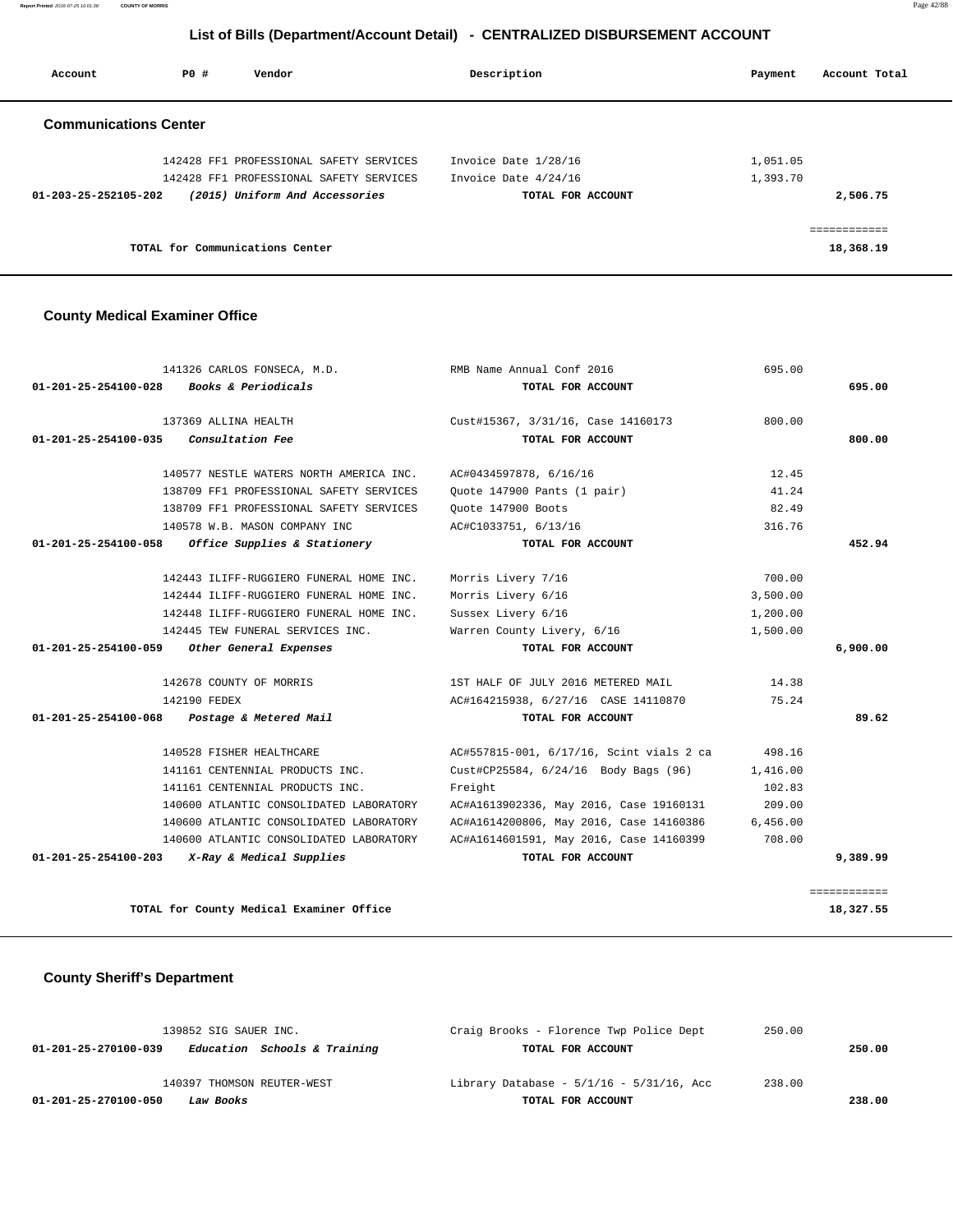**Report Printed** 2016-07-25 10:01:38 **COUNTY OF MORRIS** Page 42/88

## **List of Bills (Department/Account Detail) - CENTRALIZED DISBURSEMENT ACCOUNT**

| Account                        | PO# | Vendor                                  | Description          | Payment  | Account Total |
|--------------------------------|-----|-----------------------------------------|----------------------|----------|---------------|
| <b>Communications Center</b>   |     |                                         |                      |          |               |
|                                |     | 142428 FF1 PROFESSIONAL SAFETY SERVICES | Invoice Date 1/28/16 | 1,051.05 |               |
|                                |     | 142428 FF1 PROFESSIONAL SAFETY SERVICES | Invoice Date 4/24/16 | 1,393.70 |               |
| $01 - 203 - 25 - 252105 - 202$ |     | (2015) Uniform And Accessories          | TOTAL FOR ACCOUNT    |          | 2,506.75      |
|                                |     |                                         |                      |          |               |
|                                |     | TOTAL for Communications Center         |                      |          | 18,368.19     |

### **County Medical Examiner Office**

|          | 695.00   | RMB Name Annual Conf 2016                | 141326 CARLOS FONSECA, M.D.                       |
|----------|----------|------------------------------------------|---------------------------------------------------|
| 695.00   |          | TOTAL FOR ACCOUNT                        | <i>Books &amp; Periodicals</i>                    |
|          | 800.00   | Cust#15367, 3/31/16, Case 14160173       | 137369 ALLINA HEALTH                              |
| 800.00   |          | TOTAL FOR ACCOUNT                        | <i>Consultation Fee</i>                           |
|          | 12.45    | AC#0434597878, 6/16/16                   | 140577 NESTLE WATERS NORTH AMERICA INC.           |
|          | 41.24    | Ouote 147900 Pants (1 pair)              | 138709 FF1 PROFESSIONAL SAFETY SERVICES           |
|          | 82.49    | Quote 147900 Boots                       | 138709 FF1 PROFESSIONAL SAFETY SERVICES           |
|          | 316.76   | AC#C1033751, 6/13/16                     | 140578 W.B. MASON COMPANY INC                     |
| 452.94   |          | TOTAL FOR ACCOUNT                        | 01-201-25-254100-058 Office Supplies & Stationery |
|          | 700.00   | Morris Livery 7/16                       | 142443 ILIFF-RUGGIERO FUNERAL HOME INC.           |
|          | 3,500.00 | Morris Livery 6/16                       | 142444 ILIFF-RUGGIERO FUNERAL HOME INC.           |
|          | 1,200.00 | Sussex Livery 6/16                       | 142448 ILIFF-RUGGIERO FUNERAL HOME INC.           |
|          | 1,500.00 | Warren County Livery, 6/16               | 142445 TEW FUNERAL SERVICES INC.                  |
| 6,900.00 |          | TOTAL FOR ACCOUNT                        | 01-201-25-254100-059 Other General Expenses       |
|          | 14.38    | 1ST HALF OF JULY 2016 METERED MAIL       | 142678 COUNTY OF MORRIS                           |
|          | 75.24    | AC#164215938, 6/27/16 CASE 14110870      | 142190 FEDEX                                      |
| 89.62    |          | TOTAL FOR ACCOUNT                        | Postage & Metered Mail                            |
|          | 498.16   | AC#557815-001, 6/17/16, Scint vials 2 ca | 140528 FISHER HEALTHCARE                          |
|          | 1,416.00 | Cust#CP25584, 6/24/16 Body Bags (96)     | 141161 CENTENNIAL PRODUCTS INC.                   |
|          | 102.83   | Freight                                  | 141161 CENTENNIAL PRODUCTS INC.                   |
|          | 209.00   | AC#A1613902336, May 2016, Case 19160131  | 140600 ATLANTIC CONSOLIDATED LABORATORY           |
|          | 6,456.00 | AC#A1614200806, May 2016, Case 14160386  | 140600 ATLANTIC CONSOLIDATED LABORATORY           |
|          | 708.00   | AC#A1614601591, May 2016, Case 14160399  | 140600 ATLANTIC CONSOLIDATED LABORATORY           |
|          |          |                                          | X-Ray & Medical Supplies                          |

# **County Sheriff's Department**

| 139852 SIG SAUER INC.                                | Craig Brooks - Florence Twp Police Dept       | 250.00 |
|------------------------------------------------------|-----------------------------------------------|--------|
| Education Schools & Training<br>01-201-25-270100-039 | TOTAL FOR ACCOUNT                             | 250.00 |
| 140397 THOMSON REUTER-WEST                           | Library Database - $5/1/16$ - $5/31/16$ , Acc | 238.00 |
| 01-201-25-270100-050<br>Law Books                    | TOTAL FOR ACCOUNT                             | 238.00 |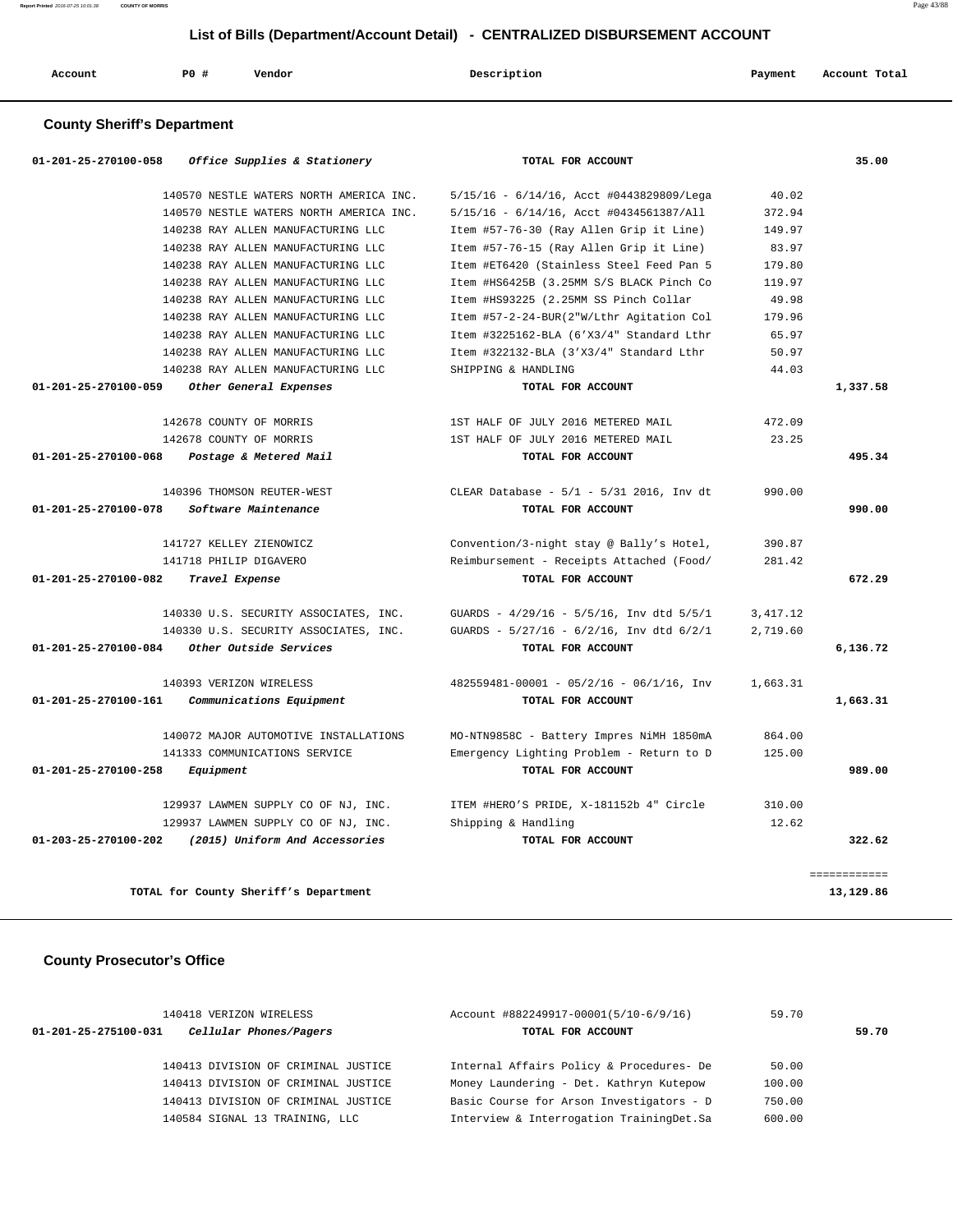| Account | <b>PO #</b> | Vendor | Description<br>$\sim$ $\sim$ | Payment<br>$\sim$ $\sim$ | Account Total |
|---------|-------------|--------|------------------------------|--------------------------|---------------|
|         |             |        |                              |                          |               |

## **County Sheriff's Department**

| 01-201-25-270100-058           | Office Supplies & Stationery            | TOTAL FOR ACCOUNT                               |           | 35.00        |
|--------------------------------|-----------------------------------------|-------------------------------------------------|-----------|--------------|
|                                | 140570 NESTLE WATERS NORTH AMERICA INC. | 5/15/16 - 6/14/16, Acct #0443829809/Lega        | 40.02     |              |
|                                | 140570 NESTLE WATERS NORTH AMERICA INC. | 5/15/16 - 6/14/16, Acct #0434561387/All         | 372.94    |              |
|                                | 140238 RAY ALLEN MANUFACTURING LLC      | Item #57-76-30 (Ray Allen Grip it Line)         | 149.97    |              |
|                                | 140238 RAY ALLEN MANUFACTURING LLC      | Item #57-76-15 (Ray Allen Grip it Line)         | 83.97     |              |
|                                | 140238 RAY ALLEN MANUFACTURING LLC      | Item #ET6420 (Stainless Steel Feed Pan 5        | 179.80    |              |
|                                | 140238 RAY ALLEN MANUFACTURING LLC      | Item #HS6425B (3.25MM S/S BLACK Pinch Co        | 119.97    |              |
|                                | 140238 RAY ALLEN MANUFACTURING LLC      | Item #HS93225 (2.25MM SS Pinch Collar           | 49.98     |              |
|                                | 140238 RAY ALLEN MANUFACTURING LLC      | Item #57-2-24-BUR(2"W/Lthr Agitation Col        | 179.96    |              |
|                                | 140238 RAY ALLEN MANUFACTURING LLC      | Item #3225162-BLA (6'X3/4" Standard Lthr        | 65.97     |              |
|                                | 140238 RAY ALLEN MANUFACTURING LLC      | Item #322132-BLA (3'X3/4" Standard Lthr         | 50.97     |              |
|                                | 140238 RAY ALLEN MANUFACTURING LLC      | SHIPPING & HANDLING                             | 44.03     |              |
| 01-201-25-270100-059           | Other General Expenses                  | TOTAL FOR ACCOUNT                               |           | 1,337.58     |
|                                | 142678 COUNTY OF MORRIS                 | 1ST HALF OF JULY 2016 METERED MAIL              | 472.09    |              |
|                                | 142678 COUNTY OF MORRIS                 | 1ST HALF OF JULY 2016 METERED MAIL              | 23.25     |              |
| 01-201-25-270100-068           | Postage & Metered Mail                  | TOTAL FOR ACCOUNT                               |           | 495.34       |
|                                | 140396 THOMSON REUTER-WEST              | CLEAR Database - 5/1 - 5/31 2016, Inv dt        | 990.00    |              |
| 01-201-25-270100-078           | Software Maintenance                    | TOTAL FOR ACCOUNT                               |           | 990.00       |
|                                | 141727 KELLEY ZIENOWICZ                 | Convention/3-night stay @ Bally's Hotel,        | 390.87    |              |
|                                | 141718 PHILIP DIGAVERO                  | Reimbursement - Receipts Attached (Food/        | 281.42    |              |
| 01-201-25-270100-082           | Travel Expense                          | TOTAL FOR ACCOUNT                               |           | 672.29       |
|                                | 140330 U.S. SECURITY ASSOCIATES, INC.   | GUARDS - 4/29/16 - 5/5/16, Inv dtd 5/5/1        | 3, 417.12 |              |
|                                | 140330 U.S. SECURITY ASSOCIATES, INC.   | GUARDS - $5/27/16$ - $6/2/16$ , Inv dtd $6/2/1$ | 2,719.60  |              |
| 01-201-25-270100-084           | Other Outside Services                  | TOTAL FOR ACCOUNT                               |           | 6,136.72     |
|                                | 140393 VERIZON WIRELESS                 | $482559481 - 00001 - 05/2/16 - 06/1/16$ , Inv   | 1,663.31  |              |
| 01-201-25-270100-161           | Communications Equipment                | TOTAL FOR ACCOUNT                               |           | 1,663.31     |
|                                | 140072 MAJOR AUTOMOTIVE INSTALLATIONS   | MO-NTN9858C - Battery Impres NiMH 1850mA        | 864.00    |              |
|                                | 141333 COMMUNICATIONS SERVICE           | Emergency Lighting Problem - Return to D        | 125.00    |              |
| $01 - 201 - 25 - 270100 - 258$ | Equipment                               | TOTAL FOR ACCOUNT                               |           | 989.00       |
|                                | 129937 LAWMEN SUPPLY CO OF NJ, INC.     | ITEM #HERO'S PRIDE, X-181152b 4" Circle         | 310.00    |              |
|                                | 129937 LAWMEN SUPPLY CO OF NJ, INC.     | Shipping & Handling                             | 12.62     |              |
| 01-203-25-270100-202           | (2015) Uniform And Accessories          | TOTAL FOR ACCOUNT                               |           | 322.62       |
|                                |                                         |                                                 |           | ============ |
|                                | TOTAL for County Sheriff's Department   |                                                 |           | 13,129.86    |

## **County Prosecutor's Office**

| $01 - 201 - 25 - 275100 - 031$ | 140418 VERIZON WIRELESS<br>Cellular Phones/Pagers |  | Account #882249917-00001(5/10-6/9/16)<br>TOTAL FOR ACCOUNT |        | 59.70 |
|--------------------------------|---------------------------------------------------|--|------------------------------------------------------------|--------|-------|
|                                | 140413 DIVISION OF CRIMINAL JUSTICE               |  | Internal Affairs Policy & Procedures- De                   | 50.00  |       |
|                                | 140413 DIVISION OF CRIMINAL JUSTICE               |  | Money Laundering - Det. Kathryn Kutepow                    | 100.00 |       |
|                                | 140413 DIVISION OF CRIMINAL JUSTICE               |  | Basic Course for Arson Investigators - D                   | 750.00 |       |
|                                | 140584 SIGNAL 13 TRAINING, LLC                    |  | Interview & Interrogation TrainingDet.Sa                   | 600.00 |       |
|                                |                                                   |  |                                                            |        |       |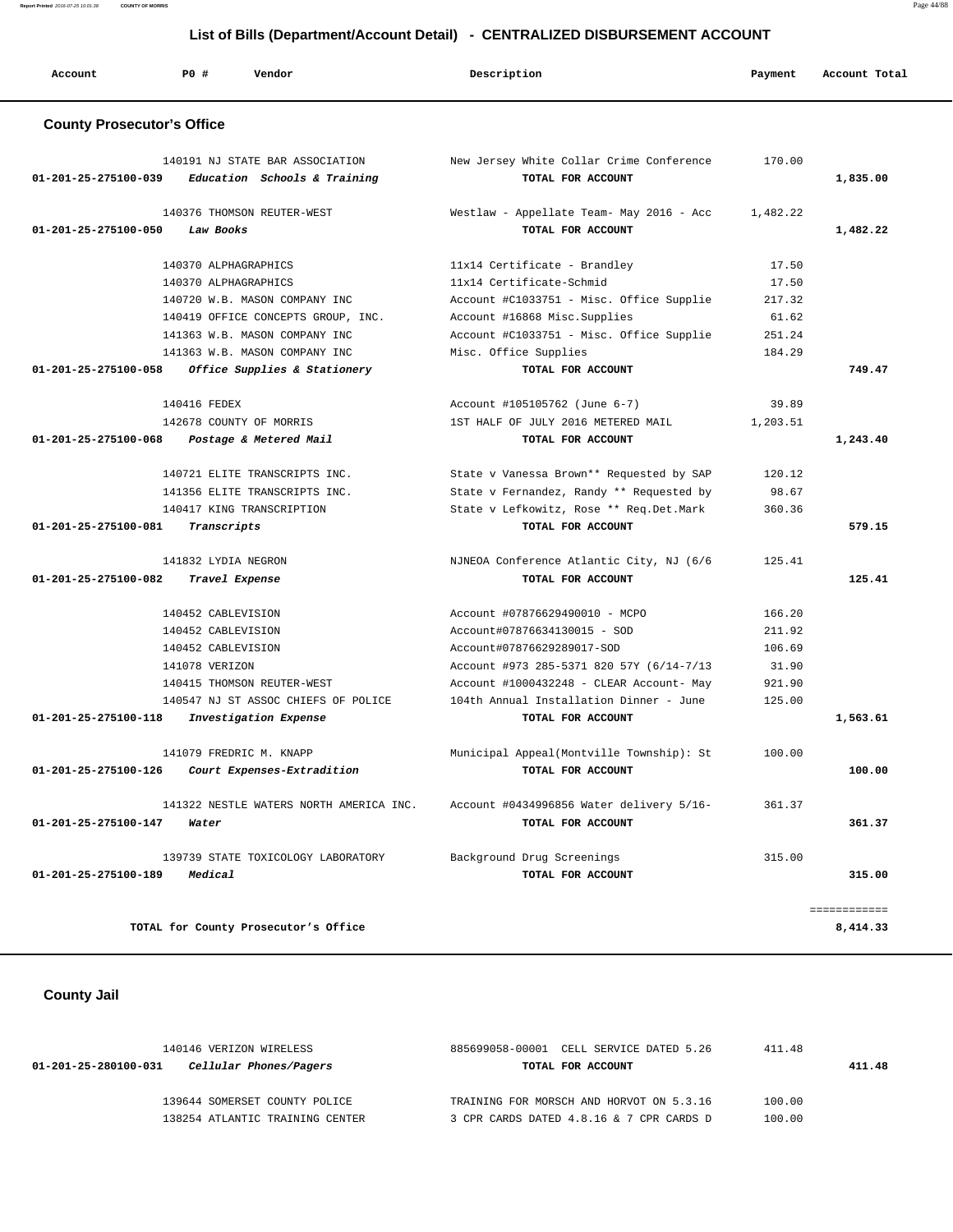**Report Printed** 2016-07-25 10:01:38 **COUNTY OF MORRIS** Page 44/88

# **List of Bills (Department/Account Detail) - CENTRALIZED DISBURSEMENT ACCOUNT**

| Account                           | PO#<br>Vendor                           | Description                              | Payment  | Account Total |
|-----------------------------------|-----------------------------------------|------------------------------------------|----------|---------------|
| <b>County Prosecutor's Office</b> |                                         |                                          |          |               |
|                                   | 140191 NJ STATE BAR ASSOCIATION         | New Jersey White Collar Crime Conference | 170.00   |               |
| 01-201-25-275100-039              | Education Schools & Training            | TOTAL FOR ACCOUNT                        |          | 1,835.00      |
|                                   | 140376 THOMSON REUTER-WEST              | Westlaw - Appellate Team- May 2016 - Acc | 1,482.22 |               |
| 01-201-25-275100-050              | Law Books                               | TOTAL FOR ACCOUNT                        |          | 1,482.22      |
|                                   | 140370 ALPHAGRAPHICS                    | 11x14 Certificate - Brandley             | 17.50    |               |
|                                   | 140370 ALPHAGRAPHICS                    | 11x14 Certificate-Schmid                 | 17.50    |               |
|                                   | 140720 W.B. MASON COMPANY INC           | Account #C1033751 - Misc. Office Supplie | 217.32   |               |
|                                   | 140419 OFFICE CONCEPTS GROUP, INC.      | Account #16868 Misc.Supplies             | 61.62    |               |
|                                   | 141363 W.B. MASON COMPANY INC           | Account #C1033751 - Misc. Office Supplie | 251.24   |               |
|                                   | 141363 W.B. MASON COMPANY INC           | Misc. Office Supplies                    | 184.29   |               |
| 01-201-25-275100-058              | Office Supplies & Stationery            | TOTAL FOR ACCOUNT                        |          | 749.47        |
|                                   | 140416 FEDEX                            | Account #105105762 (June 6-7)            | 39.89    |               |
|                                   | 142678 COUNTY OF MORRIS                 | 1ST HALF OF JULY 2016 METERED MAIL       | 1,203.51 |               |
| 01-201-25-275100-068              | Postage & Metered Mail                  | TOTAL FOR ACCOUNT                        |          | 1,243.40      |
|                                   | 140721 ELITE TRANSCRIPTS INC.           | State v Vanessa Brown** Requested by SAP | 120.12   |               |
|                                   | 141356 ELITE TRANSCRIPTS INC.           | State v Fernandez, Randy ** Requested by | 98.67    |               |
|                                   | 140417 KING TRANSCRIPTION               | State v Lefkowitz, Rose ** Req.Det.Mark  | 360.36   |               |
| 01-201-25-275100-081              | Transcripts                             | TOTAL FOR ACCOUNT                        |          | 579.15        |
|                                   | 141832 LYDIA NEGRON                     | NJNEOA Conference Atlantic City, NJ (6/6 | 125.41   |               |
| 01-201-25-275100-082              | Travel Expense                          | TOTAL FOR ACCOUNT                        |          | 125.41        |
|                                   | 140452 CABLEVISION                      | Account #07876629490010 - MCPO           | 166.20   |               |
|                                   | 140452 CABLEVISION                      | Account#07876634130015 - SOD             | 211.92   |               |
|                                   | 140452 CABLEVISION                      | Account#07876629289017-SOD               | 106.69   |               |
|                                   | 141078 VERIZON                          | Account #973 285-5371 820 57Y (6/14-7/13 | 31.90    |               |
|                                   | 140415 THOMSON REUTER-WEST              | Account #1000432248 - CLEAR Account- May | 921.90   |               |
|                                   | 140547 NJ ST ASSOC CHIEFS OF POLICE     | 104th Annual Installation Dinner - June  | 125.00   |               |
| 01-201-25-275100-118              | Investigation Expense                   | TOTAL FOR ACCOUNT                        |          | 1,563.61      |
|                                   | 141079 FREDRIC M. KNAPP                 | Municipal Appeal(Montville Township): St | 100.00   |               |
| 01-201-25-275100-126              | Court Expenses-Extradition              | TOTAL FOR ACCOUNT                        |          | 100.00        |
|                                   | 141322 NESTLE WATERS NORTH AMERICA INC. | Account #0434996856 Water delivery 5/16- | 361.37   |               |
| 01-201-25-275100-147              | Water                                   | TOTAL FOR ACCOUNT                        |          | 361.37        |
|                                   | 139739 STATE TOXICOLOGY LABORATORY      | Background Drug Screenings               | 315.00   |               |
| 01-201-25-275100-189              | Medical                                 | TOTAL FOR ACCOUNT                        |          | 315.00        |
|                                   |                                         |                                          |          | ============  |
|                                   | TOTAL for County Prosecutor's Office    |                                          |          | 8,414.33      |

# **County Jail**

| 140146 VERIZON WIRELESS                        | 885699058-00001 CELL SERVICE DATED 5.26  | 411.48 |        |
|------------------------------------------------|------------------------------------------|--------|--------|
| Cellular Phones/Pagers<br>01-201-25-280100-031 | TOTAL FOR ACCOUNT                        |        | 411.48 |
| 139644 SOMERSET COUNTY POLICE                  | TRAINING FOR MORSCH AND HORVOT ON 5.3.16 | 100.00 |        |
| 138254 ATLANTIC TRAINING CENTER                | 3 CPR CARDS DATED 4.8.16 & 7 CPR CARDS D | 100.00 |        |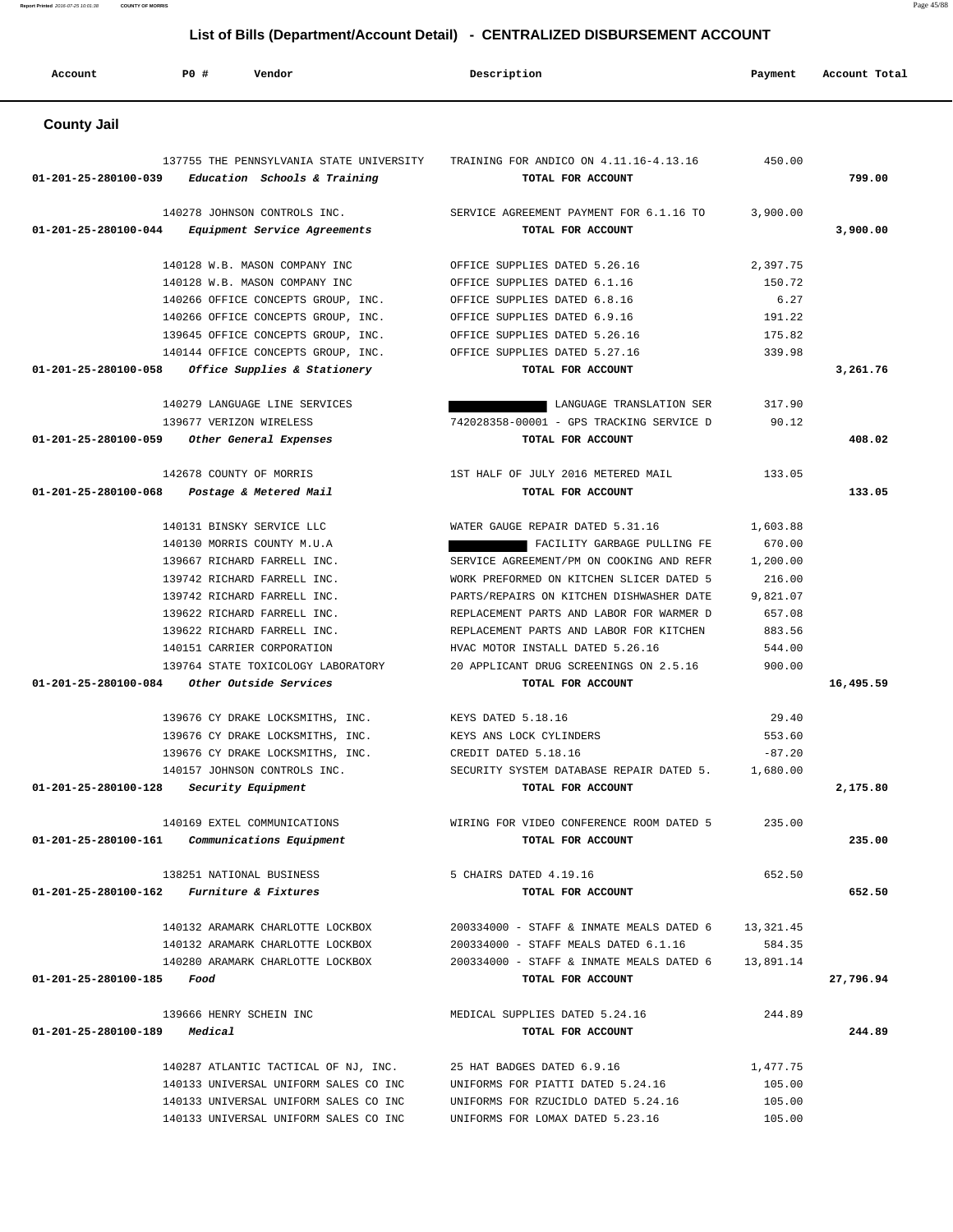**Report Printed** 2016-07-25 10:01:38 **COUNTY OF MORRIS** Page 45/88

# **List of Bills (Department/Account Detail) - CENTRALIZED DISBURSEMENT ACCOUNT**

| Account              | PO#<br>Vendor                                                            | Description                                                   | Payment     | Account Total |
|----------------------|--------------------------------------------------------------------------|---------------------------------------------------------------|-------------|---------------|
| <b>County Jail</b>   |                                                                          |                                                               |             |               |
| 01-201-25-280100-039 | 137755 THE PENNSYLVANIA STATE UNIVERSITY<br>Education Schools & Training | TRAINING FOR ANDICO ON 4.11.16-4.13.16<br>TOTAL FOR ACCOUNT   | 450.00      | 799.00        |
| 01-201-25-280100-044 | 140278 JOHNSON CONTROLS INC.<br>Equipment Service Agreements             | SERVICE AGREEMENT PAYMENT FOR 6.1.16 TO<br>TOTAL FOR ACCOUNT  | 3,900.00    | 3,900.00      |
|                      | 140128 W.B. MASON COMPANY INC                                            | OFFICE SUPPLIES DATED 5.26.16                                 | 2,397.75    |               |
|                      | 140128 W.B. MASON COMPANY INC                                            | OFFICE SUPPLIES DATED 6.1.16                                  | 150.72      |               |
|                      | 140266 OFFICE CONCEPTS GROUP, INC.                                       | OFFICE SUPPLIES DATED 6.8.16                                  | 6.27        |               |
|                      | 140266 OFFICE CONCEPTS GROUP, INC.                                       | OFFICE SUPPLIES DATED 6.9.16                                  | 191.22      |               |
|                      | 139645 OFFICE CONCEPTS GROUP, INC.                                       | OFFICE SUPPLIES DATED 5.26.16                                 | 175.82      |               |
|                      | 140144 OFFICE CONCEPTS GROUP, INC.                                       | OFFICE SUPPLIES DATED 5.27.16                                 | 339.98      |               |
| 01-201-25-280100-058 | Office Supplies & Stationery                                             | TOTAL FOR ACCOUNT                                             |             | 3,261.76      |
|                      | 140279 LANGUAGE LINE SERVICES                                            | LANGUAGE TRANSLATION SER                                      | 317.90      |               |
|                      | 139677 VERIZON WIRELESS                                                  | 742028358-00001 - GPS TRACKING SERVICE D                      | 90.12       |               |
| 01-201-25-280100-059 | Other General Expenses                                                   | TOTAL FOR ACCOUNT                                             |             | 408.02        |
|                      | 142678 COUNTY OF MORRIS                                                  | 1ST HALF OF JULY 2016 METERED MAIL                            | 133.05      |               |
| 01-201-25-280100-068 | Postage & Metered Mail                                                   | TOTAL FOR ACCOUNT                                             |             | 133.05        |
|                      | 140131 BINSKY SERVICE LLC                                                | WATER GAUGE REPAIR DATED 5.31.16                              | 1,603.88    |               |
|                      | 140130 MORRIS COUNTY M.U.A                                               | FACILITY GARBAGE PULLING FE                                   | 670.00      |               |
|                      | 139667 RICHARD FARRELL INC.                                              | SERVICE AGREEMENT/PM ON COOKING AND REFR                      | 1,200.00    |               |
|                      | 139742 RICHARD FARRELL INC.                                              | WORK PREFORMED ON KITCHEN SLICER DATED 5                      | 216.00      |               |
|                      | 139742 RICHARD FARRELL INC.                                              | PARTS/REPAIRS ON KITCHEN DISHWASHER DATE                      | 9,821.07    |               |
|                      | 139622 RICHARD FARRELL INC.                                              | REPLACEMENT PARTS AND LABOR FOR WARMER D                      | 657.08      |               |
|                      | 139622 RICHARD FARRELL INC.                                              | REPLACEMENT PARTS AND LABOR FOR KITCHEN                       | 883.56      |               |
|                      | 140151 CARRIER CORPORATION                                               | HVAC MOTOR INSTALL DATED 5.26.16                              | 544.00      |               |
|                      | 139764 STATE TOXICOLOGY LABORATORY                                       | 20 APPLICANT DRUG SCREENINGS ON 2.5.16                        | 900.00      |               |
| 01-201-25-280100-084 | Other Outside Services                                                   | TOTAL FOR ACCOUNT                                             |             | 16,495.59     |
|                      | 139676 CY DRAKE LOCKSMITHS, INC.                                         | KEYS DATED 5.18.16                                            | 29.40       |               |
|                      | 139676 CY DRAKE LOCKSMITHS, INC.                                         | KEYS ANS LOCK CYLINDERS                                       | 553.60      |               |
|                      | 139676 CY DRAKE LOCKSMITHS, INC.                                         | CREDIT DATED 5.18.16                                          | $-87.20$    |               |
|                      | 140157 JOHNSON CONTROLS INC.                                             | SECURITY SYSTEM DATABASE REPAIR DATED 5.                      | 1,680.00    |               |
| 01-201-25-280100-128 | Security Equipment                                                       | TOTAL FOR ACCOUNT                                             |             | 2,175.80      |
| 01-201-25-280100-161 | 140169 EXTEL COMMUNICATIONS<br>Communications Equipment                  | WIRING FOR VIDEO CONFERENCE ROOM DATED 5<br>TOTAL FOR ACCOUNT | 235.00      | 235.00        |
|                      | 138251 NATIONAL BUSINESS                                                 | 5 CHAIRS DATED 4.19.16                                        | 652.50      |               |
| 01-201-25-280100-162 | <i>Furniture &amp; Fixtures</i>                                          | TOTAL FOR ACCOUNT                                             |             | 652.50        |
|                      | 140132 ARAMARK CHARLOTTE LOCKBOX                                         | 200334000 - STAFF & INMATE MEALS DATED 6                      | 13, 321, 45 |               |
|                      | 140132 ARAMARK CHARLOTTE LOCKBOX                                         | 200334000 - STAFF MEALS DATED 6.1.16                          | 584.35      |               |
|                      | 140280 ARAMARK CHARLOTTE LOCKBOX                                         | 200334000 - STAFF & INMATE MEALS DATED 6                      | 13,891.14   |               |
| 01-201-25-280100-185 | Food                                                                     | TOTAL FOR ACCOUNT                                             |             | 27,796.94     |
|                      | 139666 HENRY SCHEIN INC                                                  | MEDICAL SUPPLIES DATED 5.24.16                                | 244.89      |               |
| 01-201-25-280100-189 | Medical                                                                  | TOTAL FOR ACCOUNT                                             |             | 244.89        |
|                      | 140287 ATLANTIC TACTICAL OF NJ, INC.                                     | 25 HAT BADGES DATED 6.9.16                                    | 1,477.75    |               |
|                      | 140133 UNIVERSAL UNIFORM SALES CO INC                                    | UNIFORMS FOR PIATTI DATED 5.24.16                             | 105.00      |               |
|                      | 140133 UNIVERSAL UNIFORM SALES CO INC                                    | UNIFORMS FOR RZUCIDLO DATED 5.24.16                           | 105.00      |               |
|                      | 140133 UNIVERSAL UNIFORM SALES CO INC                                    | UNIFORMS FOR LOMAX DATED 5.23.16                              | 105.00      |               |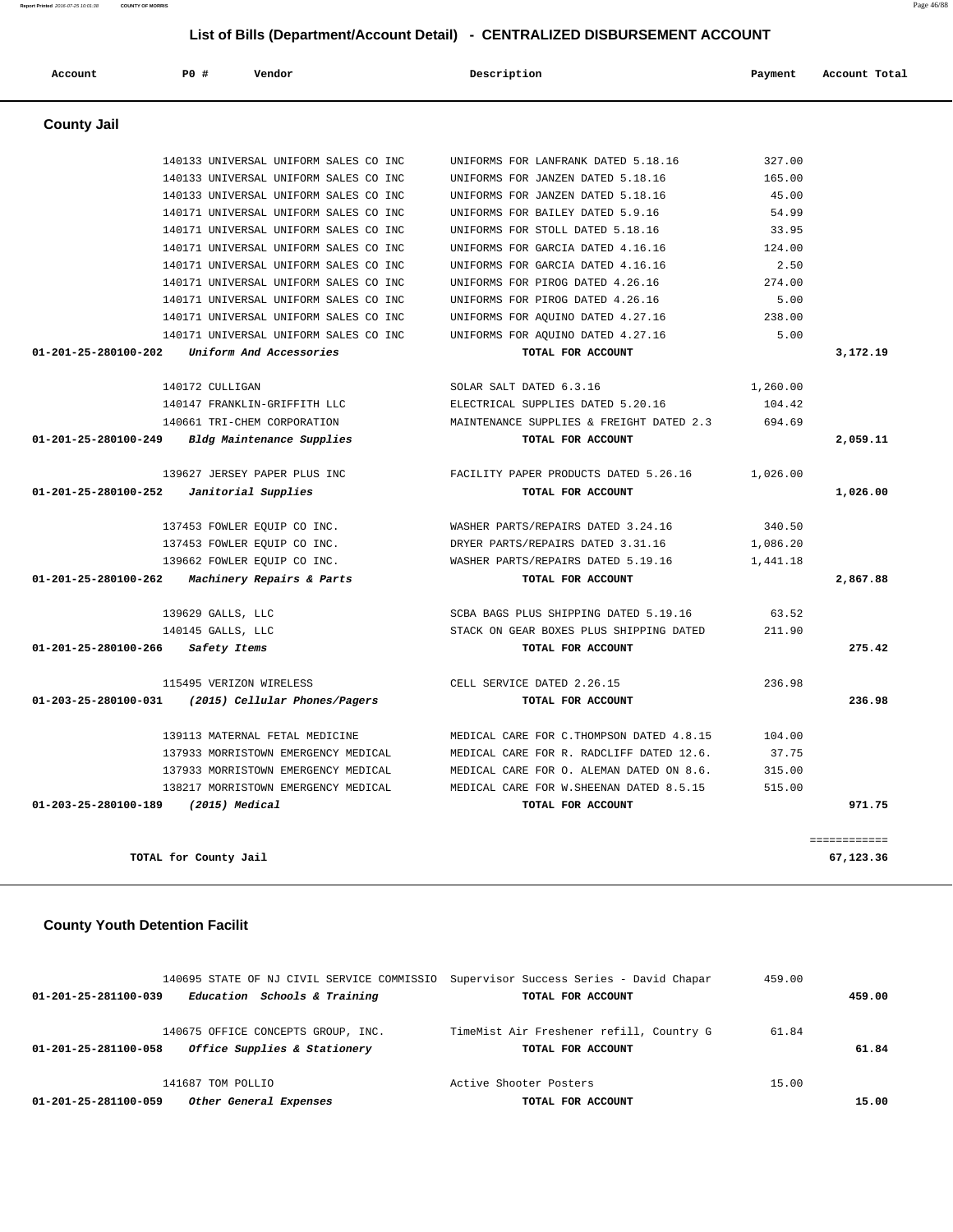| 140133 UNIVERSAL UNIFORM SALES CO INC                 | UNIFORMS FOR LANFRANK DATED 5.18.16       | 327.00   |              |
|-------------------------------------------------------|-------------------------------------------|----------|--------------|
| 140133 UNIVERSAL UNIFORM SALES CO INC                 | UNIFORMS FOR JANZEN DATED 5.18.16         | 165.00   |              |
| 140133 UNIVERSAL UNIFORM SALES CO INC                 | UNIFORMS FOR JANZEN DATED 5.18.16         | 45.00    |              |
| 140171 UNIVERSAL UNIFORM SALES CO INC                 | UNIFORMS FOR BAILEY DATED 5.9.16          | 54.99    |              |
| 140171 UNIVERSAL UNIFORM SALES CO INC                 | UNIFORMS FOR STOLL DATED 5.18.16          | 33.95    |              |
| 140171 UNIVERSAL UNIFORM SALES CO INC                 | UNIFORMS FOR GARCIA DATED 4.16.16         | 124.00   |              |
| 140171 UNIVERSAL UNIFORM SALES CO INC                 | INIFORMS FOR GARCIA DATED 4.16.16         | 2.50     |              |
| 140171 UNIVERSAL UNIFORM SALES CO INC                 | UNIFORMS FOR PIROG DATED 4.26.16          | 274.00   |              |
| 140171 UNIVERSAL UNIFORM SALES CO INC                 | UNIFORMS FOR PIROG DATED 4.26.16          | 5.00     |              |
| 140171 UNIVERSAL UNIFORM SALES CO INC                 | UNIFORMS FOR AQUINO DATED 4.27.16         | 238.00   |              |
| 140171 UNIVERSAL UNIFORM SALES CO INC                 | UNIFORMS FOR AOUINO DATED 4.27.16         | 5.00     |              |
| 01-201-25-280100-202<br>Uniform And Accessories       | TOTAL FOR ACCOUNT                         |          | 3,172.19     |
| 140172 CULLIGAN                                       | SOLAR SALT DATED 6.3.16                   | 1,260.00 |              |
| 140147 FRANKLIN-GRIFFITH LLC                          | ELECTRICAL SUPPLIES DATED 5.20.16         | 104.42   |              |
| 140661 TRI-CHEM CORPORATION                           | MAINTENANCE SUPPLIES & FREIGHT DATED 2.3  | 694.69   |              |
| 01-201-25-280100-249<br>Bldg Maintenance Supplies     | TOTAL FOR ACCOUNT                         |          | 2,059.11     |
| 139627 JERSEY PAPER PLUS INC                          | FACILITY PAPER PRODUCTS DATED 5.26.16     | 1,026.00 |              |
| 01-201-25-280100-252<br>Janitorial Supplies           | TOTAL FOR ACCOUNT                         |          | 1,026.00     |
| 137453 FOWLER EOUIP CO INC.                           | WASHER PARTS/REPAIRS DATED 3.24.16        | 340.50   |              |
| 137453 FOWLER EQUIP CO INC.                           | DRYER PARTS/REPAIRS DATED 3.31.16         | 1,086.20 |              |
| 139662 FOWLER EQUIP CO INC.                           | WASHER PARTS/REPAIRS DATED 5.19.16        | 1,441.18 |              |
| 01-201-25-280100-262<br>Machinery Repairs & Parts     | TOTAL FOR ACCOUNT                         |          | 2,867.88     |
| 139629 GALLS, LLC                                     | SCBA BAGS PLUS SHIPPING DATED 5.19.16     | 63.52    |              |
| 140145 GALLS, LLC                                     | STACK ON GEAR BOXES PLUS SHIPPING DATED   | 211.90   |              |
| 01-201-25-280100-266<br>Safety Items                  | TOTAL FOR ACCOUNT                         |          | 275.42       |
| 115495 VERIZON WIRELESS                               | CELL SERVICE DATED 2.26.15                | 236.98   |              |
| 01-203-25-280100-031<br>(2015) Cellular Phones/Pagers | TOTAL FOR ACCOUNT                         |          | 236.98       |
| 139113 MATERNAL FETAL MEDICINE                        | MEDICAL CARE FOR C. THOMPSON DATED 4.8.15 | 104.00   |              |
| 137933 MORRISTOWN EMERGENCY MEDICAL                   | MEDICAL CARE FOR R. RADCLIFF DATED 12.6.  | 37.75    |              |
| 137933 MORRISTOWN EMERGENCY MEDICAL                   | MEDICAL CARE FOR O. ALEMAN DATED ON 8.6.  | 315.00   |              |
| 138217 MORRISTOWN EMERGENCY MEDICAL                   | MEDICAL CARE FOR W. SHEENAN DATED 8.5.15  | 515.00   |              |
| 01-203-25-280100-189<br>(2015) Medical                | TOTAL FOR ACCOUNT                         |          | 971.75       |
|                                                       |                                           |          | ============ |
| TOTAL for County Jail                                 |                                           |          | 67,123.36    |

## **County Youth Detention Facilit**

 **County Jail** 

|                      | 140695 STATE OF NJ CIVIL SERVICE COMMISSIO Supervisor Success Series - David Chapar |                                          | 459.00 |        |
|----------------------|-------------------------------------------------------------------------------------|------------------------------------------|--------|--------|
| 01-201-25-281100-039 | Education Schools & Training                                                        | TOTAL FOR ACCOUNT                        |        | 459.00 |
|                      | 140675 OFFICE CONCEPTS GROUP, INC.                                                  | TimeMist Air Freshener refill, Country G | 61.84  |        |
| 01-201-25-281100-058 | Office Supplies & Stationery                                                        | TOTAL FOR ACCOUNT                        |        | 61.84  |
|                      | 141687 TOM POLLIO                                                                   | Active Shooter Posters                   | 15.00  |        |
| 01-201-25-281100-059 | Other General Expenses                                                              | TOTAL FOR ACCOUNT                        |        | 15.00  |

## **List of Bills (Department/Account Detail) - CENTRALIZED DISBURSEMENT ACCOUNT**

 **Account P0 # Vendor Description Payment Account Total**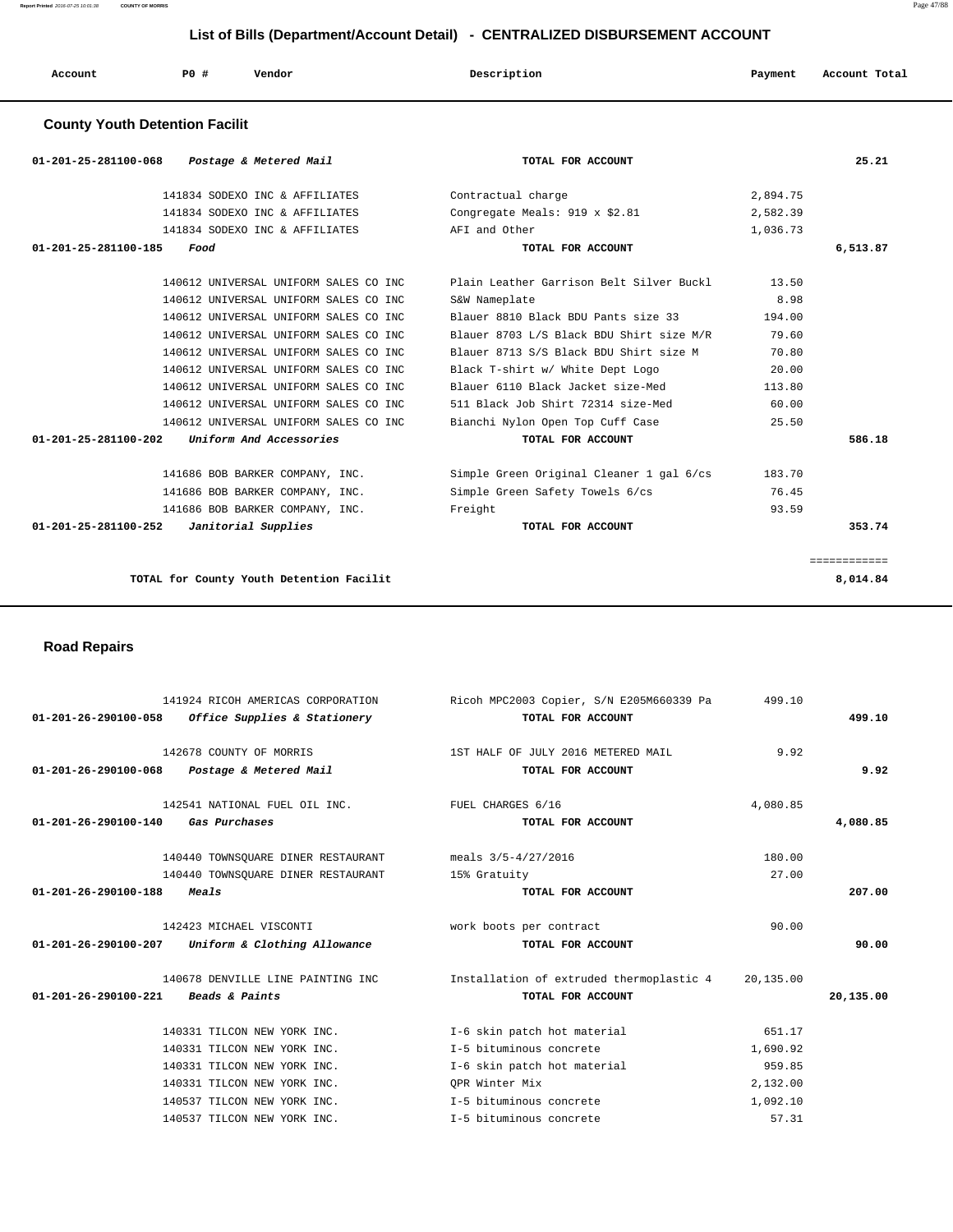| Account | PO# | Vendor | Description | Payment | Account Total |
|---------|-----|--------|-------------|---------|---------------|
|         |     |        |             |         |               |

## **County Youth Detention Facilit**

| 01-201-25-281100-068 Postage & Metered Mail               | TOTAL FOR ACCOUNT                        |          | 25.21        |
|-----------------------------------------------------------|------------------------------------------|----------|--------------|
| 141834 SODEXO INC & AFFILIATES                            | Contractual charge                       | 2,894.75 |              |
| 141834 SODEXO INC & AFFILIATES                            | Congregate Meals: 919 x \$2.81           | 2,582.39 |              |
| 141834 SODEXO INC & AFFILIATES                            | AFI and Other                            | 1,036.73 |              |
| $01 - 201 - 25 - 281100 - 185$<br>Food                    | TOTAL FOR ACCOUNT                        |          | 6,513.87     |
|                                                           |                                          |          |              |
| 140612 UNIVERSAL UNIFORM SALES CO INC                     | Plain Leather Garrison Belt Silver Buckl | 13.50    |              |
| 140612 UNIVERSAL UNIFORM SALES CO INC                     | S&W Nameplate                            | 8.98     |              |
| 140612 UNIVERSAL UNIFORM SALES CO INC                     | Blauer 8810 Black BDU Pants size 33      | 194.00   |              |
| 140612 UNIVERSAL UNIFORM SALES CO INC                     | Blauer 8703 L/S Black BDU Shirt size M/R | 79.60    |              |
| 140612 UNIVERSAL UNIFORM SALES CO INC                     | Blauer 8713 S/S Black BDU Shirt size M   | 70.80    |              |
| 140612 UNIVERSAL UNIFORM SALES CO INC                     | Black T-shirt w/ White Dept Logo         | 20.00    |              |
| 140612 UNIVERSAL UNIFORM SALES CO INC                     | Blauer 6110 Black Jacket size-Med        | 113.80   |              |
| 140612 UNIVERSAL UNIFORM SALES CO INC                     | 511 Black Job Shirt 72314 size-Med       | 60.00    |              |
| 140612 UNIVERSAL UNIFORM SALES CO INC                     | Bianchi Nylon Open Top Cuff Case         | 25.50    |              |
| $01 - 201 - 25 - 281100 - 202$<br>Uniform And Accessories | TOTAL FOR ACCOUNT                        |          | 586.18       |
| 141686 BOB BARKER COMPANY, INC.                           | Simple Green Original Cleaner 1 gal 6/cs | 183.70   |              |
| 141686 BOB BARKER COMPANY, INC.                           | Simple Green Safety Towels 6/cs          | 76.45    |              |
| 141686 BOB BARKER COMPANY, INC.                           | Freight                                  | 93.59    |              |
| 01-201-25-281100-252<br>Janitorial Supplies               | TOTAL FOR ACCOUNT                        |          | 353.74       |
|                                                           |                                          |          | ============ |
| TOTAL for County Youth Detention Facilit                  |                                          |          | 8,014.84     |

 **Road Repairs** 

|                                     | 141924 RICOH AMERICAS CORPORATION<br>01-201-26-290100-058 Office Supplies & Stationery                    | Ricoh MPC2003 Copier, S/N E205M660339 Pa<br>TOTAL FOR ACCOUNT | 499.10          | 499.10    |
|-------------------------------------|-----------------------------------------------------------------------------------------------------------|---------------------------------------------------------------|-----------------|-----------|
| 01-201-26-290100-068                | 142678 COUNTY OF MORRIS<br>Postage & Metered Mail                                                         | 1ST HALF OF JULY 2016 METERED MAIL<br>TOTAL FOR ACCOUNT       | 9.92            | 9.92      |
| 01-201-26-290100-140                | 142541 NATIONAL FUEL OIL INC. THE FUEL CHARGES 6/16<br>Gas Purchases                                      | TOTAL FOR ACCOUNT                                             | 4,080.85        | 4,080.85  |
|                                     | 140440 TOWNSQUARE DINER RESTAURANT meals 3/5-4/27/2016<br>140440 TOWNSOUARE DINER RESTAURANT 15% Gratuity |                                                               | 180.00<br>27.00 |           |
| 01-201-26-290100-188                | Meals<br>142423 MICHAEL VISCONTI                                                                          | TOTAL FOR ACCOUNT<br>work boots per contract                  | 90.00           | 207.00    |
|                                     | 01-201-26-290100-207 Uniform & Clothing Allowance                                                         | TOTAL FOR ACCOUNT                                             |                 | 90.00     |
| 01-201-26-290100-221 Beads & Paints | 140678 DENVILLE LINE PAINTING INC                                                                         | Installation of extruded thermoplastic 4<br>TOTAL FOR ACCOUNT | 20,135.00       | 20,135.00 |
|                                     | 140331 TILCON NEW YORK INC.                                                                               | I-6 skin patch hot material                                   | 651.17          |           |
|                                     | 140331 TILCON NEW YORK INC.                                                                               | I-5 bituminous concrete                                       | 1,690.92        |           |
|                                     | 140331 TILCON NEW YORK INC.                                                                               | I-6 skin patch hot material                                   | 959.85          |           |
|                                     | 140331 TILCON NEW YORK INC.                                                                               | OPR Winter Mix                                                | 2,132.00        |           |
|                                     | 140537 TILCON NEW YORK INC.                                                                               | I-5 bituminous concrete                                       | 1,092.10        |           |
|                                     | 140537 TILCON NEW YORK INC.                                                                               | T-5 bituminous concrete                                       | 57.31           |           |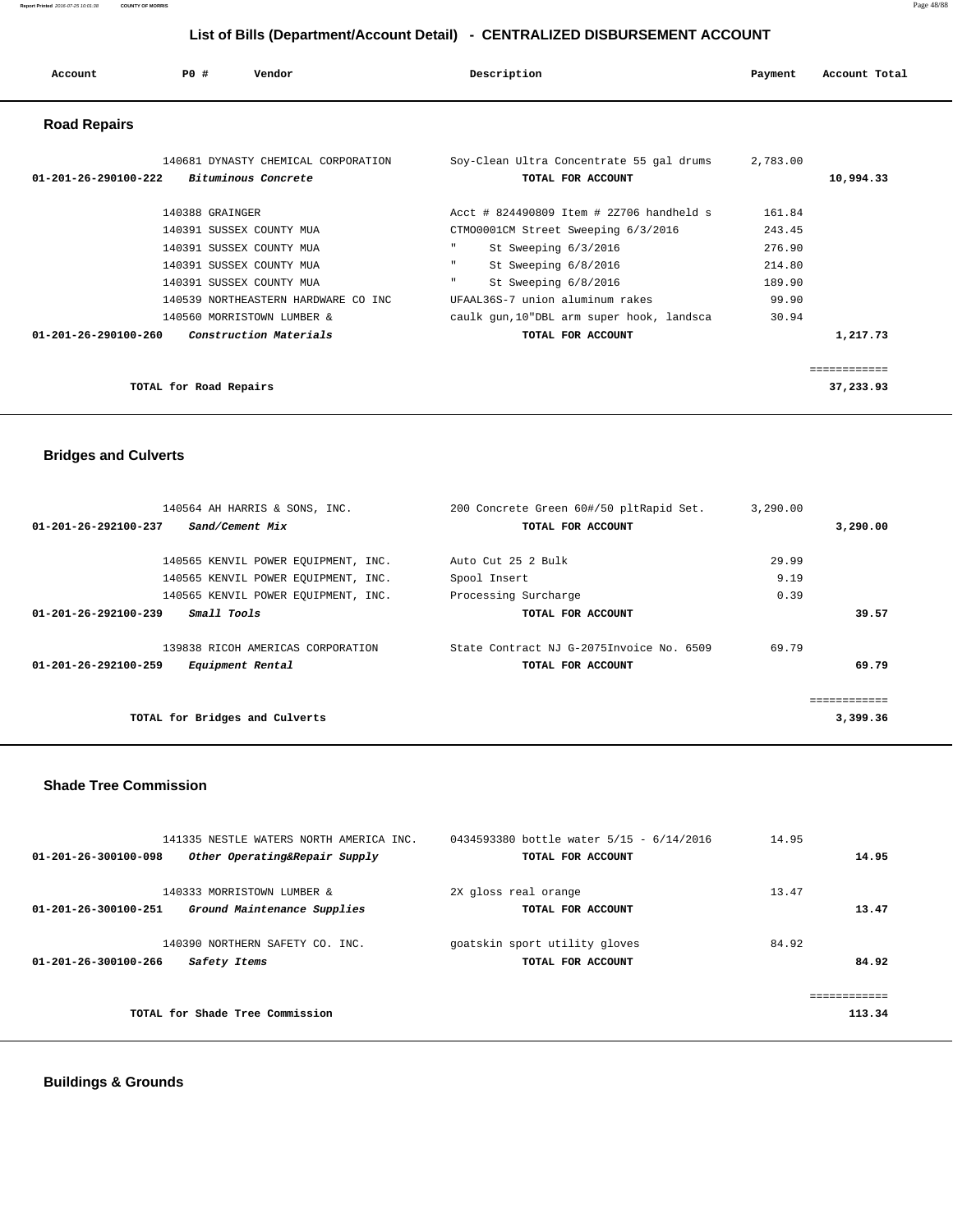| Account                        | PO#                    | Vendor                                                                                                                                                                                                      |                                              | Description                                                                                                                                                                                                                                                  | Payment                                                          | Account Total             |
|--------------------------------|------------------------|-------------------------------------------------------------------------------------------------------------------------------------------------------------------------------------------------------------|----------------------------------------------|--------------------------------------------------------------------------------------------------------------------------------------------------------------------------------------------------------------------------------------------------------------|------------------------------------------------------------------|---------------------------|
| <b>Road Repairs</b>            |                        |                                                                                                                                                                                                             |                                              |                                                                                                                                                                                                                                                              |                                                                  |                           |
| $01 - 201 - 26 - 290100 - 222$ |                        | 140681 DYNASTY CHEMICAL CORPORATION<br>Bituminous Concrete                                                                                                                                                  |                                              | Soy-Clean Ultra Concentrate 55 gal drums<br>TOTAL FOR ACCOUNT                                                                                                                                                                                                | 2,783.00                                                         | 10,994.33                 |
| $01 - 201 - 26 - 290100 - 260$ | 140388 GRAINGER        | 140391 SUSSEX COUNTY MUA<br>140391 SUSSEX COUNTY MUA<br>140391 SUSSEX COUNTY MUA<br>140391 SUSSEX COUNTY MUA<br>140539 NORTHEASTERN HARDWARE CO INC<br>140560 MORRISTOWN LUMBER &<br>Construction Materials | $\mathbf{H}$<br>$\mathbf{H}$<br>$\mathbf{H}$ | Acct # 824490809 Item # 2Z706 handheld s<br>CTM00001CM Street Sweeping 6/3/2016<br>St Sweeping 6/3/2016<br>St Sweeping 6/8/2016<br>St Sweeping 6/8/2016<br>UFAAL36S-7 union aluminum rakes<br>caulk gun, 10"DBL arm super hook, landsca<br>TOTAL FOR ACCOUNT | 161.84<br>243.45<br>276.90<br>214.80<br>189.90<br>99.90<br>30.94 | 1,217.73                  |
|                                | TOTAL for Road Repairs |                                                                                                                                                                                                             |                                              |                                                                                                                                                                                                                                                              |                                                                  | ============<br>37,233.93 |

## **Bridges and Culverts**

| 140564 AH HARRIS & SONS, INC.<br>01-201-26-292100-237<br>Sand/Cement Mix                                          | 200 Concrete Green 60#/50 pltRapid Set.<br>TOTAL FOR ACCOUNT  | 3,290.00<br>3,290.00  |
|-------------------------------------------------------------------------------------------------------------------|---------------------------------------------------------------|-----------------------|
| 140565 KENVIL POWER EQUIPMENT, INC.<br>140565 KENVIL POWER EOUIPMENT, INC.<br>140565 KENVIL POWER EQUIPMENT, INC. | Auto Cut 25 2 Bulk<br>Spool Insert<br>Processing Surcharge    | 29.99<br>9.19<br>0.39 |
| Small Tools<br>$01 - 201 - 26 - 292100 - 239$                                                                     | TOTAL FOR ACCOUNT                                             | 39.57                 |
| 139838 RICOH AMERICAS CORPORATION<br>$01 - 201 - 26 - 292100 - 259$<br>Equipment Rental                           | State Contract NJ G-2075Invoice No. 6509<br>TOTAL FOR ACCOUNT | 69.79<br>69.79        |
| TOTAL for Bridges and Culverts                                                                                    |                                                               | 3,399.36              |

### **Shade Tree Commission**

| 141335 NESTLE WATERS NORTH AMERICA INC.               | 0434593380 bottle water 5/15 - 6/14/2016 | 14.95        |
|-------------------------------------------------------|------------------------------------------|--------------|
| Other Operating&Repair Supply<br>01-201-26-300100-098 | TOTAL FOR ACCOUNT                        | 14.95        |
|                                                       |                                          |              |
| 140333 MORRISTOWN LUMBER &                            | 2X gloss real orange                     | 13.47        |
| 01-201-26-300100-251<br>Ground Maintenance Supplies   | TOTAL FOR ACCOUNT                        | 13.47        |
|                                                       |                                          |              |
| 140390 NORTHERN SAFETY CO. INC.                       | goatskin sport utility gloves            | 84.92        |
| 01-201-26-300100-266<br>Safety Items                  | TOTAL FOR ACCOUNT                        | 84.92        |
|                                                       |                                          |              |
|                                                       |                                          | ============ |
| TOTAL for Shade Tree Commission                       |                                          | 113.34       |
|                                                       |                                          |              |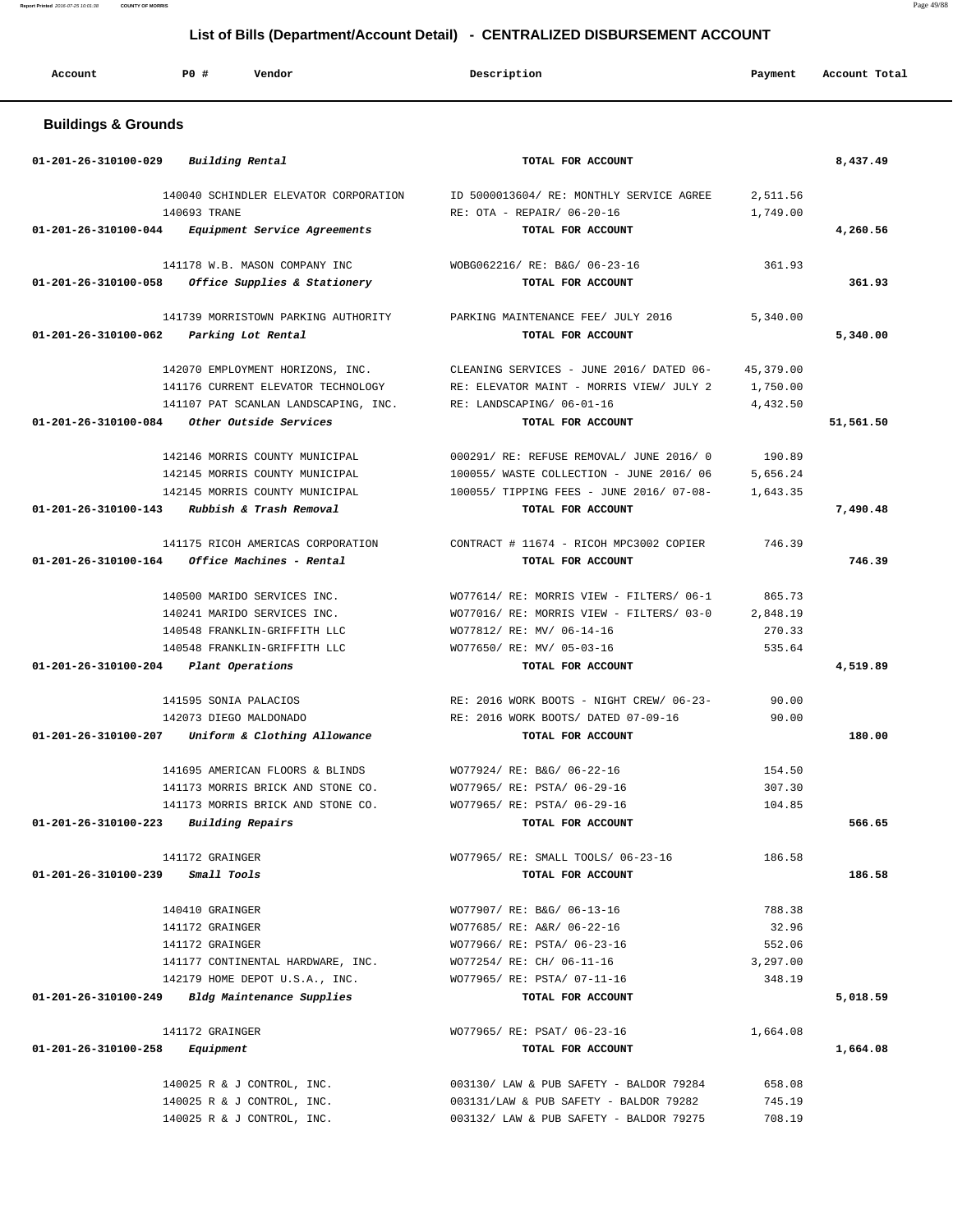| Account                        | PO#<br>Vendor                         | Description                              | Payment   | Account Total |
|--------------------------------|---------------------------------------|------------------------------------------|-----------|---------------|
| <b>Buildings &amp; Grounds</b> |                                       |                                          |           |               |
| 01-201-26-310100-029           | Building Rental                       | TOTAL FOR ACCOUNT                        |           | 8,437.49      |
|                                | 140040 SCHINDLER ELEVATOR CORPORATION | ID 5000013604/ RE: MONTHLY SERVICE AGREE | 2,511.56  |               |
|                                | 140693 TRANE                          | RE: OTA - REPAIR/ 06-20-16               | 1,749.00  |               |
| 01-201-26-310100-044           | Equipment Service Agreements          | TOTAL FOR ACCOUNT                        |           | 4,260.56      |
|                                | 141178 W.B. MASON COMPANY INC         | WOBG062216/ RE: B&G/ 06-23-16            | 361.93    |               |
| 01-201-26-310100-058           | Office Supplies & Stationery          | TOTAL FOR ACCOUNT                        |           | 361.93        |
|                                | 141739 MORRISTOWN PARKING AUTHORITY   | PARKING MAINTENANCE FEE/ JULY 2016       | 5,340.00  |               |
| 01-201-26-310100-062           | Parking Lot Rental                    | TOTAL FOR ACCOUNT                        |           | 5,340.00      |
|                                | 142070 EMPLOYMENT HORIZONS, INC.      | CLEANING SERVICES - JUNE 2016/ DATED 06- | 45,379.00 |               |
|                                | 141176 CURRENT ELEVATOR TECHNOLOGY    | RE: ELEVATOR MAINT - MORRIS VIEW/ JULY 2 | 1,750.00  |               |
|                                | 141107 PAT SCANLAN LANDSCAPING, INC.  | RE: LANDSCAPING/ 06-01-16                | 4,432.50  |               |
| 01-201-26-310100-084           | Other Outside Services                | TOTAL FOR ACCOUNT                        |           | 51,561.50     |
|                                | 142146 MORRIS COUNTY MUNICIPAL        | 000291/ RE: REFUSE REMOVAL/ JUNE 2016/ 0 | 190.89    |               |
|                                | 142145 MORRIS COUNTY MUNICIPAL        | 100055/ WASTE COLLECTION - JUNE 2016/ 06 | 5,656.24  |               |
|                                | 142145 MORRIS COUNTY MUNICIPAL        | 100055/ TIPPING FEES - JUNE 2016/ 07-08- | 1,643.35  |               |
| 01-201-26-310100-143           | Rubbish & Trash Removal               | TOTAL FOR ACCOUNT                        |           | 7,490.48      |
|                                | 141175 RICOH AMERICAS CORPORATION     | CONTRACT # 11674 - RICOH MPC3002 COPIER  | 746.39    |               |
| 01-201-26-310100-164           | Office Machines - Rental              | TOTAL FOR ACCOUNT                        |           | 746.39        |
|                                | 140500 MARIDO SERVICES INC.           | WO77614/ RE: MORRIS VIEW - FILTERS/ 06-1 | 865.73    |               |
|                                | 140241 MARIDO SERVICES INC.           | WO77016/ RE: MORRIS VIEW - FILTERS/ 03-0 | 2,848.19  |               |
|                                | 140548 FRANKLIN-GRIFFITH LLC          | WO77812/ RE: MV/ 06-14-16                | 270.33    |               |
|                                | 140548 FRANKLIN-GRIFFITH LLC          | WO77650/ RE: MV/ 05-03-16                | 535.64    |               |
| 01-201-26-310100-204           | Plant Operations                      | TOTAL FOR ACCOUNT                        |           | 4,519.89      |
|                                | 141595 SONIA PALACIOS                 | RE: 2016 WORK BOOTS - NIGHT CREW/ 06-23- | 90.00     |               |
|                                | 142073 DIEGO MALDONADO                | RE: 2016 WORK BOOTS/ DATED 07-09-16      | 90.00     |               |
| 01-201-26-310100-207           | Uniform & Clothing Allowance          | TOTAL FOR ACCOUNT                        |           | 180.00        |
|                                | 141695 AMERICAN FLOORS & BLINDS       | WO77924/ RE: B&G/ 06-22-16               | 154.50    |               |
|                                | 141173 MORRIS BRICK AND STONE CO.     | WO77965/ RE: PSTA/ 06-29-16              | 307.30    |               |
|                                | 141173 MORRIS BRICK AND STONE CO.     | WO77965/ RE: PSTA/ 06-29-16              | 104.85    |               |
| 01-201-26-310100-223           | <b>Building Repairs</b>               | TOTAL FOR ACCOUNT                        |           | 566.65        |
|                                | 141172 GRAINGER                       | WO77965/ RE: SMALL TOOLS/ 06-23-16       | 186.58    |               |
| 01-201-26-310100-239           | Small Tools                           | TOTAL FOR ACCOUNT                        |           | 186.58        |
|                                | 140410 GRAINGER                       | WO77907/ RE: B&G/ 06-13-16               | 788.38    |               |
|                                | 141172 GRAINGER                       | WO77685/ RE: A&R/ 06-22-16               | 32.96     |               |
|                                | 141172 GRAINGER                       | WO77966/ RE: PSTA/ 06-23-16              | 552.06    |               |
|                                | 141177 CONTINENTAL HARDWARE, INC.     | WO77254/ RE: CH/ 06-11-16                | 3,297.00  |               |
|                                | 142179 HOME DEPOT U.S.A., INC.        | WO77965/ RE: PSTA/ 07-11-16              | 348.19    |               |
| 01-201-26-310100-249           | Bldg Maintenance Supplies             | TOTAL FOR ACCOUNT                        |           | 5,018.59      |
|                                | 141172 GRAINGER                       | WO77965/ RE: PSAT/ 06-23-16              | 1,664.08  |               |
| 01-201-26-310100-258           | Equipment                             | TOTAL FOR ACCOUNT                        |           | 1,664.08      |
|                                | 140025 R & J CONTROL, INC.            | 003130/ LAW & PUB SAFETY - BALDOR 79284  | 658.08    |               |
|                                | 140025 R & J CONTROL, INC.            | 003131/LAW & PUB SAFETY - BALDOR 79282   | 745.19    |               |
|                                | 140025 R & J CONTROL, INC.            | 003132/ LAW & PUB SAFETY - BALDOR 79275  | 708.19    |               |

**Report Printed** 2016-07-25 10:01:38 **COUNTY OF MORRIS** Page 49/88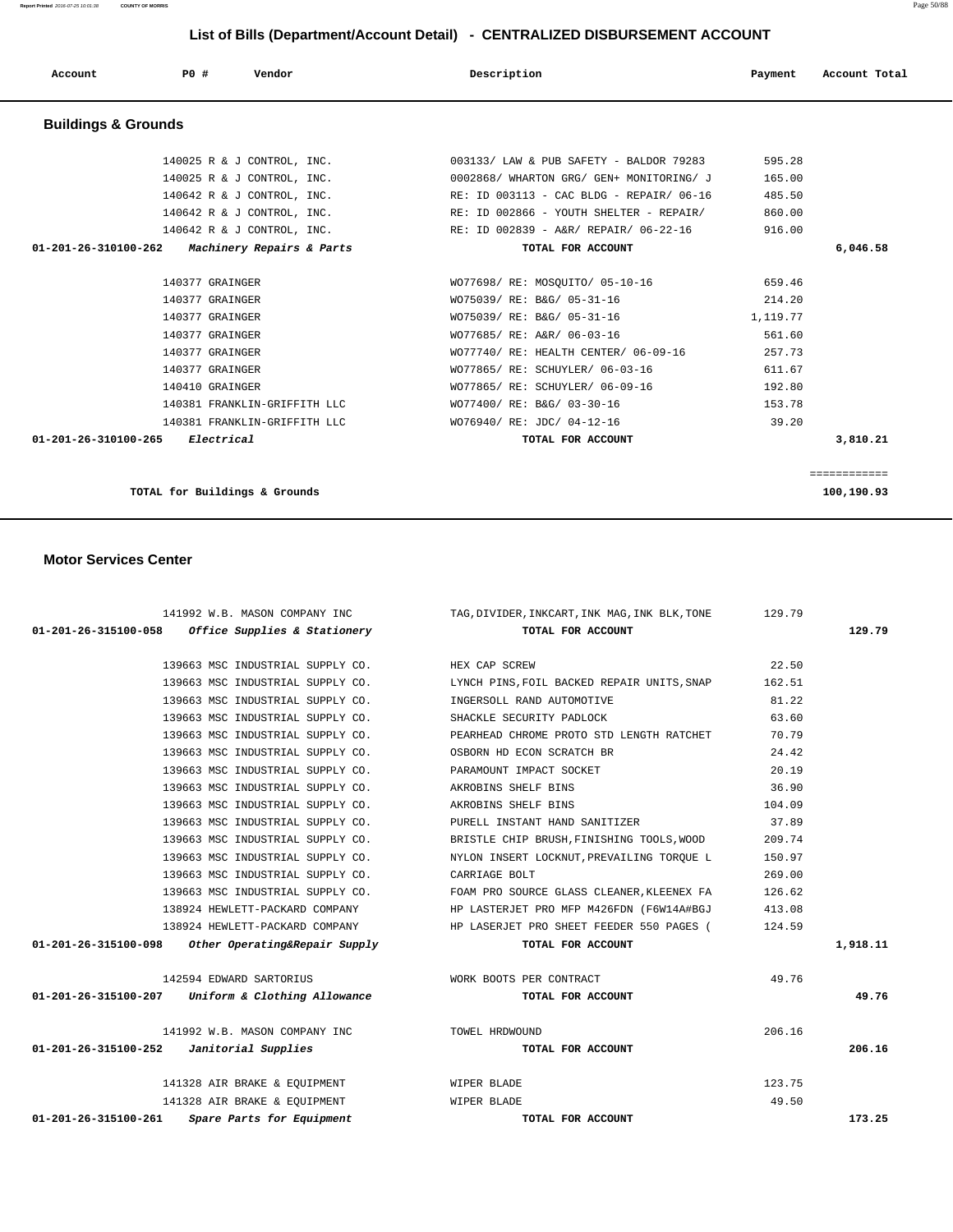## 139663 MSC INDUSTRIAL SUPPLY CO. HEX CAP SCREW 22.50 139663 MSC INDUSTRIAL SUPPLY CO. LYNCH PINS,FOIL BACKED REPAIR UNITS,SNAP 162.51 139663 MSC INDUSTRIAL SUPPLY CO. INGERSOLL RAND AUTOMOTIVE 81.22 139663 MSC INDUSTRIAL SUPPLY CO. SHACKLE SECURITY PADLOCK 63.60 139663 MSC INDUSTRIAL SUPPLY CO. PEARHEAD CHROME PROTO STD LENGTH RATCHET 70.79 139663 MSC INDUSTRIAL SUPPLY CO. OSBORN HD ECON SCRATCH BR 24.42 139663 MSC INDUSTRIAL SUPPLY CO. PARAMOUNT IMPACT SOCKET 20.19 139663 MSC INDUSTRIAL SUPPLY CO. AKROBINS SHELF BINS 36.90 139663 MSC INDUSTRIAL SUPPLY CO. AKROBINS SHELF BINS 104.09 139663 MSC INDUSTRIAL SUPPLY CO. PURELL INSTANT HAND SANITIZER 37.89 139663 MSC INDUSTRIAL SUPPLY CO. BRISTLE CHIP BRUSH,FINISHING TOOLS,WOOD 209.74 139663 MSC INDUSTRIAL SUPPLY CO. NYLON INSERT LOCKNUT,PREVAILING TORQUE L 150.97 139663 MSC INDUSTRIAL SUPPLY CO. CARRIAGE BOLT 269.00 139663 MSC INDUSTRIAL SUPPLY CO. FOAM PRO SOURCE GLASS CLEANER,KLEENEX FA 126.62 138924 HEWLETT-PACKARD COMPANY HP LASTERJET PRO MFP M426FDN (F6W14A#BGJ 413.08 138924 HEWLETT-PACKARD COMPANY HP LASERJET PRO SHEET FEEDER 550 PAGES ( 124.59  **01-201-26-315100-098 Other Operating&Repair Supply TOTAL FOR ACCOUNT 1,918.11** 142594 EDWARD SARTORIUS WORK BOOTS PER CONTRACT 49.76  **01-201-26-315100-207 Uniform & Clothing Allowance TOTAL FOR ACCOUNT 49.76**

 141992 W.B. MASON COMPANY INC TOWEL HRDWOUND 206.16  **01-201-26-315100-252 Janitorial Supplies TOTAL FOR ACCOUNT 206.16**

141328 AIR BRAKE & EQUIPMENT WIPER BLADE 123.75 141328 AIR BRAKE & EQUIPMENT WIPER BLADE 49.50  **01-201-26-315100-261 Spare Parts for Equipment TOTAL FOR ACCOUNT 173.25**

 141992 W.B. MASON COMPANY INC TAG,DIVIDER,INKCART,INK MAG,INK BLK,TONE 129.79  **01-201-26-315100-058 Office Supplies & Stationery TOTAL FOR ACCOUNT 129.79**

 **Motor Services Center** 

| Dunungo u Uruunuo                                            |                                                                    |          |          |
|--------------------------------------------------------------|--------------------------------------------------------------------|----------|----------|
| 140025 R & J CONTROL, INC.                                   | 003133/ LAW & PUB SAFETY - BALDOR 79283                            | 595.28   |          |
| 140025 R & J CONTROL, INC.                                   | 0002868/ WHARTON GRG/ GEN+ MONITORING/ J                           | 165.00   |          |
| 140642 R & J CONTROL, INC.                                   | RE: ID 003113 - CAC BLDG - REPAIR/ 06-16                           | 485.50   |          |
| 140642 R & J CONTROL, INC.                                   | RE: ID 002866 - YOUTH SHELTER - REPAIR/                            | 860.00   |          |
|                                                              | $140642$ R & J CONTROL, INC. RE: ID 002839 - A&R/ REPAIR/ 06-22-16 | 916.00   |          |
| 01-201-26-310100-262<br><i>Machinery Repairs &amp; Parts</i> | TOTAL FOR ACCOUNT                                                  |          | 6,046.58 |
| 140377 GRAINGER                                              | WO77698/ RE: MOSOUITO/ 05-10-16                                    | 659.46   |          |
| 140377 GRAINGER                                              | WO75039/ RE: B&G/ 05-31-16                                         | 214.20   |          |
| 140377 GRAINGER                                              | WO75039/ RE: B&G/ 05-31-16                                         | 1,119.77 |          |
| 140377 GRAINGER                                              | WO77685/ RE: A&R/ 06-03-16                                         | 561.60   |          |
| 140377 GRAINGER                                              | WO77740/ RE: HEALTH CENTER/ 06-09-16                               | 257.73   |          |
| 140377 GRAINGER                                              | WO77865/ RE: SCHUYLER/ 06-03-16                                    | 611.67   |          |
| 140410 GRAINGER                                              | WO77865/ RE: SCHUYLER/ 06-09-16                                    | 192.80   |          |
| 140381 FRANKLIN-GRIFFITH LLC                                 | WO77400/ RE: B&G/ 03-30-16                                         | 153.78   |          |
| 140381 FRANKLIN-GRIFFITH LLC                                 | WO76940/ RE: JDC/ 04-12-16                                         | 39.20    |          |
| Electrical<br>01-201-26-310100-265                           | TOTAL FOR ACCOUNT                                                  |          | 3,810.21 |

### **Buildings & Grounds**

# **List of Bills (Department/Account Detail) - CENTRALIZED DISBURSEMENT ACCOUNT**

 **Account P0 # Vendor Description Payment Account Total**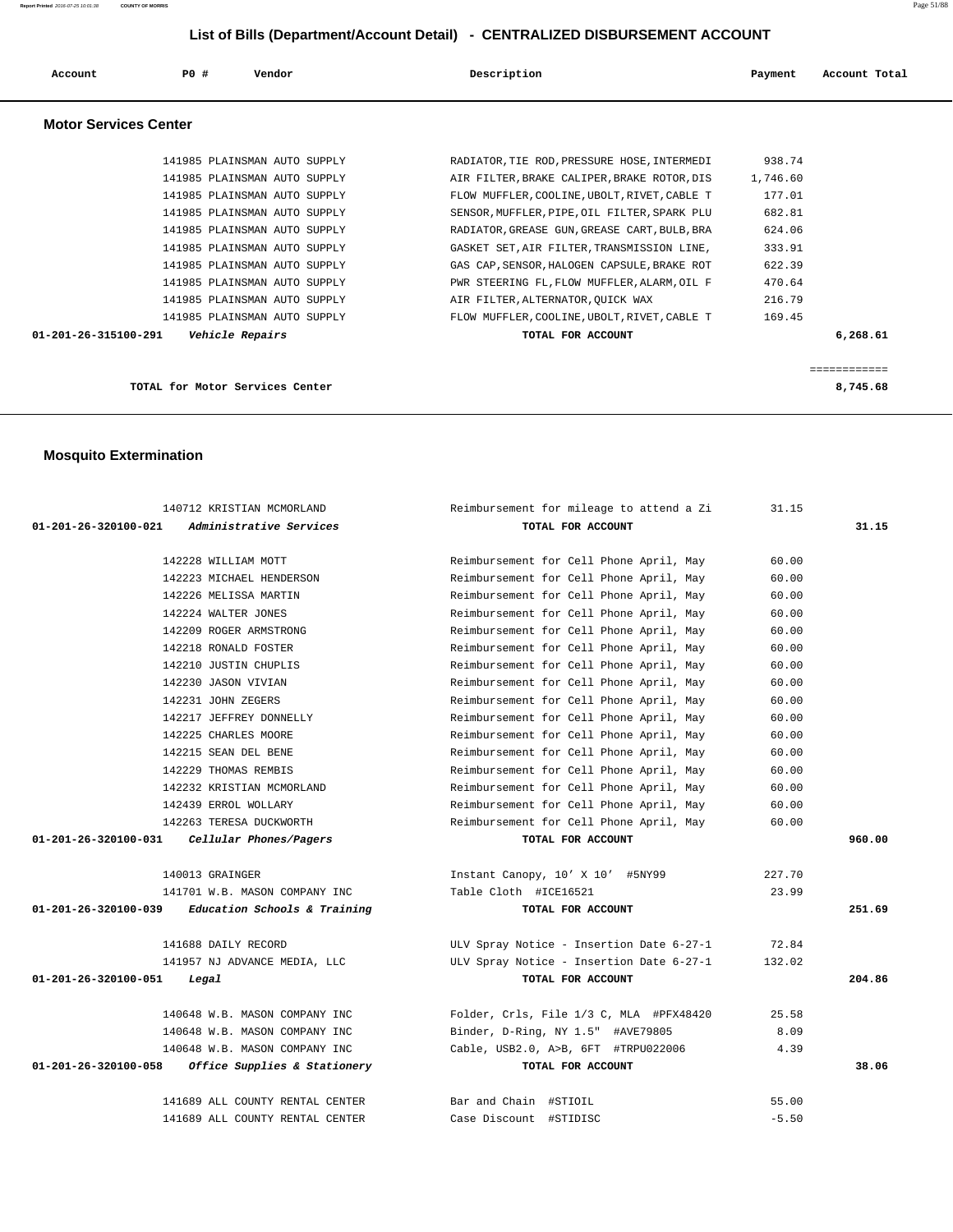| Account                        | PO# | Vendor                          | Description                                  | Payment  | Account Total |
|--------------------------------|-----|---------------------------------|----------------------------------------------|----------|---------------|
| <b>Motor Services Center</b>   |     |                                 |                                              |          |               |
|                                |     | 141985 PLAINSMAN AUTO SUPPLY    | RADIATOR, TIE ROD, PRESSURE HOSE, INTERMEDI  | 938.74   |               |
|                                |     | 141985 PLAINSMAN AUTO SUPPLY    | AIR FILTER, BRAKE CALIPER, BRAKE ROTOR, DIS  | 1,746.60 |               |
|                                |     | 141985 PLAINSMAN AUTO SUPPLY    | FLOW MUFFLER, COOLINE, UBOLT, RIVET, CABLE T | 177.01   |               |
|                                |     | 141985 PLAINSMAN AUTO SUPPLY    | SENSOR, MUFFLER, PIPE, OIL FILTER, SPARK PLU | 682.81   |               |
|                                |     | 141985 PLAINSMAN AUTO SUPPLY    | RADIATOR, GREASE GUN, GREASE CART, BULB, BRA | 624.06   |               |
|                                |     | 141985 PLAINSMAN AUTO SUPPLY    | GASKET SET, AIR FILTER, TRANSMISSION LINE,   | 333.91   |               |
|                                |     | 141985 PLAINSMAN AUTO SUPPLY    | GAS CAP, SENSOR, HALOGEN CAPSULE, BRAKE ROT  | 622.39   |               |
|                                |     | 141985 PLAINSMAN AUTO SUPPLY    | PWR STEERING FL, FLOW MUFFLER, ALARM, OIL F  | 470.64   |               |
|                                |     | 141985 PLAINSMAN AUTO SUPPLY    | AIR FILTER, ALTERNATOR, OUICK WAX            | 216.79   |               |
|                                |     | 141985 PLAINSMAN AUTO SUPPLY    | FLOW MUFFLER, COOLINE, UBOLT, RIVET, CABLE T | 169.45   |               |
| $01 - 201 - 26 - 315100 - 291$ |     | Vehicle Repairs                 | TOTAL FOR ACCOUNT                            |          | 6,268.61      |
|                                |     |                                 |                                              |          | ============  |
|                                |     | TOTAL for Motor Services Center |                                              |          | 8,745.68      |

## **Mosquito Extermination**

| 140712 KRISTIAN MCMORLAND                              | Reimbursement for mileage to attend a Zi | 31.15   |        |
|--------------------------------------------------------|------------------------------------------|---------|--------|
| 01-201-26-320100-021<br><i>Administrative Services</i> | TOTAL FOR ACCOUNT                        |         | 31.15  |
|                                                        |                                          |         |        |
| 142228 WILLIAM MOTT                                    | Reimbursement for Cell Phone April, May  | 60.00   |        |
| 142223 MICHAEL HENDERSON                               | Reimbursement for Cell Phone April, May  | 60.00   |        |
| 142226 MELISSA MARTIN                                  | Reimbursement for Cell Phone April, May  | 60.00   |        |
| 142224 WALTER JONES                                    | Reimbursement for Cell Phone April, May  | 60.00   |        |
| 142209 ROGER ARMSTRONG                                 | Reimbursement for Cell Phone April, May  | 60.00   |        |
| 142218 RONALD FOSTER                                   | Reimbursement for Cell Phone April, May  | 60.00   |        |
| 142210 JUSTIN CHUPLIS                                  | Reimbursement for Cell Phone April, May  | 60.00   |        |
| 142230 JASON VIVIAN                                    | Reimbursement for Cell Phone April, May  | 60.00   |        |
| 142231 JOHN ZEGERS                                     | Reimbursement for Cell Phone April, May  | 60.00   |        |
| 142217 JEFFREY DONNELLY                                | Reimbursement for Cell Phone April, May  | 60.00   |        |
| 142225 CHARLES MOORE                                   | Reimbursement for Cell Phone April, May  | 60.00   |        |
| 142215 SEAN DEL BENE                                   | Reimbursement for Cell Phone April, May  | 60.00   |        |
| 142229 THOMAS REMBIS                                   | Reimbursement for Cell Phone April, May  | 60.00   |        |
| 142232 KRISTIAN MCMORLAND                              | Reimbursement for Cell Phone April, May  | 60.00   |        |
| 142439 ERROL WOLLARY                                   | Reimbursement for Cell Phone April, May  | 60.00   |        |
| 142263 TERESA DUCKWORTH                                | Reimbursement for Cell Phone April, May  | 60.00   |        |
| $01-201-26-320100-031$ Cellular Phones/Pagers          | TOTAL FOR ACCOUNT                        |         | 960.00 |
|                                                        |                                          |         |        |
| 140013 GRAINGER                                        | Instant Canopy, 10' X 10' #5NY99         | 227.70  |        |
| 141701 W.B. MASON COMPANY INC                          | Table Cloth #ICE16521                    | 23.99   |        |
| $01-201-26-320100-039$ Education Schools & Training    | TOTAL FOR ACCOUNT                        |         | 251.69 |
|                                                        |                                          |         |        |
| 141688 DAILY RECORD                                    | ULV Spray Notice - Insertion Date 6-27-1 | 72.84   |        |
| 141957 NJ ADVANCE MEDIA, LLC                           | ULV Spray Notice - Insertion Date 6-27-1 | 132.02  |        |
| 01-201-26-320100-051<br>Legal                          | TOTAL FOR ACCOUNT                        |         | 204.86 |
| 140648 W.B. MASON COMPANY INC                          | Folder, Crls, File 1/3 C, MLA #PFX48420  | 25.58   |        |
| 140648 W.B. MASON COMPANY INC                          | Binder, D-Ring, NY 1.5" #AVE79805        | 8.09    |        |
| 140648 W.B. MASON COMPANY INC                          | Cable, USB2.0, A>B, 6FT #TRPU022006      | 4.39    |        |
| 01-201-26-320100-058 Office Supplies & Stationery      | TOTAL FOR ACCOUNT                        |         | 38.06  |
|                                                        |                                          |         |        |
| 141689 ALL COUNTY RENTAL CENTER                        | Bar and Chain #STIOIL                    | 55.00   |        |
| 141689 ALL COUNTY RENTAL CENTER                        | Case Discount #STIDISC                   | $-5.50$ |        |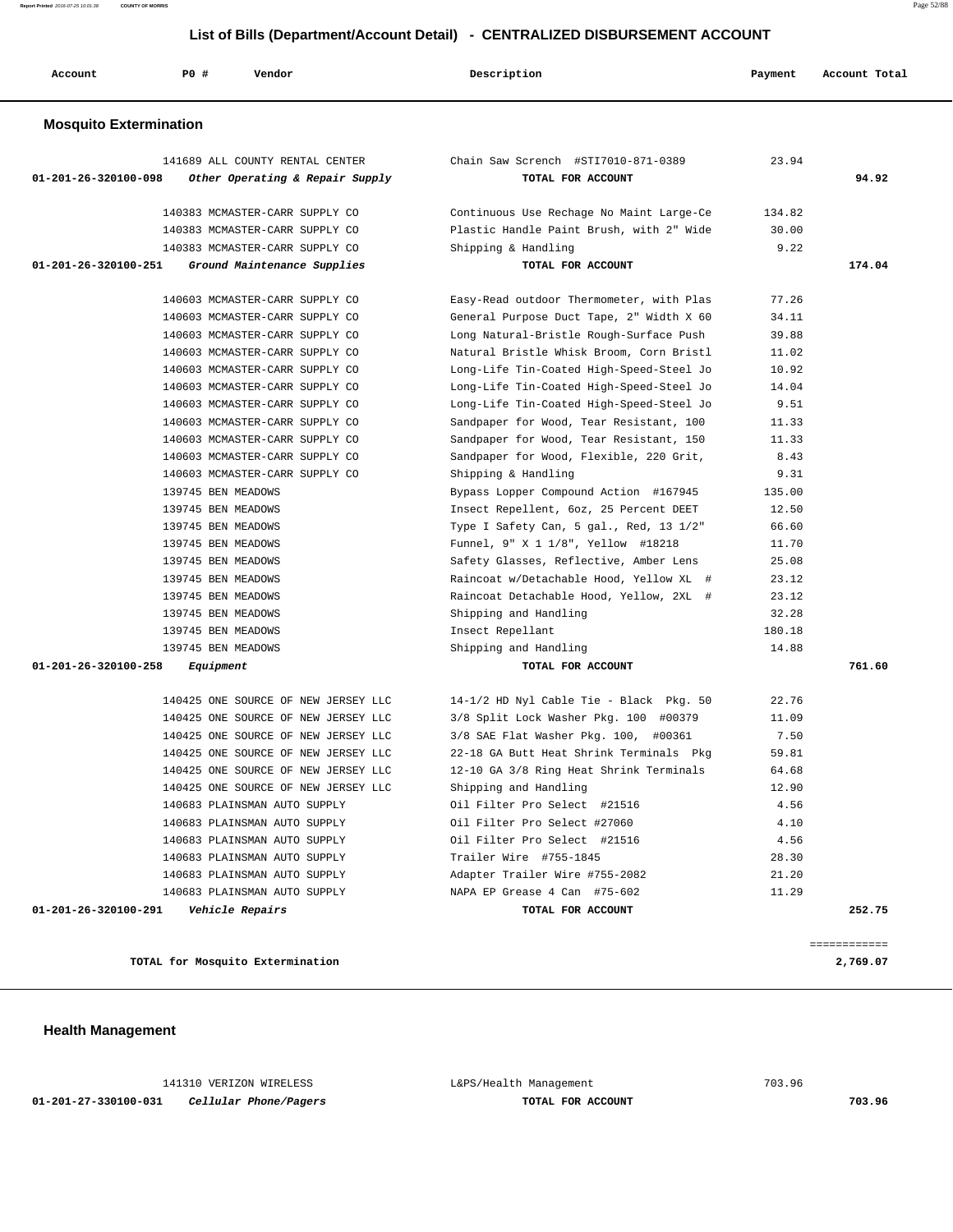**Report Printed** 2016-07-25 10:01:38 **COUNTY OF MORRIS** Page 52/88

| Account                       | <b>PO #</b>        | Vendor                                          | Description                                       | Payment | Account Total |
|-------------------------------|--------------------|-------------------------------------------------|---------------------------------------------------|---------|---------------|
| <b>Mosquito Extermination</b> |                    |                                                 |                                                   |         |               |
|                               |                    | 141689 ALL COUNTY RENTAL CENTER                 | Chain Saw Scrench #STI7010-871-0389               | 23.94   |               |
| 01-201-26-320100-098          |                    | Other Operating & Repair Supply                 | TOTAL FOR ACCOUNT                                 |         | 94.92         |
|                               |                    | 140383 MCMASTER-CARR SUPPLY CO                  | Continuous Use Rechage No Maint Large-Ce          | 134.82  |               |
|                               |                    | 140383 MCMASTER-CARR SUPPLY CO                  | Plastic Handle Paint Brush, with 2" Wide          | 30.00   |               |
|                               |                    | 140383 MCMASTER-CARR SUPPLY CO                  | Shipping & Handling                               | 9.22    |               |
| 01-201-26-320100-251          |                    | Ground Maintenance Supplies                     | TOTAL FOR ACCOUNT                                 |         | 174.04        |
|                               |                    | 140603 MCMASTER-CARR SUPPLY CO                  | Easy-Read outdoor Thermometer, with Plas          | 77.26   |               |
|                               |                    | 140603 MCMASTER-CARR SUPPLY CO                  | General Purpose Duct Tape, 2" Width X 60          | 34.11   |               |
|                               |                    | 140603 MCMASTER-CARR SUPPLY CO                  | Long Natural-Bristle Rough-Surface Push           | 39.88   |               |
|                               |                    | 140603 MCMASTER-CARR SUPPLY CO                  | Natural Bristle Whisk Broom, Corn Bristl          | 11.02   |               |
|                               |                    | 140603 MCMASTER-CARR SUPPLY CO                  | Long-Life Tin-Coated High-Speed-Steel Jo          | 10.92   |               |
|                               |                    | 140603 MCMASTER-CARR SUPPLY CO                  | Long-Life Tin-Coated High-Speed-Steel Jo          | 14.04   |               |
|                               |                    | 140603 MCMASTER-CARR SUPPLY CO                  | Long-Life Tin-Coated High-Speed-Steel Jo          | 9.51    |               |
|                               |                    | 140603 MCMASTER-CARR SUPPLY CO                  | Sandpaper for Wood, Tear Resistant, 100           | 11.33   |               |
|                               |                    | 140603 MCMASTER-CARR SUPPLY CO                  | Sandpaper for Wood, Tear Resistant, 150           | 11.33   |               |
|                               |                    | 140603 MCMASTER-CARR SUPPLY CO                  | Sandpaper for Wood, Flexible, 220 Grit,           | 8.43    |               |
|                               |                    | 140603 MCMASTER-CARR SUPPLY CO                  | Shipping & Handling                               | 9.31    |               |
|                               | 139745 BEN MEADOWS |                                                 | Bypass Lopper Compound Action #167945             | 135.00  |               |
|                               | 139745 BEN MEADOWS |                                                 | Insect Repellent, 6oz, 25 Percent DEET            | 12.50   |               |
|                               | 139745 BEN MEADOWS |                                                 | Type I Safety Can, 5 gal., Red, 13 1/2"           | 66.60   |               |
|                               | 139745 BEN MEADOWS |                                                 | Funnel, 9" X 1 1/8", Yellow #18218                | 11.70   |               |
|                               | 139745 BEN MEADOWS |                                                 | Safety Glasses, Reflective, Amber Lens            | 25.08   |               |
|                               | 139745 BEN MEADOWS |                                                 | Raincoat w/Detachable Hood, Yellow XL #           | 23.12   |               |
|                               | 139745 BEN MEADOWS |                                                 | Raincoat Detachable Hood, Yellow, 2XL #           | 23.12   |               |
|                               | 139745 BEN MEADOWS |                                                 | Shipping and Handling                             | 32.28   |               |
|                               | 139745 BEN MEADOWS |                                                 | Insect Repellant                                  | 180.18  |               |
|                               | 139745 BEN MEADOWS |                                                 | Shipping and Handling                             | 14.88   |               |
| 01-201-26-320100-258          | Equipment          |                                                 | TOTAL FOR ACCOUNT                                 |         | 761.60        |
|                               |                    | 140425 ONE SOURCE OF NEW JERSEY LLC             | 14-1/2 HD Nyl Cable Tie - Black Pkg. 50           | 22.76   |               |
|                               |                    | 140425 ONE SOURCE OF NEW JERSEY LLC             | 3/8 Split Lock Washer Pkg. 100 #00379             | 11.09   |               |
|                               |                    | 140425 ONE SOURCE OF NEW JERSEY LLC             | 3/8 SAE Flat Washer Pkg. 100, #00361              | 7.50    |               |
|                               |                    | 140425 ONE SOURCE OF NEW JERSEY LLC             | 22-18 GA Butt Heat Shrink Terminals Pkg           | 59.81   |               |
|                               |                    | 140425 ONE SOURCE OF NEW JERSEY LLC             | 12-10 GA 3/8 Ring Heat Shrink Terminals           | 64.68   |               |
|                               |                    | 140425 ONE SOURCE OF NEW JERSEY LLC             | Shipping and Handling                             | 12.90   |               |
|                               |                    | 140683 PLAINSMAN AUTO SUPPLY                    | Oil Filter Pro Select #21516                      | 4.56    |               |
|                               |                    | 140683 PLAINSMAN AUTO SUPPLY                    | Oil Filter Pro Select #27060                      | 4.10    |               |
|                               |                    | 140683 PLAINSMAN AUTO SUPPLY                    | Oil Filter Pro Select #21516                      | 4.56    |               |
|                               |                    | 140683 PLAINSMAN AUTO SUPPLY                    | Trailer Wire #755-1845                            | 28.30   |               |
|                               |                    | 140683 PLAINSMAN AUTO SUPPLY                    | Adapter Trailer Wire #755-2082                    | 21.20   |               |
| 01-201-26-320100-291          |                    | 140683 PLAINSMAN AUTO SUPPLY<br>Vehicle Repairs | NAPA EP Grease 4 Can #75-602<br>TOTAL FOR ACCOUNT | 11.29   | 252.75        |
|                               |                    |                                                 |                                                   |         |               |
|                               |                    |                                                 |                                                   |         | ============  |
|                               |                    | TOTAL for Mosquito Extermination                |                                                   |         | 2,769.07      |

 141310 VERIZON WIRELESS L&PS/Health Management 703.96  **01-201-27-330100-031 Cellular Phone/Pagers TOTAL FOR ACCOUNT 703.96**

 **Health Management**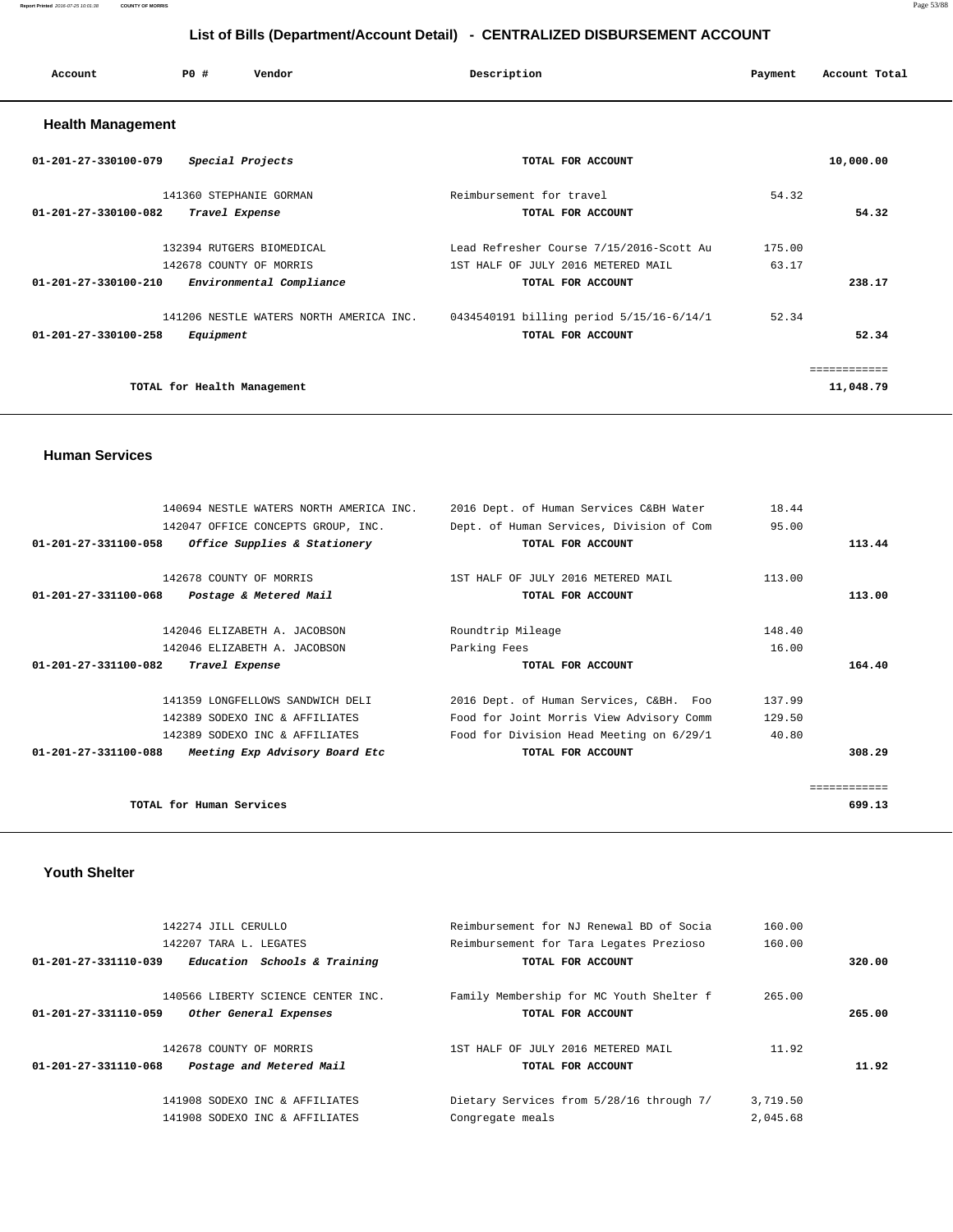### **Report Printed** 2016-07-25 10:01:38 **COUNTY OF MORRIS** Page 53/88

 **List of Bills (Department/Account Detail) - CENTRALIZED DISBURSEMENT ACCOUNT**

| Account                        | PO#                                       | Vendor                    | Description                                                                    | Payment         | Account Total |
|--------------------------------|-------------------------------------------|---------------------------|--------------------------------------------------------------------------------|-----------------|---------------|
| <b>Health Management</b>       |                                           |                           |                                                                                |                 |               |
| 01-201-27-330100-079           | Special Projects                          |                           | TOTAL FOR ACCOUNT                                                              |                 | 10,000.00     |
| $01 - 201 - 27 - 330100 - 082$ | 141360 STEPHANIE GORMAN<br>Travel Expense |                           | Reimbursement for travel<br>TOTAL FOR ACCOUNT                                  | 54.32           | 54.32         |
|                                | 142678 COUNTY OF MORRIS                   | 132394 RUTGERS BIOMEDICAL | Lead Refresher Course 7/15/2016-Scott Au<br>1ST HALF OF JULY 2016 METERED MAIL | 175.00<br>63.17 |               |
| 01-201-27-330100-210           |                                           | Environmental Compliance  | TOTAL FOR ACCOUNT                                                              |                 | 238.17        |

 141206 NESTLE WATERS NORTH AMERICA INC. 0434540191 billing period 5/15/16-6/14/1 52.34  **01-201-27-330100-258 Equipment TOTAL FOR ACCOUNT 52.34**

**TOTAL for Health Management 11,048.79**

### **Human Services**

| 140694 NESTLE WATERS NORTH AMERICA INC.                          | 2016 Dept. of Human Services C&BH Water  | 18.44  |              |
|------------------------------------------------------------------|------------------------------------------|--------|--------------|
| 142047 OFFICE CONCEPTS GROUP, INC.                               | Dept. of Human Services, Division of Com | 95.00  |              |
| 01-201-27-331100-058<br><i>Office Supplies &amp; Stationery</i>  | TOTAL FOR ACCOUNT                        |        | 113.44       |
| 142678 COUNTY OF MORRIS                                          | 1ST HALF OF JULY 2016 METERED MAIL       | 113.00 |              |
| 01-201-27-331100-068<br>Postage & Metered Mail                   | TOTAL FOR ACCOUNT                        |        | 113.00       |
|                                                                  |                                          |        |              |
| 142046 ELIZABETH A. JACOBSON                                     | Roundtrip Mileage                        | 148.40 |              |
| 142046 ELIZABETH A. JACOBSON                                     | Parking Fees                             | 16.00  |              |
| Travel Expense<br>01-201-27-331100-082                           | TOTAL FOR ACCOUNT                        |        | 164.40       |
|                                                                  |                                          |        |              |
| 141359 LONGFELLOWS SANDWICH DELI                                 | 2016 Dept. of Human Services, C&BH. Foo  | 137.99 |              |
| 142389 SODEXO INC & AFFILIATES                                   | Food for Joint Morris View Advisory Comm | 129.50 |              |
| 142389 SODEXO INC & AFFILIATES                                   | Food for Division Head Meeting on 6/29/1 | 40.80  |              |
| $01 - 201 - 27 - 331100 - 088$<br>Meeting Exp Advisory Board Etc | TOTAL FOR ACCOUNT                        |        | 308.29       |
|                                                                  |                                          |        | ============ |
| TOTAL for Human Services                                         |                                          |        | 699.13       |

============

### **Youth Shelter**

| 142274 JILL CERULLO                                  | Reimbursement for NJ Renewal BD of Social | 160.00   |        |
|------------------------------------------------------|-------------------------------------------|----------|--------|
| 142207 TARA L. LEGATES                               | Reimbursement for Tara Legates Prezioso   | 160.00   |        |
| Education Schools & Training<br>01-201-27-331110-039 | TOTAL FOR ACCOUNT                         |          | 320.00 |
| 140566 LIBERTY SCIENCE CENTER INC.                   | Family Membership for MC Youth Shelter f  | 265.00   |        |
| 01-201-27-331110-059<br>Other General Expenses       | TOTAL FOR ACCOUNT                         |          | 265.00 |
|                                                      |                                           |          |        |
| 142678 COUNTY OF MORRIS                              | 1ST HALF OF JULY 2016 METERED MAIL        | 11.92    |        |
| Postage and Metered Mail<br>01-201-27-331110-068     | TOTAL FOR ACCOUNT                         |          | 11.92  |
|                                                      |                                           |          |        |
| 141908 SODEXO INC & AFFILIATES                       | Dietary Services from 5/28/16 through 7/  | 3,719.50 |        |
| 141908 SODEXO INC & AFFILIATES                       | Congregate meals                          | 2,045.68 |        |
|                                                      |                                           |          |        |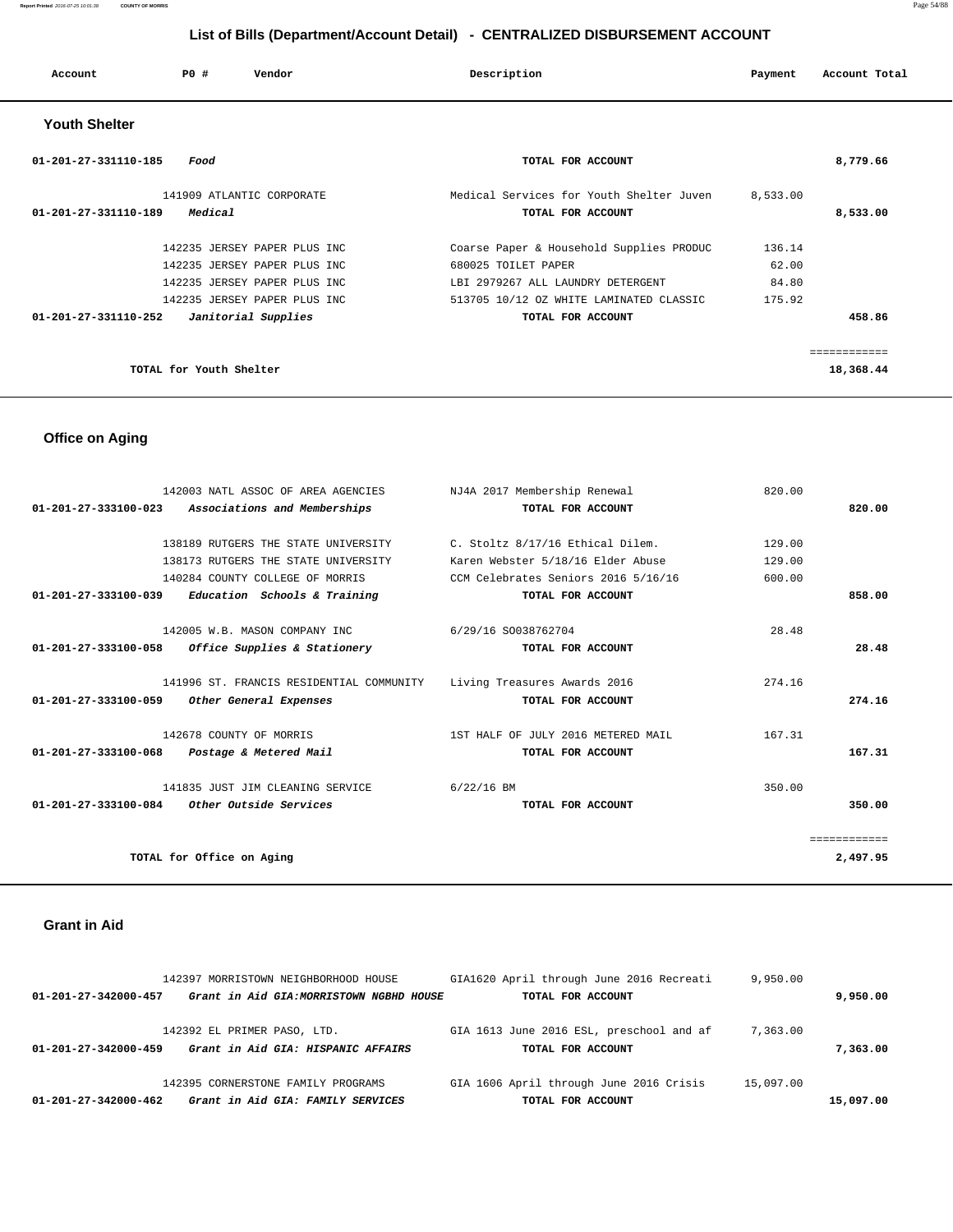### **Report Printed** 2016-07-25 10:01:38 **COUNTY OF MORRIS** Page 54/88

 **List of Bills (Department/Account Detail) - CENTRALIZED DISBURSEMENT ACCOUNT**

| Account              | PO#                     | Vendor                       | Description                              | Payment  | Account Total |
|----------------------|-------------------------|------------------------------|------------------------------------------|----------|---------------|
| <b>Youth Shelter</b> |                         |                              |                                          |          |               |
| 01-201-27-331110-185 | Food                    |                              | TOTAL FOR ACCOUNT                        |          | 8,779.66      |
|                      |                         | 141909 ATLANTIC CORPORATE    | Medical Services for Youth Shelter Juven | 8,533.00 |               |
| 01-201-27-331110-189 | Medical                 |                              | TOTAL FOR ACCOUNT                        |          | 8,533.00      |
|                      |                         | 142235 JERSEY PAPER PLUS INC | Coarse Paper & Household Supplies PRODUC | 136.14   |               |
|                      |                         | 142235 JERSEY PAPER PLUS INC | 680025 TOILET PAPER                      | 62.00    |               |
|                      |                         | 142235 JERSEY PAPER PLUS INC | LBI 2979267 ALL LAUNDRY DETERGENT        | 84.80    |               |
|                      |                         | 142235 JERSEY PAPER PLUS INC | 513705 10/12 OZ WHITE LAMINATED CLASSIC  | 175.92   |               |
| 01-201-27-331110-252 |                         | Janitorial Supplies          | TOTAL FOR ACCOUNT                        |          | 458.86        |
|                      |                         |                              |                                          |          | ============  |
|                      | TOTAL for Youth Shelter |                              |                                          |          | 18,368.44     |

# **Office on Aging**

|                                | 142003 NATL ASSOC OF AREA AGENCIES            | NJ4A 2017 Membership Renewal        | 820.00       |
|--------------------------------|-----------------------------------------------|-------------------------------------|--------------|
| $01 - 201 - 27 - 333100 - 023$ | Associations and Memberships                  | TOTAL FOR ACCOUNT                   | 820.00       |
|                                | 138189 RUTGERS THE STATE UNIVERSITY           | C. Stoltz 8/17/16 Ethical Dilem.    | 129.00       |
|                                | 138173 RUTGERS THE STATE UNIVERSITY           | Karen Webster 5/18/16 Elder Abuse   | 129.00       |
|                                | 140284 COUNTY COLLEGE OF MORRIS               | CCM Celebrates Seniors 2016 5/16/16 | 600.00       |
| 01-201-27-333100-039           | Education Schools & Training                  | TOTAL FOR ACCOUNT                   | 858.00       |
|                                | 142005 W.B. MASON COMPANY INC                 | 6/29/16 SO038762704                 | 28.48        |
| 01-201-27-333100-058           | Office Supplies & Stationery                  | TOTAL FOR ACCOUNT                   | 28.48        |
|                                | 141996 ST. FRANCIS RESIDENTIAL COMMUNITY      | Living Treasures Awards 2016        | 274.16       |
| 01-201-27-333100-059           | Other General Expenses                        | TOTAL FOR ACCOUNT                   | 274.16       |
|                                | 142678 COUNTY OF MORRIS                       | 1ST HALF OF JULY 2016 METERED MAIL  | 167.31       |
| 01-201-27-333100-068           | Postage & Metered Mail                        | TOTAL FOR ACCOUNT                   | 167.31       |
|                                | 141835 JUST JIM CLEANING SERVICE              | $6/22/16$ BM                        | 350.00       |
|                                | $01-201-27-333100-084$ Other Outside Services | TOTAL FOR ACCOUNT                   | 350.00       |
|                                |                                               |                                     | ============ |
|                                | TOTAL for Office on Aging                     |                                     | 2,497.95     |
|                                |                                               |                                     |              |

### **Grant in Aid**

|                                | 142397 MORRISTOWN NEIGHBORHOOD HOUSE |                                          |  | GIA1620 April through June 2016 Recreati | 9,950.00  |           |
|--------------------------------|--------------------------------------|------------------------------------------|--|------------------------------------------|-----------|-----------|
| $01 - 201 - 27 - 342000 - 457$ |                                      | Grant in Aid GIA: MORRISTOWN NGBHD HOUSE |  | TOTAL FOR ACCOUNT                        |           | 9,950.00  |
|                                | 142392 EL PRIMER PASO, LTD.          |                                          |  | GIA 1613 June 2016 ESL, preschool and af | 7,363.00  |           |
| $01 - 201 - 27 - 342000 - 459$ |                                      | Grant in Aid GIA: HISPANIC AFFAIRS       |  | TOTAL FOR ACCOUNT                        |           | 7,363,00  |
|                                | 142395 CORNERSTONE FAMILY PROGRAMS   |                                          |  | GIA 1606 April through June 2016 Crisis  | 15,097.00 |           |
| $01 - 201 - 27 - 342000 - 462$ |                                      | Grant in Aid GIA: FAMILY SERVICES        |  | TOTAL FOR ACCOUNT                        |           | 15,097.00 |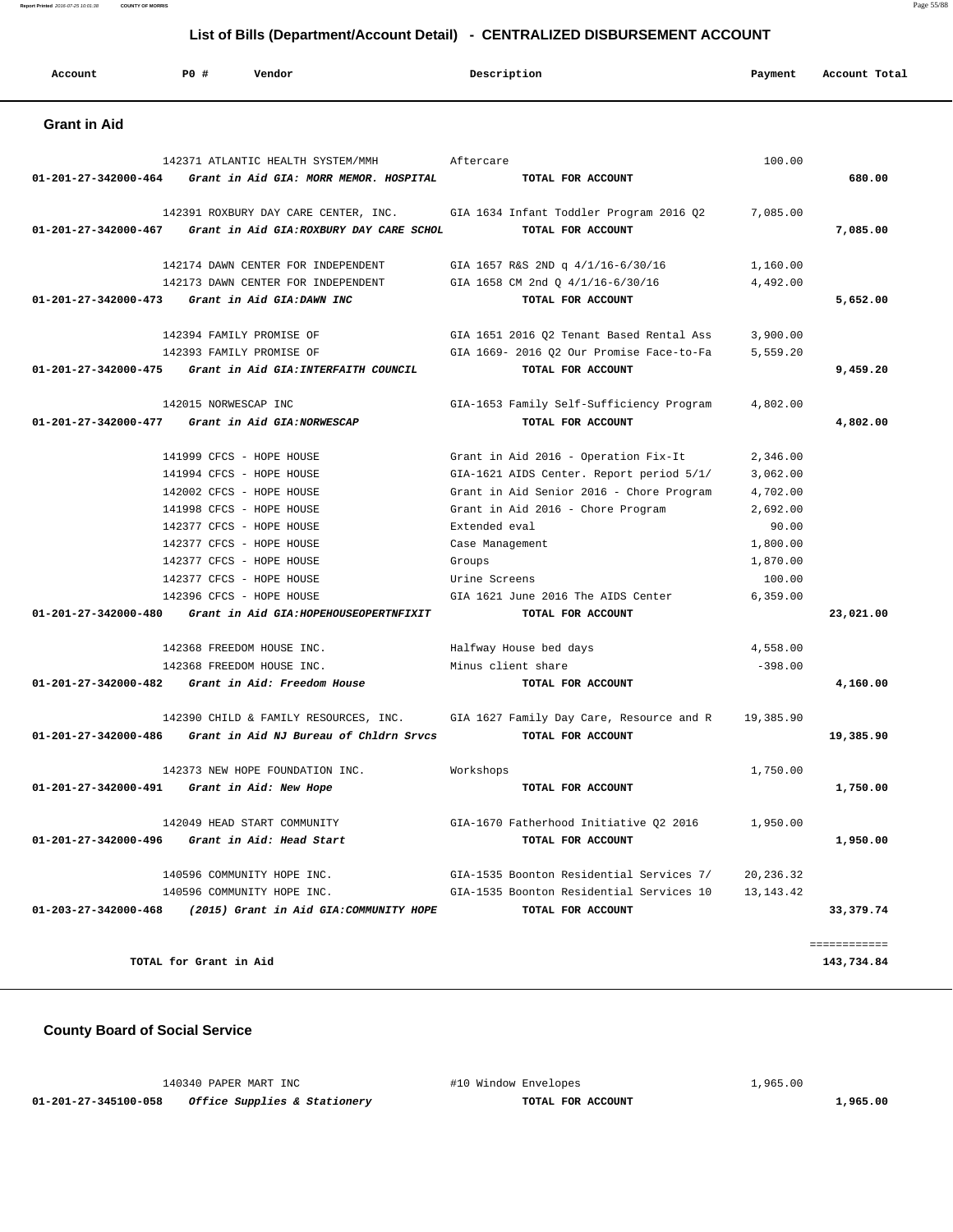**Report Printed** 2016-07-25 10:01:38 **COUNTY OF MORRIS** Page 55/88

## **List of Bills (Department/Account Detail) - CENTRALIZED DISBURSEMENT ACCOUNT**

| Account                                         | PO#                    | Vendor                                                                           | Description                                                   | Payment     | Account Total              |
|-------------------------------------------------|------------------------|----------------------------------------------------------------------------------|---------------------------------------------------------------|-------------|----------------------------|
| <b>Grant in Aid</b>                             |                        |                                                                                  |                                                               |             |                            |
|                                                 |                        | 142371 ATLANTIC HEALTH SYSTEM/MMH                                                | Aftercare                                                     | 100.00      |                            |
| 01-201-27-342000-464                            |                        | Grant in Aid GIA: MORR MEMOR. HOSPITAL                                           | TOTAL FOR ACCOUNT                                             |             | 680.00                     |
| 01-201-27-342000-467                            |                        | 142391 ROXBURY DAY CARE CENTER, INC.<br>Grant in Aid GIA: ROXBURY DAY CARE SCHOL | GIA 1634 Infant Toddler Program 2016 Q2<br>TOTAL FOR ACCOUNT  | 7,085.00    | 7,085.00                   |
|                                                 |                        | 142174 DAWN CENTER FOR INDEPENDENT                                               | GIA 1657 R&S 2ND q 4/1/16-6/30/16                             | 1,160.00    |                            |
|                                                 |                        | 142173 DAWN CENTER FOR INDEPENDENT                                               | GIA 1658 CM 2nd Q 4/1/16-6/30/16                              | 4,492.00    |                            |
| 01-201-27-342000-473                            |                        | Grant in Aid GIA: DAWN INC                                                       | TOTAL FOR ACCOUNT                                             |             | 5,652.00                   |
|                                                 |                        | 142394 FAMILY PROMISE OF                                                         | GIA 1651 2016 Q2 Tenant Based Rental Ass                      | 3,900.00    |                            |
|                                                 |                        | 142393 FAMILY PROMISE OF                                                         | GIA 1669- 2016 Q2 Our Promise Face-to-Fa                      | 5,559.20    |                            |
|                                                 |                        | 01-201-27-342000-475 Grant in Aid GIA: INTERFAITH COUNCIL                        | TOTAL FOR ACCOUNT                                             |             | 9,459.20                   |
| 01-201-27-342000-477 Grant in Aid GIA:NORWESCAP |                        | 142015 NORWESCAP INC                                                             | GIA-1653 Family Self-Sufficiency Program<br>TOTAL FOR ACCOUNT | 4,802.00    | 4,802.00                   |
|                                                 |                        |                                                                                  |                                                               |             |                            |
|                                                 |                        | 141999 CFCS - HOPE HOUSE                                                         | Grant in Aid 2016 - Operation Fix-It                          | 2,346.00    |                            |
|                                                 |                        | 141994 CFCS - HOPE HOUSE                                                         | GIA-1621 AIDS Center. Report period 5/1/                      | 3,062.00    |                            |
|                                                 |                        | 142002 CFCS - HOPE HOUSE                                                         | Grant in Aid Senior 2016 - Chore Program                      | 4,702.00    |                            |
|                                                 |                        | 141998 CFCS - HOPE HOUSE                                                         | Grant in Aid 2016 - Chore Program                             | 2,692.00    |                            |
|                                                 |                        | 142377 CFCS - HOPE HOUSE                                                         | Extended eval                                                 | 90.00       |                            |
|                                                 |                        | 142377 CFCS - HOPE HOUSE                                                         | Case Management                                               | 1,800.00    |                            |
|                                                 |                        | 142377 CFCS - HOPE HOUSE                                                         | Groups                                                        | 1,870.00    |                            |
|                                                 |                        | 142377 CFCS - HOPE HOUSE                                                         | Urine Screens                                                 | 100.00      |                            |
|                                                 |                        | 142396 CFCS - HOPE HOUSE                                                         | GIA 1621 June 2016 The AIDS Center                            | 6, 359.00   |                            |
| 01-201-27-342000-480                            |                        | Grant in Aid GIA: HOPEHOUSEOPERTNFIXIT                                           | TOTAL FOR ACCOUNT                                             |             | 23,021.00                  |
|                                                 |                        | 142368 FREEDOM HOUSE INC.                                                        | Halfway House bed days                                        | 4,558.00    |                            |
|                                                 |                        | 142368 FREEDOM HOUSE INC.                                                        | Minus client share                                            | $-398.00$   |                            |
|                                                 |                        | 01-201-27-342000-482 Grant in Aid: Freedom House                                 | TOTAL FOR ACCOUNT                                             |             | 4,160.00                   |
| 01-201-27-342000-486                            |                        | 142390 CHILD & FAMILY RESOURCES, INC.<br>Grant in Aid NJ Bureau of Chldrn Srvcs  | GIA 1627 Family Day Care, Resource and R<br>TOTAL FOR ACCOUNT | 19,385.90   | 19,385.90                  |
|                                                 |                        | 142373 NEW HOPE FOUNDATION INC.                                                  | Workshops                                                     | 1,750.00    |                            |
| 01-201-27-342000-491                            |                        | Grant in Aid: New Hope                                                           | TOTAL FOR ACCOUNT                                             |             | 1,750.00                   |
|                                                 |                        | 142049 HEAD START COMMUNITY                                                      | GIA-1670 Fatherhood Initiative Q2 2016                        | 1,950.00    |                            |
| 01-201-27-342000-496                            |                        | Grant in Aid: Head Start                                                         | TOTAL FOR ACCOUNT                                             |             | 1,950.00                   |
|                                                 |                        | 140596 COMMUNITY HOPE INC.                                                       | GIA-1535 Boonton Residential Services 7/                      | 20, 236.32  |                            |
|                                                 |                        | 140596 COMMUNITY HOPE INC.                                                       | GIA-1535 Boonton Residential Services 10                      | 13, 143. 42 |                            |
| $01 - 203 - 27 - 342000 - 468$                  |                        | (2015) Grant in Aid GIA: COMMUNITY HOPE                                          | TOTAL FOR ACCOUNT                                             |             | 33,379.74                  |
|                                                 | TOTAL for Grant in Aid |                                                                                  |                                                               |             | ============<br>143,734.84 |

 **County Board of Social Service**

140340 PAPER MART INC #10 Window Envelopes 1,965.00<br>58 Office Supplies a Stationary  **01-201-27-345100-058 Office Supplies & Stationery TOTAL FOR ACCOUNT 1,965.00**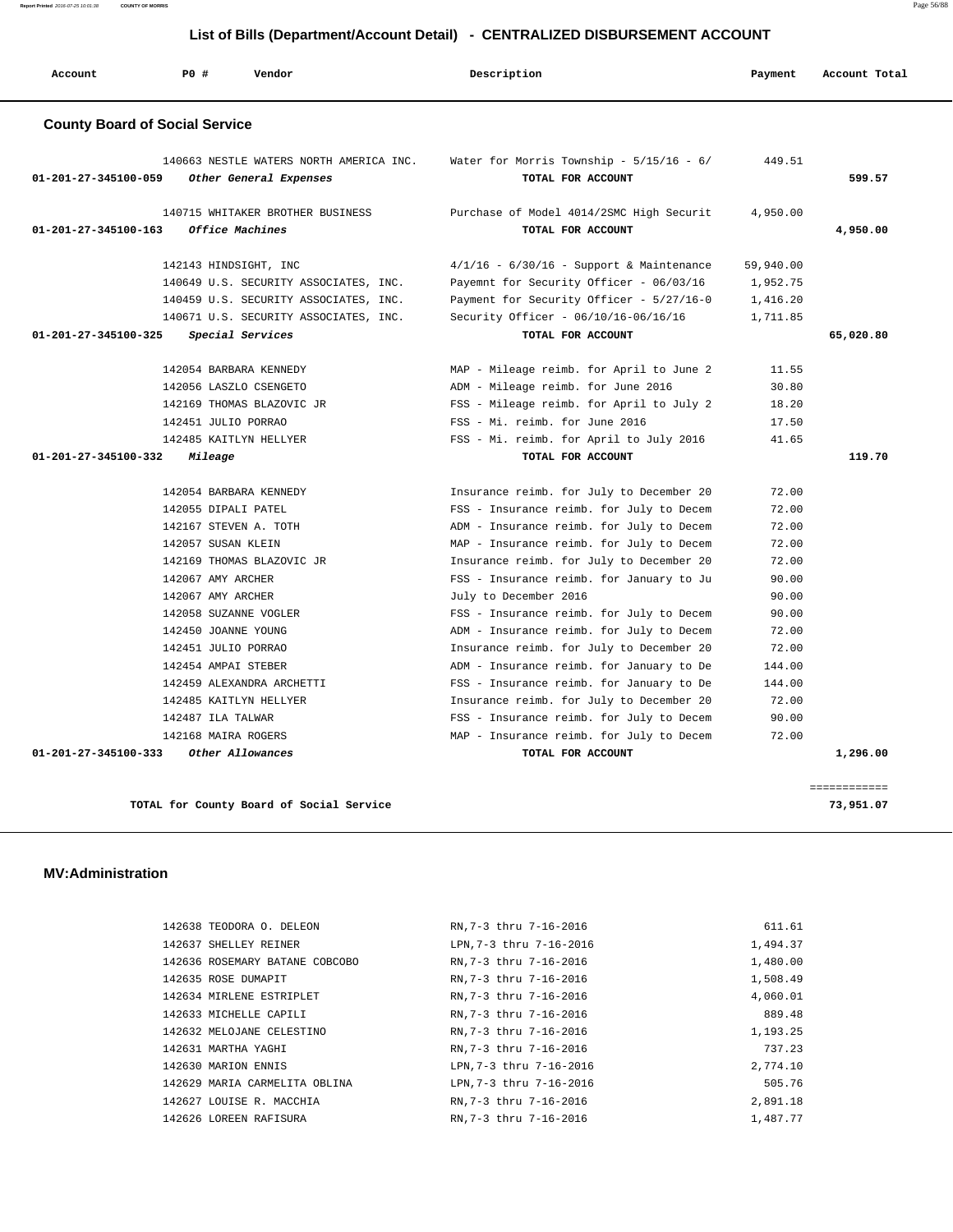**Report Printed** 2016-07-25 10:01:38 **COUNTY OF MORRIS** Page 56/88

## **List of Bills (Department/Account Detail) - CENTRALIZED DISBURSEMENT ACCOUNT**

| Account                        | PO#<br>Vendor                                                     | Description                                                       | Payment   | Account Total |
|--------------------------------|-------------------------------------------------------------------|-------------------------------------------------------------------|-----------|---------------|
|                                | <b>County Board of Social Service</b>                             |                                                                   |           |               |
| 01-201-27-345100-059           | 140663 NESTLE WATERS NORTH AMERICA INC.<br>Other General Expenses | Water for Morris Township - $5/15/16$ - $6/$<br>TOTAL FOR ACCOUNT | 449.51    | 599.57        |
| $01 - 201 - 27 - 345100 - 163$ | 140715 WHITAKER BROTHER BUSINESS<br>Office Machines               | Purchase of Model 4014/2SMC High Securit<br>TOTAL FOR ACCOUNT     | 4,950.00  | 4,950.00      |
|                                | 142143 HINDSIGHT, INC                                             | $4/1/16$ - $6/30/16$ - Support & Maintenance                      | 59,940.00 |               |
|                                | 140649 U.S. SECURITY ASSOCIATES, INC.                             | Payemnt for Security Officer - 06/03/16                           | 1,952.75  |               |
|                                | 140459 U.S. SECURITY ASSOCIATES, INC.                             | Payment for Security Officer - 5/27/16-0                          | 1,416.20  |               |
|                                | 140671 U.S. SECURITY ASSOCIATES, INC.                             | Security Officer - 06/10/16-06/16/16                              | 1,711.85  |               |
| 01-201-27-345100-325           | Special Services                                                  | TOTAL FOR ACCOUNT                                                 |           | 65,020.80     |
|                                | 142054 BARBARA KENNEDY                                            | MAP - Mileage reimb. for April to June 2                          | 11.55     |               |
|                                | 142056 LASZLO CSENGETO                                            | ADM - Mileage reimb. for June 2016                                | 30.80     |               |
|                                | 142169 THOMAS BLAZOVIC JR                                         | FSS - Mileage reimb. for April to July 2                          | 18.20     |               |
|                                | 142451 JULIO PORRAO                                               | FSS - Mi. reimb. for June 2016                                    | 17.50     |               |
|                                | 142485 KAITLYN HELLYER                                            | FSS - Mi. reimb. for April to July 2016                           | 41.65     |               |
| 01-201-27-345100-332           | Mileage                                                           | TOTAL FOR ACCOUNT                                                 |           | 119.70        |
|                                | 142054 BARBARA KENNEDY                                            | Insurance reimb. for July to December 20                          | 72.00     |               |
|                                | 142055 DIPALI PATEL                                               | FSS - Insurance reimb. for July to Decem                          | 72.00     |               |
|                                | 142167 STEVEN A. TOTH                                             | ADM - Insurance reimb. for July to Decem                          | 72.00     |               |
|                                | 142057 SUSAN KLEIN                                                | MAP - Insurance reimb. for July to Decem                          | 72.00     |               |
|                                | 142169 THOMAS BLAZOVIC JR                                         | Insurance reimb. for July to December 20                          | 72.00     |               |
|                                | 142067 AMY ARCHER                                                 | FSS - Insurance reimb. for January to Ju                          | 90.00     |               |
|                                | 142067 AMY ARCHER                                                 | July to December 2016                                             | 90.00     |               |
|                                | 142058 SUZANNE VOGLER                                             | FSS - Insurance reimb. for July to Decem                          | 90.00     |               |
|                                | 142450 JOANNE YOUNG                                               | ADM - Insurance reimb. for July to Decem                          | 72.00     |               |
|                                | 142451 JULIO PORRAO                                               | Insurance reimb. for July to December 20                          | 72.00     |               |
|                                | 142454 AMPAI STEBER                                               | ADM - Insurance reimb. for January to De                          | 144.00    |               |
|                                | 142459 ALEXANDRA ARCHETTI                                         | FSS - Insurance reimb. for January to De                          | 144.00    |               |
|                                | 142485 KAITLYN HELLYER                                            | Insurance reimb. for July to December 20                          | 72.00     |               |
|                                | 142487 ILA TALWAR                                                 | FSS - Insurance reimb. for July to Decem                          | 90.00     |               |
|                                | 142168 MAIRA ROGERS                                               | MAP - Insurance reimb. for July to Decem                          | 72.00     |               |
|                                |                                                                   |                                                                   |           |               |

**TOTAL for County Board of Social Service 73,951.07**

### **MV:Administration**

| 142638 TEODORA O. DELEON       | RN.7-3 thru 7-16-2016  | 611.61   |
|--------------------------------|------------------------|----------|
| 142637 SHELLEY REINER          | LPN.7-3 thru 7-16-2016 | 1,494.37 |
| 142636 ROSEMARY BATANE COBCOBO | RN.7-3 thru 7-16-2016  | 1,480.00 |
| 142635 ROSE DUMAPIT            | RN, 7-3 thru 7-16-2016 | 1,508.49 |
| 142634 MIRLENE ESTRIPLET       | RN, 7-3 thru 7-16-2016 | 4,060.01 |
| 142633 MICHELLE CAPILI         | RN.7-3 thru 7-16-2016  | 889.48   |
| 142632 MELOJANE CELESTINO      | RN, 7-3 thru 7-16-2016 | 1,193.25 |
| 142631 MARTHA YAGHI            | RN.7-3 thru 7-16-2016  | 737.23   |
| 142630 MARION ENNIS            | LPN.7-3 thru 7-16-2016 | 2,774.10 |
| 142629 MARIA CARMELITA OBLINA  | LPN.7-3 thru 7-16-2016 | 505.76   |
| 142627 LOUISE R. MACCHIA       | RN.7-3 thru 7-16-2016  | 2,891.18 |
| 142626 LOREEN RAFISURA         | RN, 7-3 thru 7-16-2016 | 1,487.77 |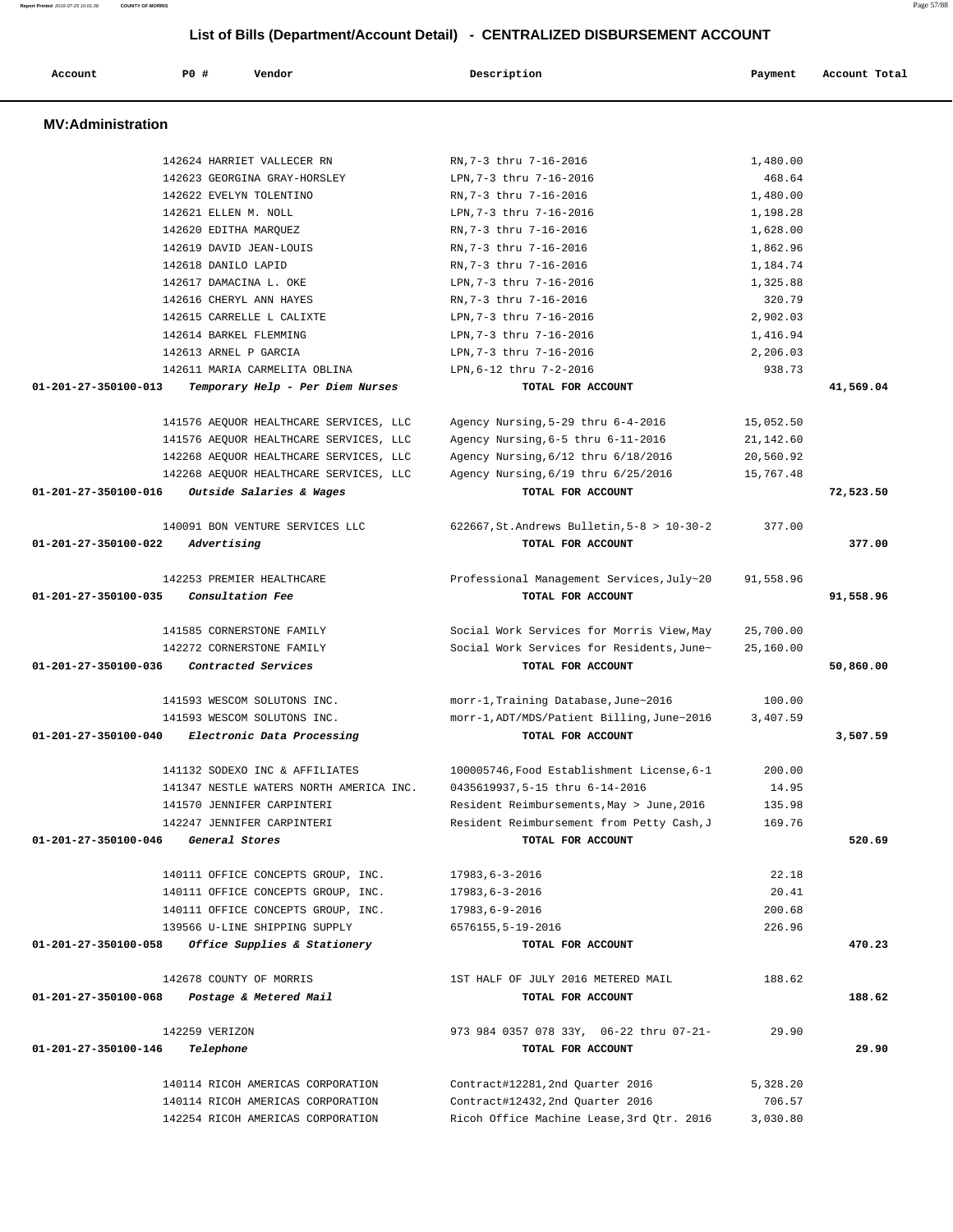| Account                        | PO#<br>Vendor                           | Description                                   | Payment   | Account Total |
|--------------------------------|-----------------------------------------|-----------------------------------------------|-----------|---------------|
| <b>MV:Administration</b>       |                                         |                                               |           |               |
|                                | 142624 HARRIET VALLECER RN              | RN.7-3 thru 7-16-2016                         | 1,480.00  |               |
|                                | 142623 GEORGINA GRAY-HORSLEY            | LPN, 7-3 thru 7-16-2016                       | 468.64    |               |
|                                | 142622 EVELYN TOLENTINO                 | RN, 7-3 thru 7-16-2016                        | 1,480.00  |               |
|                                | 142621 ELLEN M. NOLL                    | LPN.7-3 thru 7-16-2016                        | 1,198.28  |               |
|                                | 142620 EDITHA MARQUEZ                   | RN, 7-3 thru 7-16-2016                        | 1,628.00  |               |
|                                | 142619 DAVID JEAN-LOUIS                 | RN, 7-3 thru 7-16-2016                        | 1,862.96  |               |
|                                | 142618 DANILO LAPID                     | RN, 7-3 thru 7-16-2016                        | 1,184.74  |               |
|                                | 142617 DAMACINA L. OKE                  | LPN, 7-3 thru 7-16-2016                       | 1,325.88  |               |
|                                | 142616 CHERYL ANN HAYES                 | RN, 7-3 thru 7-16-2016                        | 320.79    |               |
|                                | 142615 CARRELLE L CALIXTE               | LPN, 7-3 thru 7-16-2016                       | 2,902.03  |               |
|                                | 142614 BARKEL FLEMMING                  | LPN, 7-3 thru 7-16-2016                       | 1,416.94  |               |
|                                | 142613 ARNEL P GARCIA                   | LPN, 7-3 thru 7-16-2016                       | 2,206.03  |               |
|                                | 142611 MARIA CARMELITA OBLINA           | LPN, 6-12 thru 7-2-2016                       | 938.73    |               |
| $01 - 201 - 27 - 350100 - 013$ | Temporary Help - Per Diem Nurses        | TOTAL FOR ACCOUNT                             |           | 41,569.04     |
|                                | 141576 AEQUOR HEALTHCARE SERVICES, LLC  | Agency Nursing, 5-29 thru 6-4-2016            | 15,052.50 |               |
|                                | 141576 AEQUOR HEALTHCARE SERVICES, LLC  | Agency Nursing, 6-5 thru 6-11-2016            | 21,142.60 |               |
|                                | 142268 AEQUOR HEALTHCARE SERVICES, LLC  | Agency Nursing, 6/12 thru 6/18/2016           | 20,560.92 |               |
|                                | 142268 AEQUOR HEALTHCARE SERVICES, LLC  | Agency Nursing, 6/19 thru 6/25/2016           | 15,767.48 |               |
| 01-201-27-350100-016           | Outside Salaries & Wages                | TOTAL FOR ACCOUNT                             |           | 72,523.50     |
|                                | 140091 BON VENTURE SERVICES LLC         | 622667, St. Andrews Bulletin, $5-8 > 10-30-2$ | 377.00    |               |
| 01-201-27-350100-022           | Advertising                             | TOTAL FOR ACCOUNT                             |           | 377.00        |
|                                | 142253 PREMIER HEALTHCARE               | Professional Management Services, July~20     | 91,558.96 |               |
| 01-201-27-350100-035           | Consultation Fee                        | TOTAL FOR ACCOUNT                             |           | 91,558.96     |
|                                | 141585 CORNERSTONE FAMILY               | Social Work Services for Morris View, May     | 25,700.00 |               |
|                                | 142272 CORNERSTONE FAMILY               | Social Work Services for Residents, June~     | 25,160.00 |               |
| 01-201-27-350100-036           | Contracted Services                     | TOTAL FOR ACCOUNT                             |           | 50,860.00     |
|                                | 141593 WESCOM SOLUTONS INC.             | morr-1, Training Database, June~2016          | 100.00    |               |
|                                | 141593 WESCOM SOLUTONS INC.             | morr-1, ADT/MDS/Patient Billing, June~2016    | 3,407.59  |               |
| 01-201-27-350100-040           | Electronic Data Processing              | TOTAL FOR ACCOUNT                             |           | 3,507.59      |
|                                | 141132 SODEXO INC & AFFILIATES          | 100005746, Food Establishment License, 6-1    | 200.00    |               |
|                                | 141347 NESTLE WATERS NORTH AMERICA INC. | 0435619937,5-15 thru 6-14-2016                | 14.95     |               |
|                                | 141570 JENNIFER CARPINTERI              | Resident Reimbursements, May > June, 2016     | 135.98    |               |
|                                | 142247 JENNIFER CARPINTERI              | Resident Reimbursement from Petty Cash, J     | 169.76    |               |
| 01-201-27-350100-046           | General Stores                          | TOTAL FOR ACCOUNT                             |           | 520.69        |
|                                | 140111 OFFICE CONCEPTS GROUP, INC.      | $17983, 6 - 3 - 2016$                         | 22.18     |               |
|                                | 140111 OFFICE CONCEPTS GROUP, INC.      | $17983, 6 - 3 - 2016$                         | 20.41     |               |
|                                | 140111 OFFICE CONCEPTS GROUP, INC.      | $17983, 6 - 9 - 2016$                         | 200.68    |               |
|                                | 139566 U-LINE SHIPPING SUPPLY           | 6576155,5-19-2016                             | 226.96    |               |
| 01-201-27-350100-058           | Office Supplies & Stationery            | TOTAL FOR ACCOUNT                             |           | 470.23        |
|                                | 142678 COUNTY OF MORRIS                 | 1ST HALF OF JULY 2016 METERED MAIL            | 188.62    |               |
| 01-201-27-350100-068           | Postage & Metered Mail                  | TOTAL FOR ACCOUNT                             |           | 188.62        |
|                                | 142259 VERIZON                          | 973 984 0357 078 33Y, 06-22 thru 07-21-       | 29.90     |               |
| 01-201-27-350100-146           | Telephone                               | TOTAL FOR ACCOUNT                             |           | 29.90         |
|                                | 140114 RICOH AMERICAS CORPORATION       | Contract#12281, 2nd Quarter 2016              | 5,328.20  |               |
|                                | 140114 RICOH AMERICAS CORPORATION       | Contract#12432, 2nd Quarter 2016              | 706.57    |               |
|                                | 142254 RICOH AMERICAS CORPORATION       | Ricoh Office Machine Lease, 3rd Qtr. 2016     | 3,030.80  |               |

**Report Printed** 2016-07-25 10:01:38 **COUNTY OF MORRIS** Page 57/88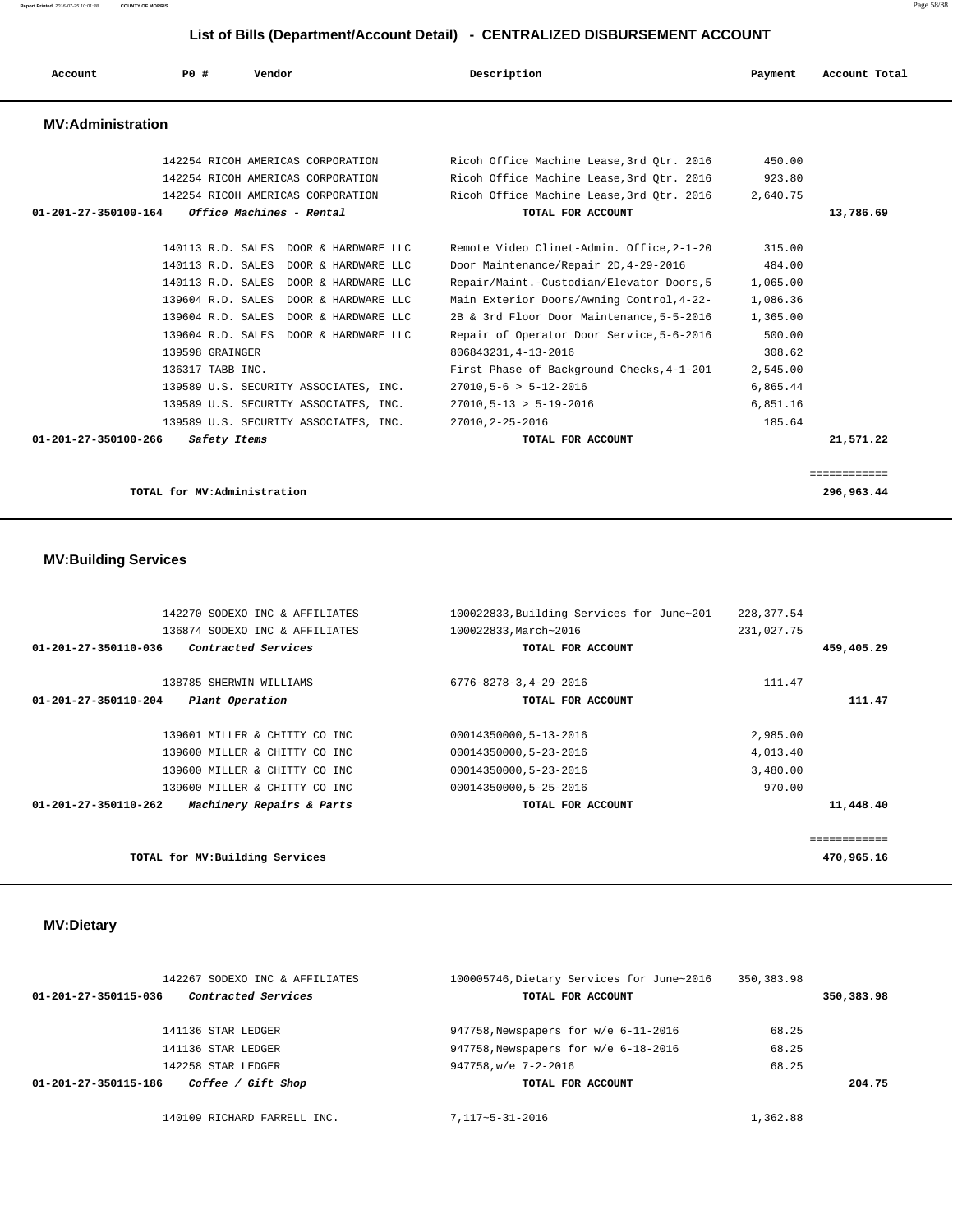**Report Printed** 2016-07-25 10:01:38 **COUNTY OF MORRIS** Page 58/88

### **List of Bills (Department/Account Detail) - CENTRALIZED DISBURSEMENT ACCOUNT**

| Account                  | PO#              | Vendor                                | Description                               | Payment  | Account Total |
|--------------------------|------------------|---------------------------------------|-------------------------------------------|----------|---------------|
| <b>MV:Administration</b> |                  |                                       |                                           |          |               |
|                          |                  | 142254 RICOH AMERICAS CORPORATION     | Ricoh Office Machine Lease, 3rd Otr. 2016 | 450.00   |               |
|                          |                  | 142254 RICOH AMERICAS CORPORATION     | Ricoh Office Machine Lease, 3rd Qtr. 2016 | 923.80   |               |
|                          |                  | 142254 RICOH AMERICAS CORPORATION     | Ricoh Office Machine Lease, 3rd Otr. 2016 | 2,640.75 |               |
| 01-201-27-350100-164     |                  | Office Machines - Rental              | TOTAL FOR ACCOUNT                         |          | 13,786.69     |
|                          |                  |                                       |                                           |          |               |
|                          |                  | 140113 R.D. SALES DOOR & HARDWARE LLC | Remote Video Clinet-Admin. Office, 2-1-20 | 315.00   |               |
|                          |                  | 140113 R.D. SALES DOOR & HARDWARE LLC | Door Maintenance/Repair 2D, 4-29-2016     | 484.00   |               |
|                          |                  | 140113 R.D. SALES DOOR & HARDWARE LLC | Repair/Maint.-Custodian/Elevator Doors, 5 | 1,065.00 |               |
|                          |                  | 139604 R.D. SALES DOOR & HARDWARE LLC | Main Exterior Doors/Awning Control, 4-22- | 1,086.36 |               |
|                          |                  | 139604 R.D. SALES DOOR & HARDWARE LLC | 2B & 3rd Floor Door Maintenance, 5-5-2016 | 1,365.00 |               |
|                          |                  | 139604 R.D. SALES DOOR & HARDWARE LLC | Repair of Operator Door Service, 5-6-2016 | 500.00   |               |
|                          | 139598 GRAINGER  |                                       | 806843231, 4-13-2016                      | 308.62   |               |
|                          | 136317 TABB INC. |                                       | First Phase of Background Checks, 4-1-201 | 2,545.00 |               |
|                          |                  | 139589 U.S. SECURITY ASSOCIATES, INC. | $27010, 5-6 > 5-12-2016$                  | 6,865.44 |               |
|                          |                  | 139589 U.S. SECURITY ASSOCIATES, INC. | $27010, 5 - 13 > 5 - 19 - 2016$           | 6,851.16 |               |
|                          |                  | 139589 U.S. SECURITY ASSOCIATES, INC. | 27010.2-25-2016                           | 185.64   |               |
| 01-201-27-350100-266     | Safety Items     |                                       | TOTAL FOR ACCOUNT                         |          | 21,571.22     |
|                          |                  |                                       |                                           |          |               |
|                          |                  |                                       |                                           |          | ============  |

**TOTAL for MV:Administration 296,963.44**

## **MV:Building Services**

| 142270 SODEXO INC & AFFILIATES                              | 100022833, Building Services for June~201 | 228, 377.54 |              |
|-------------------------------------------------------------|-------------------------------------------|-------------|--------------|
| 136874 SODEXO INC & AFFILIATES                              | 100022833, March~2016                     | 231,027.75  |              |
| Contracted Services<br>01-201-27-350110-036                 | TOTAL FOR ACCOUNT                         |             | 459,405.29   |
| 138785 SHERWIN WILLIAMS                                     | $6776 - 8278 - 3, 4 - 29 - 2016$          | 111.47      |              |
| 01-201-27-350110-204<br>Plant Operation                     | TOTAL FOR ACCOUNT                         |             | 111.47       |
| 139601 MILLER & CHITTY CO INC                               | 00014350000,5-13-2016                     | 2,985.00    |              |
| 139600 MILLER & CHITTY CO INC                               | 00014350000,5-23-2016                     | 4,013.40    |              |
| 139600 MILLER & CHITTY CO INC                               | 00014350000.5-23-2016                     | 3,480.00    |              |
| 139600 MILLER & CHITTY CO INC                               | 00014350000,5-25-2016                     | 970.00      |              |
| Machinery Repairs & Parts<br>$01 - 201 - 27 - 350110 - 262$ | TOTAL FOR ACCOUNT                         |             | 11,448.40    |
|                                                             |                                           |             | ============ |
| TOTAL for MV: Building Services                             |                                           |             | 470,965.16   |

## **MV:Dietary**

|                      | 142267 SODEXO INC & AFFILIATES | 100005746, Dietary Services for June~2016 | 350, 383.98 |            |
|----------------------|--------------------------------|-------------------------------------------|-------------|------------|
| 01-201-27-350115-036 | Contracted Services            | TOTAL FOR ACCOUNT                         |             | 350,383.98 |
|                      | 141136 STAR LEDGER             | 947758, Newspapers for w/e 6-11-2016      | 68.25       |            |
|                      | 141136 STAR LEDGER             | 947758, Newspapers for w/e 6-18-2016      | 68.25       |            |
|                      | 142258 STAR LEDGER             | 947758, w/e 7-2-2016                      | 68.25       |            |
| 01-201-27-350115-186 | Coffee / Gift Shop             | TOTAL FOR ACCOUNT                         |             | 204.75     |
|                      | 140109 RICHARD FARRELL INC.    | $7.117 - 5 - 31 - 2016$                   | 1,362.88    |            |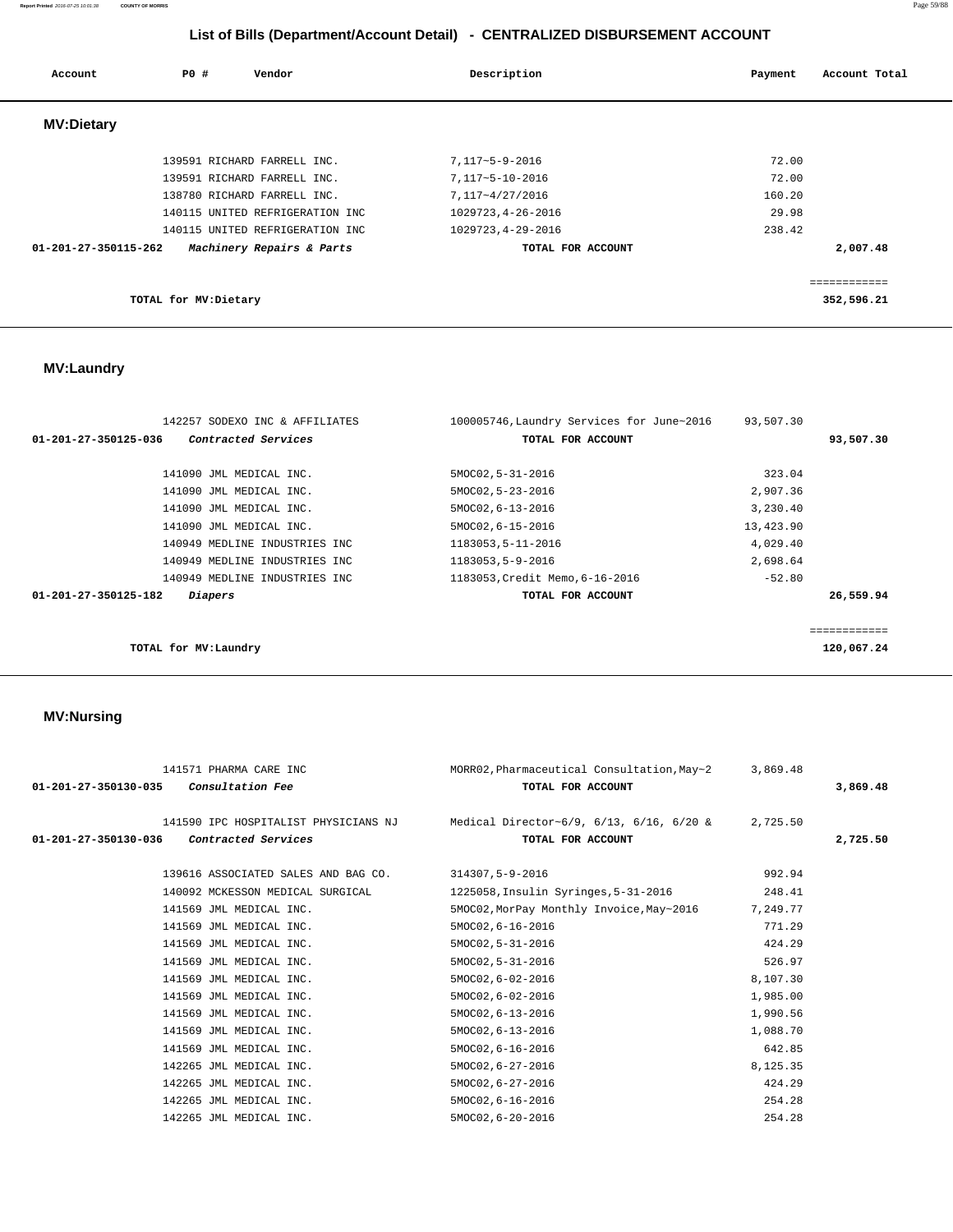### **Report Printed** 2016-07-25 10:01:38 **COUNTY OF MORRIS** Page 59/88

# **List of Bills (Department/Account Detail) - CENTRALIZED DISBURSEMENT ACCOUNT**

| Account              | PO#                   | Vendor                          | Description        | Account Total<br>Payment |
|----------------------|-----------------------|---------------------------------|--------------------|--------------------------|
| <b>MV:Dietary</b>    |                       |                                 |                    |                          |
|                      |                       | 139591 RICHARD FARRELL INC.     | 7,117~5-9-2016     | 72.00                    |
|                      |                       | 139591 RICHARD FARRELL INC.     | 7,117~5-10-2016    | 72.00                    |
|                      |                       | 138780 RICHARD FARRELL INC.     | 7,117~4/27/2016    | 160.20                   |
|                      |                       | 140115 UNITED REFRIGERATION INC | 1029723, 4-26-2016 | 29.98                    |
|                      |                       | 140115 UNITED REFRIGERATION INC | 1029723, 4-29-2016 | 238.42                   |
| 01-201-27-350115-262 |                       | Machinery Repairs & Parts       | TOTAL FOR ACCOUNT  | 2,007.48                 |
|                      |                       |                                 |                    | ============             |
|                      | TOTAL for MV: Dietary |                                 |                    | 352,596.21               |

# **MV:Laundry**

| 142257 SODEXO INC & AFFILIATES                   | 100005746, Laundry Services for June~2016 | 93,507.30 |            |
|--------------------------------------------------|-------------------------------------------|-----------|------------|
| Contracted Services<br>01-201-27-350125-036      | TOTAL FOR ACCOUNT                         |           | 93,507.30  |
|                                                  |                                           |           |            |
| 141090 JML MEDICAL INC.                          | 5MOC02, 5-31-2016                         | 323.04    |            |
| 141090 JML MEDICAL INC.                          | 5MOC02, 5-23-2016                         | 2,907.36  |            |
| 141090 JML MEDICAL INC.                          | 5MOC02, 6-13-2016                         | 3,230.40  |            |
| 141090 JML MEDICAL INC.                          | 5MOC02, 6-15-2016                         | 13,423.90 |            |
| 140949 MEDLINE INDUSTRIES INC                    | 1183053,5-11-2016                         | 4,029.40  |            |
| 140949 MEDLINE INDUSTRIES INC                    | 1183053,5-9-2016                          | 2,698.64  |            |
| 140949 MEDLINE INDUSTRIES INC                    | 1183053, Credit Memo, 6-16-2016           | $-52.80$  |            |
| $01 - 201 - 27 - 350125 - 182$<br><i>Diapers</i> | TOTAL FOR ACCOUNT                         |           | 26,559.94  |
|                                                  |                                           |           |            |
|                                                  |                                           |           | ========== |
| TOTAL for MV:Laundry                             |                                           |           | 120,067.24 |

## **MV:Nursing**

| 141571 PHARMA CARE INC<br>$01 - 201 - 27 - 350130 - 035$ Consultation Fee | MORR02, Pharmaceutical Consultation, May~2 3,869.48<br>TOTAL FOR ACCOUNT                                    |          | 3,869,48 |
|---------------------------------------------------------------------------|-------------------------------------------------------------------------------------------------------------|----------|----------|
| Contracted Services<br>01-201-27-350130-036                               | 141590 IPC HOSPITALIST PHYSICIANS NJ Medical Director~6/9, 6/13, 6/16, 6/20 & 2,725.50<br>TOTAL FOR ACCOUNT |          | 2,725.50 |
| 139616 ASSOCIATED SALES AND BAG CO.                                       | 314307,5-9-2016                                                                                             | 992.94   |          |
| 140092 MCKESSON MEDICAL SURGICAL                                          | 1225058, Insulin Syringes, 5-31-2016                                                                        | 248.41   |          |
| 141569 JML MEDICAL INC.                                                   | 5MOC02, MorPay Monthly Invoice, May~2016                                                                    | 7,249.77 |          |
| 141569 JML MEDICAL INC.                                                   | 5MOC02, 6-16-2016                                                                                           | 771.29   |          |
| 141569 JML MEDICAL INC.                                                   | 5MOC02, 5-31-2016                                                                                           | 424.29   |          |
| 141569 JML MEDICAL INC.                                                   | 5MOC02, 5-31-2016                                                                                           | 526.97   |          |
| 141569 JML MEDICAL INC.                                                   | 5MOC02,6-02-2016                                                                                            | 8,107.30 |          |
| 141569 JML MEDICAL INC.                                                   | 5MOC02,6-02-2016                                                                                            | 1,985.00 |          |
| 141569 JML MEDICAL INC.                                                   | 5MOC02, 6-13-2016                                                                                           | 1,990.56 |          |
| 141569 JML MEDICAL INC.                                                   | 5MOC02, 6-13-2016                                                                                           | 1,088.70 |          |
| 141569 JML MEDICAL INC.                                                   | 5MOC02, 6-16-2016                                                                                           | 642.85   |          |
| 142265 JML MEDICAL INC.                                                   | 5MOC02, 6-27-2016                                                                                           | 8,125.35 |          |
| 142265 JML MEDICAL INC.                                                   | 5MOC02, 6-27-2016                                                                                           | 424.29   |          |
| 142265 JML MEDICAL INC.                                                   | 5MOC02, 6-16-2016                                                                                           | 254.28   |          |
| 142265 JML MEDICAL INC.                                                   | 5MOC02, 6-20-2016                                                                                           | 254.28   |          |
|                                                                           |                                                                                                             |          |          |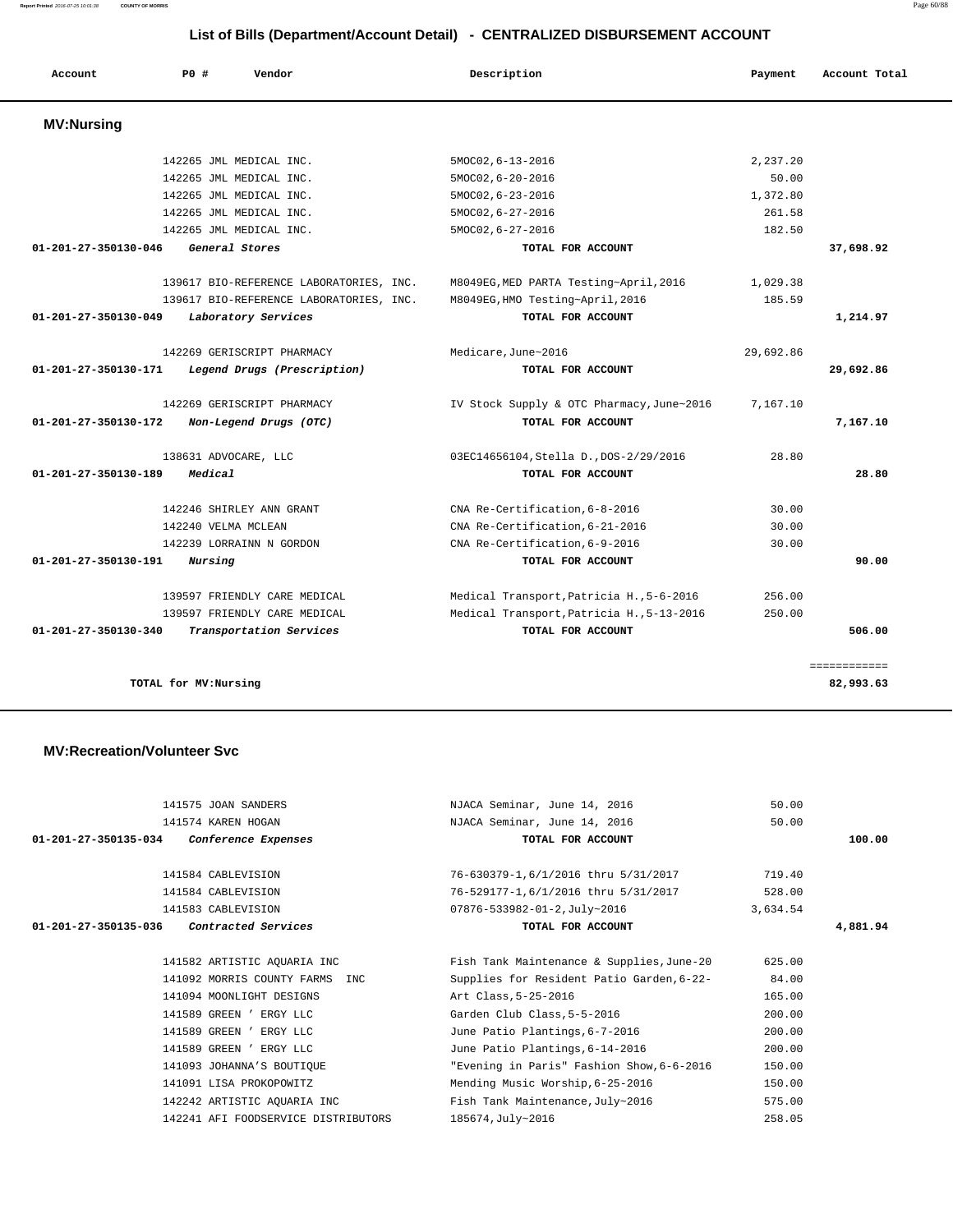**Report Printed** 2016-07-25 10:01:38 **COUNTY OF MORRIS** Page 60/88

# **List of Bills (Department/Account Detail) - CENTRALIZED DISBURSEMENT ACCOUNT**

| Account                        | P0#                     | Vendor                                  | Description                               | Payment   | Account Total |
|--------------------------------|-------------------------|-----------------------------------------|-------------------------------------------|-----------|---------------|
| <b>MV:Nursing</b>              |                         |                                         |                                           |           |               |
|                                | 142265 JML MEDICAL INC. |                                         | 5MOC02, 6-13-2016                         | 2.237.20  |               |
|                                | 142265 JML MEDICAL INC. |                                         | $5MOC02, 6-20-2016$                       | 50.00     |               |
|                                | 142265 JML MEDICAL INC. |                                         | $5MOC02, 6-23-2016$                       | 1,372.80  |               |
|                                | 142265 JML MEDICAL INC. |                                         | $5MOC02, 6-27-2016$                       | 261.58    |               |
|                                | 142265 JML MEDICAL INC. |                                         | 5MOC02, 6-27-2016                         | 182.50    |               |
| 01-201-27-350130-046           | General Stores          |                                         | TOTAL FOR ACCOUNT                         |           | 37,698.92     |
|                                |                         | 139617 BIO-REFERENCE LABORATORIES, INC. | M8049EG, MED PARTA Testing~April, 2016    | 1,029.38  |               |
|                                |                         | 139617 BIO-REFERENCE LABORATORIES, INC. | M8049EG, HMO Testing~April, 2016          | 185.59    |               |
| $01 - 201 - 27 - 350130 - 049$ |                         | Laboratory Services                     | TOTAL FOR ACCOUNT                         |           | 1,214.97      |
|                                |                         | 142269 GERISCRIPT PHARMACY              | Medicare.June~2016                        | 29,692.86 |               |
| 01-201-27-350130-171           |                         | Legend Drugs (Prescription)             | TOTAL FOR ACCOUNT                         |           | 29,692.86     |
|                                |                         | 142269 GERISCRIPT PHARMACY              | IV Stock Supply & OTC Pharmacy, June~2016 | 7,167.10  |               |
| 01-201-27-350130-172           |                         | Non-Legend Drugs (OTC)                  | TOTAL FOR ACCOUNT                         |           | 7,167.10      |
|                                | 138631 ADVOCARE, LLC    |                                         | 03EC14656104, Stella D., DOS-2/29/2016    | 28.80     |               |
| 01-201-27-350130-189           | Medical                 |                                         | TOTAL FOR ACCOUNT                         |           | 28.80         |
|                                |                         | 142246 SHIRLEY ANN GRANT                | CNA Re-Certification, 6-8-2016            | 30.00     |               |
|                                | 142240 VELMA MCLEAN     |                                         | CNA Re-Certification.6-21-2016            | 30.00     |               |
|                                |                         | 142239 LORRAINN N GORDON                | CNA Re-Certification, 6-9-2016            | 30.00     |               |
| 01-201-27-350130-191           | Nursing                 |                                         | TOTAL FOR ACCOUNT                         |           | 90.00         |
|                                |                         | 139597 FRIENDLY CARE MEDICAL            | Medical Transport, Patricia H., 5-6-2016  | 256.00    |               |
|                                |                         | 139597 FRIENDLY CARE MEDICAL            | Medical Transport, Patricia H., 5-13-2016 | 250.00    |               |
| $01 - 201 - 27 - 350130 - 340$ |                         | Transportation Services                 | TOTAL FOR ACCOUNT                         |           | 506.00        |
|                                |                         |                                         |                                           |           | ============  |
|                                | TOTAL for MV: Nursing   |                                         |                                           |           | 82,993.63     |

### **MV:Recreation/Volunteer Svc**

| 141575 JOAN SANDERS                         | NJACA Seminar, June 14, 2016              | 50.00    |          |
|---------------------------------------------|-------------------------------------------|----------|----------|
| 141574 KAREN HOGAN                          | NJACA Seminar, June 14, 2016              | 50.00    |          |
| 01-201-27-350135-034<br>Conference Expenses | TOTAL FOR ACCOUNT                         |          | 100.00   |
|                                             |                                           |          |          |
| 141584 CABLEVISION                          | 76-630379-1,6/1/2016 thru 5/31/2017       | 719.40   |          |
| 141584 CABLEVISION                          | 76-529177-1,6/1/2016 thru 5/31/2017       | 528.00   |          |
| 141583 CABLEVISION                          | 07876-533982-01-2, July~2016              | 3,634.54 |          |
| 01-201-27-350135-036<br>Contracted Services | TOTAL FOR ACCOUNT                         |          | 4,881.94 |
|                                             |                                           |          |          |
| 141582 ARTISTIC AQUARIA INC                 | Fish Tank Maintenance & Supplies, June-20 | 625.00   |          |
| 141092 MORRIS COUNTY FARMS<br>TNC           | Supplies for Resident Patio Garden, 6-22- | 84.00    |          |
| 141094 MOONLIGHT DESIGNS                    | Art Class, 5-25-2016                      | 165.00   |          |
| 141589 GREEN ' ERGY LLC                     | Garden Club Class, 5-5-2016               | 200.00   |          |
| 141589 GREEN ' ERGY LLC                     | June Patio Plantings, 6-7-2016            | 200.00   |          |
| 141589 GREEN ' ERGY LLC                     | June Patio Plantings, 6-14-2016           | 200.00   |          |
| 141093 JOHANNA'S BOUTIQUE                   | "Evening in Paris" Fashion Show, 6-6-2016 | 150.00   |          |
| 141091 LISA PROKOPOWITZ                     | Mending Music Worship, 6-25-2016          | 150.00   |          |
| 142242 ARTISTIC AQUARIA INC                 | Fish Tank Maintenance, July~2016          | 575.00   |          |
| 142241 AFI FOODSERVICE DISTRIBUTORS         | 185674, July~2016                         | 258.05   |          |
|                                             |                                           |          |          |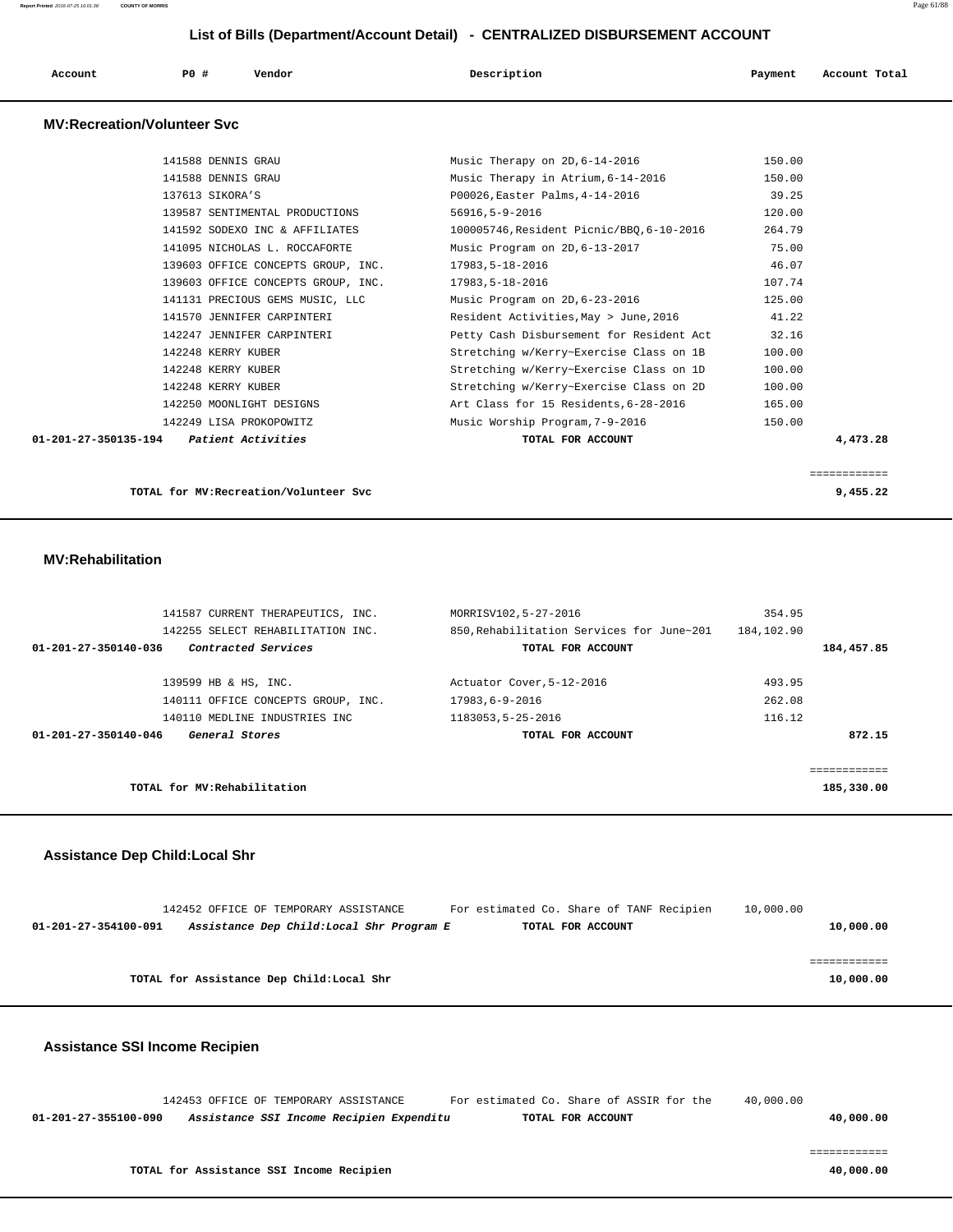| Account | P0 # | Vendor | Description | Payment | Account Total |
|---------|------|--------|-------------|---------|---------------|
|         |      |        |             |         |               |

### **MV:Recreation/Volunteer Svc**

| 141588 DENNIS GRAU                                          | Music Therapy on 2D, 6-14-2016            | 150.00   |
|-------------------------------------------------------------|-------------------------------------------|----------|
| 141588 DENNIS GRAU                                          | Music Therapy in Atrium, 6-14-2016        | 150.00   |
| 137613 SIKORA'S                                             | P00026, Easter Palms, 4-14-2016           | 39.25    |
| 139587 SENTIMENTAL PRODUCTIONS                              | $56916, 5 - 9 - 2016$                     | 120.00   |
| 141592 SODEXO INC & AFFILIATES                              | 100005746, Resident Picnic/BBO, 6-10-2016 | 264.79   |
| 141095 NICHOLAS L. ROCCAFORTE                               | Music Program on 2D, 6-13-2017            | 75.00    |
| 139603 OFFICE CONCEPTS GROUP, INC.                          | 17983,5-18-2016                           | 46.07    |
| 139603 OFFICE CONCEPTS GROUP, INC.                          | 17983,5-18-2016                           | 107.74   |
| 141131 PRECIOUS GEMS MUSIC, LLC                             | Music Program on 2D, 6-23-2016            | 125.00   |
| 141570 JENNIFER CARPINTERI                                  | Resident Activities, May > June, 2016     | 41.22    |
| 142247 JENNIFER CARPINTERI                                  | Petty Cash Disbursement for Resident Act  | 32.16    |
| 142248 KERRY KUBER                                          | Stretching w/Kerry~Exercise Class on 1B   | 100.00   |
| 142248 KERRY KUBER                                          | Stretching w/Kerry~Exercise Class on 1D   | 100.00   |
| 142248 KERRY KUBER                                          | Stretching w/Kerry~Exercise Class on 2D   | 100.00   |
| 142250 MOONLIGHT DESIGNS                                    | Art Class for 15 Residents, 6-28-2016     | 165.00   |
| 142249 LISA PROKOPOWITZ                                     | Music Worship Program, 7-9-2016           | 150.00   |
| $01 - 201 - 27 - 350135 - 194$<br><i>Patient Activities</i> | TOTAL FOR ACCOUNT                         | 4,473.28 |
|                                                             |                                           |          |

**TOTAL for MV:Recreation/Volunteer Svc 9,455.22**

============

### **MV:Rehabilitation**

| 141587 CURRENT THERAPEUTICS, INC.           | MORRISV102.5-27-2016                      | 354.95      |
|---------------------------------------------|-------------------------------------------|-------------|
| 142255 SELECT REHABILITATION INC.           | 850, Rehabilitation Services for June~201 | 184,102.90  |
| Contracted Services<br>01-201-27-350140-036 | TOTAL FOR ACCOUNT                         | 184,457.85  |
|                                             |                                           |             |
| 139599 HB & HS, INC.                        | Actuator Cover, 5-12-2016                 | 493.95      |
| 140111 OFFICE CONCEPTS GROUP, INC.          | 17983,6-9-2016                            | 262.08      |
| 140110 MEDLINE INDUSTRIES INC               | 1183053,5-25-2016                         | 116.12      |
| General Stores<br>01-201-27-350140-046      | TOTAL FOR ACCOUNT                         | 872.15      |
|                                             |                                           |             |
|                                             |                                           | eeeeeeeeeee |
| TOTAL for MV: Rehabilitation                |                                           | 185,330.00  |

### **Assistance Dep Child:Local Shr**

|                      | 142452 OFFICE OF TEMPORARY ASSISTANCE     |                                           | For estimated Co. Share of TANF Recipien |                   | 10,000.00 |           |
|----------------------|-------------------------------------------|-------------------------------------------|------------------------------------------|-------------------|-----------|-----------|
| 01-201-27-354100-091 |                                           | Assistance Dep Child: Local Shr Program E |                                          | TOTAL FOR ACCOUNT |           | 10,000.00 |
|                      |                                           |                                           |                                          |                   |           |           |
|                      |                                           |                                           |                                          |                   |           |           |
|                      | TOTAL for Assistance Dep Child: Local Shr |                                           |                                          |                   |           | 10,000.00 |
|                      |                                           |                                           |                                          |                   |           |           |

### **Assistance SSI Income Recipien**

 142453 OFFICE OF TEMPORARY ASSISTANCE For estimated Co. Share of ASSIR for the 40,000.00  **01-201-27-355100-090 Assistance SSI Income Recipien Expenditu TOTAL FOR ACCOUNT 40,000.00**

============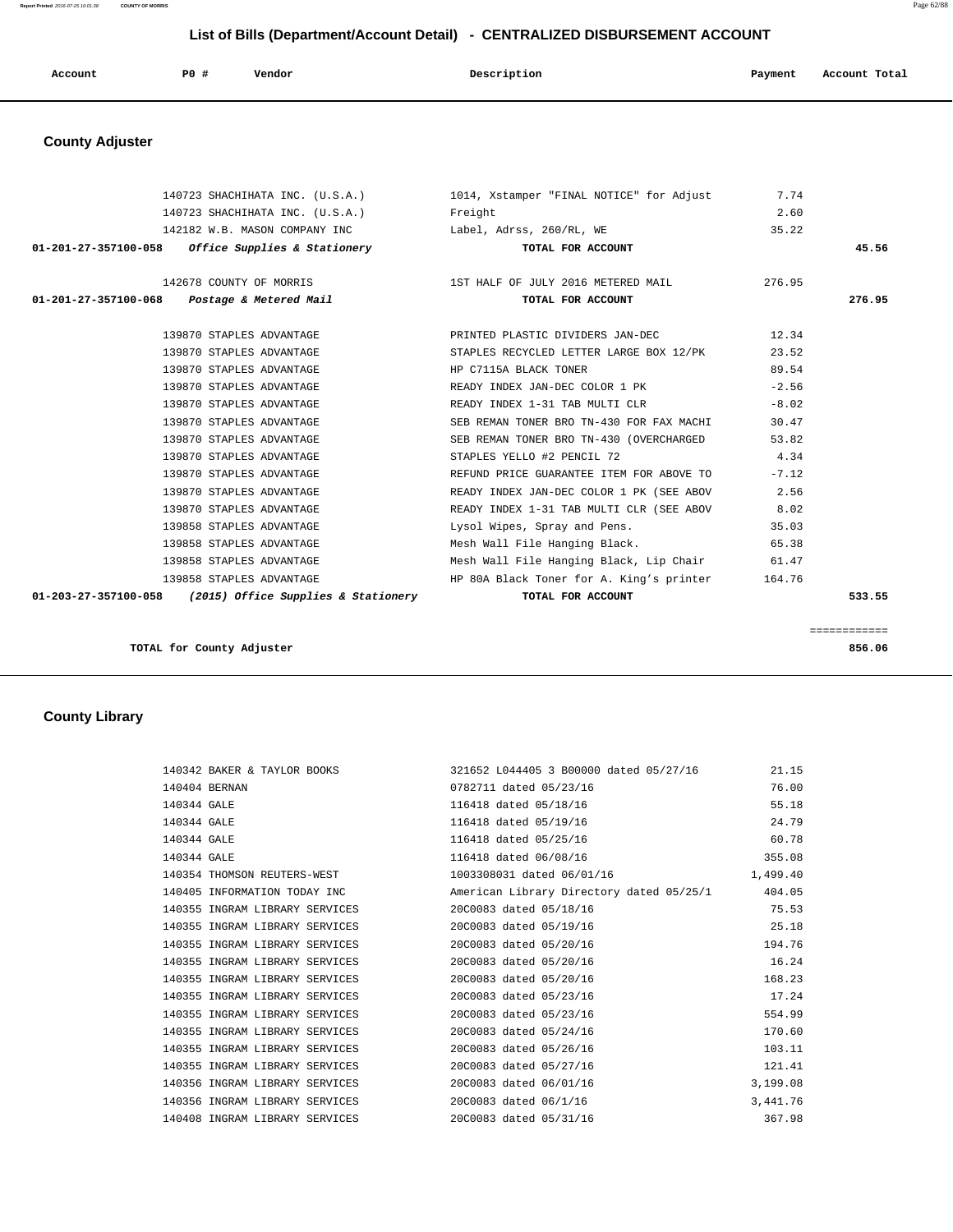| $P0$ $\#$<br>Payment<br>Account<br>Vendor<br>Account Total<br>Description<br>$\sim$ $\sim$<br>.<br>. |  |  |  |  |  |  |
|------------------------------------------------------------------------------------------------------|--|--|--|--|--|--|
|------------------------------------------------------------------------------------------------------|--|--|--|--|--|--|

# **County Adjuster**

|                                                            | 140723 SHACHIHATA INC. (U.S.A.) 1014, Xstamper "FINAL NOTICE" for Adjust 7.74   |         |        |
|------------------------------------------------------------|---------------------------------------------------------------------------------|---------|--------|
| 140723 SHACHIHATA INC. (U.S.A.) Freight                    |                                                                                 | 2.60    |        |
|                                                            | 142182 W.B. MASON COMPANY INC Label, Adrss, 260/RL, WE                          | 35.22   |        |
| $01-201-27-357100-058$ Office Supplies & Stationery        | TOTAL FOR ACCOUNT                                                               |         | 45.56  |
|                                                            |                                                                                 |         |        |
|                                                            | 142678 COUNTY OF MORRIS THALF OF JULY 2016 METERED MAIL 276.95                  |         |        |
| 01-201-27-357100-068  Postage & Metered Mail               | TOTAL FOR ACCOUNT                                                               |         | 276.95 |
|                                                            |                                                                                 |         |        |
|                                                            | 139870 STAPLES ADVANTAGE <b>EXECUTE:</b> PRINTED PLASTIC DIVIDERS JAN-DEC 12.34 |         |        |
| 139870 STAPLES ADVANTAGE                                   | STAPLES RECYCLED LETTER LARGE BOX 12/PK                                         | 23.52   |        |
| 139870 STAPLES ADVANTAGE                                   | HP C7115A BLACK TONER                                                           | 89.54   |        |
| 139870 STAPLES ADVANTAGE                                   | READY INDEX JAN-DEC COLOR 1 PK                                                  | $-2.56$ |        |
| 139870 STAPLES ADVANTAGE                                   | READY INDEX 1-31 TAB MULTI CLR                                                  | $-8.02$ |        |
| 139870 STAPLES ADVANTAGE                                   | SEB REMAN TONER BRO TN-430 FOR FAX MACHI                                        | 30.47   |        |
| 139870 STAPLES ADVANTAGE                                   | SEB REMAN TONER BRO TN-430 (OVERCHARGED                                         | 53.82   |        |
| 139870 STAPLES ADVANTAGE                                   | STAPLES YELLO #2 PENCIL 72                                                      | 4.34    |        |
| 139870 STAPLES ADVANTAGE                                   | REFUND PRICE GUARANTEE ITEM FOR ABOVE TO                                        | $-7.12$ |        |
| 139870 STAPLES ADVANTAGE                                   | READY INDEX JAN-DEC COLOR 1 PK (SEE ABOV 2.56                                   |         |        |
| 139870 STAPLES ADVANTAGE                                   | READY INDEX 1-31 TAB MULTI CLR (SEE ABOV 8.02                                   |         |        |
| 139858 STAPLES ADVANTAGE                                   | Lysol Wipes, Spray and Pens. 35.03                                              |         |        |
| 139858 STAPLES ADVANTAGE                                   | Mesh Wall File Hanging Black. 65.38                                             |         |        |
| 139858 STAPLES ADVANTAGE                                   | Mesh Wall File Hanging Black, Lip Chair 61.47                                   |         |        |
| 139858 STAPLES ADVANTAGE                                   | HP 80A Black Toner for A. King's printer                                        | 164.76  |        |
| $01-203-27-357100-058$ (2015) Office Supplies & Stationery | TOTAL FOR ACCOUNT                                                               |         | 533.55 |
|                                                            |                                                                                 |         |        |

**TOTAL for County Adjuster 856.06**

============

# **County Library**

|                                                       | 140342 BAKER & TAYLOR BOOKS 321652 L044405 3 B00000 dated 05/27/16 | 21.15     |
|-------------------------------------------------------|--------------------------------------------------------------------|-----------|
| 140404 BERNAN                                         | 0782711 dated 05/23/16                                             | 76.00     |
| 140344 GALE                                           | 116418 dated 05/18/16                                              | 55.18     |
| 140344 GALE                                           | 116418 dated 05/19/16                                              | 24.79     |
| 140344 GALE                                           | 116418 dated 05/25/16                                              | 60.78     |
| 140344 GALE                                           | 116418 dated 06/08/16                                              | 355.08    |
| 140354 THOMSON REUTERS-WEST                           | 1003308031 dated 06/01/16                                          | 1,499.40  |
| 140405 INFORMATION TODAY INC                          | American Library Directory dated 05/25/1 404.05                    |           |
| 140355 INGRAM LIBRARY SERVICES                        | 20C0083 dated 05/18/16                                             | 75.53     |
| 140355 INGRAM LIBRARY SERVICES                        | 20C0083 dated 05/19/16                                             | 25.18     |
| 140355 INGRAM LIBRARY SERVICES                        | 20C0083 dated 05/20/16                                             | 194.76    |
| 140355 INGRAM LIBRARY SERVICES                        | 20C0083 dated 05/20/16                                             | 16.24     |
| 140355 INGRAM LIBRARY SERVICES                        | 20C0083 dated 05/20/16                                             | 168.23    |
| 140355 INGRAM LIBRARY SERVICES 20C0083 dated 05/23/16 |                                                                    | 17.24     |
| 140355 INGRAM LIBRARY SERVICES                        | 20C0083 dated 05/23/16                                             | 554.99    |
| 140355 INGRAM LIBRARY SERVICES                        | 20C0083 dated 05/24/16                                             | 170.60    |
| 140355 INGRAM LIBRARY SERVICES                        | 20C0083 dated 05/26/16                                             | 103.11    |
| 140355 INGRAM LIBRARY SERVICES                        | 20C0083 dated 05/27/16                                             | 121.41    |
| 140356 INGRAM LIBRARY SERVICES                        | 20C0083 dated 06/01/16                                             | 3,199.08  |
| 140356 INGRAM LIBRARY SERVICES                        | 20C0083 dated 06/1/16                                              | 3, 441.76 |
| 140408 INGRAM LIBRARY SERVICES                        | 20C0083 dated 05/31/16                                             | 367.98    |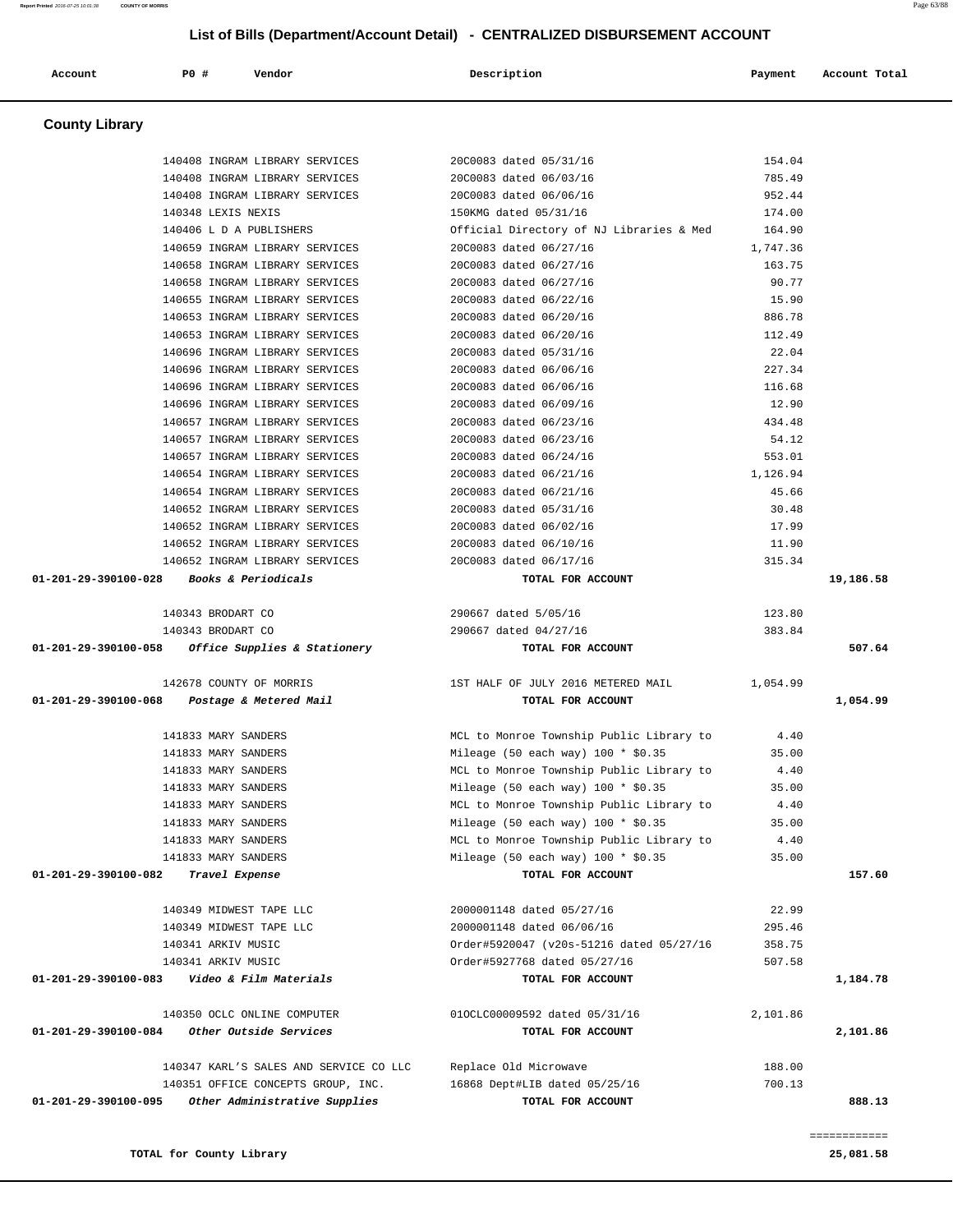|                      | 140408 INGRAM LIBRARY SERVICES                                   | 20C0083 dated 05/31/16                           | 154.04           |           |
|----------------------|------------------------------------------------------------------|--------------------------------------------------|------------------|-----------|
|                      | 140408 INGRAM LIBRARY SERVICES                                   | 20C0083 dated 06/03/16                           | 785.49           |           |
|                      | 140408 INGRAM LIBRARY SERVICES                                   | 20C0083 dated 06/06/16                           | 952.44           |           |
|                      | 140348 LEXIS NEXIS                                               | 150KMG dated 05/31/16                            | 174.00           |           |
|                      | 140406 L D A PUBLISHERS                                          | Official Directory of NJ Libraries & Med         | 164.90           |           |
|                      | 140659 INGRAM LIBRARY SERVICES                                   | 20C0083 dated 06/27/16                           | 1,747.36         |           |
|                      | 140658 INGRAM LIBRARY SERVICES                                   | 20C0083 dated 06/27/16                           | 163.75           |           |
|                      | 140658 INGRAM LIBRARY SERVICES                                   | 20C0083 dated 06/27/16                           | 90.77            |           |
|                      | 140655 INGRAM LIBRARY SERVICES                                   | 20C0083 dated 06/22/16                           | 15.90            |           |
|                      | 140653 INGRAM LIBRARY SERVICES                                   | 20C0083 dated 06/20/16                           | 886.78           |           |
|                      | 140653 INGRAM LIBRARY SERVICES                                   | 20C0083 dated 06/20/16                           | 112.49           |           |
|                      | 140696 INGRAM LIBRARY SERVICES                                   | 20C0083 dated 05/31/16                           | 22.04            |           |
|                      | 140696 INGRAM LIBRARY SERVICES                                   | 20C0083 dated 06/06/16                           | 227.34<br>116.68 |           |
|                      | 140696 INGRAM LIBRARY SERVICES                                   | 20C0083 dated 06/06/16<br>20C0083 dated 06/09/16 | 12.90            |           |
|                      | 140696 INGRAM LIBRARY SERVICES                                   |                                                  |                  |           |
|                      | 140657 INGRAM LIBRARY SERVICES<br>140657 INGRAM LIBRARY SERVICES | 20C0083 dated 06/23/16<br>20C0083 dated 06/23/16 | 434.48<br>54.12  |           |
|                      | 140657 INGRAM LIBRARY SERVICES                                   | 20C0083 dated 06/24/16                           | 553.01           |           |
|                      | 140654 INGRAM LIBRARY SERVICES                                   | 20C0083 dated 06/21/16                           | 1,126.94         |           |
|                      | 140654 INGRAM LIBRARY SERVICES                                   | 20C0083 dated 06/21/16                           | 45.66            |           |
|                      | 140652 INGRAM LIBRARY SERVICES                                   | 20C0083 dated 05/31/16                           | 30.48            |           |
|                      | 140652 INGRAM LIBRARY SERVICES                                   | 20C0083 dated 06/02/16                           | 17.99            |           |
|                      | 140652 INGRAM LIBRARY SERVICES                                   | 20C0083 dated 06/10/16                           | 11.90            |           |
|                      | 140652 INGRAM LIBRARY SERVICES 20C0083 dated 06/17/16            |                                                  | 315.34           |           |
|                      | 01-201-29-390100-028 Books & Periodicals                         | TOTAL FOR ACCOUNT                                |                  | 19,186.58 |
|                      | 140343 BRODART CO                                                | 290667 dated 5/05/16                             | 123.80           |           |
|                      | 140343 BRODART CO                                                | 290667 dated 04/27/16                            | 383.84           |           |
|                      | $01-201-29-390100-058$ Office Supplies & Stationery              | TOTAL FOR ACCOUNT                                |                  | 507.64    |
|                      | 142678 COUNTY OF MORRIS                                          | 1ST HALF OF JULY 2016 METERED MAIL               | 1,054.99         |           |
|                      |                                                                  |                                                  |                  |           |
|                      | 01-201-29-390100-068 Postage & Metered Mail                      | TOTAL FOR ACCOUNT                                |                  | 1,054.99  |
|                      | 141833 MARY SANDERS                                              | MCL to Monroe Township Public Library to         | 4.40             |           |
|                      | 141833 MARY SANDERS                                              | Mileage (50 each way) $100 * $0.35$              | 35.00            |           |
|                      | 141833 MARY SANDERS                                              | MCL to Monroe Township Public Library to         | 4.40             |           |
|                      | 141833 MARY SANDERS                                              | Mileage (50 each way) 100 * \$0.35               | 35.00            |           |
|                      | 141833 MARY SANDERS                                              | MCL to Monroe Township Public Library to         | 4.40             |           |
|                      | 141833 MARY SANDERS                                              | Mileage (50 each way) $100 * $0.35$              | 35.00            |           |
|                      | 141833 MARY SANDERS                                              | MCL to Monroe Township Public Library to         | 4.40             |           |
|                      | 141833 MARY SANDERS                                              | Mileage (50 each way) $100 * $0.35$              | 35.00            |           |
|                      | Travel Expense                                                   | TOTAL FOR ACCOUNT                                |                  |           |
|                      | 140349 MIDWEST TAPE LLC                                          | 2000001148 dated 05/27/16                        | 22.99            |           |
|                      | 140349 MIDWEST TAPE LLC                                          | 2000001148 dated 06/06/16                        | 295.46           |           |
|                      | 140341 ARKIV MUSIC                                               | Order#5920047 (v20s-51216 dated 05/27/16         | 358.75           |           |
|                      | 140341 ARKIV MUSIC                                               | Order#5927768 dated 05/27/16                     | 507.58           | 157.60    |
|                      | 01-201-29-390100-083 $Video & Film Materials$                    | TOTAL FOR ACCOUNT                                |                  |           |
| 01-201-29-390100-082 | 140350 OCLC ONLINE COMPUTER                                      | 010CLC00009592 dated 05/31/16                    | 2,101.86         | 1,184.78  |
|                      | Other Outside Services                                           | TOTAL FOR ACCOUNT                                |                  |           |
| 01-201-29-390100-084 | 140347 KARL'S SALES AND SERVICE CO LLC                           | Replace Old Microwave                            | 188.00           |           |
|                      | 140351 OFFICE CONCEPTS GROUP, INC.                               | 16868 Dept#LIB dated 05/25/16                    | 700.13           | 2,101.86  |

 **Account P0 # Vendor Description Payment Account Total**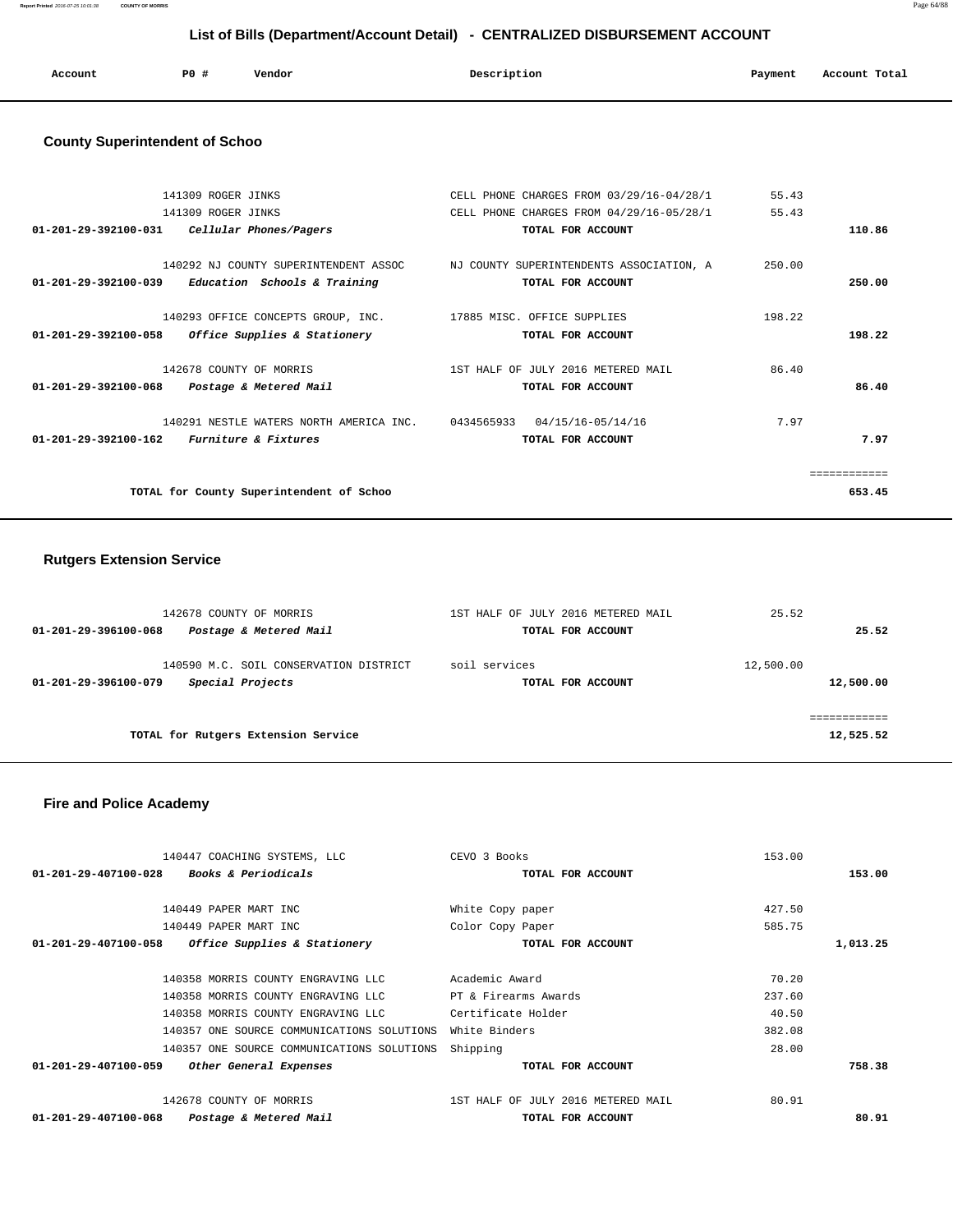**Report Printed** 2016-07-25 10:01:38 **COUNTY OF MORRIS** Page 64/88

## **List of Bills (Department/Account Detail) - CENTRALIZED DISBURSEMENT ACCOUNT**

| Account | P0 # | Vendor | Description<br>$\sim$ $\sim$ | Payment | Account Total<br>.<br>. |
|---------|------|--------|------------------------------|---------|-------------------------|
|         |      |        |                              |         |                         |

## **County Superintendent of Schoo**

|              | 55.43  | CELL PHONE CHARGES FROM 03/29/16-04/28/1                                       | 141309 ROGER JINKS                       |                                |
|--------------|--------|--------------------------------------------------------------------------------|------------------------------------------|--------------------------------|
|              | 55.43  | CELL PHONE CHARGES FROM 04/29/16-05/28/1                                       | 141309 ROGER JINKS                       |                                |
| 110.86       |        | TOTAL FOR ACCOUNT                                                              | Cellular Phones/Pagers                   | 01-201-29-392100-031           |
|              |        |                                                                                |                                          |                                |
|              | 250.00 | 140292 NJ COUNTY SUPERINTENDENT ASSOC NJ COUNTY SUPERINTENDENTS ASSOCIATION, A |                                          |                                |
| 250.00       |        | TOTAL FOR ACCOUNT                                                              | Education Schools & Training             | 01-201-29-392100-039           |
|              |        |                                                                                |                                          |                                |
|              | 198.22 | 17885 MISC. OFFICE SUPPLIES                                                    | 140293 OFFICE CONCEPTS GROUP, INC.       |                                |
| 198.22       |        | TOTAL FOR ACCOUNT                                                              | Office Supplies & Stationery             | 01-201-29-392100-058           |
|              |        |                                                                                |                                          |                                |
|              | 86.40  | 1ST HALF OF JULY 2016 METERED MAIL                                             | 142678 COUNTY OF MORRIS                  |                                |
| 86.40        |        | TOTAL FOR ACCOUNT                                                              | Postage & Metered Mail                   | $01 - 201 - 29 - 392100 - 068$ |
|              |        |                                                                                |                                          |                                |
|              | 7.97   | 04/15/16-05/14/16<br>0434565933                                                | 140291 NESTLE WATERS NORTH AMERICA INC.  |                                |
| 7.97         |        | TOTAL FOR ACCOUNT                                                              | <i>Furniture &amp; Fixtures</i>          | 01-201-29-392100-162           |
|              |        |                                                                                |                                          |                                |
| ============ |        |                                                                                |                                          |                                |
| 653.45       |        |                                                                                | TOTAL for County Superintendent of Schoo |                                |
|              |        |                                                                                |                                          |                                |

## **Rutgers Extension Service**

| 142678 COUNTY OF MORRIS                        | 1ST HALF OF JULY 2016 METERED MAIL | 25.52     |
|------------------------------------------------|------------------------------------|-----------|
| Postage & Metered Mail<br>01-201-29-396100-068 | TOTAL FOR ACCOUNT                  | 25.52     |
| 140590 M.C. SOIL CONSERVATION DISTRICT         | soil services                      | 12,500.00 |
| Special Projects<br>01-201-29-396100-079       | TOTAL FOR ACCOUNT                  | 12,500.00 |
|                                                |                                    |           |
| TOTAL for Rutgers Extension Service            |                                    | 12,525.52 |

## **Fire and Police Academy**

| 140447 COACHING SYSTEMS, LLC                                     | CEVO 3 Books                       | 153.00 |          |
|------------------------------------------------------------------|------------------------------------|--------|----------|
| $01 - 201 - 29 - 407100 - 028$<br><b>Books &amp; Periodicals</b> | TOTAL FOR ACCOUNT                  |        | 153.00   |
|                                                                  |                                    |        |          |
| 140449 PAPER MART INC                                            | White Copy paper                   | 427.50 |          |
| 140449 PAPER MART INC                                            | Color Copy Paper                   | 585.75 |          |
| Office Supplies & Stationery<br>01-201-29-407100-058             | TOTAL FOR ACCOUNT                  |        | 1,013.25 |
|                                                                  |                                    |        |          |
| 140358 MORRIS COUNTY ENGRAVING LLC                               | Academic Award                     | 70.20  |          |
| 140358 MORRIS COUNTY ENGRAVING LLC                               | PT & Firearms Awards               | 237.60 |          |
| 140358 MORRIS COUNTY ENGRAVING LLC                               | Certificate Holder                 | 40.50  |          |
| 140357 ONE SOURCE COMMUNICATIONS SOLUTIONS                       | White Binders                      | 382.08 |          |
| 140357 ONE SOURCE COMMUNICATIONS SOLUTIONS                       | Shipping                           | 28.00  |          |
| 01-201-29-407100-059<br>Other General Expenses                   | TOTAL FOR ACCOUNT                  |        | 758.38   |
| 142678 COUNTY OF MORRIS                                          | 1ST HALF OF JULY 2016 METERED MAIL | 80.91  |          |
| 01-201-29-407100-068<br>Postage & Metered Mail                   | TOTAL FOR ACCOUNT                  |        | 80.91    |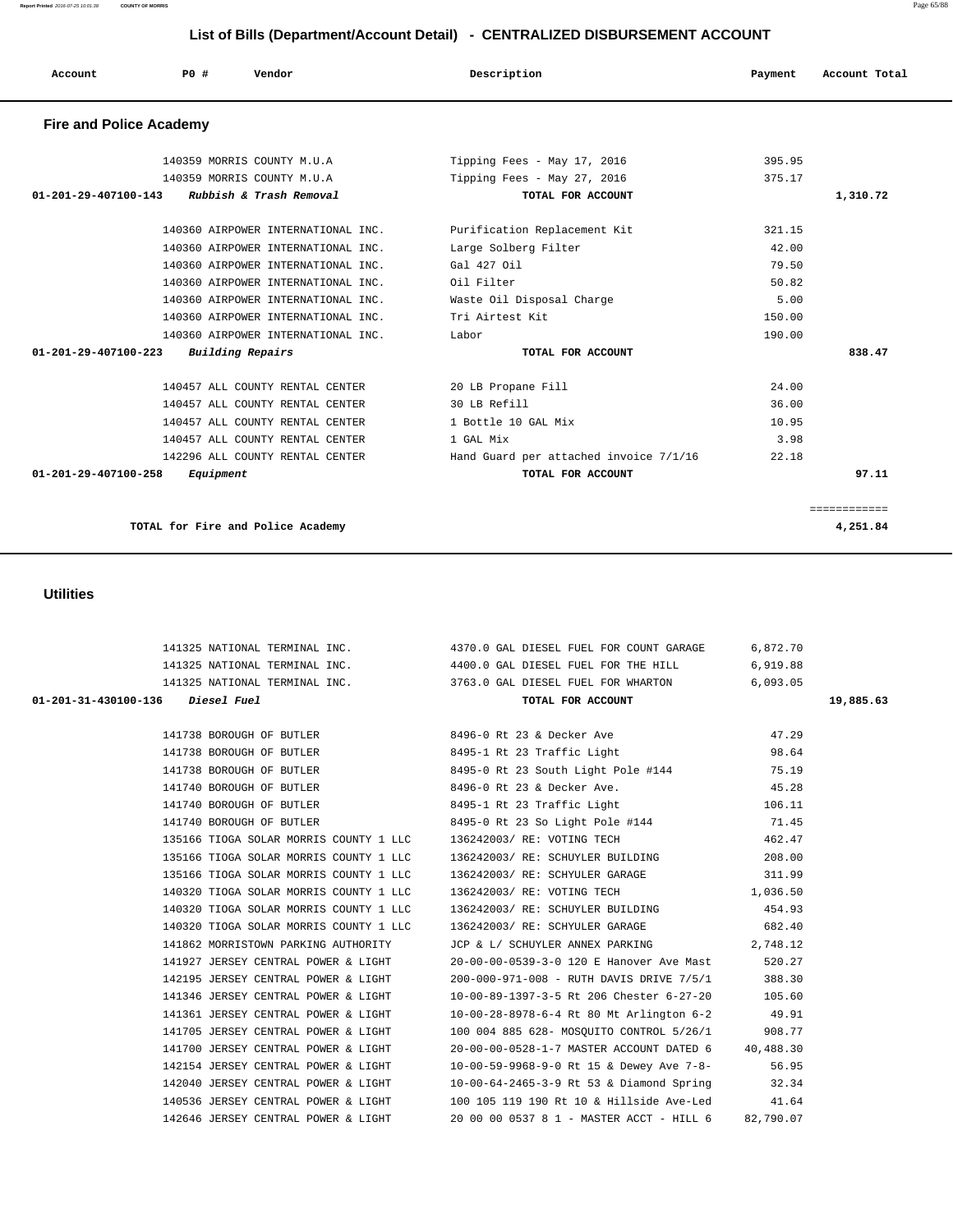| Account                        | PO#       | Vendor                             | Description                            | Payment | Account Total |
|--------------------------------|-----------|------------------------------------|----------------------------------------|---------|---------------|
| <b>Fire and Police Academy</b> |           |                                    |                                        |         |               |
|                                |           | 140359 MORRIS COUNTY M.U.A         | Tipping Fees - May 17, 2016            | 395.95  |               |
|                                |           | 140359 MORRIS COUNTY M.U.A         | Tipping Fees - May 27, 2016            | 375.17  |               |
| 01-201-29-407100-143           |           | Rubbish & Trash Removal            | TOTAL FOR ACCOUNT                      |         | 1,310.72      |
|                                |           | 140360 AIRPOWER INTERNATIONAL INC. | Purification Replacement Kit           | 321.15  |               |
|                                |           | 140360 AIRPOWER INTERNATIONAL INC. | Large Solberg Filter                   | 42.00   |               |
|                                |           | 140360 AIRPOWER INTERNATIONAL INC. | Gal 427 Oil                            | 79.50   |               |
|                                |           | 140360 AIRPOWER INTERNATIONAL INC. | Oil Filter                             | 50.82   |               |
|                                |           | 140360 AIRPOWER INTERNATIONAL INC. | Waste Oil Disposal Charge              | 5.00    |               |
|                                |           | 140360 AIRPOWER INTERNATIONAL INC. | Tri Airtest Kit                        | 150.00  |               |
|                                |           | 140360 AIRPOWER INTERNATIONAL INC. | Labor                                  | 190.00  |               |
| $01 - 201 - 29 - 407100 - 223$ |           | <b>Building Repairs</b>            | TOTAL FOR ACCOUNT                      |         | 838.47        |
|                                |           | 140457 ALL COUNTY RENTAL CENTER    | 20 LB Propane Fill                     | 24.00   |               |
|                                |           | 140457 ALL COUNTY RENTAL CENTER    | 30 LB Refill                           | 36.00   |               |
|                                |           | 140457 ALL COUNTY RENTAL CENTER    | 1 Bottle 10 GAL Mix                    | 10.95   |               |
|                                |           | 140457 ALL COUNTY RENTAL CENTER    | 1 GAL Mix                              | 3.98    |               |
|                                |           | 142296 ALL COUNTY RENTAL CENTER    | Hand Guard per attached invoice 7/1/16 | 22.18   |               |
| 01-201-29-407100-258           | Equipment |                                    | TOTAL FOR ACCOUNT                      |         | 97.11         |
|                                |           |                                    |                                        |         | ============  |
|                                |           | TOTAL for Fire and Police Academy  |                                        |         | 4,251.84      |

 141325 NATIONAL TERMINAL INC. 4370.0 GAL DIESEL FUEL FOR COUNT GARAGE 6,872.70 141325 NATIONAL TERMINAL INC. 4400.0 GAL DIESEL FUEL FOR THE HILL 6,919.88 141325 NATIONAL TERMINAL INC. 3763.0 GAL DIESEL FUEL FOR WHARTON 6,093.05  **01-201-31-430100-136 Diesel Fuel TOTAL FOR ACCOUNT 19,885.63**

> 141738 BOROUGH OF BUTLER 8496-0 Rt 23 & Decker Ave 47.29 141738 BOROUGH OF BUTLER 8495-1 Rt 23 Traffic Light 98.64 141738 BOROUGH OF BUTLER 8495-0 Rt 23 South Light Pole #144 75.19 141740 BOROUGH OF BUTLER 8496-0 Rt 23 & Decker Ave. 45.28 141740 BOROUGH OF BUTLER 8495-1 Rt 23 Traffic Light 106.11 141740 BOROUGH OF BUTLER 8495-0 Rt 23 So Light Pole #144 71.45 135166 TIOGA SOLAR MORRIS COUNTY 1 LLC 136242003/ RE: VOTING TECH 462.47 135166 TIOGA SOLAR MORRIS COUNTY 1 LLC 136242003/ RE: SCHUYLER BUILDING 208.00 135166 TIOGA SOLAR MORRIS COUNTY 1 LLC 136242003/ RE: SCHYULER GARAGE 311.99 140320 TIOGA SOLAR MORRIS COUNTY 1 LLC 136242003/ RE: VOTING TECH 1,036.50 140320 TIOGA SOLAR MORRIS COUNTY 1 LLC 136242003/ RE: SCHUYLER BUILDING 454.93 140320 TIOGA SOLAR MORRIS COUNTY 1 LLC 136242003/ RE: SCHYULER GARAGE 682.40 141862 MORRISTOWN PARKING AUTHORITY JCP & L/ SCHUYLER ANNEX PARKING 2,748.12 141927 JERSEY CENTRAL POWER & LIGHT 20-00-00-0539-3-0 120 E Hanover Ave Mast 520.27 142195 JERSEY CENTRAL POWER & LIGHT 200-000-971-008 - RUTH DAVIS DRIVE 7/5/1 388.30 141346 JERSEY CENTRAL POWER & LIGHT 10-00-89-1397-3-5 Rt 206 Chester 6-27-20 105.60 141361 JERSEY CENTRAL POWER & LIGHT 10-00-28-8978-6-4 Rt 80 Mt Arlington 6-2 49.91 141705 JERSEY CENTRAL POWER & LIGHT 100 004 885 628- MOSQUITO CONTROL 5/26/1 908.77 141700 JERSEY CENTRAL POWER & LIGHT 20-00-00-0528-1-7 MASTER ACCOUNT DATED 6 40,488.30 142154 JERSEY CENTRAL POWER & LIGHT 10-00-59-9968-9-0 Rt 15 & Dewey Ave 7-8- 56.95 142040 JERSEY CENTRAL POWER & LIGHT 10-00-64-2465-3-9 Rt 53 & Diamond Spring 32.34 140536 JERSEY CENTRAL POWER & LIGHT 100 105 119 190 Rt 10 & Hillside Ave-Led 41.64 142646 JERSEY CENTRAL POWER & LIGHT 20 00 00 0537 8 1 - MASTER ACCT - HILL 6 82,790.07

 **Utilities** 

**Report Printed** 2016-07-25 10:01:38 **COUNTY OF MORRIS** Page 65/88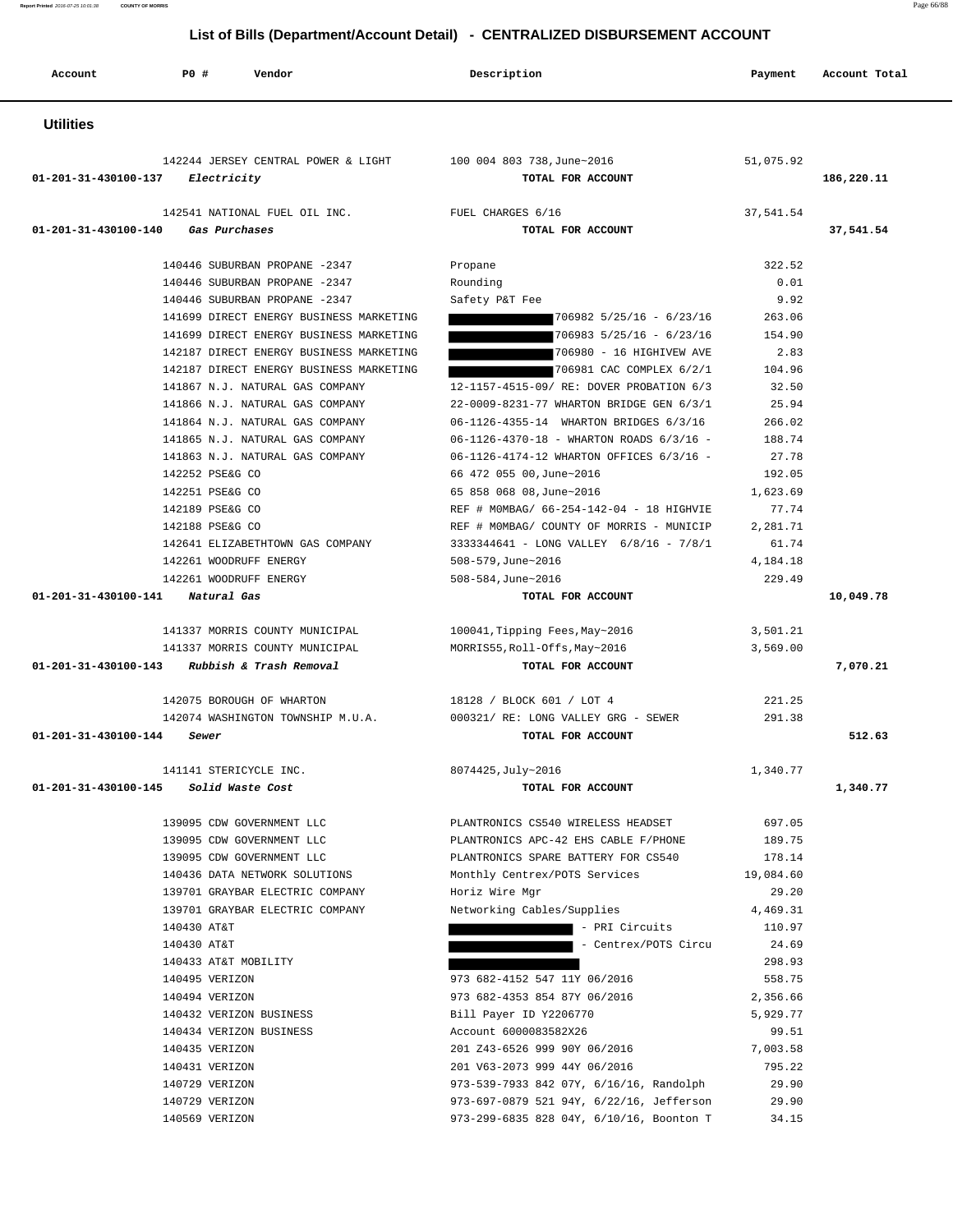**Report Printed** 2016-07-25 10:01:38 **COUNTY OF MORRIS** Page 66/88

### **List of Bills (Department/Account Detail) - CENTRALIZED DISBURSEMENT ACCOUNT**

| Account                    | <b>PO #</b><br>Vendor                            | Description                                        | Payment            | Account Total |
|----------------------------|--------------------------------------------------|----------------------------------------------------|--------------------|---------------|
| <b>Utilities</b>           |                                                  |                                                    |                    |               |
|                            |                                                  |                                                    |                    |               |
|                            | 142244 JERSEY CENTRAL POWER & LIGHT              | 100 004 803 738, June~2016                         | 51,075.92          |               |
|                            | $01 - 201 - 31 - 430100 - 137$ Electricity       | TOTAL FOR ACCOUNT                                  |                    | 186,220.11    |
|                            | 142541 NATIONAL FUEL OIL INC.                    | FUEL CHARGES 6/16                                  | 37,541.54          |               |
| 01-201-31-430100-140       | Gas Purchases                                    | TOTAL FOR ACCOUNT                                  |                    | 37,541.54     |
|                            | 140446 SUBURBAN PROPANE -2347                    |                                                    | 322.52             |               |
|                            | 140446 SUBURBAN PROPANE -2347                    | Propane<br>Rounding                                | 0.01               |               |
|                            | 140446 SUBURBAN PROPANE -2347                    | Safety P&T Fee                                     | 9.92               |               |
|                            | 141699 DIRECT ENERGY BUSINESS MARKETING          | $706982$ $5/25/16$ - $6/23/16$                     | 263.06             |               |
|                            | 141699 DIRECT ENERGY BUSINESS MARKETING          | $706983$ $5/25/16$ - $6/23/16$                     | 154.90             |               |
|                            | 142187 DIRECT ENERGY BUSINESS MARKETING          | 706980 - 16 HIGHIVEW AVE                           | 2.83               |               |
|                            | 142187 DIRECT ENERGY BUSINESS MARKETING          | 706981 CAC COMPLEX 6/2/1                           | 104.96             |               |
|                            | 141867 N.J. NATURAL GAS COMPANY                  | 12-1157-4515-09/ RE: DOVER PROBATION 6/3           | 32.50              |               |
|                            | 141866 N.J. NATURAL GAS COMPANY                  | 22-0009-8231-77 WHARTON BRIDGE GEN 6/3/1           | 25.94              |               |
|                            | 141864 N.J. NATURAL GAS COMPANY                  | 06-1126-4355-14 WHARTON BRIDGES 6/3/16             | 266.02             |               |
|                            | 141865 N.J. NATURAL GAS COMPANY                  | 06-1126-4370-18 - WHARTON ROADS 6/3/16 -           | 188.74             |               |
|                            | 141863 N.J. NATURAL GAS COMPANY                  | 06-1126-4174-12 WHARTON OFFICES 6/3/16 -           | 27.78              |               |
|                            | 142252 PSE&G CO                                  | 66 472 055 00, June~2016                           | 192.05             |               |
|                            | 142251 PSE&G CO                                  | 65 858 068 08, June~2016                           | 1,623.69           |               |
|                            | 142189 PSE&G CO                                  | REF # MOMBAG/ 66-254-142-04 - 18 HIGHVIE           | 77.74              |               |
|                            | 142188 PSE&G CO                                  | REF # MOMBAG/ COUNTY OF MORRIS - MUNICIP           | 2,281.71           |               |
|                            | 142641 ELIZABETHTOWN GAS COMPANY                 | 3333344641 - LONG VALLEY 6/8/16 - 7/8/1            | 61.74              |               |
|                            | 142261 WOODRUFF ENERGY<br>142261 WOODRUFF ENERGY | $508 - 579$ , June~2016<br>$508 - 584$ , June~2016 | 4,184.18<br>229.49 |               |
| 01-201-31-430100-141       | Natural Gas                                      | TOTAL FOR ACCOUNT                                  |                    | 10,049.78     |
|                            |                                                  |                                                    |                    |               |
|                            | 141337 MORRIS COUNTY MUNICIPAL                   | 100041, Tipping Fees, May~2016                     | 3,501.21           |               |
|                            | 141337 MORRIS COUNTY MUNICIPAL                   | MORRIS55,Roll-Offs,May~2016                        | 3,569.00           |               |
| 01-201-31-430100-143       | Rubbish & Trash Removal                          | TOTAL FOR ACCOUNT                                  |                    | 7,070.21      |
|                            | 142075 BOROUGH OF WHARTON                        | 18128 / BLOCK 601 / LOT 4                          | 221.25             |               |
|                            | 142074 WASHINGTON TOWNSHIP M.U.A.                | 000321/ RE: LONG VALLEY GRG - SEWER                | 291.38             |               |
| 01-201-31-430100-144 Sewer |                                                  | TOTAL FOR ACCOUNT                                  |                    | 512.63        |
|                            | 141141 STERICYCLE INC.                           | 8074425, July~2016                                 | 1,340.77           |               |
| 01-201-31-430100-145       | Solid Waste Cost                                 | TOTAL FOR ACCOUNT                                  |                    | 1,340.77      |
|                            | 139095 CDW GOVERNMENT LLC                        | PLANTRONICS CS540 WIRELESS HEADSET                 | 697.05             |               |
|                            | 139095 CDW GOVERNMENT LLC                        | PLANTRONICS APC-42 EHS CABLE F/PHONE               | 189.75             |               |
|                            | 139095 CDW GOVERNMENT LLC                        | PLANTRONICS SPARE BATTERY FOR CS540                | 178.14             |               |
|                            | 140436 DATA NETWORK SOLUTIONS                    | Monthly Centrex/POTS Services                      | 19,084.60          |               |
|                            | 139701 GRAYBAR ELECTRIC COMPANY                  | Horiz Wire Mgr                                     | 29.20              |               |
|                            | 139701 GRAYBAR ELECTRIC COMPANY                  | Networking Cables/Supplies                         | 4,469.31           |               |
|                            | 140430 AT&T                                      | - PRI Circuits                                     | 110.97             |               |
|                            | 140430 AT&T                                      | - Centrex/POTS Circu                               | 24.69              |               |
|                            | 140433 AT&T MOBILITY                             |                                                    | 298.93             |               |
|                            | 140495 VERIZON                                   | 973 682-4152 547 11Y 06/2016                       | 558.75             |               |
|                            | 140494 VERIZON                                   | 973 682-4353 854 87Y 06/2016                       | 2,356.66           |               |
|                            | 140432 VERIZON BUSINESS                          | Bill Payer ID Y2206770                             | 5,929.77           |               |
|                            | 140434 VERIZON BUSINESS                          | Account 6000083582X26                              | 99.51              |               |
|                            | 140435 VERIZON                                   | 201 Z43-6526 999 90Y 06/2016                       | 7,003.58           |               |
|                            | 140431 VERIZON                                   | 201 V63-2073 999 44Y 06/2016                       | 795.22             |               |
|                            | 140729 VERIZON                                   | 973-539-7933 842 07Y, 6/16/16, Randolph            | 29.90              |               |
|                            | 140729 VERIZON                                   | 973-697-0879 521 94Y, 6/22/16, Jefferson           | 29.90              |               |
|                            | 140569 VERIZON                                   | 973-299-6835 828 04Y, 6/10/16, Boonton T           | 34.15              |               |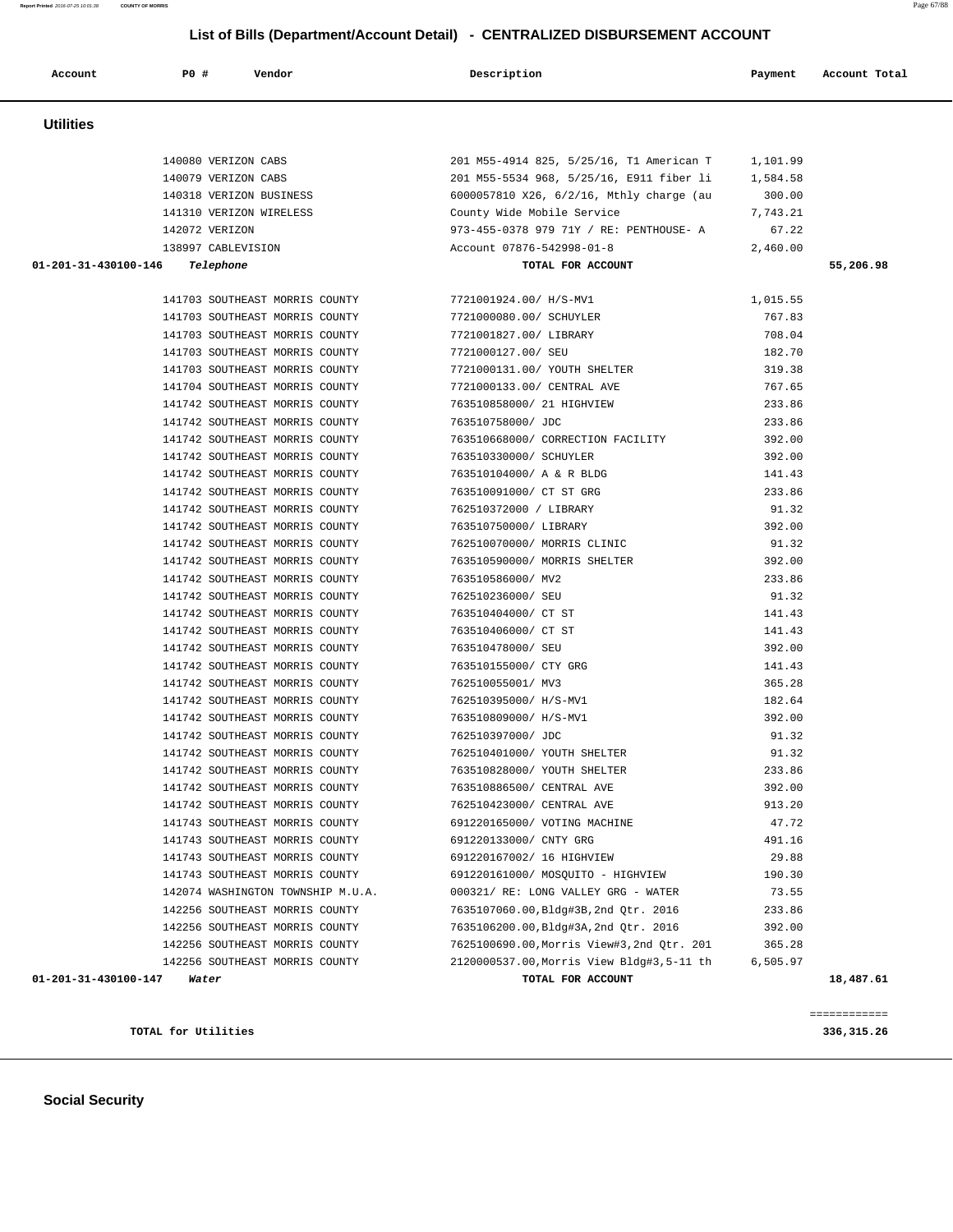|                                | 140080 VERIZON CABS                                         | 201 M55-4914 825, 5/25/16, T1 American T 1,101.99                       |          |           |
|--------------------------------|-------------------------------------------------------------|-------------------------------------------------------------------------|----------|-----------|
|                                | 140079 VERIZON CABS                                         | 201 M55-5534 968, 5/25/16, E911 fiber li 1,584.58                       |          |           |
|                                |                                                             | 140318 VERIZON BUSINESS 6000057810 X26, 6/2/16, Mthly charge (au 300.00 |          |           |
|                                | 141310 VERIZON WIRELESS County Wide Mobile Service          |                                                                         | 7,743.21 |           |
|                                | 142072 VERIZON                                              | 973-455-0378 979 71Y / RE: PENTHOUSE- A                                 | 67.22    |           |
|                                | 138997 CABLEVISION                                          | Account 07876-542998-01-8                                               | 2,460.00 |           |
| 01-201-31-430100-146 Telephone |                                                             | TOTAL FOR ACCOUNT                                                       |          | 55,206.98 |
|                                |                                                             |                                                                         |          |           |
|                                | 141703 SOUTHEAST MORRIS COUNTY 7721001924.00/ H/S-MV1       |                                                                         | 1,015.55 |           |
|                                | 141703 SOUTHEAST MORRIS COUNTY 7721000080.00/ SCHUYLER      |                                                                         | 767.83   |           |
|                                | 141703 SOUTHEAST MORRIS COUNTY 7721001827.00/ LIBRARY       |                                                                         | 708.04   |           |
|                                | 141703 SOUTHEAST MORRIS COUNTY 7721000127.00/ SEU           |                                                                         | 182.70   |           |
|                                | 141703 SOUTHEAST MORRIS COUNTY                              | 7721000131.00/ YOUTH SHELTER                                            | 319.38   |           |
|                                | 141704 SOUTHEAST MORRIS COUNTY                              | 7721000133.00/ CENTRAL AVE                                              | 767.65   |           |
|                                | 141742 SOUTHEAST MORRIS COUNTY                              | 763510858000/ 21 HIGHVIEW                                               | 233.86   |           |
|                                | 141742 SOUTHEAST MORRIS COUNTY 763510758000/JDC             |                                                                         | 233.86   |           |
|                                |                                                             | 141742 SOUTHEAST MORRIS COUNTY 763510668000/ CORRECTION FACILITY        | 392.00   |           |
|                                | 141742 SOUTHEAST MORRIS COUNTY 763510330000/ SCHUYLER       |                                                                         | 392.00   |           |
|                                | 141742 SOUTHEAST MORRIS COUNTY 763510104000/ A & R BLDG     |                                                                         | 141.43   |           |
|                                | 141742 SOUTHEAST MORRIS COUNTY                              | 763510091000/ CT ST GRG                                                 | 233.86   |           |
|                                | 141742 SOUTHEAST MORRIS COUNTY                              | 762510372000 / LIBRARY                                                  | 91.32    |           |
|                                | 141742 SOUTHEAST MORRIS COUNTY                              | 763510750000/ LIBRARY                                                   | 392.00   |           |
|                                | 141742 SOUTHEAST MORRIS COUNTY                              | 762510070000/ MORRIS CLINIC                                             | 91.32    |           |
|                                | 141742 SOUTHEAST MORRIS COUNTY 763510590000/ MORRIS SHELTER |                                                                         | 392.00   |           |
|                                | 141742 SOUTHEAST MORRIS COUNTY 763510586000/ MV2            |                                                                         | 233.86   |           |
|                                | 141742 SOUTHEAST MORRIS COUNTY 762510236000/SEU             |                                                                         | 91.32    |           |
|                                | 141742 SOUTHEAST MORRIS COUNTY 763510404000/ CT ST          |                                                                         | 141.43   |           |
|                                | 141742 SOUTHEAST MORRIS COUNTY                              | 763510406000/ CT ST                                                     | 141.43   |           |
|                                | 141742 SOUTHEAST MORRIS COUNTY                              | 763510478000/ SEU                                                       | 392.00   |           |
|                                | 141742 SOUTHEAST MORRIS COUNTY                              | 763510155000/ CTY GRG                                                   | 141.43   |           |
|                                | 141742 SOUTHEAST MORRIS COUNTY                              | 762510055001/ MV3                                                       | 365.28   |           |
|                                | 141742 SOUTHEAST MORRIS COUNTY 762510395000/ H/S-MV1        |                                                                         | 182.64   |           |
|                                | 141742 SOUTHEAST MORRIS COUNTY 763510809000/H/S-MV1         |                                                                         | 392.00   |           |
|                                | 141742 SOUTHEAST MORRIS COUNTY 762510397000/JDC             |                                                                         | 91.32    |           |
|                                | 141742 SOUTHEAST MORRIS COUNTY                              | 762510401000/ YOUTH SHELTER                                             | 91.32    |           |
|                                | 141742 SOUTHEAST MORRIS COUNTY                              | 763510828000/ YOUTH SHELTER                                             | 233.86   |           |
|                                | 141742 SOUTHEAST MORRIS COUNTY                              | 763510886500/ CENTRAL AVE                                               | 392.00   |           |
|                                | 141742 SOUTHEAST MORRIS COUNTY                              | 762510423000/ CENTRAL AVE                                               | 913.20   |           |
|                                | 141743 SOUTHEAST MORRIS COUNTY 691220165000/ VOTING MACHINE |                                                                         | 47.72    |           |
|                                | 141743 SOUTHEAST MORRIS COUNTY                              | 691220133000/ CNTY GRG                                                  | 491.16   |           |
|                                | 141743 SOUTHEAST MORRIS COUNTY                              | 691220167002/ 16 HIGHVIEW                                               | 29.88    |           |
|                                | 141743 SOUTHEAST MORRIS COUNTY                              | 691220161000/ MOSOUITO - HIGHVIEW                                       | 190.30   |           |
|                                | 142074 WASHINGTON TOWNSHIP M.U.A.                           | 000321/ RE: LONG VALLEY GRG - WATER                                     | 73.55    |           |
|                                | 142256 SOUTHEAST MORRIS COUNTY                              | 7635107060.00, Bldg#3B, 2nd Otr. 2016                                   | 233.86   |           |
|                                | 142256 SOUTHEAST MORRIS COUNTY                              | 7635106200.00, Bldg#3A, 2nd Qtr. 2016                                   | 392.00   |           |
|                                | 142256 SOUTHEAST MORRIS COUNTY                              | 7625100690.00, Morris View#3, 2nd Qtr. 201                              | 365.28   |           |
|                                | 142256 SOUTHEAST MORRIS COUNTY                              | 2120000537.00, Morris View Bldg#3, 5-11 th                              | 6,505.97 |           |
| 01-201-31-430100-147           | Water                                                       | TOTAL FOR ACCOUNT                                                       |          | 18,487.61 |
|                                |                                                             |                                                                         |          |           |

============

**TOTAL for Utilities 336,315.26**

 **List of Bills (Department/Account Detail) - CENTRALIZED DISBURSEMENT ACCOUNT Account P0 # Vendor Description Payment Account Total Utilities**  140080 VERIZON CABS 201 M55-4914 825, 5/25/16, T1 American T 1,101.99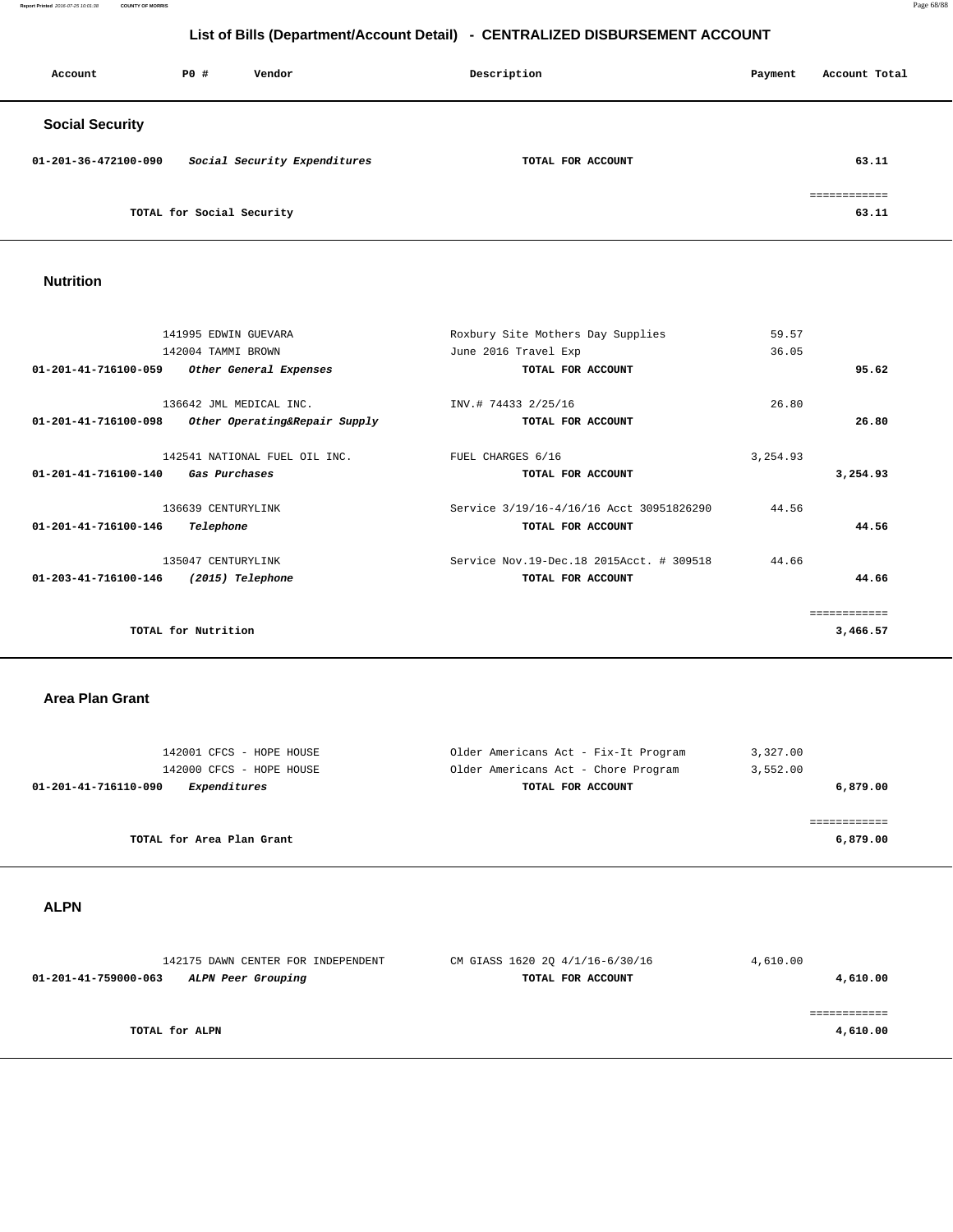**Report Printed** 2016-07-25 10:01:38 **COUNTY OF MORRIS** Page 68/88

## **List of Bills (Department/Account Detail) - CENTRALIZED DISBURSEMENT ACCOUNT**

| Account                | PO#                       | Vendor                       | Description |                   | Payment | Account Total         |
|------------------------|---------------------------|------------------------------|-------------|-------------------|---------|-----------------------|
| <b>Social Security</b> |                           |                              |             |                   |         |                       |
| 01-201-36-472100-090   |                           | Social Security Expenditures |             | TOTAL FOR ACCOUNT |         | 63.11                 |
|                        | TOTAL for Social Security |                              |             |                   |         | eessessesses<br>63.11 |

### **Nutrition**

|                                | 141995 EDWIN GUEVARA          | Roxbury Site Mothers Day Supplies          | 59.57     |              |
|--------------------------------|-------------------------------|--------------------------------------------|-----------|--------------|
|                                | 142004 TAMMI BROWN            | June 2016 Travel Exp                       | 36.05     |              |
| $01 - 201 - 41 - 716100 - 059$ | Other General Expenses        | TOTAL FOR ACCOUNT                          |           | 95.62        |
|                                | 136642 JML MEDICAL INC.       | INV.# 74433 2/25/16                        | 26.80     |              |
| $01 - 201 - 41 - 716100 - 098$ | Other Operating&Repair Supply | TOTAL FOR ACCOUNT                          |           | 26.80        |
|                                | 142541 NATIONAL FUEL OIL INC. | FUEL CHARGES 6/16                          | 3, 254.93 |              |
| $01 - 201 - 41 - 716100 - 140$ | Gas Purchases                 | TOTAL FOR ACCOUNT                          |           | 3,254.93     |
|                                | 136639 CENTURYLINK            | Service 3/19/16-4/16/16 Acct 30951826290   | 44.56     |              |
| $01 - 201 - 41 - 716100 - 146$ | Telephone                     | TOTAL FOR ACCOUNT                          |           | 44.56        |
|                                | 135047 CENTURYLINK            | Service Nov. 19-Dec. 18 2015Acct. # 309518 | 44.66     |              |
| $01 - 203 - 41 - 716100 - 146$ | (2015) Telephone              | TOTAL FOR ACCOUNT                          |           | 44.66        |
|                                |                               |                                            |           | ============ |
|                                | TOTAL for Nutrition           |                                            |           | 3,466.57     |
|                                |                               |                                            |           |              |

### **Area Plan Grant**

| 142001 CFCS - HOPE HOUSE             | Older Americans Act - Fix-It Program | 3,327.00   |
|--------------------------------------|--------------------------------------|------------|
| 142000 CFCS - HOPE HOUSE             | Older Americans Act - Chore Program  | 3,552.00   |
| 01-201-41-716110-090<br>Expenditures | TOTAL FOR ACCOUNT                    | 6,879.00   |
|                                      |                                      |            |
|                                      |                                      | ---------- |
| TOTAL for Area Plan Grant            |                                      | 6,879.00   |
|                                      |                                      |            |

 **ALPN** 

| 142175 DAWN CENTER FOR INDEPENDENT         | CM GIASS 1620 2Q 4/1/16-6/30/16 | 4,610.00 |
|--------------------------------------------|---------------------------------|----------|
| 01-201-41-759000-063<br>ALPN Peer Grouping | TOTAL FOR ACCOUNT               | 4,610.00 |
| TOTAL for ALPN                             |                                 | 4,610.00 |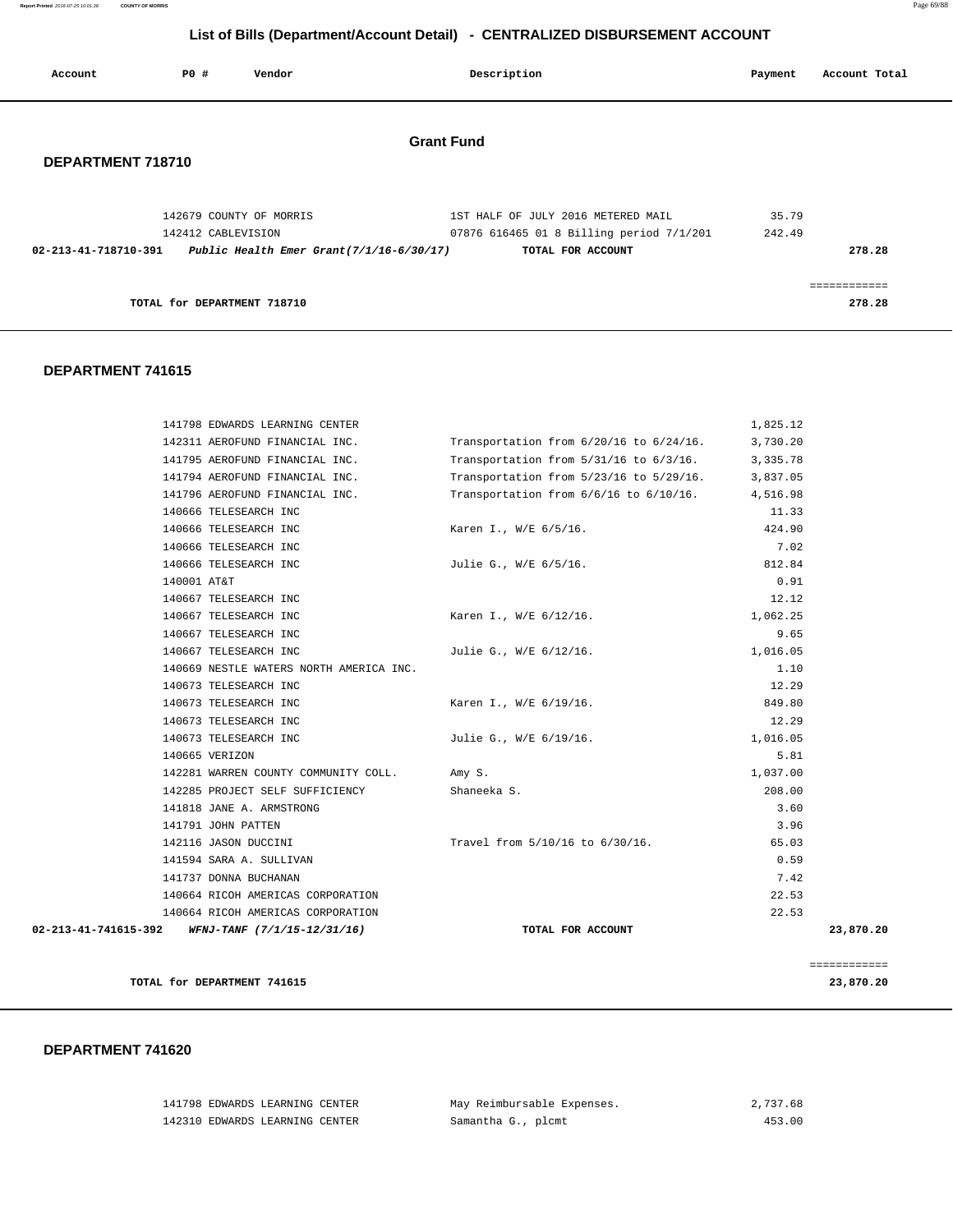**Report Printed** 2016-07-25 10:01:38 **COUNTY OF MORRIS** Page 69/88

## **List of Bills (Department/Account Detail) - CENTRALIZED DISBURSEMENT ACCOUNT**

| Account              | PO#                         | Vendor                                                                 | Description                                                                                         | Payment         | Account Total          |
|----------------------|-----------------------------|------------------------------------------------------------------------|-----------------------------------------------------------------------------------------------------|-----------------|------------------------|
| DEPARTMENT 718710    |                             |                                                                        | <b>Grant Fund</b>                                                                                   |                 |                        |
| 02-213-41-718710-391 | 142412 CABLEVISION          | 142679 COUNTY OF MORRIS<br>Public Health Emer Grant $(7/1/16-6/30/17)$ | 1ST HALF OF JULY 2016 METERED MAIL<br>07876 616465 01 8 Billing period 7/1/201<br>TOTAL FOR ACCOUNT | 35.79<br>242.49 | 278.28                 |
|                      | TOTAL for DEPARTMENT 718710 |                                                                        |                                                                                                     |                 | ------------<br>278.28 |

### **DEPARTMENT 741615**

|                      | 141798 EDWARDS LEARNING CENTER          |                                              | 1,825.12 |              |
|----------------------|-----------------------------------------|----------------------------------------------|----------|--------------|
|                      | 142311 AEROFUND FINANCIAL INC.          | Transportation from $6/20/16$ to $6/24/16$ . | 3,730.20 |              |
|                      | 141795 AEROFUND FINANCIAL INC.          | Transportation from $5/31/16$ to $6/3/16$ .  | 3,335.78 |              |
|                      | 141794 AEROFUND FINANCIAL INC.          | Transportation from $5/23/16$ to $5/29/16$ . | 3,837.05 |              |
|                      | 141796 AEROFUND FINANCIAL INC.          | Transportation from $6/6/16$ to $6/10/16$ .  | 4,516.98 |              |
|                      | 140666 TELESEARCH INC                   |                                              | 11.33    |              |
|                      | 140666 TELESEARCH INC                   | Karen I., W/E 6/5/16.                        | 424.90   |              |
|                      | 140666 TELESEARCH INC                   |                                              | 7.02     |              |
|                      | 140666 TELESEARCH INC                   | Julie G., W/E 6/5/16.                        | 812.84   |              |
| 140001 AT&T          |                                         |                                              | 0.91     |              |
|                      | 140667 TELESEARCH INC                   |                                              | 12.12    |              |
|                      | 140667 TELESEARCH INC                   | Karen I., W/E 6/12/16.                       | 1,062.25 |              |
|                      | 140667 TELESEARCH INC                   |                                              | 9.65     |              |
|                      | 140667 TELESEARCH INC                   | Julie G., W/E 6/12/16.                       | 1,016.05 |              |
|                      | 140669 NESTLE WATERS NORTH AMERICA INC. |                                              | 1.10     |              |
|                      | 140673 TELESEARCH INC                   |                                              | 12.29    |              |
|                      | 140673 TELESEARCH INC                   | Karen I., W/E 6/19/16.                       | 849.80   |              |
|                      | 140673 TELESEARCH INC                   |                                              | 12.29    |              |
|                      | 140673 TELESEARCH INC                   | Julie G., W/E 6/19/16.                       | 1,016.05 |              |
|                      | 140665 VERIZON                          |                                              | 5.81     |              |
|                      | 142281 WARREN COUNTY COMMUNITY COLL.    | Amy S.                                       | 1,037.00 |              |
|                      | 142285 PROJECT SELF SUFFICIENCY         | Shaneeka S.                                  | 208.00   |              |
|                      | 141818 JANE A. ARMSTRONG                |                                              | 3.60     |              |
|                      | 141791 JOHN PATTEN                      |                                              | 3.96     |              |
|                      | 142116 JASON DUCCINI                    | Travel from 5/10/16 to 6/30/16.              | 65.03    |              |
|                      | 141594 SARA A. SULLIVAN                 |                                              | 0.59     |              |
|                      | 141737 DONNA BUCHANAN                   |                                              | 7.42     |              |
|                      | 140664 RICOH AMERICAS CORPORATION       |                                              | 22.53    |              |
|                      | 140664 RICOH AMERICAS CORPORATION       |                                              | 22.53    |              |
| 02-213-41-741615-392 | WFNJ-TANF (7/1/15-12/31/16)             | TOTAL FOR ACCOUNT                            |          | 23,870.20    |
|                      |                                         |                                              |          | ============ |
|                      | TOTAL for DEPARTMENT 741615             |                                              |          | 23,870.20    |

| 141798 EDWARDS LEARNING CENTER | May Reimbursable Expenses. | 2,737.68 |
|--------------------------------|----------------------------|----------|
| 142310 EDWARDS LEARNING CENTER | Samantha G., plcmt         | 453.00   |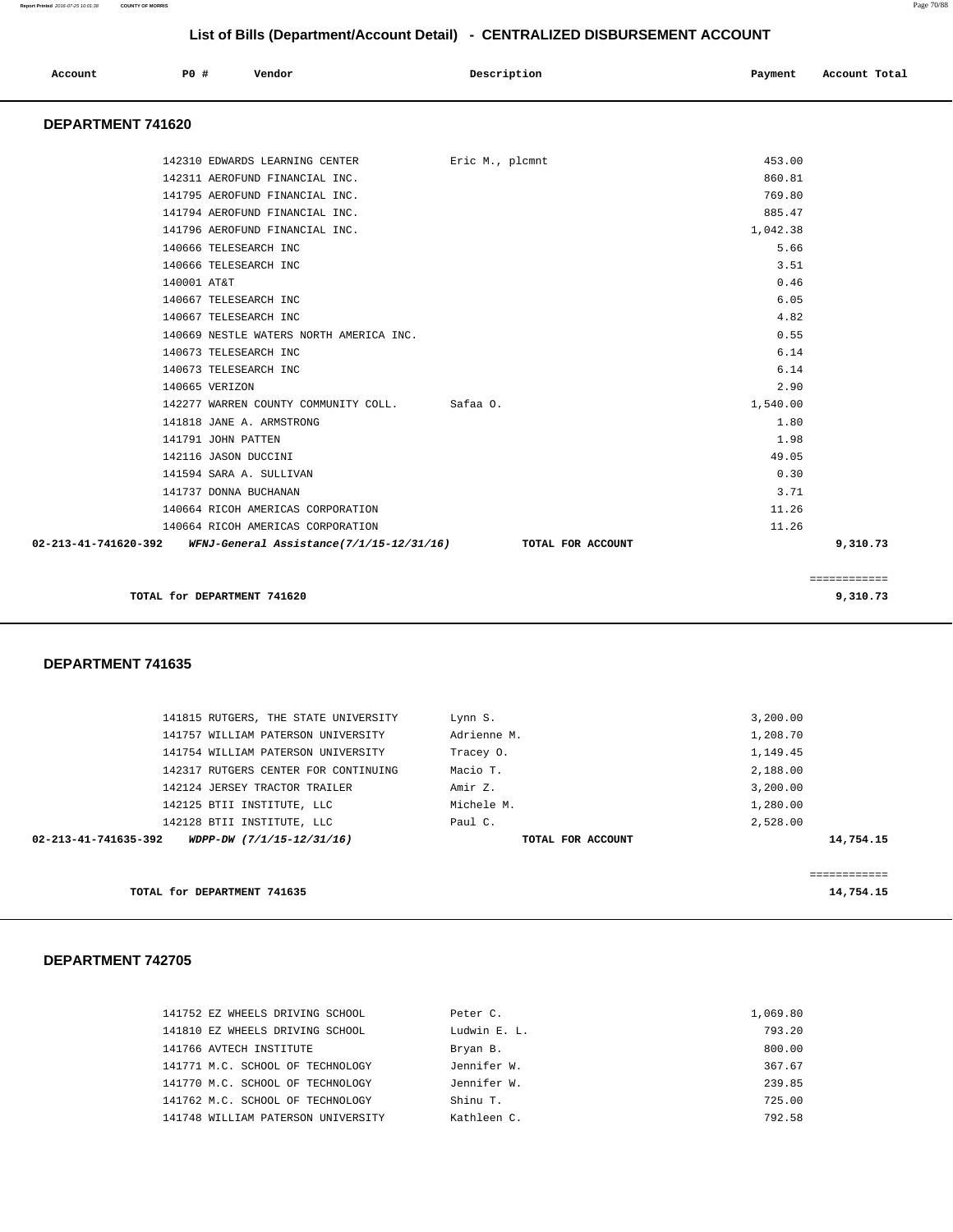| Account<br>. | P0# | Vendor<br>. | Description<br>$\sim$ $\sim$<br>. | Payment<br>$\sim$ $\sim$ | Account Total<br>. |
|--------------|-----|-------------|-----------------------------------|--------------------------|--------------------|
|              |     |             |                                   |                          |                    |

### **DEPARTMENT 741620**

|             | 142310 EDWARDS LEARNING CENTER                                                  | Eric M., plcmnt | 453.00   |              |
|-------------|---------------------------------------------------------------------------------|-----------------|----------|--------------|
|             | 142311 AEROFUND FINANCIAL INC.                                                  |                 | 860.81   |              |
|             | 141795 AEROFUND FINANCIAL INC.                                                  |                 | 769.80   |              |
|             | 141794 AEROFUND FINANCIAL INC.                                                  |                 | 885.47   |              |
|             | 141796 AEROFUND FINANCIAL INC.                                                  |                 | 1,042.38 |              |
|             | 140666 TELESEARCH INC                                                           |                 | 5.66     |              |
|             | 140666 TELESEARCH INC                                                           |                 | 3.51     |              |
| 140001 AT&T |                                                                                 |                 | 0.46     |              |
|             | 140667 TELESEARCH INC                                                           |                 | 6.05     |              |
|             | 140667 TELESEARCH INC                                                           |                 | 4.82     |              |
|             | 140669 NESTLE WATERS NORTH AMERICA INC.                                         |                 | 0.55     |              |
|             | 140673 TELESEARCH INC                                                           |                 | 6.14     |              |
|             | 140673 TELESEARCH INC                                                           |                 | 6.14     |              |
|             | 140665 VERIZON                                                                  |                 | 2.90     |              |
|             | 142277 WARREN COUNTY COMMUNITY COLL. Safaa O.                                   |                 | 1,540.00 |              |
|             | 141818 JANE A. ARMSTRONG                                                        |                 | 1.80     |              |
|             | 141791 JOHN PATTEN                                                              |                 | 1.98     |              |
|             | 142116 JASON DUCCINI                                                            |                 | 49.05    |              |
|             | 141594 SARA A. SULLIVAN                                                         |                 | 0.30     |              |
|             | 141737 DONNA BUCHANAN                                                           |                 | 3.71     |              |
|             | 140664 RICOH AMERICAS CORPORATION                                               |                 | 11.26    |              |
|             | 140664 RICOH AMERICAS CORPORATION                                               |                 | 11.26    |              |
|             | 02-213-41-741620-392 WFNJ-General Assistance(7/1/15-12/31/16) TOTAL FOR ACCOUNT |                 |          | 9,310.73     |
|             |                                                                                 |                 |          |              |
|             |                                                                                 |                 |          | ============ |
|             | TOTAL for DEPARTMENT 741620                                                     |                 |          | 9,310.73     |
|             |                                                                                 |                 |          |              |

### **DEPARTMENT 741635**

|                      | TOTAL for DEPARTMENT 741635          |                   | 14,754.15 |
|----------------------|--------------------------------------|-------------------|-----------|
|                      |                                      |                   |           |
| 02-213-41-741635-392 | WDPP-DW (7/1/15-12/31/16)            | TOTAL FOR ACCOUNT | 14,754.15 |
|                      | 142128 BTII INSTITUTE, LLC           | Paul C.           | 2,528.00  |
|                      | 142125 BTII INSTITUTE, LLC           | Michele M.        | 1,280.00  |
|                      | 142124 JERSEY TRACTOR TRAILER        | Amir Z.           | 3,200.00  |
|                      | 142317 RUTGERS CENTER FOR CONTINUING | Macio T.          | 2,188.00  |
|                      | 141754 WILLIAM PATERSON UNIVERSITY   | Tracey 0.         | 1,149.45  |
|                      | 141757 WILLIAM PATERSON UNIVERSITY   | Adrienne M.       | 1,208.70  |
|                      | 141815 RUTGERS, THE STATE UNIVERSITY | Lynn S.           | 3,200.00  |
|                      |                                      |                   |           |

| 141752 EZ WHEELS DRIVING SCHOOL    | Peter C.     | 1,069.80 |
|------------------------------------|--------------|----------|
| 141810 EZ WHEELS DRIVING SCHOOL    | Ludwin E. L. | 793.20   |
| 141766 AVTECH INSTITUTE            | Bryan B.     | 800.00   |
| 141771 M.C. SCHOOL OF TECHNOLOGY   | Jennifer W.  | 367.67   |
| 141770 M.C. SCHOOL OF TECHNOLOGY   | Jennifer W.  | 239.85   |
| 141762 M.C. SCHOOL OF TECHNOLOGY   | Shinu T.     | 725.00   |
| 141748 WILLIAM PATERSON UNIVERSITY | Kathleen C.  | 792.58   |
|                                    |              |          |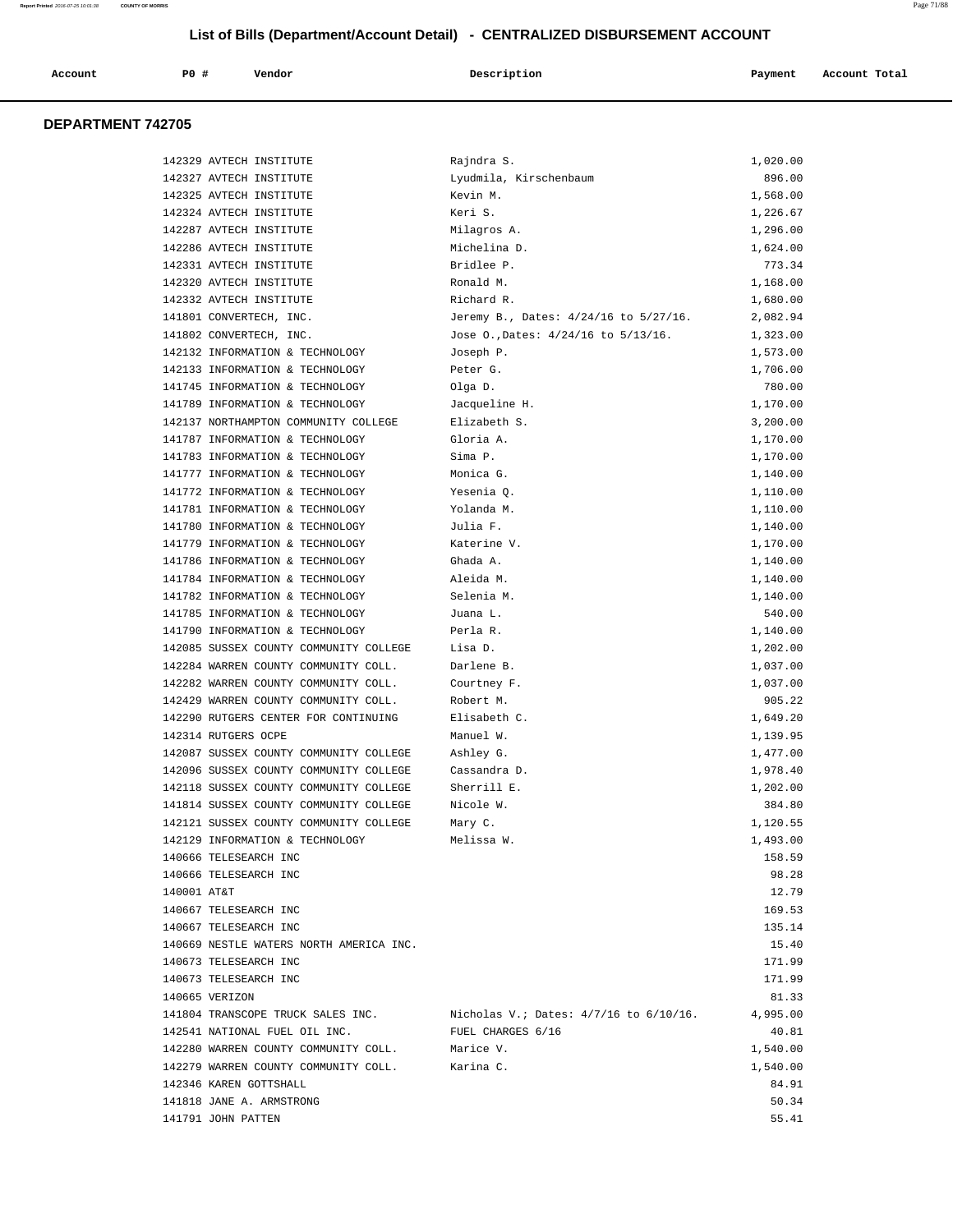| Account<br>. | $P0$ $\pm$ | Vendor | Description | Payment | Account Total<br>. |
|--------------|------------|--------|-------------|---------|--------------------|
|              |            |        |             |         |                    |

| 142329 AVTECH INSTITUTE                                                  | Rajndra S.                            | 1,020.00 |
|--------------------------------------------------------------------------|---------------------------------------|----------|
| 142327 AVTECH INSTITUTE                                                  | Lyudmila, Kirschenbaum                | 896.00   |
| 142325 AVTECH INSTITUTE                                                  | Kevin M.                              | 1,568.00 |
| 142324 AVTECH INSTITUTE                                                  | Keri S.                               | 1,226.67 |
| 142287 AVTECH INSTITUTE                                                  | Milagros A.                           | 1,296.00 |
| 142286 AVTECH INSTITUTE                                                  | Michelina D.                          | 1,624.00 |
| 142331 AVTECH INSTITUTE                                                  | Bridlee P.                            | 773.34   |
| 142320 AVTECH INSTITUTE                                                  | Ronald M.                             | 1,168.00 |
| 142332 AVTECH INSTITUTE                                                  | Richard R.                            | 1,680.00 |
| 141801 CONVERTECH, INC.                                                  | Jeremy B., Dates: 4/24/16 to 5/27/16. | 2,082.94 |
| 141802 CONVERTECH, INC.                                                  | Jose 0., Dates: 4/24/16 to 5/13/16.   | 1,323.00 |
| 142132 INFORMATION & TECHNOLOGY                                          | Joseph P.                             | 1,573.00 |
| 142133 INFORMATION & TECHNOLOGY                                          | Peter G.                              | 1,706.00 |
| 141745 INFORMATION & TECHNOLOGY                                          | Olga D.                               | 780.00   |
| 141789 INFORMATION & TECHNOLOGY                                          | Jacqueline H.                         | 1,170.00 |
| 142137 NORTHAMPTON COMMUNITY COLLEGE                                     | Elizabeth S.                          | 3,200.00 |
| 141787 INFORMATION & TECHNOLOGY                                          | Gloria A.                             | 1,170.00 |
| 141783 INFORMATION & TECHNOLOGY                                          | Sima P.                               | 1,170.00 |
| 141777 INFORMATION & TECHNOLOGY                                          | Monica G.                             | 1,140.00 |
| 141772 INFORMATION & TECHNOLOGY                                          | Yesenia 0.                            | 1,110.00 |
| 141781 INFORMATION & TECHNOLOGY                                          | Yolanda M.                            | 1,110.00 |
| 141780 INFORMATION & TECHNOLOGY                                          | Julia F.                              | 1,140.00 |
| 141779 INFORMATION & TECHNOLOGY                                          | Katerine V.                           | 1,170.00 |
| 141786 INFORMATION & TECHNOLOGY                                          | Ghada A.                              | 1,140.00 |
| 141784 INFORMATION & TECHNOLOGY                                          | Aleida M.                             | 1,140.00 |
| 141782 INFORMATION & TECHNOLOGY                                          | Selenia M.                            | 1,140.00 |
| 141785 INFORMATION & TECHNOLOGY                                          | Juana L.                              | 540.00   |
| 141790 INFORMATION & TECHNOLOGY                                          | Perla R.                              | 1,140.00 |
| 142085 SUSSEX COUNTY COMMUNITY COLLEGE                                   | Lisa D.                               | 1,202.00 |
| 142284 WARREN COUNTY COMMUNITY COLL.                                     | Darlene B.                            | 1,037.00 |
| 142282 WARREN COUNTY COMMUNITY COLL.                                     | Courtney F.                           | 1,037.00 |
| 142429 WARREN COUNTY COMMUNITY COLL.                                     | Robert M.                             | 905.22   |
| 142290 RUTGERS CENTER FOR CONTINUING                                     | Elisabeth C.                          | 1,649.20 |
| 142314 RUTGERS OCPE                                                      | Manuel W.                             | 1,139.95 |
| 142087 SUSSEX COUNTY COMMUNITY COLLEGE                                   | Ashley G.                             | 1,477.00 |
| 142096 SUSSEX COUNTY COMMUNITY COLLEGE                                   | Cassandra D.                          | 1,978.40 |
| 142118 SUSSEX COUNTY COMMUNITY COLLEGE                                   | Sherrill E.                           | 1,202.00 |
| 141814 SUSSEX COUNTY COMMUNITY COLLEGE                                   | Nicole W.                             | 384.80   |
| 142121 SUSSEX COUNTY COMMUNITY COLLEGE                                   | Mary C.                               | 1,120.55 |
| 142129 INFORMATION & TECHNOLOGY                                          | Melissa W.                            | 1,493.00 |
| 140666 TELESEARCH INC                                                    |                                       | 158.59   |
| 140666 TELESEARCH INC                                                    |                                       | 98.28    |
| 140001 AT&T                                                              |                                       | 12.79    |
| 140667 TELESEARCH INC                                                    |                                       | 169.53   |
| 140667 TELESEARCH INC                                                    |                                       | 135.14   |
| 140669 NESTLE WATERS NORTH AMERICA INC.                                  |                                       | 15.40    |
| 140673 TELESEARCH INC                                                    |                                       | 171.99   |
| 140673 TELESEARCH INC                                                    |                                       | 171.99   |
| 140665 VERIZON                                                           |                                       | 81.33    |
| 141804 TRANSCOPE TRUCK SALES INC. Nicholas V.; Dates: 4/7/16 to 6/10/16. |                                       | 4,995.00 |
| 142541 NATIONAL FUEL OIL INC.                                            | FUEL CHARGES 6/16                     | 40.81    |
| 142280 WARREN COUNTY COMMUNITY COLL.                                     | Marice V.                             | 1,540.00 |
| 142279 WARREN COUNTY COMMUNITY COLL.                                     | Karina C.                             | 1,540.00 |
| 142346 KAREN GOTTSHALL                                                   |                                       | 84.91    |
| 141818 JANE A. ARMSTRONG                                                 |                                       | 50.34    |
| 141791 JOHN PATTEN                                                       |                                       | 55.41    |
|                                                                          |                                       |          |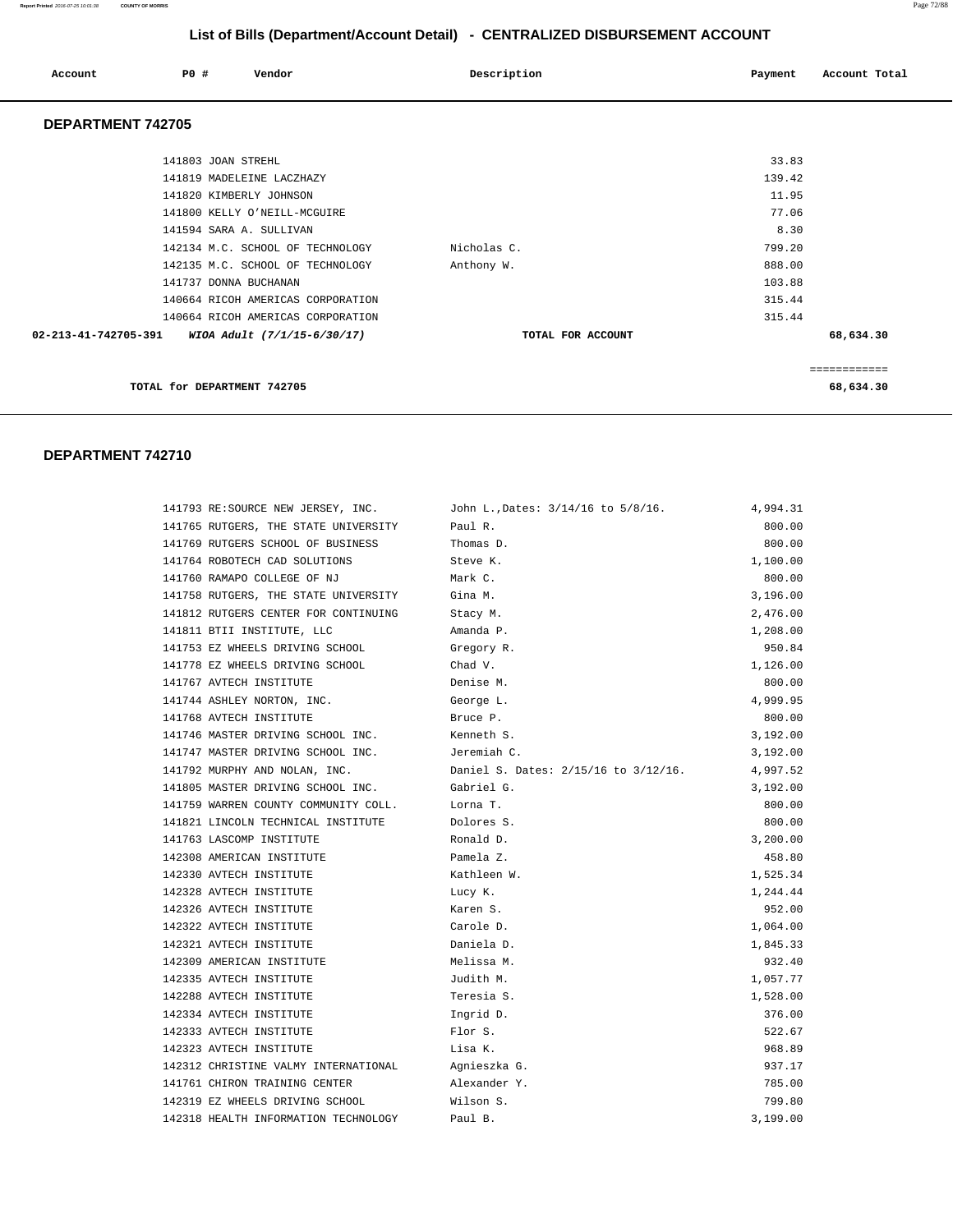### **Report Printed** 2016-07-25 10:01:38 **COUNTY OF MORRIS** Page 72/88

# **List of Bills (Department/Account Detail) - CENTRALIZED DISBURSEMENT ACCOUNT**

| Account                  | PO#<br>Vendor                     | Description       | Account Total<br>Payment |
|--------------------------|-----------------------------------|-------------------|--------------------------|
| <b>DEPARTMENT 742705</b> |                                   |                   |                          |
|                          | 141803 JOAN STREHL                |                   | 33.83                    |
|                          | 141819 MADELEINE LACZHAZY         |                   | 139.42                   |
|                          | 141820 KIMBERLY JOHNSON           |                   | 11.95                    |
|                          | 141800 KELLY O'NEILL-MCGUIRE      |                   | 77.06                    |
|                          | 141594 SARA A. SULLIVAN           |                   | 8.30                     |
|                          | 142134 M.C. SCHOOL OF TECHNOLOGY  | Nicholas C.       | 799.20                   |
|                          | 142135 M.C. SCHOOL OF TECHNOLOGY  | Anthony W.        | 888.00                   |
|                          | 141737 DONNA BUCHANAN             |                   | 103.88                   |
|                          | 140664 RICOH AMERICAS CORPORATION |                   | 315.44                   |
|                          | 140664 RICOH AMERICAS CORPORATION |                   | 315.44                   |
| 02-213-41-742705-391     | WIOA Adult (7/1/15-6/30/17)       | TOTAL FOR ACCOUNT | 68,634.30                |
|                          |                                   |                   | ============             |
|                          | TOTAL for DEPARTMENT 742705       |                   | 68,634.30                |

| 141793 RE:SOURCE NEW JERSEY, INC.    | John L., Dates: 3/14/16 to 5/8/16.   | 4,994.31 |
|--------------------------------------|--------------------------------------|----------|
| 141765 RUTGERS, THE STATE UNIVERSITY | Paul R.                              | 800.00   |
| 141769 RUTGERS SCHOOL OF BUSINESS    | Thomas D.                            | 800.00   |
| 141764 ROBOTECH CAD SOLUTIONS        | Steve K.                             | 1,100.00 |
| 141760 RAMAPO COLLEGE OF NJ          | Mark C.                              | 800.00   |
| 141758 RUTGERS, THE STATE UNIVERSITY | Gina M.                              | 3,196.00 |
| 141812 RUTGERS CENTER FOR CONTINUING | Stacy M.                             | 2,476.00 |
| 141811 BTII INSTITUTE, LLC           | Amanda P.                            | 1,208.00 |
| 141753 EZ WHEELS DRIVING SCHOOL      | Gregory R.                           | 950.84   |
| 141778 EZ WHEELS DRIVING SCHOOL      | Chad V.                              | 1,126.00 |
| 141767 AVTECH INSTITUTE              | Denise M.                            | 800.00   |
| 141744 ASHLEY NORTON, INC.           | George L.                            | 4,999.95 |
| 141768 AVTECH INSTITUTE              | Bruce P.                             | 800.00   |
| 141746 MASTER DRIVING SCHOOL INC.    | Kenneth S.                           | 3,192.00 |
| 141747 MASTER DRIVING SCHOOL INC.    | Jeremiah C.                          | 3,192.00 |
| 141792 MURPHY AND NOLAN, INC.        | Daniel S. Dates: 2/15/16 to 3/12/16. | 4,997.52 |
| 141805 MASTER DRIVING SCHOOL INC.    | Gabriel G.                           | 3,192.00 |
| 141759 WARREN COUNTY COMMUNITY COLL. | Lorna T.                             | 800.00   |
| 141821 LINCOLN TECHNICAL INSTITUTE   | Dolores S.                           | 800.00   |
| 141763 LASCOMP INSTITUTE             | Ronald D.                            | 3,200.00 |
| 142308 AMERICAN INSTITUTE            | Pamela Z.                            | 458.80   |
| 142330 AVTECH INSTITUTE              | Kathleen W.                          | 1,525.34 |
| 142328 AVTECH INSTITUTE              | Lucy K.                              | 1,244.44 |
| 142326 AVTECH INSTITUTE              | Karen S.                             | 952.00   |
| 142322 AVTECH INSTITUTE              | Carole D.                            | 1,064.00 |
| 142321 AVTECH INSTITUTE              | Daniela D.                           | 1,845.33 |
| 142309 AMERICAN INSTITUTE            | Melissa M.                           | 932.40   |
| 142335 AVTECH INSTITUTE              | Judith M.                            | 1,057.77 |
| 142288 AVTECH INSTITUTE              | Teresia S.                           | 1,528.00 |
| 142334 AVTECH INSTITUTE              | Ingrid D.                            | 376.00   |
| 142333 AVTECH INSTITUTE              | Flor S.                              | 522.67   |
| 142323 AVTECH INSTITUTE              | Lisa K.                              | 968.89   |
| 142312 CHRISTINE VALMY INTERNATIONAL | Agnieszka G.                         | 937.17   |
| 141761 CHIRON TRAINING CENTER        | Alexander Y.                         | 785.00   |
| 142319 EZ WHEELS DRIVING SCHOOL      | Wilson S.                            | 799.80   |
| 142318 HEALTH INFORMATION TECHNOLOGY | Paul B.                              | 3,199.00 |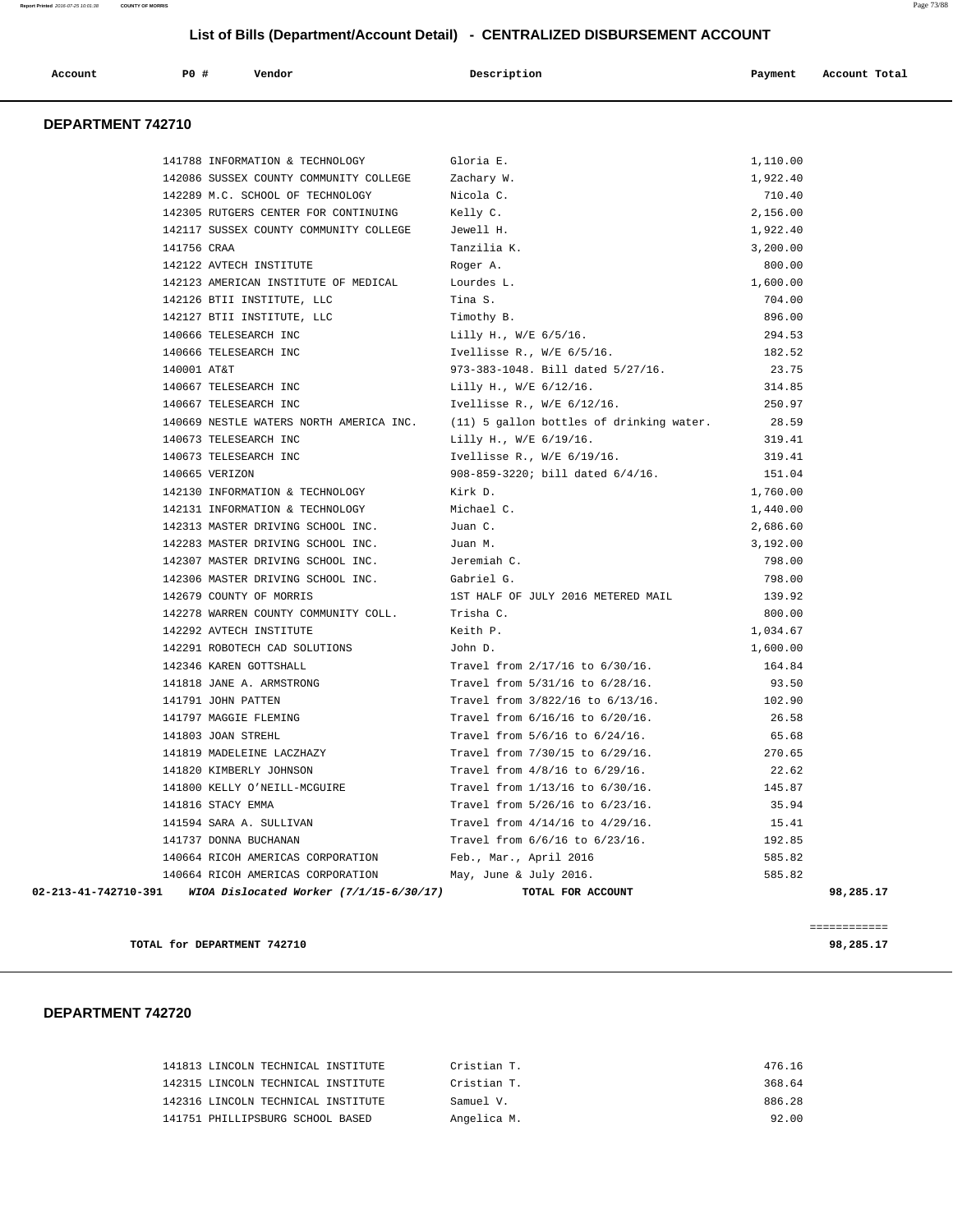|                      |                           | Vendor                                    | Description                              |          | Account Total |
|----------------------|---------------------------|-------------------------------------------|------------------------------------------|----------|---------------|
| Account              | P0 #                      |                                           |                                          | Payment  |               |
| DEPARTMENT 742710    |                           |                                           |                                          |          |               |
|                      |                           | 141788 INFORMATION & TECHNOLOGY           | Gloria E.                                | 1,110.00 |               |
|                      |                           | 142086 SUSSEX COUNTY COMMUNITY COLLEGE    | Zachary W.                               | 1,922.40 |               |
|                      |                           | 142289 M.C. SCHOOL OF TECHNOLOGY          | Nicola C.                                | 710.40   |               |
|                      |                           | 142305 RUTGERS CENTER FOR CONTINUING      | Kelly C.                                 | 2,156.00 |               |
|                      |                           | 142117 SUSSEX COUNTY COMMUNITY COLLEGE    | Jewell H.                                | 1,922.40 |               |
|                      | 141756 CRAA               |                                           | Tanzilia K.                              | 3,200.00 |               |
|                      | 142122 AVTECH INSTITUTE   |                                           | Roger A.                                 | 800.00   |               |
|                      |                           | 142123 AMERICAN INSTITUTE OF MEDICAL      | Lourdes L.                               | 1,600.00 |               |
|                      |                           | 142126 BTII INSTITUTE, LLC                | Tina S.                                  | 704.00   |               |
|                      |                           | 142127 BTII INSTITUTE, LLC                | Timothy B.                               | 896.00   |               |
|                      | 140666 TELESEARCH INC     |                                           | Lilly H., W/E 6/5/16.                    | 294.53   |               |
|                      | 140666 TELESEARCH INC     |                                           | Ivellisse R., $W/E$ 6/5/16.              | 182.52   |               |
|                      | 140001 AT&T               |                                           | 973-383-1048. Bill dated 5/27/16.        | 23.75    |               |
|                      | 140667 TELESEARCH INC     |                                           | Lilly H., W/E 6/12/16.                   | 314.85   |               |
|                      | 140667 TELESEARCH INC     |                                           | Ivellisse R., W/E 6/12/16.               | 250.97   |               |
|                      |                           | 140669 NESTLE WATERS NORTH AMERICA INC.   | (11) 5 gallon bottles of drinking water. | 28.59    |               |
|                      | 140673 TELESEARCH INC     |                                           | Lilly H., W/E 6/19/16.                   | 319.41   |               |
|                      | 140673 TELESEARCH INC     |                                           | Ivellisse R., $W/E$ 6/19/16.             | 319.41   |               |
|                      | 140665 VERIZON            |                                           | 908-859-3220; bill dated $6/4/16$ .      | 151.04   |               |
|                      |                           | 142130 INFORMATION & TECHNOLOGY           | Kirk D.                                  | 1,760.00 |               |
|                      |                           | 142131 INFORMATION & TECHNOLOGY           | Michael C.                               | 1,440.00 |               |
|                      |                           | 142313 MASTER DRIVING SCHOOL INC.         | Juan C.                                  | 2,686.60 |               |
|                      |                           | 142283 MASTER DRIVING SCHOOL INC.         | Juan M.                                  | 3,192.00 |               |
|                      |                           | 142307 MASTER DRIVING SCHOOL INC.         | Jeremiah C.                              | 798.00   |               |
|                      |                           | 142306 MASTER DRIVING SCHOOL INC.         | Gabriel G.                               | 798.00   |               |
|                      | 142679 COUNTY OF MORRIS   |                                           | 1ST HALF OF JULY 2016 METERED MAIL       | 139.92   |               |
|                      |                           | 142278 WARREN COUNTY COMMUNITY COLL.      | Trisha C.                                | 800.00   |               |
|                      | 142292 AVTECH INSTITUTE   |                                           | Keith P.                                 | 1,034.67 |               |
|                      |                           | 142291 ROBOTECH CAD SOLUTIONS             | John D.                                  | 1,600.00 |               |
|                      | 142346 KAREN GOTTSHALL    |                                           | Travel from 2/17/16 to 6/30/16.          | 164.84   |               |
|                      | 141818 JANE A. ARMSTRONG  |                                           | Travel from 5/31/16 to 6/28/16.          | 93.50    |               |
|                      | 141791 JOHN PATTEN        |                                           | Travel from 3/822/16 to 6/13/16.         | 102.90   |               |
|                      | 141797 MAGGIE FLEMING     |                                           | Travel from 6/16/16 to 6/20/16.          | 26.58    |               |
|                      | 141803 JOAN STREHL        |                                           | Travel from 5/6/16 to 6/24/16.           | 65.68    |               |
|                      | 141819 MADELEINE LACZHAZY |                                           | Travel from 7/30/15 to 6/29/16.          | 270.65   |               |
|                      | 141820 KIMBERLY JOHNSON   |                                           | Travel from $4/8/16$ to $6/29/16$ .      | 22.62    |               |
|                      |                           | 141800 KELLY O'NEILL-MCGUIRE              | Travel from 1/13/16 to 6/30/16.          | 145.87   |               |
|                      | 141816 STACY EMMA         |                                           | Travel from 5/26/16 to 6/23/16.          | 35.94    |               |
|                      | 141594 SARA A. SULLIVAN   |                                           | Travel from $4/14/16$ to $4/29/16$ .     | 15.41    |               |
|                      | 141737 DONNA BUCHANAN     |                                           | Travel from 6/6/16 to 6/23/16.           | 192.85   |               |
|                      |                           | 140664 RICOH AMERICAS CORPORATION         | Feb., Mar., April 2016                   | 585.82   |               |
|                      |                           | 140664 RICOH AMERICAS CORPORATION         | May, June & July 2016.                   | 585.82   |               |
| 02-213-41-742710-391 |                           | WIOA Dislocated Worker $(7/1/15-6/30/17)$ | TOTAL FOR ACCOUNT                        |          | 98,285.17     |

**TOTAL for DEPARTMENT 742710** 98,285.17

============

|                                  | 141813 LINCOLN TECHNICAL INSTITUTE | Cristian T. | 476.16 |
|----------------------------------|------------------------------------|-------------|--------|
|                                  | 142315 LINCOLN TECHNICAL INSTITUTE | Cristian T. | 368.64 |
|                                  | 142316 LINCOLN TECHNICAL INSTITUTE | Samuel V.   | 886.28 |
| 141751 PHILLIPSBURG SCHOOL BASED |                                    | Angelica M. | 92.00  |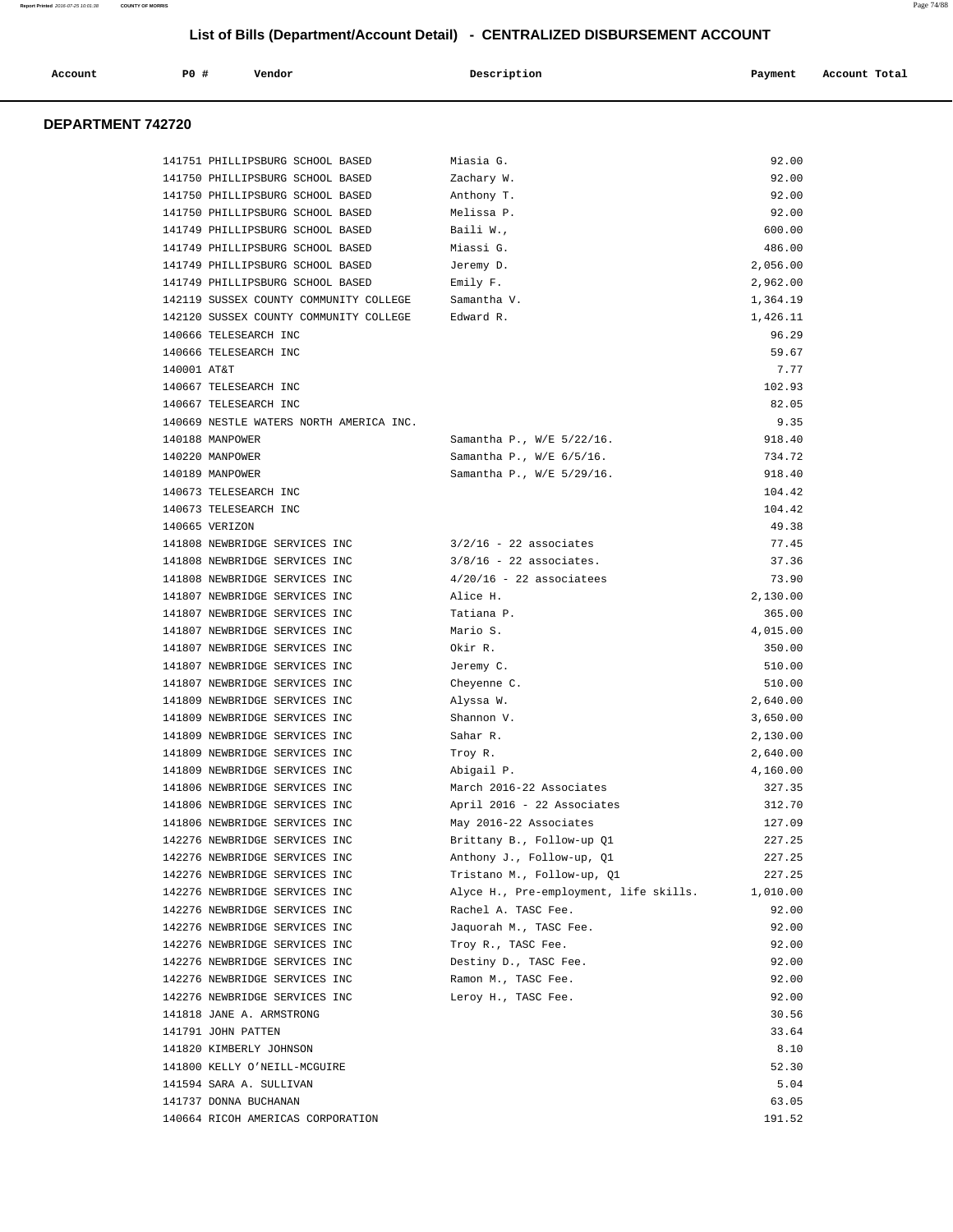| Account           | P0 #               | Vendor                                                  | Description                                     | Payment         | Account Total |
|-------------------|--------------------|---------------------------------------------------------|-------------------------------------------------|-----------------|---------------|
|                   |                    |                                                         |                                                 |                 |               |
| DEPARTMENT 742720 |                    |                                                         |                                                 |                 |               |
|                   |                    | 141751 PHILLIPSBURG SCHOOL BASED                        | Miasia G.                                       | 92.00           |               |
|                   |                    | 141750 PHILLIPSBURG SCHOOL BASED                        | Zachary W.                                      | 92.00           |               |
|                   |                    | 141750 PHILLIPSBURG SCHOOL BASED                        | Anthony T.                                      | 92.00           |               |
|                   |                    | 141750 PHILLIPSBURG SCHOOL BASED                        | Melissa P.                                      | 92.00           |               |
|                   |                    | 141749 PHILLIPSBURG SCHOOL BASED                        | Baili W.,                                       | 600.00          |               |
|                   |                    | 141749 PHILLIPSBURG SCHOOL BASED                        | Miassi G.                                       | 486.00          |               |
|                   |                    | 141749 PHILLIPSBURG SCHOOL BASED                        | Jeremy D.                                       | 2,056.00        |               |
|                   |                    | 141749 PHILLIPSBURG SCHOOL BASED                        | Emily F.                                        | 2,962.00        |               |
|                   |                    | 142119 SUSSEX COUNTY COMMUNITY COLLEGE                  | Samantha V.                                     | 1,364.19        |               |
|                   |                    | 142120 SUSSEX COUNTY COMMUNITY COLLEGE                  | Edward R.                                       | 1,426.11        |               |
|                   |                    | 140666 TELESEARCH INC                                   |                                                 | 96.29           |               |
|                   |                    | 140666 TELESEARCH INC                                   |                                                 | 59.67           |               |
|                   | 140001 AT&T        |                                                         |                                                 | 7.77            |               |
|                   |                    | 140667 TELESEARCH INC                                   |                                                 | 102.93          |               |
|                   |                    | 140667 TELESEARCH INC                                   |                                                 | 82.05           |               |
|                   |                    | 140669 NESTLE WATERS NORTH AMERICA INC.                 |                                                 | 9.35            |               |
|                   | 140188 MANPOWER    |                                                         | Samantha P., W/E 5/22/16.                       | 918.40          |               |
|                   | 140220 MANPOWER    |                                                         | Samantha P., W/E 6/5/16.                        | 734.72          |               |
|                   | 140189 MANPOWER    |                                                         | Samantha P., W/E 5/29/16.                       | 918.40          |               |
|                   |                    | 140673 TELESEARCH INC                                   |                                                 | 104.42          |               |
|                   |                    | 140673 TELESEARCH INC                                   |                                                 | 104.42<br>49.38 |               |
|                   | 140665 VERIZON     | 141808 NEWBRIDGE SERVICES INC                           | $3/2/16$ - 22 associates                        | 77.45           |               |
|                   |                    | 141808 NEWBRIDGE SERVICES INC                           | $3/8/16$ - 22 associates.                       | 37.36           |               |
|                   |                    | 141808 NEWBRIDGE SERVICES INC                           | $4/20/16$ - 22 associatees                      | 73.90           |               |
|                   |                    | 141807 NEWBRIDGE SERVICES INC                           | Alice H.                                        | 2,130.00        |               |
|                   |                    | 141807 NEWBRIDGE SERVICES INC                           | Tatiana P.                                      | 365.00          |               |
|                   |                    | 141807 NEWBRIDGE SERVICES INC                           | Mario S.                                        | 4,015.00        |               |
|                   |                    | 141807 NEWBRIDGE SERVICES INC                           | Okir R.                                         | 350.00          |               |
|                   |                    | 141807 NEWBRIDGE SERVICES INC                           | Jeremy C.                                       | 510.00          |               |
|                   |                    | 141807 NEWBRIDGE SERVICES INC                           | Cheyenne C.                                     | 510.00          |               |
|                   |                    | 141809 NEWBRIDGE SERVICES INC                           | Alyssa W.                                       | 2,640.00        |               |
|                   |                    | 141809 NEWBRIDGE SERVICES INC                           | Shannon V.                                      | 3,650.00        |               |
|                   |                    | 141809 NEWBRIDGE SERVICES INC                           | Sahar R.                                        | 2,130.00        |               |
|                   |                    | 141809 NEWBRIDGE SERVICES INC                           | Troy R.                                         | 2,640.00        |               |
|                   |                    | 141809 NEWBRIDGE SERVICES INC                           | Abigail P.                                      | 4,160.00        |               |
|                   |                    | 141806 NEWBRIDGE SERVICES INC                           | March 2016-22 Associates                        | 327.35          |               |
|                   |                    | 141806 NEWBRIDGE SERVICES INC                           | April 2016 - 22 Associates                      | 312.70          |               |
|                   |                    | 141806 NEWBRIDGE SERVICES INC                           | May 2016-22 Associates                          | 127.09          |               |
|                   |                    | 142276 NEWBRIDGE SERVICES INC                           | Brittany B., Follow-up Q1                       | 227.25          |               |
|                   |                    | 142276 NEWBRIDGE SERVICES INC                           | Anthony J., Follow-up, Q1                       | 227.25          |               |
|                   |                    | 142276 NEWBRIDGE SERVICES INC                           | Tristano M., Follow-up, Q1                      | 227.25          |               |
|                   |                    | 142276 NEWBRIDGE SERVICES INC                           | Alyce H., Pre-employment, life skills. 1,010.00 |                 |               |
|                   |                    | 142276 NEWBRIDGE SERVICES INC                           | Rachel A. TASC Fee.                             | 92.00           |               |
|                   |                    | 142276 NEWBRIDGE SERVICES INC                           | Jaquorah M., TASC Fee.                          | 92.00           |               |
|                   |                    | 142276 NEWBRIDGE SERVICES INC                           | Troy R., TASC Fee.                              | 92.00           |               |
|                   |                    | 142276 NEWBRIDGE SERVICES INC                           | Destiny D., TASC Fee.                           | 92.00           |               |
|                   |                    | 142276 NEWBRIDGE SERVICES INC                           | Ramon M., TASC Fee.                             | 92.00           |               |
|                   |                    | 142276 NEWBRIDGE SERVICES INC                           | Leroy H., TASC Fee.                             | 92.00           |               |
|                   |                    | 141818 JANE A. ARMSTRONG                                |                                                 | 30.56           |               |
|                   | 141791 JOHN PATTEN |                                                         |                                                 | 33.64<br>8.10   |               |
|                   |                    | 141820 KIMBERLY JOHNSON<br>141800 KELLY O'NEILL-MCGUIRE |                                                 | 52.30           |               |
|                   |                    | 141594 SARA A. SULLIVAN                                 |                                                 | 5.04            |               |
|                   |                    | 141737 DONNA BUCHANAN                                   |                                                 | 63.05           |               |
|                   |                    | 140664 RICOH AMERICAS CORPORATION                       |                                                 | 191.52          |               |
|                   |                    |                                                         |                                                 |                 |               |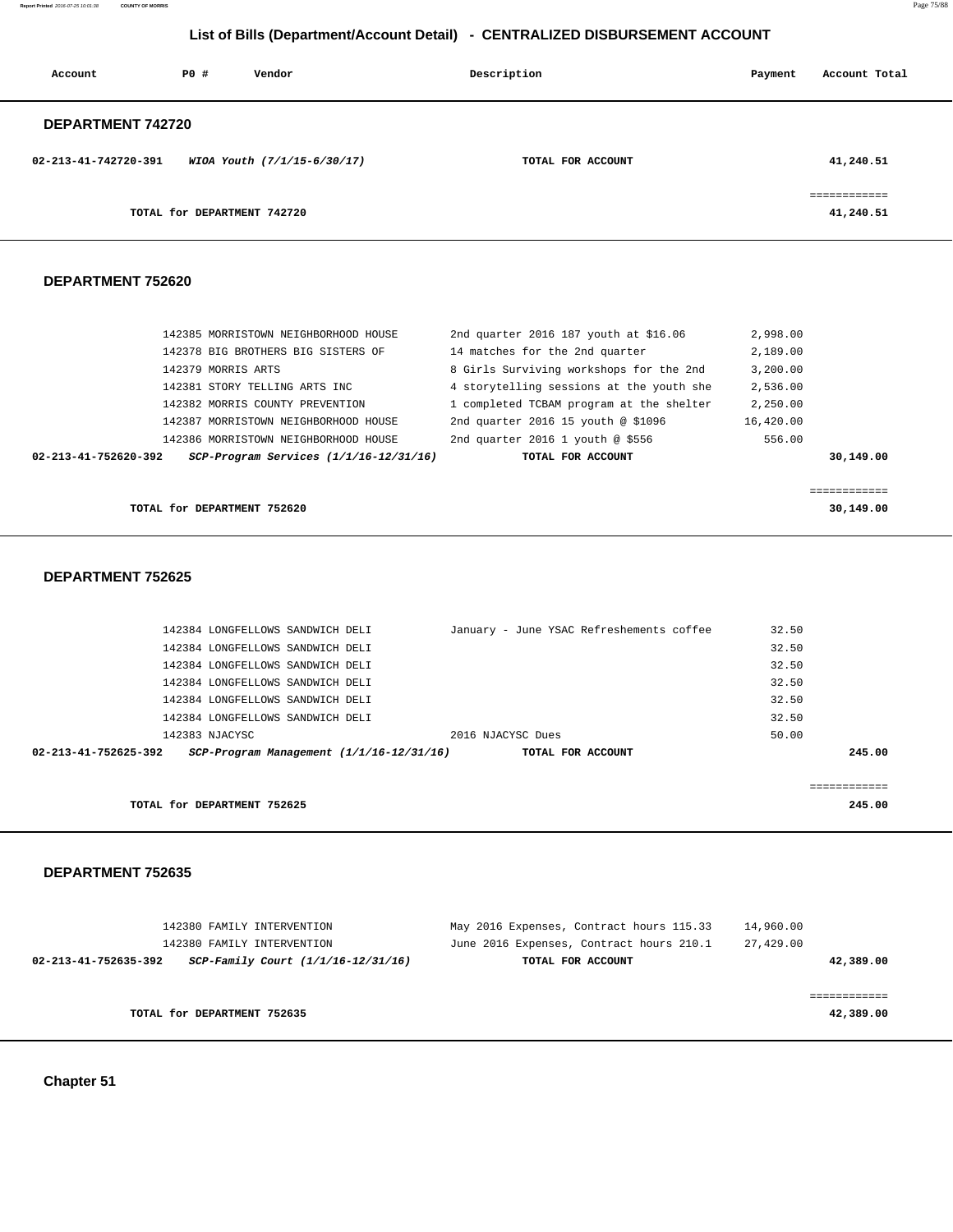**Report Printed** 2016-07-25 10:01:38 **COUNTY OF MORRIS** Page 75/88

# **List of Bills (Department/Account Detail) - CENTRALIZED DISBURSEMENT ACCOUNT**

| Account              | PO#                         | Vendor                      | Description       | Payment | Account Total            |
|----------------------|-----------------------------|-----------------------------|-------------------|---------|--------------------------|
| DEPARTMENT 742720    |                             |                             |                   |         |                          |
| 02-213-41-742720-391 |                             | WIOA Youth (7/1/15-6/30/17) | TOTAL FOR ACCOUNT |         | 41,240.51                |
|                      | TOTAL for DEPARTMENT 742720 |                             |                   |         | eeeeeeeeeee<br>41,240.51 |

### **DEPARTMENT 752620**

| TOTAL for DEPARTMENT 752620                                        |                                          | 30,149.00 |
|--------------------------------------------------------------------|------------------------------------------|-----------|
|                                                                    |                                          |           |
| $SCP-Program$ Services $(1/1/16-12/31/16)$<br>02-213-41-752620-392 | TOTAL FOR ACCOUNT                        | 30,149.00 |
| 142386 MORRISTOWN NEIGHBORHOOD HOUSE                               | 2nd quarter 2016 1 youth @ \$556         | 556.00    |
| 142387 MORRISTOWN NEIGHBORHOOD HOUSE                               | 2nd quarter 2016 15 youth @ \$1096       | 16,420.00 |
| 142382 MORRIS COUNTY PREVENTION                                    | 1 completed TCBAM program at the shelter | 2,250.00  |
| 142381 STORY TELLING ARTS INC                                      | 4 storytelling sessions at the youth she | 2,536.00  |
| 142379 MORRIS ARTS                                                 | 8 Girls Surviving workshops for the 2nd  | 3,200.00  |
| 142378 BIG BROTHERS BIG SISTERS OF                                 | 14 matches for the 2nd quarter           | 2,189.00  |
| 142385 MORRISTOWN NEIGHBORHOOD HOUSE                               | 2nd quarter 2016 187 youth at \$16.06    | 2,998.00  |
|                                                                    |                                          |           |

## **DEPARTMENT 752625**

|                      | 142384 LONGFELLOWS SANDWICH DELI |                                          |                   | January - June YSAC Refreshements coffee | 32.50 |             |
|----------------------|----------------------------------|------------------------------------------|-------------------|------------------------------------------|-------|-------------|
|                      | 142384 LONGFELLOWS SANDWICH DELI |                                          |                   |                                          | 32.50 |             |
|                      | 142384 LONGFELLOWS SANDWICH DELI |                                          |                   |                                          | 32.50 |             |
|                      | 142384 LONGFELLOWS SANDWICH DELI |                                          |                   |                                          | 32.50 |             |
|                      | 142384 LONGFELLOWS SANDWICH DELI |                                          |                   |                                          | 32.50 |             |
|                      | 142384 LONGFELLOWS SANDWICH DELI |                                          |                   |                                          | 32.50 |             |
|                      | 142383 NJACYSC                   |                                          | 2016 NJACYSC Dues |                                          | 50.00 |             |
| 02-213-41-752625-392 |                                  | SCP-Program Management (1/1/16-12/31/16) |                   | TOTAL FOR ACCOUNT                        |       | 245.00      |
|                      |                                  |                                          |                   |                                          |       |             |
|                      |                                  |                                          |                   |                                          |       | =========== |
|                      | TOTAL for DEPARTMENT 752625      |                                          |                   |                                          |       | 245.00      |

|           | 14,960.00 | May 2016 Expenses, Contract hours 115.33 | 142380 FAMILY INTERVENTION                                 |
|-----------|-----------|------------------------------------------|------------------------------------------------------------|
|           | 27,429.00 | June 2016 Expenses, Contract hours 210.1 | 142380 FAMILY INTERVENTION                                 |
| 42,389.00 |           | TOTAL FOR ACCOUNT                        | SCP-Family Court (1/1/16-12/31/16)<br>02-213-41-752635-392 |
|           |           |                                          |                                                            |
|           |           |                                          |                                                            |
| 42,389.00 |           |                                          | TOTAL for DEPARTMENT 752635                                |
|           |           |                                          |                                                            |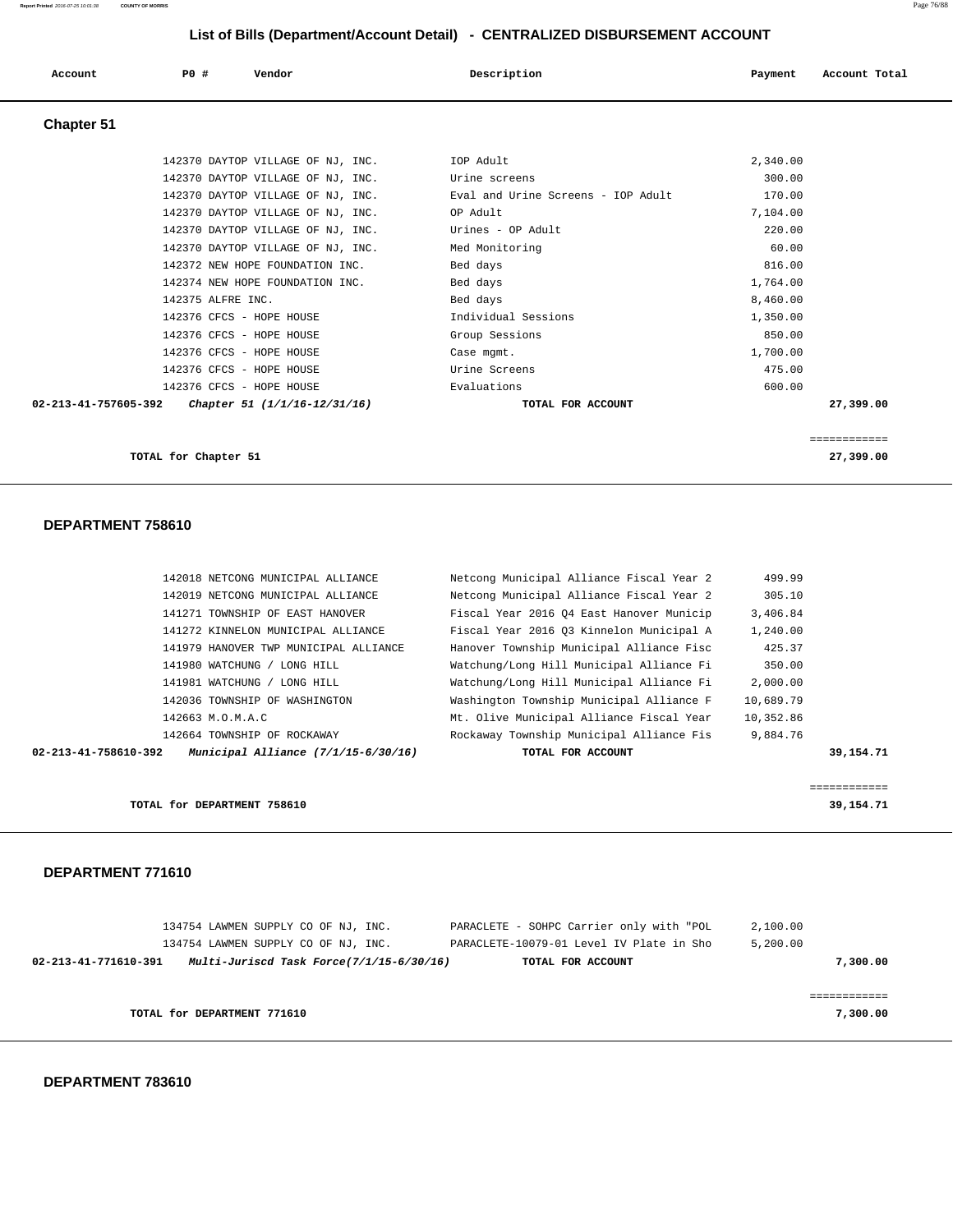| Account    | PO#                      | Vendor                                            | Description                        | Payment  | Account Total |
|------------|--------------------------|---------------------------------------------------|------------------------------------|----------|---------------|
| Chapter 51 |                          |                                                   |                                    |          |               |
|            |                          | 142370 DAYTOP VILLAGE OF NJ, INC.                 | IOP Adult                          | 2,340.00 |               |
|            |                          | 142370 DAYTOP VILLAGE OF NJ, INC.                 | Urine screens                      | 300.00   |               |
|            |                          | 142370 DAYTOP VILLAGE OF NJ, INC.                 | Eval and Urine Screens - IOP Adult | 170.00   |               |
|            |                          | 142370 DAYTOP VILLAGE OF NJ, INC.                 | OP Adult                           | 7,104.00 |               |
|            |                          | 142370 DAYTOP VILLAGE OF NJ, INC.                 | Urines - OP Adult                  | 220.00   |               |
|            |                          | 142370 DAYTOP VILLAGE OF NJ, INC.                 | Med Monitoring                     | 60.00    |               |
|            |                          | 142372 NEW HOPE FOUNDATION INC.                   | Bed days                           | 816.00   |               |
|            |                          | 142374 NEW HOPE FOUNDATION INC.                   | Bed days                           | 1,764.00 |               |
|            | 142375 ALFRE INC.        |                                                   | Bed days                           | 8,460.00 |               |
|            | 142376 CFCS - HOPE HOUSE |                                                   | Individual Sessions                | 1,350.00 |               |
|            | 142376 CFCS - HOPE HOUSE |                                                   | Group Sessions                     | 850.00   |               |
|            | 142376 CFCS - HOPE HOUSE |                                                   | Case mgmt.                         | 1,700.00 |               |
|            | 142376 CFCS - HOPE HOUSE |                                                   | Urine Screens                      | 475.00   |               |
|            | 142376 CFCS - HOPE HOUSE |                                                   | Evaluations                        | 600.00   |               |
|            |                          | 02-213-41-757605-392 Chapter 51 (1/1/16-12/31/16) | TOTAL FOR ACCOUNT                  |          | 27,399.00     |
|            |                          |                                                   |                                    |          | ============  |
|            | TOTAL for Chapter 51     |                                                   |                                    |          | 27,399.00     |

### **DEPARTMENT 758610**

| 02-213-41-758610-392 | Municipal Alliance $(7/1/15-6/30/16)$ | TOTAL FOR ACCOUNT                        |           | 39,154.71 |
|----------------------|---------------------------------------|------------------------------------------|-----------|-----------|
|                      | 142664 TOWNSHIP OF ROCKAWAY           | Rockaway Township Municipal Alliance Fis | 9,884.76  |           |
|                      | 142663 M.O.M.A.C                      | Mt. Olive Municipal Alliance Fiscal Year | 10,352.86 |           |
|                      | 142036 TOWNSHIP OF WASHINGTON         | Washington Township Municipal Alliance F | 10,689.79 |           |
|                      | 141981 WATCHUNG / LONG HILL           | Watchung/Long Hill Municipal Alliance Fi | 2,000.00  |           |
|                      | 141980 WATCHUNG / LONG HILL           | Watchung/Long Hill Municipal Alliance Fi | 350.00    |           |
|                      | 141979 HANOVER TWP MUNICIPAL ALLIANCE | Hanover Township Municipal Alliance Fisc | 425.37    |           |
|                      | 141272 KINNELON MUNICIPAL ALLIANCE    | Fiscal Year 2016 03 Kinnelon Municipal A | 1,240.00  |           |
|                      | 141271 TOWNSHIP OF EAST HANOVER       | Fiscal Year 2016 04 East Hanover Municip | 3,406.84  |           |
|                      | 142019 NETCONG MUNICIPAL ALLIANCE     | Netcong Municipal Alliance Fiscal Year 2 | 305.10    |           |
|                      | 142018 NETCONG MUNICIPAL ALLIANCE     | Netcong Municipal Alliance Fiscal Year 2 | 499.99    |           |

**TOTAL for DEPARTMENT 758610** 39,154.71

## **DEPARTMENT 771610**

| 134754 LAWMEN SUPPLY CO OF NJ, INC. |                                          | PARACLETE - SOHPC Carrier only with "POL | 2,100.00 |
|-------------------------------------|------------------------------------------|------------------------------------------|----------|
| 134754 LAWMEN SUPPLY CO OF NJ, INC. |                                          | PARACLETE-10079-01 Level IV Plate in Sho | 5,200.00 |
| 02-213-41-771610-391                | Multi-Juriscd Task Force(7/1/15-6/30/16) | TOTAL FOR ACCOUNT                        | 7,300.00 |
|                                     |                                          |                                          |          |
|                                     |                                          |                                          |          |
| TOTAL for DEPARTMENT 771610         |                                          |                                          | 7,300,00 |
|                                     |                                          |                                          |          |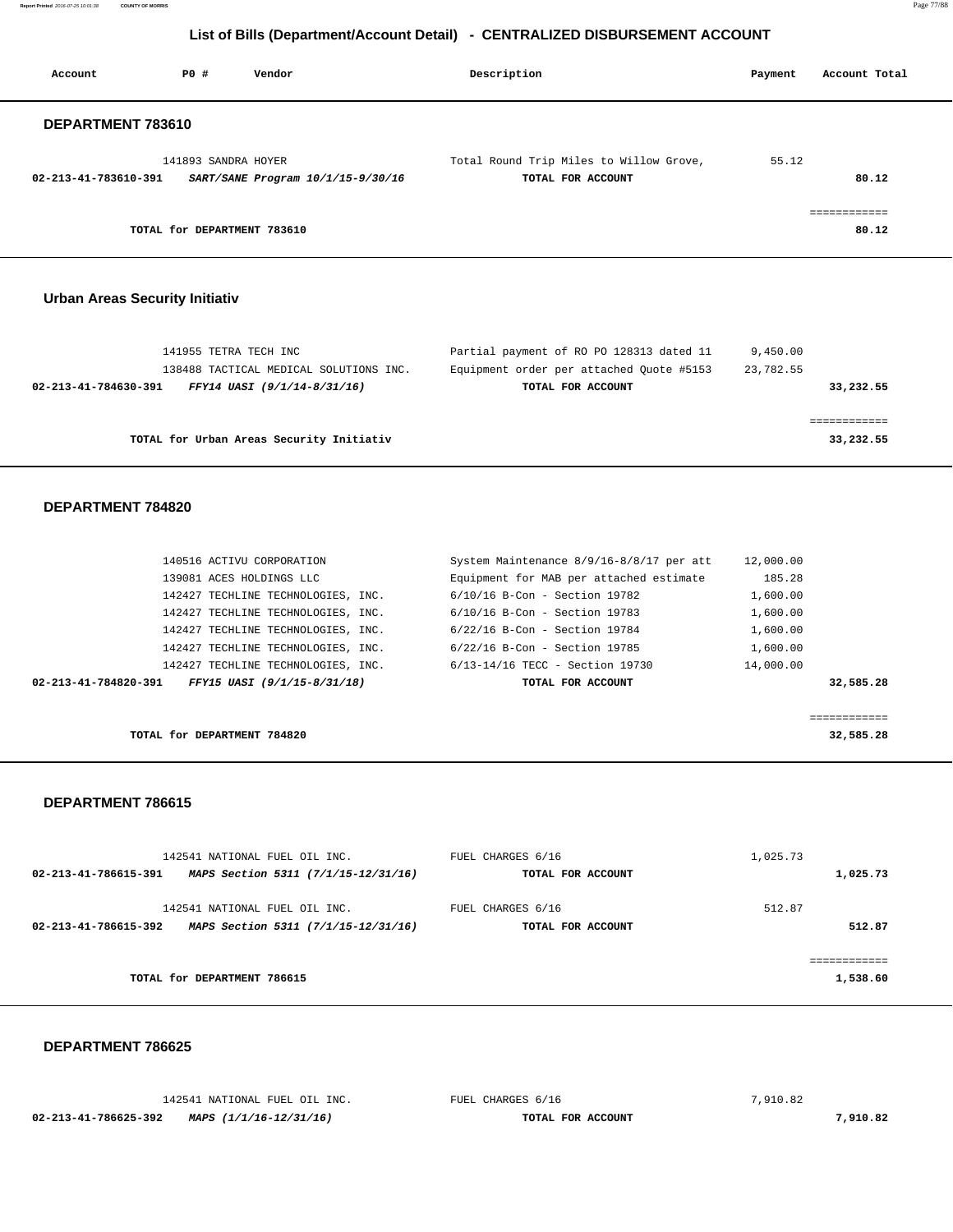**Report Printed** 2016-07-25 10:01:38 **COUNTY OF MORRIS** Page 77/88

# **List of Bills (Department/Account Detail) - CENTRALIZED DISBURSEMENT ACCOUNT**

| Account              | PO#                         | Vendor                            | Description                                                  | Payment | Account Total |
|----------------------|-----------------------------|-----------------------------------|--------------------------------------------------------------|---------|---------------|
| DEPARTMENT 783610    |                             |                                   |                                                              |         |               |
| 02-213-41-783610-391 | 141893 SANDRA HOYER         | SART/SANE Program 10/1/15-9/30/16 | Total Round Trip Miles to Willow Grove,<br>TOTAL FOR ACCOUNT | 55.12   | 80.12         |
|                      |                             |                                   |                                                              |         |               |
|                      | TOTAL for DEPARTMENT 783610 |                                   |                                                              |         | 80.12         |
|                      |                             |                                   |                                                              |         |               |

## **Urban Areas Security Initiativ**

| 141955 TETRA TECH INC<br>138488 TACTICAL MEDICAL SOLUTIONS INC. | Partial payment of RO PO 128313 dated 11<br>Equipment order per attached Ouote #5153 | 9,450.00<br>23,782.55 |
|-----------------------------------------------------------------|--------------------------------------------------------------------------------------|-----------------------|
| FFY14 UASI (9/1/14-8/31/16)<br>02-213-41-784630-391             | TOTAL FOR ACCOUNT                                                                    | 33,232.55             |
|                                                                 |                                                                                      |                       |
| TOTAL for Urban Areas Security Initiativ                        |                                                                                      | 33,232.55             |

## **DEPARTMENT 784820**

| 140516 ACTIVU CORPORATION                           | System Maintenance 8/9/16-8/8/17 per att | 12,000.00 |
|-----------------------------------------------------|------------------------------------------|-----------|
| 139081 ACES HOLDINGS LLC                            | Equipment for MAB per attached estimate  | 185.28    |
| 142427 TECHLINE TECHNOLOGIES, INC.                  | $6/10/16$ B-Con - Section 19782          | 1,600.00  |
| 142427 TECHLINE TECHNOLOGIES, INC.                  | $6/10/16$ B-Con - Section 19783          | 1,600.00  |
| 142427 TECHLINE TECHNOLOGIES, INC.                  | $6/22/16$ B-Con - Section 19784          | 1,600.00  |
| 142427 TECHLINE TECHNOLOGIES, INC.                  | $6/22/16$ B-Con - Section 19785          | 1,600.00  |
| 142427 TECHLINE TECHNOLOGIES, INC.                  | 6/13-14/16 TECC - Section 19730          | 14,000.00 |
| FFY15 UASI (9/1/15-8/31/18)<br>02-213-41-784820-391 | TOTAL FOR ACCOUNT                        | 32,585.28 |
|                                                     |                                          |           |
|                                                     |                                          |           |

**TOTAL for DEPARTMENT 784820 32,585.28**

#### **DEPARTMENT 786615**

|                      | 142541 NATIONAL FUEL OIL INC.       | FUEL CHARGES 6/16 | 1,025.73  |
|----------------------|-------------------------------------|-------------------|-----------|
| 02-213-41-786615-391 | MAPS Section 5311 (7/1/15-12/31/16) | TOTAL FOR ACCOUNT | 1,025.73  |
|                      | 142541 NATIONAL FUEL OIL INC.       | FUEL CHARGES 6/16 | 512.87    |
| 02-213-41-786615-392 | MAPS Section 5311 (7/1/15-12/31/16) | TOTAL FOR ACCOUNT | 512.87    |
|                      |                                     |                   | --------- |
|                      | TOTAL for DEPARTMENT 786615         |                   | 1,538.60  |
|                      |                                     |                   |           |

|                      | 142541 NATIONAL FUEL OIL INC. | FUEL CHARGES 6/16 | 7,910.82 |
|----------------------|-------------------------------|-------------------|----------|
| 02-213-41-786625-392 | MAPS (1/1/16-12/31/16)        | TOTAL FOR ACCOUNT | 7,910.82 |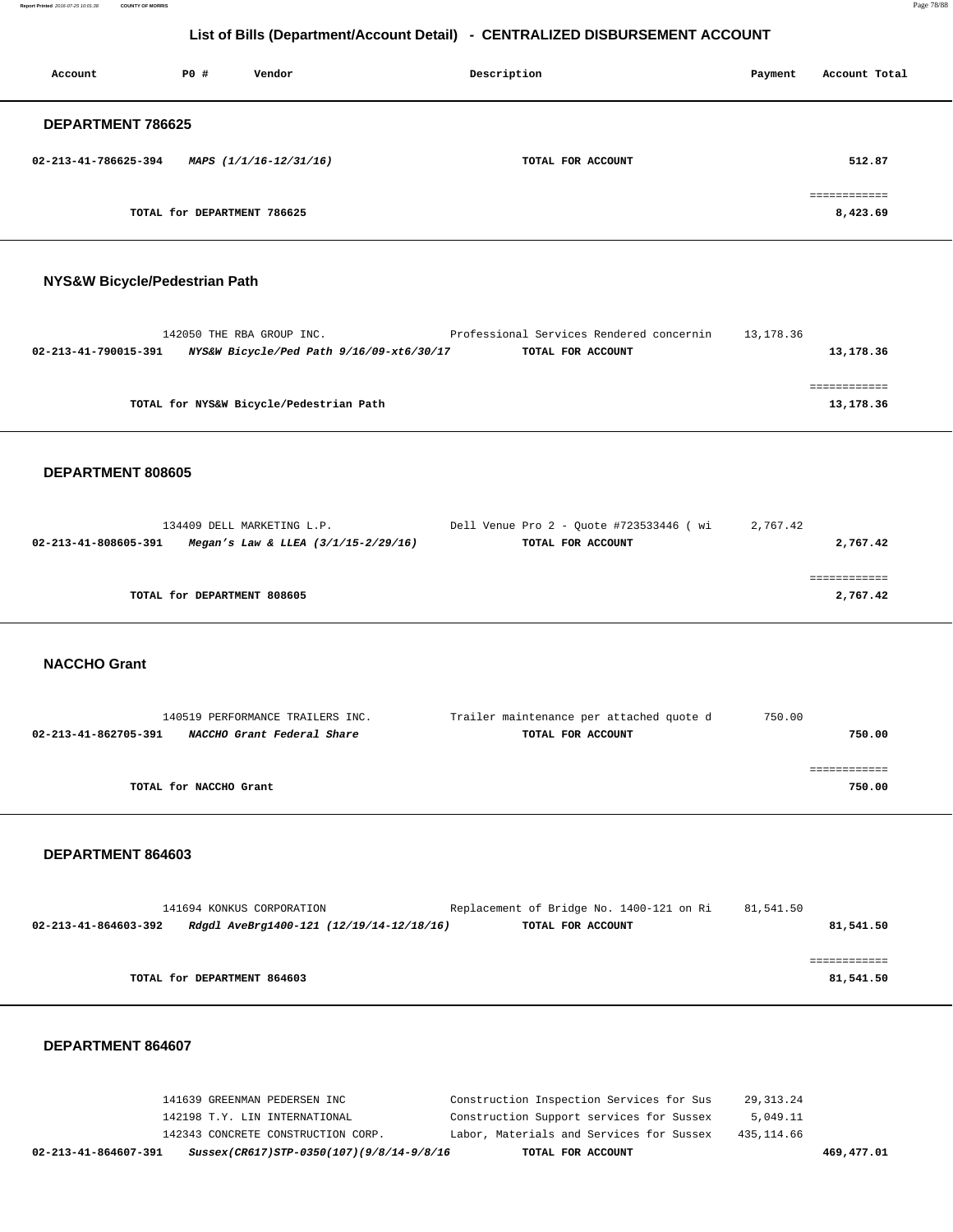**Report Printed** 2016-07-25 10:01:38 **COUNTY OF MORRIS** Page 78/88

# **List of Bills (Department/Account Detail) - CENTRALIZED DISBURSEMENT ACCOUNT**

| Account              | PO#                         | Vendor                 | Description       | Payment | Account Total            |
|----------------------|-----------------------------|------------------------|-------------------|---------|--------------------------|
| DEPARTMENT 786625    |                             |                        |                   |         |                          |
| 02-213-41-786625-394 |                             | MAPS (1/1/16-12/31/16) | TOTAL FOR ACCOUNT |         | 512.87                   |
|                      | TOTAL for DEPARTMENT 786625 |                        |                   |         | ============<br>8,423.69 |

## **NYS&W Bicycle/Pedestrian Path**

|                      | 142050 THE RBA GROUP INC.                | Professional Services Rendered concernin | 13,178.36 |
|----------------------|------------------------------------------|------------------------------------------|-----------|
| 02-213-41-790015-391 | NYS&W Bicycle/Ped Path 9/16/09-xt6/30/17 | TOTAL FOR ACCOUNT                        | 13,178.36 |
|                      |                                          |                                          |           |
|                      |                                          |                                          |           |
|                      | TOTAL for NYS&W Bicycle/Pedestrian Path  |                                          | 13,178.36 |
|                      |                                          |                                          |           |

## **DEPARTMENT 808605**

| 134409 DELL MARKETING L.P.                                      | Dell Venue Pro 2 - Ouote #723533446 ( wi | 2,767.42 |
|-----------------------------------------------------------------|------------------------------------------|----------|
| 02-213-41-808605-391<br>Megan's Law & LLEA $(3/1/15 - 2/29/16)$ | TOTAL FOR ACCOUNT                        | 2,767.42 |
|                                                                 |                                          |          |
|                                                                 |                                          |          |
| TOTAL for DEPARTMENT 808605                                     |                                          | 2,767.42 |
|                                                                 |                                          |          |

# **NACCHO Grant**

| 140519 PERFORMANCE TRAILERS INC.                   | Trailer maintenance per attached quote d | 750.00 |
|----------------------------------------------------|------------------------------------------|--------|
| NACCHO Grant Federal Share<br>02-213-41-862705-391 | TOTAL FOR ACCOUNT                        | 750.00 |
|                                                    |                                          |        |
|                                                    |                                          |        |
| TOTAL for NACCHO Grant                             |                                          | 750.00 |

### **DEPARTMENT 864603**

|                      | 141694 KONKUS CORPORATION                | Replacement of Bridge No. 1400-121 on Ri | 81,541.50 |
|----------------------|------------------------------------------|------------------------------------------|-----------|
| 02-213-41-864603-392 | Rdgdl AveBrg1400-121 (12/19/14-12/18/16) | TOTAL FOR ACCOUNT                        | 81,541.50 |
|                      |                                          |                                          |           |
|                      |                                          |                                          |           |
|                      | TOTAL for DEPARTMENT 864603              |                                          | 81,541.50 |
|                      |                                          |                                          |           |

| 02-213-41-864607-391          | Sussex(CR617)STP-0350(107)(9/8/14-9/8/16 |  | TOTAL FOR ACCOUNT                        |            | 469,477.01 |
|-------------------------------|------------------------------------------|--|------------------------------------------|------------|------------|
|                               | 142343 CONCRETE CONSTRUCTION CORP.       |  | Labor, Materials and Services for Sussex | 435,114.66 |            |
| 142198 T.Y. LIN INTERNATIONAL |                                          |  | Construction Support services for Sussex | 5,049.11   |            |
| 141639 GREENMAN PEDERSEN INC  |                                          |  | Construction Inspection Services for Sus | 29,313.24  |            |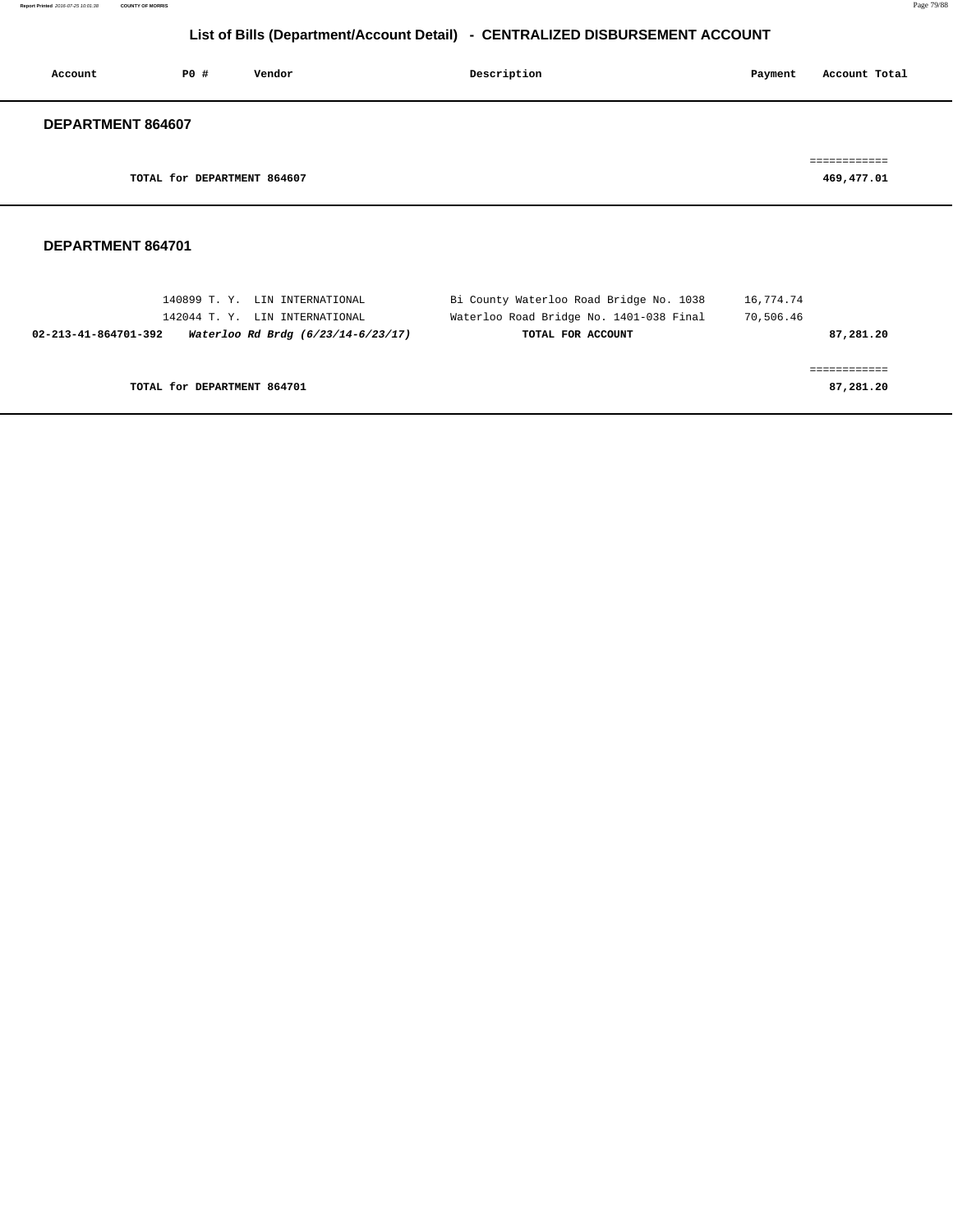| Account           | <b>PO #</b>                 | Vendor | Description | Account Total<br>Payment   |
|-------------------|-----------------------------|--------|-------------|----------------------------|
| DEPARTMENT 864607 |                             |        |             |                            |
|                   | TOTAL for DEPARTMENT 864607 |        |             | ============<br>469,477.01 |
|                   |                             |        |             |                            |

| 140899 T.Y. LIN INTERNATIONAL                              | Bi County Waterloo Road Bridge No. 1038 | 16,774.74 |
|------------------------------------------------------------|-----------------------------------------|-----------|
| 142044 T.Y. LIN INTERNATIONAL                              | Waterloo Road Bridge No. 1401-038 Final | 70,506.46 |
| Waterloo Rd Brdg (6/23/14-6/23/17)<br>02-213-41-864701-392 | TOTAL FOR ACCOUNT                       | 87,281.20 |
|                                                            |                                         |           |
|                                                            |                                         |           |
| TOTAL for DEPARTMENT 864701                                |                                         | 87,281.20 |
|                                                            |                                         |           |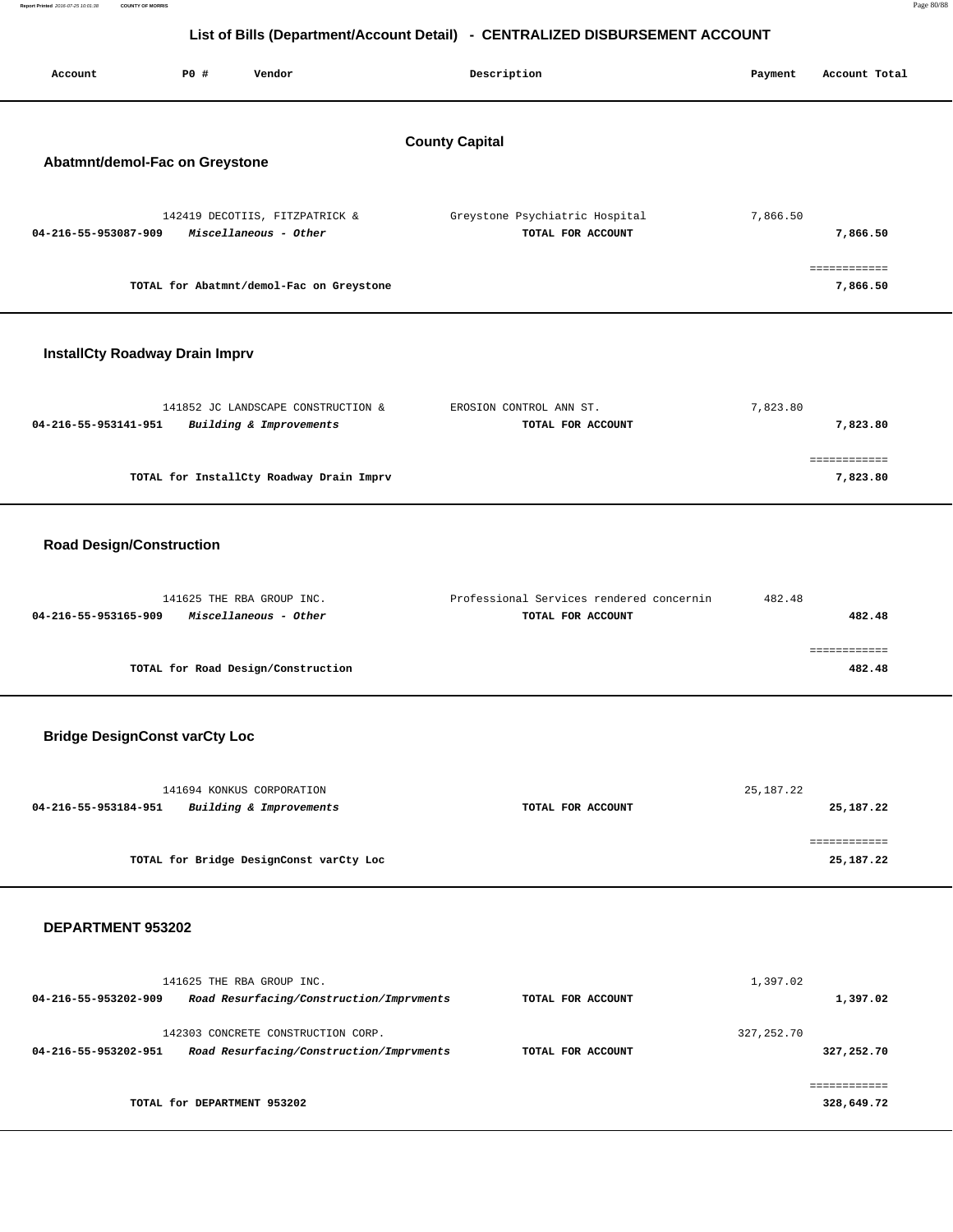| Report Printed 2016-07-25 10:01:38 | <b>COUNTY OF MORRIS</b> |                                                                              | Page 80/88 |
|------------------------------------|-------------------------|------------------------------------------------------------------------------|------------|
|                                    |                         |                                                                              |            |
|                                    |                         | List of Bills (Department/Account Detail) - CENTRALIZED DISBURSEMENT ACCOUNT |            |
|                                    |                         |                                                                              |            |
|                                    |                         |                                                                              |            |

| Account                               | P0 # | Vendor                                                        | Description                                         | Payment  | Account Total            |
|---------------------------------------|------|---------------------------------------------------------------|-----------------------------------------------------|----------|--------------------------|
| Abatmnt/demol-Fac on Greystone        |      |                                                               | <b>County Capital</b>                               |          |                          |
| 04-216-55-953087-909                  |      | 142419 DECOTIIS, FITZPATRICK &<br>Miscellaneous - Other       | Greystone Psychiatric Hospital<br>TOTAL FOR ACCOUNT | 7,866.50 | 7,866.50                 |
|                                       |      | TOTAL for Abatmnt/demol-Fac on Greystone                      |                                                     |          | ============<br>7,866.50 |
| <b>InstallCty Roadway Drain Imprv</b> |      |                                                               |                                                     |          |                          |
| 04-216-55-953141-951                  |      | 141852 JC LANDSCAPE CONSTRUCTION &<br>Building & Improvements | EROSION CONTROL ANN ST.<br>TOTAL FOR ACCOUNT        | 7,823.80 | 7,823.80                 |
|                                       |      | TOTAL for InstallCty Roadway Drain Imprv                      |                                                     |          | ============<br>7,823.80 |
| <b>Road Design/Construction</b>       |      |                                                               |                                                     |          |                          |
|                                       |      |                                                               |                                                     |          |                          |

| 141625 THE RBA GROUP INC.                     | Professional Services rendered concernin | 482.48 |
|-----------------------------------------------|------------------------------------------|--------|
| Miscellaneous - Other<br>04-216-55-953165-909 | TOTAL FOR ACCOUNT                        | 482.48 |
|                                               |                                          |        |
|                                               |                                          |        |
| TOTAL for Road Design/Construction            |                                          | 482.48 |

# **Bridge DesignConst varCty Loc**

| 141694 KONKUS CORPORATION                       |                   | 25,187.22 |
|-------------------------------------------------|-------------------|-----------|
| Building & Improvements<br>04-216-55-953184-951 | TOTAL FOR ACCOUNT | 25,187.22 |
|                                                 |                   |           |
|                                                 |                   |           |
| TOTAL for Bridge DesignConst varCty Loc         |                   | 25,187.22 |

| 141625 THE RBA GROUP INC.<br>Road Resurfacing/Construction/Imprvments<br>04-216-55-953202-909          | 1,397.02<br>TOTAL FOR ACCOUNT    | 1,397.02                 |
|--------------------------------------------------------------------------------------------------------|----------------------------------|--------------------------|
| 142303 CONCRETE CONSTRUCTION CORP.<br>Road Resurfacing/Construction/Imprvments<br>04-216-55-953202-951 | 327, 252.70<br>TOTAL FOR ACCOUNT | 327,252.70               |
| TOTAL for DEPARTMENT 953202                                                                            |                                  | ==========<br>328,649.72 |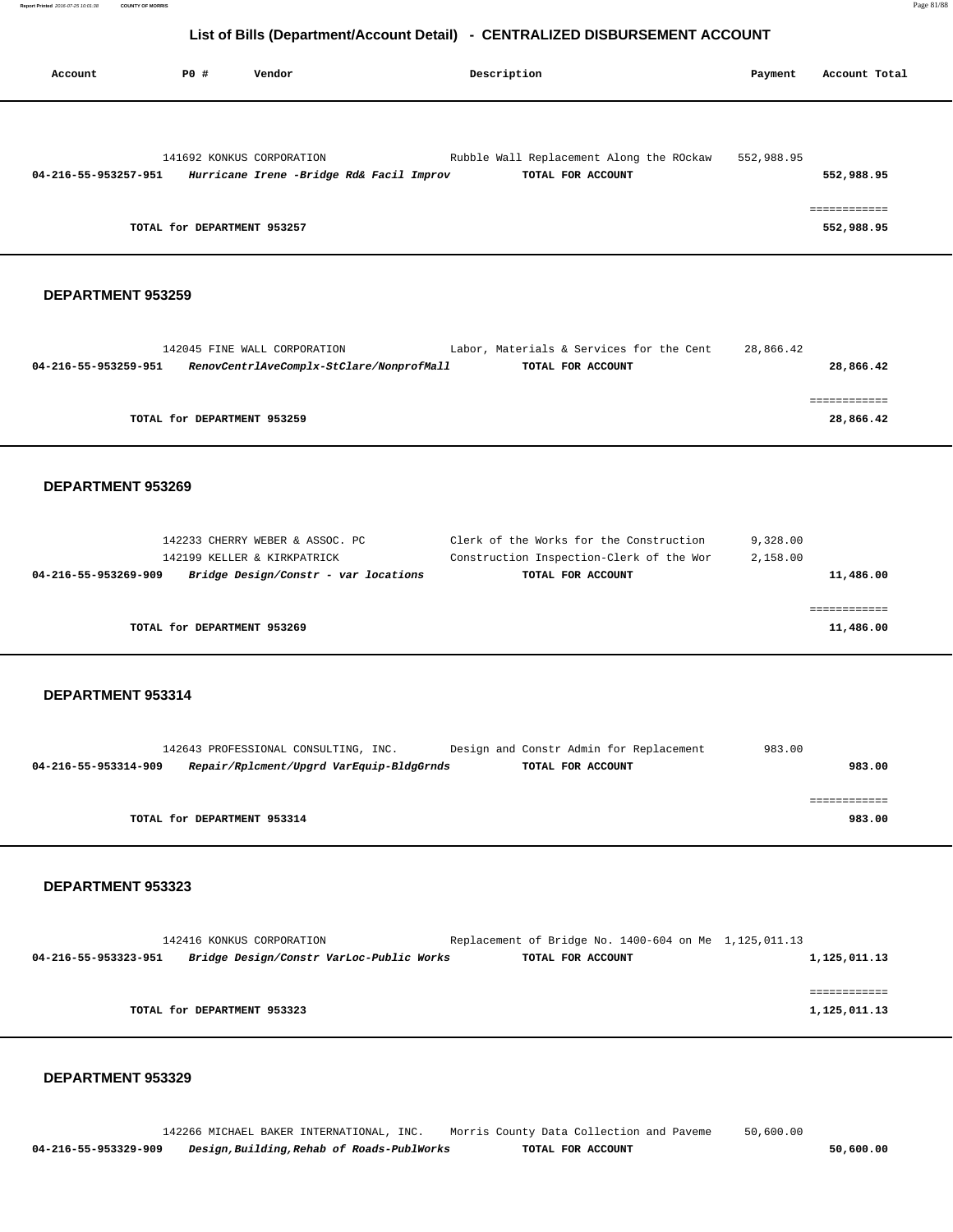| Account              | PO#                         | Vendor                                   | Description                              | Payment    | Account Total |
|----------------------|-----------------------------|------------------------------------------|------------------------------------------|------------|---------------|
|                      |                             |                                          |                                          |            |               |
|                      | 141692 KONKUS CORPORATION   |                                          | Rubble Wall Replacement Along the ROckaw | 552,988.95 |               |
| 04-216-55-953257-951 |                             | Hurricane Irene -Bridge Rd& Facil Improv | TOTAL FOR ACCOUNT                        |            | 552,988.95    |
|                      |                             |                                          |                                          |            |               |
|                      |                             |                                          |                                          |            | ============  |
|                      | TOTAL for DEPARTMENT 953257 |                                          |                                          |            | 552,988.95    |

### **DEPARTMENT 953259**

|                      | 142045 FINE WALL CORPORATION             | Labor, Materials & Services for the Cent | 28,866.42 |
|----------------------|------------------------------------------|------------------------------------------|-----------|
| 04-216-55-953259-951 | RenovCentrlAveComplx-StClare/NonprofMall | TOTAL FOR ACCOUNT                        | 28,866.42 |
|                      |                                          |                                          |           |
|                      |                                          |                                          |           |
|                      | TOTAL for DEPARTMENT 953259              |                                          | 28,866.42 |
|                      |                                          |                                          |           |

#### **DEPARTMENT 953269**

| 142233 CHERRY WEBER & ASSOC. PC                              | Clerk of the Works for the Construction  | 9,328.00  |
|--------------------------------------------------------------|------------------------------------------|-----------|
| 142199 KELLER & KIRKPATRICK                                  | Construction Inspection-Clerk of the Wor | 2,158.00  |
| Bridge Design/Constr - var locations<br>04-216-55-953269-909 | TOTAL FOR ACCOUNT                        | 11,486.00 |
|                                                              |                                          |           |
|                                                              |                                          |           |
| TOTAL for DEPARTMENT 953269                                  |                                          | 11,486.00 |
|                                                              |                                          |           |

#### **DEPARTMENT 953314**

|                      | 142643 PROFESSIONAL CONSULTING, INC.     |  | Design and Constr Admin for Replacement | 983.00 |
|----------------------|------------------------------------------|--|-----------------------------------------|--------|
| 04-216-55-953314-909 | Repair/Rplcment/Upgrd VarEquip-BldgGrnds |  | TOTAL FOR ACCOUNT                       | 983.00 |
|                      |                                          |  |                                         |        |
|                      |                                          |  |                                         |        |
|                      | TOTAL for DEPARTMENT 953314              |  |                                         | 983.00 |

#### **DEPARTMENT 953323**

|                      | 142416 KONKUS CORPORATION                | Replacement of Bridge No. 1400-604 on Me 1,125,011.13 |  |              |
|----------------------|------------------------------------------|-------------------------------------------------------|--|--------------|
| 04-216-55-953323-951 | Bridge Design/Constr VarLoc-Public Works | TOTAL FOR ACCOUNT                                     |  | 1,125,011.13 |
|                      |                                          |                                                       |  |              |
|                      |                                          |                                                       |  |              |
|                      | TOTAL for DEPARTMENT 953323              |                                                       |  | 1,125,011.13 |
|                      |                                          |                                                       |  |              |

## **DEPARTMENT 953329**

 142266 MICHAEL BAKER INTERNATIONAL, INC. Morris County Data Collection and Paveme 50,600.00  **04-216-55-953329-909 Design,Building,Rehab of Roads-PublWorks TOTAL FOR ACCOUNT 50,600.00**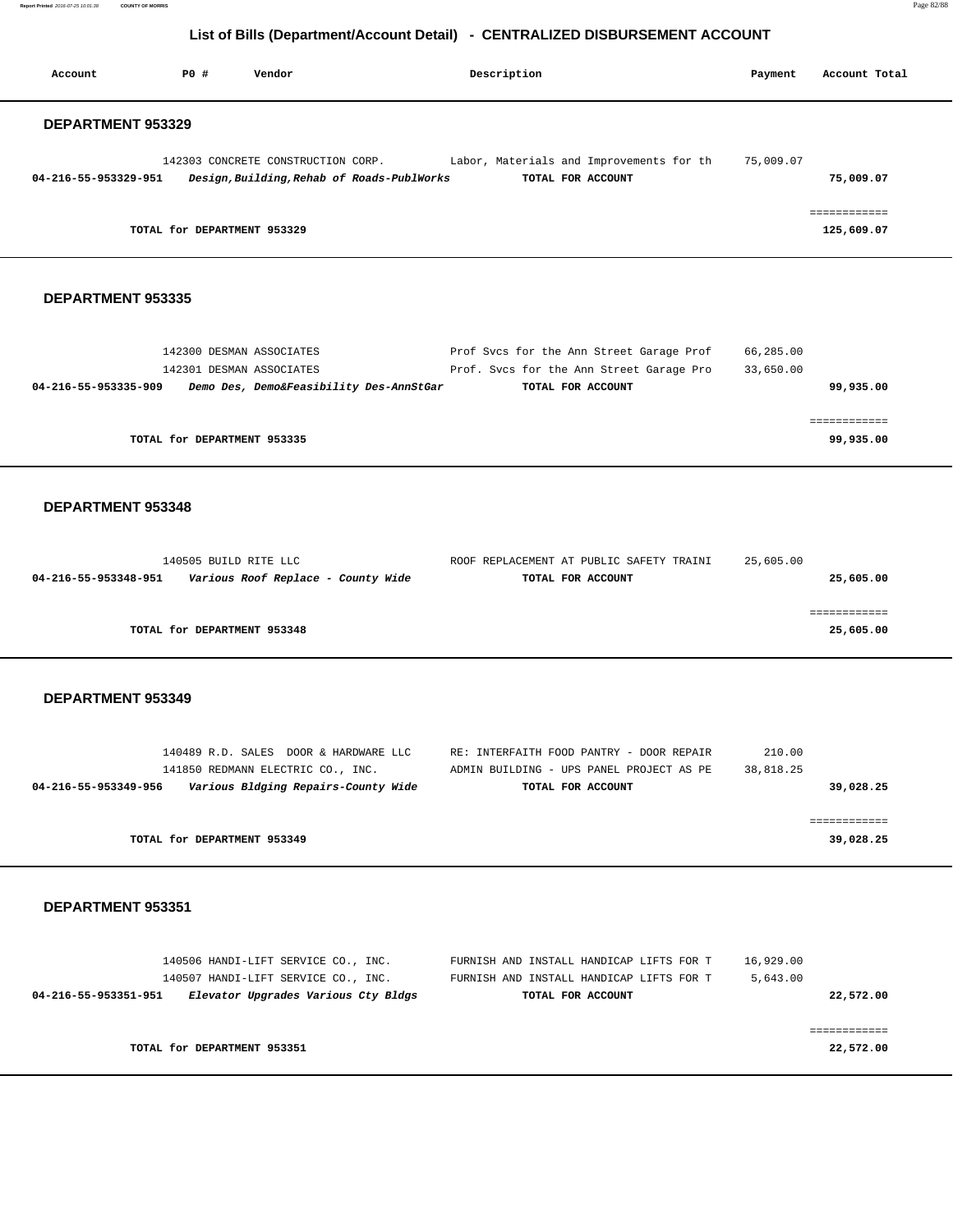**Report Printed** 2016-07-25 10:01:38 **COUNTY OF MORRIS** Page 82/88

# **List of Bills (Department/Account Detail) - CENTRALIZED DISBURSEMENT ACCOUNT**

| PO#<br>Vendor<br>Account                                                                                                                  | Description                                                                                               | Payment                | Account Total              |
|-------------------------------------------------------------------------------------------------------------------------------------------|-----------------------------------------------------------------------------------------------------------|------------------------|----------------------------|
| <b>DEPARTMENT 953329</b>                                                                                                                  |                                                                                                           |                        |                            |
| 142303 CONCRETE CONSTRUCTION CORP.<br>04-216-55-953329-951<br>Design, Building, Rehab of Roads-PublWorks                                  | Labor, Materials and Improvements for th<br>TOTAL FOR ACCOUNT                                             | 75,009.07              | 75,009.07                  |
| TOTAL for DEPARTMENT 953329                                                                                                               |                                                                                                           |                        | ============<br>125,609.07 |
| DEPARTMENT 953335                                                                                                                         |                                                                                                           |                        |                            |
| 142300 DESMAN ASSOCIATES<br>142301 DESMAN ASSOCIATES<br>04-216-55-953335-909<br>Demo Des, Demo&Feasibility Des-AnnStGar                   | Prof Svcs for the Ann Street Garage Prof<br>Prof. Svcs for the Ann Street Garage Pro<br>TOTAL FOR ACCOUNT | 66,285.00<br>33,650.00 | 99,935.00                  |
| TOTAL for DEPARTMENT 953335                                                                                                               |                                                                                                           |                        | ============<br>99,935.00  |
| DEPARTMENT 953348                                                                                                                         |                                                                                                           |                        |                            |
| 140505 BUILD RITE LLC<br>04-216-55-953348-951<br>Various Roof Replace - County Wide                                                       | ROOF REPLACEMENT AT PUBLIC SAFETY TRAINI<br>TOTAL FOR ACCOUNT                                             | 25,605.00              | 25,605.00                  |
| TOTAL for DEPARTMENT 953348                                                                                                               |                                                                                                           |                        | ============<br>25,605.00  |
| <b>DEPARTMENT 953349</b>                                                                                                                  |                                                                                                           |                        |                            |
| 140489 R.D. SALES DOOR & HARDWARE LLC<br>141850 REDMANN ELECTRIC CO., INC.<br>Various Bldging Repairs-County Wide<br>04-216-55-953349-956 | RE: INTERFAITH FOOD PANTRY - DOOR REPAIR<br>ADMIN BUILDING - UPS PANEL PROJECT AS PE<br>TOTAL FOR ACCOUNT | 210.00<br>38,818.25    | 39,028.25                  |
| TOTAL for DEPARTMENT 953349                                                                                                               |                                                                                                           |                        | ============<br>39,028.25  |
| DEPARTMENT 953351                                                                                                                         |                                                                                                           |                        |                            |
| 140506 HANDI-LIFT SERVICE CO., INC.<br>140507 HANDI-LIFT SERVICE CO., INC.<br>Elevator Upgrades Various Cty Bldgs<br>04-216-55-953351-951 | FURNISH AND INSTALL HANDICAP LIFTS FOR T<br>FURNISH AND INSTALL HANDICAP LIFTS FOR T<br>TOTAL FOR ACCOUNT | 16,929.00<br>5,643.00  | 22,572.00                  |
| TOTAL for DEPARTMENT 953351                                                                                                               |                                                                                                           |                        | ============<br>22,572.00  |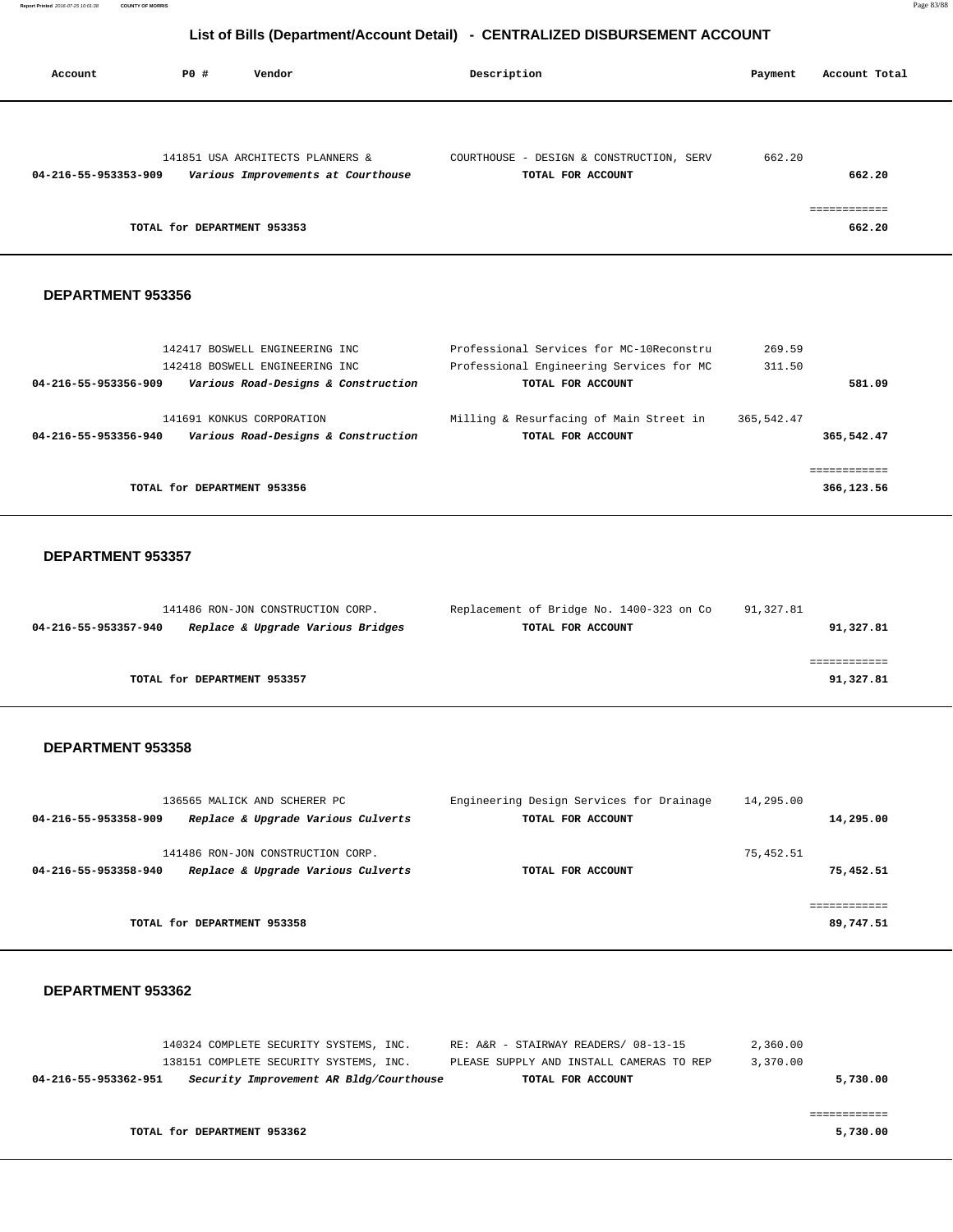| Account              | P0 # | Vendor                                                                                                  | Description                                                                                               | Payment          | Account Total              |
|----------------------|------|---------------------------------------------------------------------------------------------------------|-----------------------------------------------------------------------------------------------------------|------------------|----------------------------|
| 04-216-55-953353-909 |      | 141851 USA ARCHITECTS PLANNERS &<br>Various Improvements at Courthouse                                  | COURTHOUSE - DESIGN & CONSTRUCTION, SERV<br>TOTAL FOR ACCOUNT                                             | 662.20           | 662.20                     |
|                      |      | TOTAL for DEPARTMENT 953353                                                                             |                                                                                                           |                  | ============<br>662.20     |
| DEPARTMENT 953356    |      |                                                                                                         |                                                                                                           |                  |                            |
| 04-216-55-953356-909 |      | 142417 BOSWELL ENGINEERING INC<br>142418 BOSWELL ENGINEERING INC<br>Various Road-Designs & Construction | Professional Services for MC-10Reconstru<br>Professional Engineering Services for MC<br>TOTAL FOR ACCOUNT | 269.59<br>311.50 | 581.09                     |
| 04-216-55-953356-940 |      | 141691 KONKUS CORPORATION<br>Various Road-Designs & Construction                                        | Milling & Resurfacing of Main Street in<br>TOTAL FOR ACCOUNT                                              | 365, 542.47      | 365,542.47                 |
|                      |      | TOTAL for DEPARTMENT 953356                                                                             |                                                                                                           |                  | ============<br>366,123.56 |
| DEPARTMENT 953357    |      |                                                                                                         |                                                                                                           |                  |                            |
| 04-216-55-953357-940 |      | 141486 RON-JON CONSTRUCTION CORP.<br>Replace & Upgrade Various Bridges                                  | Replacement of Bridge No. 1400-323 on Co<br>TOTAL FOR ACCOUNT                                             | 91,327.81        | 91,327.81                  |
|                      |      | TOTAL for DEPARTMENT 953357                                                                             |                                                                                                           |                  | ============<br>91,327.81  |

## **DEPARTMENT 953358**

| 136565 MALICK AND SCHERER PC                               | Engineering Design Services for Drainage | 14,295.00 |
|------------------------------------------------------------|------------------------------------------|-----------|
| Replace & Upgrade Various Culverts<br>04-216-55-953358-909 | TOTAL FOR ACCOUNT                        | 14,295.00 |
| 141486 RON-JON CONSTRUCTION CORP.                          |                                          | 75,452.51 |
| Replace & Upgrade Various Culverts<br>04-216-55-953358-940 | TOTAL FOR ACCOUNT                        | 75,452.51 |
|                                                            |                                          |           |
| TOTAL for DEPARTMENT 953358                                |                                          | 89,747.51 |

|                      |                             | 140324 COMPLETE SECURITY SYSTEMS, INC. |                                         | RE: A&R - STAIRWAY READERS/ 08-13-15     |                   |  | 2,360.00 |          |
|----------------------|-----------------------------|----------------------------------------|-----------------------------------------|------------------------------------------|-------------------|--|----------|----------|
|                      |                             | 138151 COMPLETE SECURITY SYSTEMS, INC. |                                         | PLEASE SUPPLY AND INSTALL CAMERAS TO REP |                   |  | 3,370.00 |          |
| 04-216-55-953362-951 |                             |                                        | Security Improvement AR Bldg/Courthouse |                                          | TOTAL FOR ACCOUNT |  |          | 5,730.00 |
|                      |                             |                                        |                                         |                                          |                   |  |          |          |
|                      |                             |                                        |                                         |                                          |                   |  |          |          |
|                      | TOTAL for DEPARTMENT 953362 |                                        |                                         |                                          |                   |  |          | 5,730.00 |
|                      |                             |                                        |                                         |                                          |                   |  |          |          |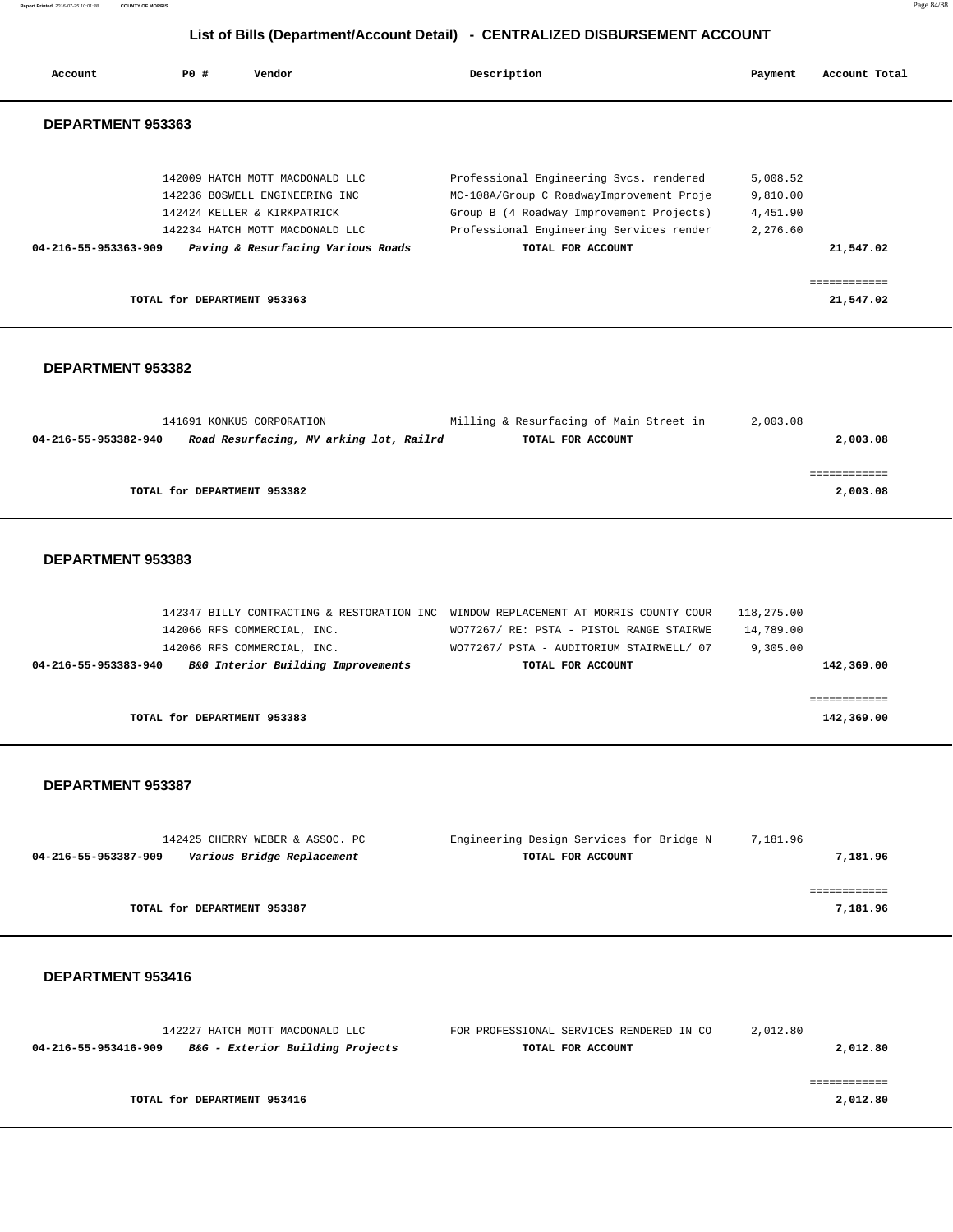**Report Printed** 2016-07-25 10:01:38 **COUNTY OF MORRIS** Page 84/88

# **List of Bills (Department/Account Detail) - CENTRALIZED DISBURSEMENT ACCOUNT**

| Account              | PO#                         | Vendor                                                                                                                              | Description                                                                                                                                                                 | Payment                                      | Account Total             |
|----------------------|-----------------------------|-------------------------------------------------------------------------------------------------------------------------------------|-----------------------------------------------------------------------------------------------------------------------------------------------------------------------------|----------------------------------------------|---------------------------|
| DEPARTMENT 953363    |                             |                                                                                                                                     |                                                                                                                                                                             |                                              |                           |
|                      |                             | 142009 HATCH MOTT MACDONALD LLC<br>142236 BOSWELL ENGINEERING INC<br>142424 KELLER & KIRKPATRICK<br>142234 HATCH MOTT MACDONALD LLC | Professional Engineering Svcs. rendered<br>MC-108A/Group C RoadwayImprovement Proje<br>Group B (4 Roadway Improvement Projects)<br>Professional Engineering Services render | 5,008.52<br>9,810.00<br>4,451.90<br>2,276.60 |                           |
| 04-216-55-953363-909 |                             | Paving & Resurfacing Various Roads                                                                                                  | TOTAL FOR ACCOUNT                                                                                                                                                           |                                              | 21,547.02                 |
|                      | TOTAL for DEPARTMENT 953363 |                                                                                                                                     |                                                                                                                                                                             |                                              | ------------<br>21,547.02 |

## **DEPARTMENT 953382**

|                      | 141691 KONKUS CORPORATION               | Milling & Resurfacing of Main Street in | 2,003.08 |          |
|----------------------|-----------------------------------------|-----------------------------------------|----------|----------|
| 04-216-55-953382-940 | Road Resurfacing, MV arking lot, Railrd | TOTAL FOR ACCOUNT                       |          | 2,003.08 |
|                      |                                         |                                         |          |          |
|                      |                                         |                                         |          |          |
|                      | TOTAL for DEPARTMENT 953382             |                                         |          | 2,003.08 |

# **DEPARTMENT 953383**

|                      | 142347 BILLY CONTRACTING & RESTORATION INC WINDOW REPLACEMENT AT MORRIS COUNTY COUR |                                          | 118,275.00 |
|----------------------|-------------------------------------------------------------------------------------|------------------------------------------|------------|
|                      | 142066 RFS COMMERCIAL, INC.                                                         | WO77267/ RE: PSTA - PISTOL RANGE STAIRWE | 14,789.00  |
|                      | 142066 RFS COMMERCIAL, INC.                                                         | WO77267/ PSTA - AUDITORIUM STAIRWELL/ 07 | 9,305.00   |
| 04-216-55-953383-940 | B&G Interior Building Improvements                                                  | TOTAL FOR ACCOUNT                        | 142,369.00 |
|                      |                                                                                     |                                          |            |
|                      |                                                                                     |                                          |            |
|                      | TOTAL for DEPARTMENT 953383                                                         |                                          | 142,369.00 |

#### **DEPARTMENT 953387**

| 142425 CHERRY WEBER & ASSOC. PC                    | Engineering Design Services for Bridge N | 7,181.96 |
|----------------------------------------------------|------------------------------------------|----------|
| Various Bridge Replacement<br>04-216-55-953387-909 | TOTAL FOR ACCOUNT                        | 7,181.96 |
|                                                    |                                          |          |
|                                                    |                                          |          |
| TOTAL for DEPARTMENT 953387                        |                                          | 7,181.96 |

| 142227 HATCH MOTT MACDONALD LLC                          | FOR PROFESSIONAL SERVICES RENDERED IN CO | 2,012.80 |
|----------------------------------------------------------|------------------------------------------|----------|
| B&G - Exterior Building Projects<br>04-216-55-953416-909 | TOTAL FOR ACCOUNT                        | 2,012.80 |
|                                                          |                                          |          |
|                                                          |                                          |          |
| TOTAL for DEPARTMENT 953416                              |                                          | 2,012.80 |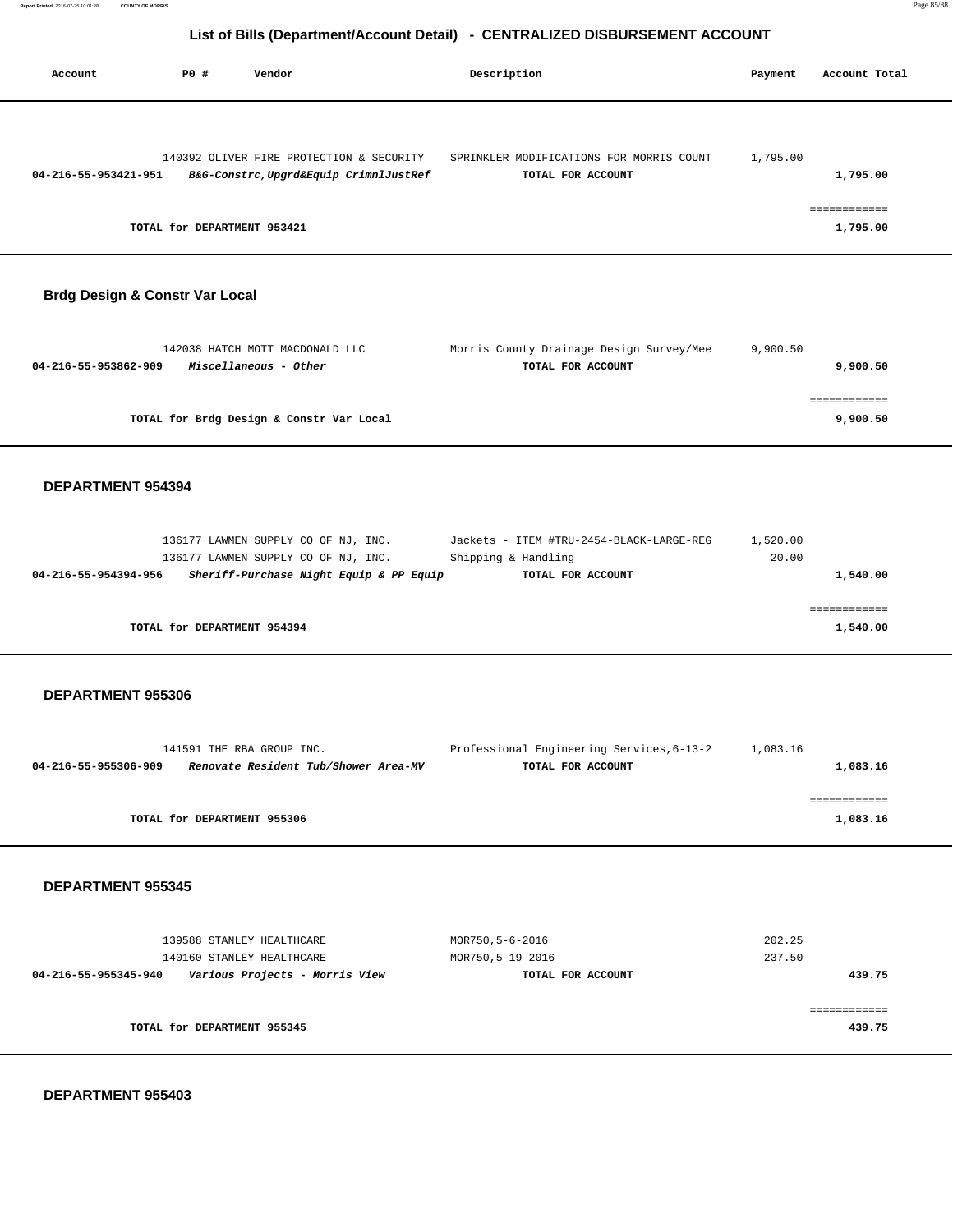| Account              | PO#                         | Vendor                                                                             | Description                                                   | Payment  | Account Total            |
|----------------------|-----------------------------|------------------------------------------------------------------------------------|---------------------------------------------------------------|----------|--------------------------|
| 04-216-55-953421-951 |                             | 140392 OLIVER FIRE PROTECTION & SECURITY<br>B&G-Constrc, Upgrd&Equip CrimnlJustRef | SPRINKLER MODIFICATIONS FOR MORRIS COUNT<br>TOTAL FOR ACCOUNT | 1,795.00 | 1,795.00                 |
|                      | TOTAL for DEPARTMENT 953421 |                                                                                    |                                                               |          | ------------<br>1,795.00 |

# **Brdg Design & Constr Var Local**

| 142038 HATCH MOTT MACDONALD LLC               | Morris County Drainage Design Survey/Mee | 9,900.50 |
|-----------------------------------------------|------------------------------------------|----------|
| Miscellaneous - Other<br>04-216-55-953862-909 | TOTAL FOR ACCOUNT                        | 9,900.50 |
|                                               |                                          |          |
|                                               |                                          |          |
| TOTAL for Brdg Design & Constr Var Local      |                                          | 9,900.50 |
|                                               |                                          |          |

### **DEPARTMENT 954394**

|                      | 136177 LAWMEN SUPPLY CO OF NJ, INC. |  |                                         | Jackets - ITEM #TRU-2454-BLACK-LARGE-REG | 1,520.00 |          |
|----------------------|-------------------------------------|--|-----------------------------------------|------------------------------------------|----------|----------|
|                      | 136177 LAWMEN SUPPLY CO OF NJ, INC. |  |                                         | Shipping & Handling                      | 20.00    |          |
| 04-216-55-954394-956 |                                     |  | Sheriff-Purchase Night Equip & PP Equip | TOTAL FOR ACCOUNT                        |          | 1,540.00 |
|                      |                                     |  |                                         |                                          |          |          |
|                      |                                     |  |                                         |                                          |          |          |
|                      | TOTAL for DEPARTMENT 954394         |  |                                         |                                          |          | 1,540.00 |
|                      |                                     |  |                                         |                                          |          |          |

# **DEPARTMENT 955306**

| 141591 THE RBA GROUP INC.                                    | Professional Engineering Services, 6-13-2 | 1,083.16 |
|--------------------------------------------------------------|-------------------------------------------|----------|
| Renovate Resident Tub/Shower Area-MV<br>04-216-55-955306-909 | TOTAL FOR ACCOUNT                         | 1,083.16 |
|                                                              |                                           |          |
|                                                              |                                           |          |
| TOTAL for DEPARTMENT 955306                                  |                                           | 1,083.16 |
|                                                              |                                           |          |

#### **DEPARTMENT 955345**

| 139588 STANLEY HEALTHCARE<br>140160 STANLEY HEALTHCARE | MOR750,5-6-2016<br>MOR750,5-19-2016 | 202.25<br>237.50 |
|--------------------------------------------------------|-------------------------------------|------------------|
| Various Projects - Morris View<br>04-216-55-955345-940 | TOTAL FOR ACCOUNT                   | 439.75           |
| TOTAL for DEPARTMENT 955345                            |                                     | 439.75           |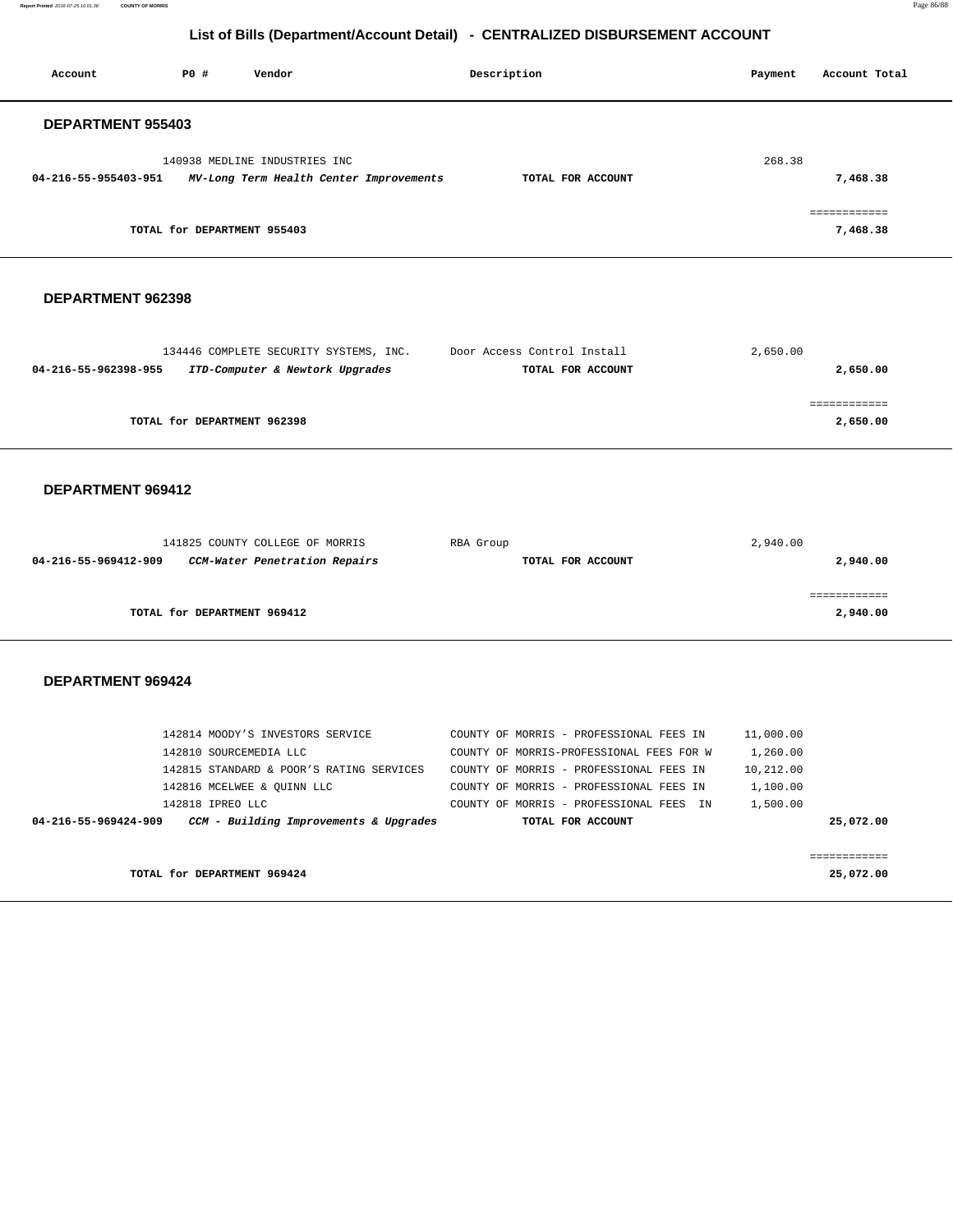**Report Printed** 2016-07-25 10:01:38 **COUNTY OF MORRIS** Page 86/88

# **List of Bills (Department/Account Detail) - CENTRALIZED DISBURSEMENT ACCOUNT**

| Account                                                                                                                         | PO#                         | Vendor                                                           | Description                                                  | Payment   | Account Total             |  |  |
|---------------------------------------------------------------------------------------------------------------------------------|-----------------------------|------------------------------------------------------------------|--------------------------------------------------------------|-----------|---------------------------|--|--|
| DEPARTMENT 955403                                                                                                               |                             |                                                                  |                                                              |           |                           |  |  |
| 268.38<br>140938 MEDLINE INDUSTRIES INC<br>04-216-55-955403-951<br>MV-Long Term Health Center Improvements<br>TOTAL FOR ACCOUNT |                             |                                                                  |                                                              |           |                           |  |  |
|                                                                                                                                 |                             |                                                                  |                                                              |           | 7,468.38<br>============  |  |  |
|                                                                                                                                 | TOTAL for DEPARTMENT 955403 |                                                                  |                                                              |           | 7,468.38                  |  |  |
| DEPARTMENT 962398                                                                                                               |                             |                                                                  |                                                              |           |                           |  |  |
|                                                                                                                                 |                             | 134446 COMPLETE SECURITY SYSTEMS, INC.                           | Door Access Control Install                                  | 2,650.00  |                           |  |  |
| 04-216-55-962398-955                                                                                                            |                             | ITD-Computer & Newtork Upgrades                                  | TOTAL FOR ACCOUNT                                            |           | 2,650.00                  |  |  |
|                                                                                                                                 | TOTAL for DEPARTMENT 962398 |                                                                  |                                                              |           | ============<br>2,650.00  |  |  |
| DEPARTMENT 969412                                                                                                               |                             |                                                                  |                                                              |           |                           |  |  |
|                                                                                                                                 |                             |                                                                  |                                                              |           |                           |  |  |
| 04-216-55-969412-909                                                                                                            |                             | 141825 COUNTY COLLEGE OF MORRIS<br>CCM-Water Penetration Repairs | RBA Group<br>TOTAL FOR ACCOUNT                               | 2,940.00  | 2,940.00                  |  |  |
|                                                                                                                                 | TOTAL for DEPARTMENT 969412 |                                                                  |                                                              |           | ============<br>2,940.00  |  |  |
|                                                                                                                                 |                             |                                                                  |                                                              |           |                           |  |  |
| DEPARTMENT 969424                                                                                                               |                             |                                                                  |                                                              |           |                           |  |  |
|                                                                                                                                 |                             | 142814 MOODY'S INVESTORS SERVICE                                 | COUNTY OF MORRIS - PROFESSIONAL FEES IN                      | 11,000.00 |                           |  |  |
|                                                                                                                                 | 142810 SOURCEMEDIA LLC      |                                                                  | COUNTY OF MORRIS-PROFESSIONAL FEES FOR W                     | 1,260.00  |                           |  |  |
|                                                                                                                                 |                             | 142815 STANDARD & POOR'S RATING SERVICES                         | COUNTY OF MORRIS - PROFESSIONAL FEES IN                      | 10,212.00 |                           |  |  |
|                                                                                                                                 |                             | 142816 MCELWEE & QUINN LLC                                       | COUNTY OF MORRIS - PROFESSIONAL FEES IN                      | 1,100.00  |                           |  |  |
| 04-216-55-969424-909                                                                                                            | 142818 IPREO LLC            | CCM - Building Improvements & Upgrades                           | COUNTY OF MORRIS - PROFESSIONAL FEES IN<br>TOTAL FOR ACCOUNT | 1,500.00  | 25,072.00                 |  |  |
|                                                                                                                                 |                             |                                                                  |                                                              |           |                           |  |  |
|                                                                                                                                 | TOTAL for DEPARTMENT 969424 |                                                                  |                                                              |           | ============<br>25,072.00 |  |  |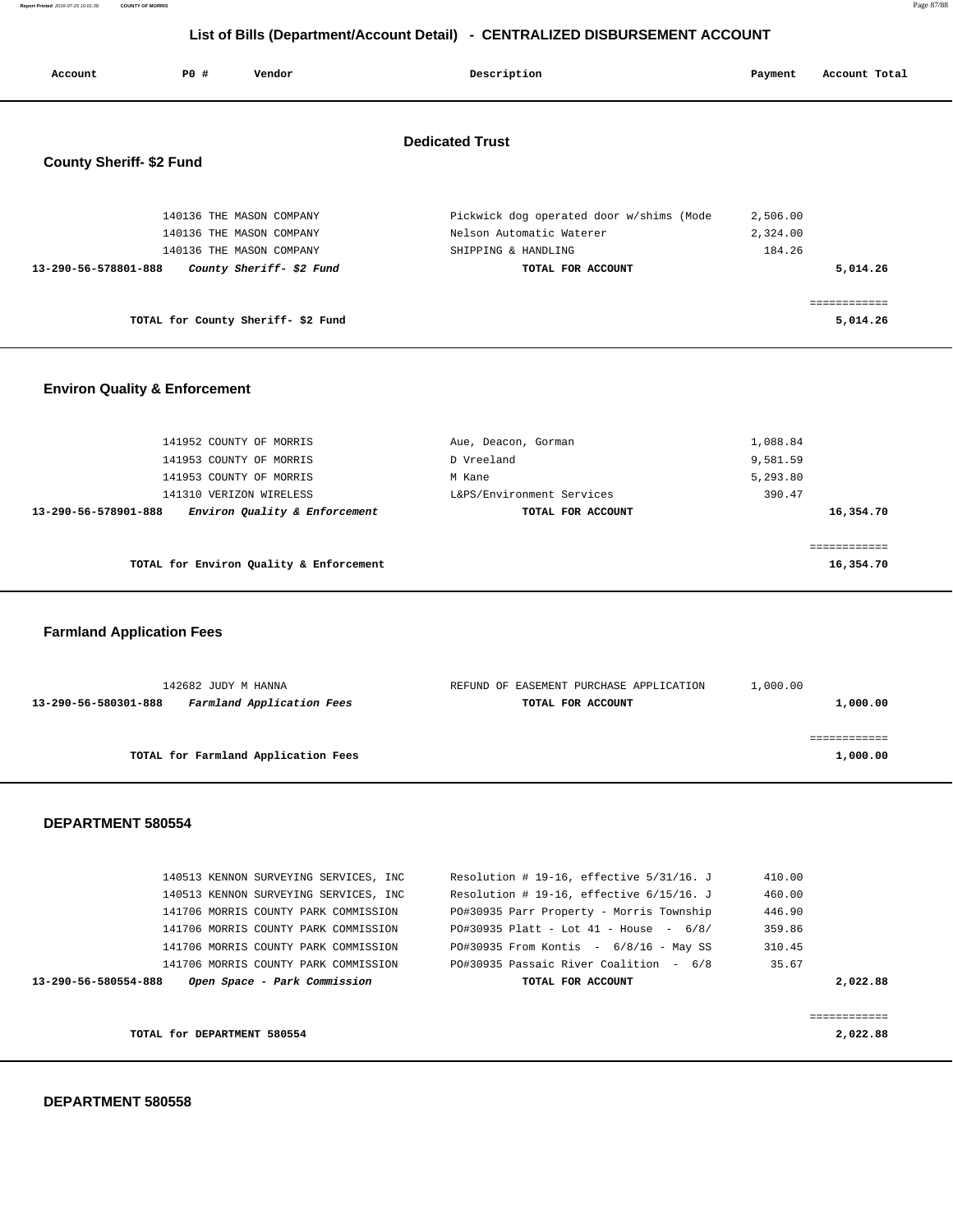**Report Printed** 2016-07-25 10:01:38 **COUNTY OF MORRIS** Page 87/88

# **List of Bills (Department/Account Detail) - CENTRALIZED DISBURSEMENT ACCOUNT**

| Account                                  | <b>PO #</b> | Vendor                                                                                                       | Description                                                                                                      | Payment                        | Account Total            |
|------------------------------------------|-------------|--------------------------------------------------------------------------------------------------------------|------------------------------------------------------------------------------------------------------------------|--------------------------------|--------------------------|
| <b>County Sheriff- \$2 Fund</b>          |             |                                                                                                              | <b>Dedicated Trust</b>                                                                                           |                                |                          |
| 13-290-56-578801-888                     |             | 140136 THE MASON COMPANY<br>140136 THE MASON COMPANY<br>140136 THE MASON COMPANY<br>County Sheriff- \$2 Fund | Pickwick dog operated door w/shims (Mode<br>Nelson Automatic Waterer<br>SHIPPING & HANDLING<br>TOTAL FOR ACCOUNT | 2,506.00<br>2,324.00<br>184.26 | 5,014.26                 |
| TOTAL for County Sheriff-\$2 Fund        |             |                                                                                                              |                                                                                                                  |                                | ============<br>5,014.26 |
| <b>Environ Quality &amp; Enforcement</b> |             |                                                                                                              |                                                                                                                  |                                |                          |

| TOTAL for Environ Quality & Enforcement               |                           |           |
|-------------------------------------------------------|---------------------------|-----------|
| Environ Quality & Enforcement<br>13-290-56-578901-888 | TOTAL FOR ACCOUNT         | 16,354.70 |
| 141310 VERIZON WIRELESS                               | L&PS/Environment Services | 390.47    |
| 141953 COUNTY OF MORRIS                               | M Kane                    | 5,293.80  |
| 141953 COUNTY OF MORRIS                               | D Vreeland                | 9,581.59  |
| 141952 COUNTY OF MORRIS                               | Aue, Deacon, Gorman       | 1,088.84  |

 **Farmland Application Fees**

| 142682 JUDY M HANNA                               | REFUND OF EASEMENT PURCHASE APPLICATION | 1,000.00 |
|---------------------------------------------------|-----------------------------------------|----------|
| Farmland Application Fees<br>13-290-56-580301-888 | TOTAL FOR ACCOUNT                       | 1,000.00 |
|                                                   |                                         |          |
|                                                   |                                         |          |
| TOTAL for Farmland Application Fees               |                                         | 1,000.00 |
|                                                   |                                         |          |

| 140513 KENNON SURVEYING SERVICES, INC                | Resolution # 19-16, effective $5/31/16$ . J | 410.00 |             |
|------------------------------------------------------|---------------------------------------------|--------|-------------|
| 140513 KENNON SURVEYING SERVICES, INC                | Resolution # 19-16, effective $6/15/16$ . J | 460.00 |             |
| 141706 MORRIS COUNTY PARK COMMISSION                 | PO#30935 Parr Property - Morris Township    | 446.90 |             |
| 141706 MORRIS COUNTY PARK COMMISSION                 | $PO#30935$ Platt - Lot 41 - House - 6/8/    | 359.86 |             |
| 141706 MORRIS COUNTY PARK COMMISSION                 | $PO#30935$ From Kontis - $6/8/16$ - May SS  | 310.45 |             |
| 141706 MORRIS COUNTY PARK COMMISSION                 | PO#30935 Passaic River Coalition - 6/8      | 35.67  |             |
| Open Space - Park Commission<br>13-290-56-580554-888 | TOTAL FOR ACCOUNT                           |        | 2,022.88    |
|                                                      |                                             |        |             |
|                                                      |                                             |        | :========== |
| TOTAL for DEPARTMENT 580554                          |                                             |        | 2,022.88    |
|                                                      |                                             |        |             |